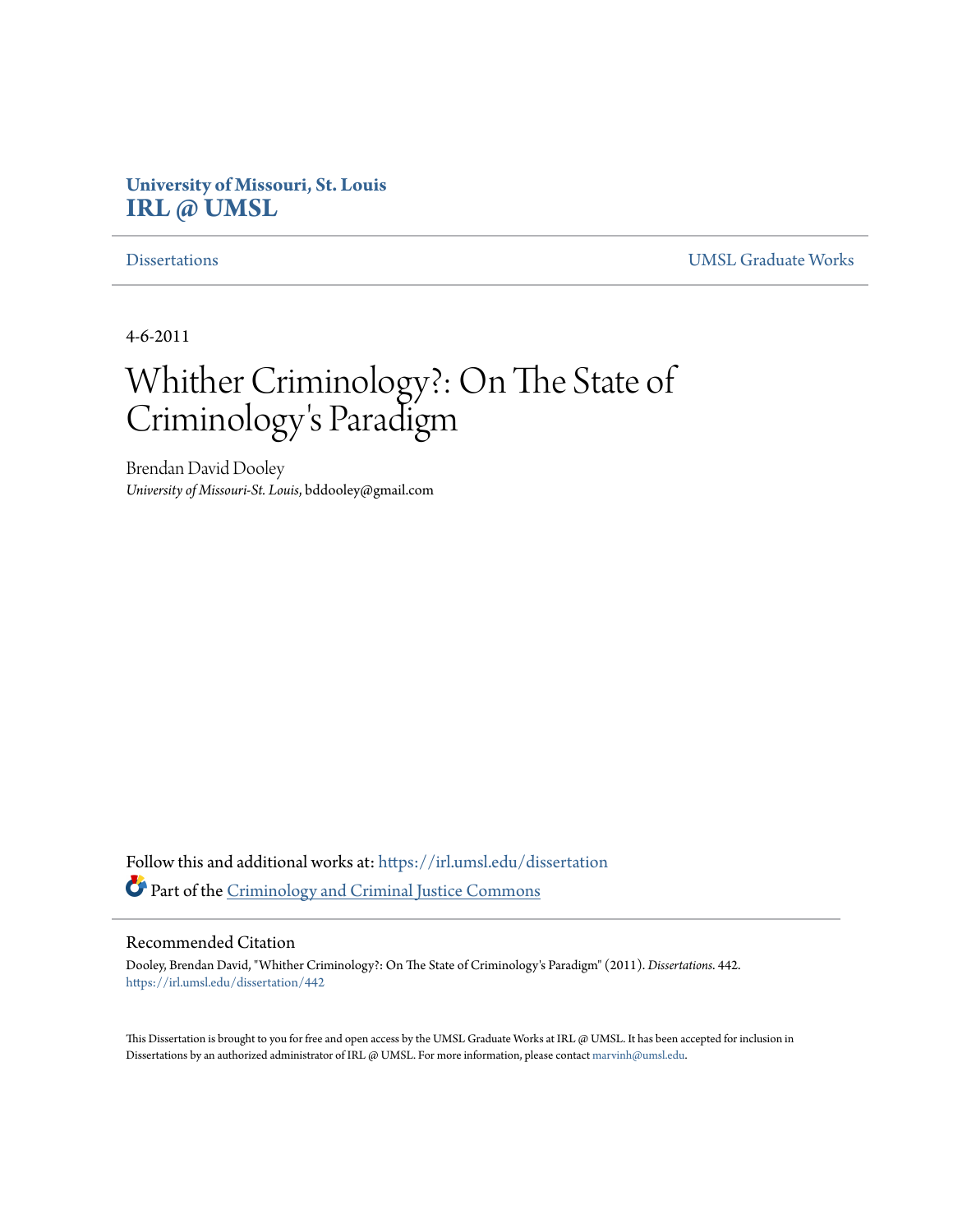# **University of Missouri, St. Louis [IRL @ UMSL](https://irl.umsl.edu?utm_source=irl.umsl.edu%2Fdissertation%2F442&utm_medium=PDF&utm_campaign=PDFCoverPages)**

[Dissertations](https://irl.umsl.edu/dissertation?utm_source=irl.umsl.edu%2Fdissertation%2F442&utm_medium=PDF&utm_campaign=PDFCoverPages) [UMSL Graduate Works](https://irl.umsl.edu/grad?utm_source=irl.umsl.edu%2Fdissertation%2F442&utm_medium=PDF&utm_campaign=PDFCoverPages)

4-6-2011

# Whither Criminology?: On The State of Criminology 's Paradigm

Brendan David Dooley *University of Missouri-St. Louis*, bddooley@gmail.com

Follow this and additional works at: [https://irl.umsl.edu/dissertation](https://irl.umsl.edu/dissertation?utm_source=irl.umsl.edu%2Fdissertation%2F442&utm_medium=PDF&utm_campaign=PDFCoverPages) Part of the [Criminology and Criminal Justice Commons](http://network.bepress.com/hgg/discipline/367?utm_source=irl.umsl.edu%2Fdissertation%2F442&utm_medium=PDF&utm_campaign=PDFCoverPages)

#### Recommended Citation

Dooley, Brendan David, "Whither Criminology?: On The State of Criminology's Paradigm" (2011). *Dissertations*. 442. [https://irl.umsl.edu/dissertation/442](https://irl.umsl.edu/dissertation/442?utm_source=irl.umsl.edu%2Fdissertation%2F442&utm_medium=PDF&utm_campaign=PDFCoverPages)

This Dissertation is brought to you for free and open access by the UMSL Graduate Works at IRL @ UMSL. It has been accepted for inclusion in Dissertations by an authorized administrator of IRL @ UMSL. For more information, please contact [marvinh@umsl.edu](mailto:marvinh@umsl.edu).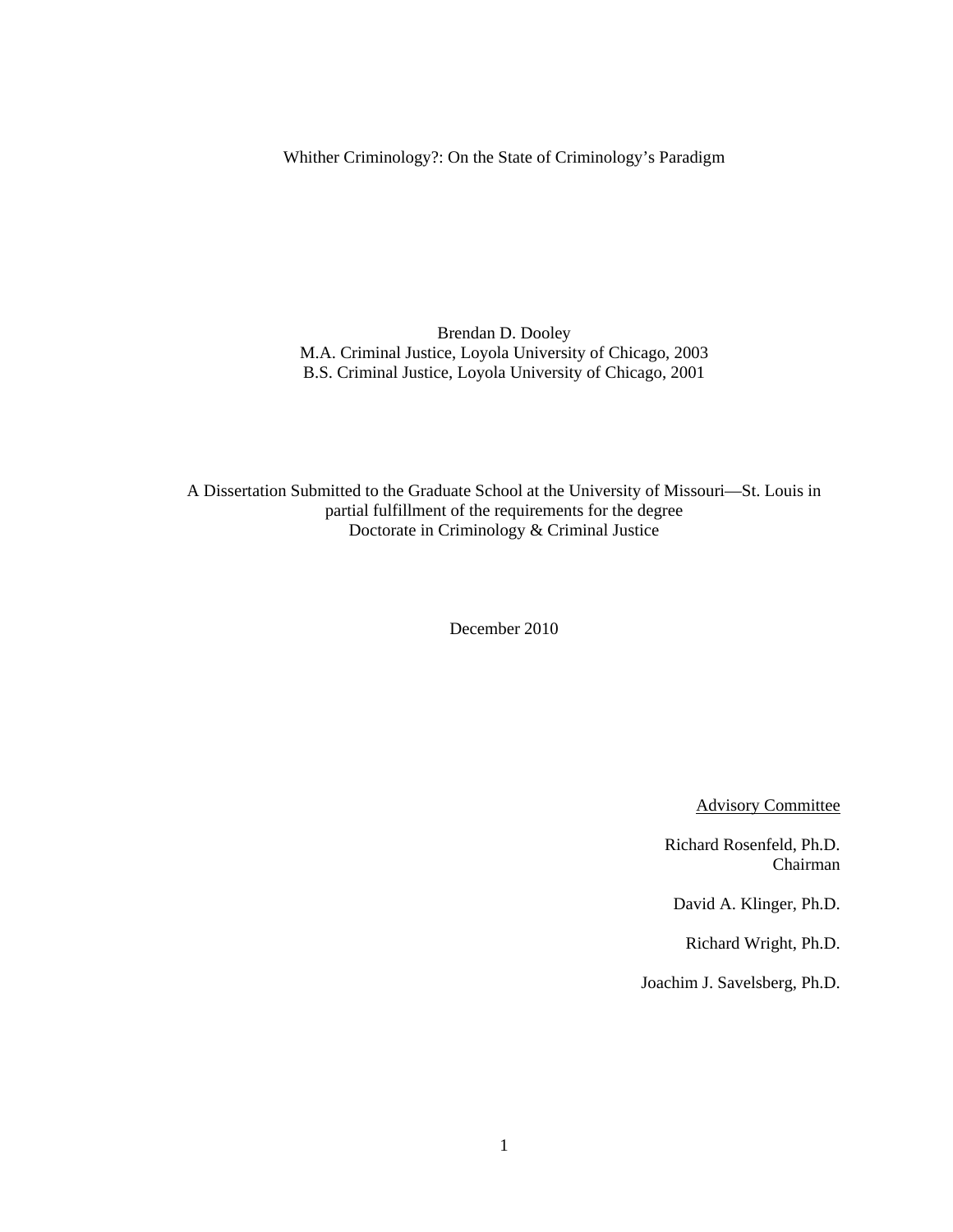Whither Criminology?: On the State of Criminology's Paradigm

Brendan D. Dooley M.A. Criminal Justice, Loyola University of Chicago, 2003 B.S. Criminal Justice, Loyola University of Chicago, 2001

A Dissertation Submitted to the Graduate School at the University of Missouri—St. Louis in partial fulfillment of the requirements for the degree Doctorate in Criminology & Criminal Justice

December 2010

Advisory Committee

Richard Rosenfeld, Ph.D. Chairman

David A. Klinger, Ph.D.

Richard Wright, Ph.D.

Joachim J. Savelsberg, Ph.D.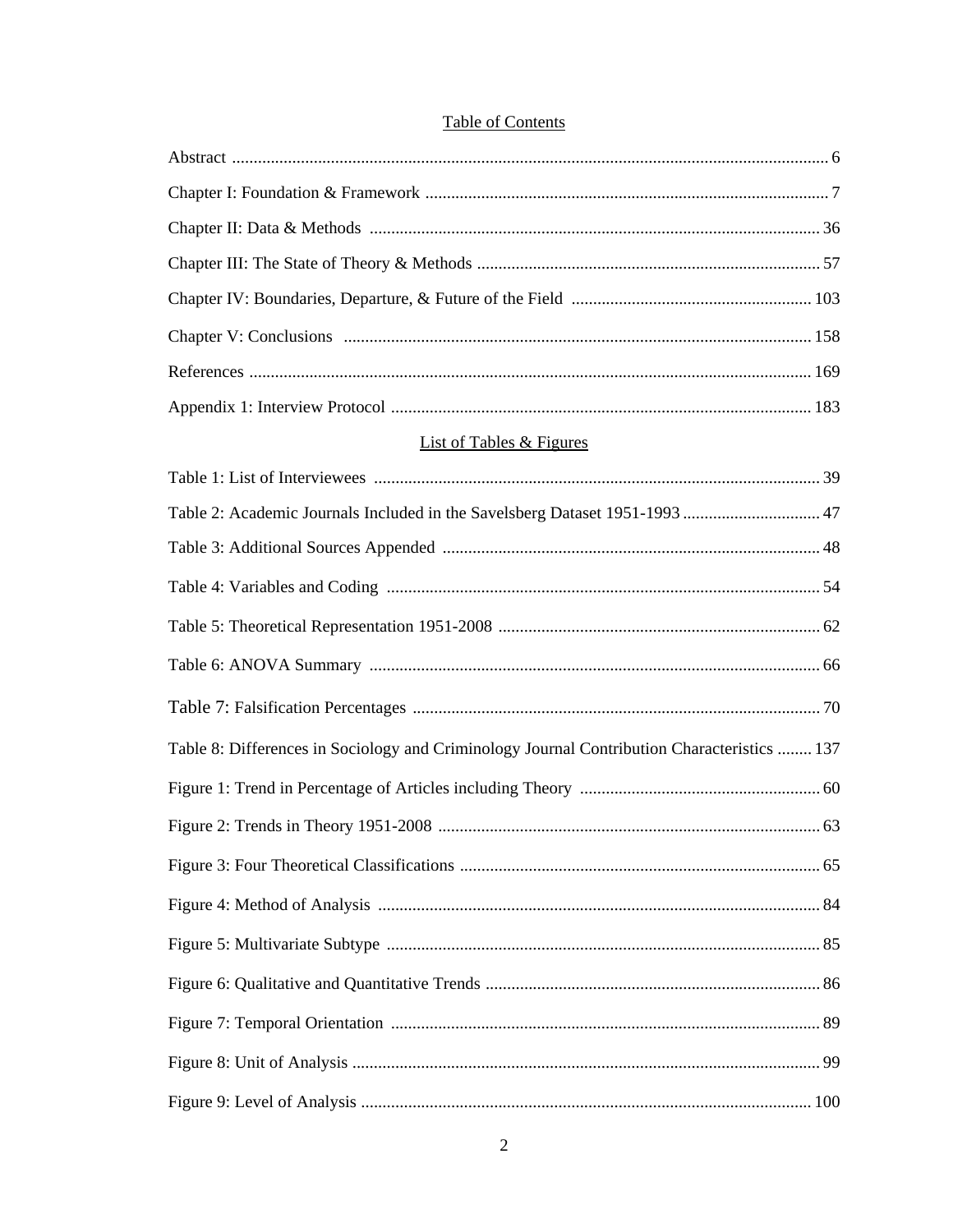## **Table of Contents**

| <b>List of Tables &amp; Figures</b>                                                         |  |
|---------------------------------------------------------------------------------------------|--|
|                                                                                             |  |
| Table 2: Academic Journals Included in the Savelsberg Dataset 1951-1993  47                 |  |
|                                                                                             |  |
|                                                                                             |  |
|                                                                                             |  |
|                                                                                             |  |
|                                                                                             |  |
| Table 8: Differences in Sociology and Criminology Journal Contribution Characteristics  137 |  |
|                                                                                             |  |
|                                                                                             |  |
|                                                                                             |  |
|                                                                                             |  |
|                                                                                             |  |
|                                                                                             |  |
|                                                                                             |  |
|                                                                                             |  |
|                                                                                             |  |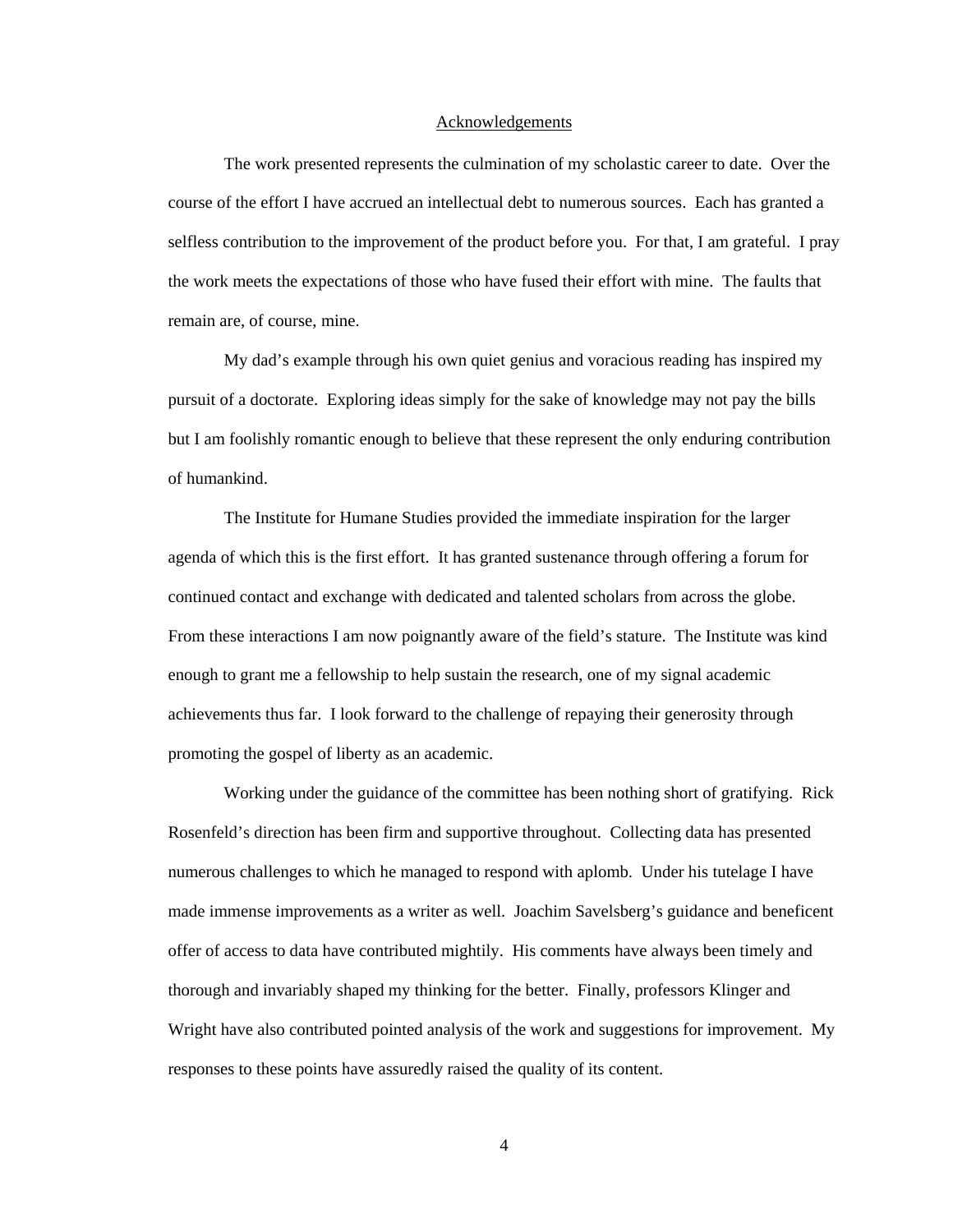#### Acknowledgements

 The work presented represents the culmination of my scholastic career to date. Over the course of the effort I have accrued an intellectual debt to numerous sources. Each has granted a selfless contribution to the improvement of the product before you. For that, I am grateful. I pray the work meets the expectations of those who have fused their effort with mine. The faults that remain are, of course, mine.

My dad's example through his own quiet genius and voracious reading has inspired my pursuit of a doctorate. Exploring ideas simply for the sake of knowledge may not pay the bills but I am foolishly romantic enough to believe that these represent the only enduring contribution of humankind.

 The Institute for Humane Studies provided the immediate inspiration for the larger agenda of which this is the first effort. It has granted sustenance through offering a forum for continued contact and exchange with dedicated and talented scholars from across the globe. From these interactions I am now poignantly aware of the field's stature. The Institute was kind enough to grant me a fellowship to help sustain the research, one of my signal academic achievements thus far. I look forward to the challenge of repaying their generosity through promoting the gospel of liberty as an academic.

 Working under the guidance of the committee has been nothing short of gratifying. Rick Rosenfeld's direction has been firm and supportive throughout. Collecting data has presented numerous challenges to which he managed to respond with aplomb. Under his tutelage I have made immense improvements as a writer as well. Joachim Savelsberg's guidance and beneficent offer of access to data have contributed mightily. His comments have always been timely and thorough and invariably shaped my thinking for the better. Finally, professors Klinger and Wright have also contributed pointed analysis of the work and suggestions for improvement. My responses to these points have assuredly raised the quality of its content.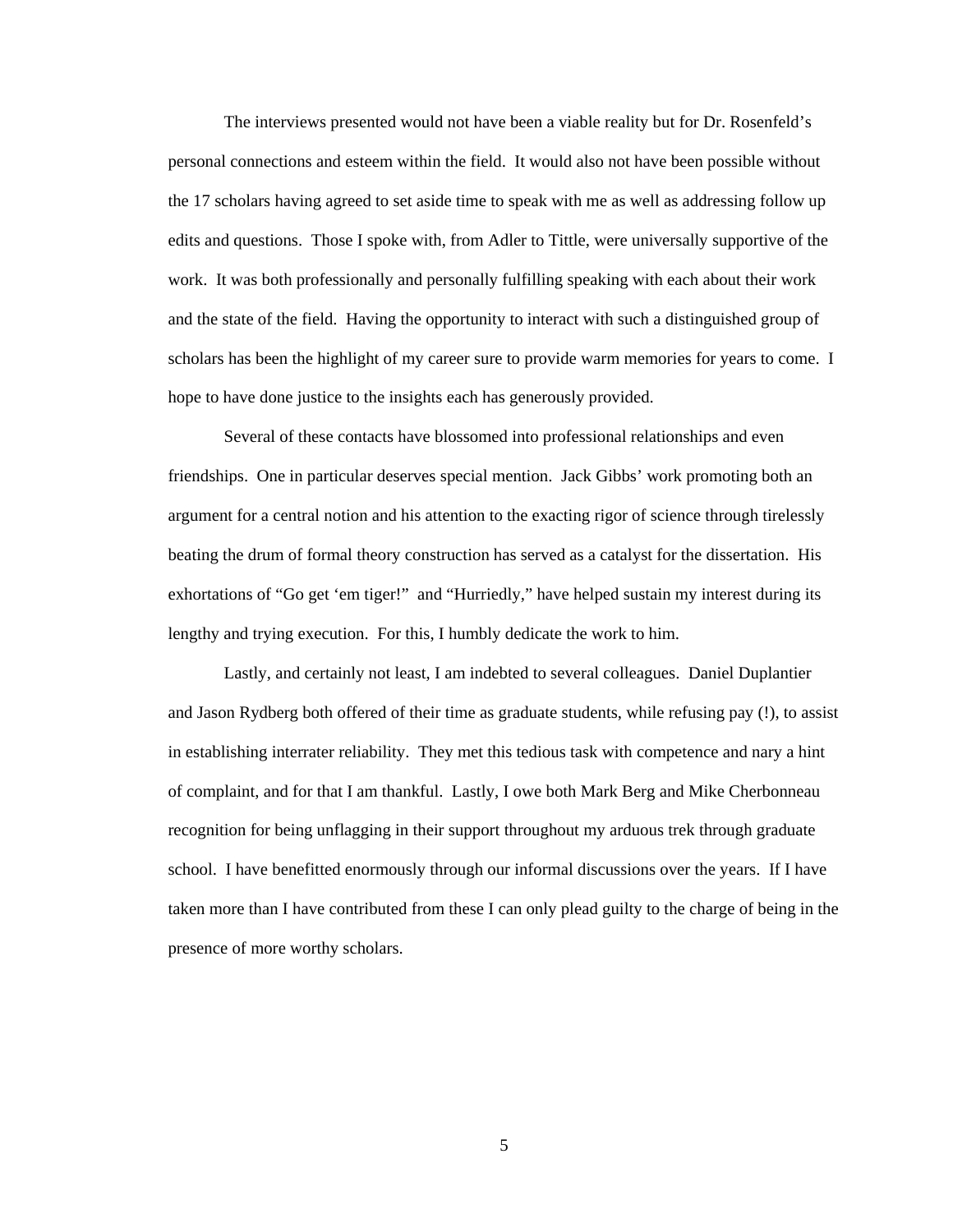The interviews presented would not have been a viable reality but for Dr. Rosenfeld's personal connections and esteem within the field. It would also not have been possible without the 17 scholars having agreed to set aside time to speak with me as well as addressing follow up edits and questions. Those I spoke with, from Adler to Tittle, were universally supportive of the work. It was both professionally and personally fulfilling speaking with each about their work and the state of the field. Having the opportunity to interact with such a distinguished group of scholars has been the highlight of my career sure to provide warm memories for years to come. I hope to have done justice to the insights each has generously provided.

 Several of these contacts have blossomed into professional relationships and even friendships. One in particular deserves special mention. Jack Gibbs' work promoting both an argument for a central notion and his attention to the exacting rigor of science through tirelessly beating the drum of formal theory construction has served as a catalyst for the dissertation. His exhortations of "Go get 'em tiger!" and "Hurriedly," have helped sustain my interest during its lengthy and trying execution. For this, I humbly dedicate the work to him.

 Lastly, and certainly not least, I am indebted to several colleagues. Daniel Duplantier and Jason Rydberg both offered of their time as graduate students, while refusing pay (!), to assist in establishing interrater reliability. They met this tedious task with competence and nary a hint of complaint, and for that I am thankful. Lastly, I owe both Mark Berg and Mike Cherbonneau recognition for being unflagging in their support throughout my arduous trek through graduate school. I have benefitted enormously through our informal discussions over the years. If I have taken more than I have contributed from these I can only plead guilty to the charge of being in the presence of more worthy scholars.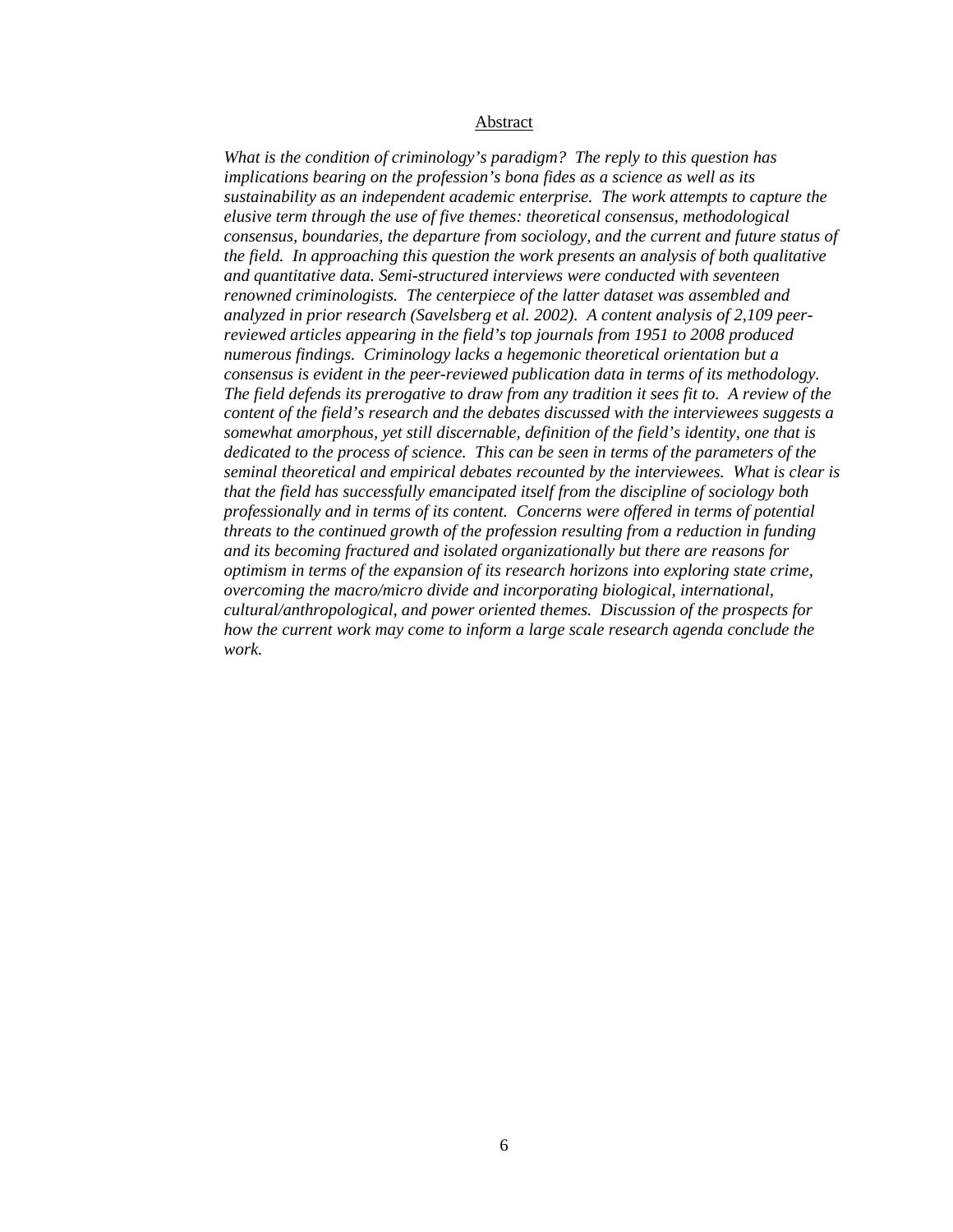#### Abstract

*What is the condition of criminology's paradigm? The reply to this question has implications bearing on the profession's bona fides as a science as well as its sustainability as an independent academic enterprise. The work attempts to capture the elusive term through the use of five themes: theoretical consensus, methodological consensus, boundaries, the departure from sociology, and the current and future status of the field. In approaching this question the work presents an analysis of both qualitative and quantitative data. Semi-structured interviews were conducted with seventeen renowned criminologists. The centerpiece of the latter dataset was assembled and analyzed in prior research (Savelsberg et al. 2002). A content analysis of 2,109 peerreviewed articles appearing in the field's top journals from 1951 to 2008 produced numerous findings. Criminology lacks a hegemonic theoretical orientation but a consensus is evident in the peer-reviewed publication data in terms of its methodology. The field defends its prerogative to draw from any tradition it sees fit to. A review of the content of the field's research and the debates discussed with the interviewees suggests a somewhat amorphous, yet still discernable, definition of the field's identity, one that is dedicated to the process of science. This can be seen in terms of the parameters of the seminal theoretical and empirical debates recounted by the interviewees. What is clear is that the field has successfully emancipated itself from the discipline of sociology both professionally and in terms of its content. Concerns were offered in terms of potential threats to the continued growth of the profession resulting from a reduction in funding and its becoming fractured and isolated organizationally but there are reasons for optimism in terms of the expansion of its research horizons into exploring state crime, overcoming the macro/micro divide and incorporating biological, international, cultural/anthropological, and power oriented themes. Discussion of the prospects for how the current work may come to inform a large scale research agenda conclude the work.*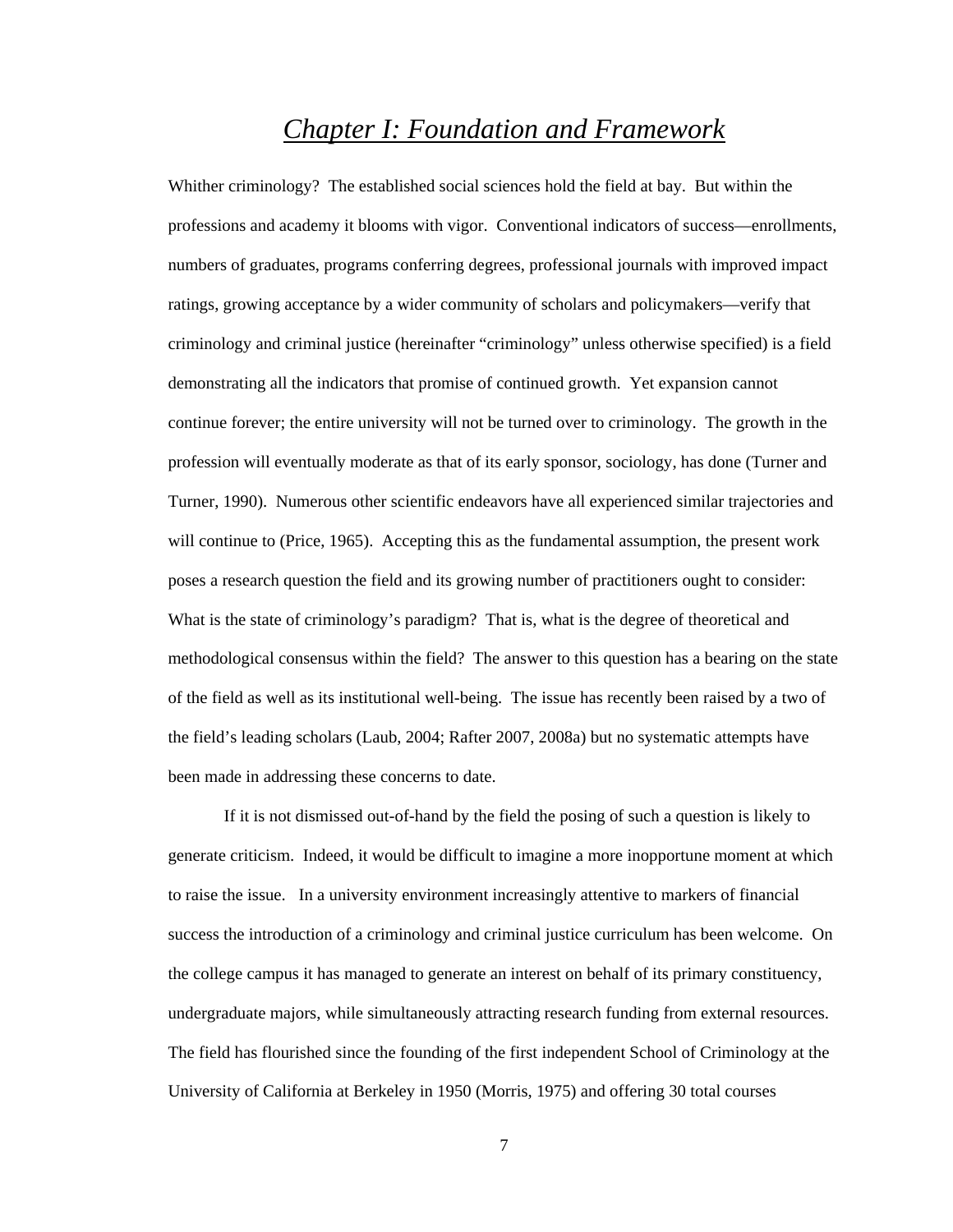# *Chapter I: Foundation and Framework*

Whither criminology? The established social sciences hold the field at bay. But within the professions and academy it blooms with vigor. Conventional indicators of success—enrollments, numbers of graduates, programs conferring degrees, professional journals with improved impact ratings, growing acceptance by a wider community of scholars and policymakers—verify that criminology and criminal justice (hereinafter "criminology" unless otherwise specified) is a field demonstrating all the indicators that promise of continued growth. Yet expansion cannot continue forever; the entire university will not be turned over to criminology. The growth in the profession will eventually moderate as that of its early sponsor, sociology, has done (Turner and Turner, 1990). Numerous other scientific endeavors have all experienced similar trajectories and will continue to (Price, 1965). Accepting this as the fundamental assumption, the present work poses a research question the field and its growing number of practitioners ought to consider: What is the state of criminology's paradigm? That is, what is the degree of theoretical and methodological consensus within the field? The answer to this question has a bearing on the state of the field as well as its institutional well-being. The issue has recently been raised by a two of the field's leading scholars (Laub, 2004; Rafter 2007, 2008a) but no systematic attempts have been made in addressing these concerns to date.

If it is not dismissed out-of-hand by the field the posing of such a question is likely to generate criticism. Indeed, it would be difficult to imagine a more inopportune moment at which to raise the issue. In a university environment increasingly attentive to markers of financial success the introduction of a criminology and criminal justice curriculum has been welcome. On the college campus it has managed to generate an interest on behalf of its primary constituency, undergraduate majors, while simultaneously attracting research funding from external resources. The field has flourished since the founding of the first independent School of Criminology at the University of California at Berkeley in 1950 (Morris, 1975) and offering 30 total courses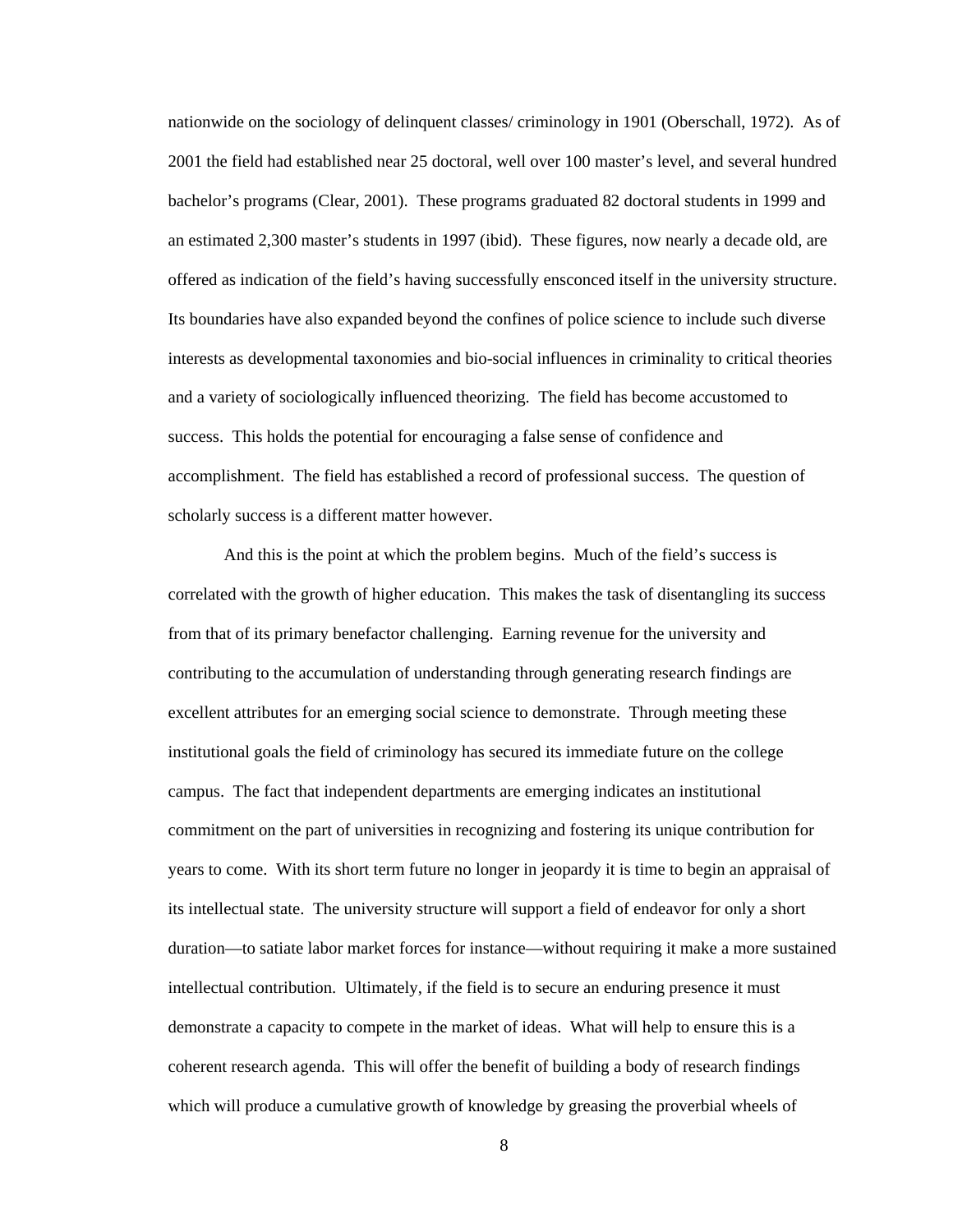nationwide on the sociology of delinquent classes/ criminology in 1901 (Oberschall, 1972). As of 2001 the field had established near 25 doctoral, well over 100 master's level, and several hundred bachelor's programs (Clear, 2001). These programs graduated 82 doctoral students in 1999 and an estimated 2,300 master's students in 1997 (ibid). These figures, now nearly a decade old, are offered as indication of the field's having successfully ensconced itself in the university structure. Its boundaries have also expanded beyond the confines of police science to include such diverse interests as developmental taxonomies and bio-social influences in criminality to critical theories and a variety of sociologically influenced theorizing. The field has become accustomed to success. This holds the potential for encouraging a false sense of confidence and accomplishment. The field has established a record of professional success. The question of scholarly success is a different matter however.

And this is the point at which the problem begins. Much of the field's success is correlated with the growth of higher education. This makes the task of disentangling its success from that of its primary benefactor challenging. Earning revenue for the university and contributing to the accumulation of understanding through generating research findings are excellent attributes for an emerging social science to demonstrate. Through meeting these institutional goals the field of criminology has secured its immediate future on the college campus. The fact that independent departments are emerging indicates an institutional commitment on the part of universities in recognizing and fostering its unique contribution for years to come. With its short term future no longer in jeopardy it is time to begin an appraisal of its intellectual state. The university structure will support a field of endeavor for only a short duration—to satiate labor market forces for instance—without requiring it make a more sustained intellectual contribution. Ultimately, if the field is to secure an enduring presence it must demonstrate a capacity to compete in the market of ideas. What will help to ensure this is a coherent research agenda. This will offer the benefit of building a body of research findings which will produce a cumulative growth of knowledge by greasing the proverbial wheels of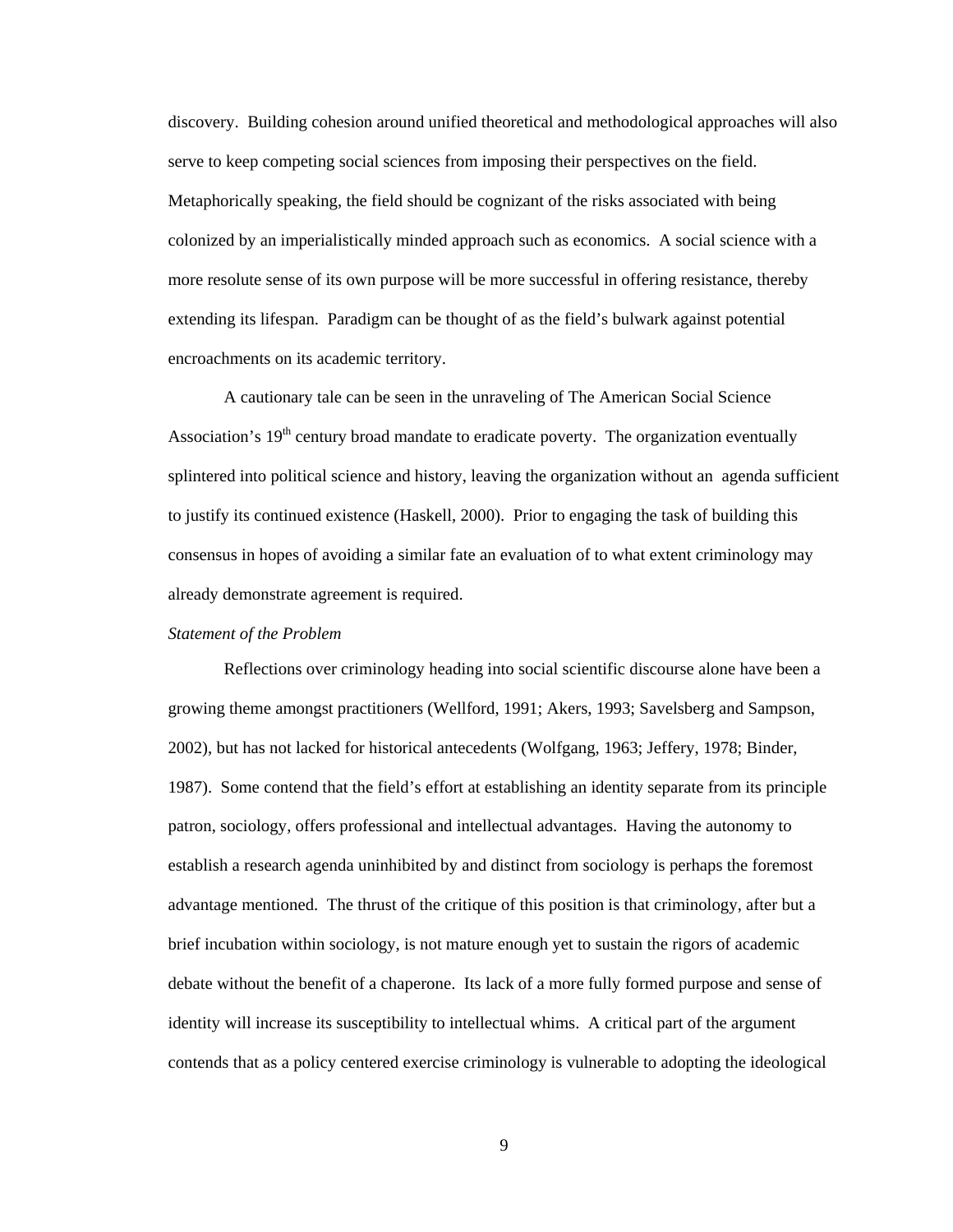discovery. Building cohesion around unified theoretical and methodological approaches will also serve to keep competing social sciences from imposing their perspectives on the field. Metaphorically speaking, the field should be cognizant of the risks associated with being colonized by an imperialistically minded approach such as economics. A social science with a more resolute sense of its own purpose will be more successful in offering resistance, thereby extending its lifespan. Paradigm can be thought of as the field's bulwark against potential encroachments on its academic territory.

A cautionary tale can be seen in the unraveling of The American Social Science Association's  $19<sup>th</sup>$  century broad mandate to eradicate poverty. The organization eventually splintered into political science and history, leaving the organization without an agenda sufficient to justify its continued existence (Haskell, 2000). Prior to engaging the task of building this consensus in hopes of avoiding a similar fate an evaluation of to what extent criminology may already demonstrate agreement is required.

### *Statement of the Problem*

Reflections over criminology heading into social scientific discourse alone have been a growing theme amongst practitioners (Wellford, 1991; Akers, 1993; Savelsberg and Sampson, 2002), but has not lacked for historical antecedents (Wolfgang, 1963; Jeffery, 1978; Binder, 1987). Some contend that the field's effort at establishing an identity separate from its principle patron, sociology, offers professional and intellectual advantages. Having the autonomy to establish a research agenda uninhibited by and distinct from sociology is perhaps the foremost advantage mentioned. The thrust of the critique of this position is that criminology, after but a brief incubation within sociology, is not mature enough yet to sustain the rigors of academic debate without the benefit of a chaperone. Its lack of a more fully formed purpose and sense of identity will increase its susceptibility to intellectual whims. A critical part of the argument contends that as a policy centered exercise criminology is vulnerable to adopting the ideological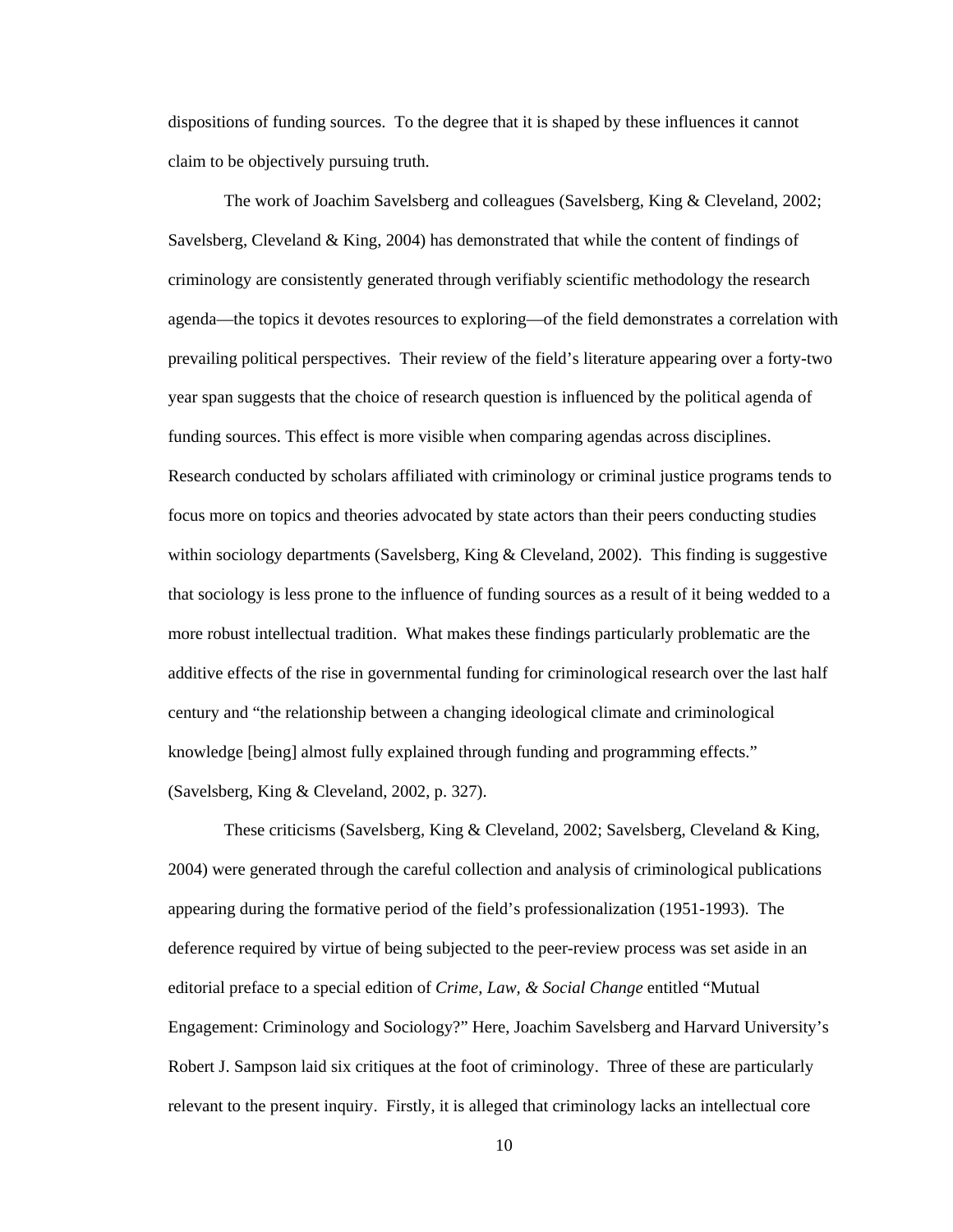dispositions of funding sources. To the degree that it is shaped by these influences it cannot claim to be objectively pursuing truth.

The work of Joachim Savelsberg and colleagues (Savelsberg, King & Cleveland, 2002; Savelsberg, Cleveland & King, 2004) has demonstrated that while the content of findings of criminology are consistently generated through verifiably scientific methodology the research agenda—the topics it devotes resources to exploring—of the field demonstrates a correlation with prevailing political perspectives. Their review of the field's literature appearing over a forty-two year span suggests that the choice of research question is influenced by the political agenda of funding sources. This effect is more visible when comparing agendas across disciplines. Research conducted by scholars affiliated with criminology or criminal justice programs tends to focus more on topics and theories advocated by state actors than their peers conducting studies within sociology departments (Savelsberg, King & Cleveland, 2002). This finding is suggestive that sociology is less prone to the influence of funding sources as a result of it being wedded to a more robust intellectual tradition. What makes these findings particularly problematic are the additive effects of the rise in governmental funding for criminological research over the last half century and "the relationship between a changing ideological climate and criminological knowledge [being] almost fully explained through funding and programming effects." (Savelsberg, King & Cleveland, 2002, p. 327).

These criticisms (Savelsberg, King & Cleveland, 2002; Savelsberg, Cleveland & King, 2004) were generated through the careful collection and analysis of criminological publications appearing during the formative period of the field's professionalization (1951-1993). The deference required by virtue of being subjected to the peer-review process was set aside in an editorial preface to a special edition of *Crime, Law, & Social Change* entitled "Mutual Engagement: Criminology and Sociology?" Here, Joachim Savelsberg and Harvard University's Robert J. Sampson laid six critiques at the foot of criminology. Three of these are particularly relevant to the present inquiry. Firstly, it is alleged that criminology lacks an intellectual core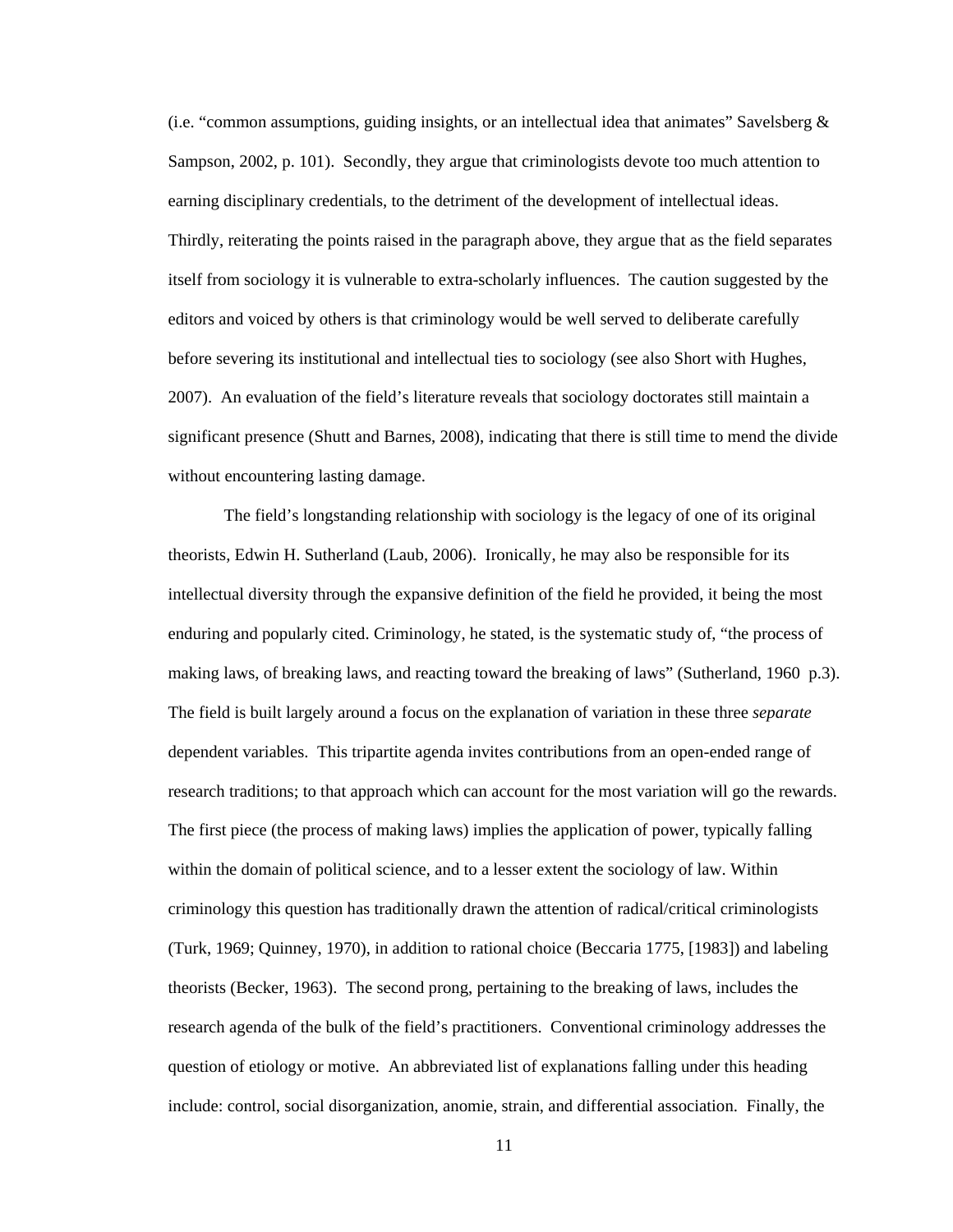(i.e. "common assumptions, guiding insights, or an intellectual idea that animates" Savelsberg  $\&$ Sampson, 2002, p. 101). Secondly, they argue that criminologists devote too much attention to earning disciplinary credentials, to the detriment of the development of intellectual ideas. Thirdly, reiterating the points raised in the paragraph above, they argue that as the field separates itself from sociology it is vulnerable to extra-scholarly influences. The caution suggested by the editors and voiced by others is that criminology would be well served to deliberate carefully before severing its institutional and intellectual ties to sociology (see also Short with Hughes, 2007). An evaluation of the field's literature reveals that sociology doctorates still maintain a significant presence (Shutt and Barnes, 2008), indicating that there is still time to mend the divide without encountering lasting damage.

 The field's longstanding relationship with sociology is the legacy of one of its original theorists, Edwin H. Sutherland (Laub, 2006). Ironically, he may also be responsible for its intellectual diversity through the expansive definition of the field he provided, it being the most enduring and popularly cited. Criminology, he stated, is the systematic study of, "the process of making laws, of breaking laws, and reacting toward the breaking of laws" (Sutherland, 1960 p.3). The field is built largely around a focus on the explanation of variation in these three *separate* dependent variables. This tripartite agenda invites contributions from an open-ended range of research traditions; to that approach which can account for the most variation will go the rewards. The first piece (the process of making laws) implies the application of power, typically falling within the domain of political science, and to a lesser extent the sociology of law. Within criminology this question has traditionally drawn the attention of radical/critical criminologists (Turk, 1969; Quinney, 1970), in addition to rational choice (Beccaria 1775, [1983]) and labeling theorists (Becker, 1963). The second prong, pertaining to the breaking of laws, includes the research agenda of the bulk of the field's practitioners. Conventional criminology addresses the question of etiology or motive. An abbreviated list of explanations falling under this heading include: control, social disorganization, anomie, strain, and differential association. Finally, the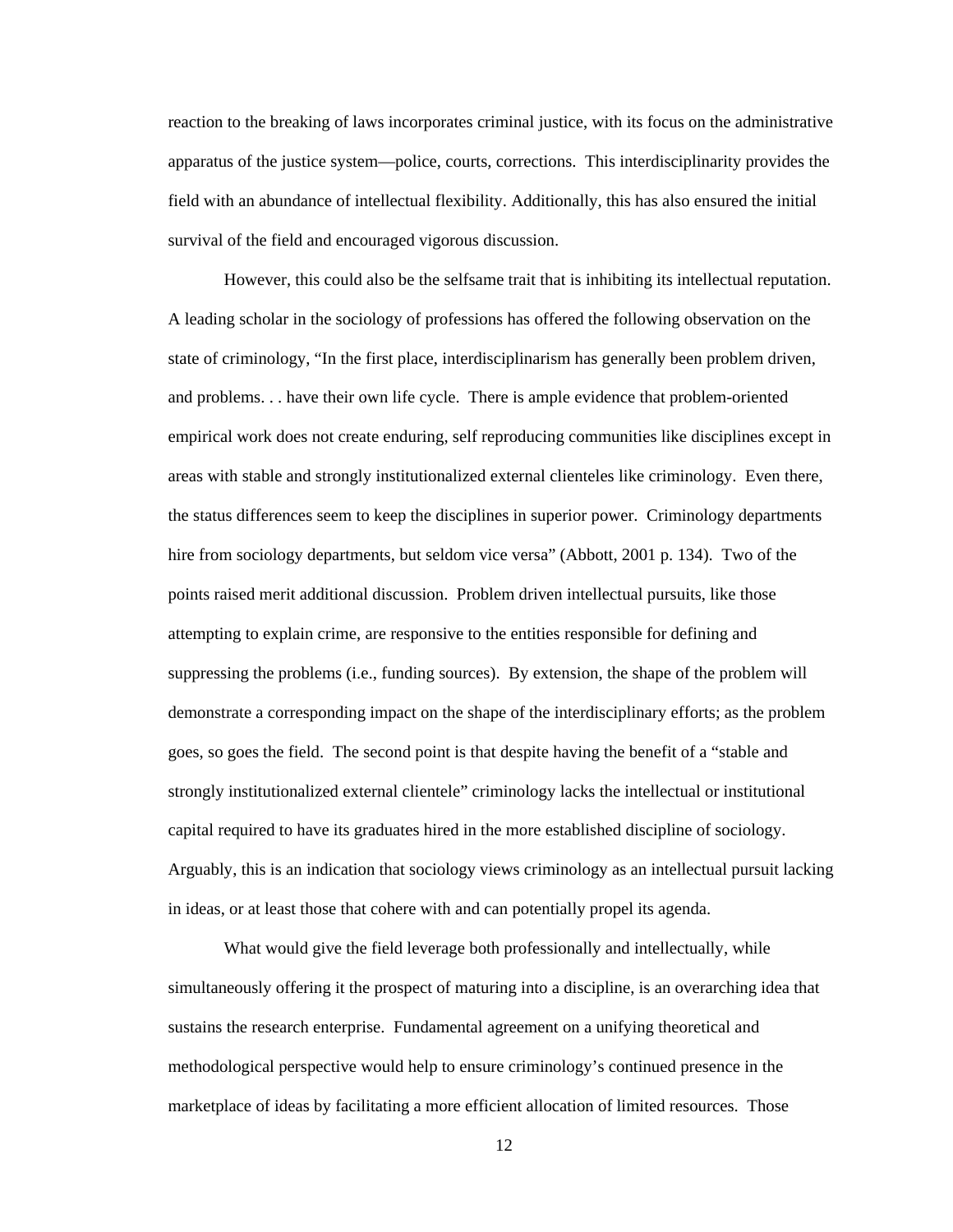reaction to the breaking of laws incorporates criminal justice, with its focus on the administrative apparatus of the justice system—police, courts, corrections. This interdisciplinarity provides the field with an abundance of intellectual flexibility. Additionally, this has also ensured the initial survival of the field and encouraged vigorous discussion.

However, this could also be the selfsame trait that is inhibiting its intellectual reputation. A leading scholar in the sociology of professions has offered the following observation on the state of criminology, "In the first place, interdisciplinarism has generally been problem driven, and problems. . . have their own life cycle. There is ample evidence that problem-oriented empirical work does not create enduring, self reproducing communities like disciplines except in areas with stable and strongly institutionalized external clienteles like criminology. Even there, the status differences seem to keep the disciplines in superior power. Criminology departments hire from sociology departments, but seldom vice versa" (Abbott, 2001 p. 134). Two of the points raised merit additional discussion. Problem driven intellectual pursuits, like those attempting to explain crime, are responsive to the entities responsible for defining and suppressing the problems (i.e., funding sources). By extension, the shape of the problem will demonstrate a corresponding impact on the shape of the interdisciplinary efforts; as the problem goes, so goes the field. The second point is that despite having the benefit of a "stable and strongly institutionalized external clientele" criminology lacks the intellectual or institutional capital required to have its graduates hired in the more established discipline of sociology. Arguably, this is an indication that sociology views criminology as an intellectual pursuit lacking in ideas, or at least those that cohere with and can potentially propel its agenda.

What would give the field leverage both professionally and intellectually, while simultaneously offering it the prospect of maturing into a discipline, is an overarching idea that sustains the research enterprise. Fundamental agreement on a unifying theoretical and methodological perspective would help to ensure criminology's continued presence in the marketplace of ideas by facilitating a more efficient allocation of limited resources. Those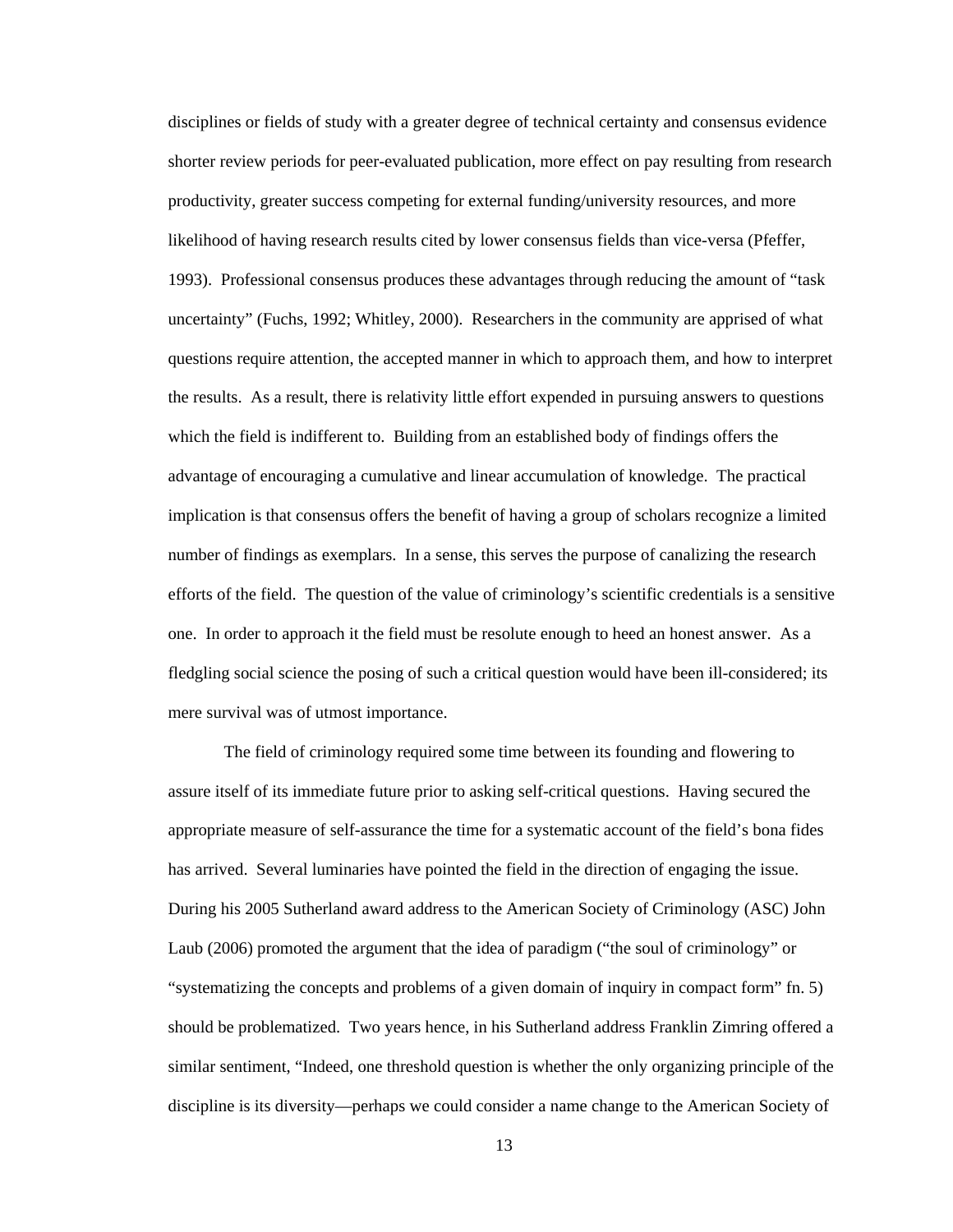disciplines or fields of study with a greater degree of technical certainty and consensus evidence shorter review periods for peer-evaluated publication, more effect on pay resulting from research productivity, greater success competing for external funding/university resources, and more likelihood of having research results cited by lower consensus fields than vice-versa (Pfeffer, 1993). Professional consensus produces these advantages through reducing the amount of "task uncertainty" (Fuchs, 1992; Whitley, 2000). Researchers in the community are apprised of what questions require attention, the accepted manner in which to approach them, and how to interpret the results. As a result, there is relativity little effort expended in pursuing answers to questions which the field is indifferent to. Building from an established body of findings offers the advantage of encouraging a cumulative and linear accumulation of knowledge. The practical implication is that consensus offers the benefit of having a group of scholars recognize a limited number of findings as exemplars. In a sense, this serves the purpose of canalizing the research efforts of the field. The question of the value of criminology's scientific credentials is a sensitive one. In order to approach it the field must be resolute enough to heed an honest answer. As a fledgling social science the posing of such a critical question would have been ill-considered; its mere survival was of utmost importance.

The field of criminology required some time between its founding and flowering to assure itself of its immediate future prior to asking self-critical questions. Having secured the appropriate measure of self-assurance the time for a systematic account of the field's bona fides has arrived. Several luminaries have pointed the field in the direction of engaging the issue. During his 2005 Sutherland award address to the American Society of Criminology (ASC) John Laub (2006) promoted the argument that the idea of paradigm ("the soul of criminology" or "systematizing the concepts and problems of a given domain of inquiry in compact form" fn. 5) should be problematized. Two years hence, in his Sutherland address Franklin Zimring offered a similar sentiment, "Indeed, one threshold question is whether the only organizing principle of the discipline is its diversity—perhaps we could consider a name change to the American Society of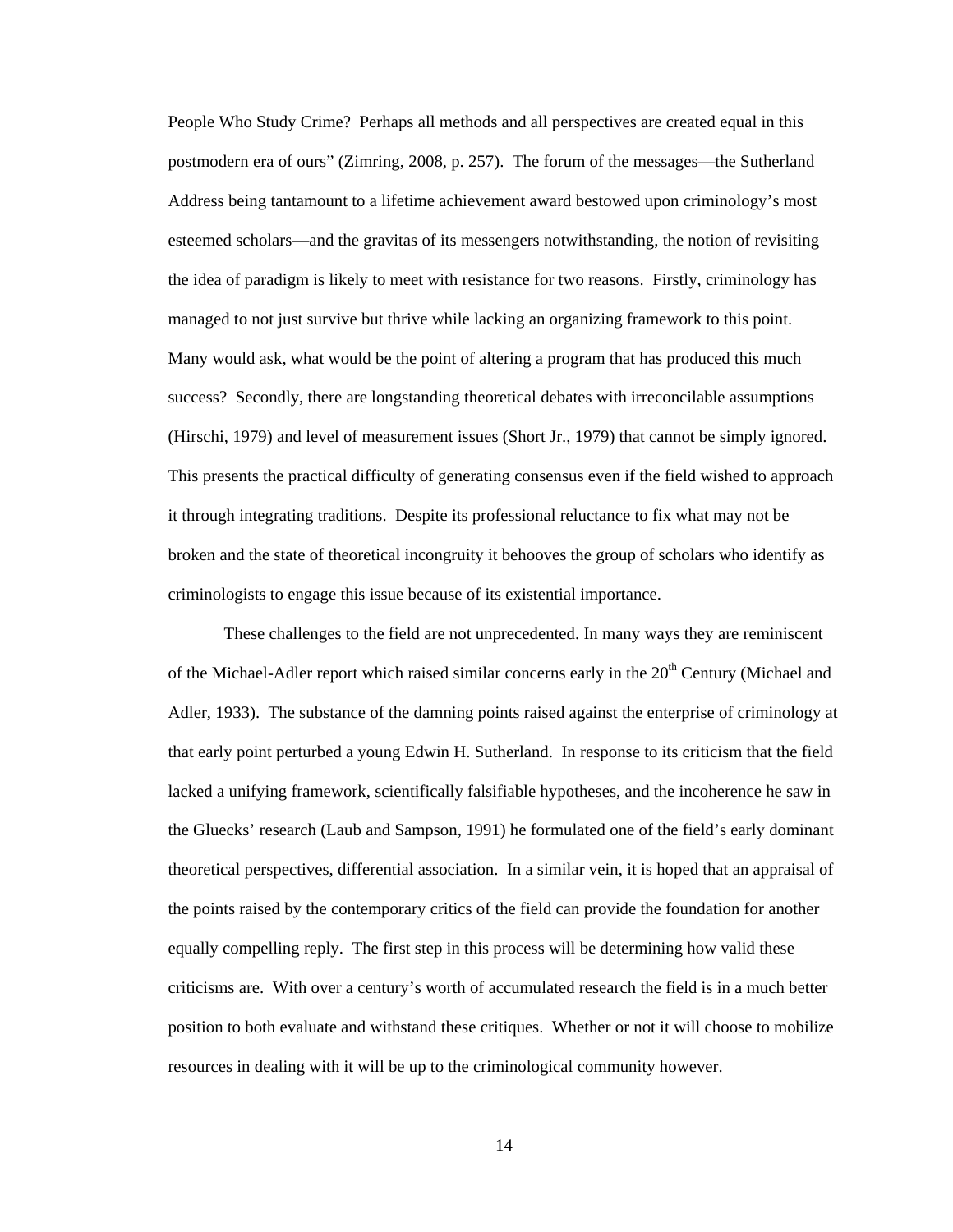People Who Study Crime? Perhaps all methods and all perspectives are created equal in this postmodern era of ours" (Zimring, 2008, p. 257). The forum of the messages—the Sutherland Address being tantamount to a lifetime achievement award bestowed upon criminology's most esteemed scholars—and the gravitas of its messengers notwithstanding, the notion of revisiting the idea of paradigm is likely to meet with resistance for two reasons. Firstly, criminology has managed to not just survive but thrive while lacking an organizing framework to this point. Many would ask, what would be the point of altering a program that has produced this much success? Secondly, there are longstanding theoretical debates with irreconcilable assumptions (Hirschi, 1979) and level of measurement issues (Short Jr., 1979) that cannot be simply ignored. This presents the practical difficulty of generating consensus even if the field wished to approach it through integrating traditions. Despite its professional reluctance to fix what may not be broken and the state of theoretical incongruity it behooves the group of scholars who identify as criminologists to engage this issue because of its existential importance.

These challenges to the field are not unprecedented. In many ways they are reminiscent of the Michael-Adler report which raised similar concerns early in the  $20<sup>th</sup>$  Century (Michael and Adler, 1933). The substance of the damning points raised against the enterprise of criminology at that early point perturbed a young Edwin H. Sutherland. In response to its criticism that the field lacked a unifying framework, scientifically falsifiable hypotheses, and the incoherence he saw in the Gluecks' research (Laub and Sampson, 1991) he formulated one of the field's early dominant theoretical perspectives, differential association. In a similar vein, it is hoped that an appraisal of the points raised by the contemporary critics of the field can provide the foundation for another equally compelling reply. The first step in this process will be determining how valid these criticisms are. With over a century's worth of accumulated research the field is in a much better position to both evaluate and withstand these critiques. Whether or not it will choose to mobilize resources in dealing with it will be up to the criminological community however.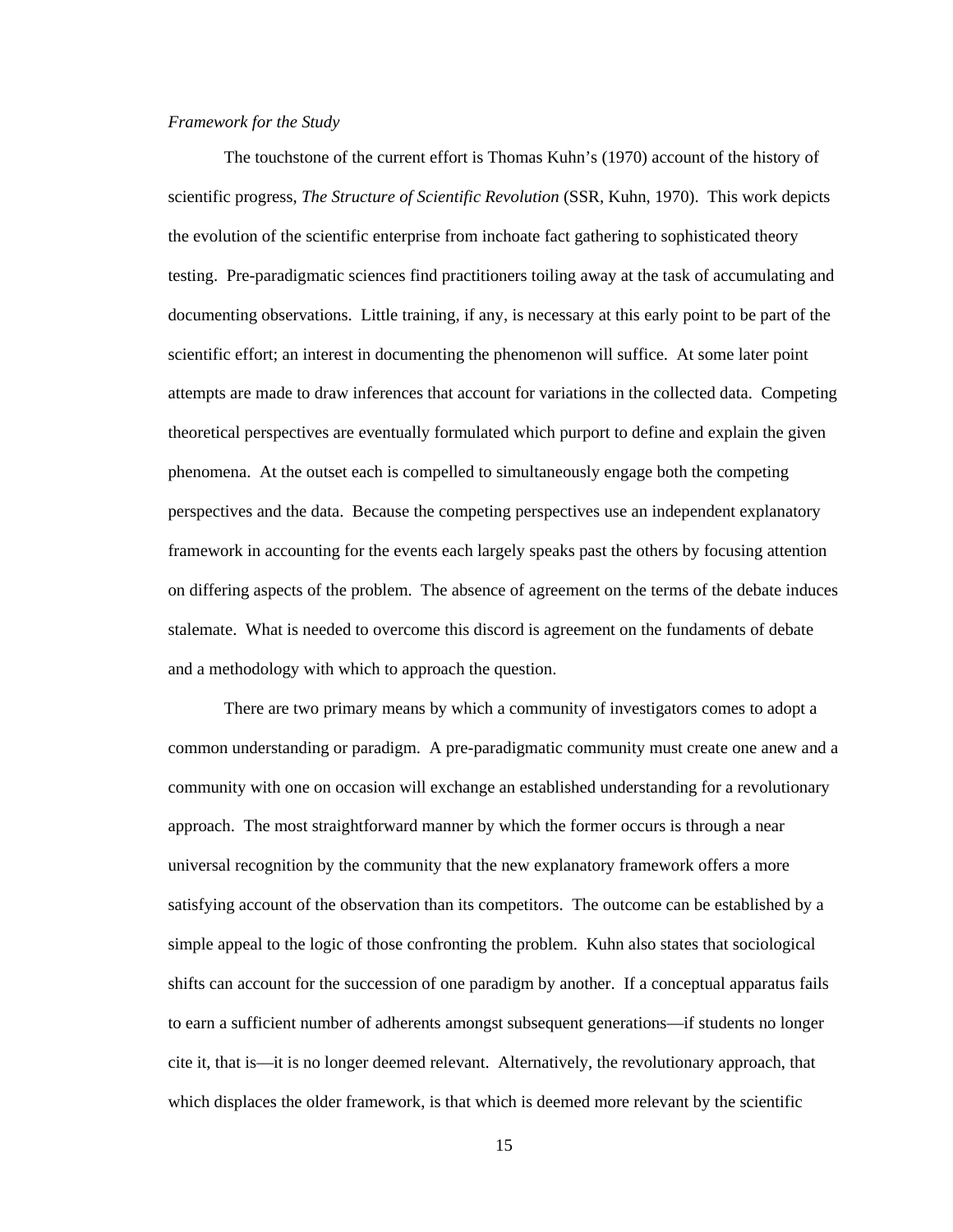#### *Framework for the Study*

 The touchstone of the current effort is Thomas Kuhn's (1970) account of the history of scientific progress, *The Structure of Scientific Revolution* (SSR, Kuhn, 1970). This work depicts the evolution of the scientific enterprise from inchoate fact gathering to sophisticated theory testing. Pre-paradigmatic sciences find practitioners toiling away at the task of accumulating and documenting observations. Little training, if any, is necessary at this early point to be part of the scientific effort; an interest in documenting the phenomenon will suffice. At some later point attempts are made to draw inferences that account for variations in the collected data. Competing theoretical perspectives are eventually formulated which purport to define and explain the given phenomena. At the outset each is compelled to simultaneously engage both the competing perspectives and the data. Because the competing perspectives use an independent explanatory framework in accounting for the events each largely speaks past the others by focusing attention on differing aspects of the problem. The absence of agreement on the terms of the debate induces stalemate. What is needed to overcome this discord is agreement on the fundaments of debate and a methodology with which to approach the question.

There are two primary means by which a community of investigators comes to adopt a common understanding or paradigm. A pre-paradigmatic community must create one anew and a community with one on occasion will exchange an established understanding for a revolutionary approach. The most straightforward manner by which the former occurs is through a near universal recognition by the community that the new explanatory framework offers a more satisfying account of the observation than its competitors. The outcome can be established by a simple appeal to the logic of those confronting the problem. Kuhn also states that sociological shifts can account for the succession of one paradigm by another. If a conceptual apparatus fails to earn a sufficient number of adherents amongst subsequent generations—if students no longer cite it, that is—it is no longer deemed relevant. Alternatively, the revolutionary approach, that which displaces the older framework, is that which is deemed more relevant by the scientific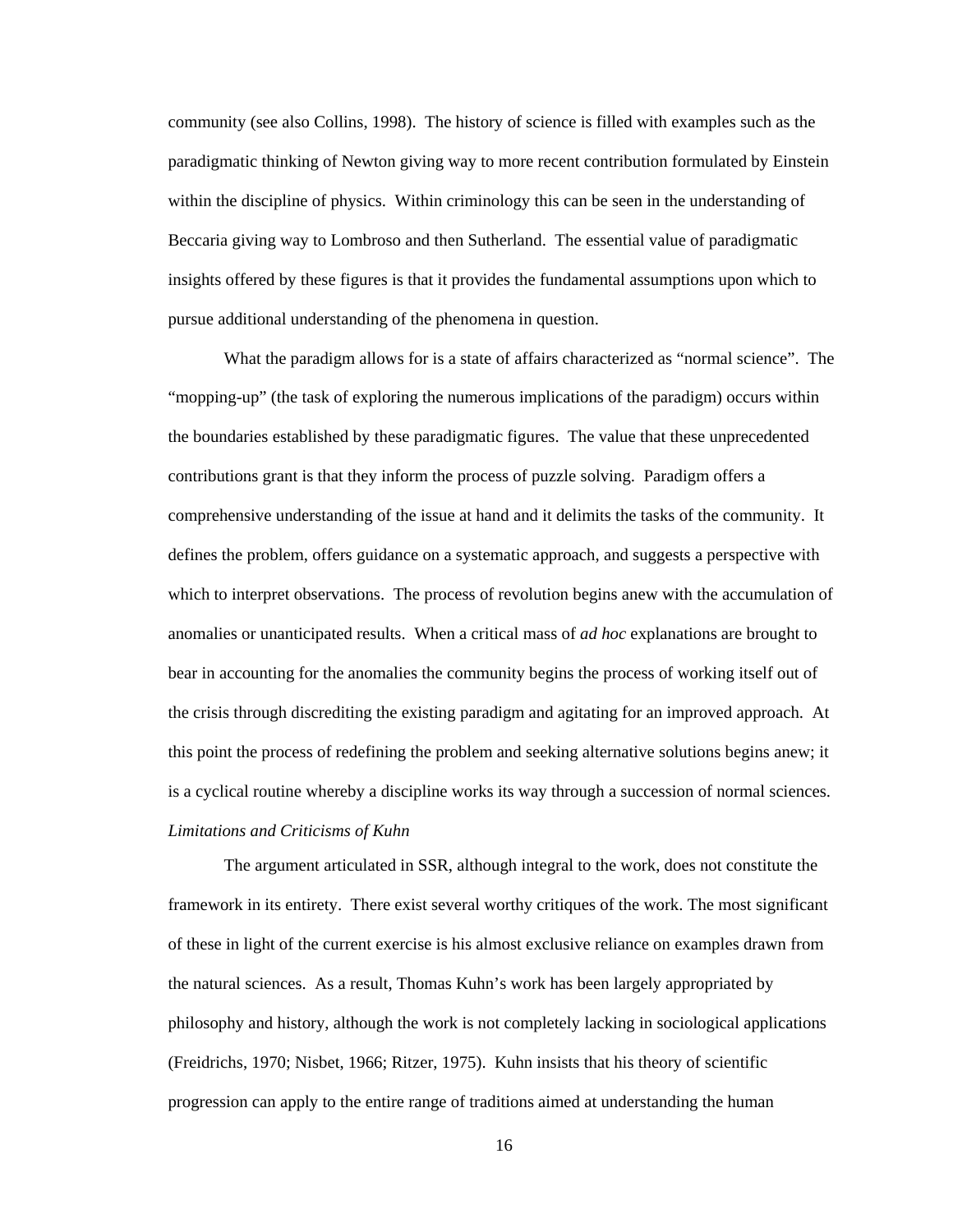community (see also Collins, 1998). The history of science is filled with examples such as the paradigmatic thinking of Newton giving way to more recent contribution formulated by Einstein within the discipline of physics. Within criminology this can be seen in the understanding of Beccaria giving way to Lombroso and then Sutherland. The essential value of paradigmatic insights offered by these figures is that it provides the fundamental assumptions upon which to pursue additional understanding of the phenomena in question.

What the paradigm allows for is a state of affairs characterized as "normal science". The "mopping-up" (the task of exploring the numerous implications of the paradigm) occurs within the boundaries established by these paradigmatic figures. The value that these unprecedented contributions grant is that they inform the process of puzzle solving. Paradigm offers a comprehensive understanding of the issue at hand and it delimits the tasks of the community. It defines the problem, offers guidance on a systematic approach, and suggests a perspective with which to interpret observations. The process of revolution begins anew with the accumulation of anomalies or unanticipated results. When a critical mass of *ad hoc* explanations are brought to bear in accounting for the anomalies the community begins the process of working itself out of the crisis through discrediting the existing paradigm and agitating for an improved approach. At this point the process of redefining the problem and seeking alternative solutions begins anew; it is a cyclical routine whereby a discipline works its way through a succession of normal sciences. *Limitations and Criticisms of Kuhn* 

 The argument articulated in SSR, although integral to the work, does not constitute the framework in its entirety. There exist several worthy critiques of the work. The most significant of these in light of the current exercise is his almost exclusive reliance on examples drawn from the natural sciences. As a result, Thomas Kuhn's work has been largely appropriated by philosophy and history, although the work is not completely lacking in sociological applications (Freidrichs, 1970; Nisbet, 1966; Ritzer, 1975). Kuhn insists that his theory of scientific progression can apply to the entire range of traditions aimed at understanding the human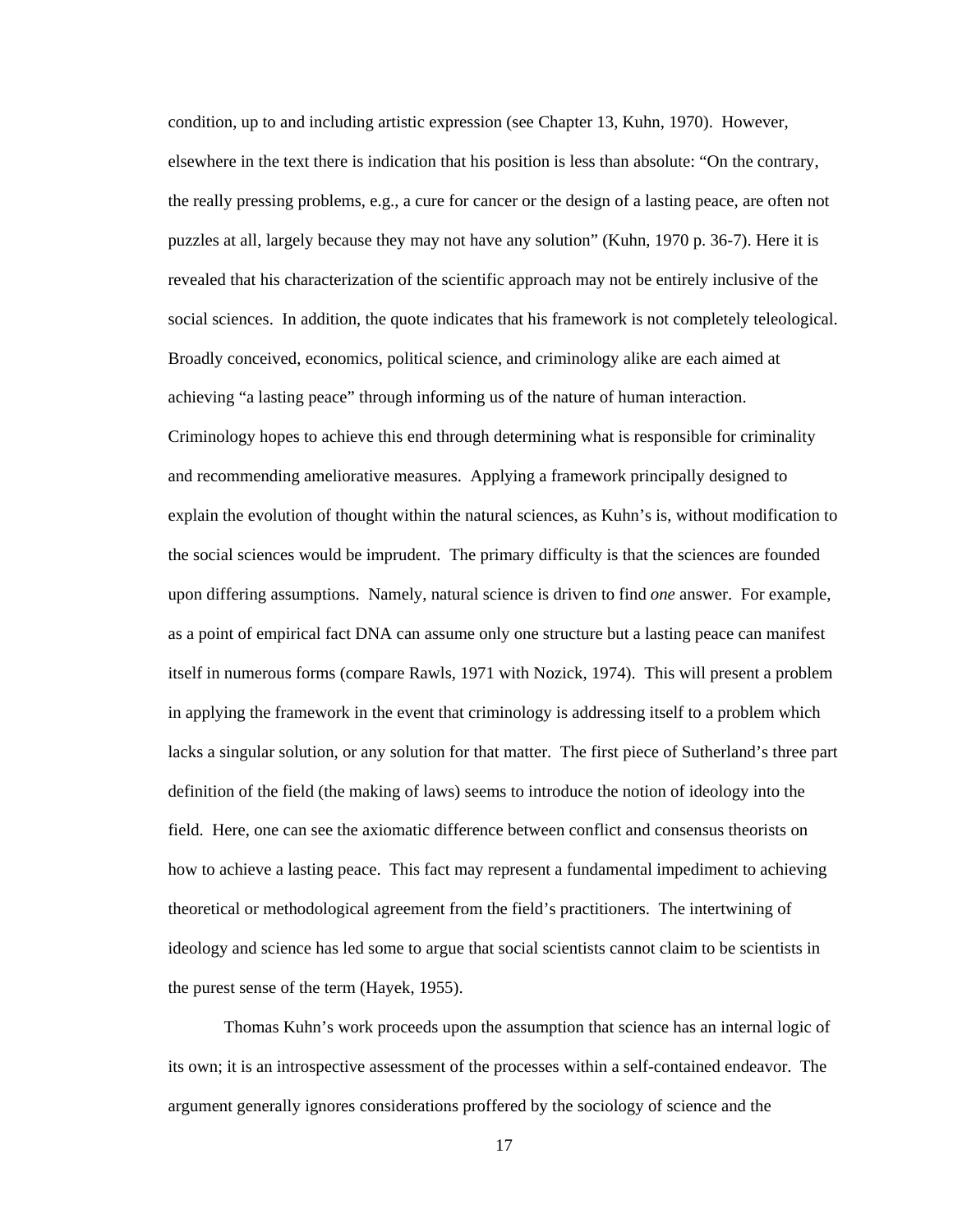condition, up to and including artistic expression (see Chapter 13, Kuhn, 1970). However, elsewhere in the text there is indication that his position is less than absolute: "On the contrary, the really pressing problems, e.g., a cure for cancer or the design of a lasting peace, are often not puzzles at all, largely because they may not have any solution" (Kuhn, 1970 p. 36-7). Here it is revealed that his characterization of the scientific approach may not be entirely inclusive of the social sciences. In addition, the quote indicates that his framework is not completely teleological. Broadly conceived, economics, political science, and criminology alike are each aimed at achieving "a lasting peace" through informing us of the nature of human interaction. Criminology hopes to achieve this end through determining what is responsible for criminality and recommending ameliorative measures. Applying a framework principally designed to explain the evolution of thought within the natural sciences, as Kuhn's is, without modification to the social sciences would be imprudent. The primary difficulty is that the sciences are founded upon differing assumptions. Namely, natural science is driven to find *one* answer. For example, as a point of empirical fact DNA can assume only one structure but a lasting peace can manifest itself in numerous forms (compare Rawls, 1971 with Nozick, 1974). This will present a problem in applying the framework in the event that criminology is addressing itself to a problem which lacks a singular solution, or any solution for that matter. The first piece of Sutherland's three part definition of the field (the making of laws) seems to introduce the notion of ideology into the field. Here, one can see the axiomatic difference between conflict and consensus theorists on how to achieve a lasting peace. This fact may represent a fundamental impediment to achieving theoretical or methodological agreement from the field's practitioners. The intertwining of ideology and science has led some to argue that social scientists cannot claim to be scientists in the purest sense of the term (Hayek, 1955).

 Thomas Kuhn's work proceeds upon the assumption that science has an internal logic of its own; it is an introspective assessment of the processes within a self-contained endeavor. The argument generally ignores considerations proffered by the sociology of science and the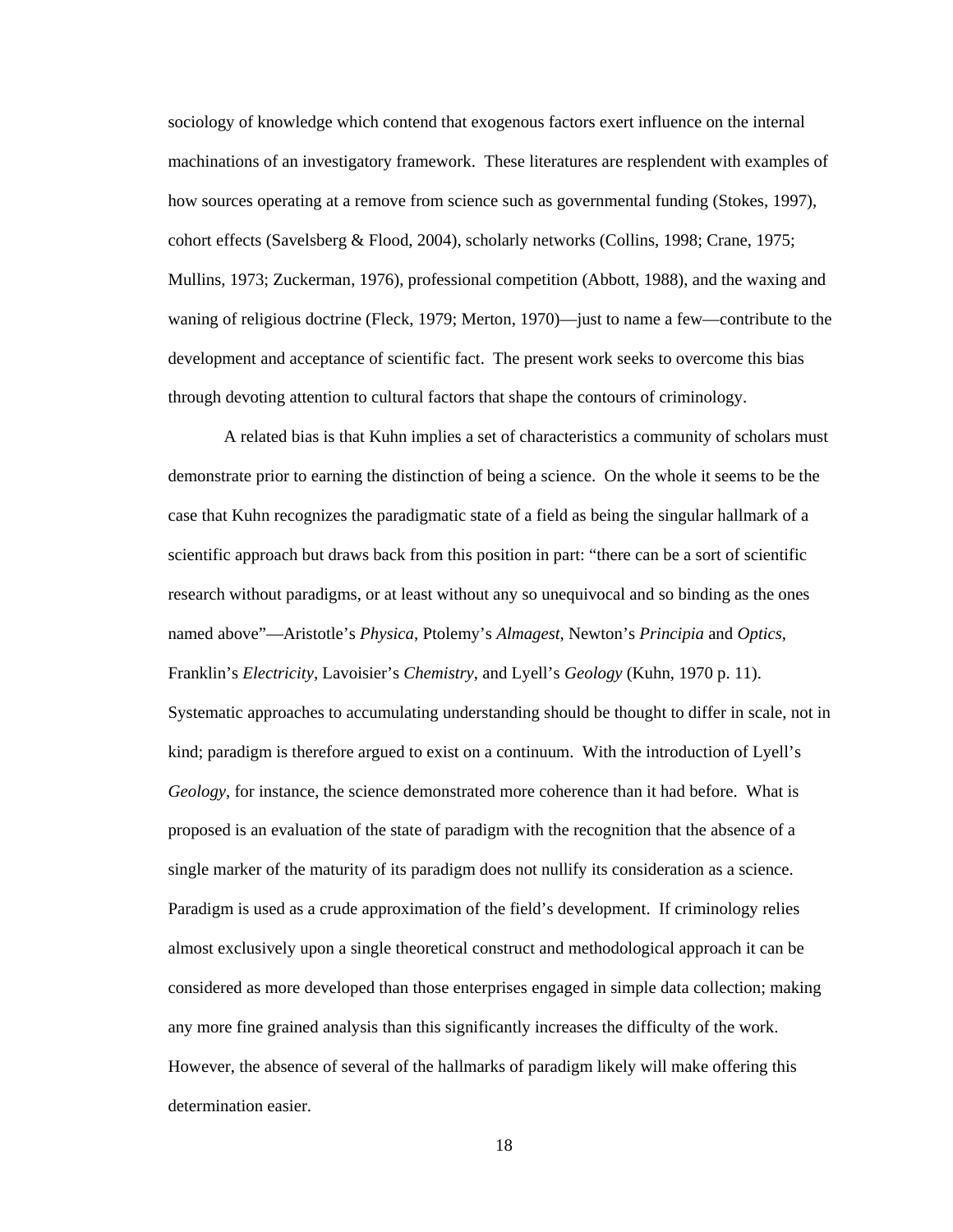sociology of knowledge which contend that exogenous factors exert influence on the internal machinations of an investigatory framework. These literatures are resplendent with examples of how sources operating at a remove from science such as governmental funding (Stokes, 1997), cohort effects (Savelsberg & Flood, 2004), scholarly networks (Collins, 1998; Crane, 1975; Mullins, 1973; Zuckerman, 1976), professional competition (Abbott, 1988), and the waxing and waning of religious doctrine (Fleck, 1979; Merton, 1970)—just to name a few—contribute to the development and acceptance of scientific fact. The present work seeks to overcome this bias through devoting attention to cultural factors that shape the contours of criminology.

A related bias is that Kuhn implies a set of characteristics a community of scholars must demonstrate prior to earning the distinction of being a science. On the whole it seems to be the case that Kuhn recognizes the paradigmatic state of a field as being the singular hallmark of a scientific approach but draws back from this position in part: "there can be a sort of scientific research without paradigms, or at least without any so unequivocal and so binding as the ones named above"—Aristotle's *Physica*, Ptolemy's *Almagest*, Newton's *Principia* and *Optics*, Franklin's *Electricity*, Lavoisier's *Chemistry*, and Lyell's *Geology* (Kuhn, 1970 p. 11). Systematic approaches to accumulating understanding should be thought to differ in scale, not in kind; paradigm is therefore argued to exist on a continuum. With the introduction of Lyell's *Geology*, for instance, the science demonstrated more coherence than it had before. What is proposed is an evaluation of the state of paradigm with the recognition that the absence of a single marker of the maturity of its paradigm does not nullify its consideration as a science. Paradigm is used as a crude approximation of the field's development. If criminology relies almost exclusively upon a single theoretical construct and methodological approach it can be considered as more developed than those enterprises engaged in simple data collection; making any more fine grained analysis than this significantly increases the difficulty of the work. However, the absence of several of the hallmarks of paradigm likely will make offering this determination easier.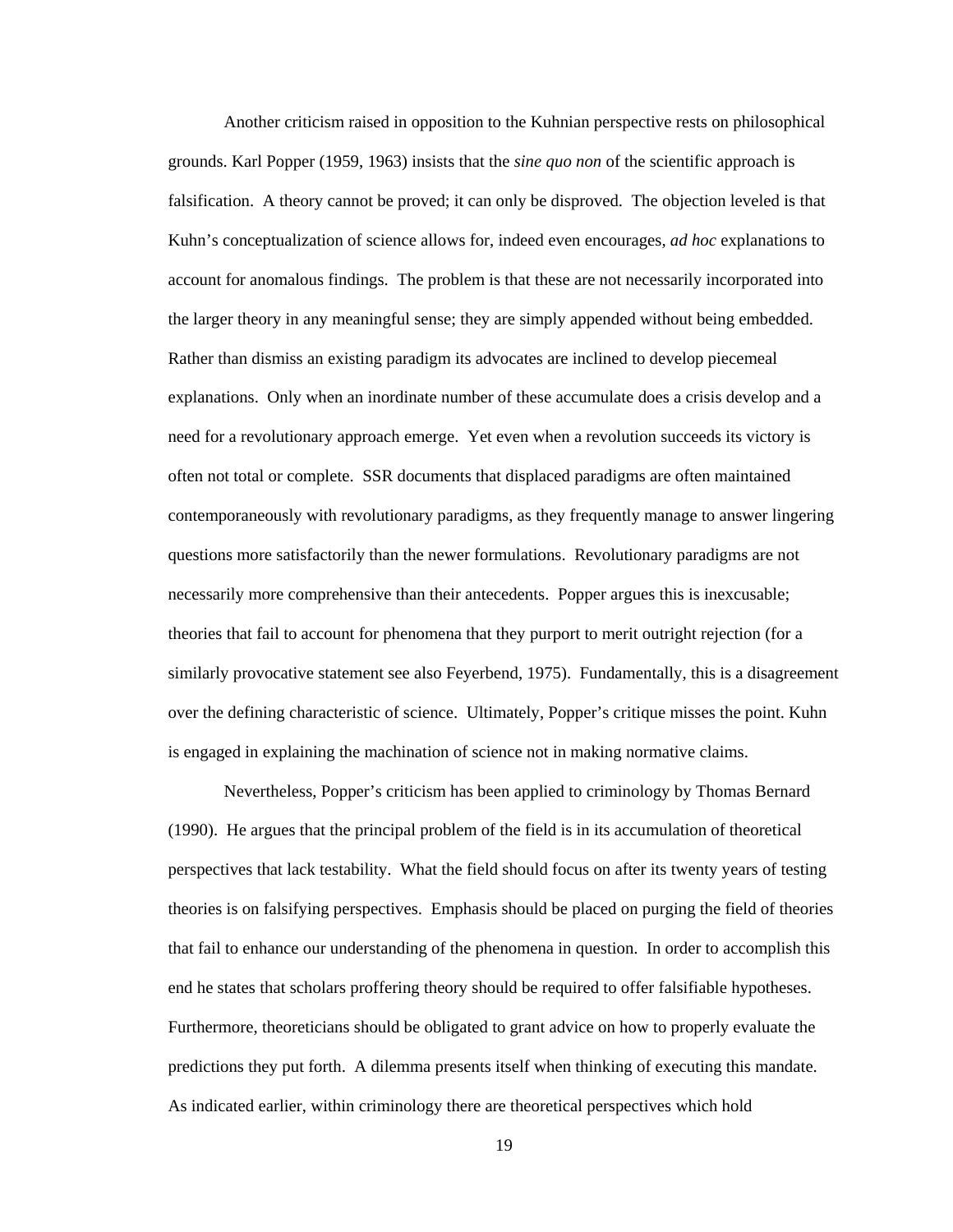Another criticism raised in opposition to the Kuhnian perspective rests on philosophical grounds. Karl Popper (1959, 1963) insists that the *sine quo non* of the scientific approach is falsification. A theory cannot be proved; it can only be disproved. The objection leveled is that Kuhn's conceptualization of science allows for, indeed even encourages, *ad hoc* explanations to account for anomalous findings. The problem is that these are not necessarily incorporated into the larger theory in any meaningful sense; they are simply appended without being embedded. Rather than dismiss an existing paradigm its advocates are inclined to develop piecemeal explanations. Only when an inordinate number of these accumulate does a crisis develop and a need for a revolutionary approach emerge. Yet even when a revolution succeeds its victory is often not total or complete. SSR documents that displaced paradigms are often maintained contemporaneously with revolutionary paradigms, as they frequently manage to answer lingering questions more satisfactorily than the newer formulations. Revolutionary paradigms are not necessarily more comprehensive than their antecedents. Popper argues this is inexcusable; theories that fail to account for phenomena that they purport to merit outright rejection (for a similarly provocative statement see also Feyerbend, 1975). Fundamentally, this is a disagreement over the defining characteristic of science. Ultimately, Popper's critique misses the point. Kuhn is engaged in explaining the machination of science not in making normative claims.

Nevertheless, Popper's criticism has been applied to criminology by Thomas Bernard (1990). He argues that the principal problem of the field is in its accumulation of theoretical perspectives that lack testability. What the field should focus on after its twenty years of testing theories is on falsifying perspectives. Emphasis should be placed on purging the field of theories that fail to enhance our understanding of the phenomena in question. In order to accomplish this end he states that scholars proffering theory should be required to offer falsifiable hypotheses. Furthermore, theoreticians should be obligated to grant advice on how to properly evaluate the predictions they put forth. A dilemma presents itself when thinking of executing this mandate. As indicated earlier, within criminology there are theoretical perspectives which hold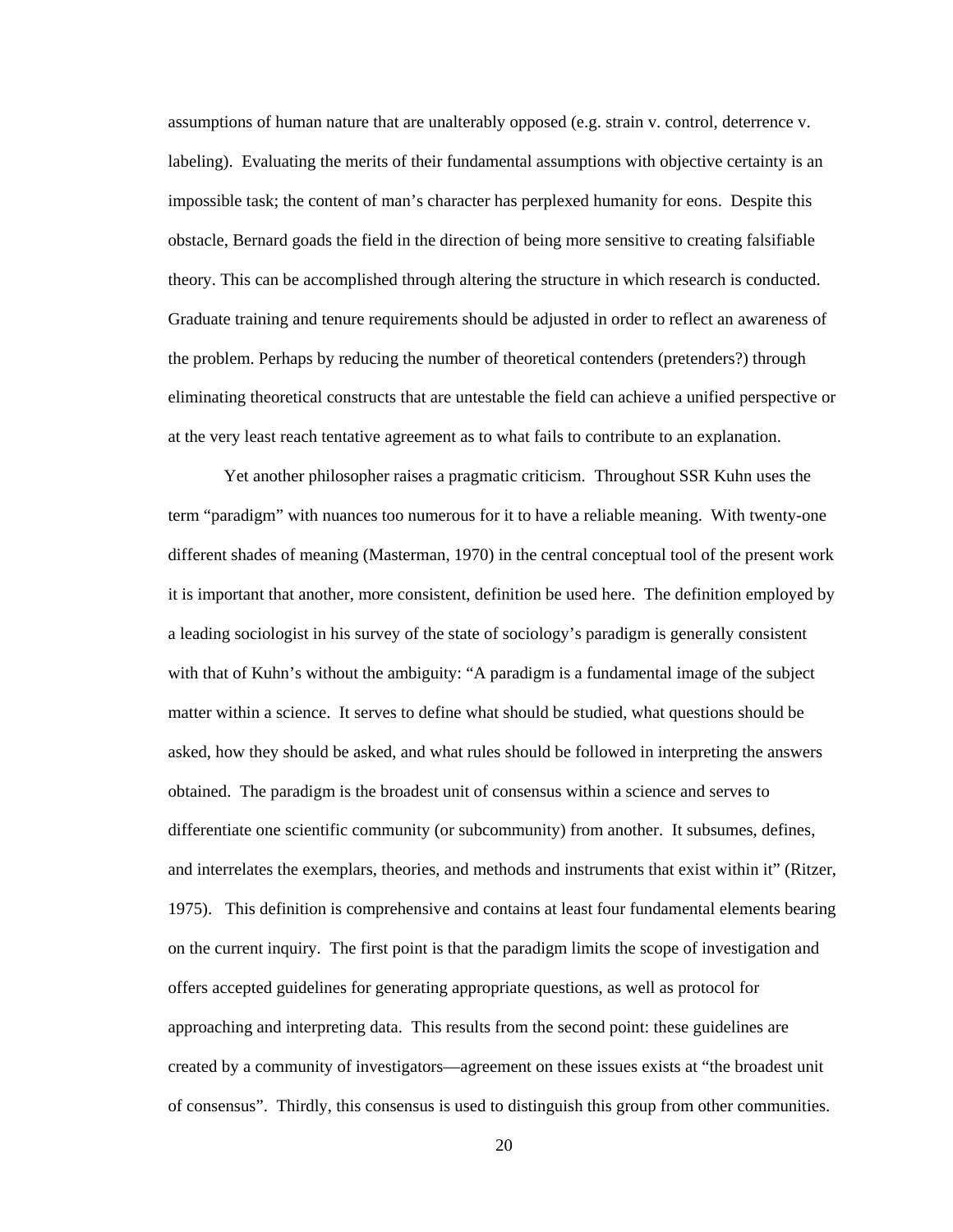assumptions of human nature that are unalterably opposed (e.g. strain v. control, deterrence v. labeling). Evaluating the merits of their fundamental assumptions with objective certainty is an impossible task; the content of man's character has perplexed humanity for eons. Despite this obstacle, Bernard goads the field in the direction of being more sensitive to creating falsifiable theory. This can be accomplished through altering the structure in which research is conducted. Graduate training and tenure requirements should be adjusted in order to reflect an awareness of the problem. Perhaps by reducing the number of theoretical contenders (pretenders?) through eliminating theoretical constructs that are untestable the field can achieve a unified perspective or at the very least reach tentative agreement as to what fails to contribute to an explanation.

Yet another philosopher raises a pragmatic criticism. Throughout SSR Kuhn uses the term "paradigm" with nuances too numerous for it to have a reliable meaning. With twenty-one different shades of meaning (Masterman, 1970) in the central conceptual tool of the present work it is important that another, more consistent, definition be used here. The definition employed by a leading sociologist in his survey of the state of sociology's paradigm is generally consistent with that of Kuhn's without the ambiguity: "A paradigm is a fundamental image of the subject matter within a science. It serves to define what should be studied, what questions should be asked, how they should be asked, and what rules should be followed in interpreting the answers obtained. The paradigm is the broadest unit of consensus within a science and serves to differentiate one scientific community (or subcommunity) from another. It subsumes, defines, and interrelates the exemplars, theories, and methods and instruments that exist within it" (Ritzer, 1975). This definition is comprehensive and contains at least four fundamental elements bearing on the current inquiry. The first point is that the paradigm limits the scope of investigation and offers accepted guidelines for generating appropriate questions, as well as protocol for approaching and interpreting data. This results from the second point: these guidelines are created by a community of investigators—agreement on these issues exists at "the broadest unit of consensus". Thirdly, this consensus is used to distinguish this group from other communities.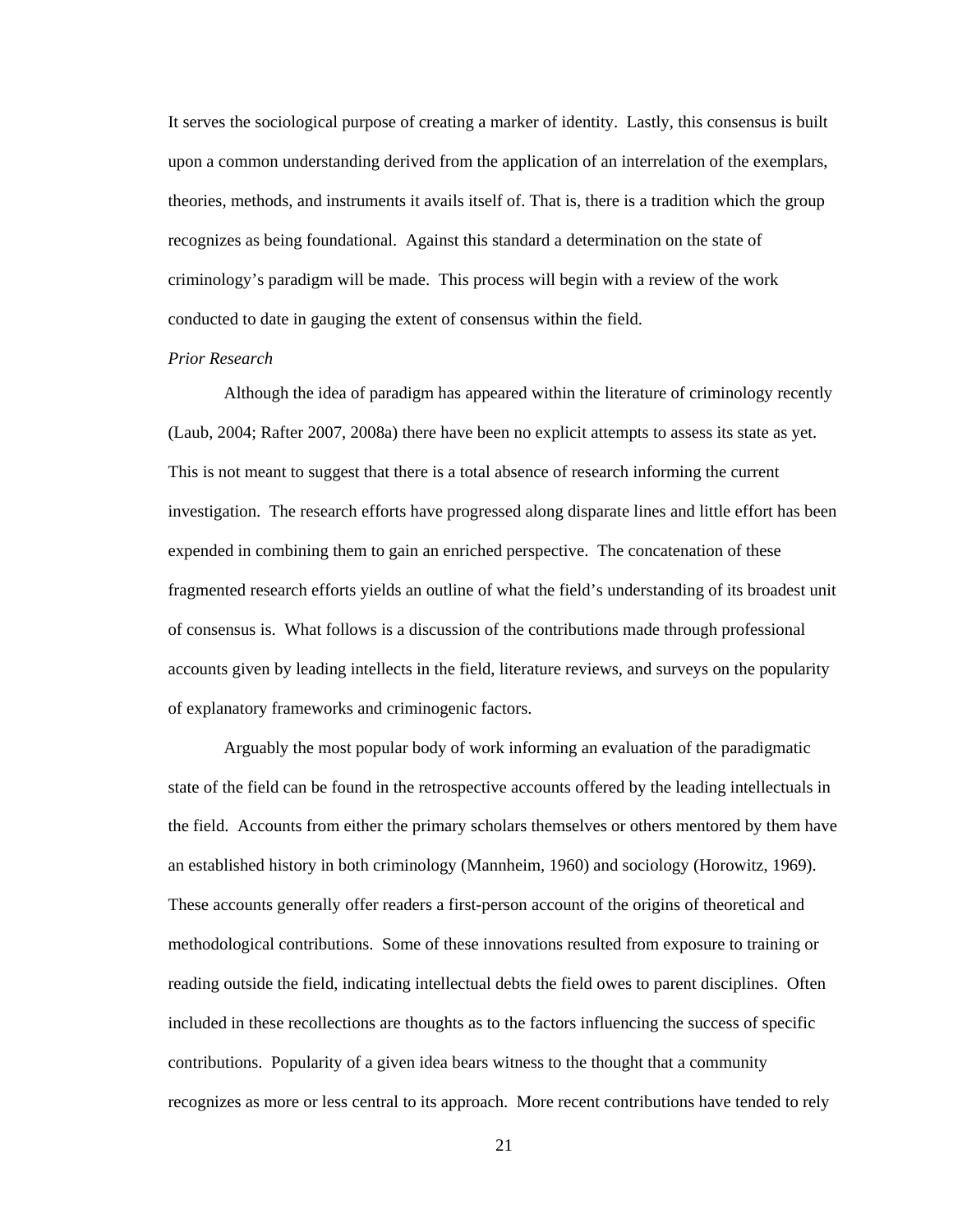It serves the sociological purpose of creating a marker of identity. Lastly, this consensus is built upon a common understanding derived from the application of an interrelation of the exemplars, theories, methods, and instruments it avails itself of. That is, there is a tradition which the group recognizes as being foundational. Against this standard a determination on the state of criminology's paradigm will be made. This process will begin with a review of the work conducted to date in gauging the extent of consensus within the field.

#### *Prior Research*

 Although the idea of paradigm has appeared within the literature of criminology recently (Laub, 2004; Rafter 2007, 2008a) there have been no explicit attempts to assess its state as yet. This is not meant to suggest that there is a total absence of research informing the current investigation. The research efforts have progressed along disparate lines and little effort has been expended in combining them to gain an enriched perspective. The concatenation of these fragmented research efforts yields an outline of what the field's understanding of its broadest unit of consensus is. What follows is a discussion of the contributions made through professional accounts given by leading intellects in the field, literature reviews, and surveys on the popularity of explanatory frameworks and criminogenic factors.

 Arguably the most popular body of work informing an evaluation of the paradigmatic state of the field can be found in the retrospective accounts offered by the leading intellectuals in the field. Accounts from either the primary scholars themselves or others mentored by them have an established history in both criminology (Mannheim, 1960) and sociology (Horowitz, 1969). These accounts generally offer readers a first-person account of the origins of theoretical and methodological contributions. Some of these innovations resulted from exposure to training or reading outside the field, indicating intellectual debts the field owes to parent disciplines. Often included in these recollections are thoughts as to the factors influencing the success of specific contributions. Popularity of a given idea bears witness to the thought that a community recognizes as more or less central to its approach. More recent contributions have tended to rely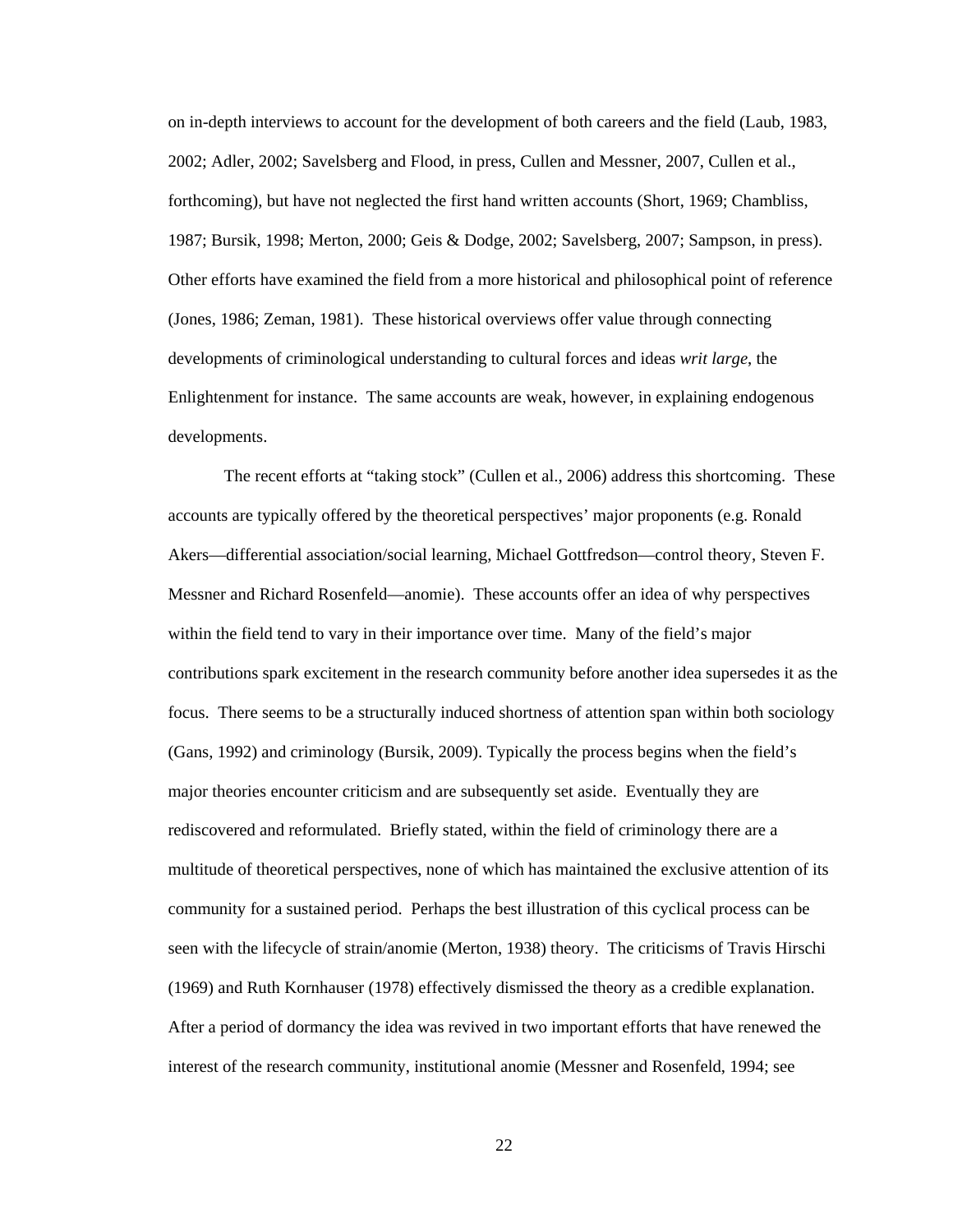on in-depth interviews to account for the development of both careers and the field (Laub, 1983, 2002; Adler, 2002; Savelsberg and Flood, in press, Cullen and Messner, 2007, Cullen et al., forthcoming), but have not neglected the first hand written accounts (Short, 1969; Chambliss, 1987; Bursik, 1998; Merton, 2000; Geis & Dodge, 2002; Savelsberg, 2007; Sampson, in press). Other efforts have examined the field from a more historical and philosophical point of reference (Jones, 1986; Zeman, 1981). These historical overviews offer value through connecting developments of criminological understanding to cultural forces and ideas *writ large*, the Enlightenment for instance. The same accounts are weak, however, in explaining endogenous developments.

The recent efforts at "taking stock" (Cullen et al., 2006) address this shortcoming. These accounts are typically offered by the theoretical perspectives' major proponents (e.g. Ronald Akers—differential association/social learning, Michael Gottfredson—control theory, Steven F. Messner and Richard Rosenfeld—anomie). These accounts offer an idea of why perspectives within the field tend to vary in their importance over time. Many of the field's major contributions spark excitement in the research community before another idea supersedes it as the focus. There seems to be a structurally induced shortness of attention span within both sociology (Gans, 1992) and criminology (Bursik, 2009). Typically the process begins when the field's major theories encounter criticism and are subsequently set aside. Eventually they are rediscovered and reformulated. Briefly stated, within the field of criminology there are a multitude of theoretical perspectives, none of which has maintained the exclusive attention of its community for a sustained period. Perhaps the best illustration of this cyclical process can be seen with the lifecycle of strain/anomie (Merton, 1938) theory. The criticisms of Travis Hirschi (1969) and Ruth Kornhauser (1978) effectively dismissed the theory as a credible explanation. After a period of dormancy the idea was revived in two important efforts that have renewed the interest of the research community, institutional anomie (Messner and Rosenfeld, 1994; see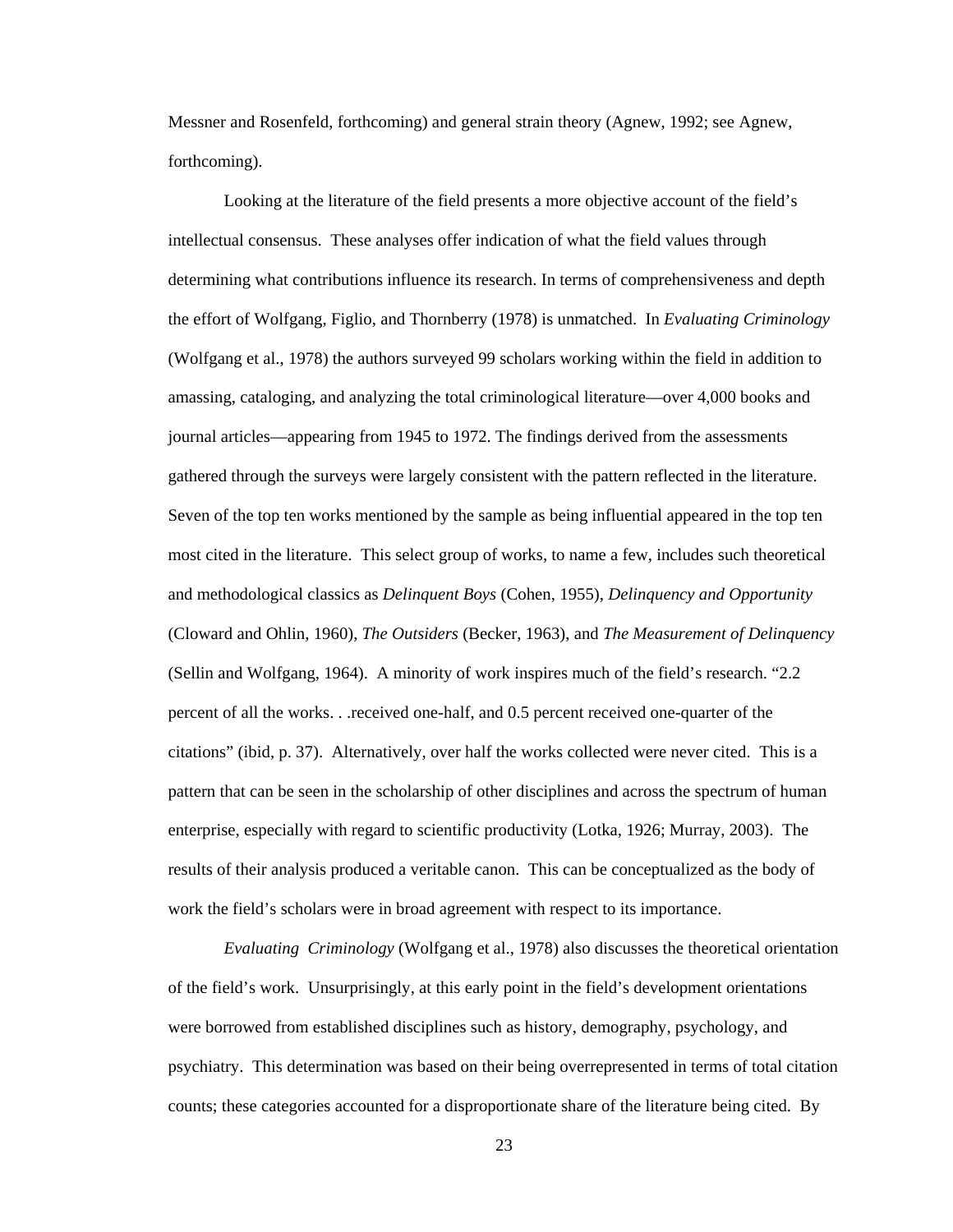Messner and Rosenfeld, forthcoming) and general strain theory (Agnew, 1992; see Agnew, forthcoming).

 Looking at the literature of the field presents a more objective account of the field's intellectual consensus. These analyses offer indication of what the field values through determining what contributions influence its research. In terms of comprehensiveness and depth the effort of Wolfgang, Figlio, and Thornberry (1978) is unmatched. In *Evaluating Criminology*  (Wolfgang et al., 1978) the authors surveyed 99 scholars working within the field in addition to amassing, cataloging, and analyzing the total criminological literature—over 4,000 books and journal articles—appearing from 1945 to 1972. The findings derived from the assessments gathered through the surveys were largely consistent with the pattern reflected in the literature. Seven of the top ten works mentioned by the sample as being influential appeared in the top ten most cited in the literature. This select group of works, to name a few, includes such theoretical and methodological classics as *Delinquent Boys* (Cohen, 1955), *Delinquency and Opportunity* (Cloward and Ohlin, 1960), *The Outsiders* (Becker, 1963), and *The Measurement of Delinquency* (Sellin and Wolfgang, 1964). A minority of work inspires much of the field's research. "2.2 percent of all the works. . .received one-half, and 0.5 percent received one-quarter of the citations" (ibid, p. 37). Alternatively, over half the works collected were never cited. This is a pattern that can be seen in the scholarship of other disciplines and across the spectrum of human enterprise, especially with regard to scientific productivity (Lotka, 1926; Murray, 2003). The results of their analysis produced a veritable canon. This can be conceptualized as the body of work the field's scholars were in broad agreement with respect to its importance.

*Evaluating Criminology* (Wolfgang et al., 1978) also discusses the theoretical orientation of the field's work. Unsurprisingly, at this early point in the field's development orientations were borrowed from established disciplines such as history, demography, psychology, and psychiatry. This determination was based on their being overrepresented in terms of total citation counts; these categories accounted for a disproportionate share of the literature being cited. By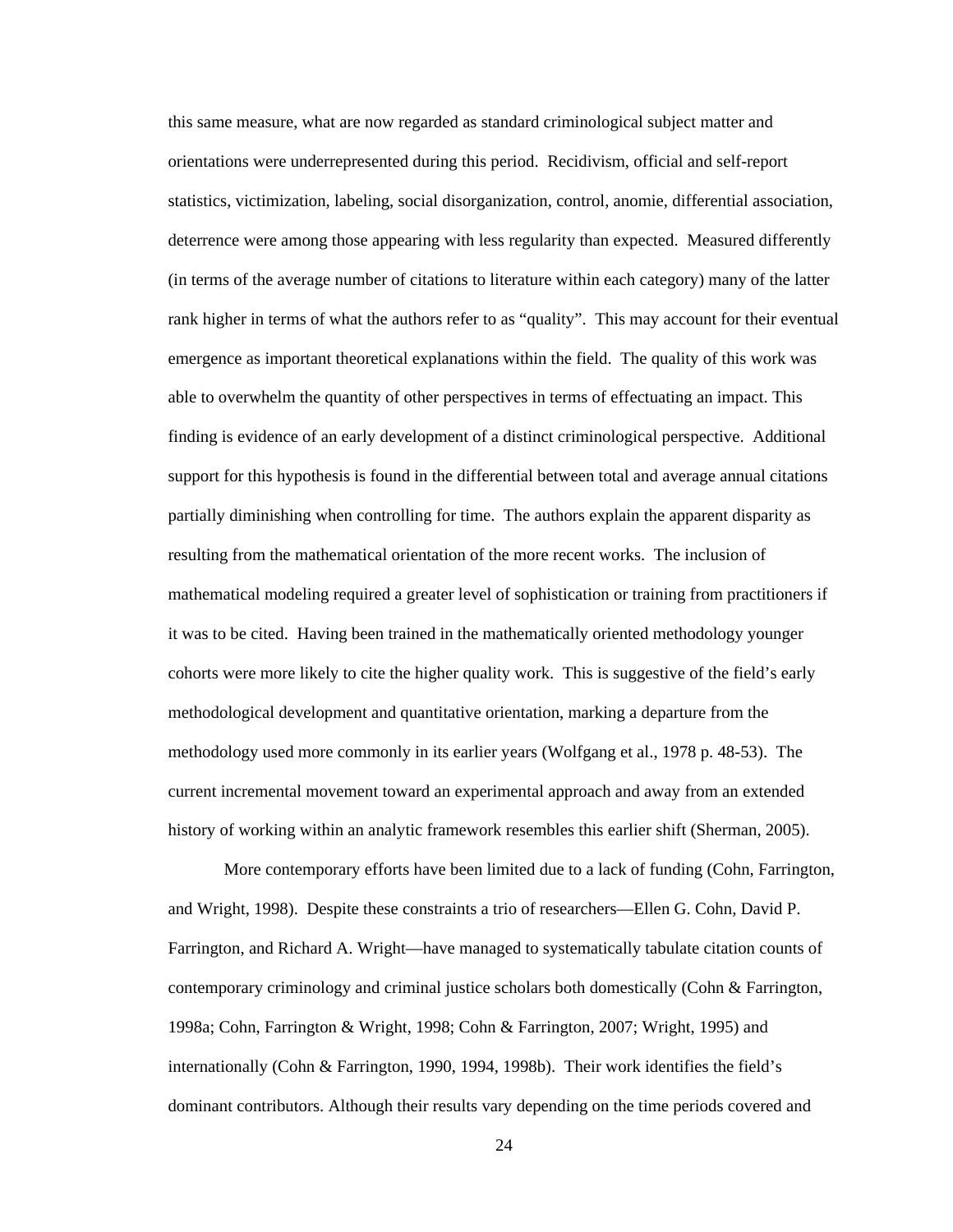this same measure, what are now regarded as standard criminological subject matter and orientations were underrepresented during this period. Recidivism, official and self-report statistics, victimization, labeling, social disorganization, control, anomie, differential association, deterrence were among those appearing with less regularity than expected. Measured differently (in terms of the average number of citations to literature within each category) many of the latter rank higher in terms of what the authors refer to as "quality". This may account for their eventual emergence as important theoretical explanations within the field. The quality of this work was able to overwhelm the quantity of other perspectives in terms of effectuating an impact. This finding is evidence of an early development of a distinct criminological perspective. Additional support for this hypothesis is found in the differential between total and average annual citations partially diminishing when controlling for time. The authors explain the apparent disparity as resulting from the mathematical orientation of the more recent works. The inclusion of mathematical modeling required a greater level of sophistication or training from practitioners if it was to be cited. Having been trained in the mathematically oriented methodology younger cohorts were more likely to cite the higher quality work. This is suggestive of the field's early methodological development and quantitative orientation, marking a departure from the methodology used more commonly in its earlier years (Wolfgang et al., 1978 p. 48-53). The current incremental movement toward an experimental approach and away from an extended history of working within an analytic framework resembles this earlier shift (Sherman, 2005).

More contemporary efforts have been limited due to a lack of funding (Cohn, Farrington, and Wright, 1998). Despite these constraints a trio of researchers—Ellen G. Cohn, David P. Farrington, and Richard A. Wright—have managed to systematically tabulate citation counts of contemporary criminology and criminal justice scholars both domestically (Cohn & Farrington, 1998a; Cohn, Farrington & Wright, 1998; Cohn & Farrington, 2007; Wright, 1995) and internationally (Cohn & Farrington, 1990, 1994, 1998b). Their work identifies the field's dominant contributors. Although their results vary depending on the time periods covered and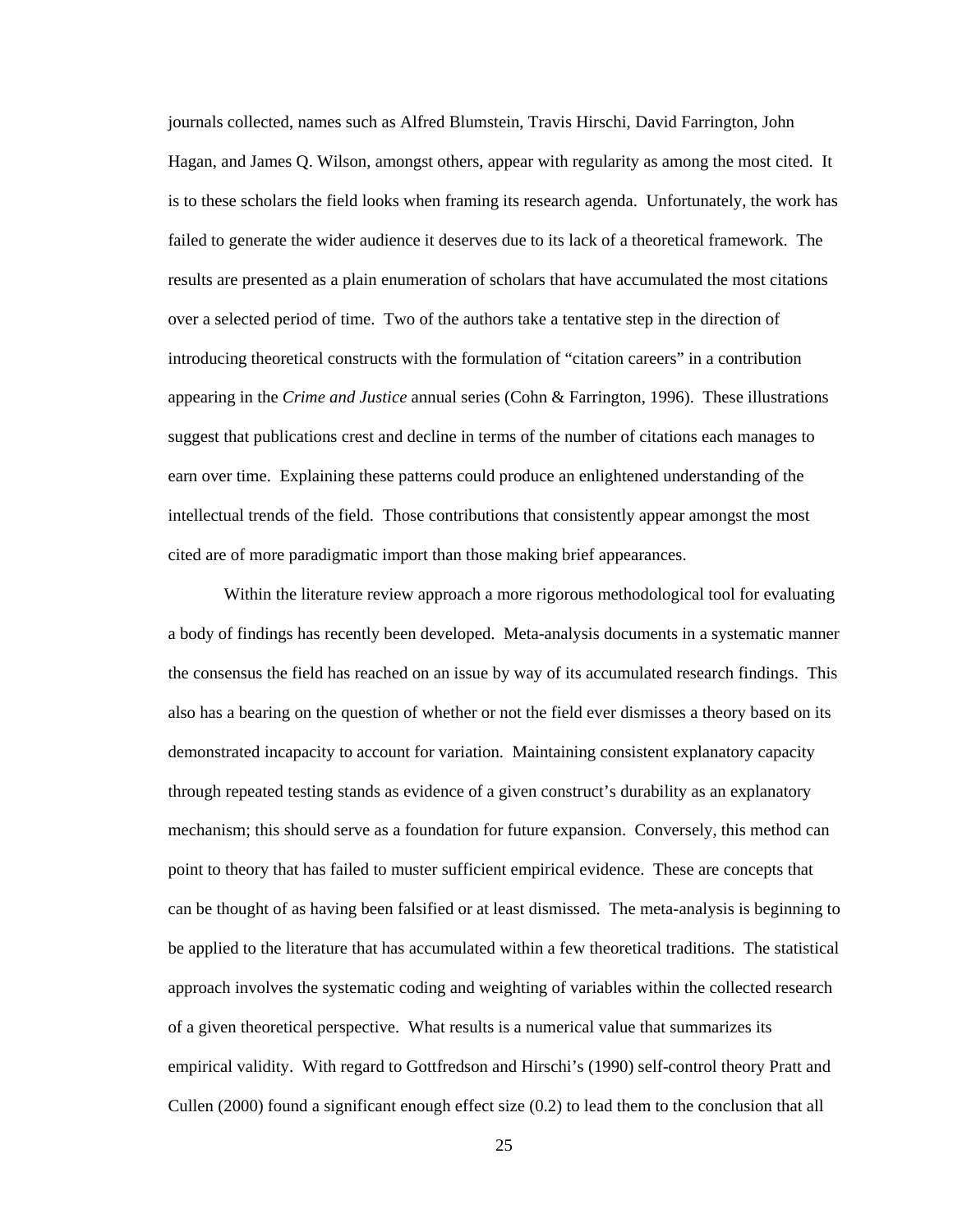journals collected, names such as Alfred Blumstein, Travis Hirschi, David Farrington, John Hagan, and James Q. Wilson, amongst others, appear with regularity as among the most cited. It is to these scholars the field looks when framing its research agenda. Unfortunately, the work has failed to generate the wider audience it deserves due to its lack of a theoretical framework. The results are presented as a plain enumeration of scholars that have accumulated the most citations over a selected period of time. Two of the authors take a tentative step in the direction of introducing theoretical constructs with the formulation of "citation careers" in a contribution appearing in the *Crime and Justice* annual series (Cohn & Farrington, 1996). These illustrations suggest that publications crest and decline in terms of the number of citations each manages to earn over time. Explaining these patterns could produce an enlightened understanding of the intellectual trends of the field. Those contributions that consistently appear amongst the most cited are of more paradigmatic import than those making brief appearances.

Within the literature review approach a more rigorous methodological tool for evaluating a body of findings has recently been developed. Meta-analysis documents in a systematic manner the consensus the field has reached on an issue by way of its accumulated research findings. This also has a bearing on the question of whether or not the field ever dismisses a theory based on its demonstrated incapacity to account for variation. Maintaining consistent explanatory capacity through repeated testing stands as evidence of a given construct's durability as an explanatory mechanism; this should serve as a foundation for future expansion. Conversely, this method can point to theory that has failed to muster sufficient empirical evidence. These are concepts that can be thought of as having been falsified or at least dismissed. The meta-analysis is beginning to be applied to the literature that has accumulated within a few theoretical traditions. The statistical approach involves the systematic coding and weighting of variables within the collected research of a given theoretical perspective. What results is a numerical value that summarizes its empirical validity. With regard to Gottfredson and Hirschi's (1990) self-control theory Pratt and Cullen (2000) found a significant enough effect size (0.2) to lead them to the conclusion that all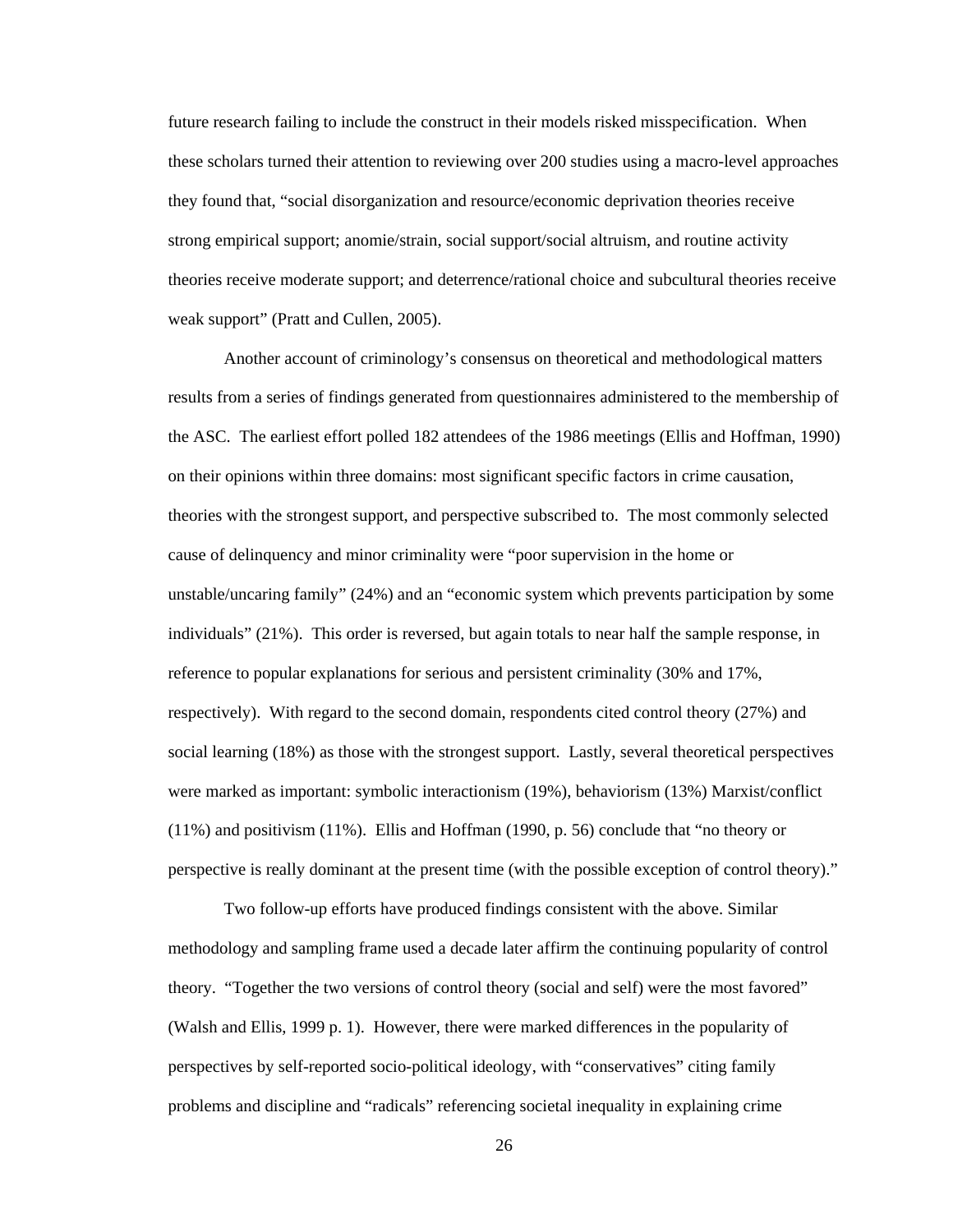future research failing to include the construct in their models risked misspecification. When these scholars turned their attention to reviewing over 200 studies using a macro-level approaches they found that, "social disorganization and resource/economic deprivation theories receive strong empirical support; anomie/strain, social support/social altruism, and routine activity theories receive moderate support; and deterrence/rational choice and subcultural theories receive weak support" (Pratt and Cullen, 2005).

 Another account of criminology's consensus on theoretical and methodological matters results from a series of findings generated from questionnaires administered to the membership of the ASC. The earliest effort polled 182 attendees of the 1986 meetings (Ellis and Hoffman, 1990) on their opinions within three domains: most significant specific factors in crime causation, theories with the strongest support, and perspective subscribed to. The most commonly selected cause of delinquency and minor criminality were "poor supervision in the home or unstable/uncaring family" (24%) and an "economic system which prevents participation by some individuals" (21%). This order is reversed, but again totals to near half the sample response, in reference to popular explanations for serious and persistent criminality (30% and 17%, respectively). With regard to the second domain, respondents cited control theory (27%) and social learning (18%) as those with the strongest support. Lastly, several theoretical perspectives were marked as important: symbolic interactionism (19%), behaviorism (13%) Marxist/conflict (11%) and positivism (11%). Ellis and Hoffman (1990, p. 56) conclude that "no theory or perspective is really dominant at the present time (with the possible exception of control theory)."

Two follow-up efforts have produced findings consistent with the above. Similar methodology and sampling frame used a decade later affirm the continuing popularity of control theory. "Together the two versions of control theory (social and self) were the most favored" (Walsh and Ellis, 1999 p. 1). However, there were marked differences in the popularity of perspectives by self-reported socio-political ideology, with "conservatives" citing family problems and discipline and "radicals" referencing societal inequality in explaining crime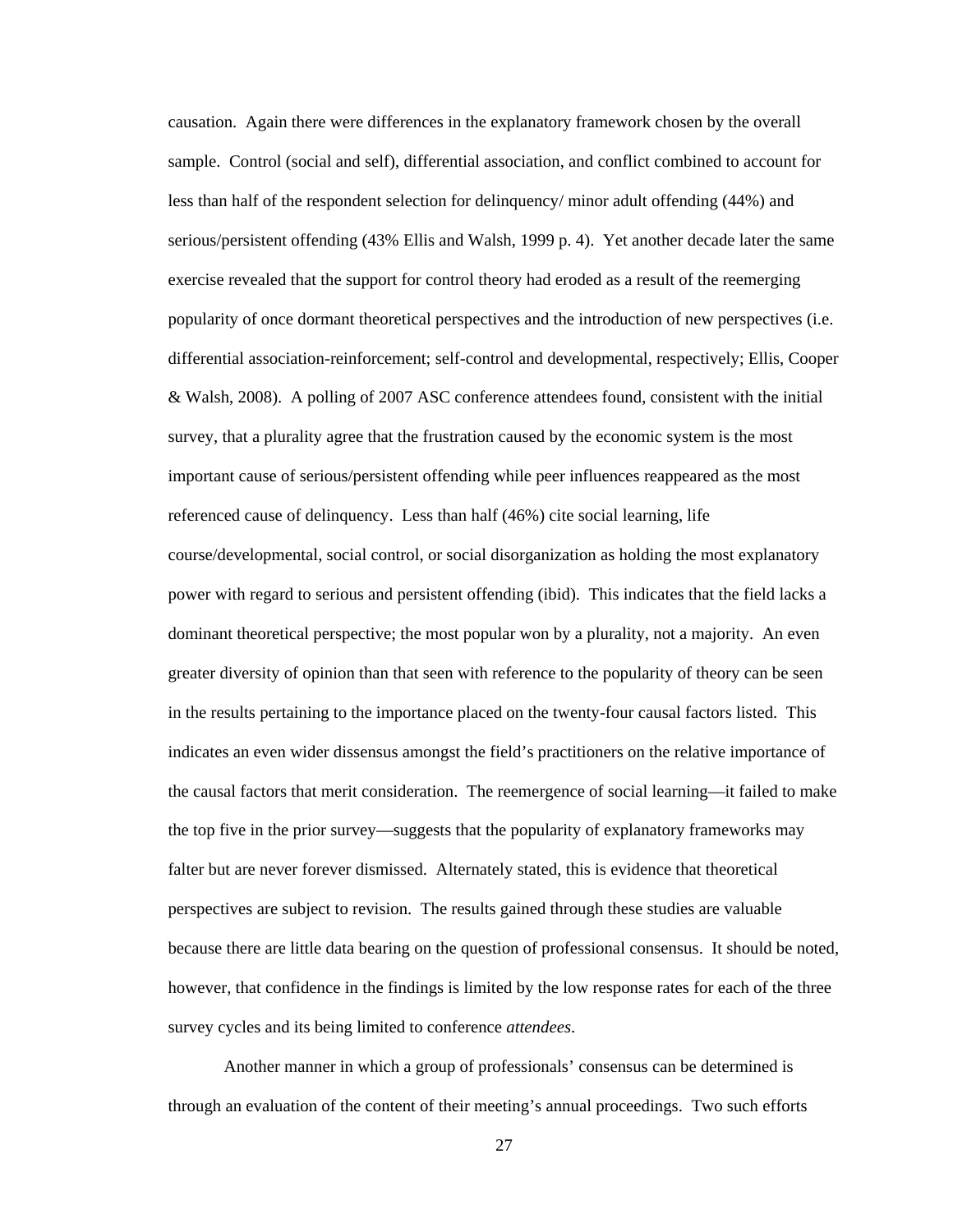causation. Again there were differences in the explanatory framework chosen by the overall sample. Control (social and self), differential association, and conflict combined to account for less than half of the respondent selection for delinquency/ minor adult offending (44%) and serious/persistent offending (43% Ellis and Walsh, 1999 p. 4). Yet another decade later the same exercise revealed that the support for control theory had eroded as a result of the reemerging popularity of once dormant theoretical perspectives and the introduction of new perspectives (i.e. differential association-reinforcement; self-control and developmental, respectively; Ellis, Cooper & Walsh, 2008). A polling of 2007 ASC conference attendees found, consistent with the initial survey, that a plurality agree that the frustration caused by the economic system is the most important cause of serious/persistent offending while peer influences reappeared as the most referenced cause of delinquency. Less than half (46%) cite social learning, life course/developmental, social control, or social disorganization as holding the most explanatory power with regard to serious and persistent offending (ibid). This indicates that the field lacks a dominant theoretical perspective; the most popular won by a plurality, not a majority. An even greater diversity of opinion than that seen with reference to the popularity of theory can be seen in the results pertaining to the importance placed on the twenty-four causal factors listed. This indicates an even wider dissensus amongst the field's practitioners on the relative importance of the causal factors that merit consideration. The reemergence of social learning—it failed to make the top five in the prior survey—suggests that the popularity of explanatory frameworks may falter but are never forever dismissed. Alternately stated, this is evidence that theoretical perspectives are subject to revision. The results gained through these studies are valuable because there are little data bearing on the question of professional consensus. It should be noted, however, that confidence in the findings is limited by the low response rates for each of the three survey cycles and its being limited to conference *attendees*.

Another manner in which a group of professionals' consensus can be determined is through an evaluation of the content of their meeting's annual proceedings. Two such efforts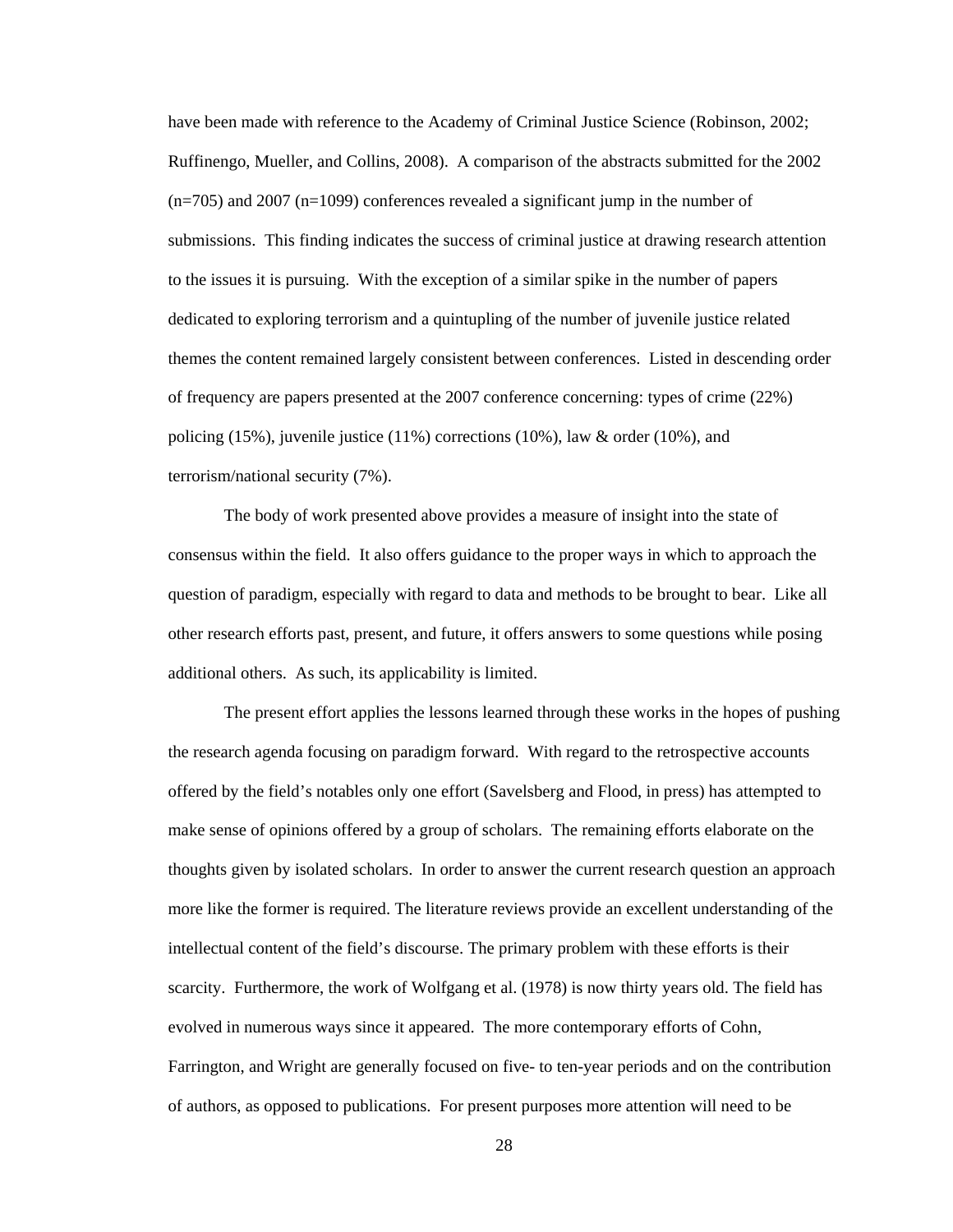have been made with reference to the Academy of Criminal Justice Science (Robinson, 2002; Ruffinengo, Mueller, and Collins, 2008). A comparison of the abstracts submitted for the 2002  $(n=705)$  and 2007 ( $n=1099$ ) conferences revealed a significant jump in the number of submissions. This finding indicates the success of criminal justice at drawing research attention to the issues it is pursuing. With the exception of a similar spike in the number of papers dedicated to exploring terrorism and a quintupling of the number of juvenile justice related themes the content remained largely consistent between conferences. Listed in descending order of frequency are papers presented at the 2007 conference concerning: types of crime (22%) policing (15%), juvenile justice (11%) corrections (10%), law & order (10%), and terrorism/national security (7%).

The body of work presented above provides a measure of insight into the state of consensus within the field. It also offers guidance to the proper ways in which to approach the question of paradigm, especially with regard to data and methods to be brought to bear. Like all other research efforts past, present, and future, it offers answers to some questions while posing additional others. As such, its applicability is limited.

The present effort applies the lessons learned through these works in the hopes of pushing the research agenda focusing on paradigm forward. With regard to the retrospective accounts offered by the field's notables only one effort (Savelsberg and Flood, in press) has attempted to make sense of opinions offered by a group of scholars. The remaining efforts elaborate on the thoughts given by isolated scholars. In order to answer the current research question an approach more like the former is required. The literature reviews provide an excellent understanding of the intellectual content of the field's discourse. The primary problem with these efforts is their scarcity. Furthermore, the work of Wolfgang et al. (1978) is now thirty years old. The field has evolved in numerous ways since it appeared. The more contemporary efforts of Cohn, Farrington, and Wright are generally focused on five- to ten-year periods and on the contribution of authors, as opposed to publications. For present purposes more attention will need to be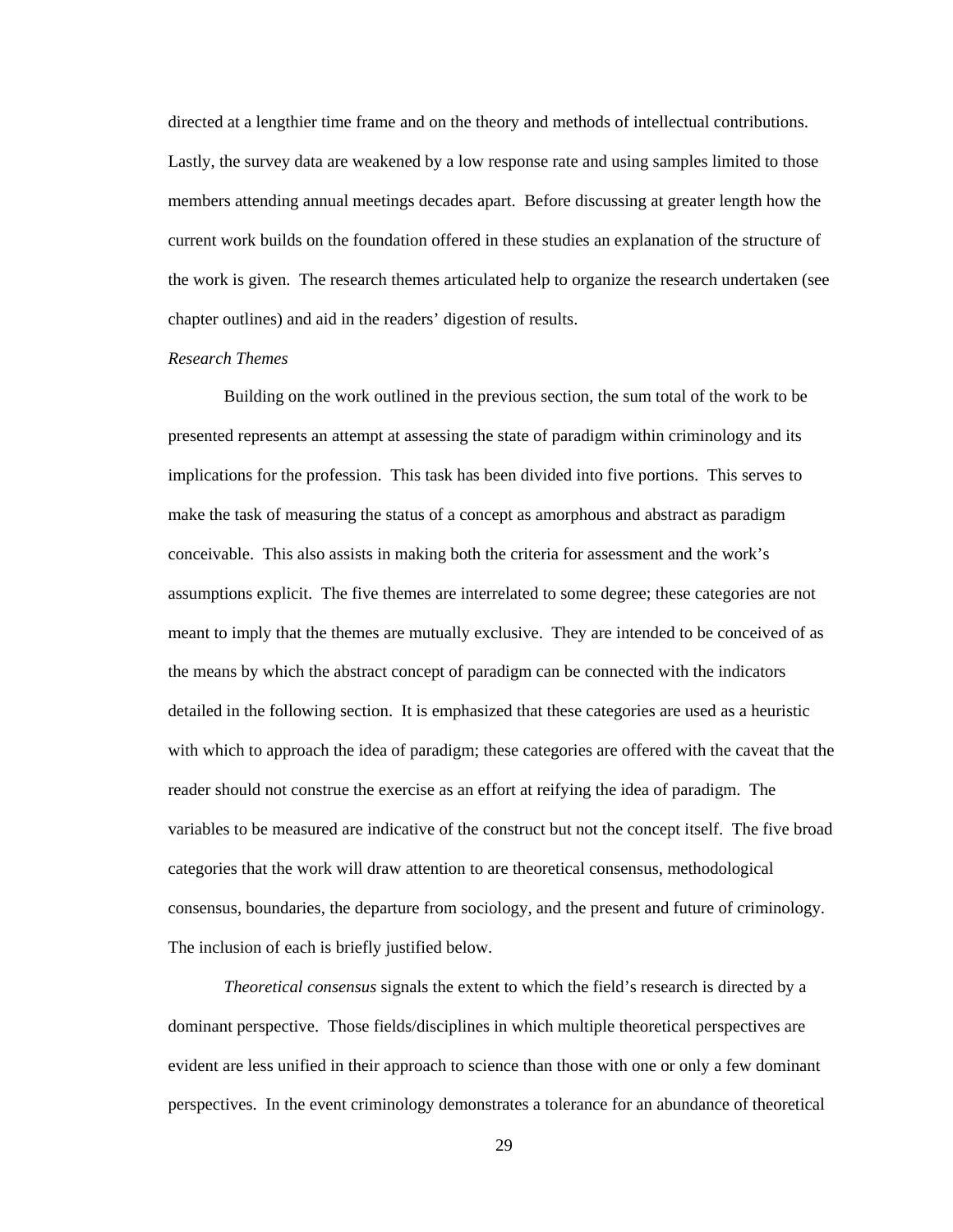directed at a lengthier time frame and on the theory and methods of intellectual contributions. Lastly, the survey data are weakened by a low response rate and using samples limited to those members attending annual meetings decades apart. Before discussing at greater length how the current work builds on the foundation offered in these studies an explanation of the structure of the work is given. The research themes articulated help to organize the research undertaken (see chapter outlines) and aid in the readers' digestion of results.

### *Research Themes*

 Building on the work outlined in the previous section, the sum total of the work to be presented represents an attempt at assessing the state of paradigm within criminology and its implications for the profession. This task has been divided into five portions. This serves to make the task of measuring the status of a concept as amorphous and abstract as paradigm conceivable. This also assists in making both the criteria for assessment and the work's assumptions explicit. The five themes are interrelated to some degree; these categories are not meant to imply that the themes are mutually exclusive. They are intended to be conceived of as the means by which the abstract concept of paradigm can be connected with the indicators detailed in the following section. It is emphasized that these categories are used as a heuristic with which to approach the idea of paradigm; these categories are offered with the caveat that the reader should not construe the exercise as an effort at reifying the idea of paradigm. The variables to be measured are indicative of the construct but not the concept itself. The five broad categories that the work will draw attention to are theoretical consensus, methodological consensus, boundaries, the departure from sociology, and the present and future of criminology. The inclusion of each is briefly justified below.

*Theoretical consensus* signals the extent to which the field's research is directed by a dominant perspective. Those fields/disciplines in which multiple theoretical perspectives are evident are less unified in their approach to science than those with one or only a few dominant perspectives. In the event criminology demonstrates a tolerance for an abundance of theoretical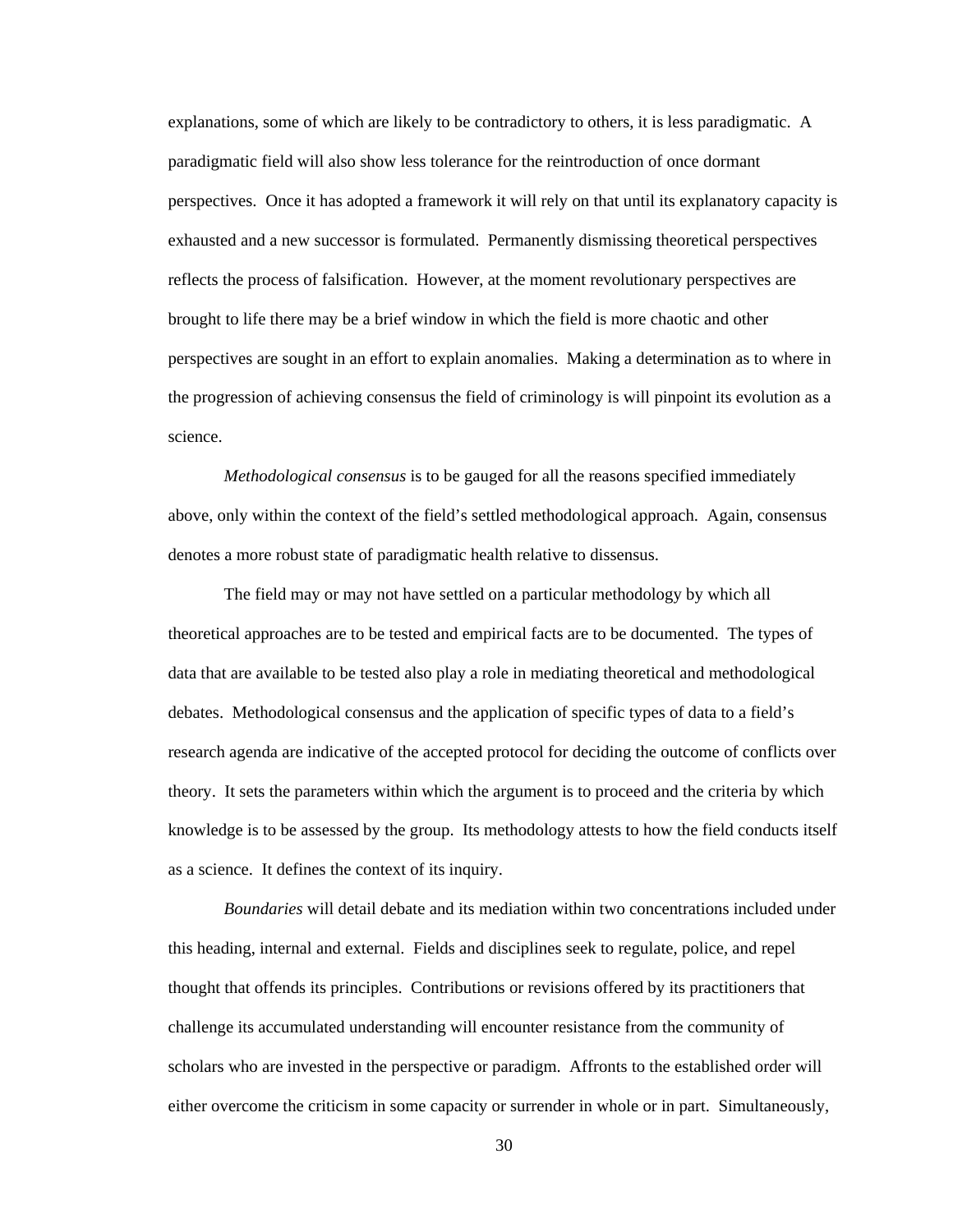explanations, some of which are likely to be contradictory to others, it is less paradigmatic. A paradigmatic field will also show less tolerance for the reintroduction of once dormant perspectives. Once it has adopted a framework it will rely on that until its explanatory capacity is exhausted and a new successor is formulated. Permanently dismissing theoretical perspectives reflects the process of falsification. However, at the moment revolutionary perspectives are brought to life there may be a brief window in which the field is more chaotic and other perspectives are sought in an effort to explain anomalies. Making a determination as to where in the progression of achieving consensus the field of criminology is will pinpoint its evolution as a science.

*Methodological consensus* is to be gauged for all the reasons specified immediately above, only within the context of the field's settled methodological approach. Again, consensus denotes a more robust state of paradigmatic health relative to dissensus.

The field may or may not have settled on a particular methodology by which all theoretical approaches are to be tested and empirical facts are to be documented. The types of data that are available to be tested also play a role in mediating theoretical and methodological debates. Methodological consensus and the application of specific types of data to a field's research agenda are indicative of the accepted protocol for deciding the outcome of conflicts over theory. It sets the parameters within which the argument is to proceed and the criteria by which knowledge is to be assessed by the group. Its methodology attests to how the field conducts itself as a science. It defines the context of its inquiry.

*Boundaries* will detail debate and its mediation within two concentrations included under this heading, internal and external. Fields and disciplines seek to regulate, police, and repel thought that offends its principles. Contributions or revisions offered by its practitioners that challenge its accumulated understanding will encounter resistance from the community of scholars who are invested in the perspective or paradigm. Affronts to the established order will either overcome the criticism in some capacity or surrender in whole or in part. Simultaneously,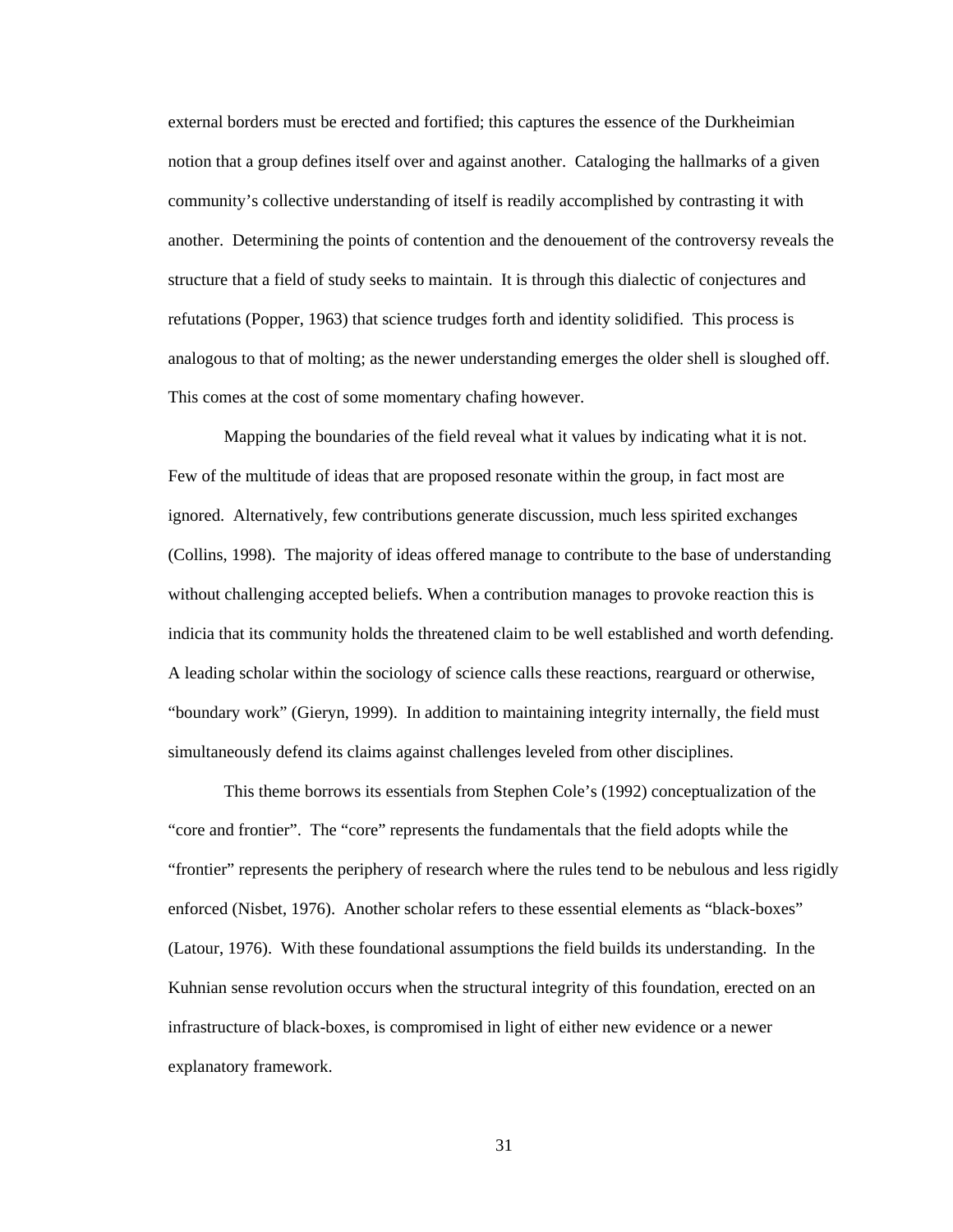external borders must be erected and fortified; this captures the essence of the Durkheimian notion that a group defines itself over and against another. Cataloging the hallmarks of a given community's collective understanding of itself is readily accomplished by contrasting it with another. Determining the points of contention and the denouement of the controversy reveals the structure that a field of study seeks to maintain. It is through this dialectic of conjectures and refutations (Popper, 1963) that science trudges forth and identity solidified. This process is analogous to that of molting; as the newer understanding emerges the older shell is sloughed off. This comes at the cost of some momentary chafing however.

Mapping the boundaries of the field reveal what it values by indicating what it is not. Few of the multitude of ideas that are proposed resonate within the group, in fact most are ignored. Alternatively, few contributions generate discussion, much less spirited exchanges (Collins, 1998). The majority of ideas offered manage to contribute to the base of understanding without challenging accepted beliefs. When a contribution manages to provoke reaction this is indicia that its community holds the threatened claim to be well established and worth defending. A leading scholar within the sociology of science calls these reactions, rearguard or otherwise, "boundary work" (Gieryn, 1999). In addition to maintaining integrity internally, the field must simultaneously defend its claims against challenges leveled from other disciplines.

This theme borrows its essentials from Stephen Cole's (1992) conceptualization of the "core and frontier". The "core" represents the fundamentals that the field adopts while the "frontier" represents the periphery of research where the rules tend to be nebulous and less rigidly enforced (Nisbet, 1976). Another scholar refers to these essential elements as "black-boxes" (Latour, 1976). With these foundational assumptions the field builds its understanding. In the Kuhnian sense revolution occurs when the structural integrity of this foundation, erected on an infrastructure of black-boxes, is compromised in light of either new evidence or a newer explanatory framework.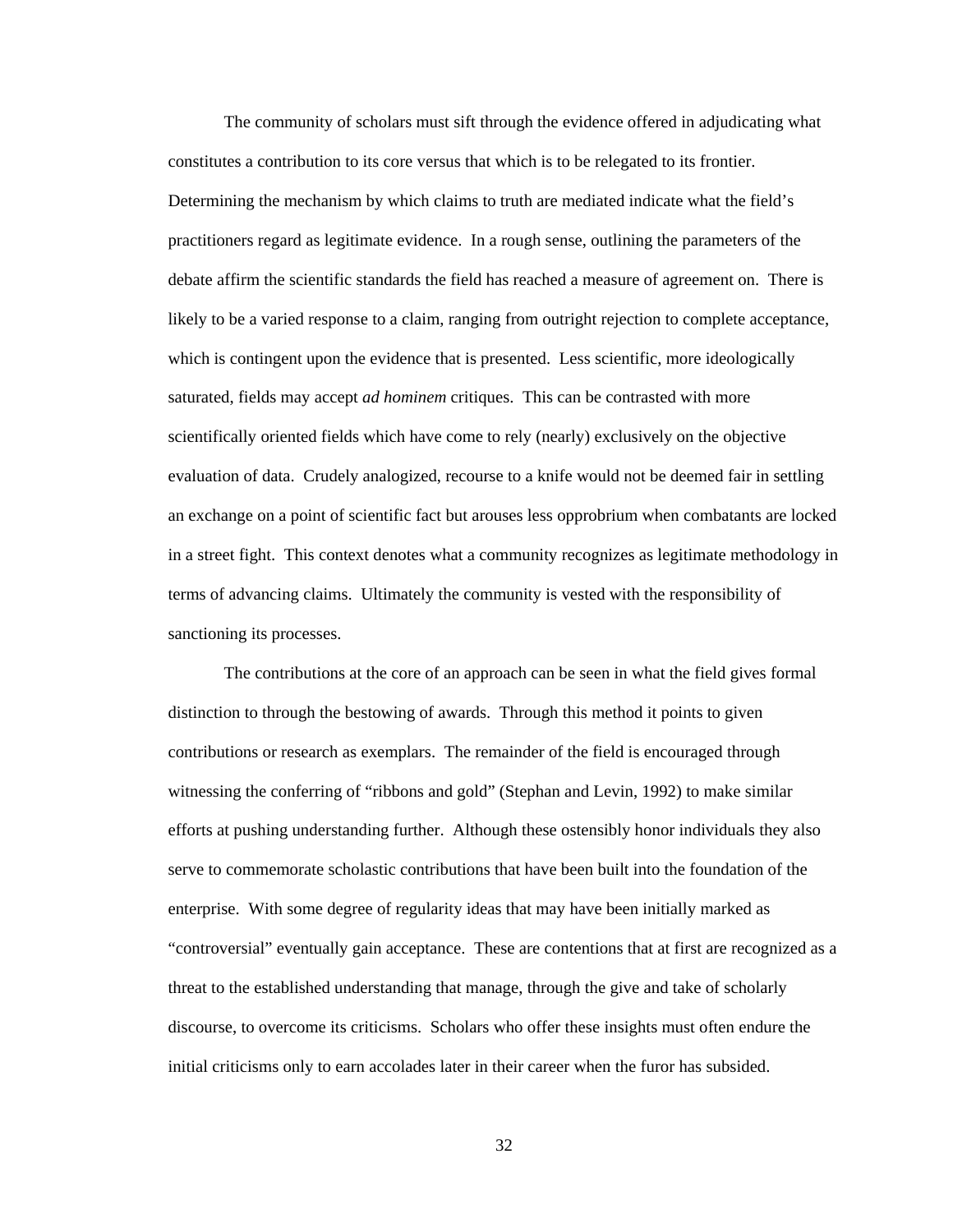The community of scholars must sift through the evidence offered in adjudicating what constitutes a contribution to its core versus that which is to be relegated to its frontier. Determining the mechanism by which claims to truth are mediated indicate what the field's practitioners regard as legitimate evidence. In a rough sense, outlining the parameters of the debate affirm the scientific standards the field has reached a measure of agreement on. There is likely to be a varied response to a claim, ranging from outright rejection to complete acceptance, which is contingent upon the evidence that is presented. Less scientific, more ideologically saturated, fields may accept *ad hominem* critiques. This can be contrasted with more scientifically oriented fields which have come to rely (nearly) exclusively on the objective evaluation of data. Crudely analogized, recourse to a knife would not be deemed fair in settling an exchange on a point of scientific fact but arouses less opprobrium when combatants are locked in a street fight. This context denotes what a community recognizes as legitimate methodology in terms of advancing claims. Ultimately the community is vested with the responsibility of sanctioning its processes.

The contributions at the core of an approach can be seen in what the field gives formal distinction to through the bestowing of awards. Through this method it points to given contributions or research as exemplars. The remainder of the field is encouraged through witnessing the conferring of "ribbons and gold" (Stephan and Levin, 1992) to make similar efforts at pushing understanding further. Although these ostensibly honor individuals they also serve to commemorate scholastic contributions that have been built into the foundation of the enterprise. With some degree of regularity ideas that may have been initially marked as "controversial" eventually gain acceptance. These are contentions that at first are recognized as a threat to the established understanding that manage, through the give and take of scholarly discourse, to overcome its criticisms. Scholars who offer these insights must often endure the initial criticisms only to earn accolades later in their career when the furor has subsided.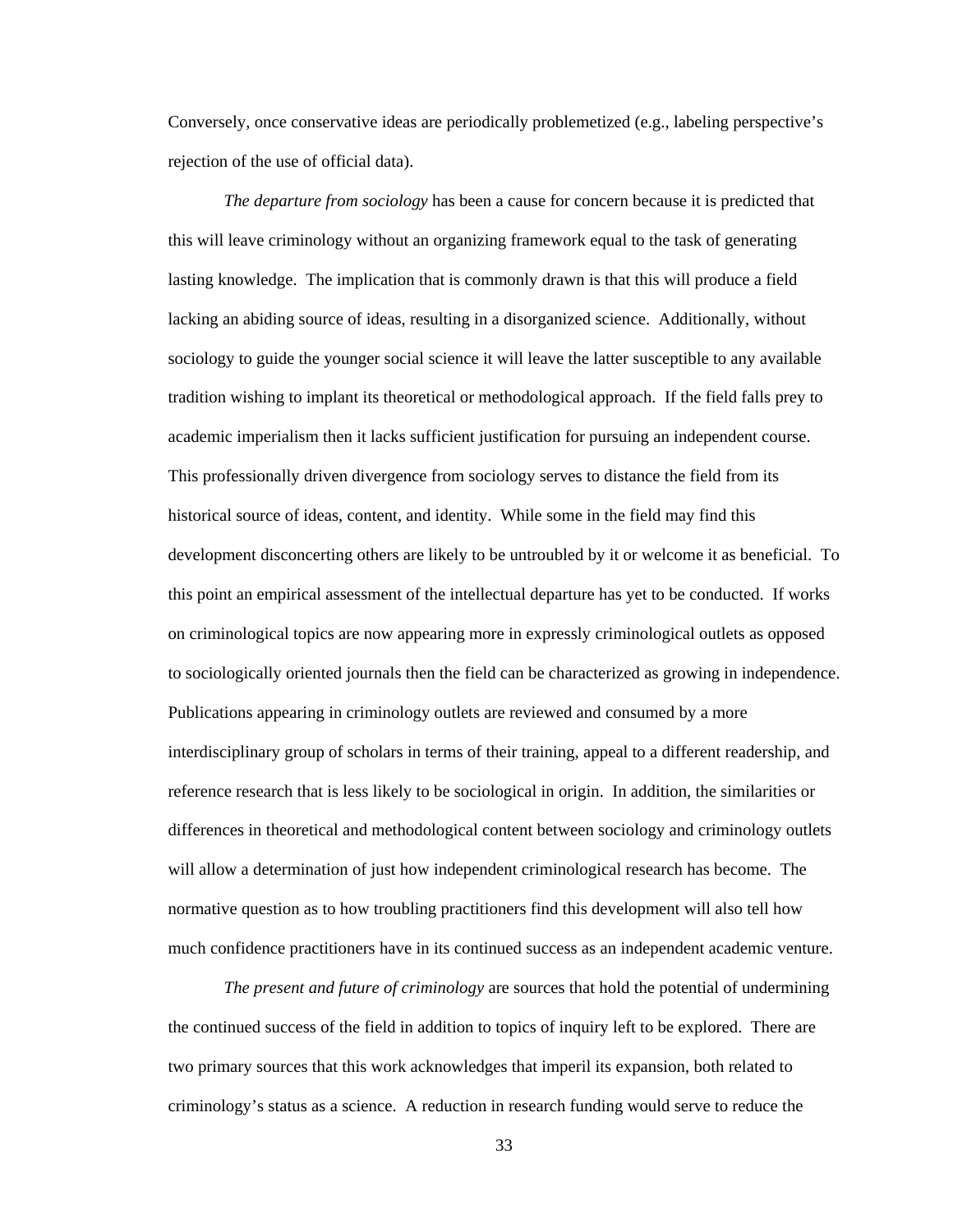Conversely, once conservative ideas are periodically problemetized (e.g., labeling perspective's rejection of the use of official data).

*The departure from sociology* has been a cause for concern because it is predicted that this will leave criminology without an organizing framework equal to the task of generating lasting knowledge. The implication that is commonly drawn is that this will produce a field lacking an abiding source of ideas, resulting in a disorganized science. Additionally, without sociology to guide the younger social science it will leave the latter susceptible to any available tradition wishing to implant its theoretical or methodological approach. If the field falls prey to academic imperialism then it lacks sufficient justification for pursuing an independent course. This professionally driven divergence from sociology serves to distance the field from its historical source of ideas, content, and identity. While some in the field may find this development disconcerting others are likely to be untroubled by it or welcome it as beneficial. To this point an empirical assessment of the intellectual departure has yet to be conducted. If works on criminological topics are now appearing more in expressly criminological outlets as opposed to sociologically oriented journals then the field can be characterized as growing in independence. Publications appearing in criminology outlets are reviewed and consumed by a more interdisciplinary group of scholars in terms of their training, appeal to a different readership, and reference research that is less likely to be sociological in origin. In addition, the similarities or differences in theoretical and methodological content between sociology and criminology outlets will allow a determination of just how independent criminological research has become. The normative question as to how troubling practitioners find this development will also tell how much confidence practitioners have in its continued success as an independent academic venture.

*The present and future of criminology* are sources that hold the potential of undermining the continued success of the field in addition to topics of inquiry left to be explored. There are two primary sources that this work acknowledges that imperil its expansion, both related to criminology's status as a science. A reduction in research funding would serve to reduce the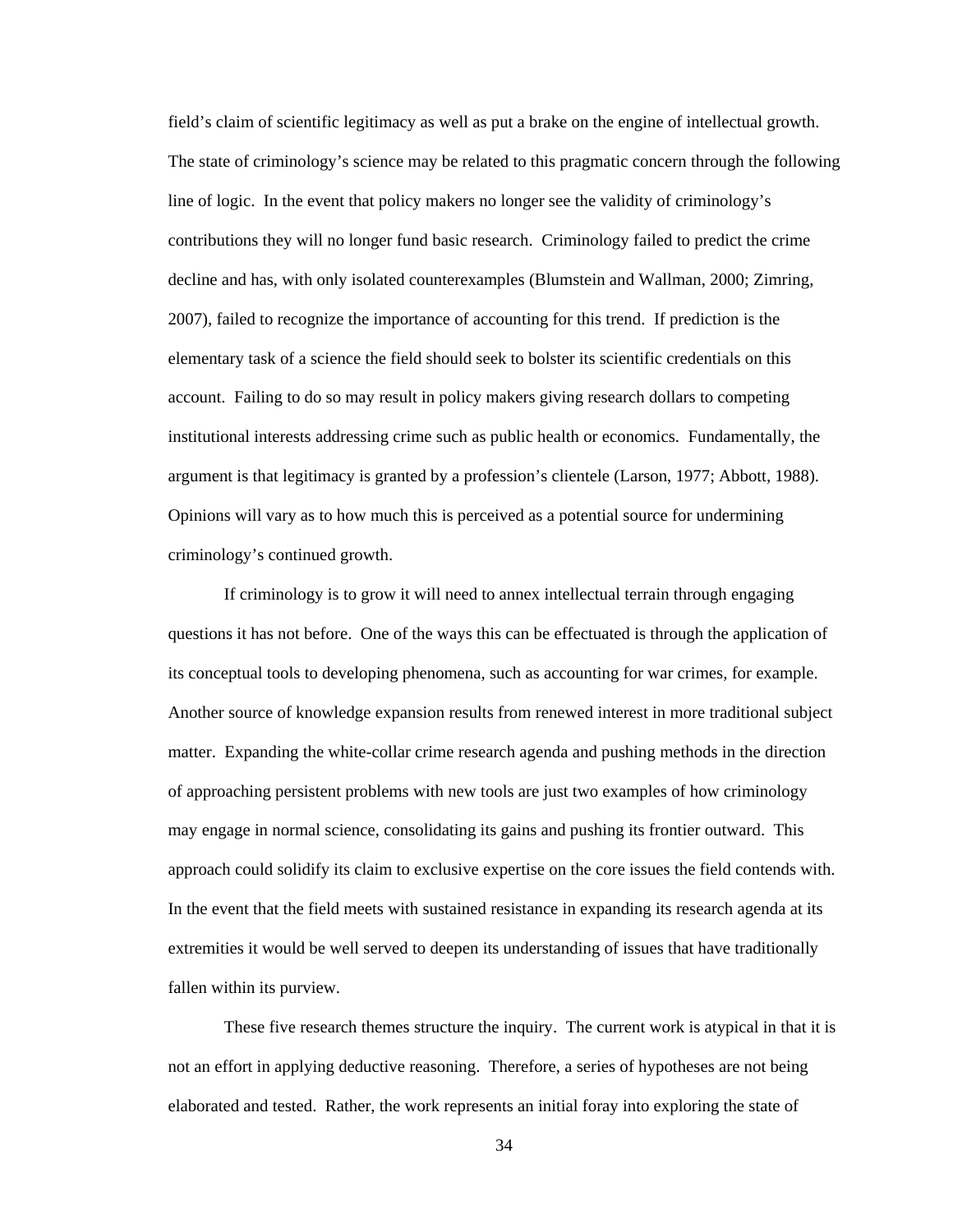field's claim of scientific legitimacy as well as put a brake on the engine of intellectual growth. The state of criminology's science may be related to this pragmatic concern through the following line of logic. In the event that policy makers no longer see the validity of criminology's contributions they will no longer fund basic research. Criminology failed to predict the crime decline and has, with only isolated counterexamples (Blumstein and Wallman, 2000; Zimring, 2007), failed to recognize the importance of accounting for this trend. If prediction is the elementary task of a science the field should seek to bolster its scientific credentials on this account. Failing to do so may result in policy makers giving research dollars to competing institutional interests addressing crime such as public health or economics. Fundamentally, the argument is that legitimacy is granted by a profession's clientele (Larson, 1977; Abbott, 1988). Opinions will vary as to how much this is perceived as a potential source for undermining criminology's continued growth.

If criminology is to grow it will need to annex intellectual terrain through engaging questions it has not before. One of the ways this can be effectuated is through the application of its conceptual tools to developing phenomena, such as accounting for war crimes, for example. Another source of knowledge expansion results from renewed interest in more traditional subject matter. Expanding the white-collar crime research agenda and pushing methods in the direction of approaching persistent problems with new tools are just two examples of how criminology may engage in normal science, consolidating its gains and pushing its frontier outward. This approach could solidify its claim to exclusive expertise on the core issues the field contends with. In the event that the field meets with sustained resistance in expanding its research agenda at its extremities it would be well served to deepen its understanding of issues that have traditionally fallen within its purview.

These five research themes structure the inquiry. The current work is atypical in that it is not an effort in applying deductive reasoning. Therefore, a series of hypotheses are not being elaborated and tested. Rather, the work represents an initial foray into exploring the state of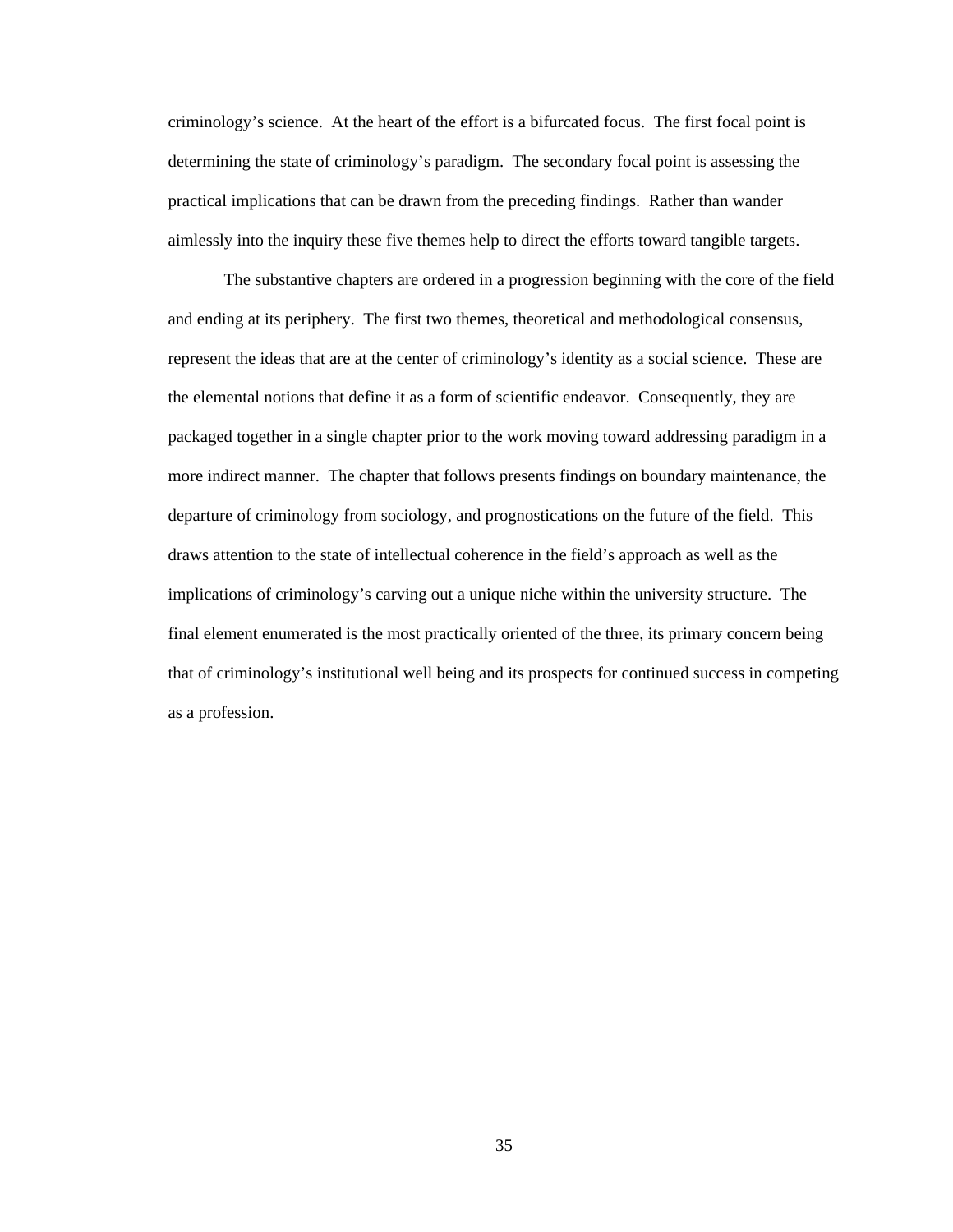criminology's science. At the heart of the effort is a bifurcated focus. The first focal point is determining the state of criminology's paradigm. The secondary focal point is assessing the practical implications that can be drawn from the preceding findings. Rather than wander aimlessly into the inquiry these five themes help to direct the efforts toward tangible targets.

The substantive chapters are ordered in a progression beginning with the core of the field and ending at its periphery. The first two themes, theoretical and methodological consensus, represent the ideas that are at the center of criminology's identity as a social science. These are the elemental notions that define it as a form of scientific endeavor. Consequently, they are packaged together in a single chapter prior to the work moving toward addressing paradigm in a more indirect manner. The chapter that follows presents findings on boundary maintenance, the departure of criminology from sociology, and prognostications on the future of the field. This draws attention to the state of intellectual coherence in the field's approach as well as the implications of criminology's carving out a unique niche within the university structure. The final element enumerated is the most practically oriented of the three, its primary concern being that of criminology's institutional well being and its prospects for continued success in competing as a profession.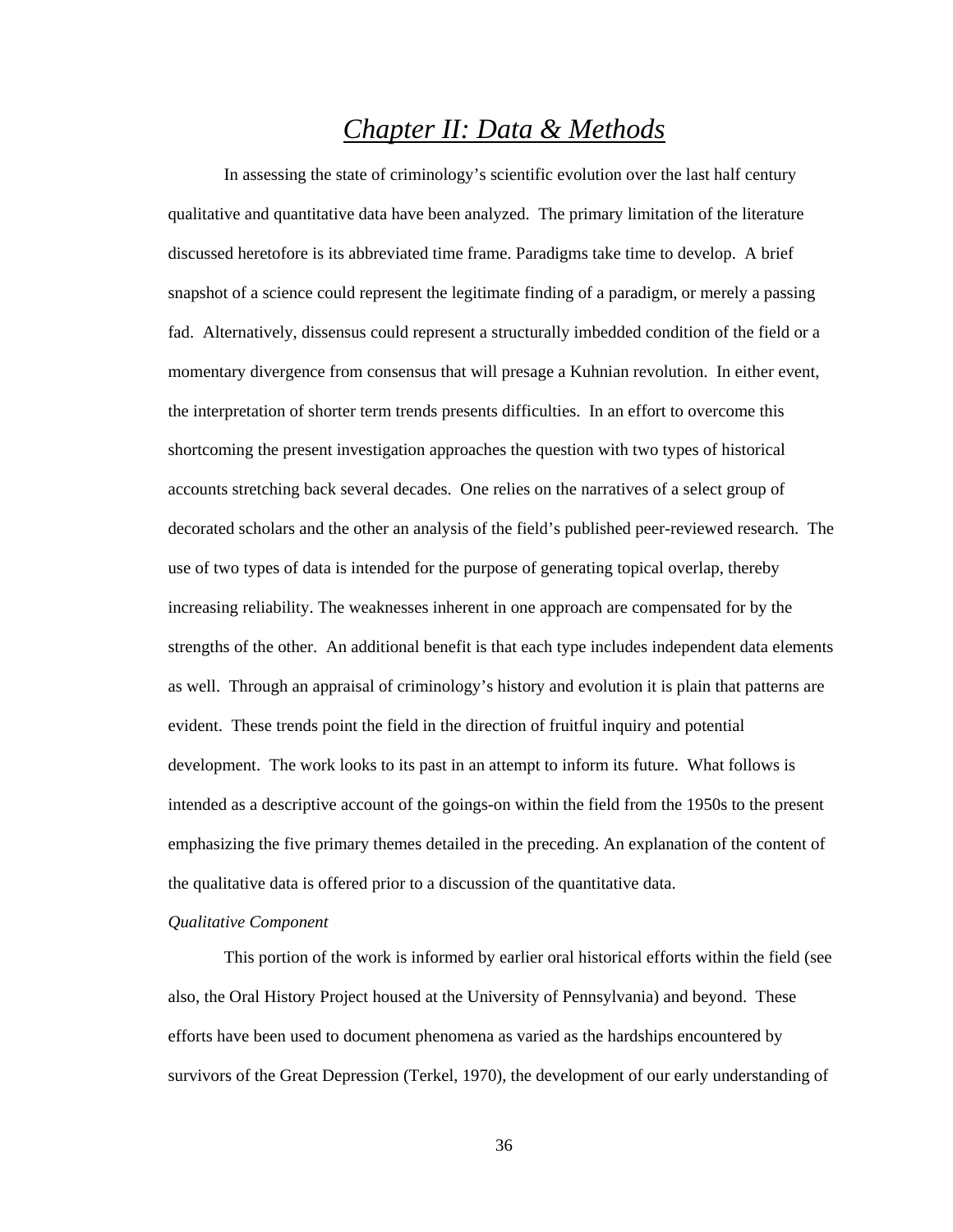# *Chapter II: Data & Methods*

In assessing the state of criminology's scientific evolution over the last half century qualitative and quantitative data have been analyzed. The primary limitation of the literature discussed heretofore is its abbreviated time frame. Paradigms take time to develop. A brief snapshot of a science could represent the legitimate finding of a paradigm, or merely a passing fad. Alternatively, dissensus could represent a structurally imbedded condition of the field or a momentary divergence from consensus that will presage a Kuhnian revolution. In either event, the interpretation of shorter term trends presents difficulties. In an effort to overcome this shortcoming the present investigation approaches the question with two types of historical accounts stretching back several decades. One relies on the narratives of a select group of decorated scholars and the other an analysis of the field's published peer-reviewed research. The use of two types of data is intended for the purpose of generating topical overlap, thereby increasing reliability. The weaknesses inherent in one approach are compensated for by the strengths of the other. An additional benefit is that each type includes independent data elements as well. Through an appraisal of criminology's history and evolution it is plain that patterns are evident. These trends point the field in the direction of fruitful inquiry and potential development. The work looks to its past in an attempt to inform its future. What follows is intended as a descriptive account of the goings-on within the field from the 1950s to the present emphasizing the five primary themes detailed in the preceding. An explanation of the content of the qualitative data is offered prior to a discussion of the quantitative data.

### *Qualitative Component*

This portion of the work is informed by earlier oral historical efforts within the field (see also, the Oral History Project housed at the University of Pennsylvania) and beyond. These efforts have been used to document phenomena as varied as the hardships encountered by survivors of the Great Depression (Terkel, 1970), the development of our early understanding of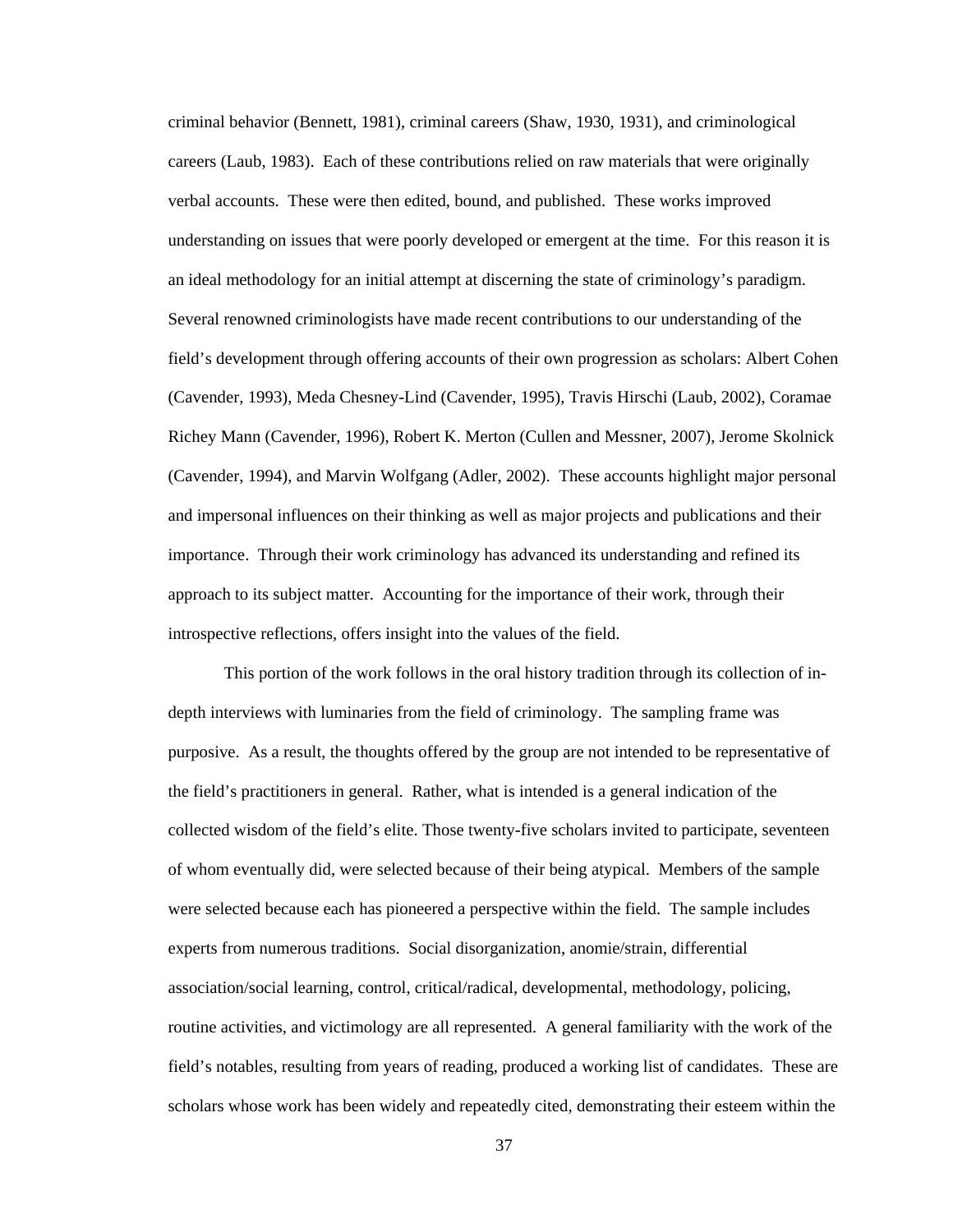criminal behavior (Bennett, 1981), criminal careers (Shaw, 1930, 1931), and criminological careers (Laub, 1983). Each of these contributions relied on raw materials that were originally verbal accounts. These were then edited, bound, and published. These works improved understanding on issues that were poorly developed or emergent at the time. For this reason it is an ideal methodology for an initial attempt at discerning the state of criminology's paradigm. Several renowned criminologists have made recent contributions to our understanding of the field's development through offering accounts of their own progression as scholars: Albert Cohen (Cavender, 1993), Meda Chesney-Lind (Cavender, 1995), Travis Hirschi (Laub, 2002), Coramae Richey Mann (Cavender, 1996), Robert K. Merton (Cullen and Messner, 2007), Jerome Skolnick (Cavender, 1994), and Marvin Wolfgang (Adler, 2002). These accounts highlight major personal and impersonal influences on their thinking as well as major projects and publications and their importance. Through their work criminology has advanced its understanding and refined its approach to its subject matter. Accounting for the importance of their work, through their introspective reflections, offers insight into the values of the field.

This portion of the work follows in the oral history tradition through its collection of indepth interviews with luminaries from the field of criminology. The sampling frame was purposive. As a result, the thoughts offered by the group are not intended to be representative of the field's practitioners in general. Rather, what is intended is a general indication of the collected wisdom of the field's elite. Those twenty-five scholars invited to participate, seventeen of whom eventually did, were selected because of their being atypical. Members of the sample were selected because each has pioneered a perspective within the field. The sample includes experts from numerous traditions. Social disorganization, anomie/strain, differential association/social learning, control, critical/radical, developmental, methodology, policing, routine activities, and victimology are all represented. A general familiarity with the work of the field's notables, resulting from years of reading, produced a working list of candidates. These are scholars whose work has been widely and repeatedly cited, demonstrating their esteem within the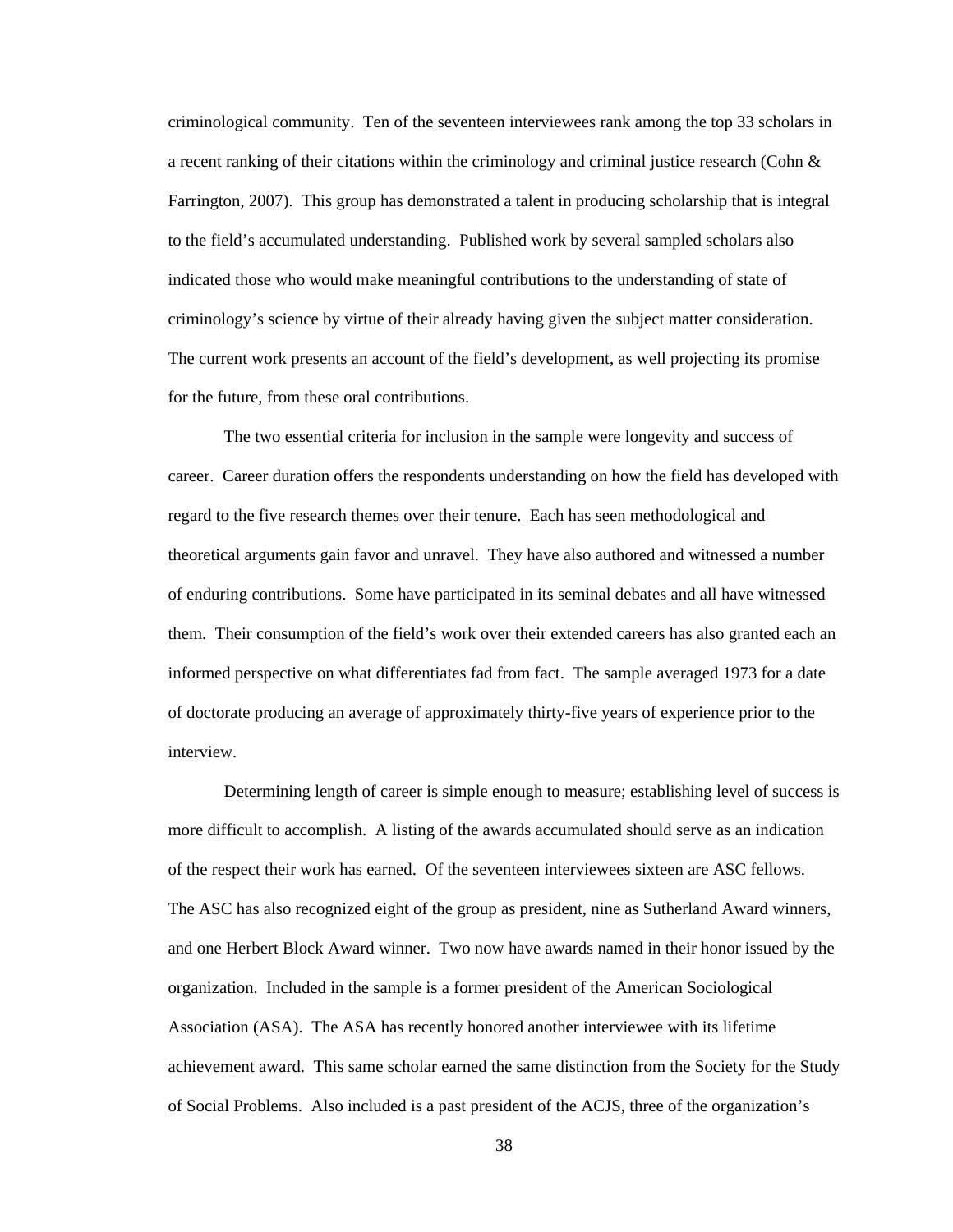criminological community. Ten of the seventeen interviewees rank among the top 33 scholars in a recent ranking of their citations within the criminology and criminal justice research (Cohn  $&$ Farrington, 2007). This group has demonstrated a talent in producing scholarship that is integral to the field's accumulated understanding. Published work by several sampled scholars also indicated those who would make meaningful contributions to the understanding of state of criminology's science by virtue of their already having given the subject matter consideration. The current work presents an account of the field's development, as well projecting its promise for the future, from these oral contributions.

The two essential criteria for inclusion in the sample were longevity and success of career. Career duration offers the respondents understanding on how the field has developed with regard to the five research themes over their tenure. Each has seen methodological and theoretical arguments gain favor and unravel. They have also authored and witnessed a number of enduring contributions. Some have participated in its seminal debates and all have witnessed them. Their consumption of the field's work over their extended careers has also granted each an informed perspective on what differentiates fad from fact. The sample averaged 1973 for a date of doctorate producing an average of approximately thirty-five years of experience prior to the interview.

Determining length of career is simple enough to measure; establishing level of success is more difficult to accomplish. A listing of the awards accumulated should serve as an indication of the respect their work has earned. Of the seventeen interviewees sixteen are ASC fellows. The ASC has also recognized eight of the group as president, nine as Sutherland Award winners, and one Herbert Block Award winner. Two now have awards named in their honor issued by the organization. Included in the sample is a former president of the American Sociological Association (ASA). The ASA has recently honored another interviewee with its lifetime achievement award. This same scholar earned the same distinction from the Society for the Study of Social Problems. Also included is a past president of the ACJS, three of the organization's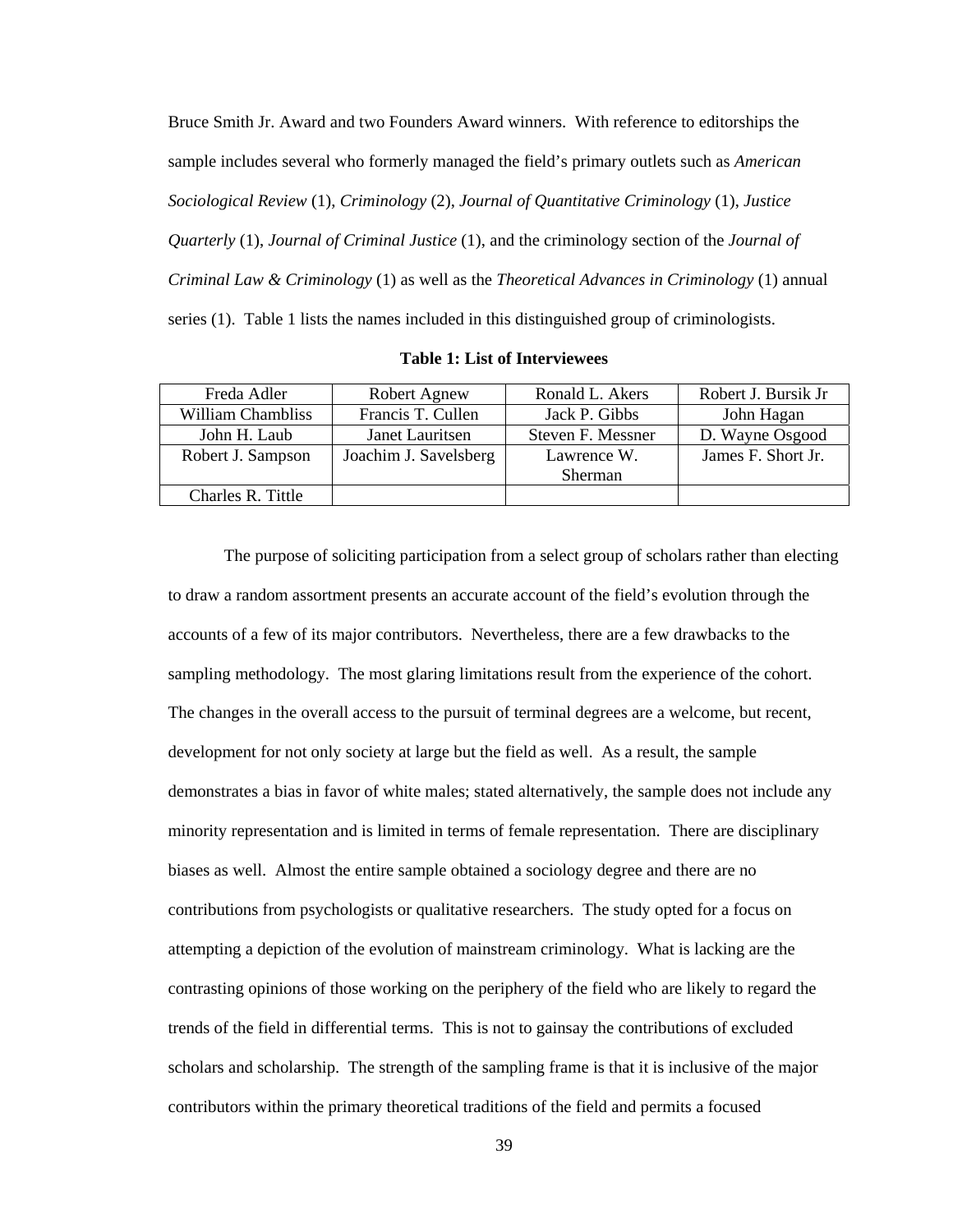Bruce Smith Jr. Award and two Founders Award winners. With reference to editorships the sample includes several who formerly managed the field's primary outlets such as *American Sociological Review* (1), *Criminology* (2), *Journal of Quantitative Criminology* (1), *Justice Quarterly* (1), *Journal of Criminal Justice* (1), and the criminology section of the *Journal of Criminal Law & Criminology* (1) as well as the *Theoretical Advances in Criminology* (1) annual series (1). Table 1 lists the names included in this distinguished group of criminologists.

| Freda Adler              | Robert Agnew          | Ronald L. Akers   | Robert J. Bursik Jr |  |
|--------------------------|-----------------------|-------------------|---------------------|--|
| <b>William Chambliss</b> | Francis T. Cullen     | Jack P. Gibbs     | John Hagan          |  |
| John H. Laub             | Janet Lauritsen       | Steven F. Messner | D. Wayne Osgood     |  |
| Robert J. Sampson        | Joachim J. Savelsberg | Lawrence W.       | James F. Short Jr.  |  |
|                          |                       | <b>Sherman</b>    |                     |  |
| Charles R. Tittle        |                       |                   |                     |  |

**Table 1: List of Interviewees** 

The purpose of soliciting participation from a select group of scholars rather than electing to draw a random assortment presents an accurate account of the field's evolution through the accounts of a few of its major contributors. Nevertheless, there are a few drawbacks to the sampling methodology. The most glaring limitations result from the experience of the cohort. The changes in the overall access to the pursuit of terminal degrees are a welcome, but recent, development for not only society at large but the field as well. As a result, the sample demonstrates a bias in favor of white males; stated alternatively, the sample does not include any minority representation and is limited in terms of female representation. There are disciplinary biases as well. Almost the entire sample obtained a sociology degree and there are no contributions from psychologists or qualitative researchers. The study opted for a focus on attempting a depiction of the evolution of mainstream criminology. What is lacking are the contrasting opinions of those working on the periphery of the field who are likely to regard the trends of the field in differential terms. This is not to gainsay the contributions of excluded scholars and scholarship. The strength of the sampling frame is that it is inclusive of the major contributors within the primary theoretical traditions of the field and permits a focused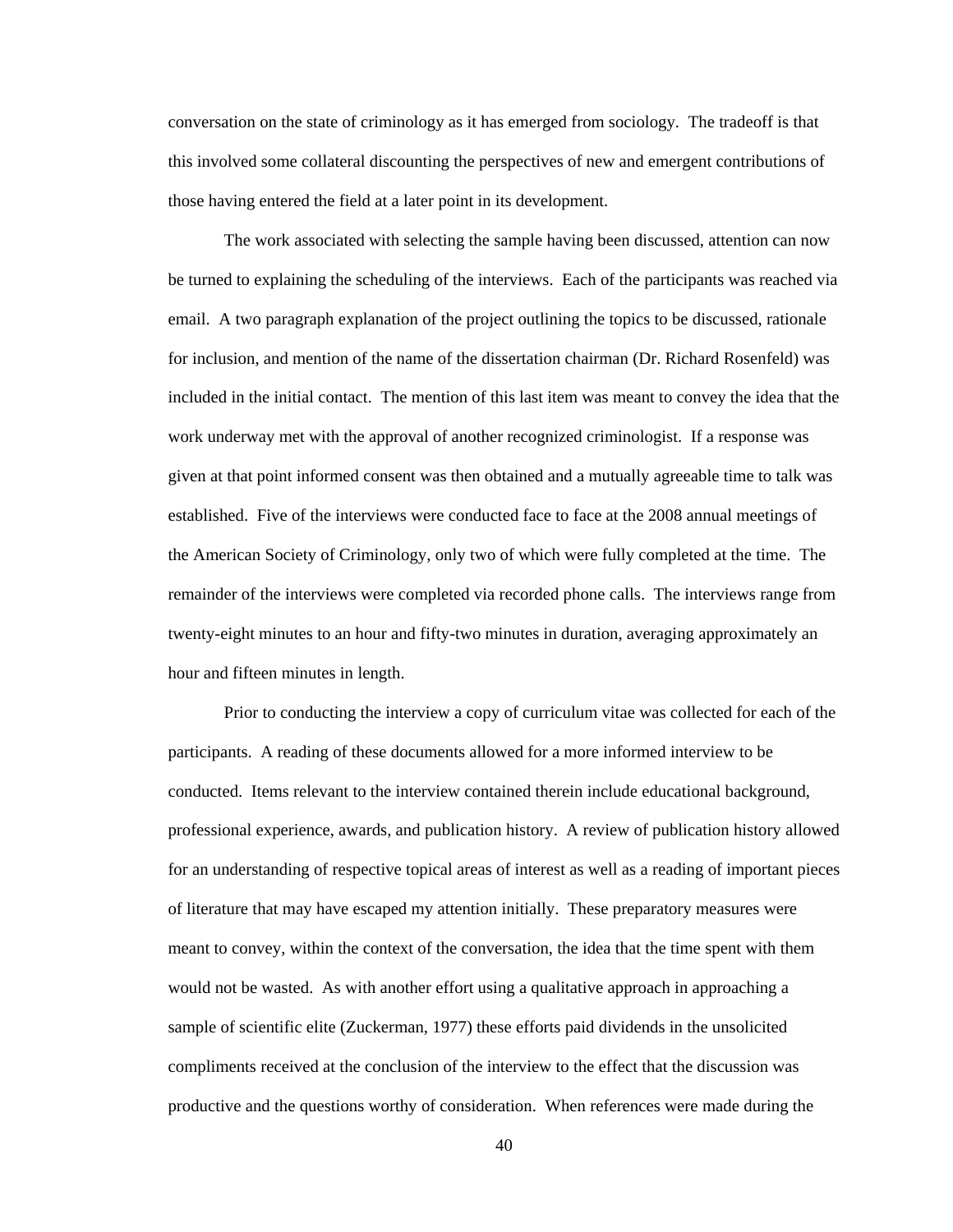conversation on the state of criminology as it has emerged from sociology. The tradeoff is that this involved some collateral discounting the perspectives of new and emergent contributions of those having entered the field at a later point in its development.

The work associated with selecting the sample having been discussed, attention can now be turned to explaining the scheduling of the interviews. Each of the participants was reached via email. A two paragraph explanation of the project outlining the topics to be discussed, rationale for inclusion, and mention of the name of the dissertation chairman (Dr. Richard Rosenfeld) was included in the initial contact. The mention of this last item was meant to convey the idea that the work underway met with the approval of another recognized criminologist. If a response was given at that point informed consent was then obtained and a mutually agreeable time to talk was established. Five of the interviews were conducted face to face at the 2008 annual meetings of the American Society of Criminology, only two of which were fully completed at the time. The remainder of the interviews were completed via recorded phone calls. The interviews range from twenty-eight minutes to an hour and fifty-two minutes in duration, averaging approximately an hour and fifteen minutes in length.

Prior to conducting the interview a copy of curriculum vitae was collected for each of the participants. A reading of these documents allowed for a more informed interview to be conducted. Items relevant to the interview contained therein include educational background, professional experience, awards, and publication history. A review of publication history allowed for an understanding of respective topical areas of interest as well as a reading of important pieces of literature that may have escaped my attention initially. These preparatory measures were meant to convey, within the context of the conversation, the idea that the time spent with them would not be wasted. As with another effort using a qualitative approach in approaching a sample of scientific elite (Zuckerman, 1977) these efforts paid dividends in the unsolicited compliments received at the conclusion of the interview to the effect that the discussion was productive and the questions worthy of consideration. When references were made during the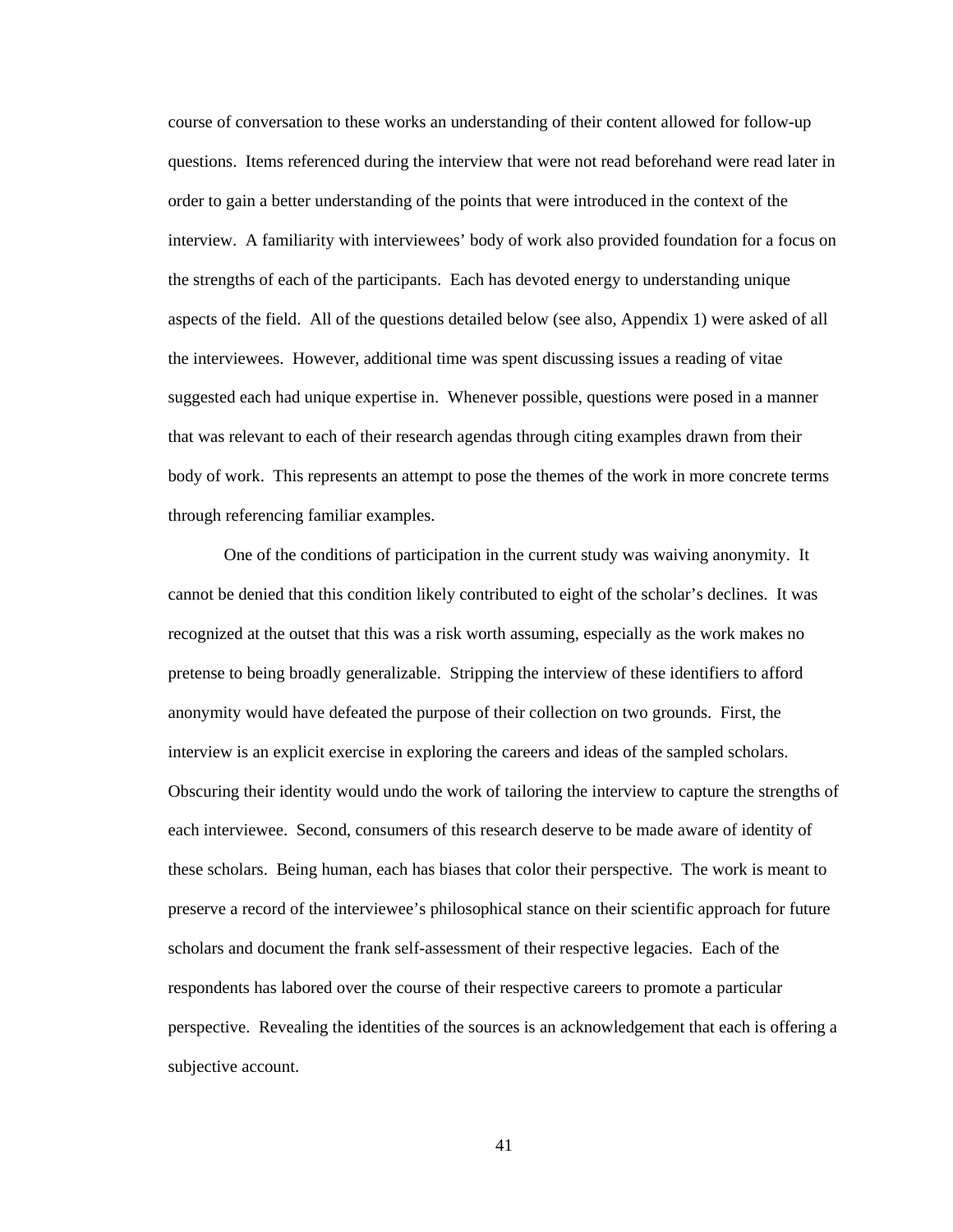course of conversation to these works an understanding of their content allowed for follow-up questions. Items referenced during the interview that were not read beforehand were read later in order to gain a better understanding of the points that were introduced in the context of the interview. A familiarity with interviewees' body of work also provided foundation for a focus on the strengths of each of the participants. Each has devoted energy to understanding unique aspects of the field. All of the questions detailed below (see also, Appendix 1) were asked of all the interviewees. However, additional time was spent discussing issues a reading of vitae suggested each had unique expertise in. Whenever possible, questions were posed in a manner that was relevant to each of their research agendas through citing examples drawn from their body of work. This represents an attempt to pose the themes of the work in more concrete terms through referencing familiar examples.

One of the conditions of participation in the current study was waiving anonymity. It cannot be denied that this condition likely contributed to eight of the scholar's declines. It was recognized at the outset that this was a risk worth assuming, especially as the work makes no pretense to being broadly generalizable. Stripping the interview of these identifiers to afford anonymity would have defeated the purpose of their collection on two grounds. First, the interview is an explicit exercise in exploring the careers and ideas of the sampled scholars. Obscuring their identity would undo the work of tailoring the interview to capture the strengths of each interviewee. Second, consumers of this research deserve to be made aware of identity of these scholars. Being human, each has biases that color their perspective. The work is meant to preserve a record of the interviewee's philosophical stance on their scientific approach for future scholars and document the frank self-assessment of their respective legacies. Each of the respondents has labored over the course of their respective careers to promote a particular perspective. Revealing the identities of the sources is an acknowledgement that each is offering a subjective account.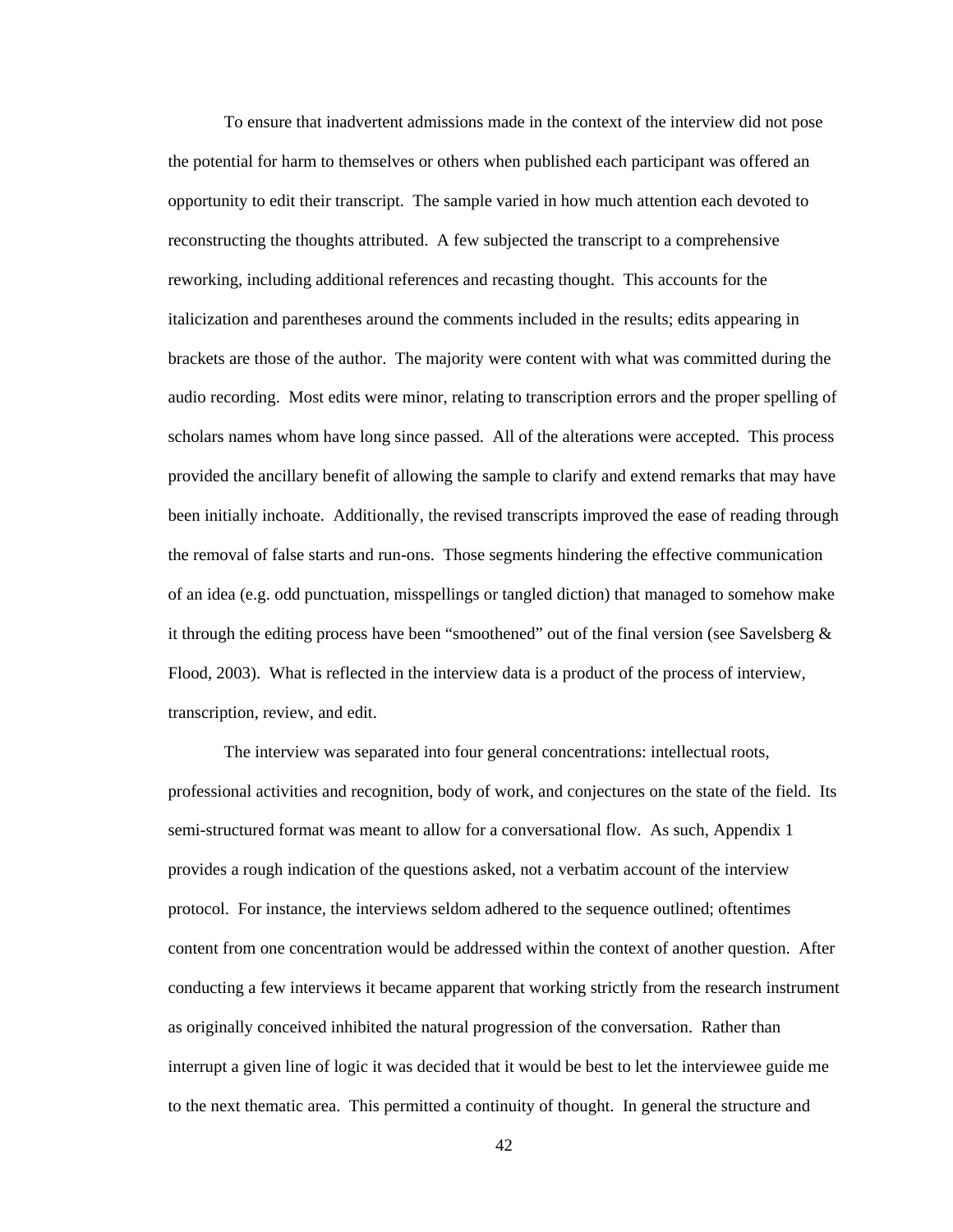To ensure that inadvertent admissions made in the context of the interview did not pose the potential for harm to themselves or others when published each participant was offered an opportunity to edit their transcript. The sample varied in how much attention each devoted to reconstructing the thoughts attributed. A few subjected the transcript to a comprehensive reworking, including additional references and recasting thought. This accounts for the italicization and parentheses around the comments included in the results; edits appearing in brackets are those of the author. The majority were content with what was committed during the audio recording. Most edits were minor, relating to transcription errors and the proper spelling of scholars names whom have long since passed. All of the alterations were accepted. This process provided the ancillary benefit of allowing the sample to clarify and extend remarks that may have been initially inchoate. Additionally, the revised transcripts improved the ease of reading through the removal of false starts and run-ons. Those segments hindering the effective communication of an idea (e.g. odd punctuation, misspellings or tangled diction) that managed to somehow make it through the editing process have been "smoothened" out of the final version (see Savelsberg  $\&$ Flood, 2003). What is reflected in the interview data is a product of the process of interview, transcription, review, and edit.

The interview was separated into four general concentrations: intellectual roots, professional activities and recognition, body of work, and conjectures on the state of the field. Its semi-structured format was meant to allow for a conversational flow. As such, Appendix 1 provides a rough indication of the questions asked, not a verbatim account of the interview protocol. For instance, the interviews seldom adhered to the sequence outlined; oftentimes content from one concentration would be addressed within the context of another question. After conducting a few interviews it became apparent that working strictly from the research instrument as originally conceived inhibited the natural progression of the conversation. Rather than interrupt a given line of logic it was decided that it would be best to let the interviewee guide me to the next thematic area. This permitted a continuity of thought. In general the structure and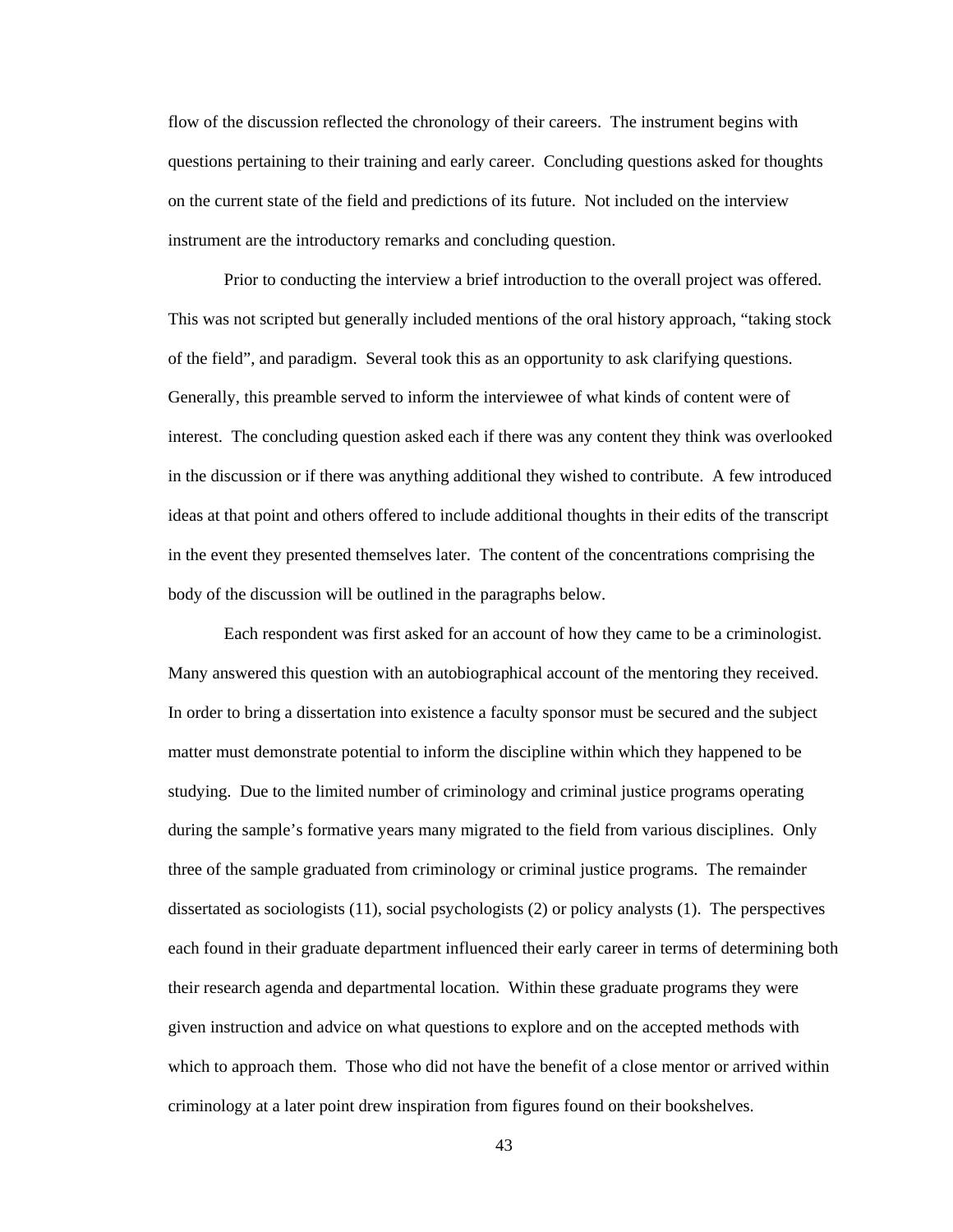flow of the discussion reflected the chronology of their careers. The instrument begins with questions pertaining to their training and early career. Concluding questions asked for thoughts on the current state of the field and predictions of its future. Not included on the interview instrument are the introductory remarks and concluding question.

Prior to conducting the interview a brief introduction to the overall project was offered. This was not scripted but generally included mentions of the oral history approach, "taking stock of the field", and paradigm. Several took this as an opportunity to ask clarifying questions. Generally, this preamble served to inform the interviewee of what kinds of content were of interest. The concluding question asked each if there was any content they think was overlooked in the discussion or if there was anything additional they wished to contribute. A few introduced ideas at that point and others offered to include additional thoughts in their edits of the transcript in the event they presented themselves later. The content of the concentrations comprising the body of the discussion will be outlined in the paragraphs below.

Each respondent was first asked for an account of how they came to be a criminologist. Many answered this question with an autobiographical account of the mentoring they received. In order to bring a dissertation into existence a faculty sponsor must be secured and the subject matter must demonstrate potential to inform the discipline within which they happened to be studying. Due to the limited number of criminology and criminal justice programs operating during the sample's formative years many migrated to the field from various disciplines. Only three of the sample graduated from criminology or criminal justice programs. The remainder dissertated as sociologists (11), social psychologists (2) or policy analysts (1). The perspectives each found in their graduate department influenced their early career in terms of determining both their research agenda and departmental location. Within these graduate programs they were given instruction and advice on what questions to explore and on the accepted methods with which to approach them. Those who did not have the benefit of a close mentor or arrived within criminology at a later point drew inspiration from figures found on their bookshelves.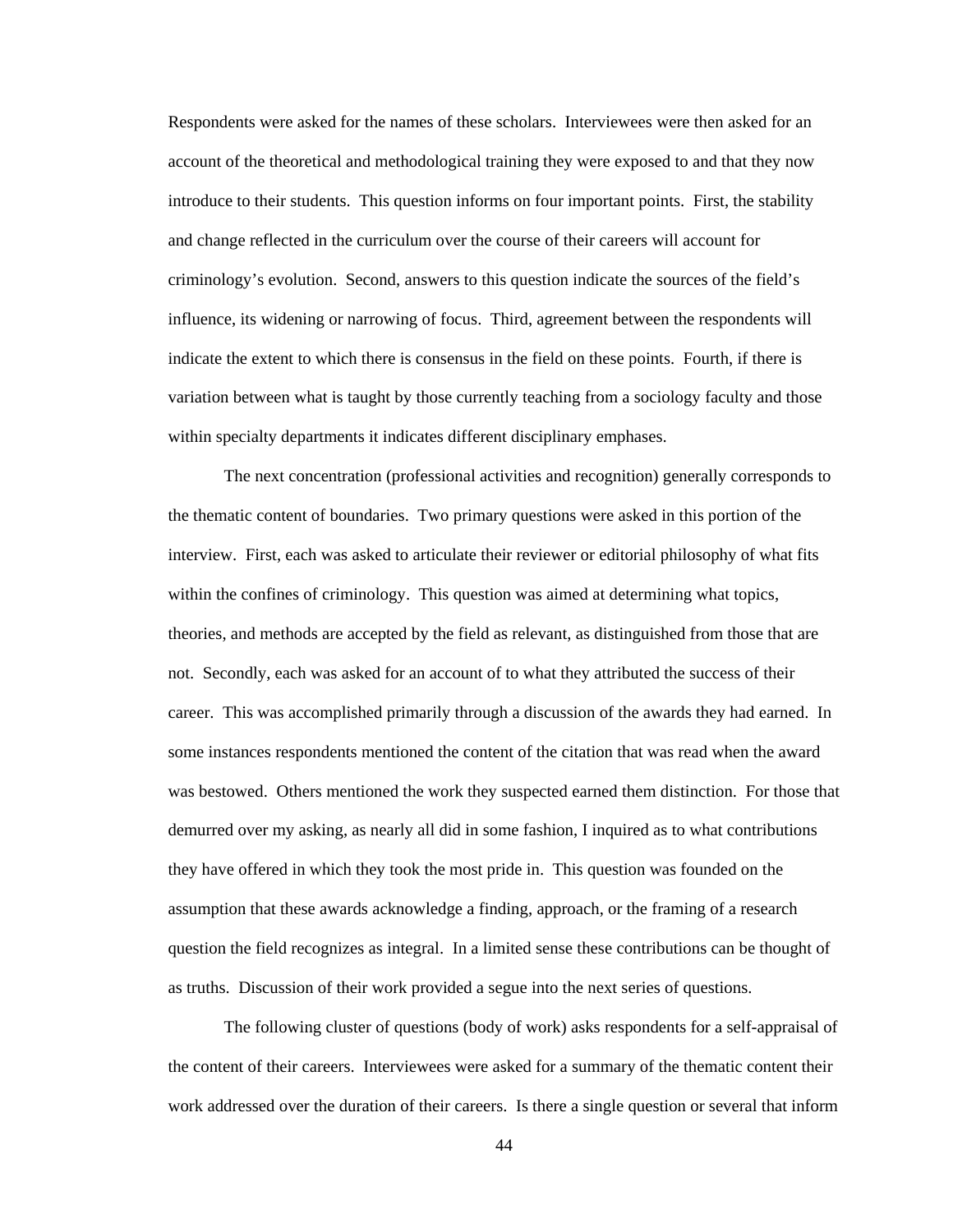Respondents were asked for the names of these scholars. Interviewees were then asked for an account of the theoretical and methodological training they were exposed to and that they now introduce to their students. This question informs on four important points. First, the stability and change reflected in the curriculum over the course of their careers will account for criminology's evolution. Second, answers to this question indicate the sources of the field's influence, its widening or narrowing of focus. Third, agreement between the respondents will indicate the extent to which there is consensus in the field on these points. Fourth, if there is variation between what is taught by those currently teaching from a sociology faculty and those within specialty departments it indicates different disciplinary emphases.

The next concentration (professional activities and recognition) generally corresponds to the thematic content of boundaries. Two primary questions were asked in this portion of the interview. First, each was asked to articulate their reviewer or editorial philosophy of what fits within the confines of criminology. This question was aimed at determining what topics, theories, and methods are accepted by the field as relevant, as distinguished from those that are not. Secondly, each was asked for an account of to what they attributed the success of their career. This was accomplished primarily through a discussion of the awards they had earned. In some instances respondents mentioned the content of the citation that was read when the award was bestowed. Others mentioned the work they suspected earned them distinction. For those that demurred over my asking, as nearly all did in some fashion, I inquired as to what contributions they have offered in which they took the most pride in. This question was founded on the assumption that these awards acknowledge a finding, approach, or the framing of a research question the field recognizes as integral. In a limited sense these contributions can be thought of as truths. Discussion of their work provided a segue into the next series of questions.

The following cluster of questions (body of work) asks respondents for a self-appraisal of the content of their careers. Interviewees were asked for a summary of the thematic content their work addressed over the duration of their careers. Is there a single question or several that inform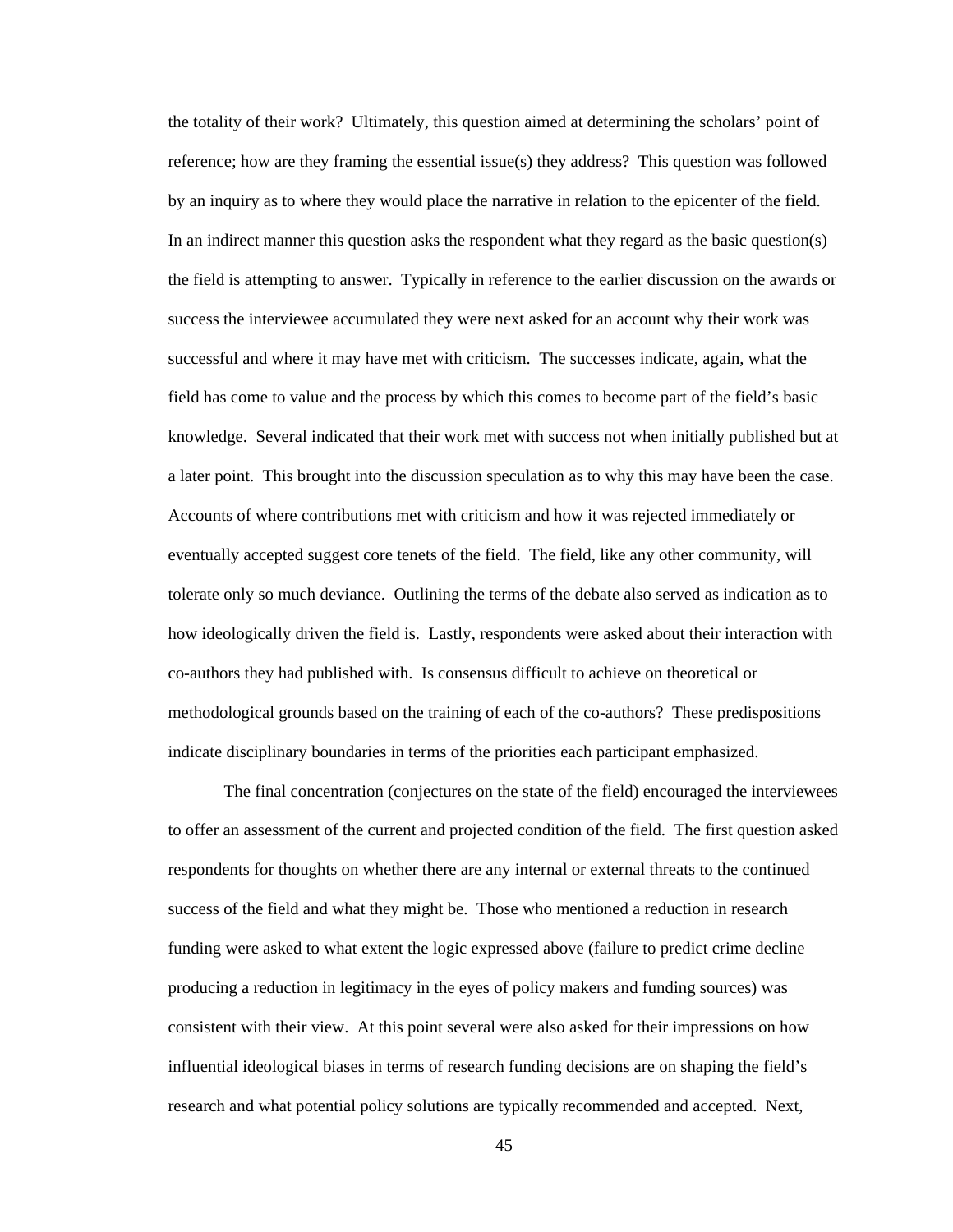the totality of their work? Ultimately, this question aimed at determining the scholars' point of reference; how are they framing the essential issue(s) they address? This question was followed by an inquiry as to where they would place the narrative in relation to the epicenter of the field. In an indirect manner this question asks the respondent what they regard as the basic question(s) the field is attempting to answer. Typically in reference to the earlier discussion on the awards or success the interviewee accumulated they were next asked for an account why their work was successful and where it may have met with criticism. The successes indicate, again, what the field has come to value and the process by which this comes to become part of the field's basic knowledge. Several indicated that their work met with success not when initially published but at a later point. This brought into the discussion speculation as to why this may have been the case. Accounts of where contributions met with criticism and how it was rejected immediately or eventually accepted suggest core tenets of the field. The field, like any other community, will tolerate only so much deviance. Outlining the terms of the debate also served as indication as to how ideologically driven the field is. Lastly, respondents were asked about their interaction with co-authors they had published with. Is consensus difficult to achieve on theoretical or methodological grounds based on the training of each of the co-authors? These predispositions indicate disciplinary boundaries in terms of the priorities each participant emphasized.

The final concentration (conjectures on the state of the field) encouraged the interviewees to offer an assessment of the current and projected condition of the field. The first question asked respondents for thoughts on whether there are any internal or external threats to the continued success of the field and what they might be. Those who mentioned a reduction in research funding were asked to what extent the logic expressed above (failure to predict crime decline producing a reduction in legitimacy in the eyes of policy makers and funding sources) was consistent with their view. At this point several were also asked for their impressions on how influential ideological biases in terms of research funding decisions are on shaping the field's research and what potential policy solutions are typically recommended and accepted. Next,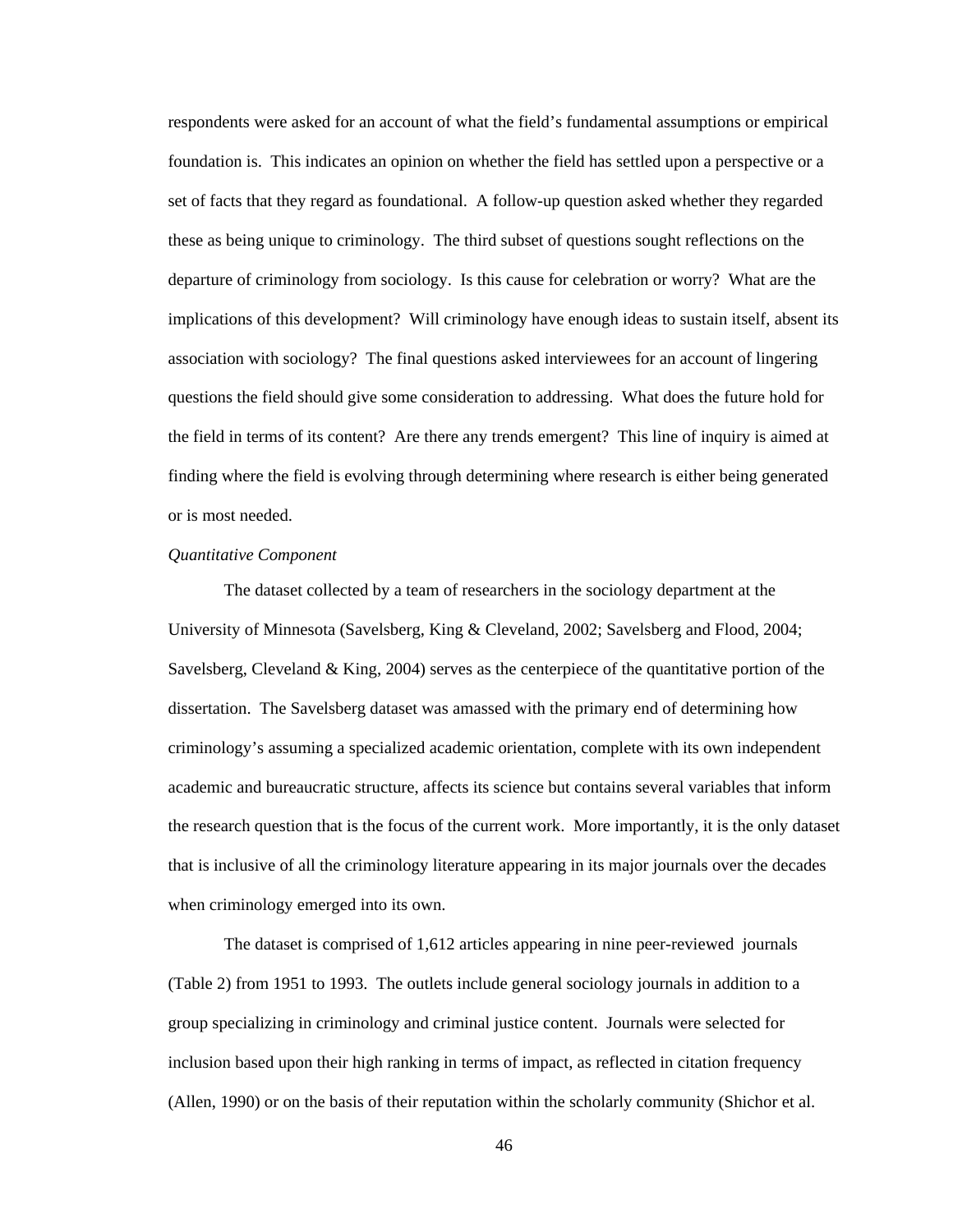respondents were asked for an account of what the field's fundamental assumptions or empirical foundation is. This indicates an opinion on whether the field has settled upon a perspective or a set of facts that they regard as foundational. A follow-up question asked whether they regarded these as being unique to criminology. The third subset of questions sought reflections on the departure of criminology from sociology. Is this cause for celebration or worry? What are the implications of this development? Will criminology have enough ideas to sustain itself, absent its association with sociology? The final questions asked interviewees for an account of lingering questions the field should give some consideration to addressing. What does the future hold for the field in terms of its content? Are there any trends emergent? This line of inquiry is aimed at finding where the field is evolving through determining where research is either being generated or is most needed.

#### *Quantitative Component*

The dataset collected by a team of researchers in the sociology department at the University of Minnesota (Savelsberg, King & Cleveland, 2002; Savelsberg and Flood, 2004; Savelsberg, Cleveland & King, 2004) serves as the centerpiece of the quantitative portion of the dissertation. The Savelsberg dataset was amassed with the primary end of determining how criminology's assuming a specialized academic orientation, complete with its own independent academic and bureaucratic structure, affects its science but contains several variables that inform the research question that is the focus of the current work. More importantly, it is the only dataset that is inclusive of all the criminology literature appearing in its major journals over the decades when criminology emerged into its own.

The dataset is comprised of 1,612 articles appearing in nine peer-reviewed journals (Table 2) from 1951 to 1993. The outlets include general sociology journals in addition to a group specializing in criminology and criminal justice content. Journals were selected for inclusion based upon their high ranking in terms of impact, as reflected in citation frequency (Allen, 1990) or on the basis of their reputation within the scholarly community (Shichor et al.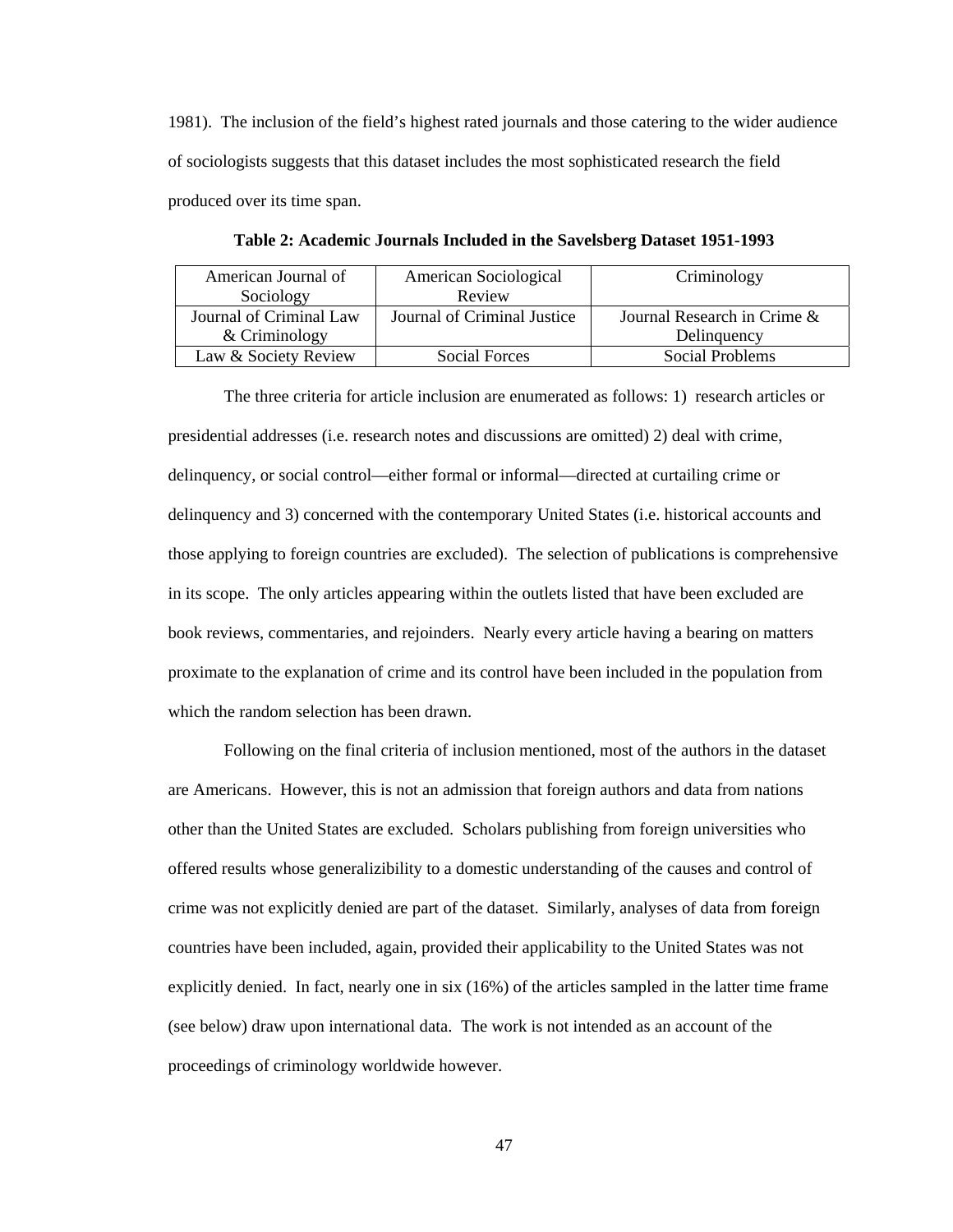1981). The inclusion of the field's highest rated journals and those catering to the wider audience of sociologists suggests that this dataset includes the most sophisticated research the field produced over its time span.

| American Journal of |                         | American Sociological       | Criminology                    |
|---------------------|-------------------------|-----------------------------|--------------------------------|
|                     | Sociology               | Review                      |                                |
|                     | Journal of Criminal Law | Journal of Criminal Justice | Journal Research in Crime $\&$ |
|                     | $&$ Criminology         |                             | Delinquency                    |
|                     | Law & Society Review    | Social Forces               | Social Problems                |

**Table 2: Academic Journals Included in the Savelsberg Dataset 1951-1993** 

The three criteria for article inclusion are enumerated as follows: 1) research articles or presidential addresses (i.e. research notes and discussions are omitted) 2) deal with crime, delinquency, or social control—either formal or informal—directed at curtailing crime or delinquency and 3) concerned with the contemporary United States (i.e. historical accounts and those applying to foreign countries are excluded). The selection of publications is comprehensive in its scope. The only articles appearing within the outlets listed that have been excluded are book reviews, commentaries, and rejoinders. Nearly every article having a bearing on matters proximate to the explanation of crime and its control have been included in the population from which the random selection has been drawn.

Following on the final criteria of inclusion mentioned, most of the authors in the dataset are Americans. However, this is not an admission that foreign authors and data from nations other than the United States are excluded. Scholars publishing from foreign universities who offered results whose generalizibility to a domestic understanding of the causes and control of crime was not explicitly denied are part of the dataset. Similarly, analyses of data from foreign countries have been included, again, provided their applicability to the United States was not explicitly denied. In fact, nearly one in six (16%) of the articles sampled in the latter time frame (see below) draw upon international data. The work is not intended as an account of the proceedings of criminology worldwide however.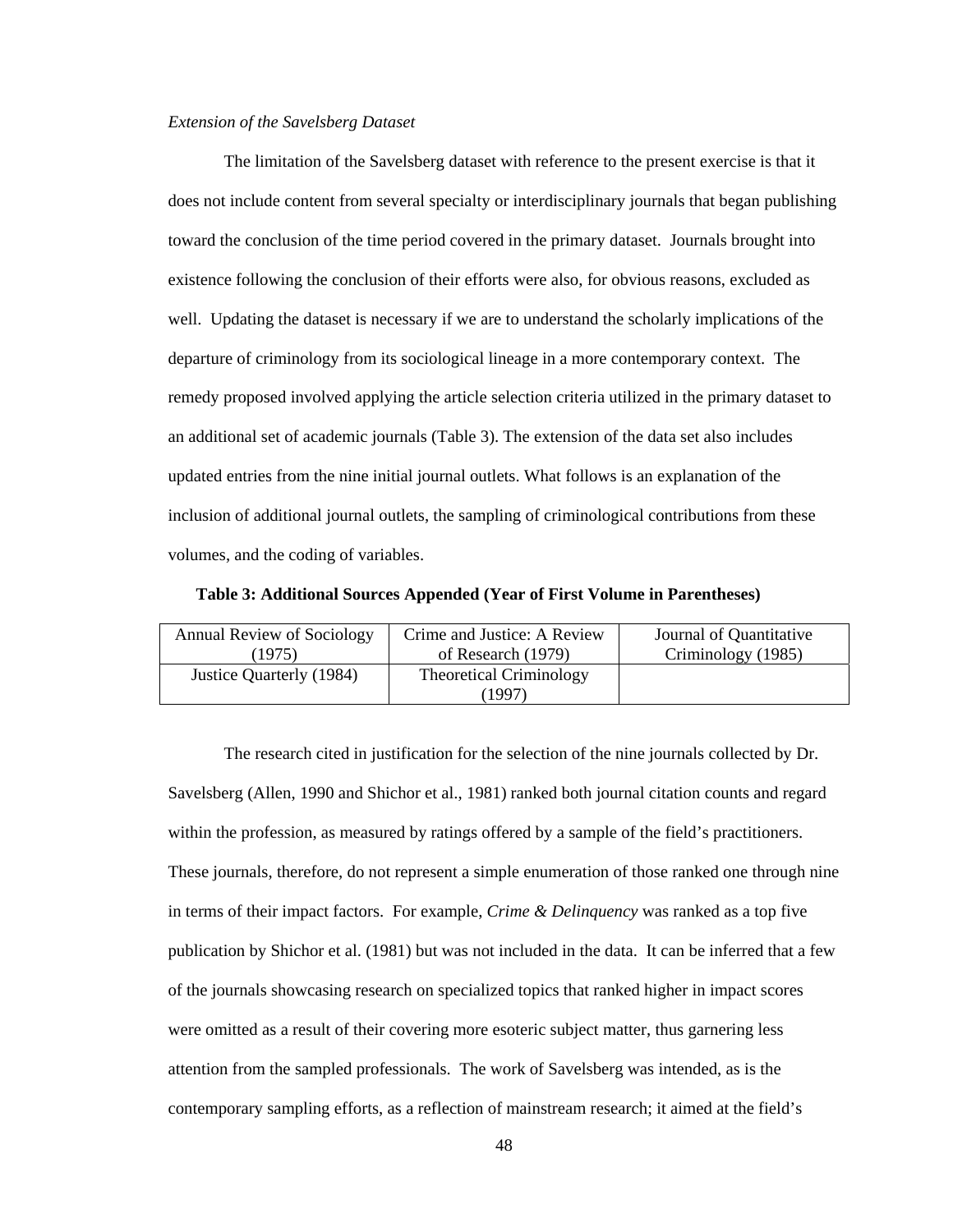#### *Extension of the Savelsberg Dataset*

The limitation of the Savelsberg dataset with reference to the present exercise is that it does not include content from several specialty or interdisciplinary journals that began publishing toward the conclusion of the time period covered in the primary dataset. Journals brought into existence following the conclusion of their efforts were also, for obvious reasons, excluded as well. Updating the dataset is necessary if we are to understand the scholarly implications of the departure of criminology from its sociological lineage in a more contemporary context. The remedy proposed involved applying the article selection criteria utilized in the primary dataset to an additional set of academic journals (Table 3). The extension of the data set also includes updated entries from the nine initial journal outlets. What follows is an explanation of the inclusion of additional journal outlets, the sampling of criminological contributions from these volumes, and the coding of variables.

**Table 3: Additional Sources Appended (Year of First Volume in Parentheses)** 

| Annual Review of Sociology | Crime and Justice: A Review    | Journal of Quantitative |
|----------------------------|--------------------------------|-------------------------|
| (1975)                     | of Research (1979)             | Criminology (1985)      |
| Justice Quarterly (1984)   | <b>Theoretical Criminology</b> |                         |
|                            | 1997)                          |                         |

The research cited in justification for the selection of the nine journals collected by Dr. Savelsberg (Allen, 1990 and Shichor et al., 1981) ranked both journal citation counts and regard within the profession, as measured by ratings offered by a sample of the field's practitioners. These journals, therefore, do not represent a simple enumeration of those ranked one through nine in terms of their impact factors. For example, *Crime & Delinquency* was ranked as a top five publication by Shichor et al. (1981) but was not included in the data. It can be inferred that a few of the journals showcasing research on specialized topics that ranked higher in impact scores were omitted as a result of their covering more esoteric subject matter, thus garnering less attention from the sampled professionals. The work of Savelsberg was intended, as is the contemporary sampling efforts, as a reflection of mainstream research; it aimed at the field's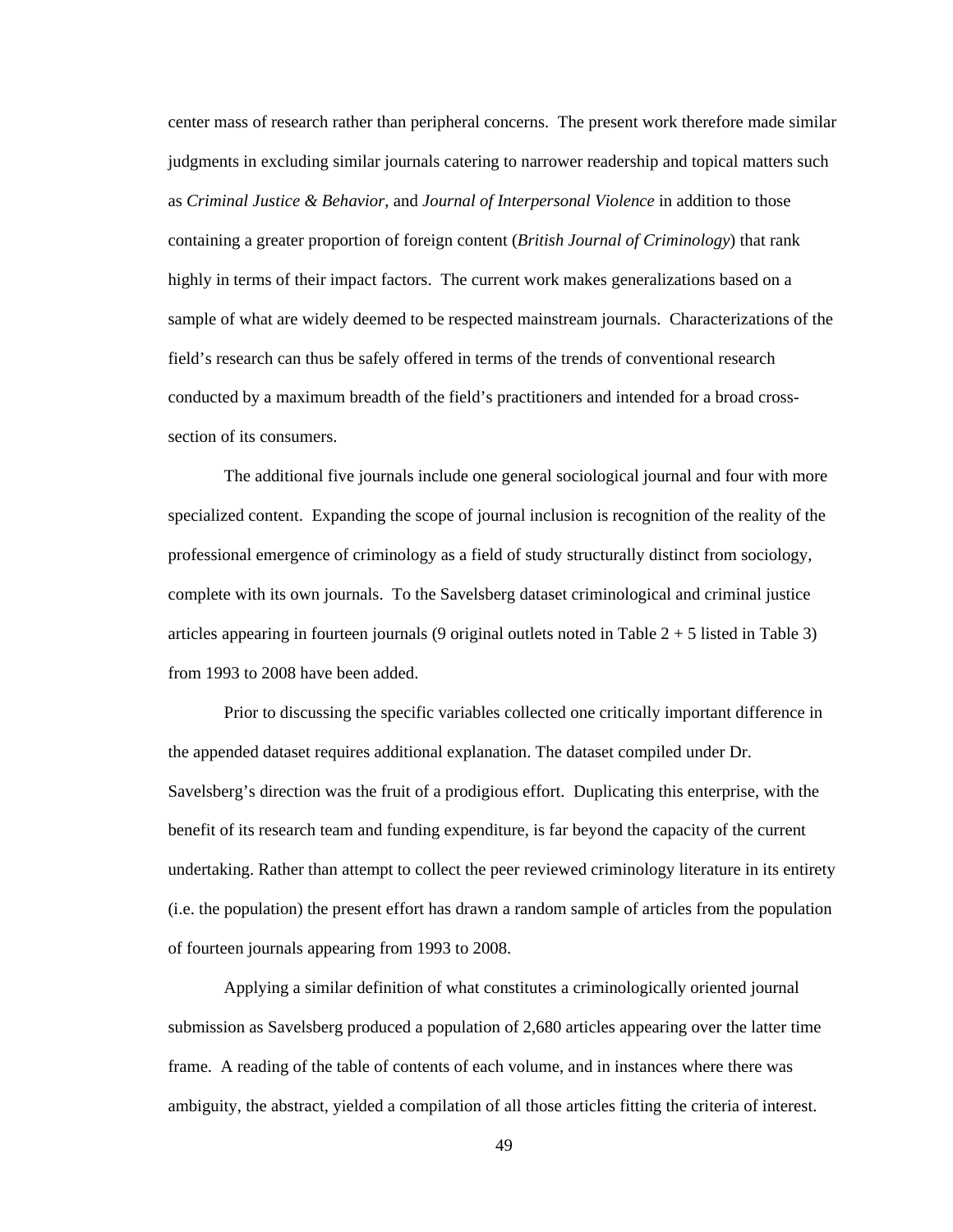center mass of research rather than peripheral concerns. The present work therefore made similar judgments in excluding similar journals catering to narrower readership and topical matters such as *Criminal Justice & Behavior*, and *Journal of Interpersonal Violence* in addition to those containing a greater proportion of foreign content (*British Journal of Criminology*) that rank highly in terms of their impact factors. The current work makes generalizations based on a sample of what are widely deemed to be respected mainstream journals. Characterizations of the field's research can thus be safely offered in terms of the trends of conventional research conducted by a maximum breadth of the field's practitioners and intended for a broad crosssection of its consumers.

The additional five journals include one general sociological journal and four with more specialized content. Expanding the scope of journal inclusion is recognition of the reality of the professional emergence of criminology as a field of study structurally distinct from sociology, complete with its own journals. To the Savelsberg dataset criminological and criminal justice articles appearing in fourteen journals (9 original outlets noted in Table  $2 + 5$  listed in Table 3) from 1993 to 2008 have been added.

Prior to discussing the specific variables collected one critically important difference in the appended dataset requires additional explanation. The dataset compiled under Dr. Savelsberg's direction was the fruit of a prodigious effort. Duplicating this enterprise, with the benefit of its research team and funding expenditure, is far beyond the capacity of the current undertaking. Rather than attempt to collect the peer reviewed criminology literature in its entirety (i.e. the population) the present effort has drawn a random sample of articles from the population of fourteen journals appearing from 1993 to 2008.

Applying a similar definition of what constitutes a criminologically oriented journal submission as Savelsberg produced a population of 2,680 articles appearing over the latter time frame. A reading of the table of contents of each volume, and in instances where there was ambiguity, the abstract, yielded a compilation of all those articles fitting the criteria of interest.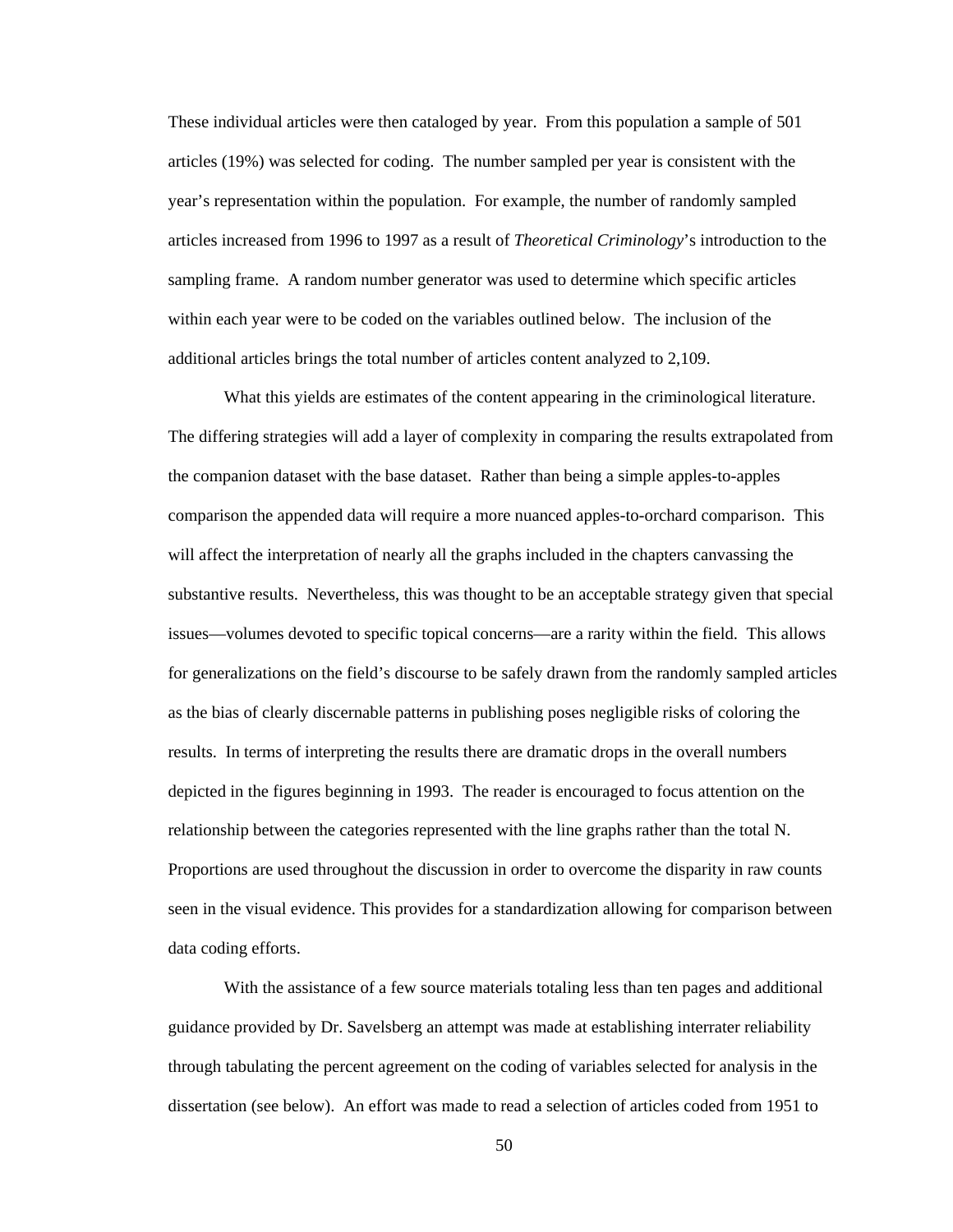These individual articles were then cataloged by year. From this population a sample of 501 articles (19%) was selected for coding. The number sampled per year is consistent with the year's representation within the population. For example, the number of randomly sampled articles increased from 1996 to 1997 as a result of *Theoretical Criminology*'s introduction to the sampling frame. A random number generator was used to determine which specific articles within each year were to be coded on the variables outlined below. The inclusion of the additional articles brings the total number of articles content analyzed to 2,109.

What this yields are estimates of the content appearing in the criminological literature. The differing strategies will add a layer of complexity in comparing the results extrapolated from the companion dataset with the base dataset. Rather than being a simple apples-to-apples comparison the appended data will require a more nuanced apples-to-orchard comparison. This will affect the interpretation of nearly all the graphs included in the chapters canvassing the substantive results. Nevertheless, this was thought to be an acceptable strategy given that special issues—volumes devoted to specific topical concerns—are a rarity within the field. This allows for generalizations on the field's discourse to be safely drawn from the randomly sampled articles as the bias of clearly discernable patterns in publishing poses negligible risks of coloring the results. In terms of interpreting the results there are dramatic drops in the overall numbers depicted in the figures beginning in 1993. The reader is encouraged to focus attention on the relationship between the categories represented with the line graphs rather than the total N. Proportions are used throughout the discussion in order to overcome the disparity in raw counts seen in the visual evidence. This provides for a standardization allowing for comparison between data coding efforts.

With the assistance of a few source materials totaling less than ten pages and additional guidance provided by Dr. Savelsberg an attempt was made at establishing interrater reliability through tabulating the percent agreement on the coding of variables selected for analysis in the dissertation (see below). An effort was made to read a selection of articles coded from 1951 to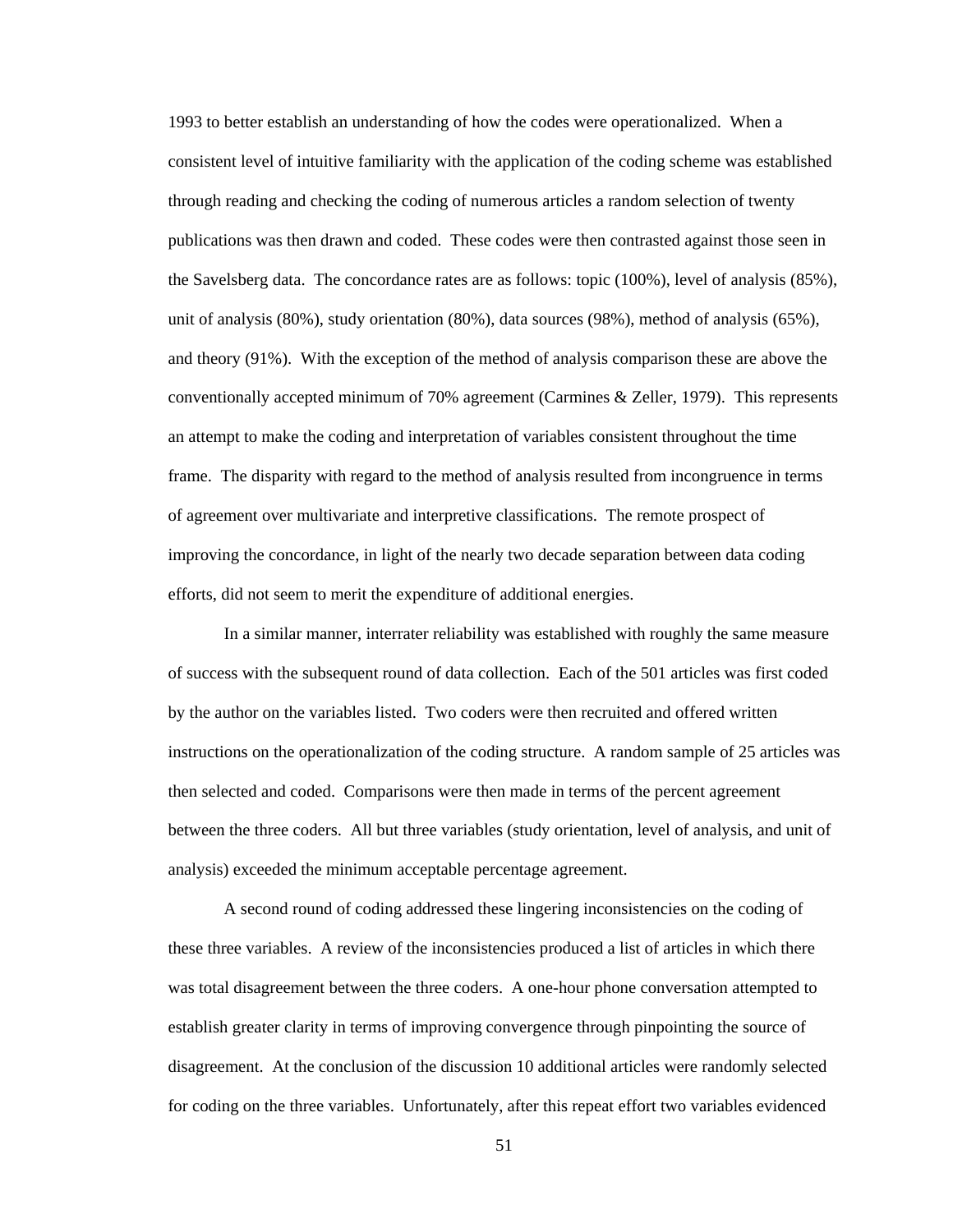1993 to better establish an understanding of how the codes were operationalized. When a consistent level of intuitive familiarity with the application of the coding scheme was established through reading and checking the coding of numerous articles a random selection of twenty publications was then drawn and coded. These codes were then contrasted against those seen in the Savelsberg data. The concordance rates are as follows: topic (100%), level of analysis (85%), unit of analysis (80%), study orientation (80%), data sources (98%), method of analysis (65%), and theory (91%). With the exception of the method of analysis comparison these are above the conventionally accepted minimum of 70% agreement (Carmines & Zeller, 1979). This represents an attempt to make the coding and interpretation of variables consistent throughout the time frame. The disparity with regard to the method of analysis resulted from incongruence in terms of agreement over multivariate and interpretive classifications. The remote prospect of improving the concordance, in light of the nearly two decade separation between data coding efforts, did not seem to merit the expenditure of additional energies.

In a similar manner, interrater reliability was established with roughly the same measure of success with the subsequent round of data collection. Each of the 501 articles was first coded by the author on the variables listed. Two coders were then recruited and offered written instructions on the operationalization of the coding structure. A random sample of 25 articles was then selected and coded. Comparisons were then made in terms of the percent agreement between the three coders. All but three variables (study orientation, level of analysis, and unit of analysis) exceeded the minimum acceptable percentage agreement.

A second round of coding addressed these lingering inconsistencies on the coding of these three variables. A review of the inconsistencies produced a list of articles in which there was total disagreement between the three coders. A one-hour phone conversation attempted to establish greater clarity in terms of improving convergence through pinpointing the source of disagreement. At the conclusion of the discussion 10 additional articles were randomly selected for coding on the three variables. Unfortunately, after this repeat effort two variables evidenced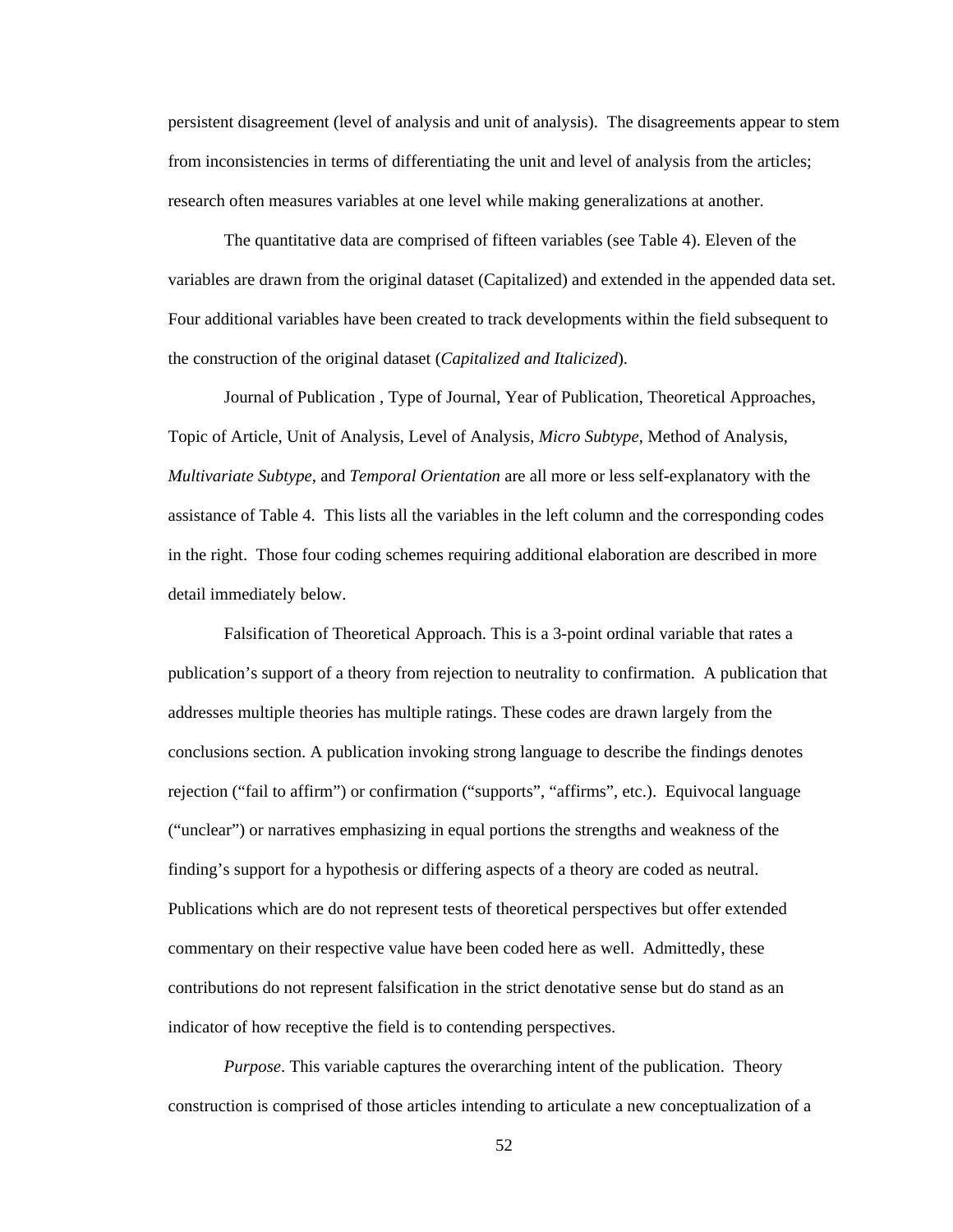persistent disagreement (level of analysis and unit of analysis). The disagreements appear to stem from inconsistencies in terms of differentiating the unit and level of analysis from the articles; research often measures variables at one level while making generalizations at another.

The quantitative data are comprised of fifteen variables (see Table 4). Eleven of the variables are drawn from the original dataset (Capitalized) and extended in the appended data set. Four additional variables have been created to track developments within the field subsequent to the construction of the original dataset (*Capitalized and Italicized*).

Journal of Publication , Type of Journal, Year of Publication, Theoretical Approaches, Topic of Article, Unit of Analysis, Level of Analysis*, Micro Subtype*, Method of Analysis, *Multivariate Subtype*, and *Temporal Orientation* are all more or less self-explanatory with the assistance of Table 4. This lists all the variables in the left column and the corresponding codes in the right. Those four coding schemes requiring additional elaboration are described in more detail immediately below.

Falsification of Theoretical Approach. This is a 3-point ordinal variable that rates a publication's support of a theory from rejection to neutrality to confirmation. A publication that addresses multiple theories has multiple ratings. These codes are drawn largely from the conclusions section. A publication invoking strong language to describe the findings denotes rejection ("fail to affirm") or confirmation ("supports", "affirms", etc.). Equivocal language ("unclear") or narratives emphasizing in equal portions the strengths and weakness of the finding's support for a hypothesis or differing aspects of a theory are coded as neutral. Publications which are do not represent tests of theoretical perspectives but offer extended commentary on their respective value have been coded here as well. Admittedly, these contributions do not represent falsification in the strict denotative sense but do stand as an indicator of how receptive the field is to contending perspectives.

*Purpose*. This variable captures the overarching intent of the publication. Theory construction is comprised of those articles intending to articulate a new conceptualization of a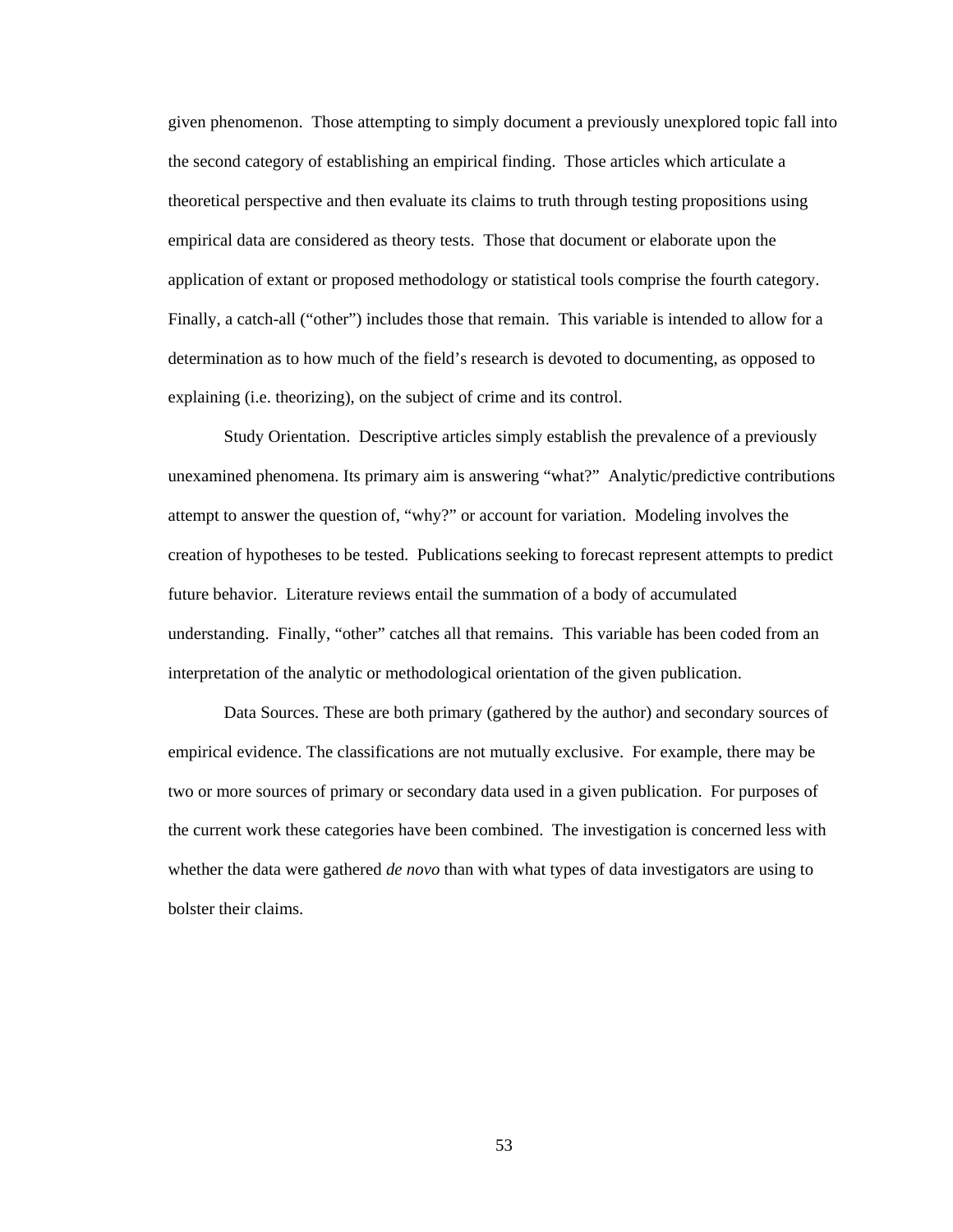given phenomenon. Those attempting to simply document a previously unexplored topic fall into the second category of establishing an empirical finding. Those articles which articulate a theoretical perspective and then evaluate its claims to truth through testing propositions using empirical data are considered as theory tests. Those that document or elaborate upon the application of extant or proposed methodology or statistical tools comprise the fourth category. Finally, a catch-all ("other") includes those that remain. This variable is intended to allow for a determination as to how much of the field's research is devoted to documenting, as opposed to explaining (i.e. theorizing), on the subject of crime and its control.

Study Orientation. Descriptive articles simply establish the prevalence of a previously unexamined phenomena. Its primary aim is answering "what?" Analytic/predictive contributions attempt to answer the question of, "why?" or account for variation. Modeling involves the creation of hypotheses to be tested. Publications seeking to forecast represent attempts to predict future behavior. Literature reviews entail the summation of a body of accumulated understanding. Finally, "other" catches all that remains. This variable has been coded from an interpretation of the analytic or methodological orientation of the given publication.

Data Sources. These are both primary (gathered by the author) and secondary sources of empirical evidence. The classifications are not mutually exclusive. For example, there may be two or more sources of primary or secondary data used in a given publication. For purposes of the current work these categories have been combined. The investigation is concerned less with whether the data were gathered *de novo* than with what types of data investigators are using to bolster their claims.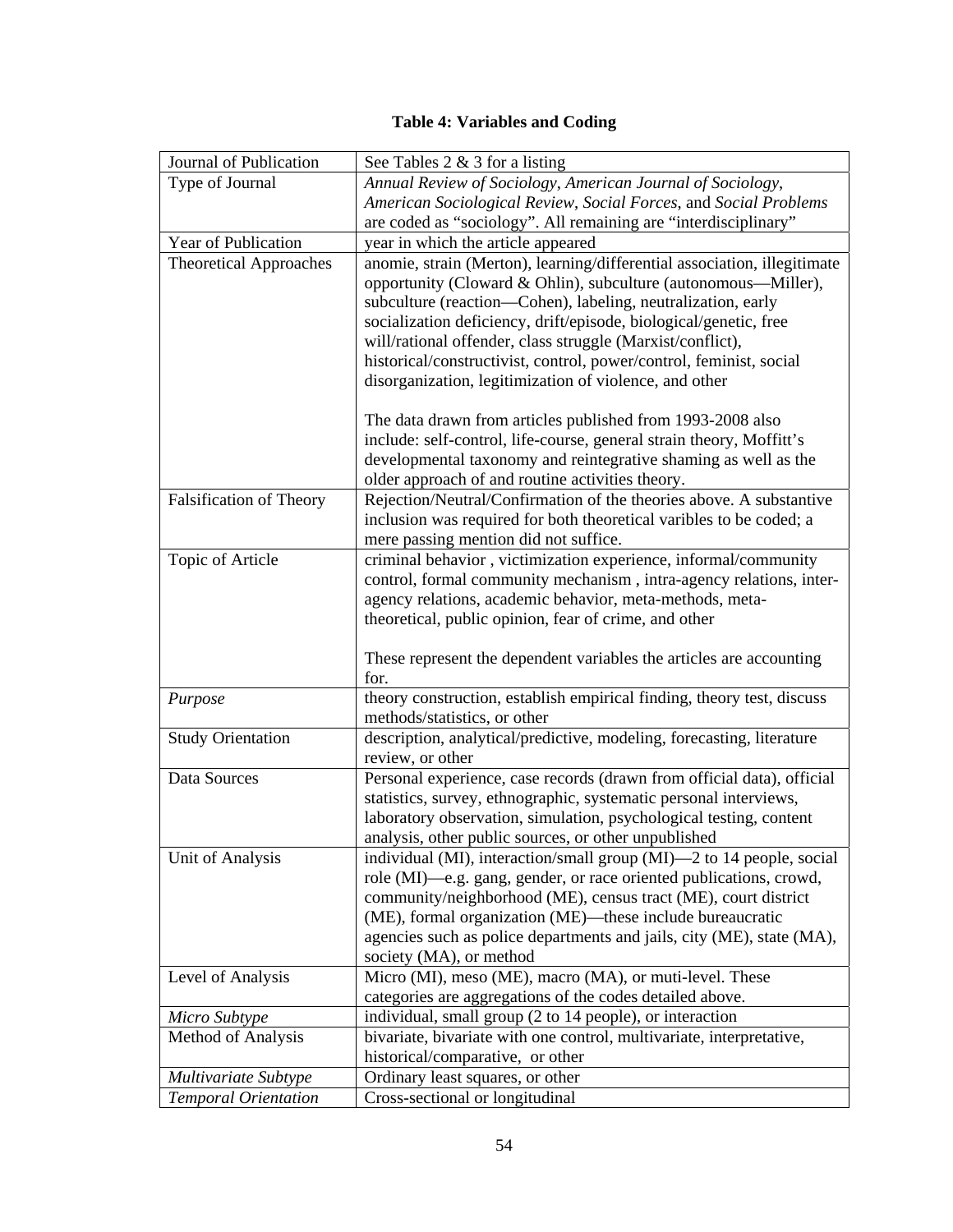# **Table 4: Variables and Coding**

| Journal of Publication         | See Tables $2 \& 3$ for a listing                                                                                                    |  |  |  |  |  |
|--------------------------------|--------------------------------------------------------------------------------------------------------------------------------------|--|--|--|--|--|
| Type of Journal                | Annual Review of Sociology, American Journal of Sociology,                                                                           |  |  |  |  |  |
|                                | American Sociological Review, Social Forces, and Social Problems                                                                     |  |  |  |  |  |
|                                | are coded as "sociology". All remaining are "interdisciplinary"                                                                      |  |  |  |  |  |
| Year of Publication            | year in which the article appeared                                                                                                   |  |  |  |  |  |
| <b>Theoretical Approaches</b>  | anomie, strain (Merton), learning/differential association, illegitimate                                                             |  |  |  |  |  |
|                                | opportunity (Cloward & Ohlin), subculture (autonomous—Miller),                                                                       |  |  |  |  |  |
|                                | subculture (reaction—Cohen), labeling, neutralization, early                                                                         |  |  |  |  |  |
|                                | socialization deficiency, drift/episode, biological/genetic, free                                                                    |  |  |  |  |  |
|                                | will/rational offender, class struggle (Marxist/conflict),                                                                           |  |  |  |  |  |
|                                | historical/constructivist, control, power/control, feminist, social                                                                  |  |  |  |  |  |
|                                | disorganization, legitimization of violence, and other                                                                               |  |  |  |  |  |
|                                |                                                                                                                                      |  |  |  |  |  |
|                                | The data drawn from articles published from 1993-2008 also                                                                           |  |  |  |  |  |
|                                | include: self-control, life-course, general strain theory, Moffitt's                                                                 |  |  |  |  |  |
|                                | developmental taxonomy and reintegrative shaming as well as the                                                                      |  |  |  |  |  |
|                                | older approach of and routine activities theory.                                                                                     |  |  |  |  |  |
| <b>Falsification of Theory</b> | Rejection/Neutral/Confirmation of the theories above. A substantive                                                                  |  |  |  |  |  |
|                                | inclusion was required for both theoretical varibles to be coded; a                                                                  |  |  |  |  |  |
|                                | mere passing mention did not suffice.                                                                                                |  |  |  |  |  |
| Topic of Article               | criminal behavior, victimization experience, informal/community                                                                      |  |  |  |  |  |
|                                | control, formal community mechanism, intra-agency relations, inter-                                                                  |  |  |  |  |  |
|                                | agency relations, academic behavior, meta-methods, meta-                                                                             |  |  |  |  |  |
|                                | theoretical, public opinion, fear of crime, and other                                                                                |  |  |  |  |  |
|                                |                                                                                                                                      |  |  |  |  |  |
|                                | These represent the dependent variables the articles are accounting                                                                  |  |  |  |  |  |
|                                | for.                                                                                                                                 |  |  |  |  |  |
| Purpose                        | theory construction, establish empirical finding, theory test, discuss                                                               |  |  |  |  |  |
|                                | methods/statistics, or other                                                                                                         |  |  |  |  |  |
| <b>Study Orientation</b>       | description, analytical/predictive, modeling, forecasting, literature                                                                |  |  |  |  |  |
|                                | review, or other                                                                                                                     |  |  |  |  |  |
| Data Sources                   | Personal experience, case records (drawn from official data), official                                                               |  |  |  |  |  |
|                                | statistics, survey, ethnographic, systematic personal interviews,                                                                    |  |  |  |  |  |
|                                | laboratory observation, simulation, psychological testing, content                                                                   |  |  |  |  |  |
|                                | analysis, other public sources, or other unpublished                                                                                 |  |  |  |  |  |
| Unit of Analysis               | individual (MI), interaction/small group (MI)—2 to 14 people, social                                                                 |  |  |  |  |  |
|                                | role (MI)—e.g. gang, gender, or race oriented publications, crowd,<br>community/neighborhood (ME), census tract (ME), court district |  |  |  |  |  |
|                                | (ME), formal organization (ME)—these include bureaucratic                                                                            |  |  |  |  |  |
|                                | agencies such as police departments and jails, city (ME), state (MA),                                                                |  |  |  |  |  |
|                                | society (MA), or method                                                                                                              |  |  |  |  |  |
| Level of Analysis              | Micro (MI), meso (ME), macro (MA), or muti-level. These                                                                              |  |  |  |  |  |
|                                | categories are aggregations of the codes detailed above.                                                                             |  |  |  |  |  |
| Micro Subtype                  | individual, small group (2 to 14 people), or interaction                                                                             |  |  |  |  |  |
| Method of Analysis             | bivariate, bivariate with one control, multivariate, interpretative,                                                                 |  |  |  |  |  |
|                                | historical/comparative, or other                                                                                                     |  |  |  |  |  |
| Multivariate Subtype           | Ordinary least squares, or other                                                                                                     |  |  |  |  |  |
| <b>Temporal Orientation</b>    | Cross-sectional or longitudinal                                                                                                      |  |  |  |  |  |
|                                |                                                                                                                                      |  |  |  |  |  |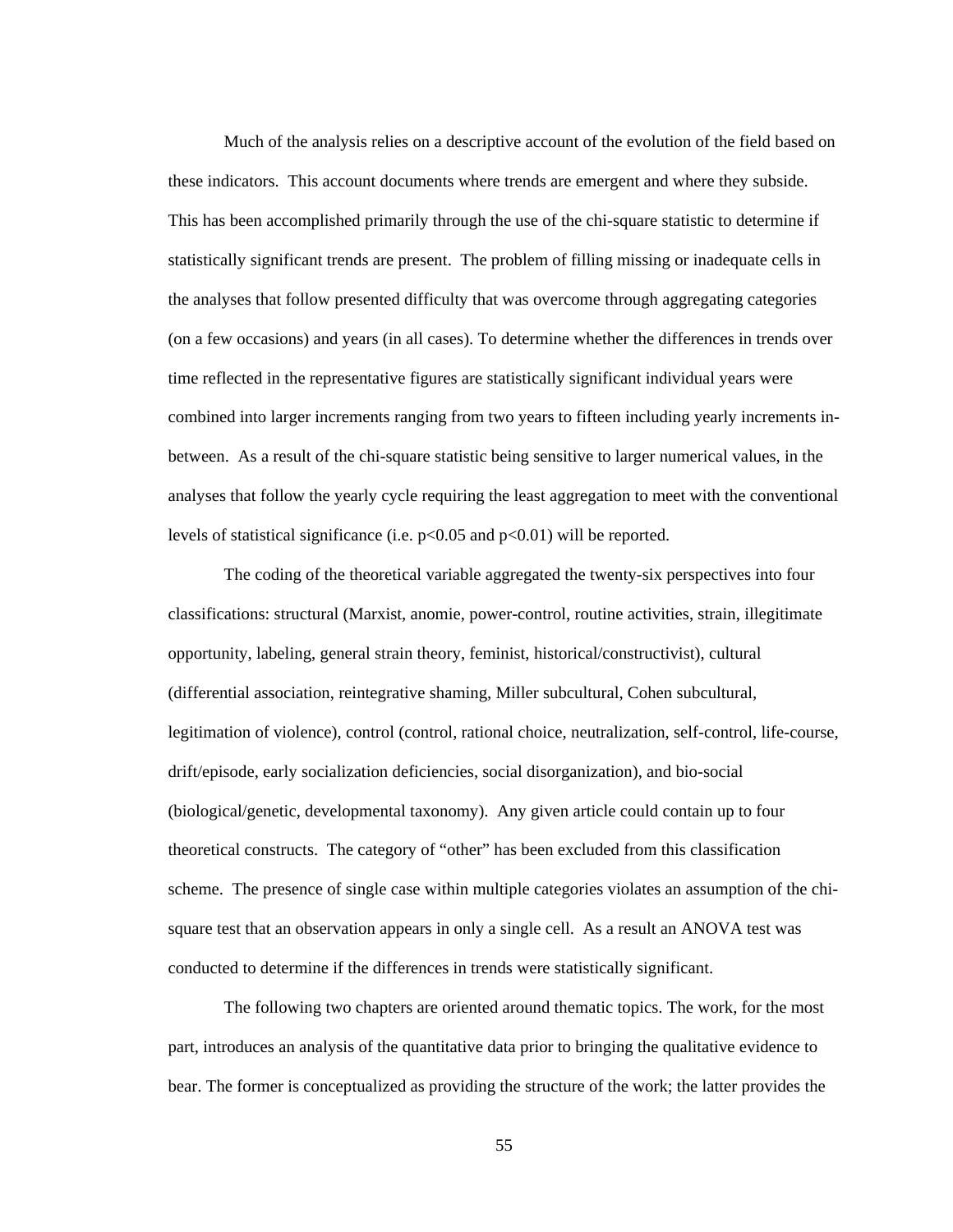Much of the analysis relies on a descriptive account of the evolution of the field based on these indicators. This account documents where trends are emergent and where they subside. This has been accomplished primarily through the use of the chi-square statistic to determine if statistically significant trends are present. The problem of filling missing or inadequate cells in the analyses that follow presented difficulty that was overcome through aggregating categories (on a few occasions) and years (in all cases). To determine whether the differences in trends over time reflected in the representative figures are statistically significant individual years were combined into larger increments ranging from two years to fifteen including yearly increments inbetween. As a result of the chi-square statistic being sensitive to larger numerical values, in the analyses that follow the yearly cycle requiring the least aggregation to meet with the conventional levels of statistical significance (i.e.  $p<0.05$  and  $p<0.01$ ) will be reported.

The coding of the theoretical variable aggregated the twenty-six perspectives into four classifications: structural (Marxist, anomie, power-control, routine activities, strain, illegitimate opportunity, labeling, general strain theory, feminist, historical/constructivist), cultural (differential association, reintegrative shaming, Miller subcultural, Cohen subcultural, legitimation of violence), control (control, rational choice, neutralization, self-control, life-course, drift/episode, early socialization deficiencies, social disorganization), and bio-social (biological/genetic, developmental taxonomy). Any given article could contain up to four theoretical constructs. The category of "other" has been excluded from this classification scheme. The presence of single case within multiple categories violates an assumption of the chisquare test that an observation appears in only a single cell. As a result an ANOVA test was conducted to determine if the differences in trends were statistically significant.

The following two chapters are oriented around thematic topics. The work, for the most part, introduces an analysis of the quantitative data prior to bringing the qualitative evidence to bear. The former is conceptualized as providing the structure of the work; the latter provides the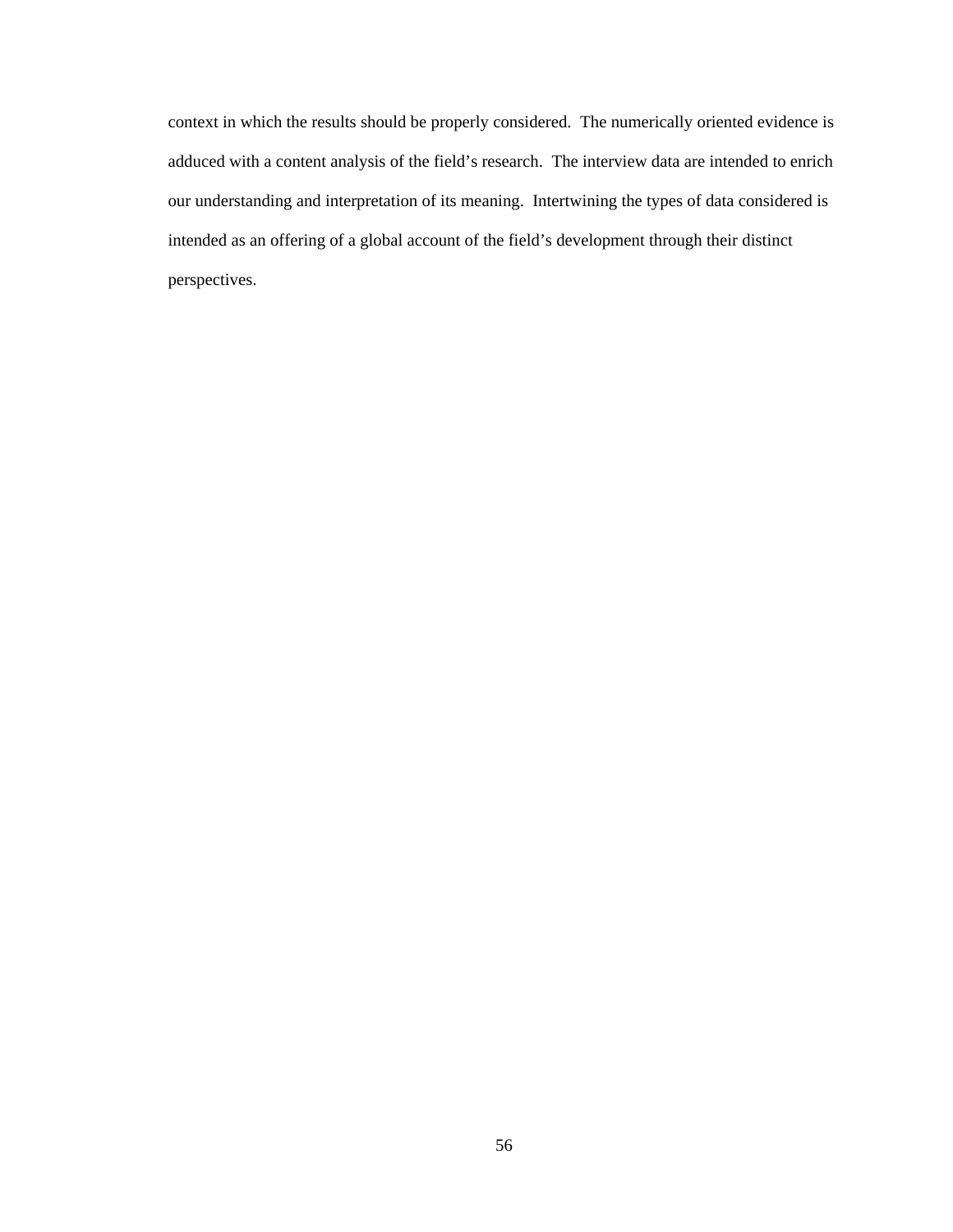context in which the results should be properly considered. The numerically oriented evidence is adduced with a content analysis of the field's research. The interview data are intended to enrich our understanding and interpretation of its meaning. Intertwining the types of data considered is intended as an offering of a global account of the field's development through their distinct perspectives.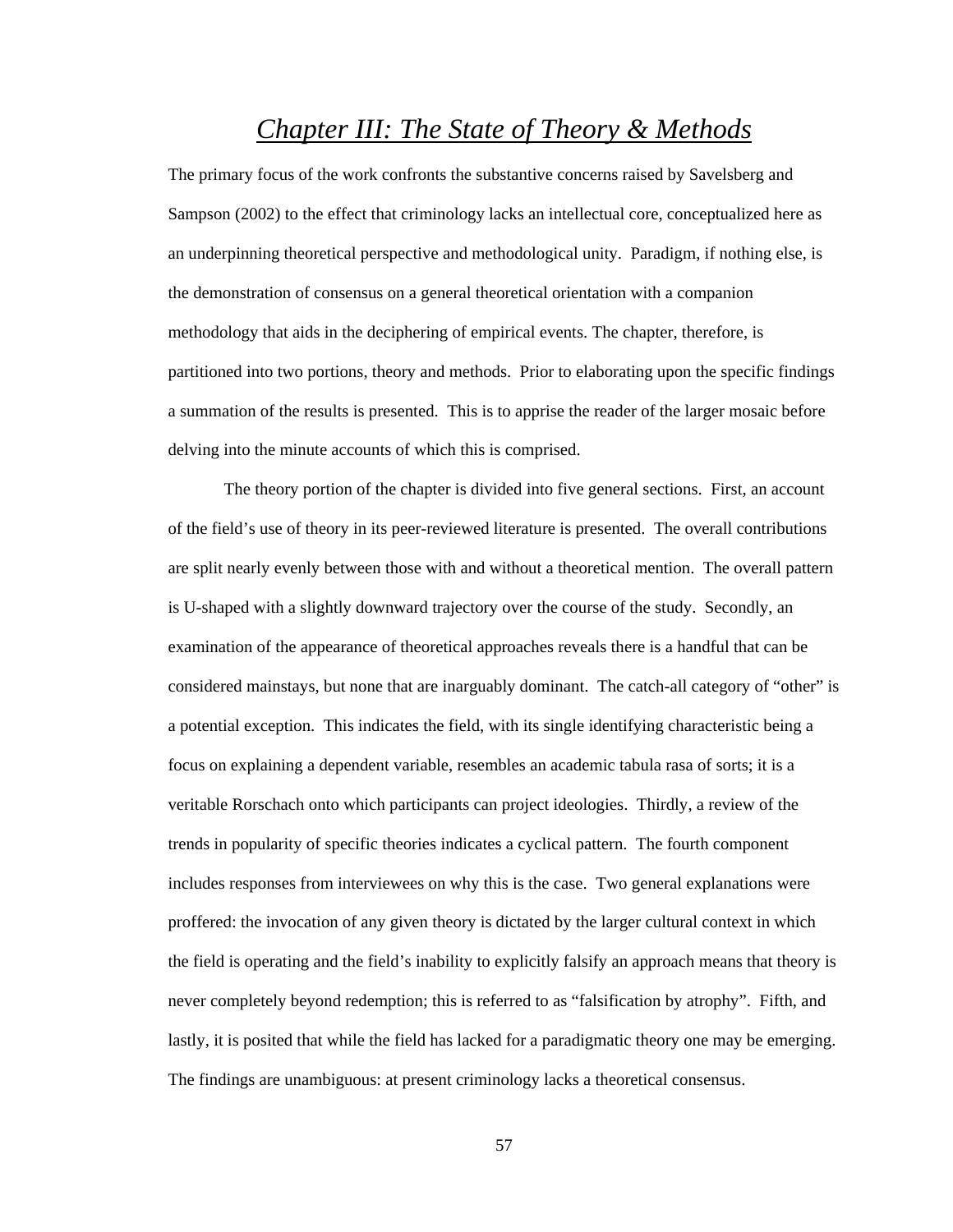# *Chapter III: The State of Theory & Methods*

The primary focus of the work confronts the substantive concerns raised by Savelsberg and Sampson (2002) to the effect that criminology lacks an intellectual core, conceptualized here as an underpinning theoretical perspective and methodological unity. Paradigm, if nothing else, is the demonstration of consensus on a general theoretical orientation with a companion methodology that aids in the deciphering of empirical events. The chapter, therefore, is partitioned into two portions, theory and methods. Prior to elaborating upon the specific findings a summation of the results is presented. This is to apprise the reader of the larger mosaic before delving into the minute accounts of which this is comprised.

 The theory portion of the chapter is divided into five general sections. First, an account of the field's use of theory in its peer-reviewed literature is presented. The overall contributions are split nearly evenly between those with and without a theoretical mention. The overall pattern is U-shaped with a slightly downward trajectory over the course of the study. Secondly, an examination of the appearance of theoretical approaches reveals there is a handful that can be considered mainstays, but none that are inarguably dominant. The catch-all category of "other" is a potential exception. This indicates the field, with its single identifying characteristic being a focus on explaining a dependent variable, resembles an academic tabula rasa of sorts; it is a veritable Rorschach onto which participants can project ideologies. Thirdly, a review of the trends in popularity of specific theories indicates a cyclical pattern. The fourth component includes responses from interviewees on why this is the case. Two general explanations were proffered: the invocation of any given theory is dictated by the larger cultural context in which the field is operating and the field's inability to explicitly falsify an approach means that theory is never completely beyond redemption; this is referred to as "falsification by atrophy". Fifth, and lastly, it is posited that while the field has lacked for a paradigmatic theory one may be emerging. The findings are unambiguous: at present criminology lacks a theoretical consensus.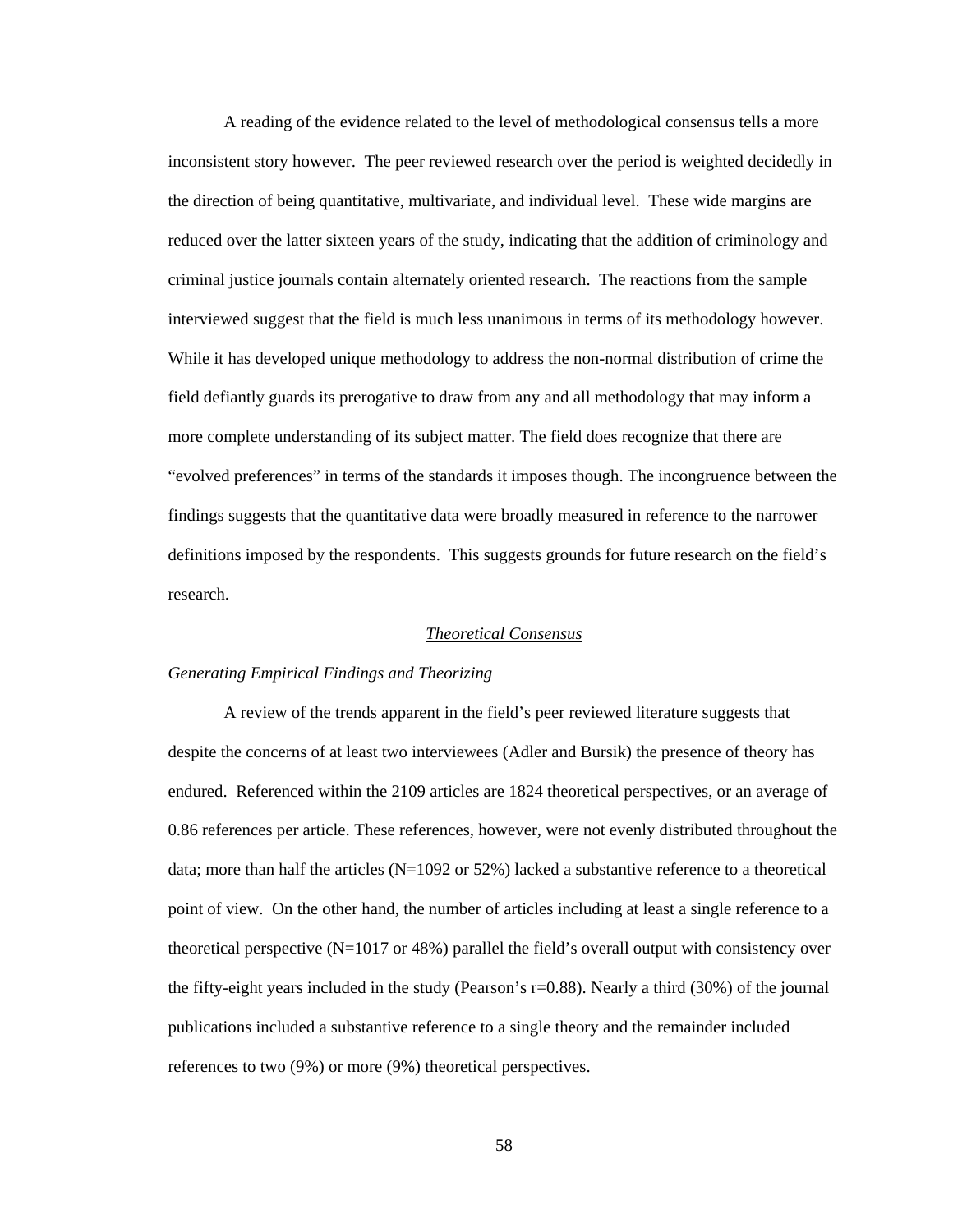A reading of the evidence related to the level of methodological consensus tells a more inconsistent story however. The peer reviewed research over the period is weighted decidedly in the direction of being quantitative, multivariate, and individual level. These wide margins are reduced over the latter sixteen years of the study, indicating that the addition of criminology and criminal justice journals contain alternately oriented research. The reactions from the sample interviewed suggest that the field is much less unanimous in terms of its methodology however. While it has developed unique methodology to address the non-normal distribution of crime the field defiantly guards its prerogative to draw from any and all methodology that may inform a more complete understanding of its subject matter. The field does recognize that there are "evolved preferences" in terms of the standards it imposes though. The incongruence between the findings suggests that the quantitative data were broadly measured in reference to the narrower definitions imposed by the respondents. This suggests grounds for future research on the field's research.

### *Theoretical Consensus*

#### *Generating Empirical Findings and Theorizing*

A review of the trends apparent in the field's peer reviewed literature suggests that despite the concerns of at least two interviewees (Adler and Bursik) the presence of theory has endured. Referenced within the 2109 articles are 1824 theoretical perspectives, or an average of 0.86 references per article. These references, however, were not evenly distributed throughout the data; more than half the articles (N=1092 or 52%) lacked a substantive reference to a theoretical point of view. On the other hand, the number of articles including at least a single reference to a theoretical perspective  $(N=1017 \text{ or } 48\%)$  parallel the field's overall output with consistency over the fifty-eight years included in the study (Pearson's r=0.88). Nearly a third (30%) of the journal publications included a substantive reference to a single theory and the remainder included references to two (9%) or more (9%) theoretical perspectives.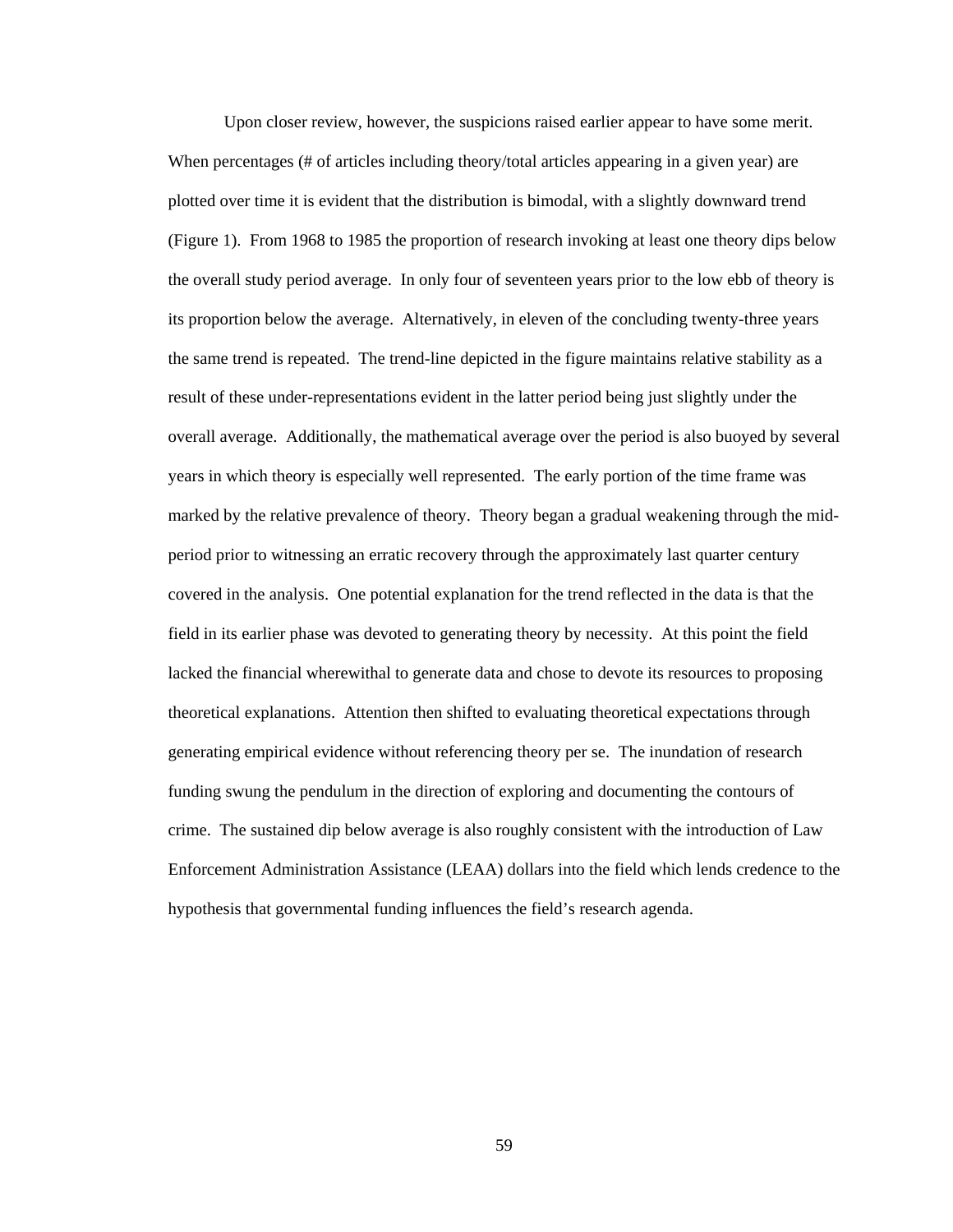Upon closer review, however, the suspicions raised earlier appear to have some merit. When percentages (# of articles including theory/total articles appearing in a given year) are plotted over time it is evident that the distribution is bimodal, with a slightly downward trend (Figure 1). From 1968 to 1985 the proportion of research invoking at least one theory dips below the overall study period average. In only four of seventeen years prior to the low ebb of theory is its proportion below the average. Alternatively, in eleven of the concluding twenty-three years the same trend is repeated. The trend-line depicted in the figure maintains relative stability as a result of these under-representations evident in the latter period being just slightly under the overall average. Additionally, the mathematical average over the period is also buoyed by several years in which theory is especially well represented. The early portion of the time frame was marked by the relative prevalence of theory. Theory began a gradual weakening through the midperiod prior to witnessing an erratic recovery through the approximately last quarter century covered in the analysis. One potential explanation for the trend reflected in the data is that the field in its earlier phase was devoted to generating theory by necessity. At this point the field lacked the financial wherewithal to generate data and chose to devote its resources to proposing theoretical explanations. Attention then shifted to evaluating theoretical expectations through generating empirical evidence without referencing theory per se. The inundation of research funding swung the pendulum in the direction of exploring and documenting the contours of crime. The sustained dip below average is also roughly consistent with the introduction of Law Enforcement Administration Assistance (LEAA) dollars into the field which lends credence to the hypothesis that governmental funding influences the field's research agenda.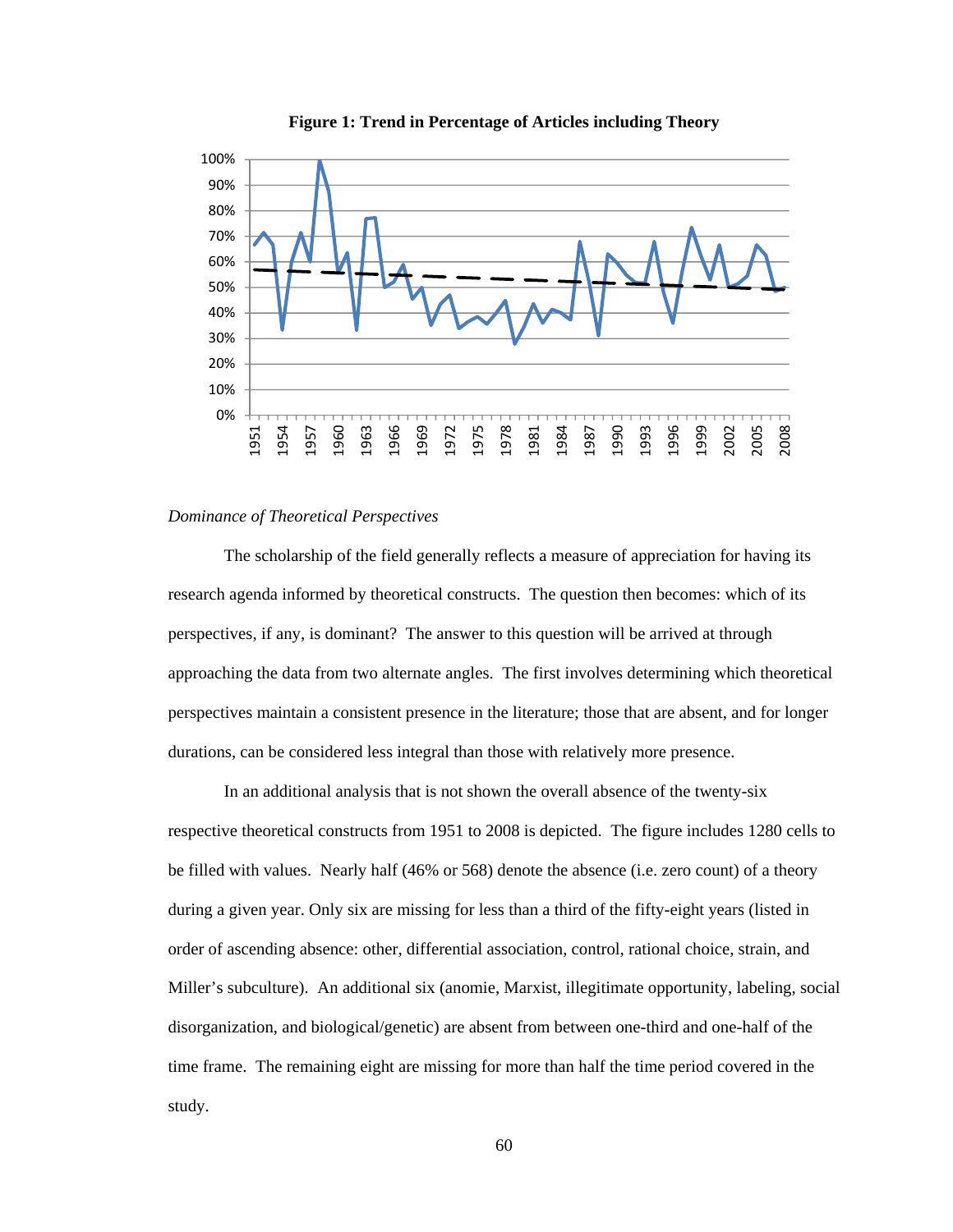

**Figure 1: Trend in Percentage of Articles including Theory** 

#### *Dominance of Theoretical Perspectives*

The scholarship of the field generally reflects a measure of appreciation for having its research agenda informed by theoretical constructs. The question then becomes: which of its perspectives, if any, is dominant? The answer to this question will be arrived at through approaching the data from two alternate angles. The first involves determining which theoretical perspectives maintain a consistent presence in the literature; those that are absent, and for longer durations, can be considered less integral than those with relatively more presence.

 In an additional analysis that is not shown the overall absence of the twenty-six respective theoretical constructs from 1951 to 2008 is depicted. The figure includes 1280 cells to be filled with values. Nearly half (46% or 568) denote the absence (i.e. zero count) of a theory during a given year. Only six are missing for less than a third of the fifty-eight years (listed in order of ascending absence: other, differential association, control, rational choice, strain, and Miller's subculture). An additional six (anomie, Marxist, illegitimate opportunity, labeling, social disorganization, and biological/genetic) are absent from between one-third and one-half of the time frame. The remaining eight are missing for more than half the time period covered in the study.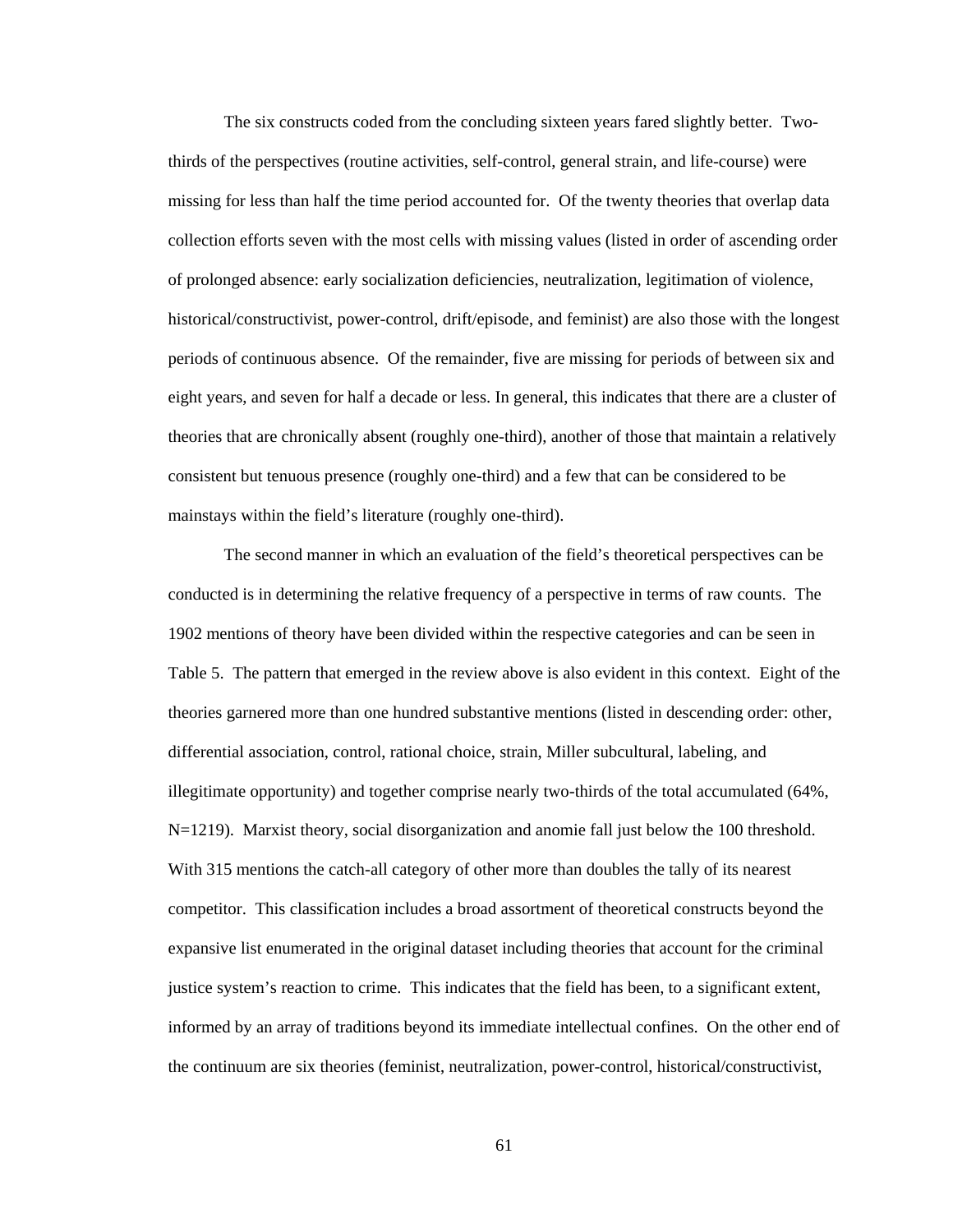The six constructs coded from the concluding sixteen years fared slightly better. Twothirds of the perspectives (routine activities, self-control, general strain, and life-course) were missing for less than half the time period accounted for. Of the twenty theories that overlap data collection efforts seven with the most cells with missing values (listed in order of ascending order of prolonged absence: early socialization deficiencies, neutralization, legitimation of violence, historical/constructivist, power-control, drift/episode, and feminist) are also those with the longest periods of continuous absence. Of the remainder, five are missing for periods of between six and eight years, and seven for half a decade or less. In general, this indicates that there are a cluster of theories that are chronically absent (roughly one-third), another of those that maintain a relatively consistent but tenuous presence (roughly one-third) and a few that can be considered to be mainstays within the field's literature (roughly one-third).

 The second manner in which an evaluation of the field's theoretical perspectives can be conducted is in determining the relative frequency of a perspective in terms of raw counts. The 1902 mentions of theory have been divided within the respective categories and can be seen in Table 5. The pattern that emerged in the review above is also evident in this context. Eight of the theories garnered more than one hundred substantive mentions (listed in descending order: other, differential association, control, rational choice, strain, Miller subcultural, labeling, and illegitimate opportunity) and together comprise nearly two-thirds of the total accumulated (64%, N=1219). Marxist theory, social disorganization and anomie fall just below the 100 threshold. With 315 mentions the catch-all category of other more than doubles the tally of its nearest competitor. This classification includes a broad assortment of theoretical constructs beyond the expansive list enumerated in the original dataset including theories that account for the criminal justice system's reaction to crime. This indicates that the field has been, to a significant extent, informed by an array of traditions beyond its immediate intellectual confines. On the other end of the continuum are six theories (feminist, neutralization, power-control, historical/constructivist,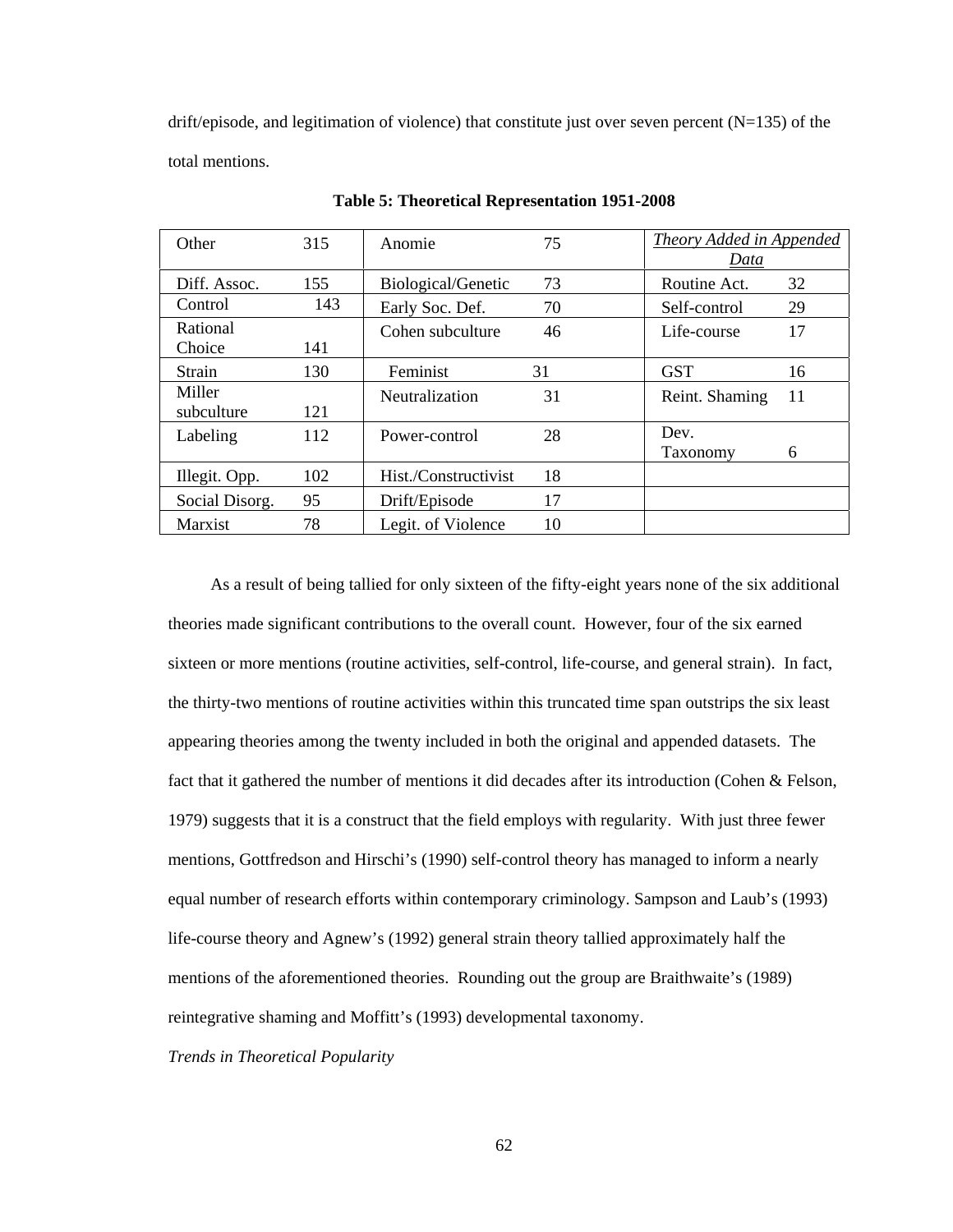drift/episode, and legitimation of violence) that constitute just over seven percent  $(N=135)$  of the total mentions.

| Other          | 315 | Anomie               | 75 | Theory Added in Appended |  |
|----------------|-----|----------------------|----|--------------------------|--|
|                |     |                      |    | Data                     |  |
| Diff. Assoc.   | 155 | Biological/Genetic   | 73 | 32<br>Routine Act.       |  |
| Control        | 143 | Early Soc. Def.      | 70 | 29<br>Self-control       |  |
| Rational       |     | Cohen subculture     | 46 | 17<br>Life-course        |  |
| Choice         | 141 |                      |    |                          |  |
| Strain         | 130 | Feminist             | 31 | <b>GST</b><br>16         |  |
| Miller         |     | Neutralization       | 31 | Reint. Shaming<br>11     |  |
| subculture     | 121 |                      |    |                          |  |
| Labeling       | 112 | Power-control        | 28 | Dev.                     |  |
|                |     |                      |    | Taxonomy<br>6            |  |
| Illegit. Opp.  | 102 | Hist./Constructivist | 18 |                          |  |
| Social Disorg. | 95  | Drift/Episode        | 17 |                          |  |
| <b>Marxist</b> | 78  | Legit. of Violence   | 10 |                          |  |

**Table 5: Theoretical Representation 1951-2008** 

As a result of being tallied for only sixteen of the fifty-eight years none of the six additional theories made significant contributions to the overall count. However, four of the six earned sixteen or more mentions (routine activities, self-control, life-course, and general strain). In fact, the thirty-two mentions of routine activities within this truncated time span outstrips the six least appearing theories among the twenty included in both the original and appended datasets. The fact that it gathered the number of mentions it did decades after its introduction (Cohen & Felson, 1979) suggests that it is a construct that the field employs with regularity. With just three fewer mentions, Gottfredson and Hirschi's (1990) self-control theory has managed to inform a nearly equal number of research efforts within contemporary criminology. Sampson and Laub's (1993) life-course theory and Agnew's (1992) general strain theory tallied approximately half the mentions of the aforementioned theories. Rounding out the group are Braithwaite's (1989) reintegrative shaming and Moffitt's (1993) developmental taxonomy.

*Trends in Theoretical Popularity*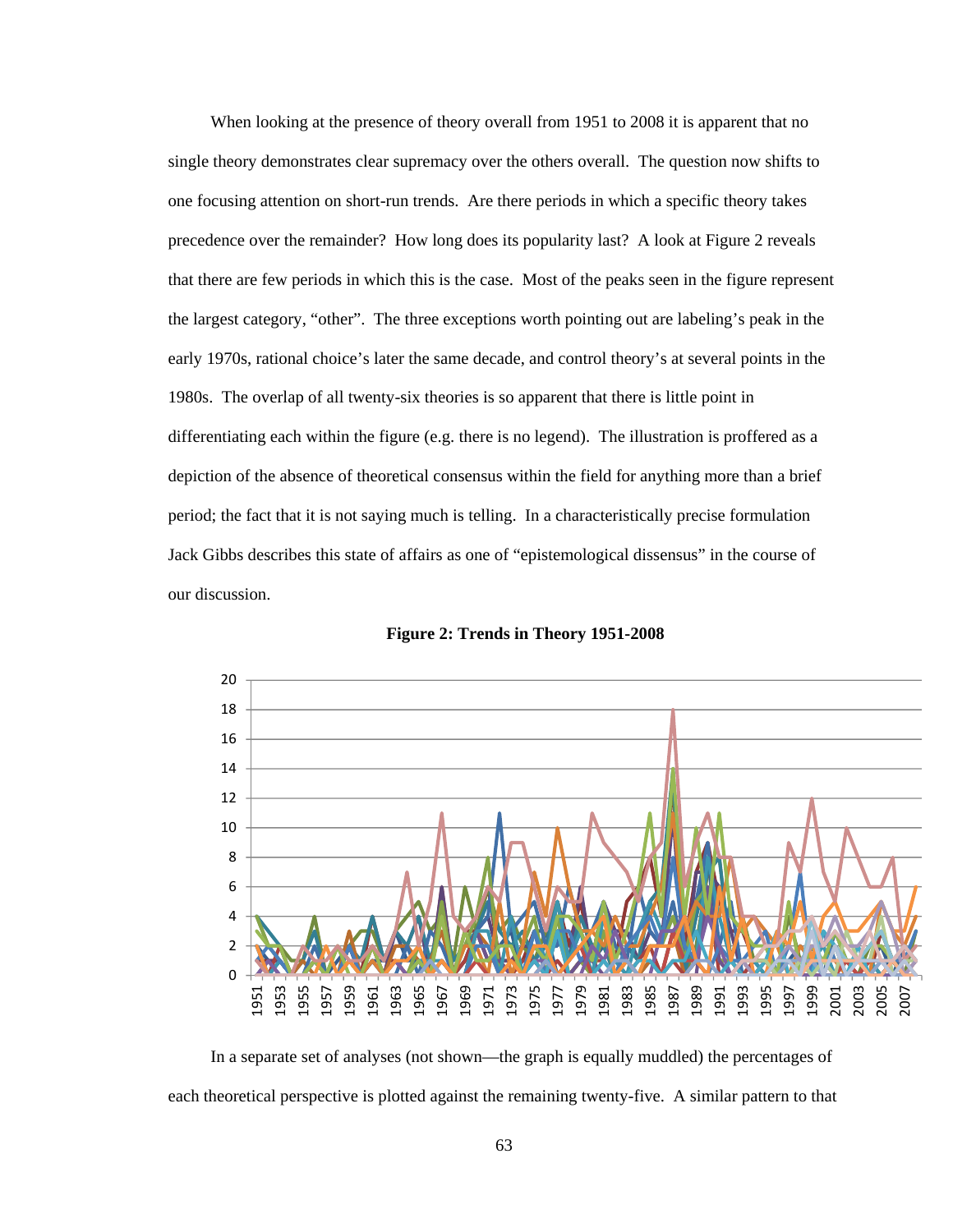When looking at the presence of theory overall from 1951 to 2008 it is apparent that no single theory demonstrates clear supremacy over the others overall. The question now shifts to one focusing attention on short-run trends. Are there periods in which a specific theory takes precedence over the remainder? How long does its popularity last? A look at Figure 2 reveals that there are few periods in which this is the case. Most of the peaks seen in the figure represent the largest category, "other". The three exceptions worth pointing out are labeling's peak in the early 1970s, rational choice's later the same decade, and control theory's at several points in the 1980s. The overlap of all twenty-six theories is so apparent that there is little point in differentiating each within the figure (e.g. there is no legend). The illustration is proffered as a depiction of the absence of theoretical consensus within the field for anything more than a brief period; the fact that it is not saying much is telling. In a characteristically precise formulation Jack Gibbs describes this state of affairs as one of "epistemological dissensus" in the course of our discussion.



**Figure 2: Trends in Theory 1951-2008** 

In a separate set of analyses (not shown—the graph is equally muddled) the percentages of each theoretical perspective is plotted against the remaining twenty-five. A similar pattern to that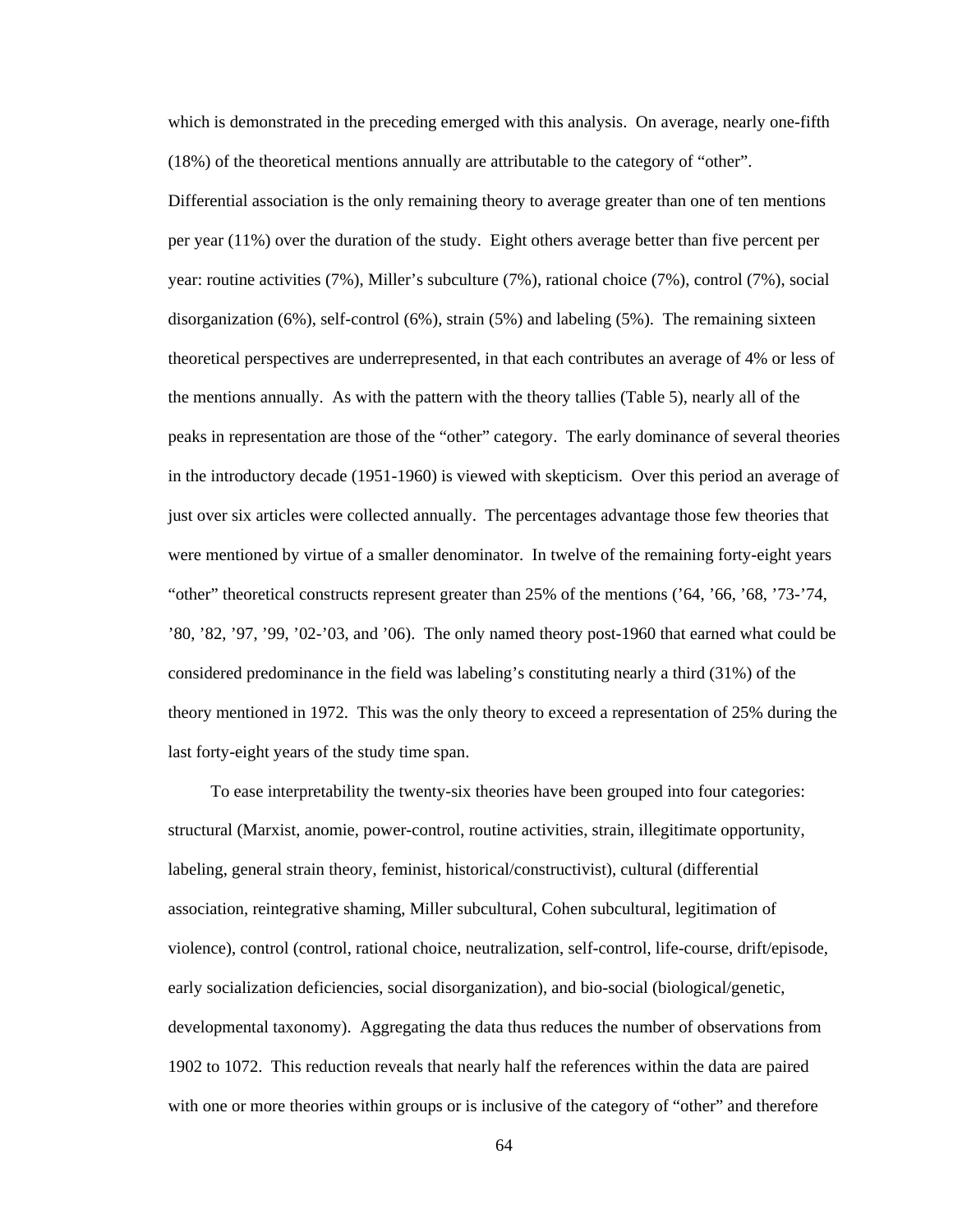which is demonstrated in the preceding emerged with this analysis. On average, nearly one-fifth (18%) of the theoretical mentions annually are attributable to the category of "other".

Differential association is the only remaining theory to average greater than one of ten mentions per year (11%) over the duration of the study. Eight others average better than five percent per year: routine activities (7%), Miller's subculture (7%), rational choice (7%), control (7%), social disorganization (6%), self-control (6%), strain (5%) and labeling (5%). The remaining sixteen theoretical perspectives are underrepresented, in that each contributes an average of 4% or less of the mentions annually. As with the pattern with the theory tallies (Table 5), nearly all of the peaks in representation are those of the "other" category. The early dominance of several theories in the introductory decade (1951-1960) is viewed with skepticism. Over this period an average of just over six articles were collected annually. The percentages advantage those few theories that were mentioned by virtue of a smaller denominator. In twelve of the remaining forty-eight years "other" theoretical constructs represent greater than 25% of the mentions ('64, '66, '68, '73-'74, '80, '82, '97, '99, '02-'03, and '06). The only named theory post-1960 that earned what could be considered predominance in the field was labeling's constituting nearly a third (31%) of the theory mentioned in 1972. This was the only theory to exceed a representation of 25% during the last forty-eight years of the study time span.

To ease interpretability the twenty-six theories have been grouped into four categories: structural (Marxist, anomie, power-control, routine activities, strain, illegitimate opportunity, labeling, general strain theory, feminist, historical/constructivist), cultural (differential association, reintegrative shaming, Miller subcultural, Cohen subcultural, legitimation of violence), control (control, rational choice, neutralization, self-control, life-course, drift/episode, early socialization deficiencies, social disorganization), and bio-social (biological/genetic, developmental taxonomy). Aggregating the data thus reduces the number of observations from 1902 to 1072. This reduction reveals that nearly half the references within the data are paired with one or more theories within groups or is inclusive of the category of "other" and therefore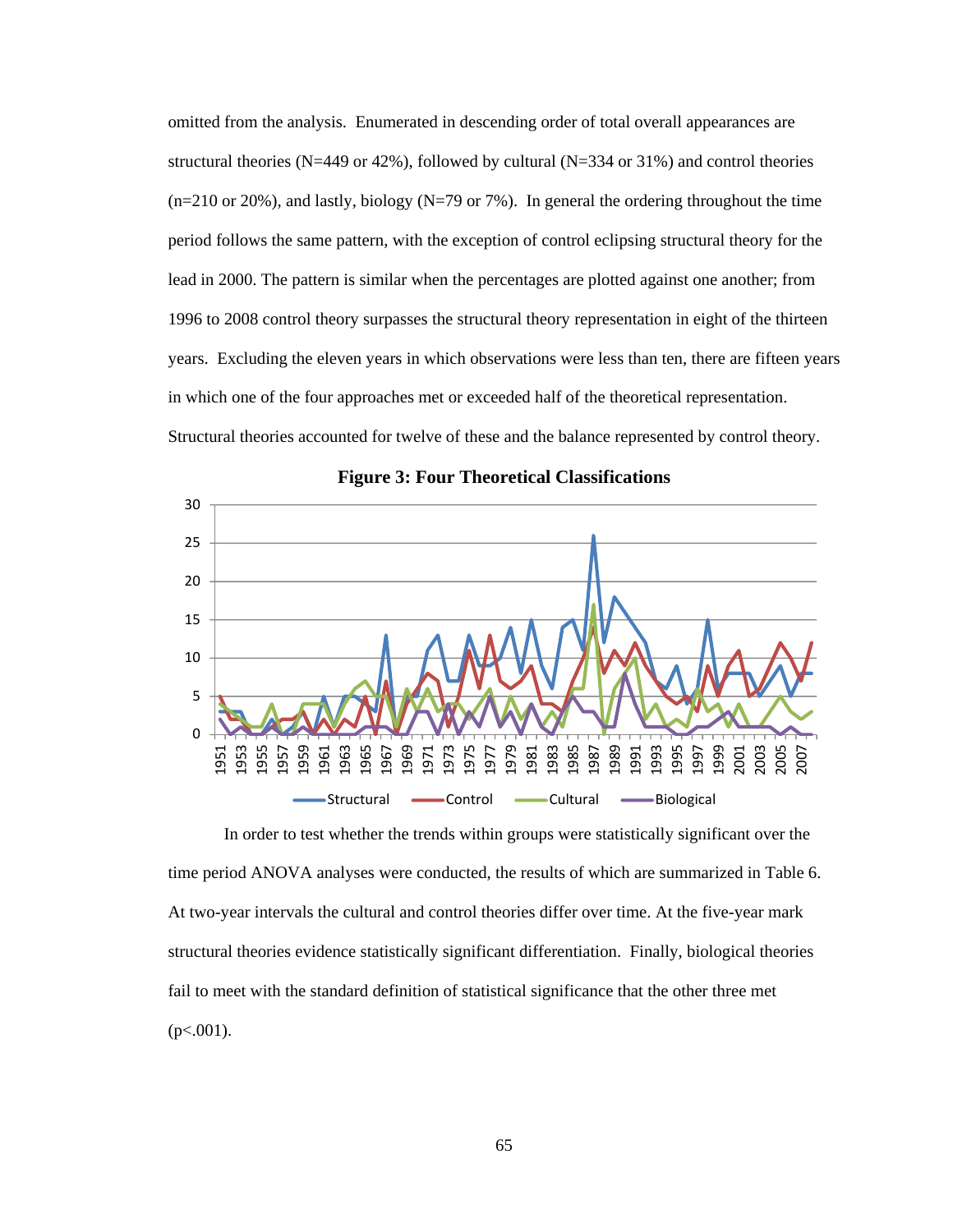omitted from the analysis. Enumerated in descending order of total overall appearances are structural theories (N=449 or 42%), followed by cultural (N=334 or 31%) and control theories  $(n=210 \text{ or } 20\%)$ , and lastly, biology (N=79 or 7%). In general the ordering throughout the time period follows the same pattern, with the exception of control eclipsing structural theory for the lead in 2000. The pattern is similar when the percentages are plotted against one another; from 1996 to 2008 control theory surpasses the structural theory representation in eight of the thirteen years. Excluding the eleven years in which observations were less than ten, there are fifteen years in which one of the four approaches met or exceeded half of the theoretical representation. Structural theories accounted for twelve of these and the balance represented by control theory.



**Figure 3: Four Theoretical Classifications** 

In order to test whether the trends within groups were statistically significant over the time period ANOVA analyses were conducted, the results of which are summarized in Table 6. At two-year intervals the cultural and control theories differ over time. At the five-year mark structural theories evidence statistically significant differentiation. Finally, biological theories fail to meet with the standard definition of statistical significance that the other three met  $(p<.001)$ .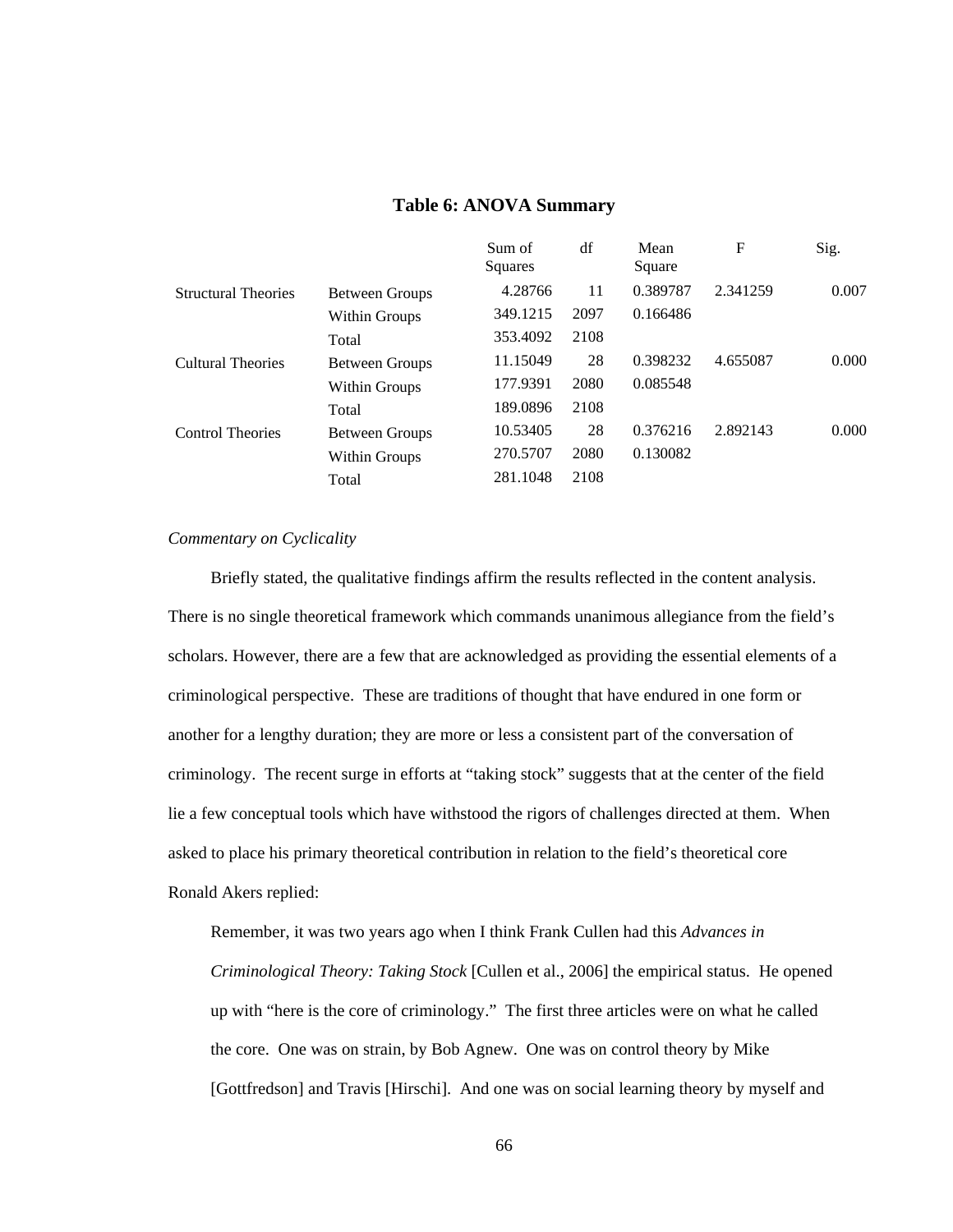|                            |                       | Sum of<br>Squares | df   | Mean<br>Square | F        | Sig.  |
|----------------------------|-----------------------|-------------------|------|----------------|----------|-------|
| <b>Structural Theories</b> | <b>Between Groups</b> | 4.28766           | 11   | 0.389787       | 2.341259 | 0.007 |
|                            | Within Groups         | 349.1215          | 2097 | 0.166486       |          |       |
|                            | Total                 | 353.4092          | 2108 |                |          |       |
| Cultural Theories          | <b>Between Groups</b> | 11.15049          | 28   | 0.398232       | 4.655087 | 0.000 |
|                            | Within Groups         | 177.9391          | 2080 | 0.085548       |          |       |
|                            | Total                 | 189.0896          | 2108 |                |          |       |
| <b>Control Theories</b>    | <b>Between Groups</b> | 10.53405          | 28   | 0.376216       | 2.892143 | 0.000 |
|                            | Within Groups         | 270.5707          | 2080 | 0.130082       |          |       |
|                            | Total                 | 281.1048          | 2108 |                |          |       |

## **Table 6: ANOVA Summary**

# *Commentary on Cyclicality*

Briefly stated, the qualitative findings affirm the results reflected in the content analysis. There is no single theoretical framework which commands unanimous allegiance from the field's scholars. However, there are a few that are acknowledged as providing the essential elements of a criminological perspective. These are traditions of thought that have endured in one form or another for a lengthy duration; they are more or less a consistent part of the conversation of criminology. The recent surge in efforts at "taking stock" suggests that at the center of the field lie a few conceptual tools which have withstood the rigors of challenges directed at them. When asked to place his primary theoretical contribution in relation to the field's theoretical core Ronald Akers replied:

Remember, it was two years ago when I think Frank Cullen had this *Advances in Criminological Theory: Taking Stock* [Cullen et al., 2006] the empirical status. He opened up with "here is the core of criminology." The first three articles were on what he called the core. One was on strain, by Bob Agnew. One was on control theory by Mike [Gottfredson] and Travis [Hirschi]. And one was on social learning theory by myself and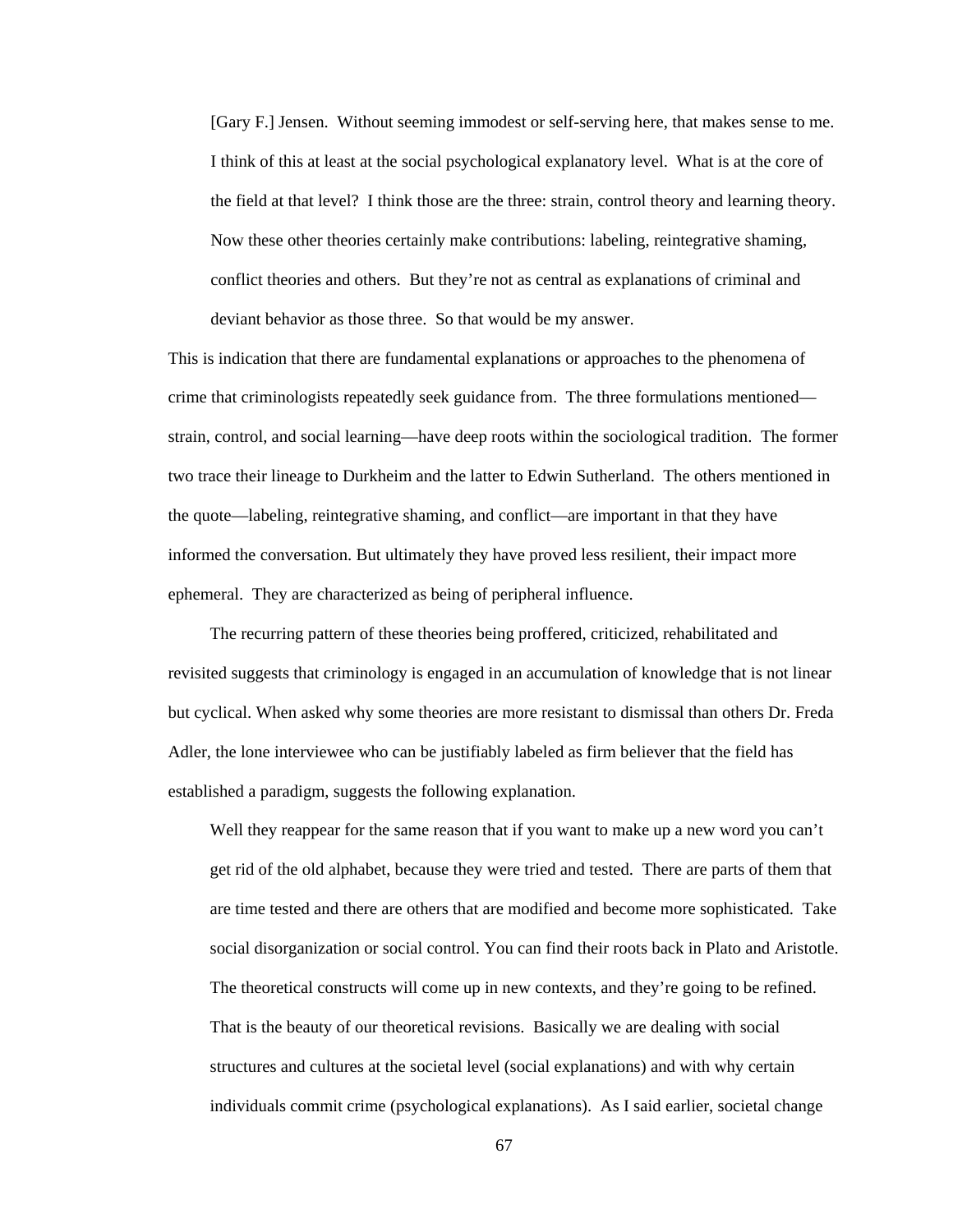[Gary F.] Jensen. Without seeming immodest or self-serving here, that makes sense to me. I think of this at least at the social psychological explanatory level. What is at the core of the field at that level? I think those are the three: strain, control theory and learning theory. Now these other theories certainly make contributions: labeling, reintegrative shaming, conflict theories and others. But they're not as central as explanations of criminal and deviant behavior as those three. So that would be my answer.

This is indication that there are fundamental explanations or approaches to the phenomena of crime that criminologists repeatedly seek guidance from. The three formulations mentioned strain, control, and social learning—have deep roots within the sociological tradition. The former two trace their lineage to Durkheim and the latter to Edwin Sutherland. The others mentioned in the quote—labeling, reintegrative shaming, and conflict—are important in that they have informed the conversation. But ultimately they have proved less resilient, their impact more ephemeral. They are characterized as being of peripheral influence.

The recurring pattern of these theories being proffered, criticized, rehabilitated and revisited suggests that criminology is engaged in an accumulation of knowledge that is not linear but cyclical. When asked why some theories are more resistant to dismissal than others Dr. Freda Adler, the lone interviewee who can be justifiably labeled as firm believer that the field has established a paradigm, suggests the following explanation.

Well they reappear for the same reason that if you want to make up a new word you can't get rid of the old alphabet, because they were tried and tested. There are parts of them that are time tested and there are others that are modified and become more sophisticated. Take social disorganization or social control. You can find their roots back in Plato and Aristotle. The theoretical constructs will come up in new contexts, and they're going to be refined. That is the beauty of our theoretical revisions. Basically we are dealing with social structures and cultures at the societal level (social explanations) and with why certain individuals commit crime (psychological explanations). As I said earlier, societal change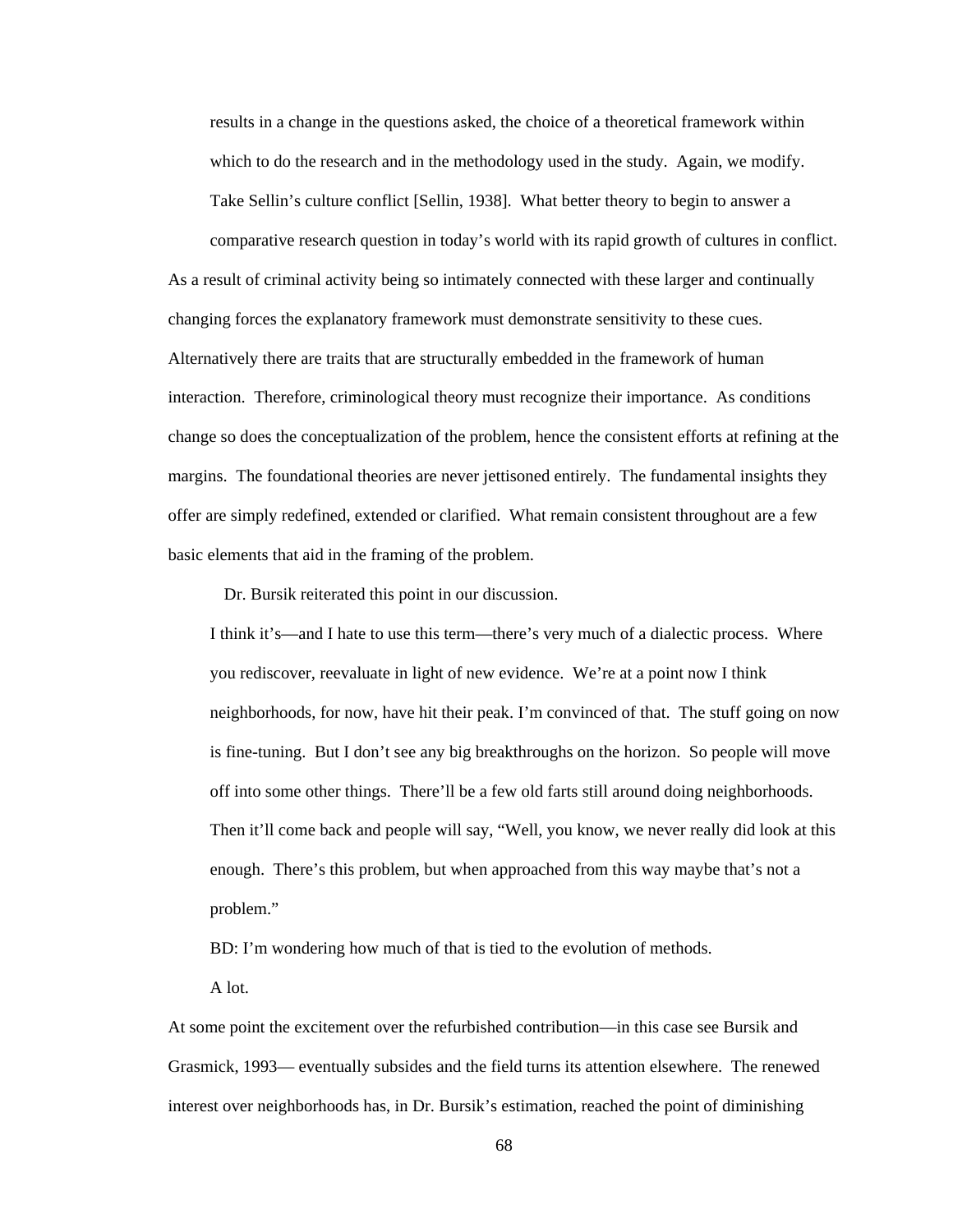results in a change in the questions asked, the choice of a theoretical framework within which to do the research and in the methodology used in the study. Again, we modify. Take Sellin's culture conflict [Sellin, 1938]. What better theory to begin to answer a comparative research question in today's world with its rapid growth of cultures in conflict. As a result of criminal activity being so intimately connected with these larger and continually changing forces the explanatory framework must demonstrate sensitivity to these cues. Alternatively there are traits that are structurally embedded in the framework of human interaction. Therefore, criminological theory must recognize their importance. As conditions change so does the conceptualization of the problem, hence the consistent efforts at refining at the margins. The foundational theories are never jettisoned entirely. The fundamental insights they offer are simply redefined, extended or clarified. What remain consistent throughout are a few basic elements that aid in the framing of the problem.

Dr. Bursik reiterated this point in our discussion.

I think it's—and I hate to use this term—there's very much of a dialectic process. Where you rediscover, reevaluate in light of new evidence. We're at a point now I think neighborhoods, for now, have hit their peak. I'm convinced of that. The stuff going on now is fine-tuning. But I don't see any big breakthroughs on the horizon. So people will move off into some other things. There'll be a few old farts still around doing neighborhoods. Then it'll come back and people will say, "Well, you know, we never really did look at this enough. There's this problem, but when approached from this way maybe that's not a problem."

BD: I'm wondering how much of that is tied to the evolution of methods.

A lot.

At some point the excitement over the refurbished contribution—in this case see Bursik and Grasmick, 1993— eventually subsides and the field turns its attention elsewhere. The renewed interest over neighborhoods has, in Dr. Bursik's estimation, reached the point of diminishing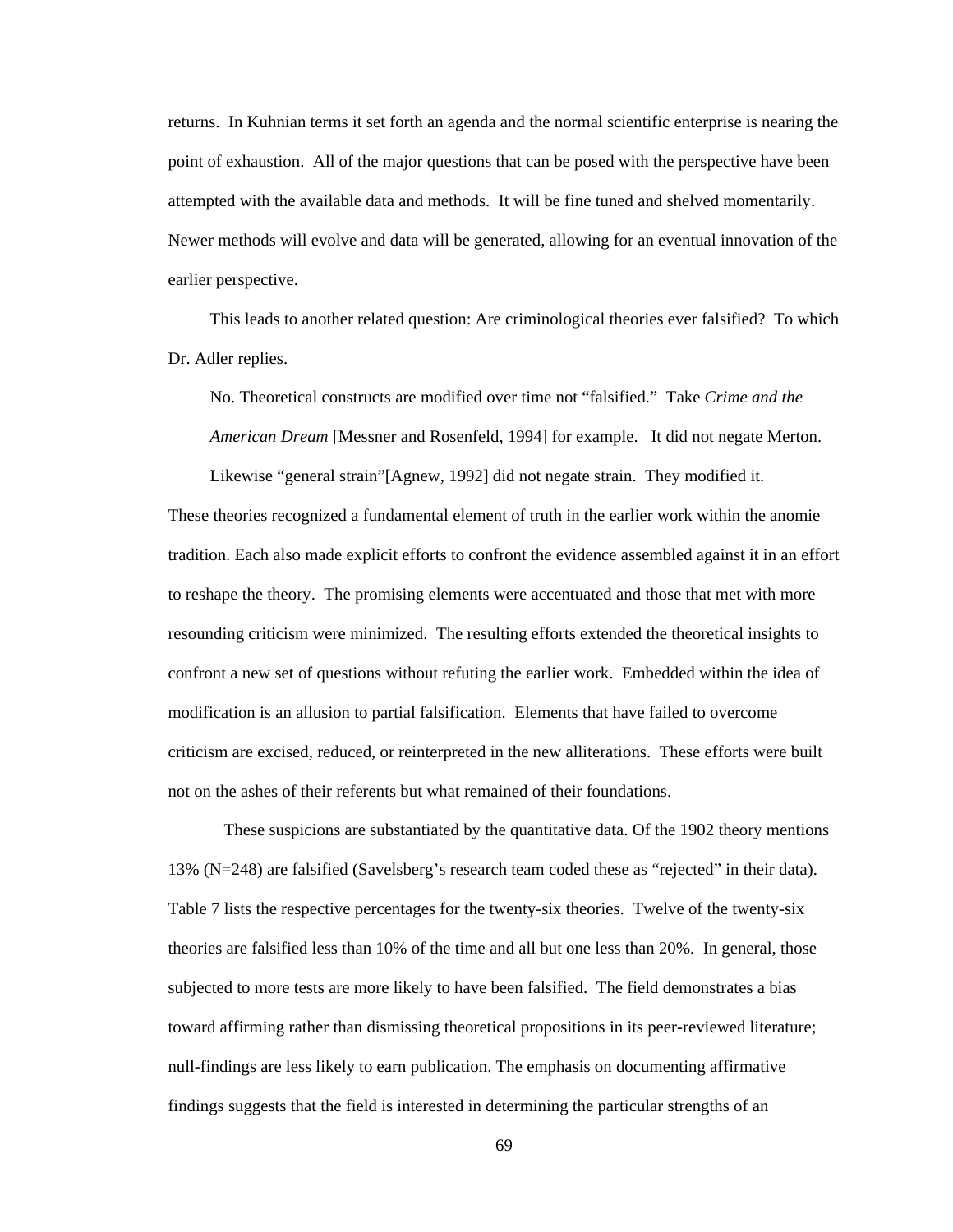returns. In Kuhnian terms it set forth an agenda and the normal scientific enterprise is nearing the point of exhaustion. All of the major questions that can be posed with the perspective have been attempted with the available data and methods. It will be fine tuned and shelved momentarily. Newer methods will evolve and data will be generated, allowing for an eventual innovation of the earlier perspective.

This leads to another related question: Are criminological theories ever falsified? To which Dr. Adler replies.

No. Theoretical constructs are modified over time not "falsified." Take *Crime and the American Dream* [Messner and Rosenfeld, 1994] for example. It did not negate Merton.

Likewise "general strain"[Agnew, 1992] did not negate strain. They modified it. These theories recognized a fundamental element of truth in the earlier work within the anomie tradition. Each also made explicit efforts to confront the evidence assembled against it in an effort to reshape the theory. The promising elements were accentuated and those that met with more resounding criticism were minimized. The resulting efforts extended the theoretical insights to confront a new set of questions without refuting the earlier work. Embedded within the idea of modification is an allusion to partial falsification. Elements that have failed to overcome criticism are excised, reduced, or reinterpreted in the new alliterations. These efforts were built not on the ashes of their referents but what remained of their foundations.

 These suspicions are substantiated by the quantitative data. Of the 1902 theory mentions 13% (N=248) are falsified (Savelsberg's research team coded these as "rejected" in their data). Table 7 lists the respective percentages for the twenty-six theories. Twelve of the twenty-six theories are falsified less than 10% of the time and all but one less than 20%. In general, those subjected to more tests are more likely to have been falsified. The field demonstrates a bias toward affirming rather than dismissing theoretical propositions in its peer-reviewed literature; null-findings are less likely to earn publication. The emphasis on documenting affirmative findings suggests that the field is interested in determining the particular strengths of an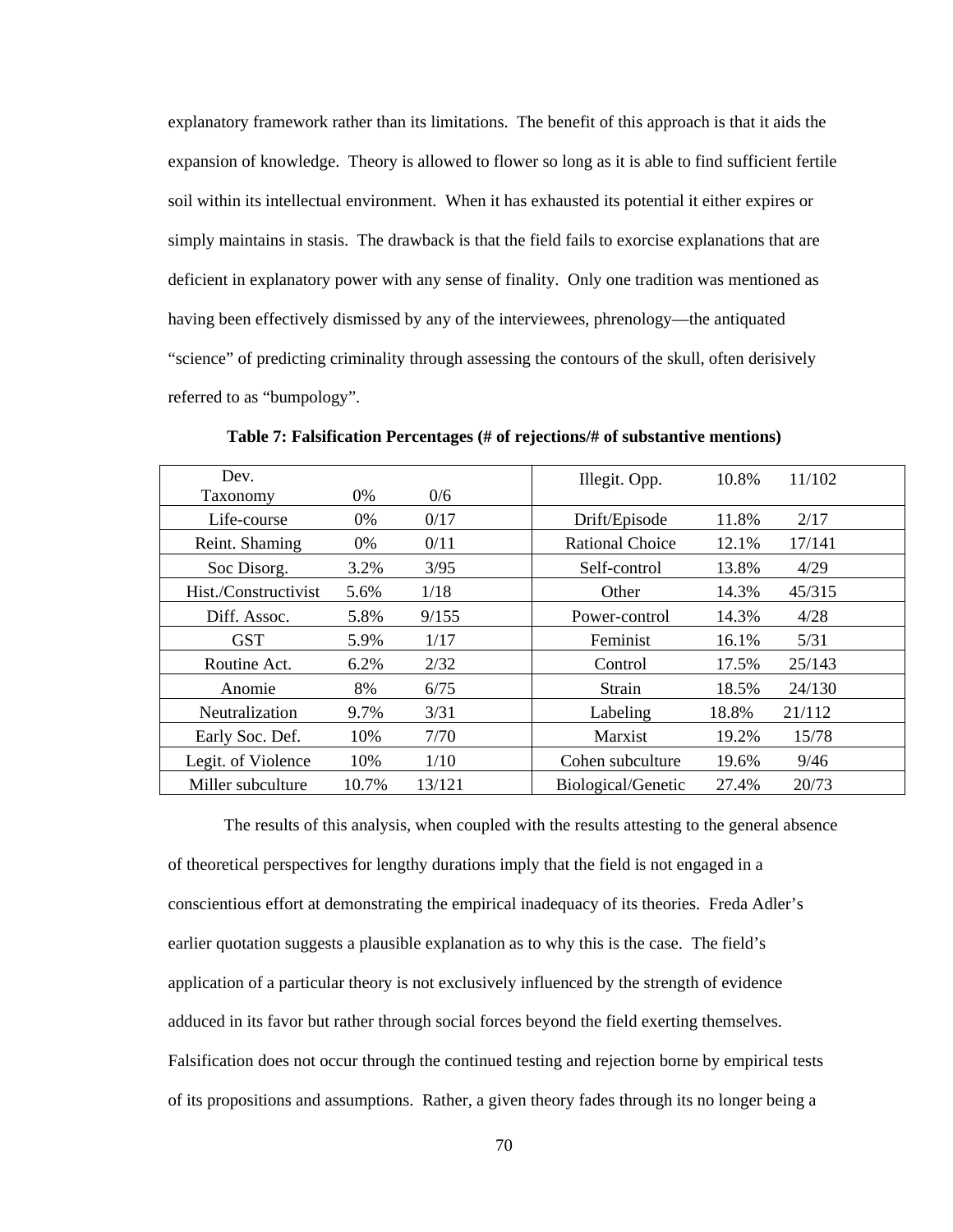explanatory framework rather than its limitations. The benefit of this approach is that it aids the expansion of knowledge. Theory is allowed to flower so long as it is able to find sufficient fertile soil within its intellectual environment. When it has exhausted its potential it either expires or simply maintains in stasis. The drawback is that the field fails to exorcise explanations that are deficient in explanatory power with any sense of finality. Only one tradition was mentioned as having been effectively dismissed by any of the interviewees, phrenology—the antiquated "science" of predicting criminality through assessing the contours of the skull, often derisively referred to as "bumpology".

| Dev.                 |       |        | Illegit. Opp.          | 10.8% | 11/102 |
|----------------------|-------|--------|------------------------|-------|--------|
| Taxonomy             | 0%    | 0/6    |                        |       |        |
| Life-course          | 0%    | 0/17   | Drift/Episode          | 11.8% | 2/17   |
| Reint. Shaming       | 0%    | 0/11   | <b>Rational Choice</b> | 12.1% | 17/141 |
| Soc Disorg.          | 3.2%  | 3/95   | Self-control           | 13.8% | 4/29   |
| Hist./Constructivist | 5.6%  | 1/18   | Other                  | 14.3% | 45/315 |
| Diff. Assoc.         | 5.8%  | 9/155  | Power-control          | 14.3% | 4/28   |
| <b>GST</b>           | 5.9%  | 1/17   | Feminist               | 16.1% | 5/31   |
| Routine Act.         | 6.2%  | 2/32   | Control                | 17.5% | 25/143 |
| Anomie               | 8%    | 6/75   | Strain                 | 18.5% | 24/130 |
| Neutralization       | 9.7%  | 3/31   | Labeling               | 18.8% | 21/112 |
| Early Soc. Def.      | 10%   | 7/70   | Marxist                | 19.2% | 15/78  |
| Legit. of Violence   | 10%   | 1/10   | Cohen subculture       | 19.6% | 9/46   |
| Miller subculture    | 10.7% | 13/121 | Biological/Genetic     | 27.4% | 20/73  |

**Table 7: Falsification Percentages (# of rejections/# of substantive mentions)** 

The results of this analysis, when coupled with the results attesting to the general absence of theoretical perspectives for lengthy durations imply that the field is not engaged in a conscientious effort at demonstrating the empirical inadequacy of its theories. Freda Adler's earlier quotation suggests a plausible explanation as to why this is the case. The field's application of a particular theory is not exclusively influenced by the strength of evidence adduced in its favor but rather through social forces beyond the field exerting themselves. Falsification does not occur through the continued testing and rejection borne by empirical tests of its propositions and assumptions. Rather, a given theory fades through its no longer being a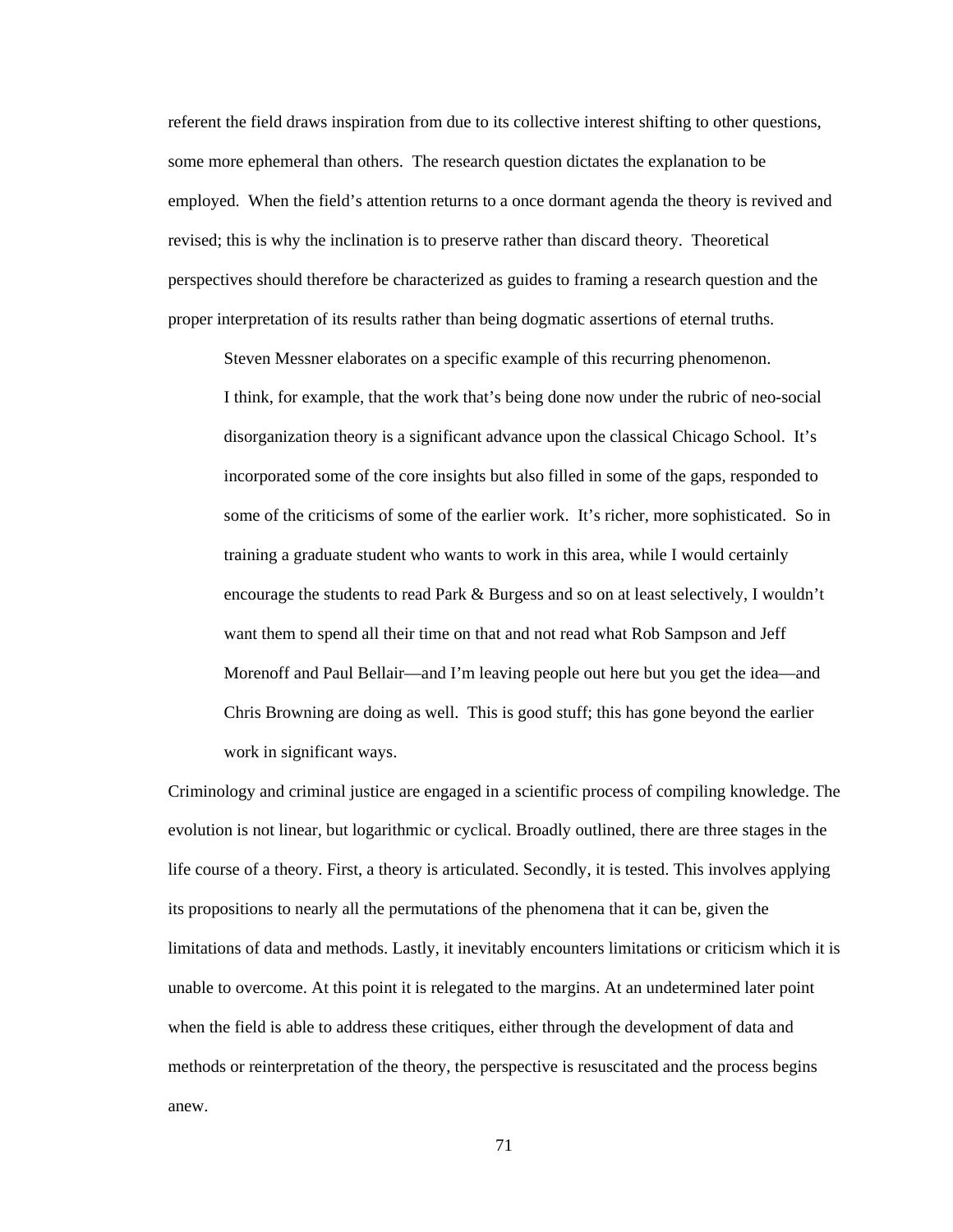referent the field draws inspiration from due to its collective interest shifting to other questions, some more ephemeral than others. The research question dictates the explanation to be employed. When the field's attention returns to a once dormant agenda the theory is revived and revised; this is why the inclination is to preserve rather than discard theory. Theoretical perspectives should therefore be characterized as guides to framing a research question and the proper interpretation of its results rather than being dogmatic assertions of eternal truths.

Steven Messner elaborates on a specific example of this recurring phenomenon.

I think, for example, that the work that's being done now under the rubric of neo-social disorganization theory is a significant advance upon the classical Chicago School. It's incorporated some of the core insights but also filled in some of the gaps, responded to some of the criticisms of some of the earlier work. It's richer, more sophisticated. So in training a graduate student who wants to work in this area, while I would certainly encourage the students to read Park & Burgess and so on at least selectively, I wouldn't want them to spend all their time on that and not read what Rob Sampson and Jeff Morenoff and Paul Bellair—and I'm leaving people out here but you get the idea—and Chris Browning are doing as well. This is good stuff; this has gone beyond the earlier work in significant ways.

Criminology and criminal justice are engaged in a scientific process of compiling knowledge. The evolution is not linear, but logarithmic or cyclical. Broadly outlined, there are three stages in the life course of a theory. First, a theory is articulated. Secondly, it is tested. This involves applying its propositions to nearly all the permutations of the phenomena that it can be, given the limitations of data and methods. Lastly, it inevitably encounters limitations or criticism which it is unable to overcome. At this point it is relegated to the margins. At an undetermined later point when the field is able to address these critiques, either through the development of data and methods or reinterpretation of the theory, the perspective is resuscitated and the process begins anew.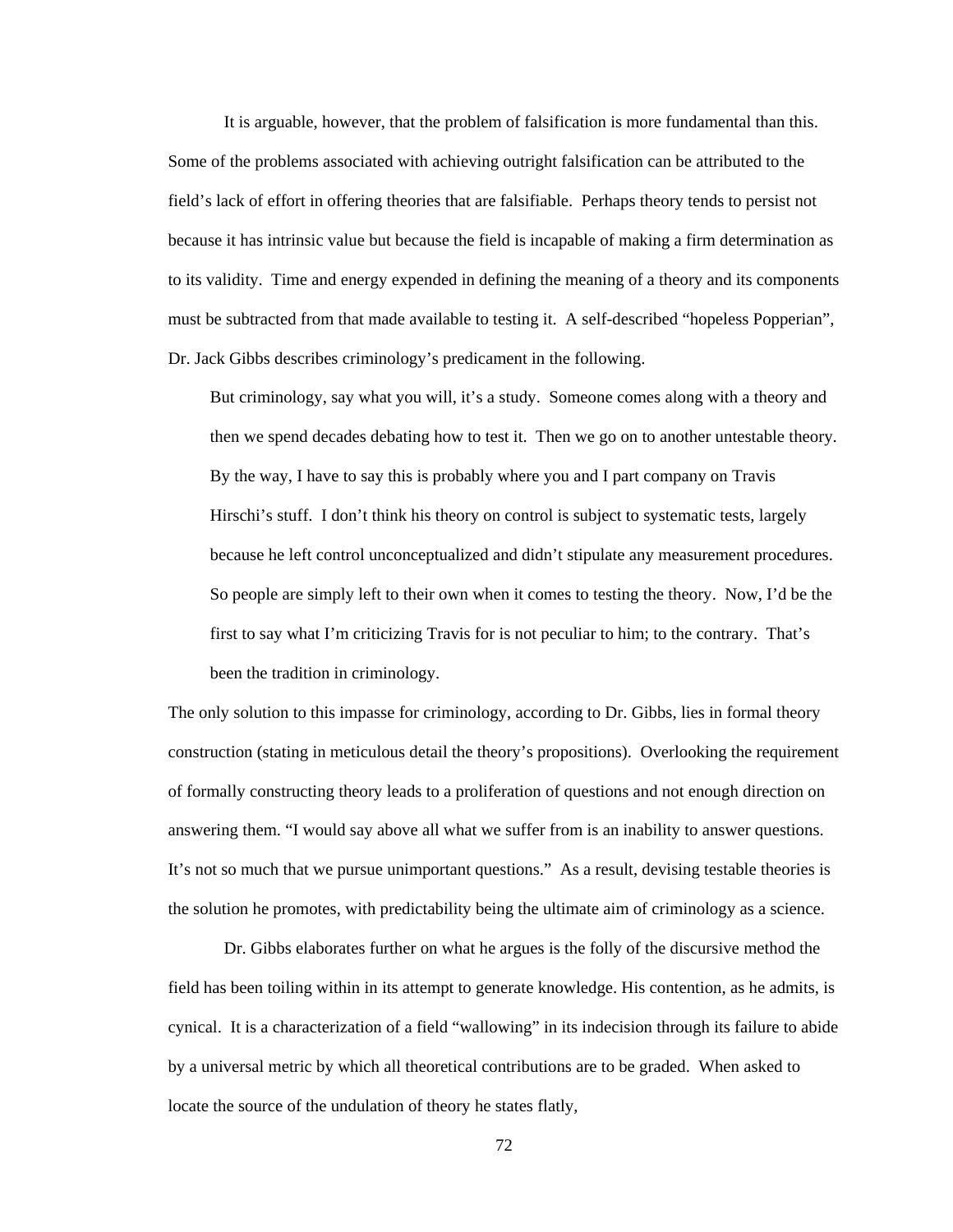It is arguable, however, that the problem of falsification is more fundamental than this. Some of the problems associated with achieving outright falsification can be attributed to the field's lack of effort in offering theories that are falsifiable. Perhaps theory tends to persist not because it has intrinsic value but because the field is incapable of making a firm determination as to its validity. Time and energy expended in defining the meaning of a theory and its components must be subtracted from that made available to testing it. A self-described "hopeless Popperian", Dr. Jack Gibbs describes criminology's predicament in the following.

But criminology, say what you will, it's a study. Someone comes along with a theory and then we spend decades debating how to test it. Then we go on to another untestable theory. By the way, I have to say this is probably where you and I part company on Travis Hirschi's stuff. I don't think his theory on control is subject to systematic tests, largely because he left control unconceptualized and didn't stipulate any measurement procedures. So people are simply left to their own when it comes to testing the theory. Now, I'd be the first to say what I'm criticizing Travis for is not peculiar to him; to the contrary. That's been the tradition in criminology.

The only solution to this impasse for criminology, according to Dr. Gibbs, lies in formal theory construction (stating in meticulous detail the theory's propositions). Overlooking the requirement of formally constructing theory leads to a proliferation of questions and not enough direction on answering them. "I would say above all what we suffer from is an inability to answer questions. It's not so much that we pursue unimportant questions." As a result, devising testable theories is the solution he promotes, with predictability being the ultimate aim of criminology as a science.

 Dr. Gibbs elaborates further on what he argues is the folly of the discursive method the field has been toiling within in its attempt to generate knowledge. His contention, as he admits, is cynical. It is a characterization of a field "wallowing" in its indecision through its failure to abide by a universal metric by which all theoretical contributions are to be graded. When asked to locate the source of the undulation of theory he states flatly,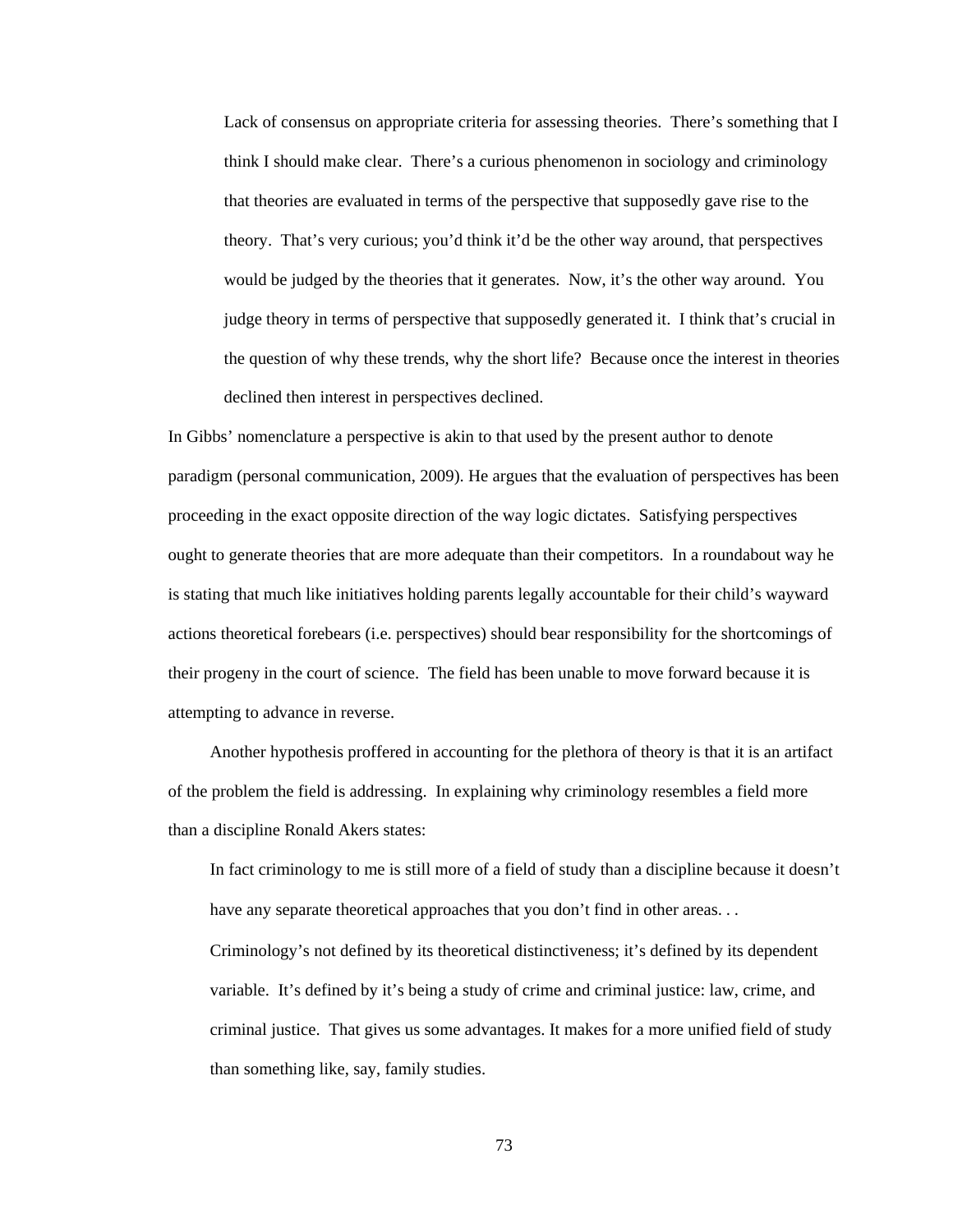Lack of consensus on appropriate criteria for assessing theories. There's something that I think I should make clear. There's a curious phenomenon in sociology and criminology that theories are evaluated in terms of the perspective that supposedly gave rise to the theory. That's very curious; you'd think it'd be the other way around, that perspectives would be judged by the theories that it generates. Now, it's the other way around. You judge theory in terms of perspective that supposedly generated it. I think that's crucial in the question of why these trends, why the short life? Because once the interest in theories declined then interest in perspectives declined.

In Gibbs' nomenclature a perspective is akin to that used by the present author to denote paradigm (personal communication, 2009). He argues that the evaluation of perspectives has been proceeding in the exact opposite direction of the way logic dictates. Satisfying perspectives ought to generate theories that are more adequate than their competitors. In a roundabout way he is stating that much like initiatives holding parents legally accountable for their child's wayward actions theoretical forebears (i.e. perspectives) should bear responsibility for the shortcomings of their progeny in the court of science. The field has been unable to move forward because it is attempting to advance in reverse.

Another hypothesis proffered in accounting for the plethora of theory is that it is an artifact of the problem the field is addressing. In explaining why criminology resembles a field more than a discipline Ronald Akers states:

In fact criminology to me is still more of a field of study than a discipline because it doesn't have any separate theoretical approaches that you don't find in other areas...

Criminology's not defined by its theoretical distinctiveness; it's defined by its dependent variable. It's defined by it's being a study of crime and criminal justice: law, crime, and criminal justice. That gives us some advantages. It makes for a more unified field of study than something like, say, family studies.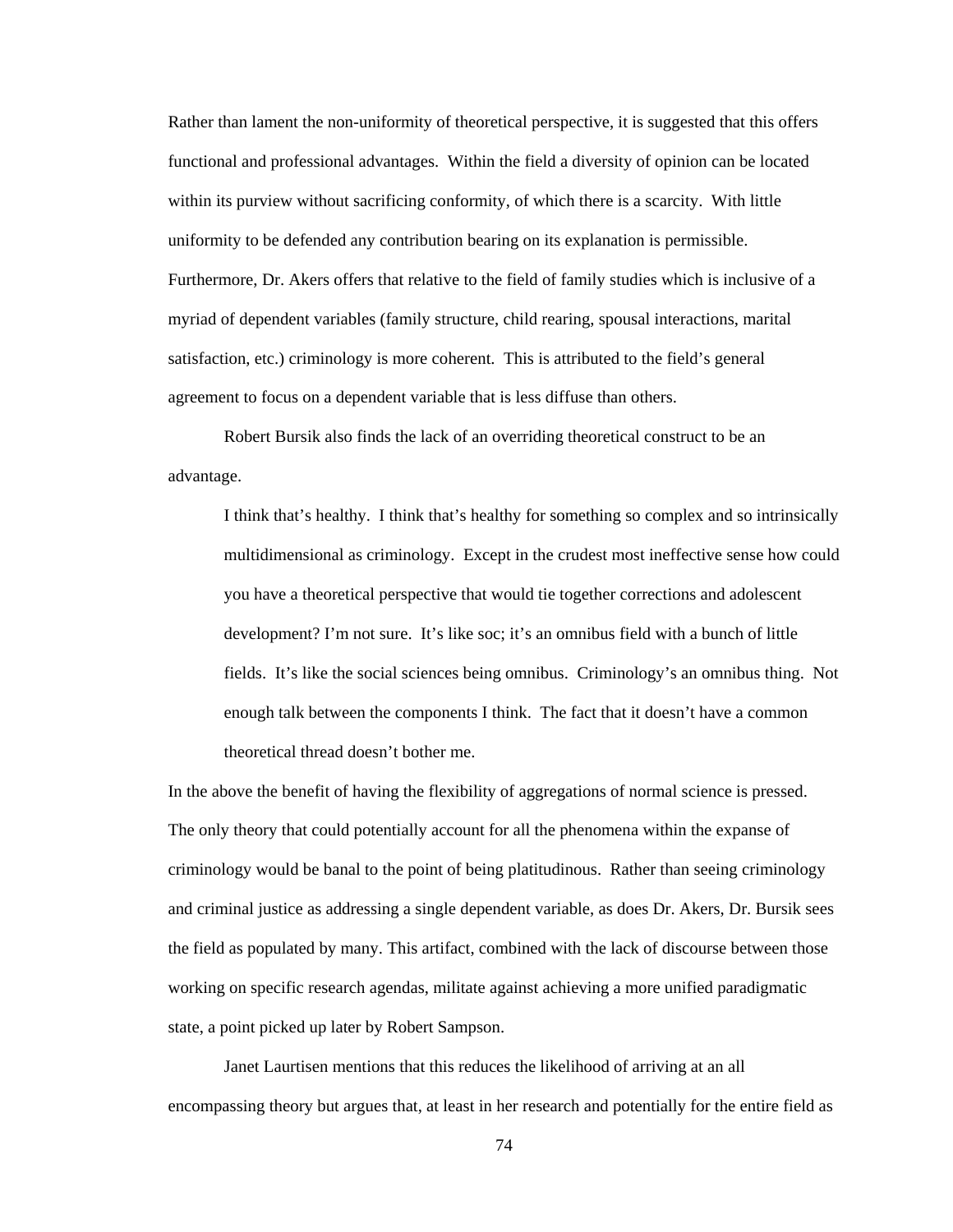Rather than lament the non-uniformity of theoretical perspective, it is suggested that this offers functional and professional advantages. Within the field a diversity of opinion can be located within its purview without sacrificing conformity, of which there is a scarcity. With little uniformity to be defended any contribution bearing on its explanation is permissible. Furthermore, Dr. Akers offers that relative to the field of family studies which is inclusive of a myriad of dependent variables (family structure, child rearing, spousal interactions, marital satisfaction, etc.) criminology is more coherent. This is attributed to the field's general agreement to focus on a dependent variable that is less diffuse than others.

 Robert Bursik also finds the lack of an overriding theoretical construct to be an advantage.

I think that's healthy. I think that's healthy for something so complex and so intrinsically multidimensional as criminology. Except in the crudest most ineffective sense how could you have a theoretical perspective that would tie together corrections and adolescent development? I'm not sure. It's like soc; it's an omnibus field with a bunch of little fields. It's like the social sciences being omnibus. Criminology's an omnibus thing. Not enough talk between the components I think. The fact that it doesn't have a common theoretical thread doesn't bother me.

In the above the benefit of having the flexibility of aggregations of normal science is pressed. The only theory that could potentially account for all the phenomena within the expanse of criminology would be banal to the point of being platitudinous. Rather than seeing criminology and criminal justice as addressing a single dependent variable, as does Dr. Akers, Dr. Bursik sees the field as populated by many. This artifact, combined with the lack of discourse between those working on specific research agendas, militate against achieving a more unified paradigmatic state, a point picked up later by Robert Sampson.

 Janet Laurtisen mentions that this reduces the likelihood of arriving at an all encompassing theory but argues that, at least in her research and potentially for the entire field as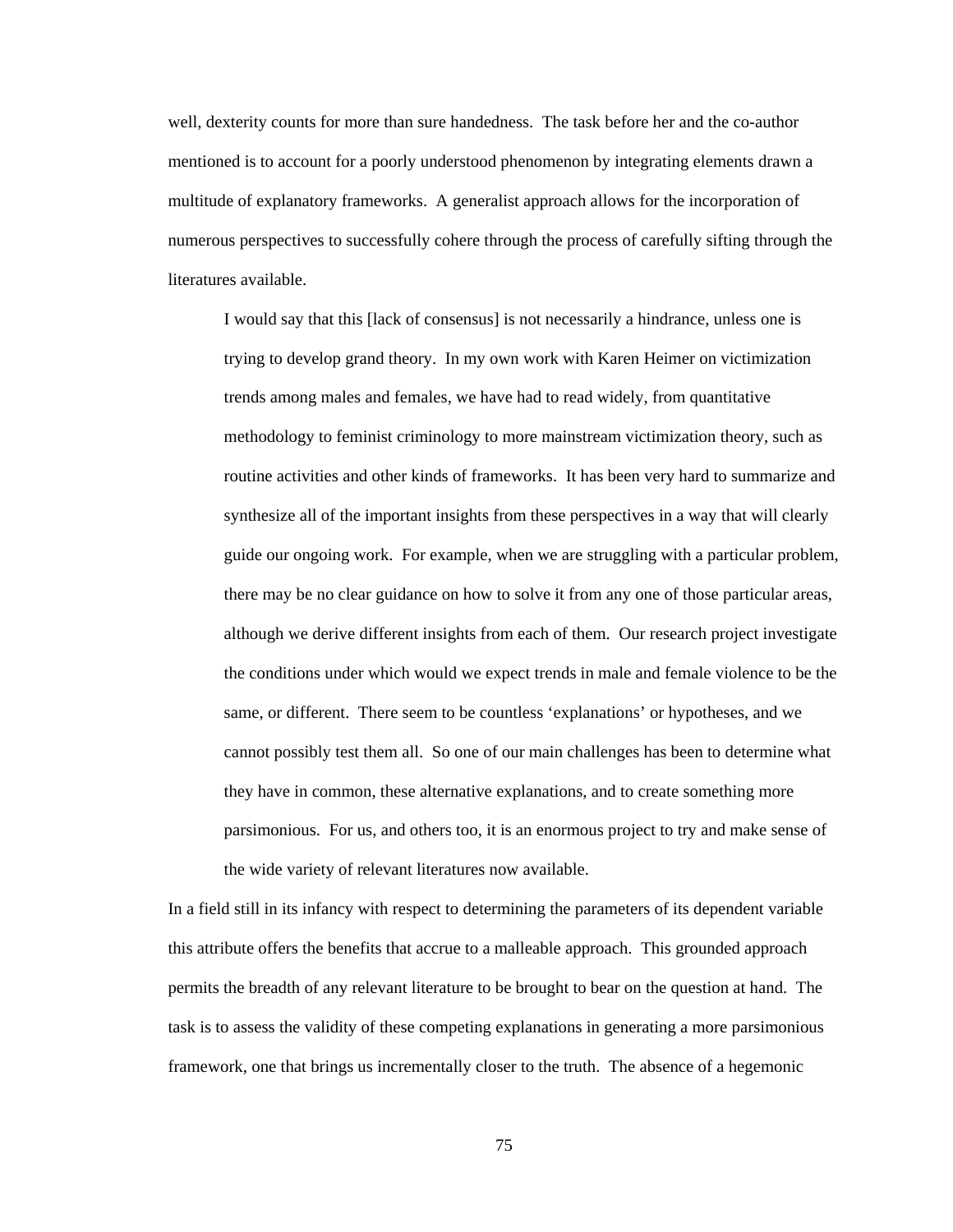well, dexterity counts for more than sure handedness. The task before her and the co-author mentioned is to account for a poorly understood phenomenon by integrating elements drawn a multitude of explanatory frameworks. A generalist approach allows for the incorporation of numerous perspectives to successfully cohere through the process of carefully sifting through the literatures available.

I would say that this [lack of consensus] is not necessarily a hindrance, unless one is trying to develop grand theory. In my own work with Karen Heimer on victimization trends among males and females, we have had to read widely, from quantitative methodology to feminist criminology to more mainstream victimization theory, such as routine activities and other kinds of frameworks. It has been very hard to summarize and synthesize all of the important insights from these perspectives in a way that will clearly guide our ongoing work. For example, when we are struggling with a particular problem, there may be no clear guidance on how to solve it from any one of those particular areas, although we derive different insights from each of them. Our research project investigate the conditions under which would we expect trends in male and female violence to be the same, or different. There seem to be countless 'explanations' or hypotheses, and we cannot possibly test them all. So one of our main challenges has been to determine what they have in common, these alternative explanations, and to create something more parsimonious. For us, and others too, it is an enormous project to try and make sense of the wide variety of relevant literatures now available.

In a field still in its infancy with respect to determining the parameters of its dependent variable this attribute offers the benefits that accrue to a malleable approach. This grounded approach permits the breadth of any relevant literature to be brought to bear on the question at hand. The task is to assess the validity of these competing explanations in generating a more parsimonious framework, one that brings us incrementally closer to the truth. The absence of a hegemonic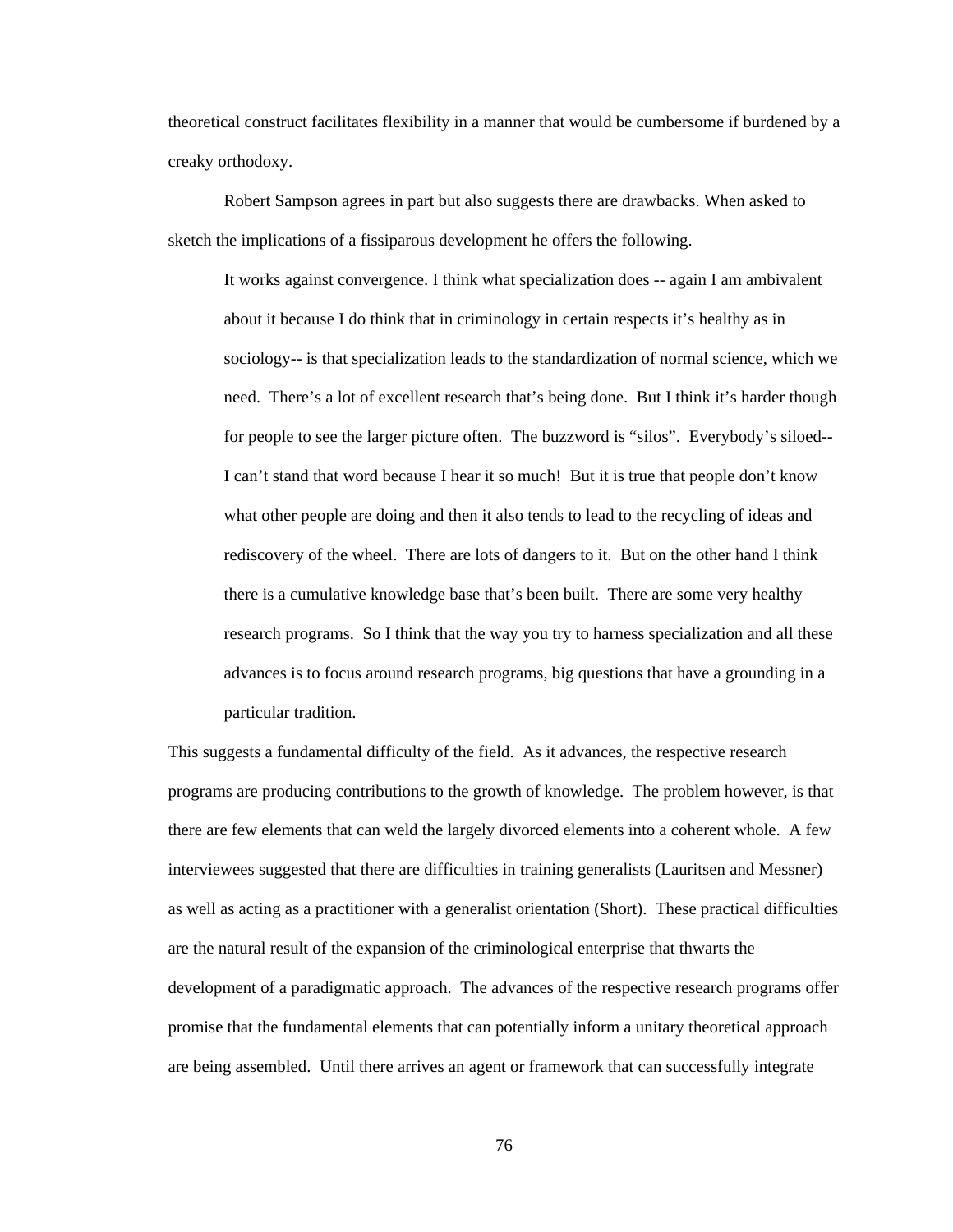theoretical construct facilitates flexibility in a manner that would be cumbersome if burdened by a creaky orthodoxy.

 Robert Sampson agrees in part but also suggests there are drawbacks. When asked to sketch the implications of a fissiparous development he offers the following.

It works against convergence. I think what specialization does -- again I am ambivalent about it because I do think that in criminology in certain respects it's healthy as in sociology-- is that specialization leads to the standardization of normal science, which we need. There's a lot of excellent research that's being done. But I think it's harder though for people to see the larger picture often. The buzzword is "silos". Everybody's siloed-- I can't stand that word because I hear it so much! But it is true that people don't know what other people are doing and then it also tends to lead to the recycling of ideas and rediscovery of the wheel. There are lots of dangers to it. But on the other hand I think there is a cumulative knowledge base that's been built. There are some very healthy research programs. So I think that the way you try to harness specialization and all these advances is to focus around research programs, big questions that have a grounding in a particular tradition.

This suggests a fundamental difficulty of the field. As it advances, the respective research programs are producing contributions to the growth of knowledge. The problem however, is that there are few elements that can weld the largely divorced elements into a coherent whole. A few interviewees suggested that there are difficulties in training generalists (Lauritsen and Messner) as well as acting as a practitioner with a generalist orientation (Short). These practical difficulties are the natural result of the expansion of the criminological enterprise that thwarts the development of a paradigmatic approach. The advances of the respective research programs offer promise that the fundamental elements that can potentially inform a unitary theoretical approach are being assembled. Until there arrives an agent or framework that can successfully integrate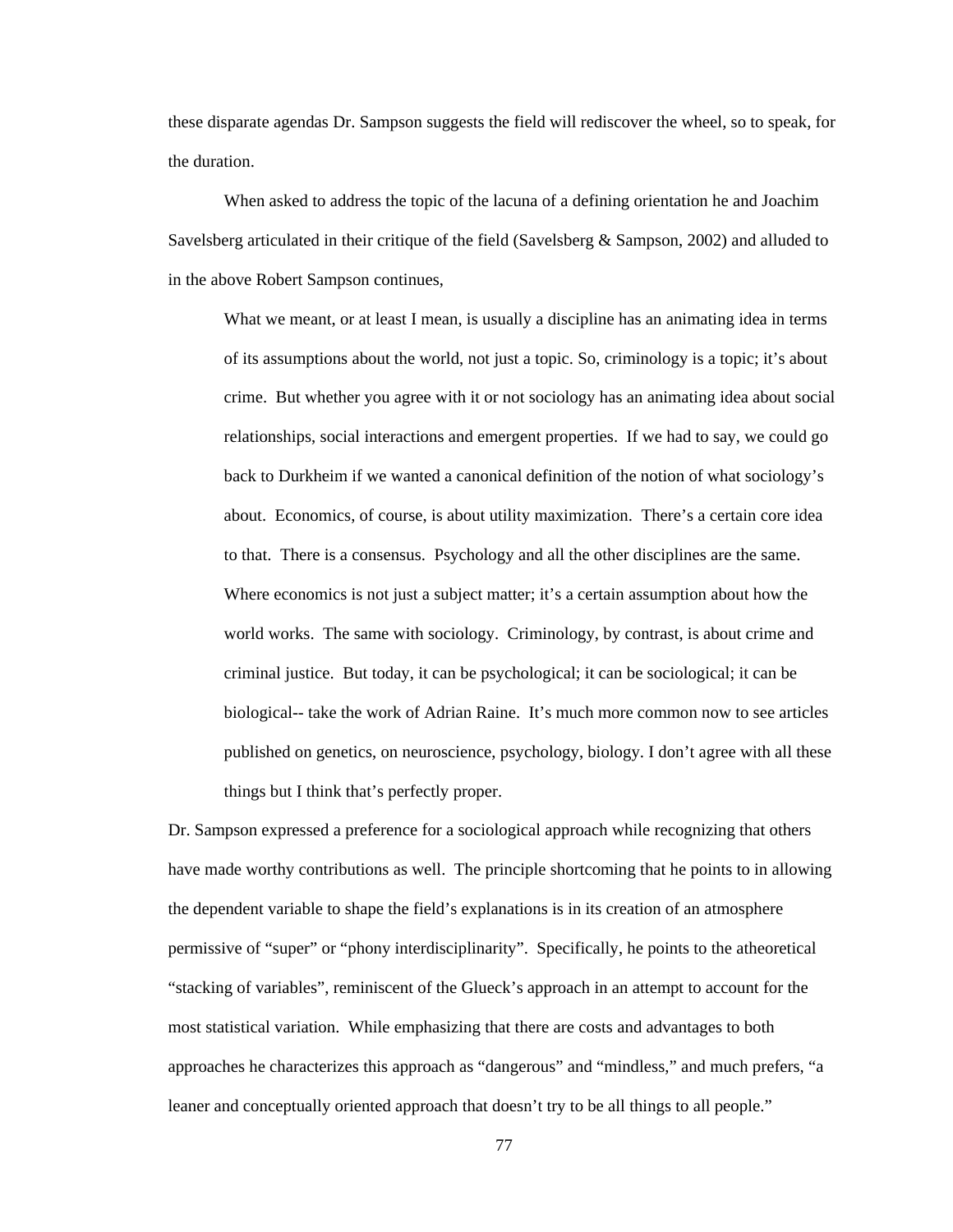these disparate agendas Dr. Sampson suggests the field will rediscover the wheel, so to speak, for the duration.

When asked to address the topic of the lacuna of a defining orientation he and Joachim Savelsberg articulated in their critique of the field (Savelsberg & Sampson, 2002) and alluded to in the above Robert Sampson continues,

What we meant, or at least I mean, is usually a discipline has an animating idea in terms of its assumptions about the world, not just a topic. So, criminology is a topic; it's about crime. But whether you agree with it or not sociology has an animating idea about social relationships, social interactions and emergent properties. If we had to say, we could go back to Durkheim if we wanted a canonical definition of the notion of what sociology's about. Economics, of course, is about utility maximization. There's a certain core idea to that. There is a consensus. Psychology and all the other disciplines are the same. Where economics is not just a subject matter; it's a certain assumption about how the world works. The same with sociology. Criminology, by contrast, is about crime and criminal justice. But today, it can be psychological; it can be sociological; it can be biological-- take the work of Adrian Raine. It's much more common now to see articles published on genetics, on neuroscience, psychology, biology. I don't agree with all these things but I think that's perfectly proper.

Dr. Sampson expressed a preference for a sociological approach while recognizing that others have made worthy contributions as well. The principle shortcoming that he points to in allowing the dependent variable to shape the field's explanations is in its creation of an atmosphere permissive of "super" or "phony interdisciplinarity". Specifically, he points to the atheoretical "stacking of variables", reminiscent of the Glueck's approach in an attempt to account for the most statistical variation. While emphasizing that there are costs and advantages to both approaches he characterizes this approach as "dangerous" and "mindless," and much prefers, "a leaner and conceptually oriented approach that doesn't try to be all things to all people."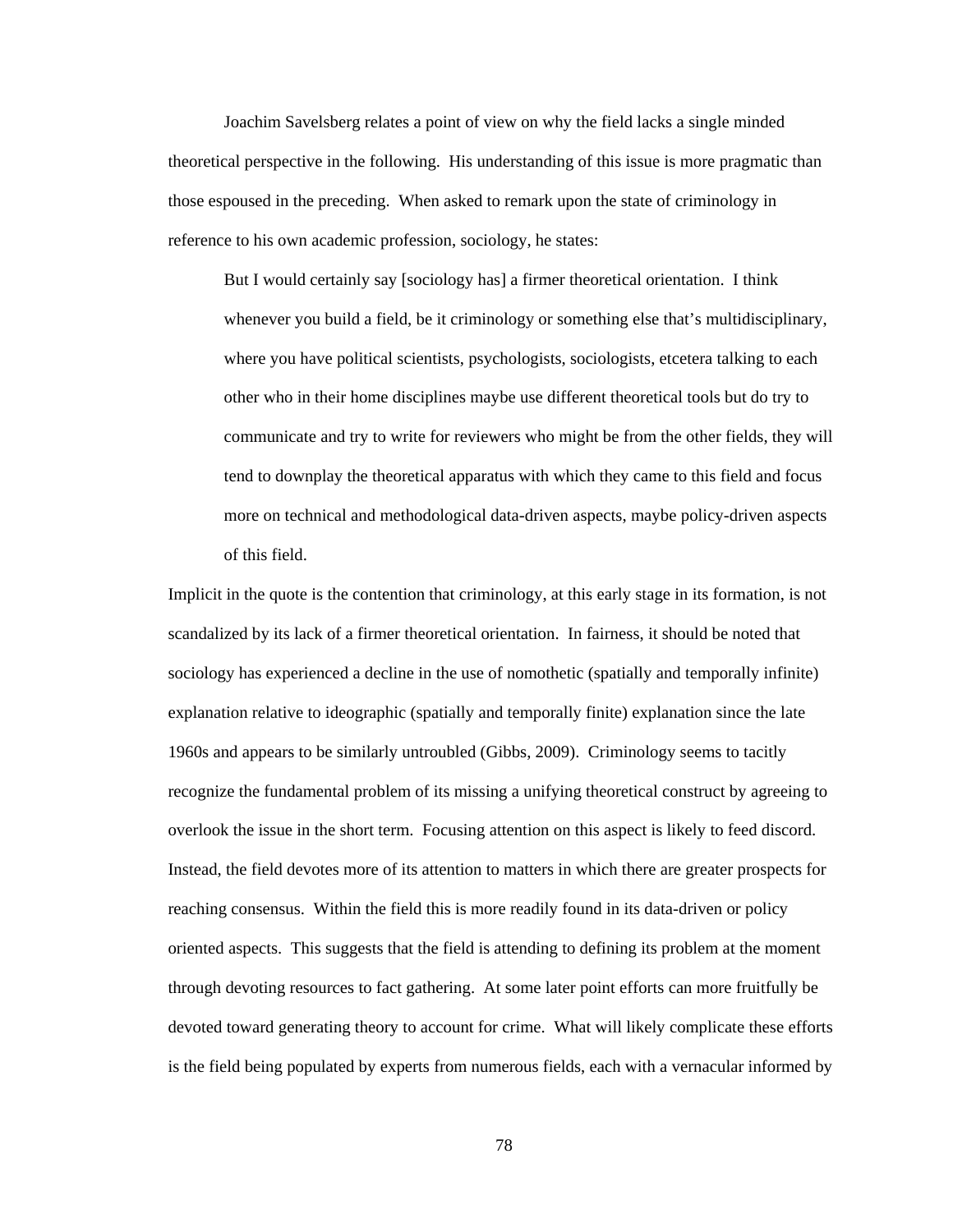Joachim Savelsberg relates a point of view on why the field lacks a single minded theoretical perspective in the following. His understanding of this issue is more pragmatic than those espoused in the preceding. When asked to remark upon the state of criminology in reference to his own academic profession, sociology, he states:

But I would certainly say [sociology has] a firmer theoretical orientation. I think whenever you build a field, be it criminology or something else that's multidisciplinary, where you have political scientists, psychologists, sociologists, etcetera talking to each other who in their home disciplines maybe use different theoretical tools but do try to communicate and try to write for reviewers who might be from the other fields, they will tend to downplay the theoretical apparatus with which they came to this field and focus more on technical and methodological data-driven aspects, maybe policy-driven aspects of this field.

Implicit in the quote is the contention that criminology, at this early stage in its formation, is not scandalized by its lack of a firmer theoretical orientation. In fairness, it should be noted that sociology has experienced a decline in the use of nomothetic (spatially and temporally infinite) explanation relative to ideographic (spatially and temporally finite) explanation since the late 1960s and appears to be similarly untroubled (Gibbs, 2009). Criminology seems to tacitly recognize the fundamental problem of its missing a unifying theoretical construct by agreeing to overlook the issue in the short term. Focusing attention on this aspect is likely to feed discord. Instead, the field devotes more of its attention to matters in which there are greater prospects for reaching consensus. Within the field this is more readily found in its data-driven or policy oriented aspects. This suggests that the field is attending to defining its problem at the moment through devoting resources to fact gathering. At some later point efforts can more fruitfully be devoted toward generating theory to account for crime. What will likely complicate these efforts is the field being populated by experts from numerous fields, each with a vernacular informed by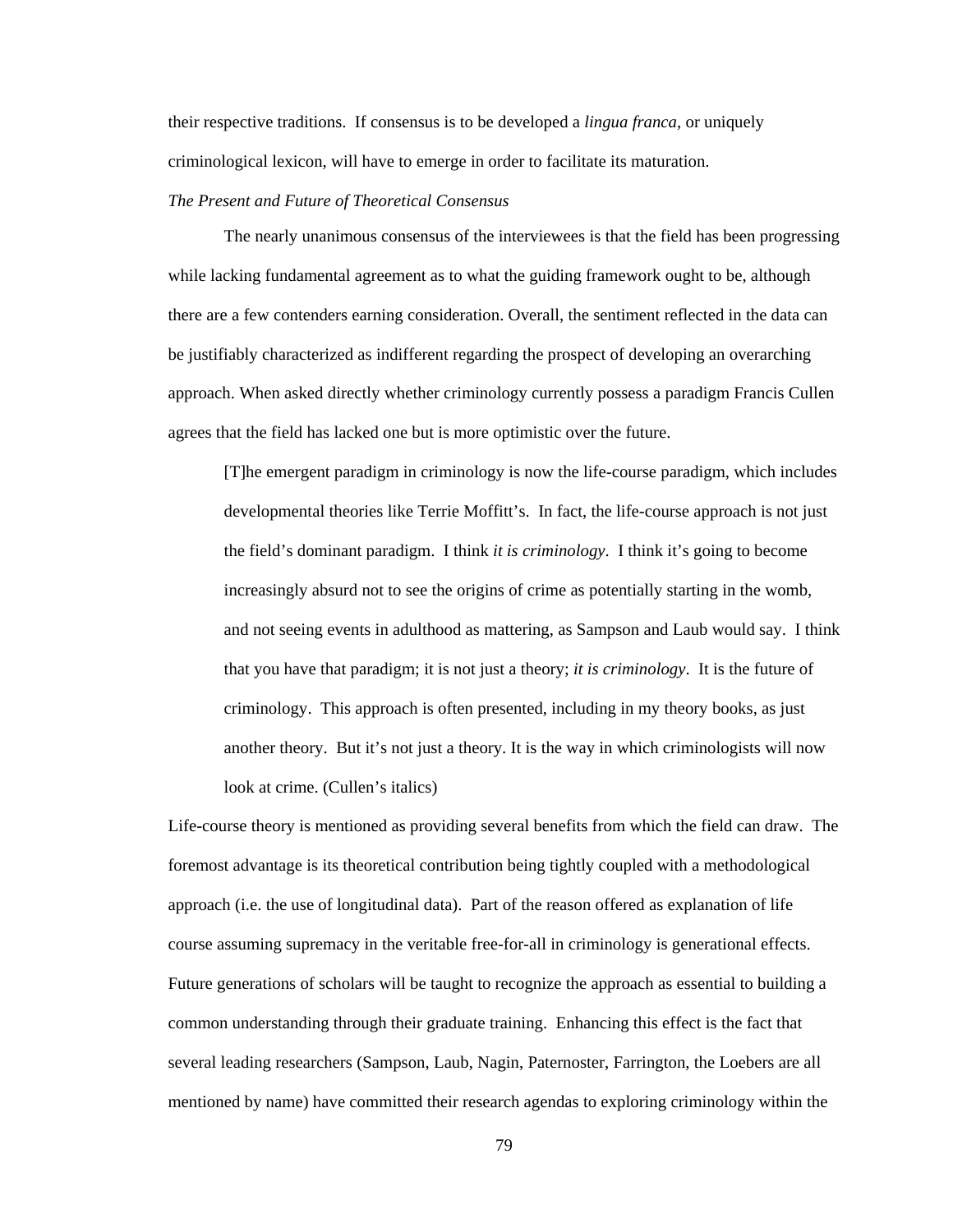their respective traditions. If consensus is to be developed a *lingua franca*, or uniquely criminological lexicon, will have to emerge in order to facilitate its maturation.

## *The Present and Future of Theoretical Consensus*

The nearly unanimous consensus of the interviewees is that the field has been progressing while lacking fundamental agreement as to what the guiding framework ought to be, although there are a few contenders earning consideration. Overall, the sentiment reflected in the data can be justifiably characterized as indifferent regarding the prospect of developing an overarching approach. When asked directly whether criminology currently possess a paradigm Francis Cullen agrees that the field has lacked one but is more optimistic over the future.

[T]he emergent paradigm in criminology is now the life-course paradigm, which includes developmental theories like Terrie Moffitt's. In fact, the life-course approach is not just the field's dominant paradigm. I think *it is criminology*. I think it's going to become increasingly absurd not to see the origins of crime as potentially starting in the womb, and not seeing events in adulthood as mattering, as Sampson and Laub would say. I think that you have that paradigm; it is not just a theory; *it is criminology*. It is the future of criminology. This approach is often presented, including in my theory books, as just another theory. But it's not just a theory. It is the way in which criminologists will now look at crime. (Cullen's italics)

Life-course theory is mentioned as providing several benefits from which the field can draw. The foremost advantage is its theoretical contribution being tightly coupled with a methodological approach (i.e. the use of longitudinal data). Part of the reason offered as explanation of life course assuming supremacy in the veritable free-for-all in criminology is generational effects. Future generations of scholars will be taught to recognize the approach as essential to building a common understanding through their graduate training. Enhancing this effect is the fact that several leading researchers (Sampson, Laub, Nagin, Paternoster, Farrington, the Loebers are all mentioned by name) have committed their research agendas to exploring criminology within the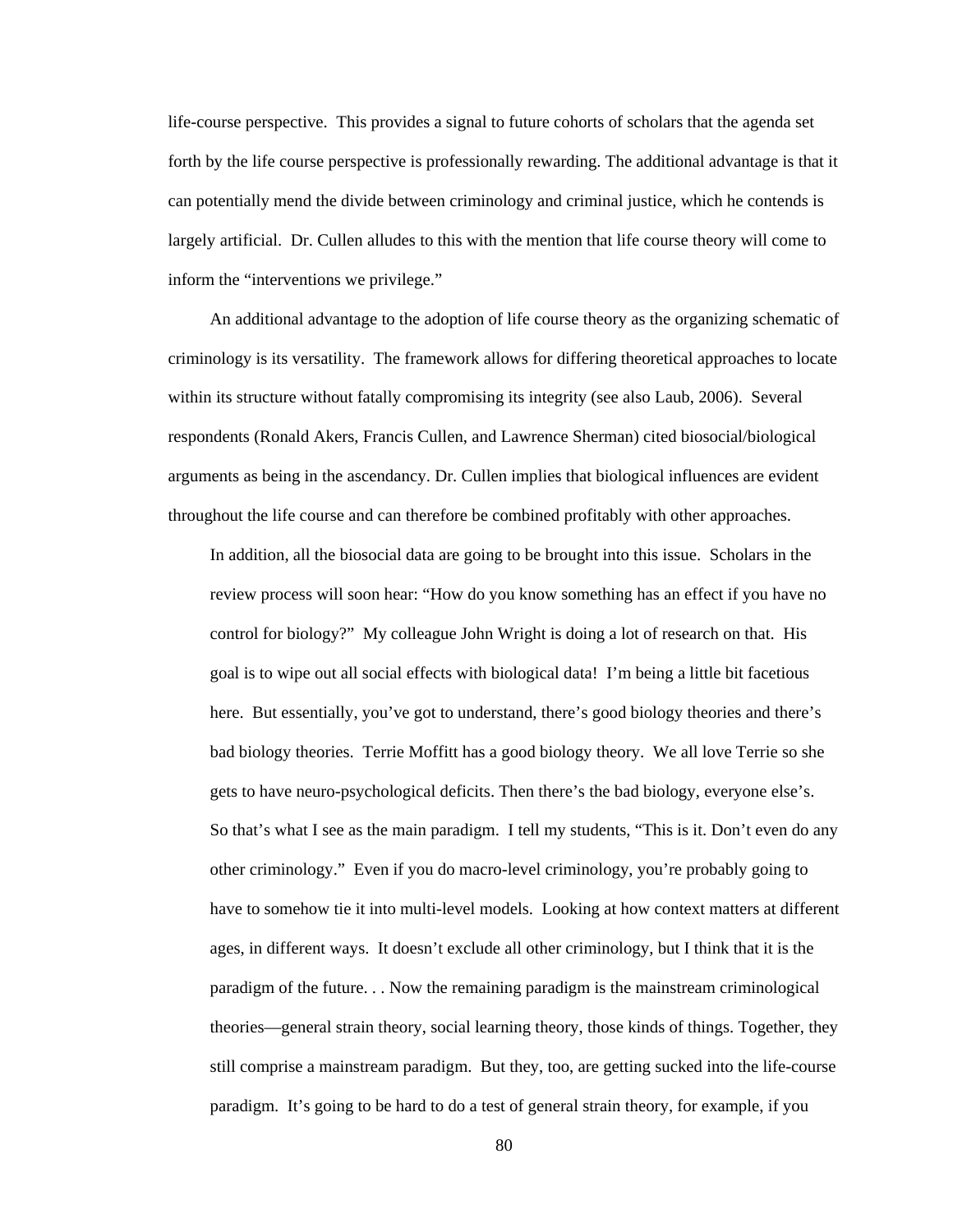life-course perspective. This provides a signal to future cohorts of scholars that the agenda set forth by the life course perspective is professionally rewarding. The additional advantage is that it can potentially mend the divide between criminology and criminal justice, which he contends is largely artificial. Dr. Cullen alludes to this with the mention that life course theory will come to inform the "interventions we privilege."

An additional advantage to the adoption of life course theory as the organizing schematic of criminology is its versatility. The framework allows for differing theoretical approaches to locate within its structure without fatally compromising its integrity (see also Laub, 2006). Several respondents (Ronald Akers, Francis Cullen, and Lawrence Sherman) cited biosocial/biological arguments as being in the ascendancy. Dr. Cullen implies that biological influences are evident throughout the life course and can therefore be combined profitably with other approaches.

In addition, all the biosocial data are going to be brought into this issue. Scholars in the review process will soon hear: "How do you know something has an effect if you have no control for biology?" My colleague John Wright is doing a lot of research on that. His goal is to wipe out all social effects with biological data! I'm being a little bit facetious here. But essentially, you've got to understand, there's good biology theories and there's bad biology theories. Terrie Moffitt has a good biology theory. We all love Terrie so she gets to have neuro-psychological deficits. Then there's the bad biology, everyone else's. So that's what I see as the main paradigm. I tell my students, "This is it. Don't even do any other criminology." Even if you do macro-level criminology, you're probably going to have to somehow tie it into multi-level models. Looking at how context matters at different ages, in different ways. It doesn't exclude all other criminology, but I think that it is the paradigm of the future. . . Now the remaining paradigm is the mainstream criminological theories—general strain theory, social learning theory, those kinds of things. Together, they still comprise a mainstream paradigm. But they, too, are getting sucked into the life-course paradigm. It's going to be hard to do a test of general strain theory, for example, if you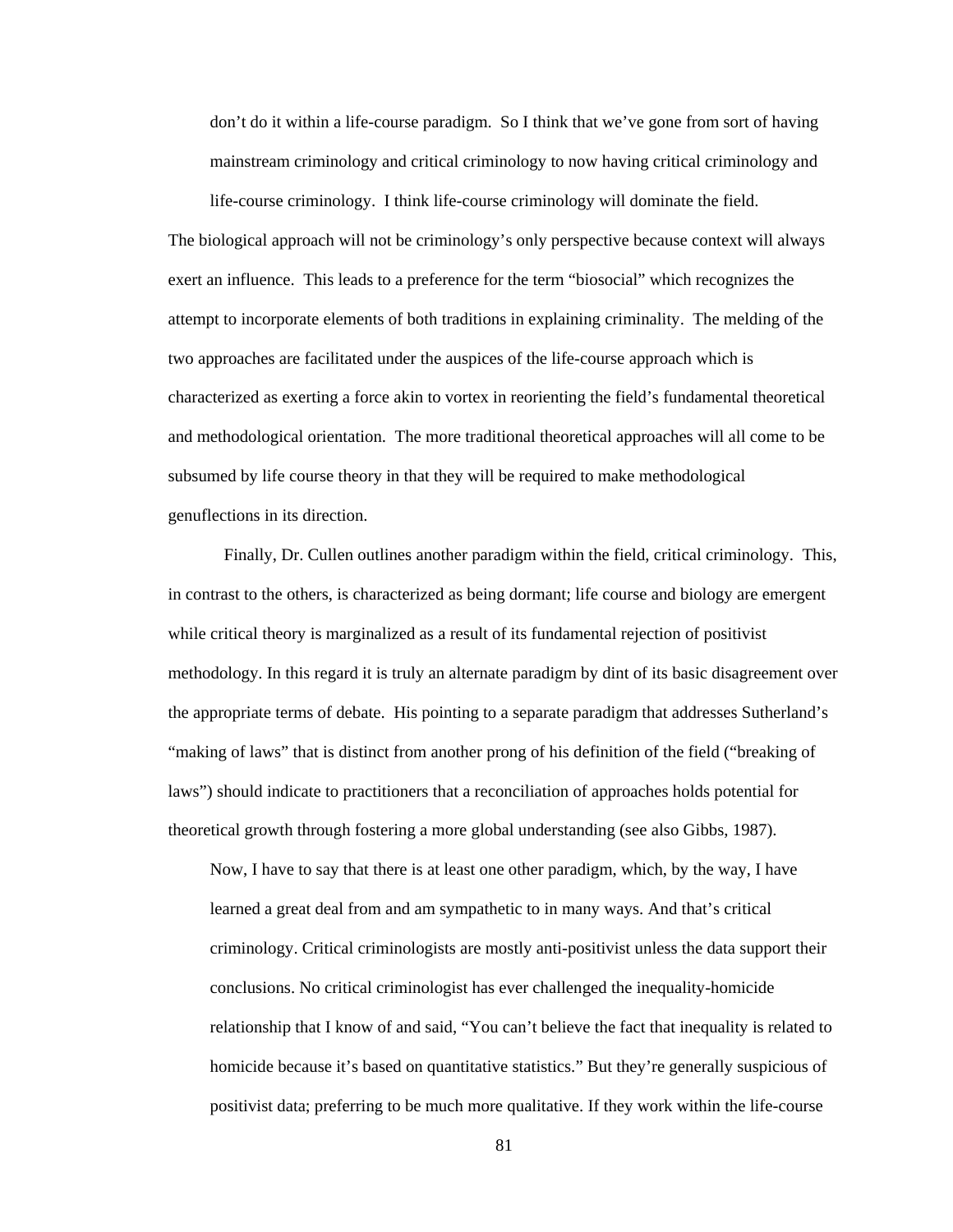don't do it within a life-course paradigm. So I think that we've gone from sort of having mainstream criminology and critical criminology to now having critical criminology and

life-course criminology. I think life-course criminology will dominate the field.

The biological approach will not be criminology's only perspective because context will always exert an influence. This leads to a preference for the term "biosocial" which recognizes the attempt to incorporate elements of both traditions in explaining criminality. The melding of the two approaches are facilitated under the auspices of the life-course approach which is characterized as exerting a force akin to vortex in reorienting the field's fundamental theoretical and methodological orientation. The more traditional theoretical approaches will all come to be subsumed by life course theory in that they will be required to make methodological genuflections in its direction.

 Finally, Dr. Cullen outlines another paradigm within the field, critical criminology. This, in contrast to the others, is characterized as being dormant; life course and biology are emergent while critical theory is marginalized as a result of its fundamental rejection of positivist methodology. In this regard it is truly an alternate paradigm by dint of its basic disagreement over the appropriate terms of debate. His pointing to a separate paradigm that addresses Sutherland's "making of laws" that is distinct from another prong of his definition of the field ("breaking of laws") should indicate to practitioners that a reconciliation of approaches holds potential for theoretical growth through fostering a more global understanding (see also Gibbs, 1987).

Now, I have to say that there is at least one other paradigm, which, by the way, I have learned a great deal from and am sympathetic to in many ways. And that's critical criminology. Critical criminologists are mostly anti-positivist unless the data support their conclusions. No critical criminologist has ever challenged the inequality-homicide relationship that I know of and said, "You can't believe the fact that inequality is related to homicide because it's based on quantitative statistics." But they're generally suspicious of positivist data; preferring to be much more qualitative. If they work within the life-course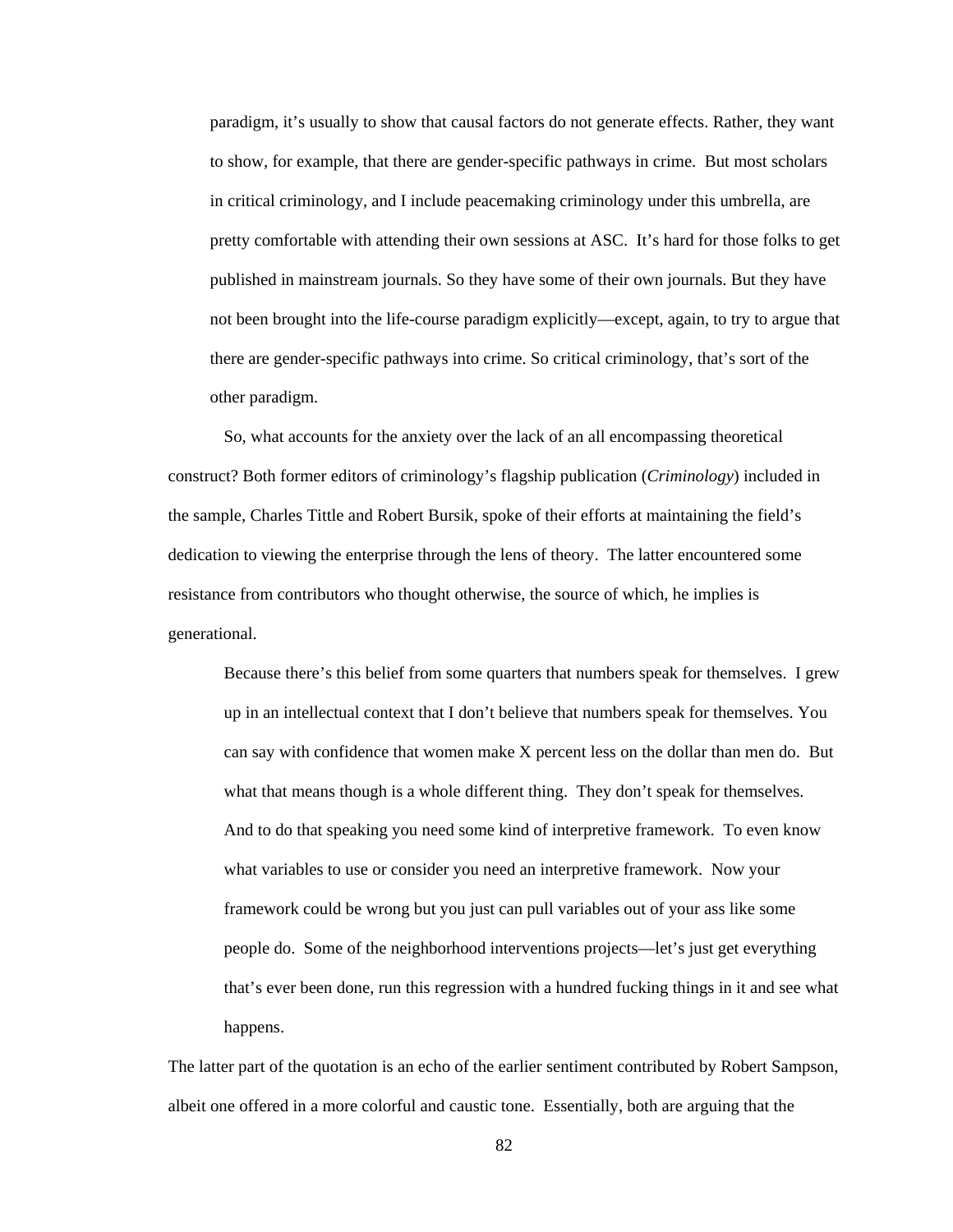paradigm, it's usually to show that causal factors do not generate effects. Rather, they want to show, for example, that there are gender-specific pathways in crime. But most scholars in critical criminology, and I include peacemaking criminology under this umbrella, are pretty comfortable with attending their own sessions at ASC. It's hard for those folks to get published in mainstream journals. So they have some of their own journals. But they have not been brought into the life-course paradigm explicitly—except, again, to try to argue that there are gender-specific pathways into crime. So critical criminology, that's sort of the other paradigm.

 So, what accounts for the anxiety over the lack of an all encompassing theoretical construct? Both former editors of criminology's flagship publication (*Criminology*) included in the sample, Charles Tittle and Robert Bursik, spoke of their efforts at maintaining the field's dedication to viewing the enterprise through the lens of theory. The latter encountered some resistance from contributors who thought otherwise, the source of which, he implies is generational.

Because there's this belief from some quarters that numbers speak for themselves. I grew up in an intellectual context that I don't believe that numbers speak for themselves. You can say with confidence that women make X percent less on the dollar than men do. But what that means though is a whole different thing. They don't speak for themselves. And to do that speaking you need some kind of interpretive framework. To even know what variables to use or consider you need an interpretive framework. Now your framework could be wrong but you just can pull variables out of your ass like some people do. Some of the neighborhood interventions projects—let's just get everything that's ever been done, run this regression with a hundred fucking things in it and see what happens.

The latter part of the quotation is an echo of the earlier sentiment contributed by Robert Sampson, albeit one offered in a more colorful and caustic tone. Essentially, both are arguing that the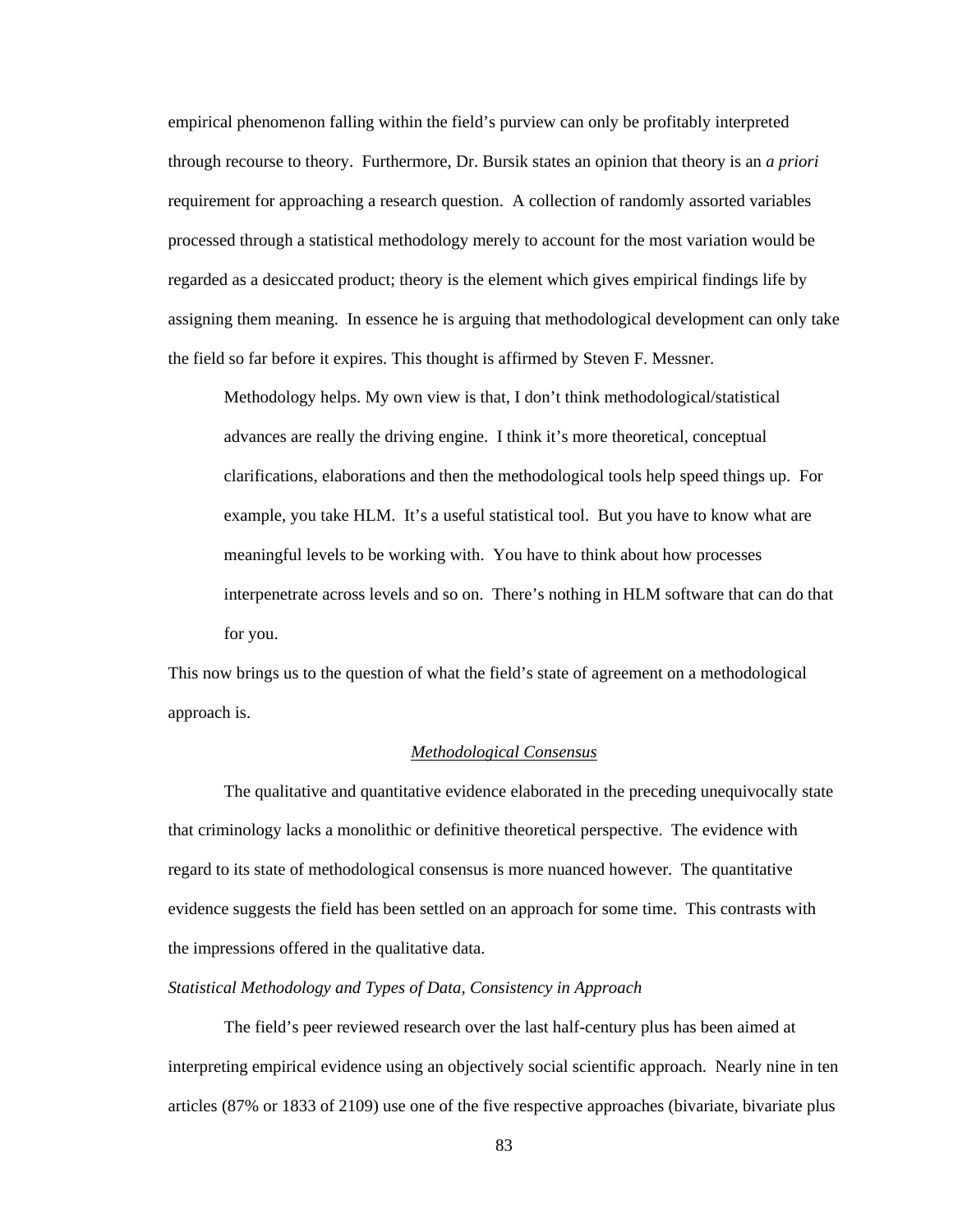empirical phenomenon falling within the field's purview can only be profitably interpreted through recourse to theory. Furthermore, Dr. Bursik states an opinion that theory is an *a priori* requirement for approaching a research question. A collection of randomly assorted variables processed through a statistical methodology merely to account for the most variation would be regarded as a desiccated product; theory is the element which gives empirical findings life by assigning them meaning. In essence he is arguing that methodological development can only take the field so far before it expires. This thought is affirmed by Steven F. Messner.

Methodology helps. My own view is that, I don't think methodological/statistical advances are really the driving engine. I think it's more theoretical, conceptual clarifications, elaborations and then the methodological tools help speed things up. For example, you take HLM. It's a useful statistical tool. But you have to know what are meaningful levels to be working with. You have to think about how processes interpenetrate across levels and so on. There's nothing in HLM software that can do that for you.

This now brings us to the question of what the field's state of agreement on a methodological approach is.

## *Methodological Consensus*

 The qualitative and quantitative evidence elaborated in the preceding unequivocally state that criminology lacks a monolithic or definitive theoretical perspective. The evidence with regard to its state of methodological consensus is more nuanced however. The quantitative evidence suggests the field has been settled on an approach for some time. This contrasts with the impressions offered in the qualitative data.

# *Statistical Methodology and Types of Data, Consistency in Approach*

 The field's peer reviewed research over the last half-century plus has been aimed at interpreting empirical evidence using an objectively social scientific approach. Nearly nine in ten articles (87% or 1833 of 2109) use one of the five respective approaches (bivariate, bivariate plus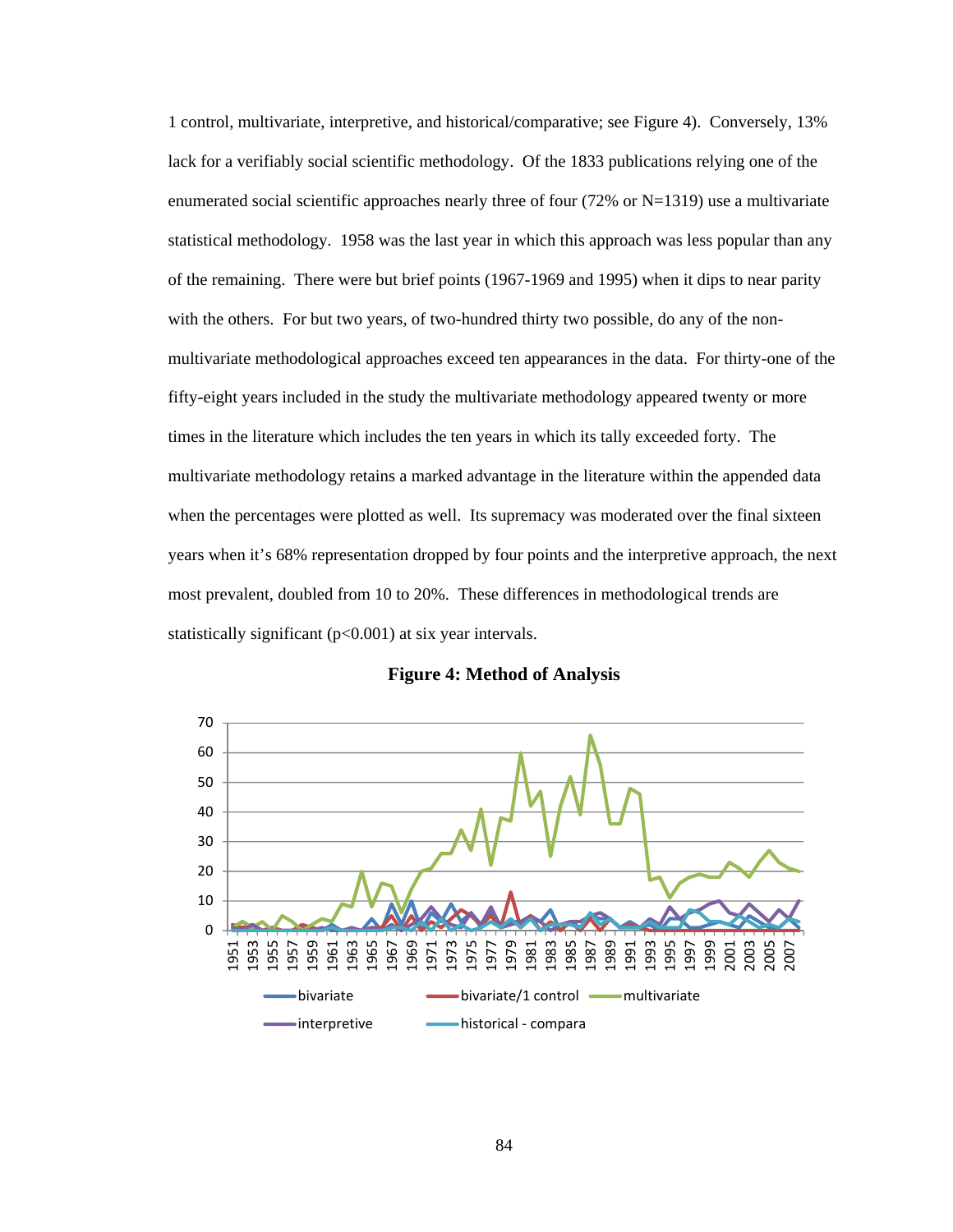1 control, multivariate, interpretive, and historical/comparative; see Figure 4). Conversely, 13% lack for a verifiably social scientific methodology. Of the 1833 publications relying one of the enumerated social scientific approaches nearly three of four  $(72\% \text{ or } N=1319)$  use a multivariate statistical methodology. 1958 was the last year in which this approach was less popular than any of the remaining. There were but brief points (1967-1969 and 1995) when it dips to near parity with the others. For but two years, of two-hundred thirty two possible, do any of the nonmultivariate methodological approaches exceed ten appearances in the data. For thirty-one of the fifty-eight years included in the study the multivariate methodology appeared twenty or more times in the literature which includes the ten years in which its tally exceeded forty. The multivariate methodology retains a marked advantage in the literature within the appended data when the percentages were plotted as well. Its supremacy was moderated over the final sixteen years when it's 68% representation dropped by four points and the interpretive approach, the next most prevalent, doubled from 10 to 20%. These differences in methodological trends are statistically significant (p<0.001) at six year intervals.



**Figure 4: Method of Analysis**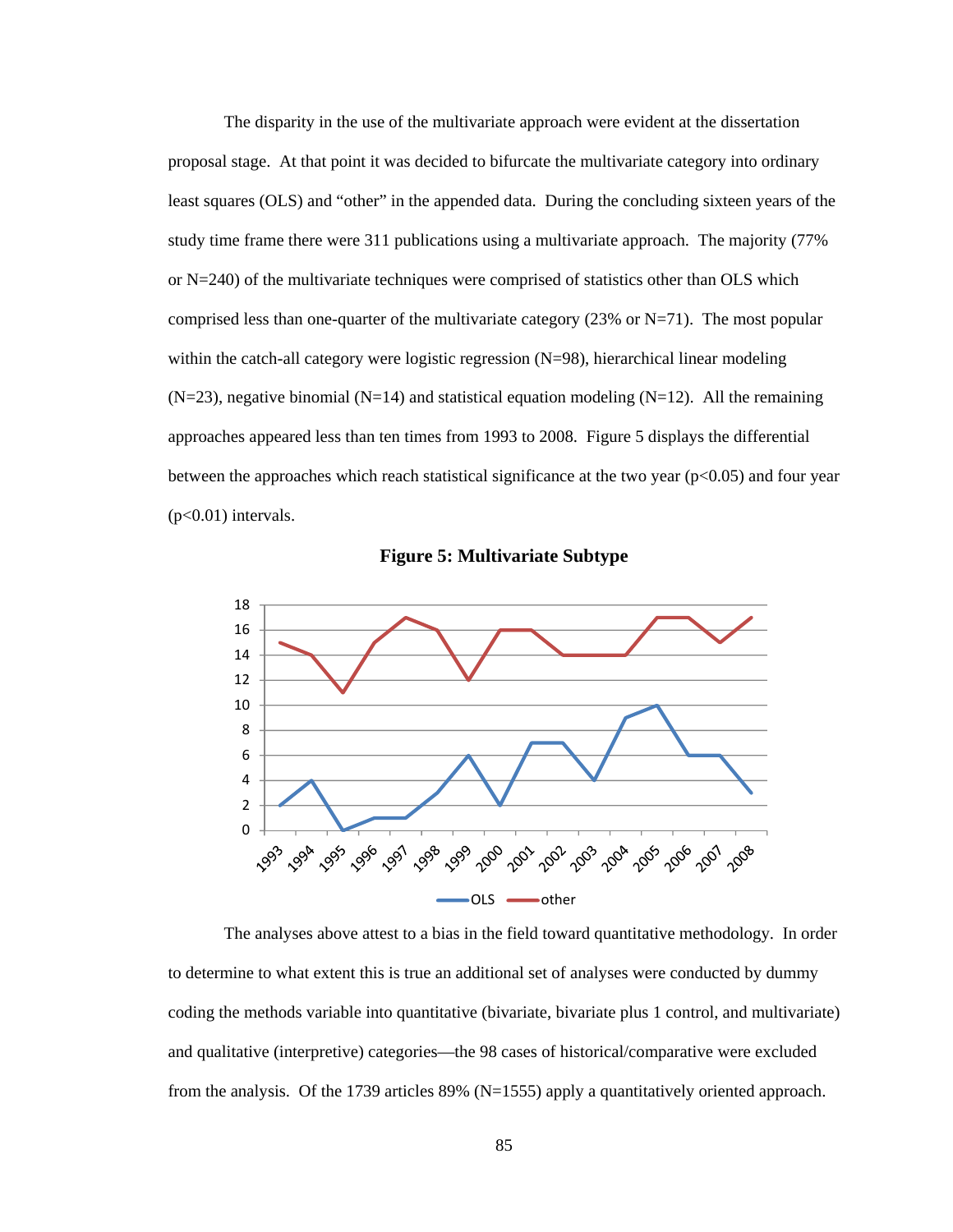The disparity in the use of the multivariate approach were evident at the dissertation proposal stage. At that point it was decided to bifurcate the multivariate category into ordinary least squares (OLS) and "other" in the appended data. During the concluding sixteen years of the study time frame there were 311 publications using a multivariate approach. The majority (77% or N=240) of the multivariate techniques were comprised of statistics other than OLS which comprised less than one-quarter of the multivariate category (23% or  $N=71$ ). The most popular within the catch-all category were logistic regression (N=98), hierarchical linear modeling  $(N=23)$ , negative binomial  $(N=14)$  and statistical equation modeling  $(N=12)$ . All the remaining approaches appeared less than ten times from 1993 to 2008. Figure 5 displays the differential between the approaches which reach statistical significance at the two year  $(p<0.05)$  and four year  $(p<0.01)$  intervals.



**Figure 5: Multivariate Subtype** 

 The analyses above attest to a bias in the field toward quantitative methodology. In order to determine to what extent this is true an additional set of analyses were conducted by dummy coding the methods variable into quantitative (bivariate, bivariate plus 1 control, and multivariate) and qualitative (interpretive) categories—the 98 cases of historical/comparative were excluded from the analysis. Of the 1739 articles 89% (N=1555) apply a quantitatively oriented approach.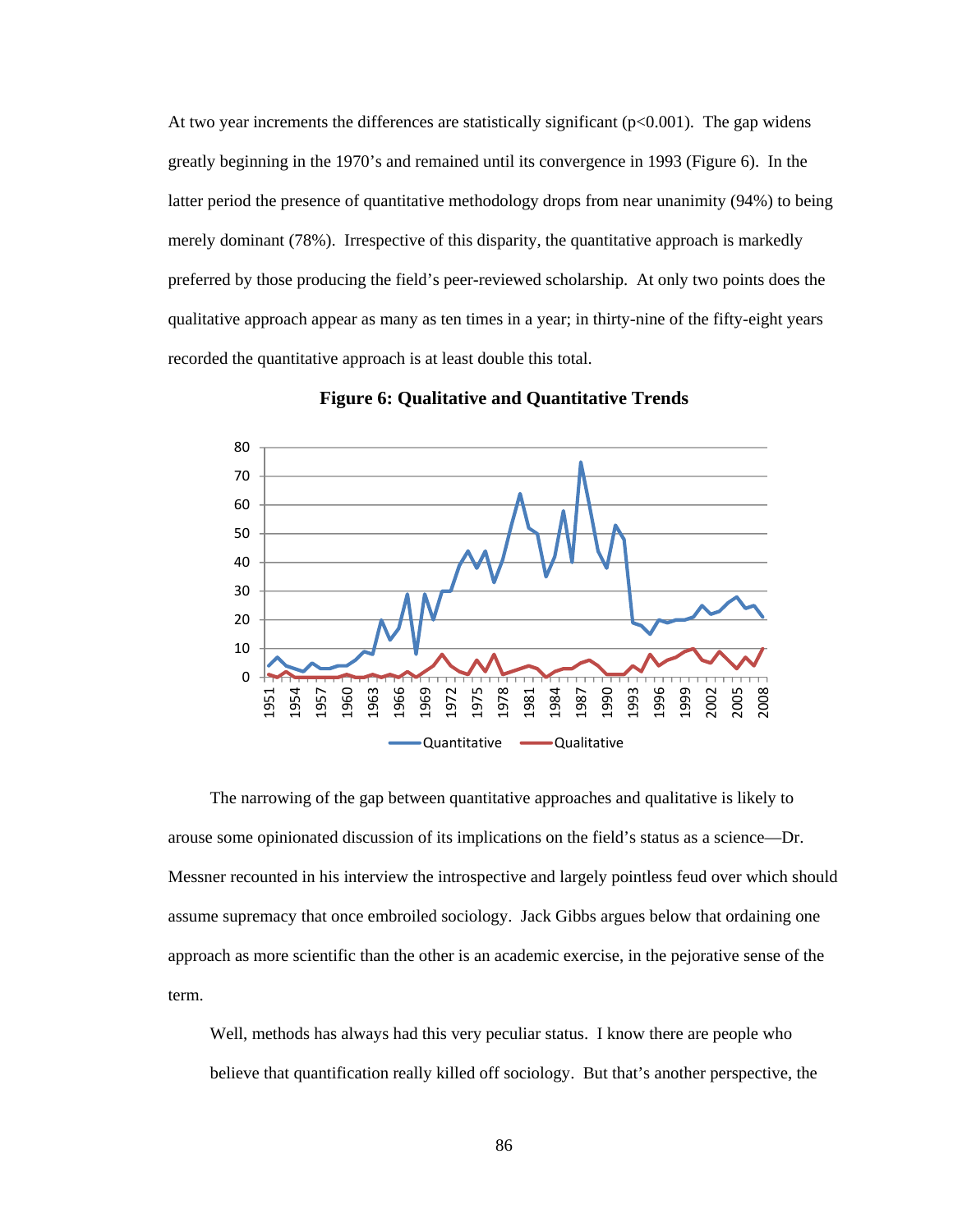At two year increments the differences are statistically significant  $(p<0.001)$ . The gap widens greatly beginning in the 1970's and remained until its convergence in 1993 (Figure 6). In the latter period the presence of quantitative methodology drops from near unanimity (94%) to being merely dominant (78%). Irrespective of this disparity, the quantitative approach is markedly preferred by those producing the field's peer-reviewed scholarship. At only two points does the qualitative approach appear as many as ten times in a year; in thirty-nine of the fifty-eight years recorded the quantitative approach is at least double this total.



**Figure 6: Qualitative and Quantitative Trends** 

The narrowing of the gap between quantitative approaches and qualitative is likely to arouse some opinionated discussion of its implications on the field's status as a science—Dr. Messner recounted in his interview the introspective and largely pointless feud over which should assume supremacy that once embroiled sociology. Jack Gibbs argues below that ordaining one approach as more scientific than the other is an academic exercise, in the pejorative sense of the term.

Well, methods has always had this very peculiar status. I know there are people who believe that quantification really killed off sociology. But that's another perspective, the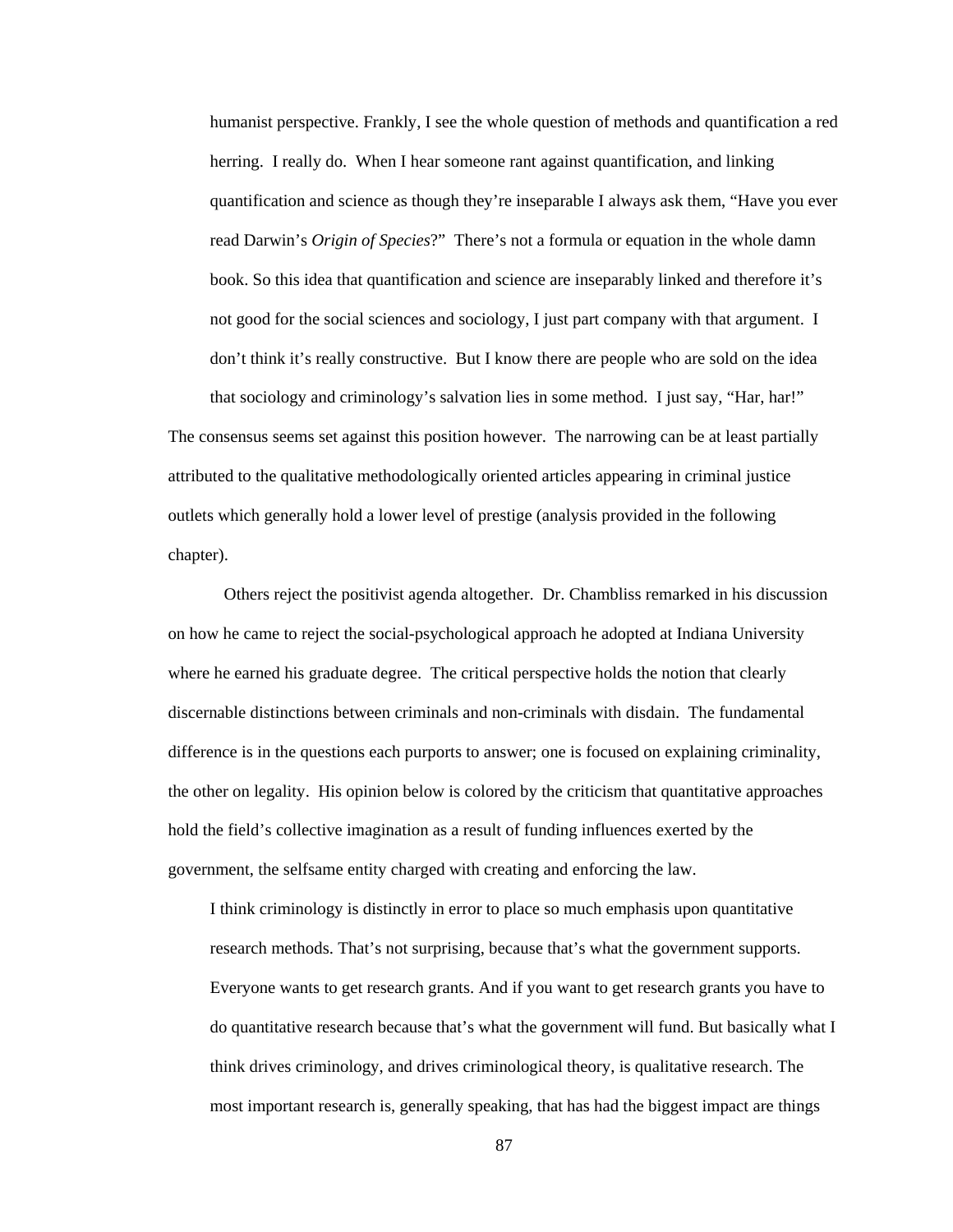humanist perspective. Frankly, I see the whole question of methods and quantification a red herring. I really do. When I hear someone rant against quantification, and linking quantification and science as though they're inseparable I always ask them, "Have you ever read Darwin's *Origin of Species*?" There's not a formula or equation in the whole damn book. So this idea that quantification and science are inseparably linked and therefore it's not good for the social sciences and sociology, I just part company with that argument. I don't think it's really constructive. But I know there are people who are sold on the idea that sociology and criminology's salvation lies in some method. I just say, "Har, har!"

The consensus seems set against this position however. The narrowing can be at least partially attributed to the qualitative methodologically oriented articles appearing in criminal justice outlets which generally hold a lower level of prestige (analysis provided in the following chapter).

 Others reject the positivist agenda altogether. Dr. Chambliss remarked in his discussion on how he came to reject the social-psychological approach he adopted at Indiana University where he earned his graduate degree. The critical perspective holds the notion that clearly discernable distinctions between criminals and non-criminals with disdain. The fundamental difference is in the questions each purports to answer; one is focused on explaining criminality, the other on legality. His opinion below is colored by the criticism that quantitative approaches hold the field's collective imagination as a result of funding influences exerted by the government, the selfsame entity charged with creating and enforcing the law.

I think criminology is distinctly in error to place so much emphasis upon quantitative research methods. That's not surprising, because that's what the government supports. Everyone wants to get research grants. And if you want to get research grants you have to do quantitative research because that's what the government will fund. But basically what I think drives criminology, and drives criminological theory, is qualitative research. The most important research is, generally speaking, that has had the biggest impact are things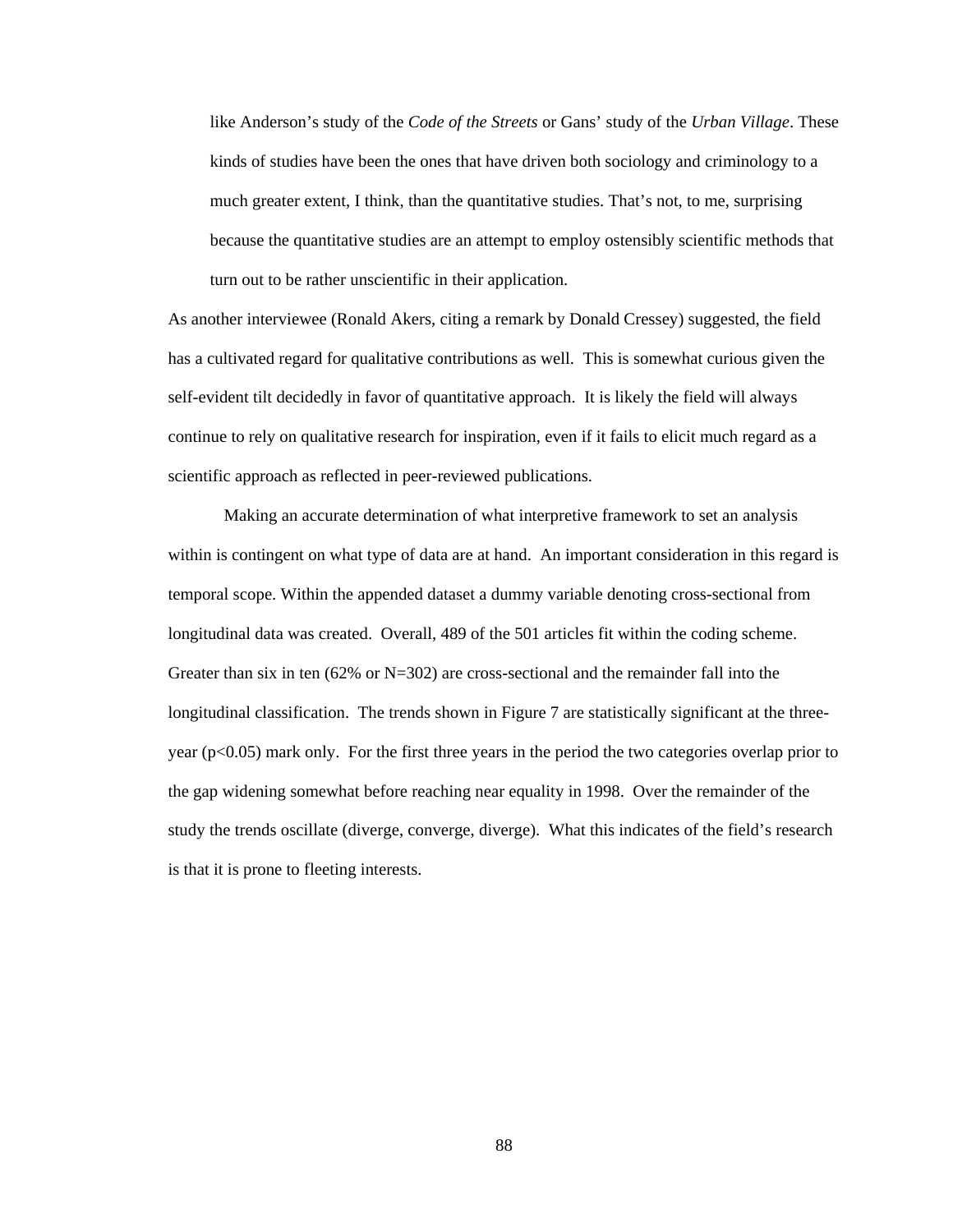like Anderson's study of the *Code of the Streets* or Gans' study of the *Urban Village*. These kinds of studies have been the ones that have driven both sociology and criminology to a much greater extent, I think, than the quantitative studies. That's not, to me, surprising because the quantitative studies are an attempt to employ ostensibly scientific methods that turn out to be rather unscientific in their application.

As another interviewee (Ronald Akers, citing a remark by Donald Cressey) suggested, the field has a cultivated regard for qualitative contributions as well. This is somewhat curious given the self-evident tilt decidedly in favor of quantitative approach. It is likely the field will always continue to rely on qualitative research for inspiration, even if it fails to elicit much regard as a scientific approach as reflected in peer-reviewed publications.

Making an accurate determination of what interpretive framework to set an analysis within is contingent on what type of data are at hand. An important consideration in this regard is temporal scope. Within the appended dataset a dummy variable denoting cross-sectional from longitudinal data was created. Overall, 489 of the 501 articles fit within the coding scheme. Greater than six in ten  $(62\% \text{ or } N=302)$  are cross-sectional and the remainder fall into the longitudinal classification. The trends shown in Figure 7 are statistically significant at the threeyear (p<0.05) mark only. For the first three years in the period the two categories overlap prior to the gap widening somewhat before reaching near equality in 1998. Over the remainder of the study the trends oscillate (diverge, converge, diverge). What this indicates of the field's research is that it is prone to fleeting interests.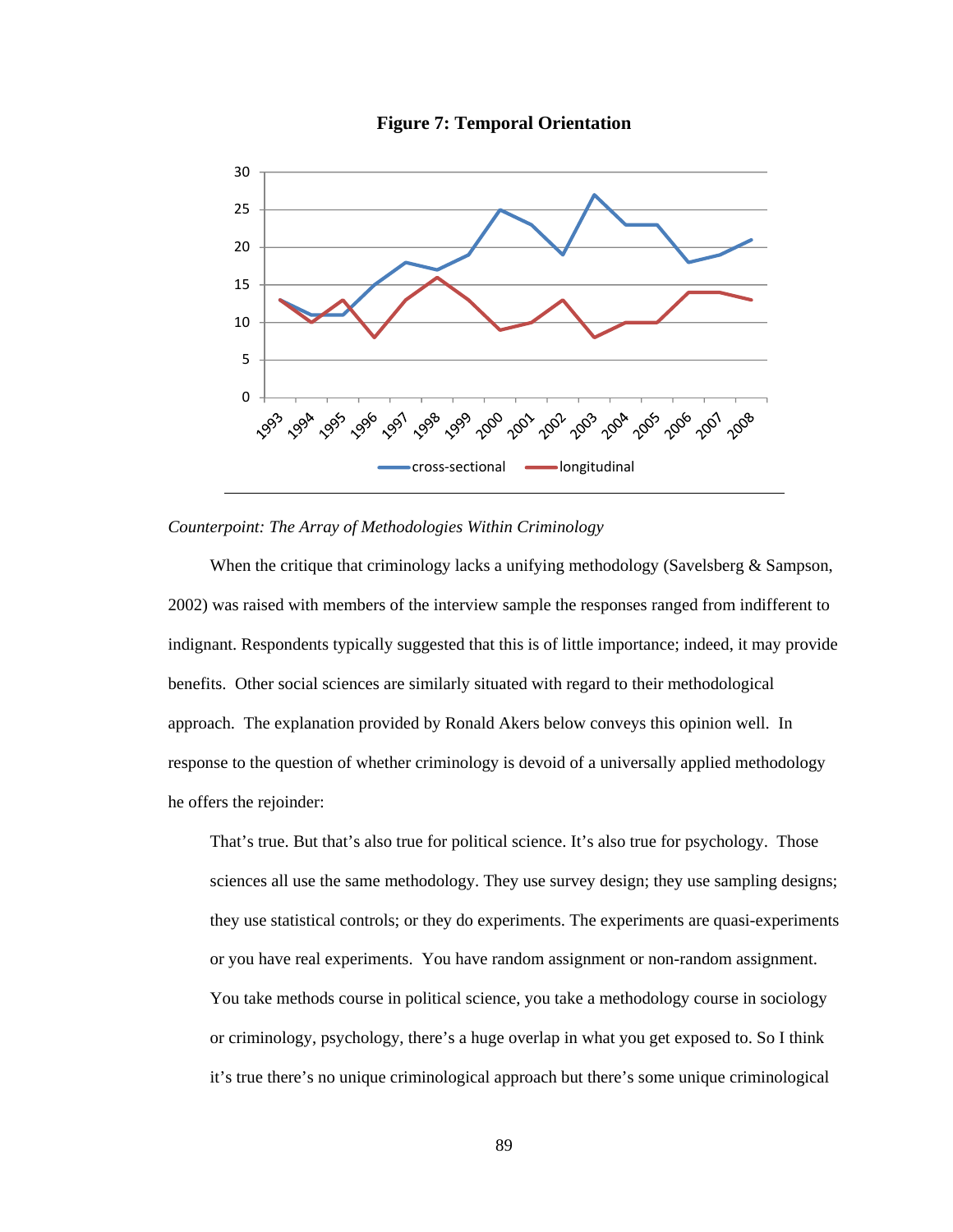

**Figure 7: Temporal Orientation** 

#### *Counterpoint: The Array of Methodologies Within Criminology*

When the critique that criminology lacks a unifying methodology (Savelsberg & Sampson, 2002) was raised with members of the interview sample the responses ranged from indifferent to indignant. Respondents typically suggested that this is of little importance; indeed, it may provide benefits. Other social sciences are similarly situated with regard to their methodological approach. The explanation provided by Ronald Akers below conveys this opinion well. In response to the question of whether criminology is devoid of a universally applied methodology he offers the rejoinder:

That's true. But that's also true for political science. It's also true for psychology. Those sciences all use the same methodology. They use survey design; they use sampling designs; they use statistical controls; or they do experiments. The experiments are quasi-experiments or you have real experiments. You have random assignment or non-random assignment. You take methods course in political science, you take a methodology course in sociology or criminology, psychology, there's a huge overlap in what you get exposed to. So I think it's true there's no unique criminological approach but there's some unique criminological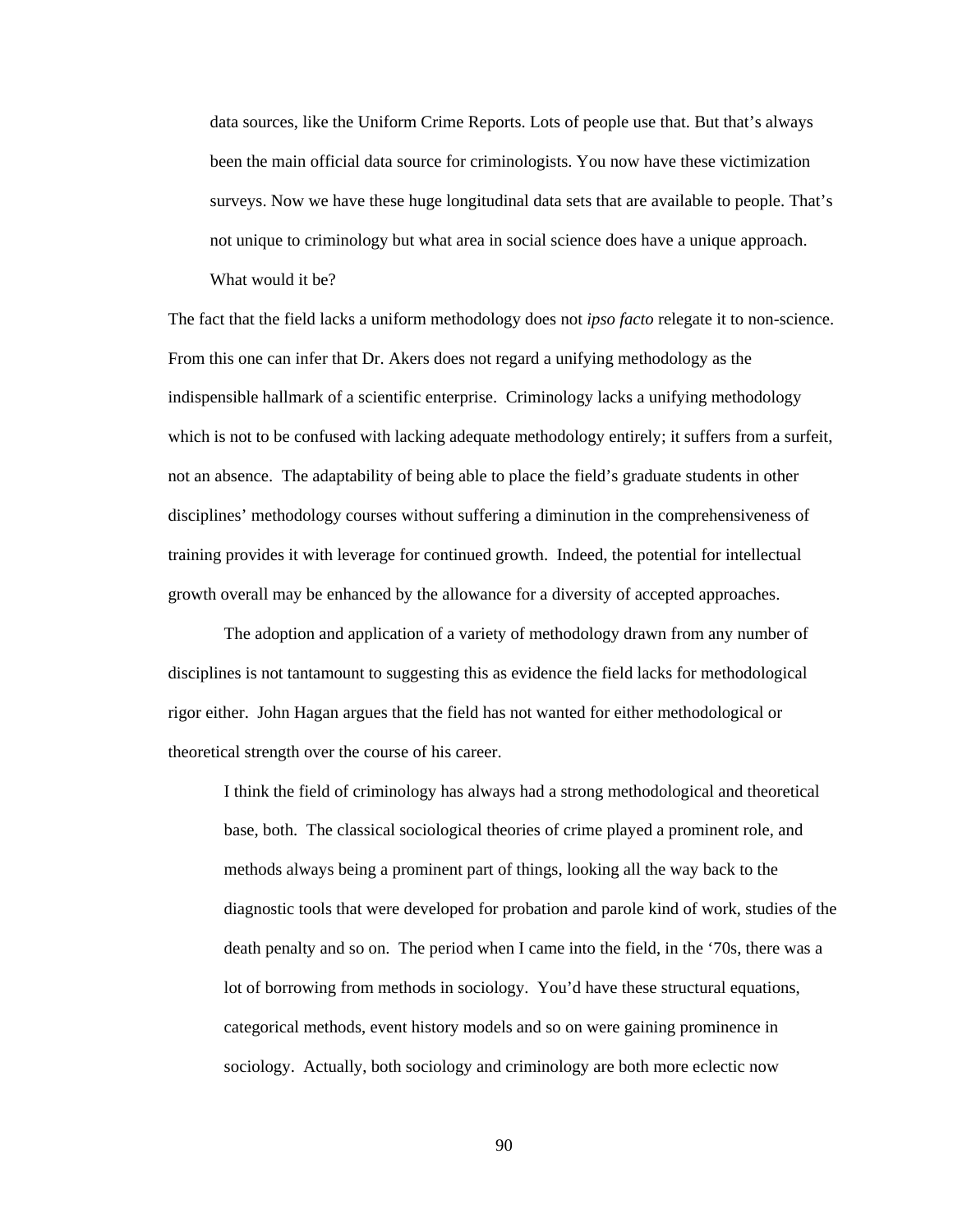data sources, like the Uniform Crime Reports. Lots of people use that. But that's always been the main official data source for criminologists. You now have these victimization surveys. Now we have these huge longitudinal data sets that are available to people. That's not unique to criminology but what area in social science does have a unique approach. What would it be?

The fact that the field lacks a uniform methodology does not *ipso facto* relegate it to non-science. From this one can infer that Dr. Akers does not regard a unifying methodology as the indispensible hallmark of a scientific enterprise. Criminology lacks a unifying methodology which is not to be confused with lacking adequate methodology entirely; it suffers from a surfeit, not an absence. The adaptability of being able to place the field's graduate students in other disciplines' methodology courses without suffering a diminution in the comprehensiveness of training provides it with leverage for continued growth. Indeed, the potential for intellectual growth overall may be enhanced by the allowance for a diversity of accepted approaches.

 The adoption and application of a variety of methodology drawn from any number of disciplines is not tantamount to suggesting this as evidence the field lacks for methodological rigor either. John Hagan argues that the field has not wanted for either methodological or theoretical strength over the course of his career.

I think the field of criminology has always had a strong methodological and theoretical base, both. The classical sociological theories of crime played a prominent role, and methods always being a prominent part of things, looking all the way back to the diagnostic tools that were developed for probation and parole kind of work, studies of the death penalty and so on. The period when I came into the field, in the '70s, there was a lot of borrowing from methods in sociology. You'd have these structural equations, categorical methods, event history models and so on were gaining prominence in sociology. Actually, both sociology and criminology are both more eclectic now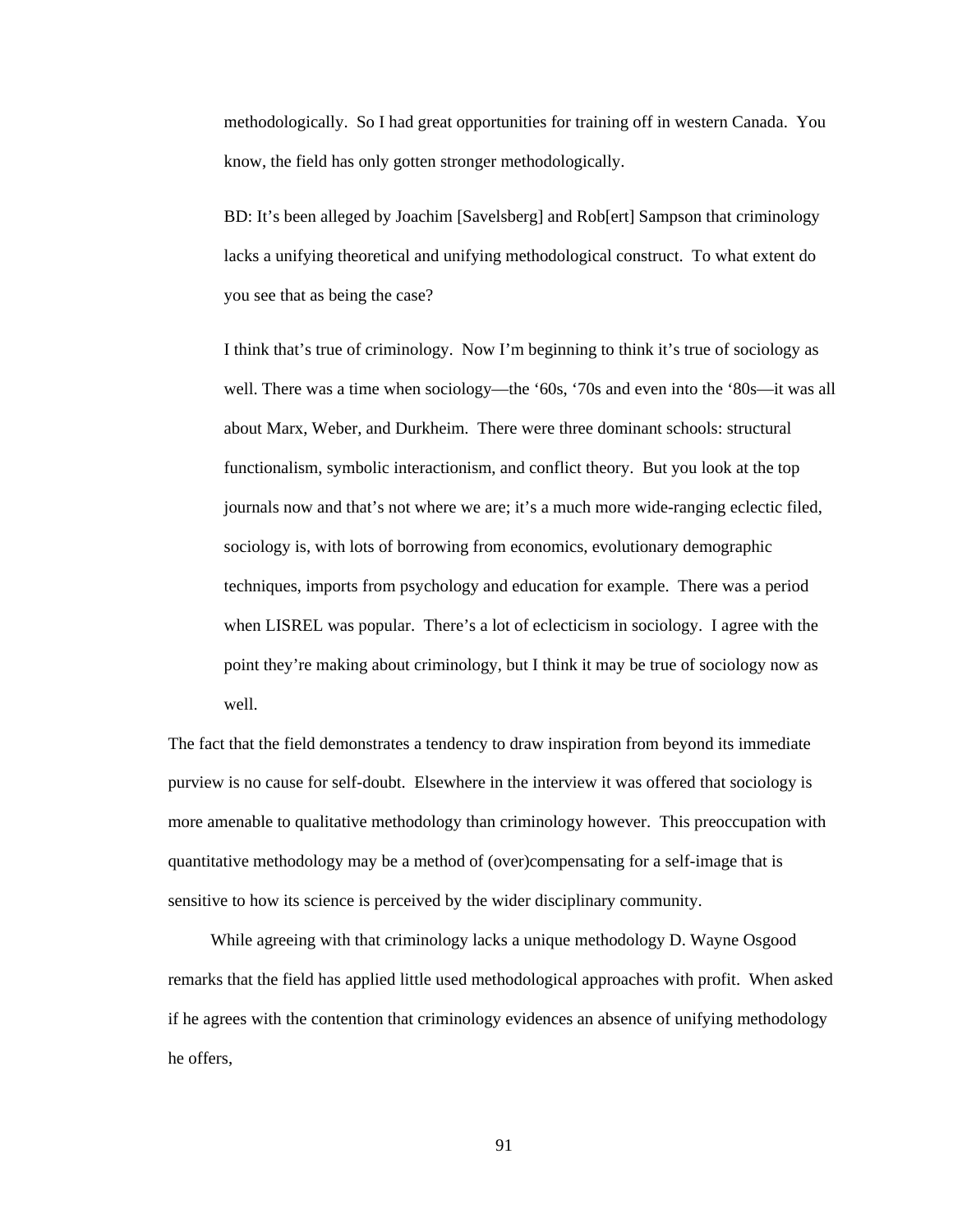methodologically. So I had great opportunities for training off in western Canada. You know, the field has only gotten stronger methodologically.

BD: It's been alleged by Joachim [Savelsberg] and Rob[ert] Sampson that criminology lacks a unifying theoretical and unifying methodological construct. To what extent do you see that as being the case?

I think that's true of criminology. Now I'm beginning to think it's true of sociology as well. There was a time when sociology—the '60s, '70s and even into the '80s—it was all about Marx, Weber, and Durkheim. There were three dominant schools: structural functionalism, symbolic interactionism, and conflict theory. But you look at the top journals now and that's not where we are; it's a much more wide-ranging eclectic filed, sociology is, with lots of borrowing from economics, evolutionary demographic techniques, imports from psychology and education for example. There was a period when LISREL was popular. There's a lot of eclecticism in sociology. I agree with the point they're making about criminology, but I think it may be true of sociology now as well.

The fact that the field demonstrates a tendency to draw inspiration from beyond its immediate purview is no cause for self-doubt. Elsewhere in the interview it was offered that sociology is more amenable to qualitative methodology than criminology however. This preoccupation with quantitative methodology may be a method of (over)compensating for a self-image that is sensitive to how its science is perceived by the wider disciplinary community.

While agreeing with that criminology lacks a unique methodology D. Wayne Osgood remarks that the field has applied little used methodological approaches with profit. When asked if he agrees with the contention that criminology evidences an absence of unifying methodology he offers,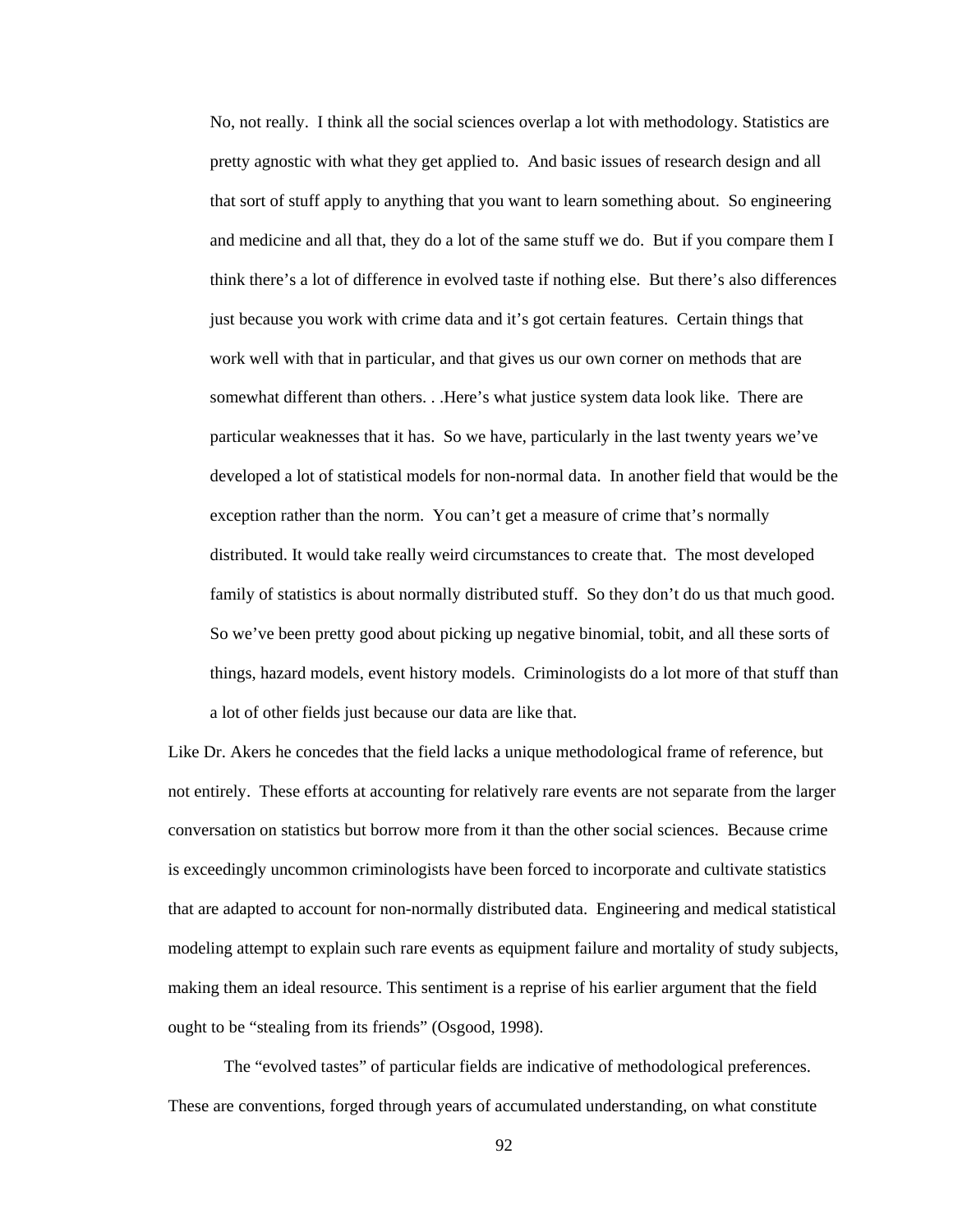No, not really. I think all the social sciences overlap a lot with methodology. Statistics are pretty agnostic with what they get applied to. And basic issues of research design and all that sort of stuff apply to anything that you want to learn something about. So engineering and medicine and all that, they do a lot of the same stuff we do. But if you compare them I think there's a lot of difference in evolved taste if nothing else. But there's also differences just because you work with crime data and it's got certain features. Certain things that work well with that in particular, and that gives us our own corner on methods that are somewhat different than others. . .Here's what justice system data look like. There are particular weaknesses that it has. So we have, particularly in the last twenty years we've developed a lot of statistical models for non-normal data. In another field that would be the exception rather than the norm. You can't get a measure of crime that's normally distributed. It would take really weird circumstances to create that. The most developed family of statistics is about normally distributed stuff. So they don't do us that much good. So we've been pretty good about picking up negative binomial, tobit, and all these sorts of things, hazard models, event history models. Criminologists do a lot more of that stuff than a lot of other fields just because our data are like that.

Like Dr. Akers he concedes that the field lacks a unique methodological frame of reference, but not entirely. These efforts at accounting for relatively rare events are not separate from the larger conversation on statistics but borrow more from it than the other social sciences. Because crime is exceedingly uncommon criminologists have been forced to incorporate and cultivate statistics that are adapted to account for non-normally distributed data. Engineering and medical statistical modeling attempt to explain such rare events as equipment failure and mortality of study subjects, making them an ideal resource. This sentiment is a reprise of his earlier argument that the field ought to be "stealing from its friends" (Osgood, 1998).

 The "evolved tastes" of particular fields are indicative of methodological preferences. These are conventions, forged through years of accumulated understanding, on what constitute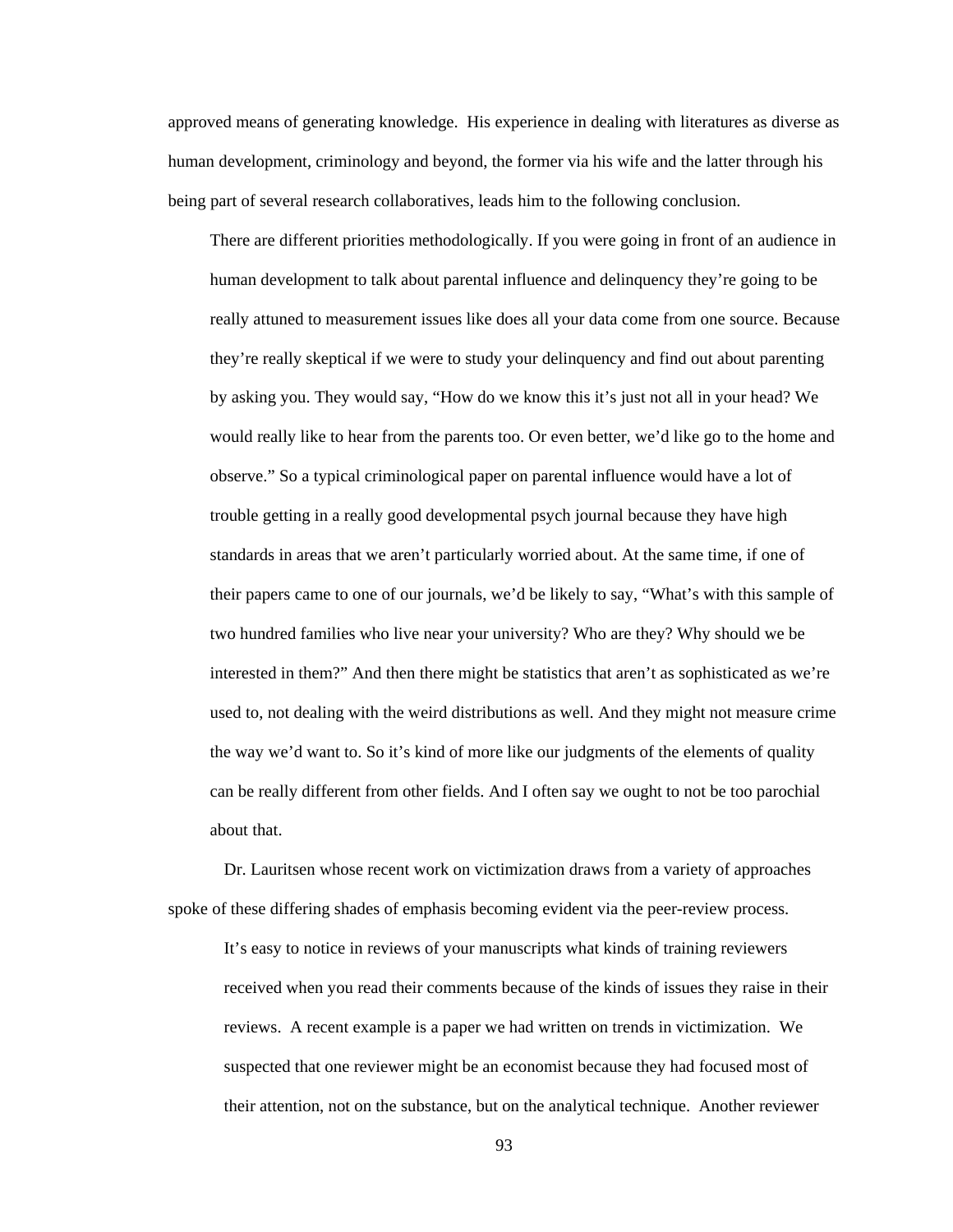approved means of generating knowledge. His experience in dealing with literatures as diverse as human development, criminology and beyond, the former via his wife and the latter through his being part of several research collaboratives, leads him to the following conclusion.

There are different priorities methodologically. If you were going in front of an audience in human development to talk about parental influence and delinquency they're going to be really attuned to measurement issues like does all your data come from one source. Because they're really skeptical if we were to study your delinquency and find out about parenting by asking you. They would say, "How do we know this it's just not all in your head? We would really like to hear from the parents too. Or even better, we'd like go to the home and observe." So a typical criminological paper on parental influence would have a lot of trouble getting in a really good developmental psych journal because they have high standards in areas that we aren't particularly worried about. At the same time, if one of their papers came to one of our journals, we'd be likely to say, "What's with this sample of two hundred families who live near your university? Who are they? Why should we be interested in them?" And then there might be statistics that aren't as sophisticated as we're used to, not dealing with the weird distributions as well. And they might not measure crime the way we'd want to. So it's kind of more like our judgments of the elements of quality can be really different from other fields. And I often say we ought to not be too parochial about that.

 Dr. Lauritsen whose recent work on victimization draws from a variety of approaches spoke of these differing shades of emphasis becoming evident via the peer-review process.

It's easy to notice in reviews of your manuscripts what kinds of training reviewers received when you read their comments because of the kinds of issues they raise in their reviews. A recent example is a paper we had written on trends in victimization. We suspected that one reviewer might be an economist because they had focused most of their attention, not on the substance, but on the analytical technique. Another reviewer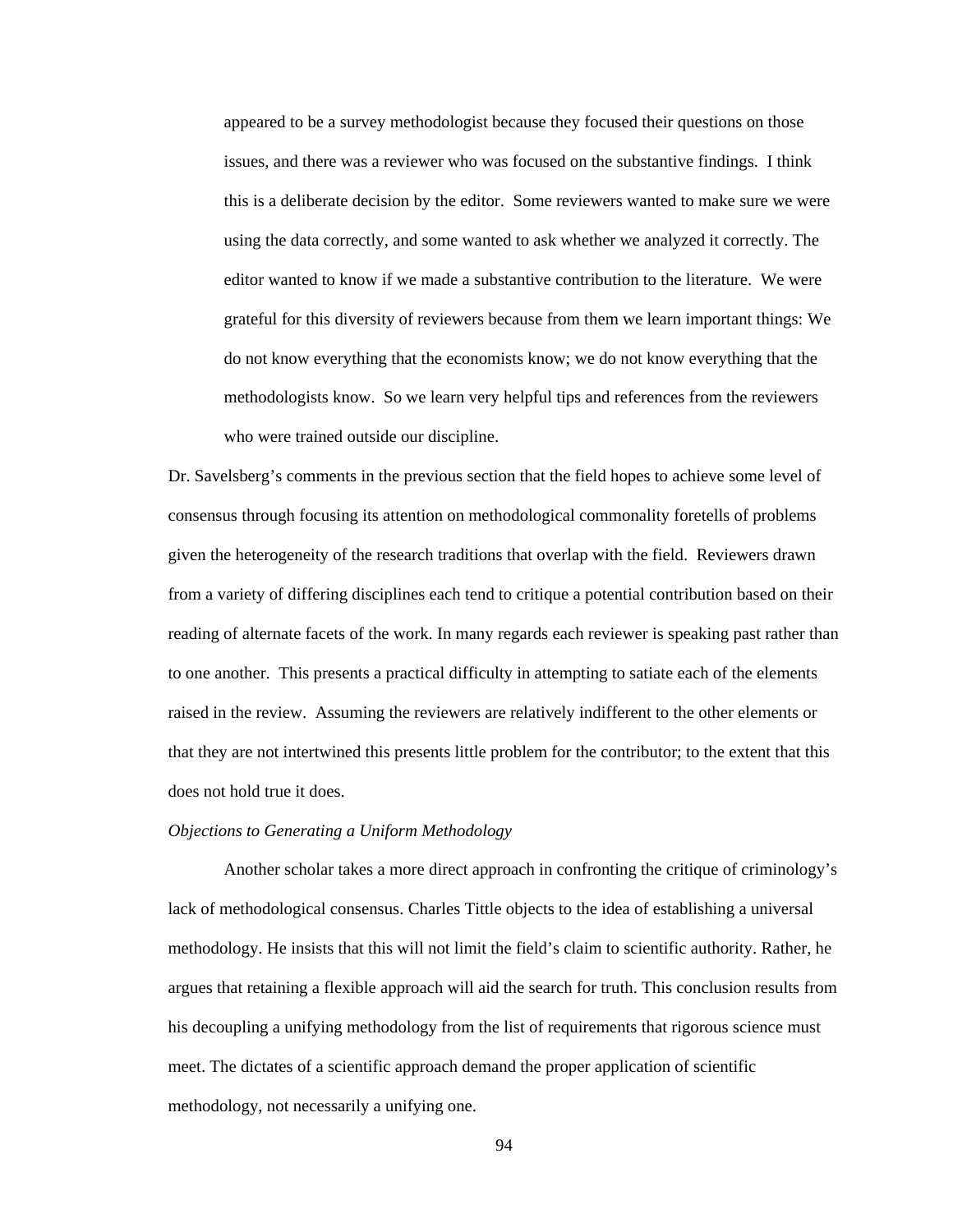appeared to be a survey methodologist because they focused their questions on those issues, and there was a reviewer who was focused on the substantive findings. I think this is a deliberate decision by the editor. Some reviewers wanted to make sure we were using the data correctly, and some wanted to ask whether we analyzed it correctly. The editor wanted to know if we made a substantive contribution to the literature. We were grateful for this diversity of reviewers because from them we learn important things: We do not know everything that the economists know; we do not know everything that the methodologists know. So we learn very helpful tips and references from the reviewers who were trained outside our discipline.

Dr. Savelsberg's comments in the previous section that the field hopes to achieve some level of consensus through focusing its attention on methodological commonality foretells of problems given the heterogeneity of the research traditions that overlap with the field. Reviewers drawn from a variety of differing disciplines each tend to critique a potential contribution based on their reading of alternate facets of the work. In many regards each reviewer is speaking past rather than to one another. This presents a practical difficulty in attempting to satiate each of the elements raised in the review. Assuming the reviewers are relatively indifferent to the other elements or that they are not intertwined this presents little problem for the contributor; to the extent that this does not hold true it does.

# *Objections to Generating a Uniform Methodology*

Another scholar takes a more direct approach in confronting the critique of criminology's lack of methodological consensus. Charles Tittle objects to the idea of establishing a universal methodology. He insists that this will not limit the field's claim to scientific authority. Rather, he argues that retaining a flexible approach will aid the search for truth. This conclusion results from his decoupling a unifying methodology from the list of requirements that rigorous science must meet. The dictates of a scientific approach demand the proper application of scientific methodology, not necessarily a unifying one.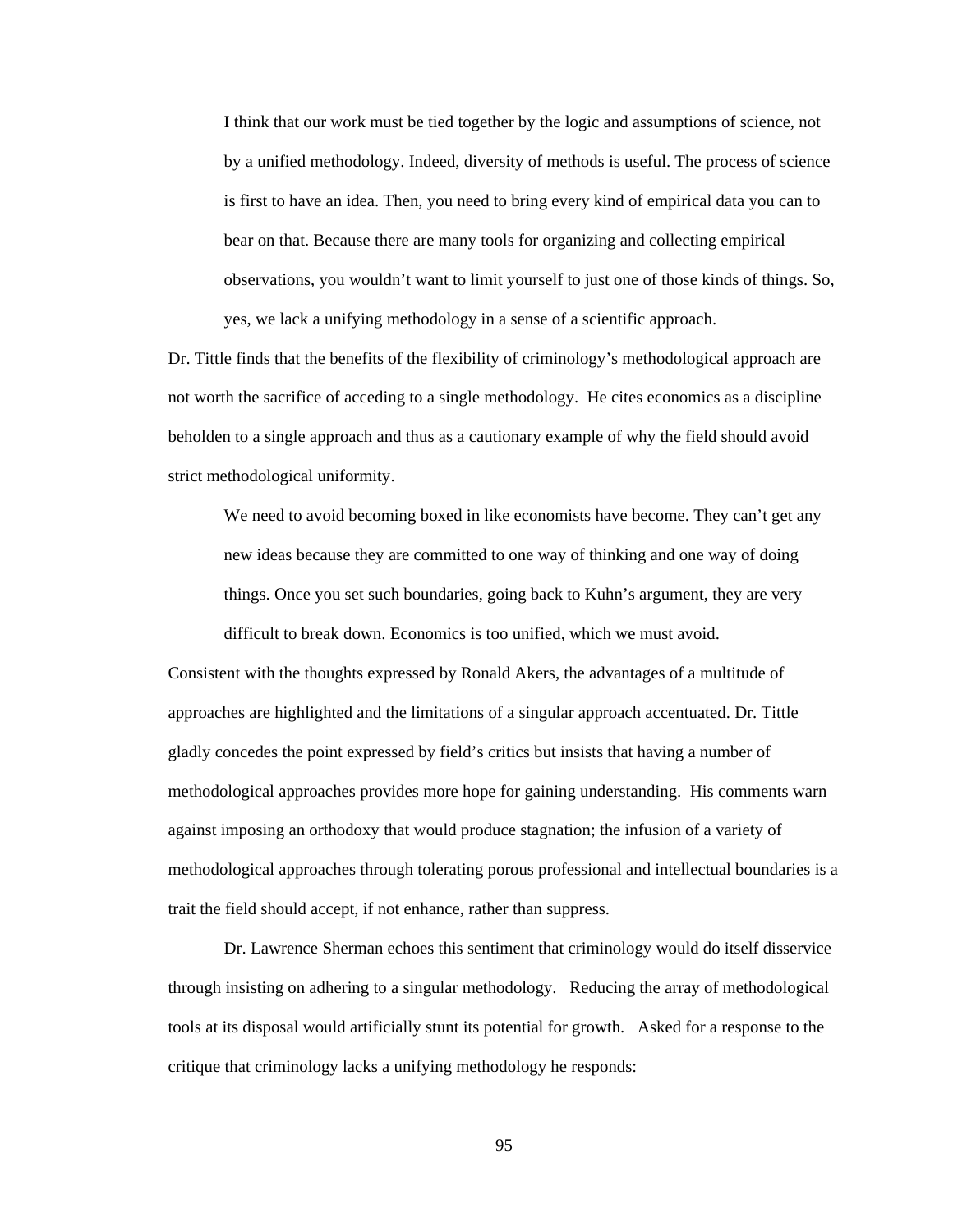I think that our work must be tied together by the logic and assumptions of science, not by a unified methodology. Indeed, diversity of methods is useful. The process of science is first to have an idea. Then, you need to bring every kind of empirical data you can to bear on that. Because there are many tools for organizing and collecting empirical observations, you wouldn't want to limit yourself to just one of those kinds of things. So, yes, we lack a unifying methodology in a sense of a scientific approach.

Dr. Tittle finds that the benefits of the flexibility of criminology's methodological approach are not worth the sacrifice of acceding to a single methodology. He cites economics as a discipline beholden to a single approach and thus as a cautionary example of why the field should avoid strict methodological uniformity.

We need to avoid becoming boxed in like economists have become. They can't get any new ideas because they are committed to one way of thinking and one way of doing things. Once you set such boundaries, going back to Kuhn's argument, they are very difficult to break down. Economics is too unified, which we must avoid.

Consistent with the thoughts expressed by Ronald Akers, the advantages of a multitude of approaches are highlighted and the limitations of a singular approach accentuated. Dr. Tittle gladly concedes the point expressed by field's critics but insists that having a number of methodological approaches provides more hope for gaining understanding. His comments warn against imposing an orthodoxy that would produce stagnation; the infusion of a variety of methodological approaches through tolerating porous professional and intellectual boundaries is a trait the field should accept, if not enhance, rather than suppress.

Dr. Lawrence Sherman echoes this sentiment that criminology would do itself disservice through insisting on adhering to a singular methodology. Reducing the array of methodological tools at its disposal would artificially stunt its potential for growth. Asked for a response to the critique that criminology lacks a unifying methodology he responds: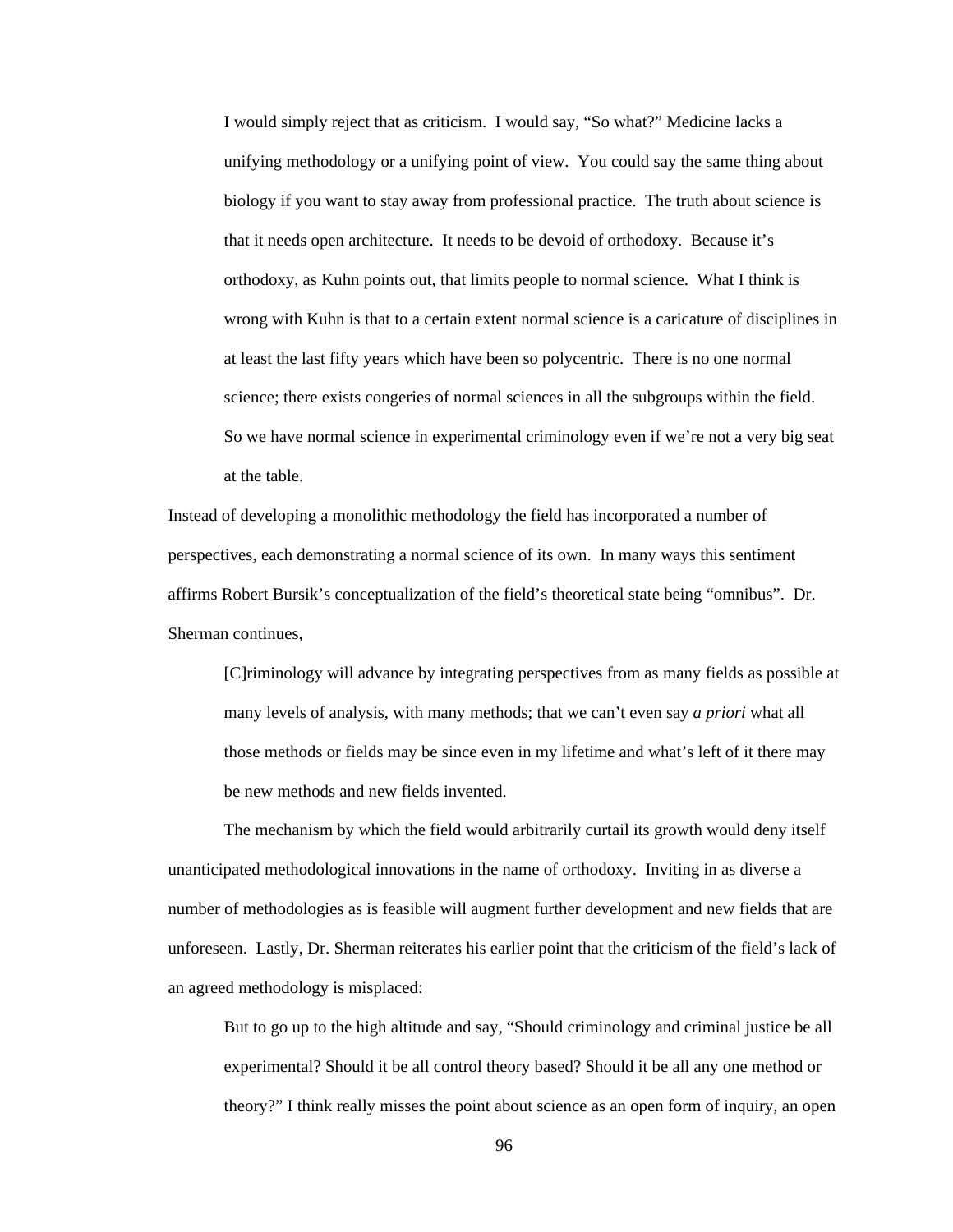I would simply reject that as criticism. I would say, "So what?" Medicine lacks a unifying methodology or a unifying point of view. You could say the same thing about biology if you want to stay away from professional practice. The truth about science is that it needs open architecture. It needs to be devoid of orthodoxy. Because it's orthodoxy, as Kuhn points out, that limits people to normal science. What I think is wrong with Kuhn is that to a certain extent normal science is a caricature of disciplines in at least the last fifty years which have been so polycentric. There is no one normal science; there exists congeries of normal sciences in all the subgroups within the field. So we have normal science in experimental criminology even if we're not a very big seat at the table.

Instead of developing a monolithic methodology the field has incorporated a number of perspectives, each demonstrating a normal science of its own. In many ways this sentiment affirms Robert Bursik's conceptualization of the field's theoretical state being "omnibus". Dr. Sherman continues,

[C]riminology will advance by integrating perspectives from as many fields as possible at many levels of analysis, with many methods; that we can't even say *a priori* what all those methods or fields may be since even in my lifetime and what's left of it there may be new methods and new fields invented.

 The mechanism by which the field would arbitrarily curtail its growth would deny itself unanticipated methodological innovations in the name of orthodoxy. Inviting in as diverse a number of methodologies as is feasible will augment further development and new fields that are unforeseen. Lastly, Dr. Sherman reiterates his earlier point that the criticism of the field's lack of an agreed methodology is misplaced:

But to go up to the high altitude and say, "Should criminology and criminal justice be all experimental? Should it be all control theory based? Should it be all any one method or theory?" I think really misses the point about science as an open form of inquiry, an open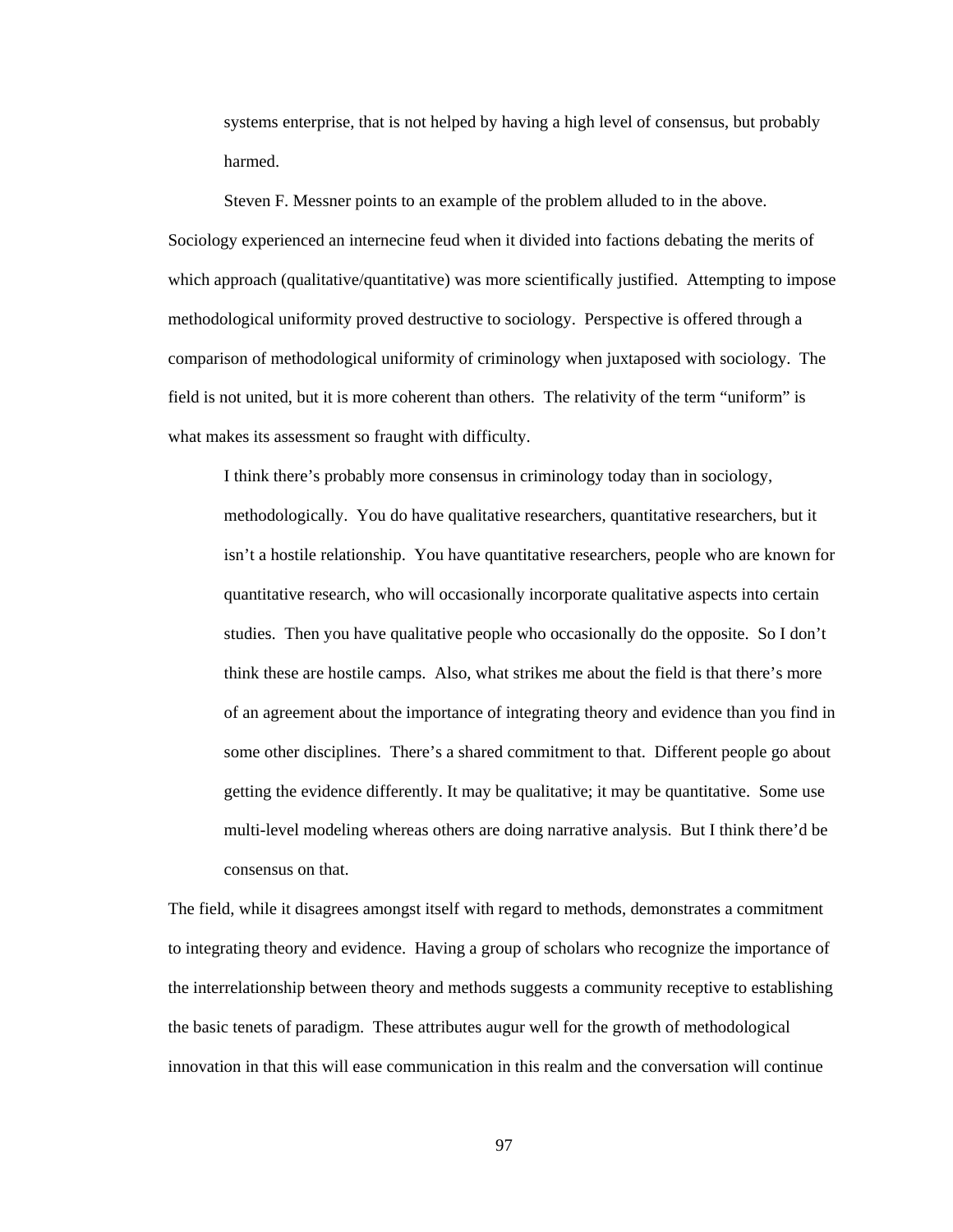systems enterprise, that is not helped by having a high level of consensus, but probably harmed.

Steven F. Messner points to an example of the problem alluded to in the above. Sociology experienced an internecine feud when it divided into factions debating the merits of which approach (qualitative/quantitative) was more scientifically justified. Attempting to impose methodological uniformity proved destructive to sociology. Perspective is offered through a comparison of methodological uniformity of criminology when juxtaposed with sociology. The field is not united, but it is more coherent than others. The relativity of the term "uniform" is what makes its assessment so fraught with difficulty.

I think there's probably more consensus in criminology today than in sociology, methodologically. You do have qualitative researchers, quantitative researchers, but it isn't a hostile relationship. You have quantitative researchers, people who are known for quantitative research, who will occasionally incorporate qualitative aspects into certain studies. Then you have qualitative people who occasionally do the opposite. So I don't think these are hostile camps. Also, what strikes me about the field is that there's more of an agreement about the importance of integrating theory and evidence than you find in some other disciplines. There's a shared commitment to that. Different people go about getting the evidence differently. It may be qualitative; it may be quantitative. Some use multi-level modeling whereas others are doing narrative analysis. But I think there'd be consensus on that.

The field, while it disagrees amongst itself with regard to methods, demonstrates a commitment to integrating theory and evidence. Having a group of scholars who recognize the importance of the interrelationship between theory and methods suggests a community receptive to establishing the basic tenets of paradigm. These attributes augur well for the growth of methodological innovation in that this will ease communication in this realm and the conversation will continue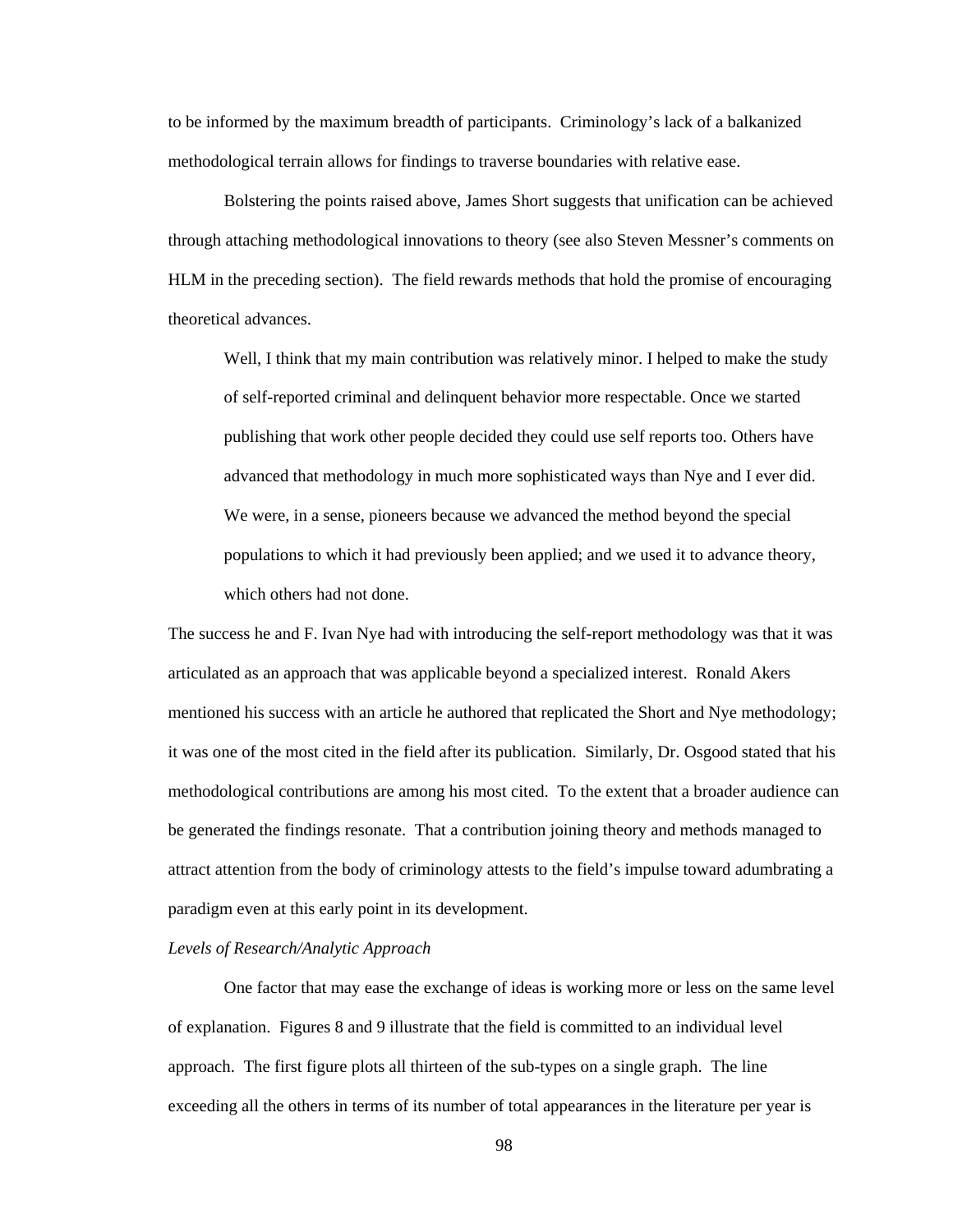to be informed by the maximum breadth of participants. Criminology's lack of a balkanized methodological terrain allows for findings to traverse boundaries with relative ease.

 Bolstering the points raised above, James Short suggests that unification can be achieved through attaching methodological innovations to theory (see also Steven Messner's comments on HLM in the preceding section). The field rewards methods that hold the promise of encouraging theoretical advances.

Well, I think that my main contribution was relatively minor. I helped to make the study of self-reported criminal and delinquent behavior more respectable. Once we started publishing that work other people decided they could use self reports too. Others have advanced that methodology in much more sophisticated ways than Nye and I ever did. We were, in a sense, pioneers because we advanced the method beyond the special populations to which it had previously been applied; and we used it to advance theory, which others had not done.

The success he and F. Ivan Nye had with introducing the self-report methodology was that it was articulated as an approach that was applicable beyond a specialized interest. Ronald Akers mentioned his success with an article he authored that replicated the Short and Nye methodology; it was one of the most cited in the field after its publication. Similarly, Dr. Osgood stated that his methodological contributions are among his most cited. To the extent that a broader audience can be generated the findings resonate. That a contribution joining theory and methods managed to attract attention from the body of criminology attests to the field's impulse toward adumbrating a paradigm even at this early point in its development.

### *Levels of Research/Analytic Approach*

 One factor that may ease the exchange of ideas is working more or less on the same level of explanation. Figures 8 and 9 illustrate that the field is committed to an individual level approach. The first figure plots all thirteen of the sub-types on a single graph. The line exceeding all the others in terms of its number of total appearances in the literature per year is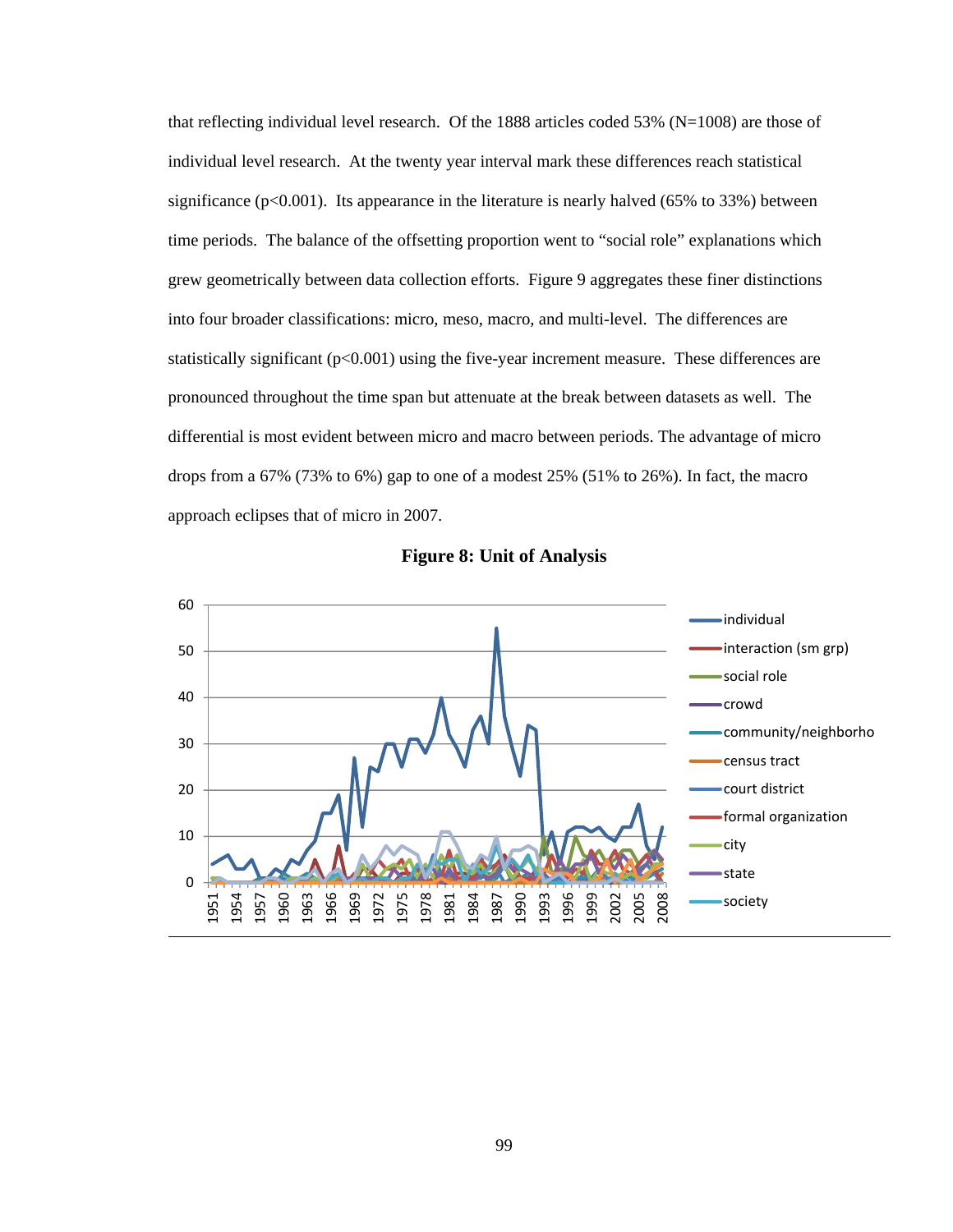that reflecting individual level research. Of the 1888 articles coded 53% ( $N=1008$ ) are those of individual level research. At the twenty year interval mark these differences reach statistical significance ( $p<0.001$ ). Its appearance in the literature is nearly halved ( $65\%$  to  $33\%$ ) between time periods. The balance of the offsetting proportion went to "social role" explanations which grew geometrically between data collection efforts. Figure 9 aggregates these finer distinctions into four broader classifications: micro, meso, macro, and multi-level. The differences are statistically significant (p<0.001) using the five-year increment measure. These differences are pronounced throughout the time span but attenuate at the break between datasets as well. The differential is most evident between micro and macro between periods. The advantage of micro drops from a 67% (73% to 6%) gap to one of a modest 25% (51% to 26%). In fact, the macro approach eclipses that of micro in 2007.



**Figure 8: Unit of Analysis**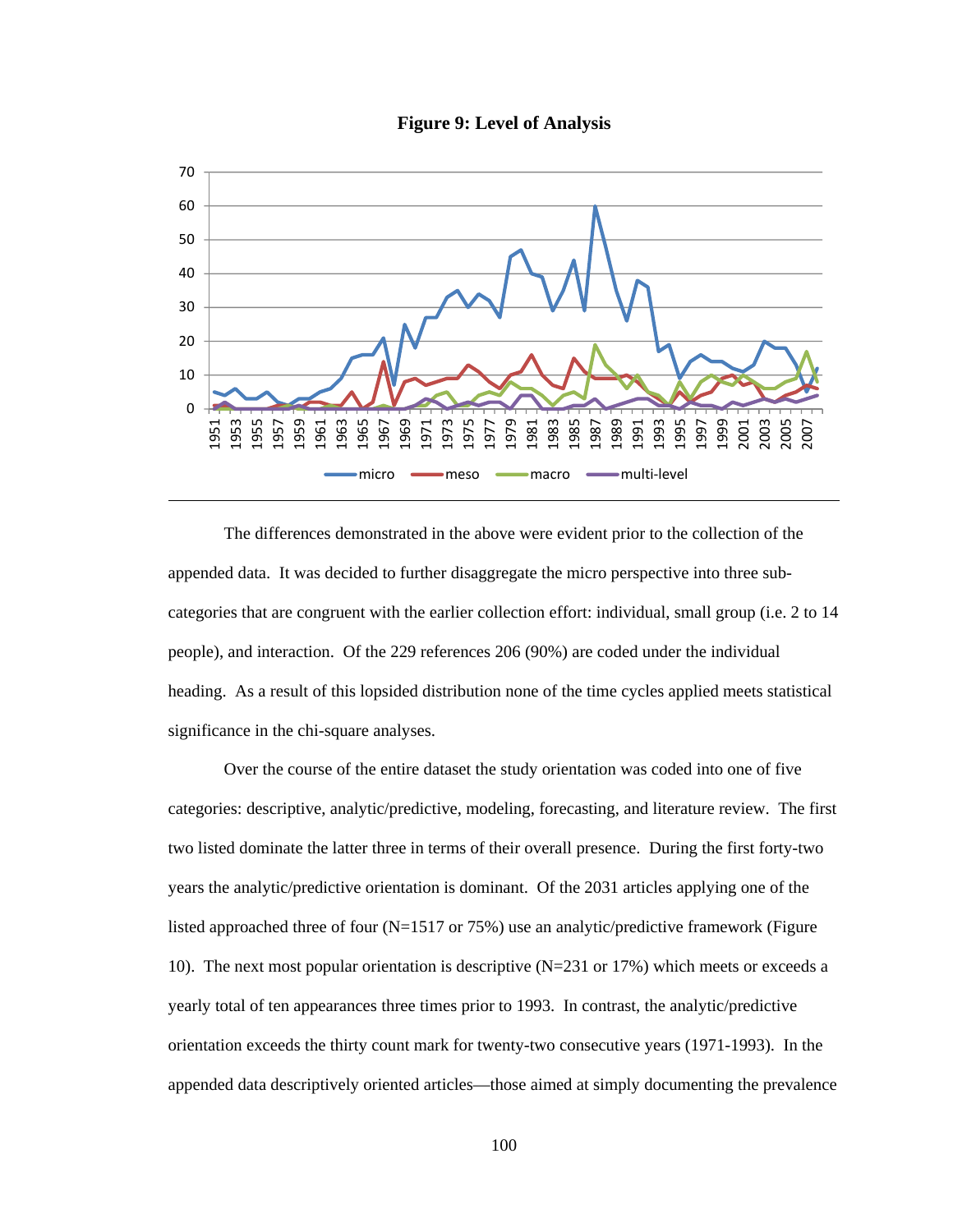



 The differences demonstrated in the above were evident prior to the collection of the appended data. It was decided to further disaggregate the micro perspective into three subcategories that are congruent with the earlier collection effort: individual, small group (i.e. 2 to 14 people), and interaction. Of the 229 references 206 (90%) are coded under the individual heading. As a result of this lopsided distribution none of the time cycles applied meets statistical significance in the chi-square analyses.

Over the course of the entire dataset the study orientation was coded into one of five categories: descriptive, analytic/predictive, modeling, forecasting, and literature review. The first two listed dominate the latter three in terms of their overall presence. During the first forty-two years the analytic/predictive orientation is dominant. Of the 2031 articles applying one of the listed approached three of four  $(N=1517)$  or 75%) use an analytic/predictive framework (Figure 10). The next most popular orientation is descriptive (N=231 or 17%) which meets or exceeds a yearly total of ten appearances three times prior to 1993. In contrast, the analytic/predictive orientation exceeds the thirty count mark for twenty-two consecutive years (1971-1993). In the appended data descriptively oriented articles—those aimed at simply documenting the prevalence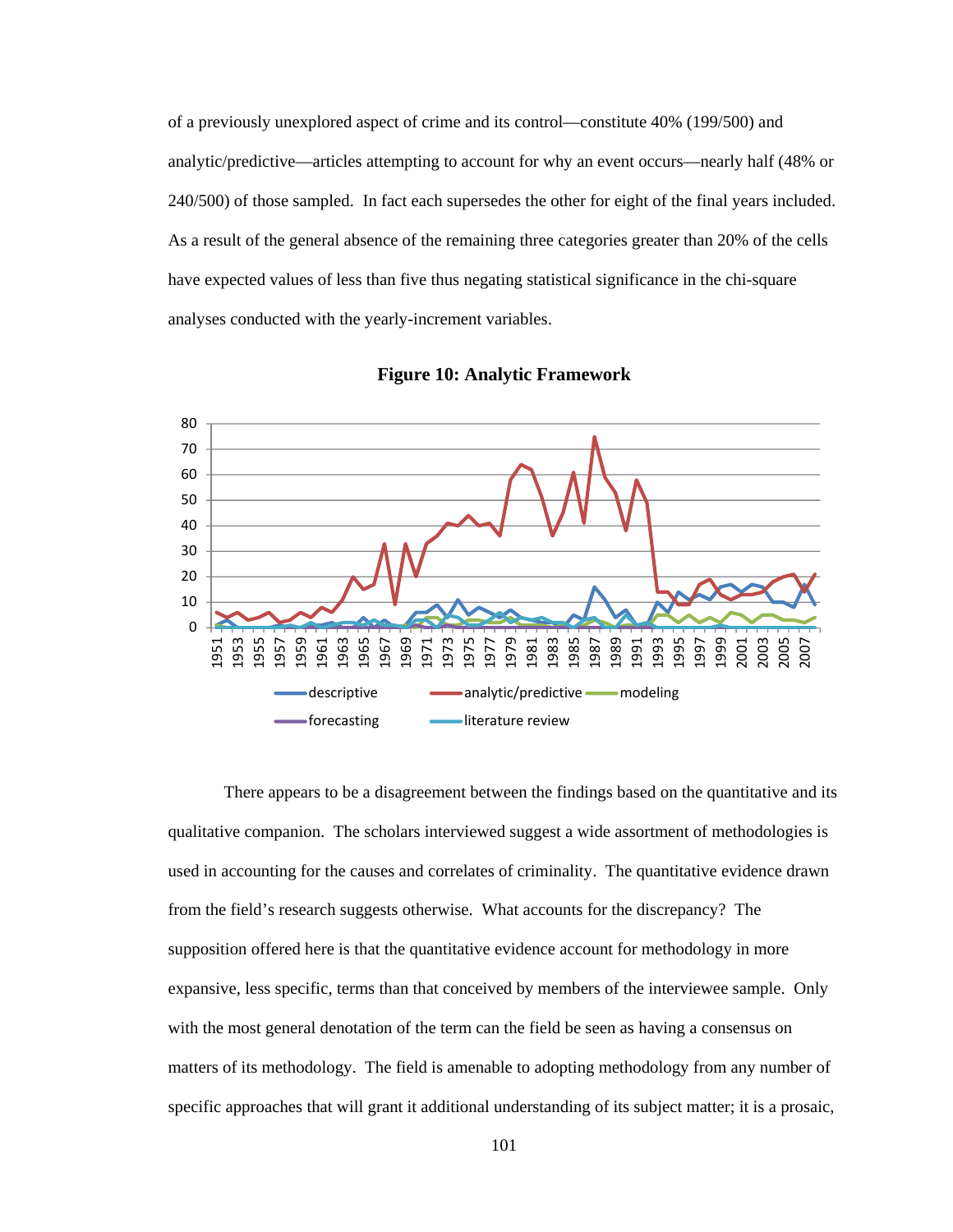of a previously unexplored aspect of crime and its control—constitute 40% (199/500) and analytic/predictive—articles attempting to account for why an event occurs—nearly half (48% or 240/500) of those sampled. In fact each supersedes the other for eight of the final years included. As a result of the general absence of the remaining three categories greater than 20% of the cells have expected values of less than five thus negating statistical significance in the chi-square analyses conducted with the yearly-increment variables.



**Figure 10: Analytic Framework** 

 There appears to be a disagreement between the findings based on the quantitative and its qualitative companion. The scholars interviewed suggest a wide assortment of methodologies is used in accounting for the causes and correlates of criminality. The quantitative evidence drawn from the field's research suggests otherwise. What accounts for the discrepancy? The supposition offered here is that the quantitative evidence account for methodology in more expansive, less specific, terms than that conceived by members of the interviewee sample. Only with the most general denotation of the term can the field be seen as having a consensus on matters of its methodology. The field is amenable to adopting methodology from any number of specific approaches that will grant it additional understanding of its subject matter; it is a prosaic,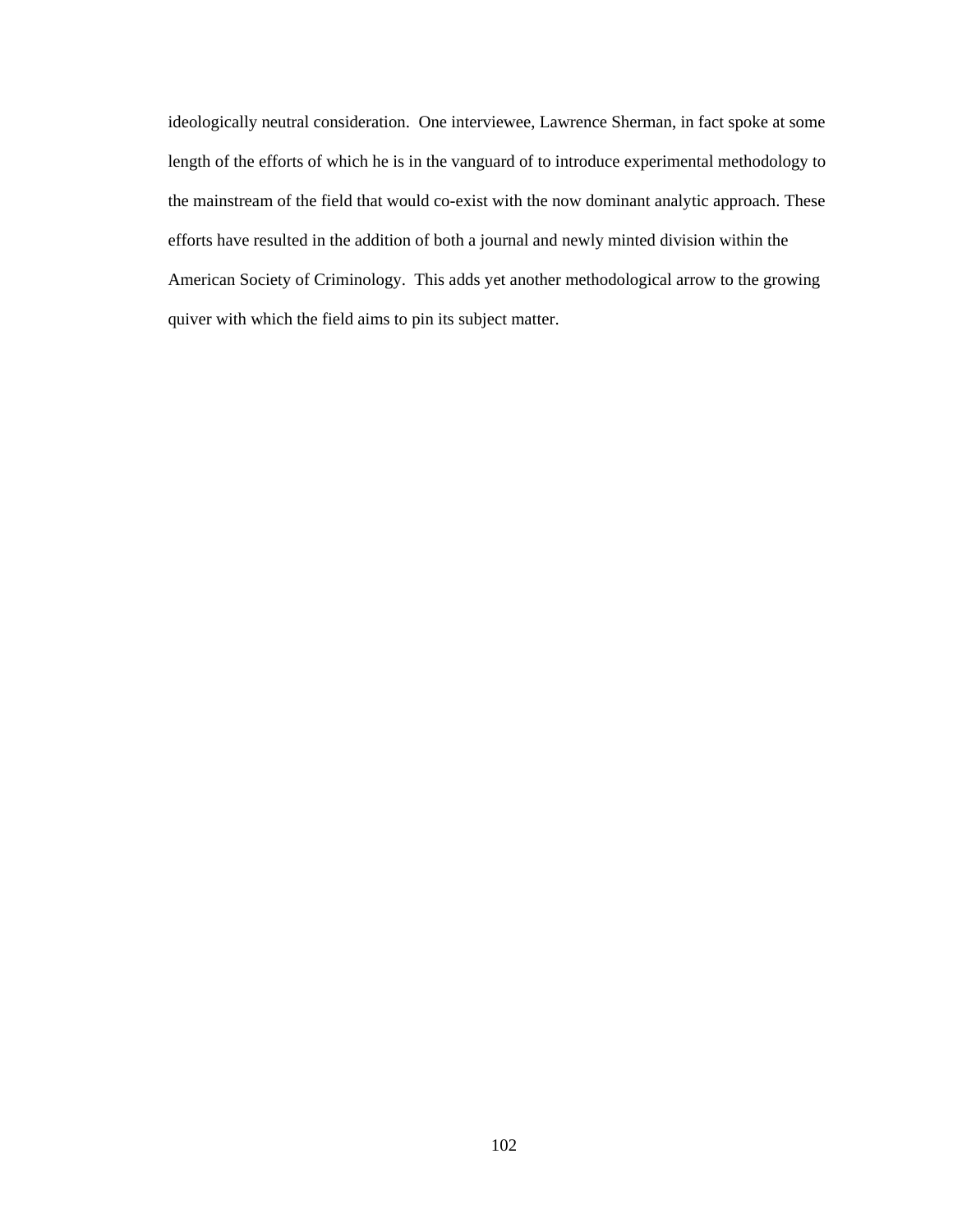ideologically neutral consideration. One interviewee, Lawrence Sherman, in fact spoke at some length of the efforts of which he is in the vanguard of to introduce experimental methodology to the mainstream of the field that would co-exist with the now dominant analytic approach. These efforts have resulted in the addition of both a journal and newly minted division within the American Society of Criminology. This adds yet another methodological arrow to the growing quiver with which the field aims to pin its subject matter.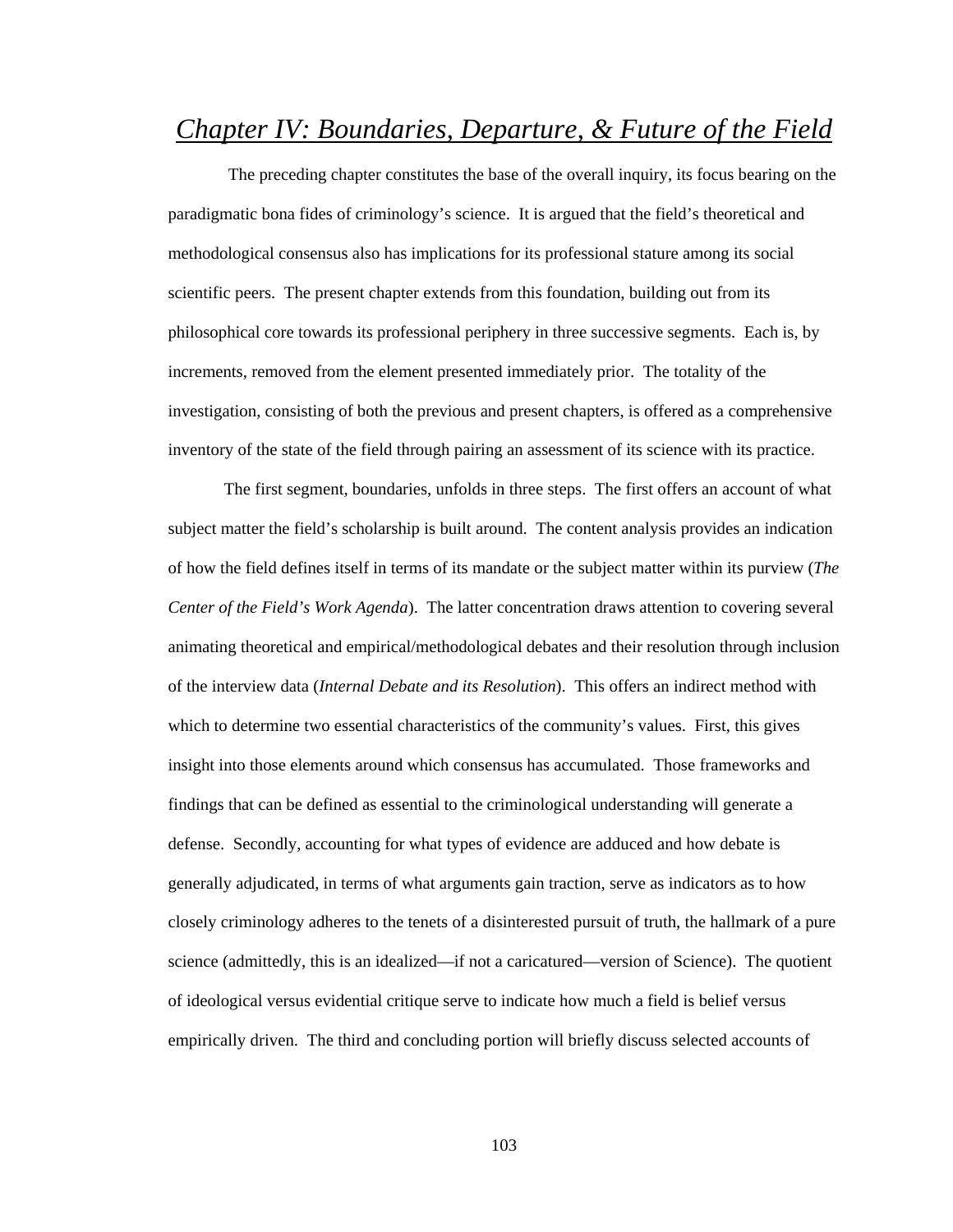# *Chapter IV: Boundaries, Departure, & Future of the Field*

 The preceding chapter constitutes the base of the overall inquiry, its focus bearing on the paradigmatic bona fides of criminology's science. It is argued that the field's theoretical and methodological consensus also has implications for its professional stature among its social scientific peers. The present chapter extends from this foundation, building out from its philosophical core towards its professional periphery in three successive segments. Each is, by increments, removed from the element presented immediately prior. The totality of the investigation, consisting of both the previous and present chapters, is offered as a comprehensive inventory of the state of the field through pairing an assessment of its science with its practice.

 The first segment, boundaries, unfolds in three steps. The first offers an account of what subject matter the field's scholarship is built around. The content analysis provides an indication of how the field defines itself in terms of its mandate or the subject matter within its purview (*The Center of the Field's Work Agenda*). The latter concentration draws attention to covering several animating theoretical and empirical/methodological debates and their resolution through inclusion of the interview data (*Internal Debate and its Resolution*). This offers an indirect method with which to determine two essential characteristics of the community's values. First, this gives insight into those elements around which consensus has accumulated. Those frameworks and findings that can be defined as essential to the criminological understanding will generate a defense. Secondly, accounting for what types of evidence are adduced and how debate is generally adjudicated, in terms of what arguments gain traction, serve as indicators as to how closely criminology adheres to the tenets of a disinterested pursuit of truth, the hallmark of a pure science (admittedly, this is an idealized—if not a caricatured—version of Science). The quotient of ideological versus evidential critique serve to indicate how much a field is belief versus empirically driven. The third and concluding portion will briefly discuss selected accounts of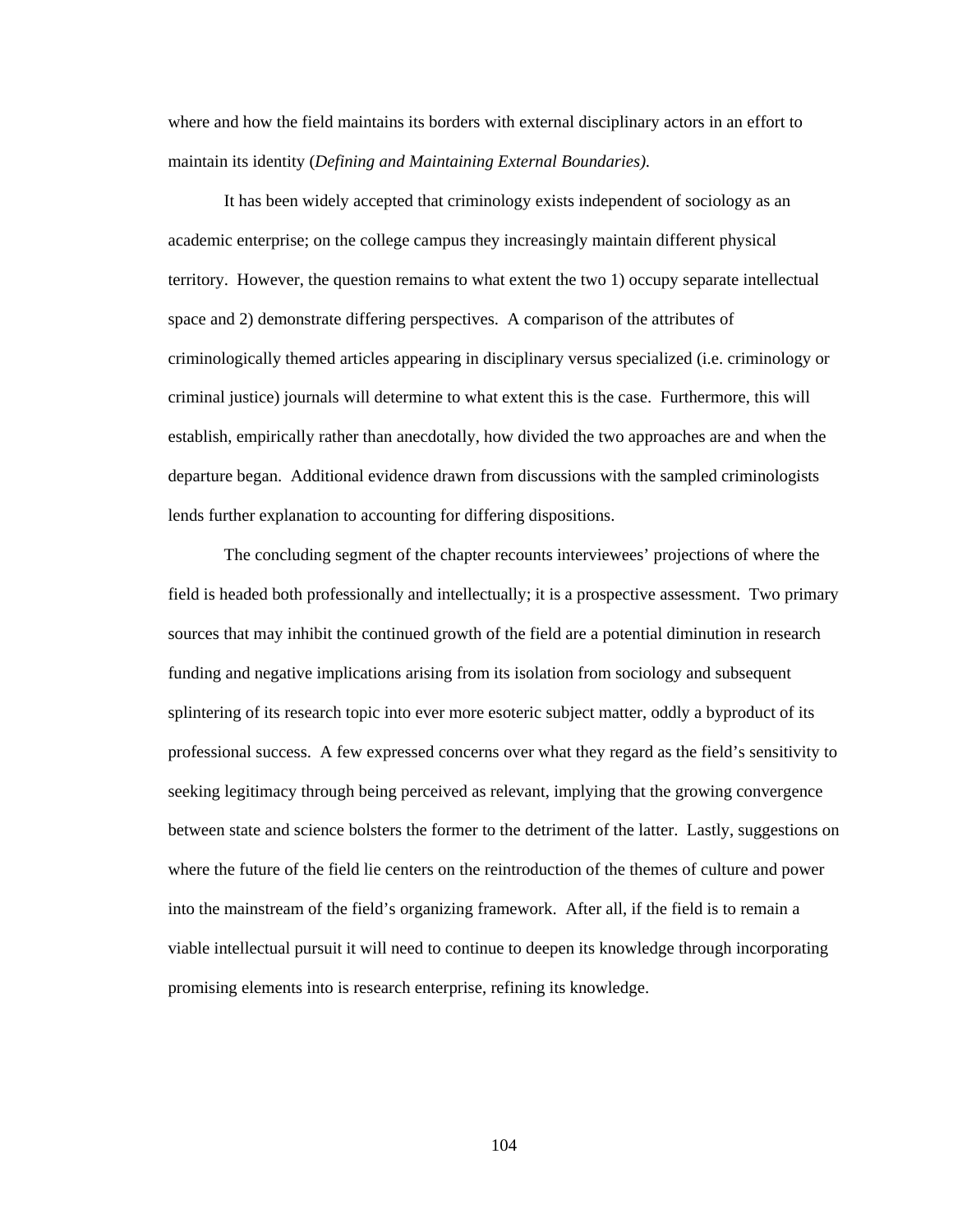where and how the field maintains its borders with external disciplinary actors in an effort to maintain its identity (*Defining and Maintaining External Boundaries).* 

 It has been widely accepted that criminology exists independent of sociology as an academic enterprise; on the college campus they increasingly maintain different physical territory. However, the question remains to what extent the two 1) occupy separate intellectual space and 2) demonstrate differing perspectives. A comparison of the attributes of criminologically themed articles appearing in disciplinary versus specialized (i.e. criminology or criminal justice) journals will determine to what extent this is the case. Furthermore, this will establish, empirically rather than anecdotally, how divided the two approaches are and when the departure began. Additional evidence drawn from discussions with the sampled criminologists lends further explanation to accounting for differing dispositions.

 The concluding segment of the chapter recounts interviewees' projections of where the field is headed both professionally and intellectually; it is a prospective assessment. Two primary sources that may inhibit the continued growth of the field are a potential diminution in research funding and negative implications arising from its isolation from sociology and subsequent splintering of its research topic into ever more esoteric subject matter, oddly a byproduct of its professional success. A few expressed concerns over what they regard as the field's sensitivity to seeking legitimacy through being perceived as relevant, implying that the growing convergence between state and science bolsters the former to the detriment of the latter. Lastly, suggestions on where the future of the field lie centers on the reintroduction of the themes of culture and power into the mainstream of the field's organizing framework. After all, if the field is to remain a viable intellectual pursuit it will need to continue to deepen its knowledge through incorporating promising elements into is research enterprise, refining its knowledge.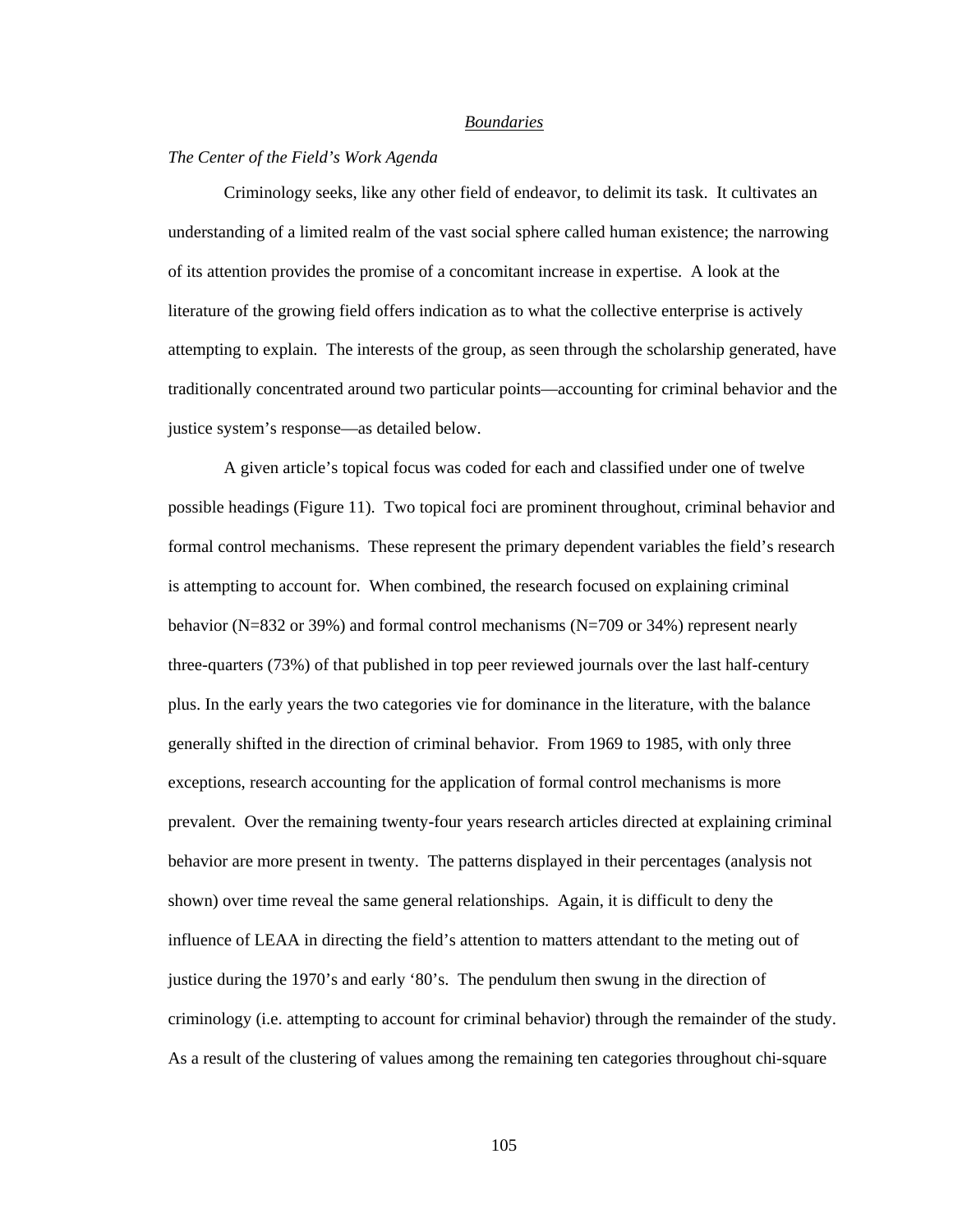#### *Boundaries*

## *The Center of the Field's Work Agenda*

 Criminology seeks, like any other field of endeavor, to delimit its task. It cultivates an understanding of a limited realm of the vast social sphere called human existence; the narrowing of its attention provides the promise of a concomitant increase in expertise. A look at the literature of the growing field offers indication as to what the collective enterprise is actively attempting to explain. The interests of the group, as seen through the scholarship generated, have traditionally concentrated around two particular points—accounting for criminal behavior and the justice system's response—as detailed below.

 A given article's topical focus was coded for each and classified under one of twelve possible headings (Figure 11). Two topical foci are prominent throughout, criminal behavior and formal control mechanisms. These represent the primary dependent variables the field's research is attempting to account for. When combined, the research focused on explaining criminal behavior (N=832 or 39%) and formal control mechanisms (N=709 or 34%) represent nearly three-quarters (73%) of that published in top peer reviewed journals over the last half-century plus. In the early years the two categories vie for dominance in the literature, with the balance generally shifted in the direction of criminal behavior. From 1969 to 1985, with only three exceptions, research accounting for the application of formal control mechanisms is more prevalent. Over the remaining twenty-four years research articles directed at explaining criminal behavior are more present in twenty. The patterns displayed in their percentages (analysis not shown) over time reveal the same general relationships. Again, it is difficult to deny the influence of LEAA in directing the field's attention to matters attendant to the meting out of justice during the 1970's and early '80's. The pendulum then swung in the direction of criminology (i.e. attempting to account for criminal behavior) through the remainder of the study. As a result of the clustering of values among the remaining ten categories throughout chi-square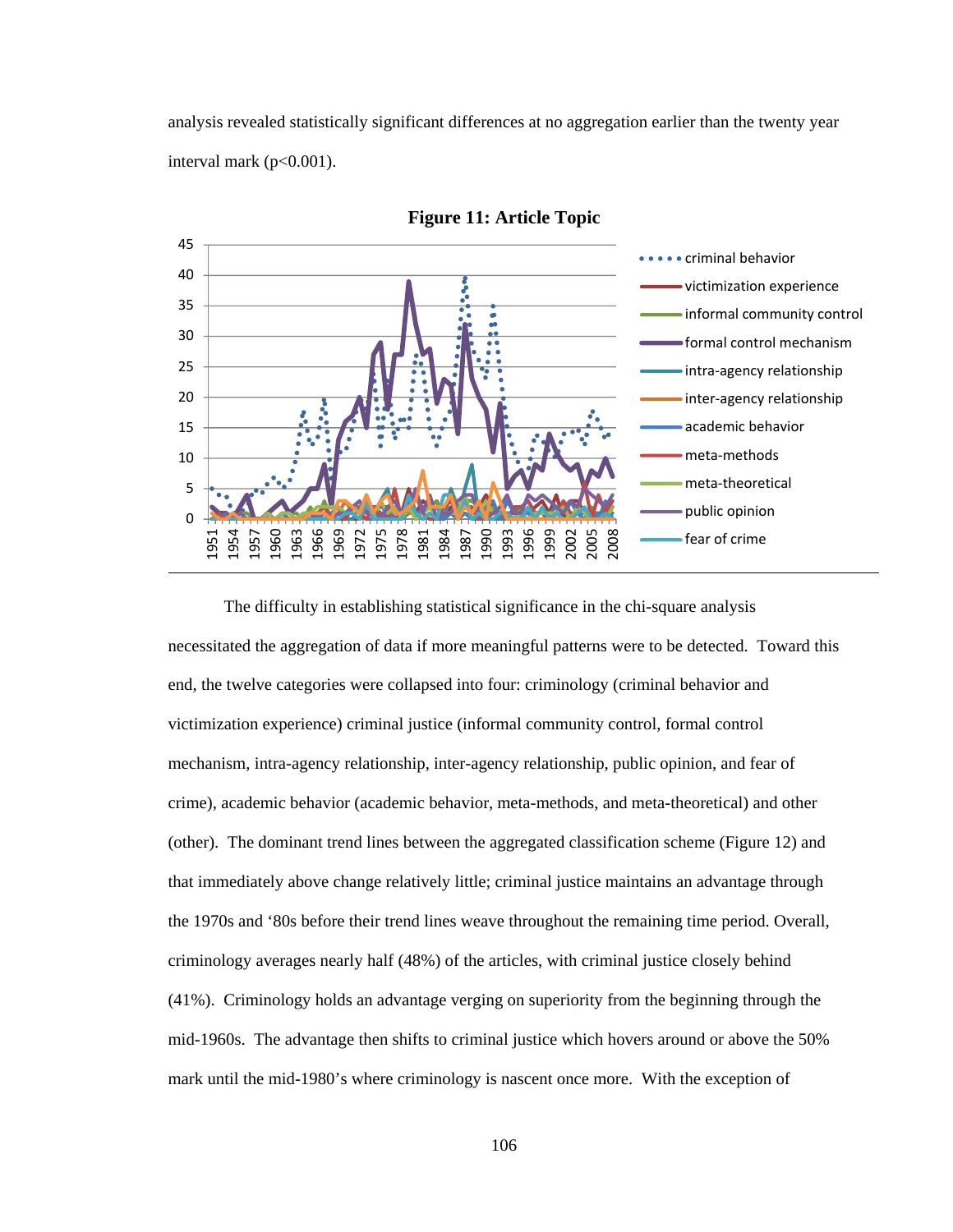analysis revealed statistically significant differences at no aggregation earlier than the twenty year interval mark ( $p<0.001$ ).



**Figure 11: Article Topic** 

The difficulty in establishing statistical significance in the chi-square analysis necessitated the aggregation of data if more meaningful patterns were to be detected. Toward this end, the twelve categories were collapsed into four: criminology (criminal behavior and victimization experience) criminal justice (informal community control, formal control mechanism, intra-agency relationship, inter-agency relationship, public opinion, and fear of crime), academic behavior (academic behavior, meta-methods, and meta-theoretical) and other (other). The dominant trend lines between the aggregated classification scheme (Figure 12) and that immediately above change relatively little; criminal justice maintains an advantage through the 1970s and '80s before their trend lines weave throughout the remaining time period. Overall, criminology averages nearly half (48%) of the articles, with criminal justice closely behind (41%). Criminology holds an advantage verging on superiority from the beginning through the mid-1960s. The advantage then shifts to criminal justice which hovers around or above the 50% mark until the mid-1980's where criminology is nascent once more. With the exception of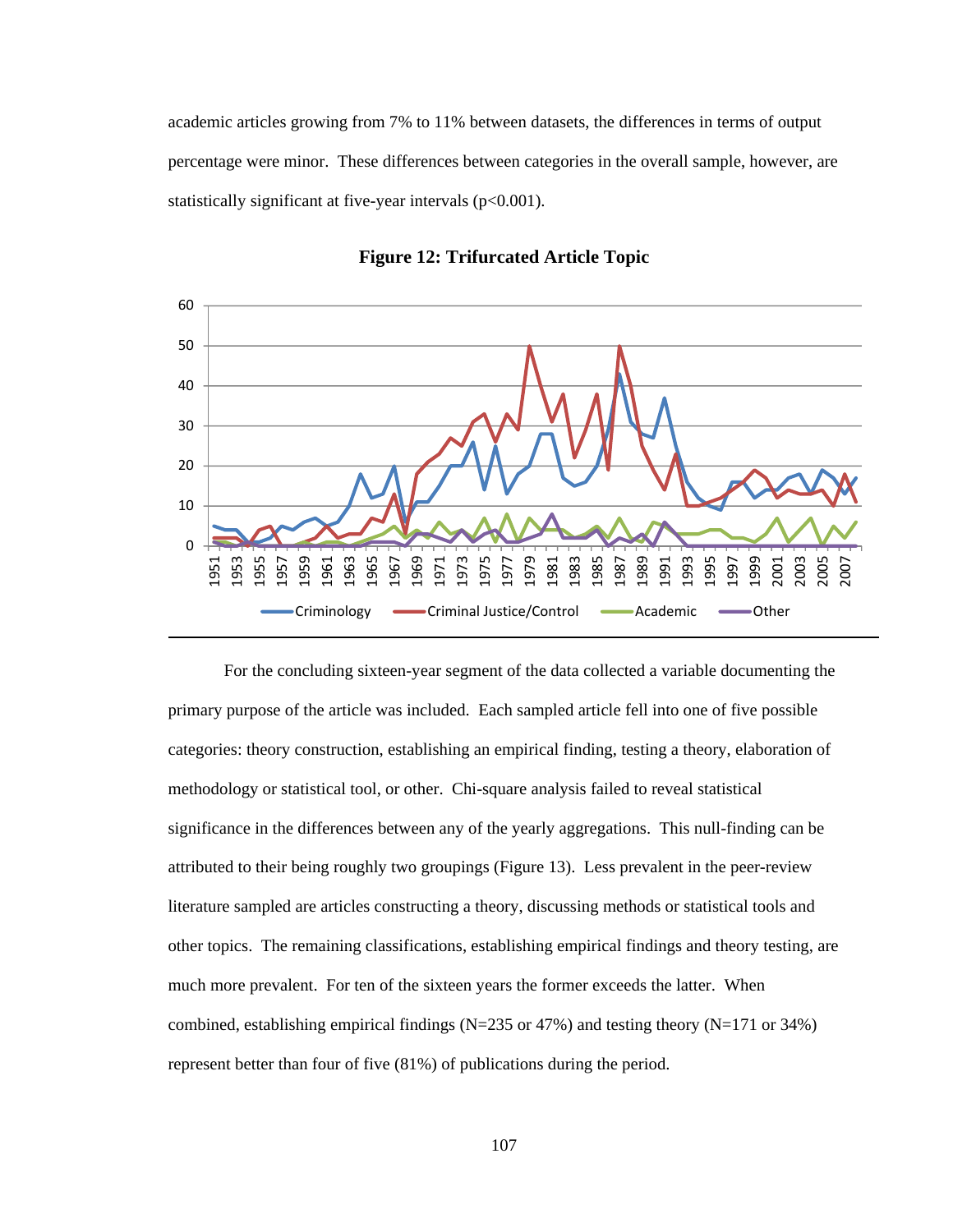academic articles growing from 7% to 11% between datasets, the differences in terms of output percentage were minor. These differences between categories in the overall sample, however, are statistically significant at five-year intervals  $(p<0.001)$ .





For the concluding sixteen-year segment of the data collected a variable documenting the primary purpose of the article was included. Each sampled article fell into one of five possible categories: theory construction, establishing an empirical finding, testing a theory, elaboration of methodology or statistical tool, or other. Chi-square analysis failed to reveal statistical significance in the differences between any of the yearly aggregations. This null-finding can be attributed to their being roughly two groupings (Figure 13). Less prevalent in the peer-review literature sampled are articles constructing a theory, discussing methods or statistical tools and other topics. The remaining classifications, establishing empirical findings and theory testing, are much more prevalent. For ten of the sixteen years the former exceeds the latter. When combined, establishing empirical findings (N=235 or 47%) and testing theory (N=171 or 34%) represent better than four of five (81%) of publications during the period.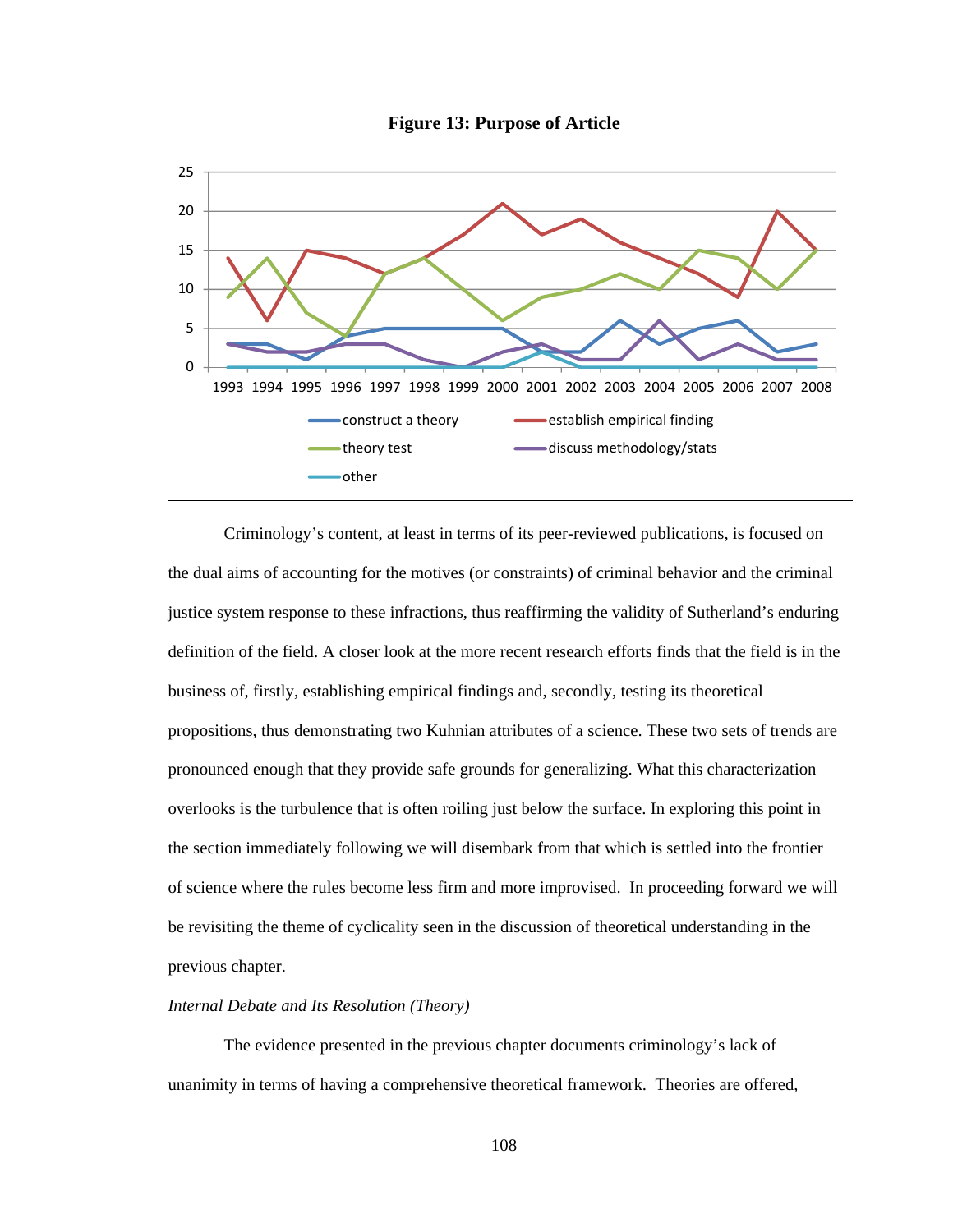**Figure 13: Purpose of Article** 



 Criminology's content, at least in terms of its peer-reviewed publications, is focused on the dual aims of accounting for the motives (or constraints) of criminal behavior and the criminal justice system response to these infractions, thus reaffirming the validity of Sutherland's enduring definition of the field. A closer look at the more recent research efforts finds that the field is in the business of, firstly, establishing empirical findings and, secondly, testing its theoretical propositions, thus demonstrating two Kuhnian attributes of a science. These two sets of trends are pronounced enough that they provide safe grounds for generalizing. What this characterization overlooks is the turbulence that is often roiling just below the surface. In exploring this point in the section immediately following we will disembark from that which is settled into the frontier of science where the rules become less firm and more improvised. In proceeding forward we will be revisiting the theme of cyclicality seen in the discussion of theoretical understanding in the previous chapter.

## *Internal Debate and Its Resolution (Theory)*

 The evidence presented in the previous chapter documents criminology's lack of unanimity in terms of having a comprehensive theoretical framework. Theories are offered,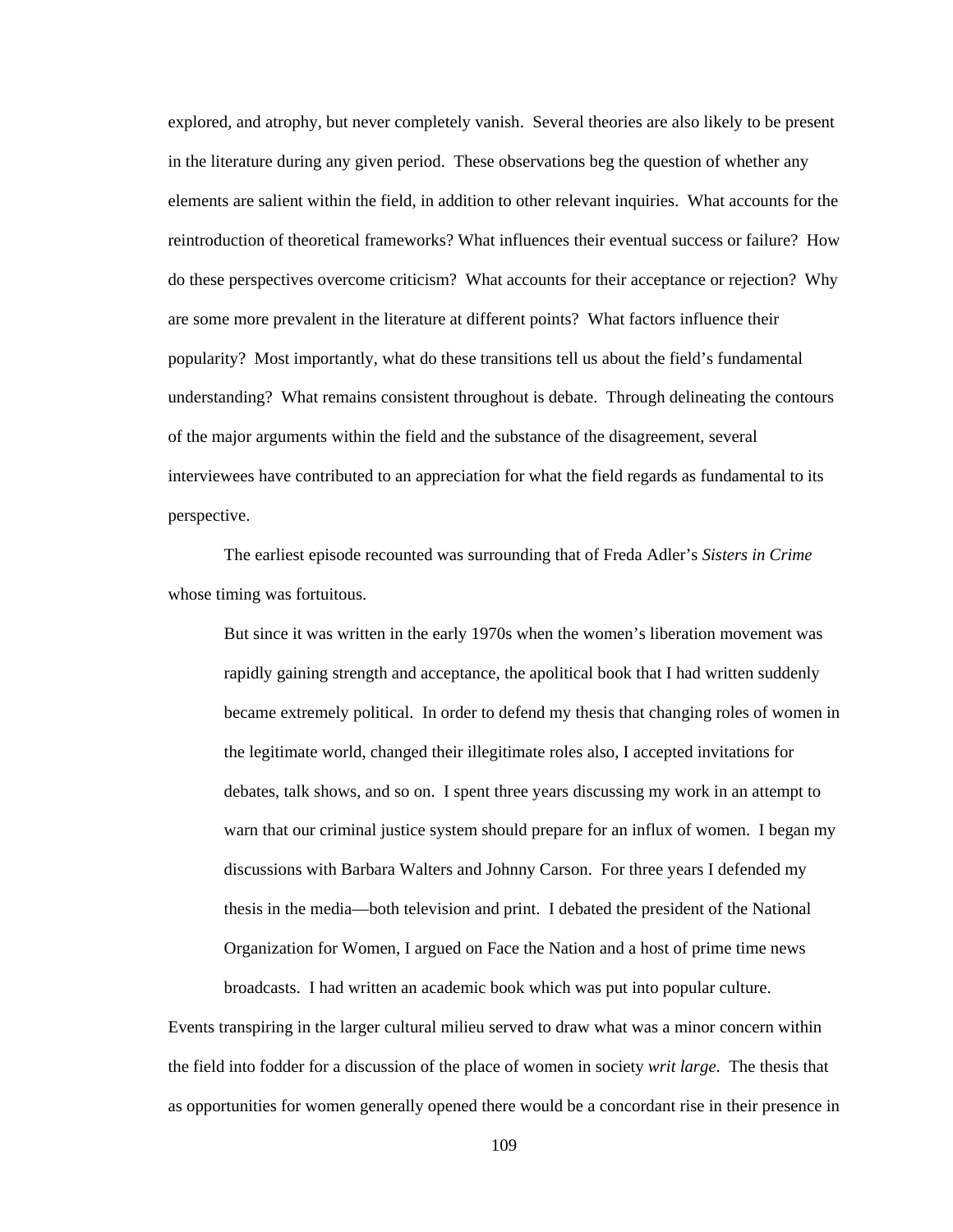explored, and atrophy, but never completely vanish. Several theories are also likely to be present in the literature during any given period. These observations beg the question of whether any elements are salient within the field, in addition to other relevant inquiries. What accounts for the reintroduction of theoretical frameworks? What influences their eventual success or failure? How do these perspectives overcome criticism? What accounts for their acceptance or rejection? Why are some more prevalent in the literature at different points? What factors influence their popularity? Most importantly, what do these transitions tell us about the field's fundamental understanding? What remains consistent throughout is debate. Through delineating the contours of the major arguments within the field and the substance of the disagreement, several interviewees have contributed to an appreciation for what the field regards as fundamental to its perspective.

 The earliest episode recounted was surrounding that of Freda Adler's *Sisters in Crime* whose timing was fortuitous.

But since it was written in the early 1970s when the women's liberation movement was rapidly gaining strength and acceptance, the apolitical book that I had written suddenly became extremely political. In order to defend my thesis that changing roles of women in the legitimate world, changed their illegitimate roles also, I accepted invitations for debates, talk shows, and so on. I spent three years discussing my work in an attempt to warn that our criminal justice system should prepare for an influx of women. I began my discussions with Barbara Walters and Johnny Carson. For three years I defended my thesis in the media—both television and print. I debated the president of the National Organization for Women, I argued on Face the Nation and a host of prime time news broadcasts. I had written an academic book which was put into popular culture.

Events transpiring in the larger cultural milieu served to draw what was a minor concern within the field into fodder for a discussion of the place of women in society *writ large*. The thesis that as opportunities for women generally opened there would be a concordant rise in their presence in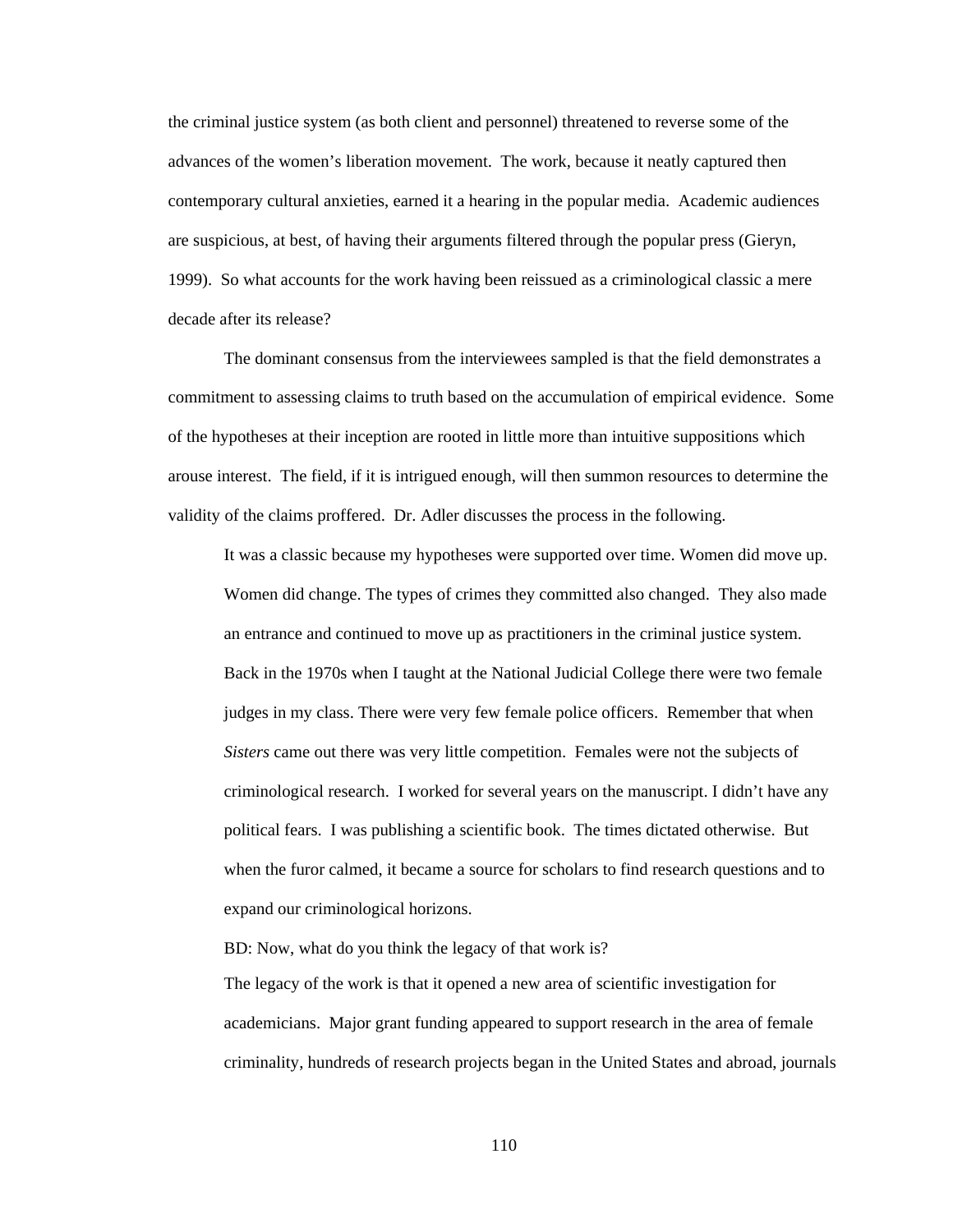the criminal justice system (as both client and personnel) threatened to reverse some of the advances of the women's liberation movement. The work, because it neatly captured then contemporary cultural anxieties, earned it a hearing in the popular media. Academic audiences are suspicious, at best, of having their arguments filtered through the popular press (Gieryn, 1999). So what accounts for the work having been reissued as a criminological classic a mere decade after its release?

 The dominant consensus from the interviewees sampled is that the field demonstrates a commitment to assessing claims to truth based on the accumulation of empirical evidence. Some of the hypotheses at their inception are rooted in little more than intuitive suppositions which arouse interest. The field, if it is intrigued enough, will then summon resources to determine the validity of the claims proffered. Dr. Adler discusses the process in the following.

It was a classic because my hypotheses were supported over time. Women did move up. Women did change. The types of crimes they committed also changed. They also made an entrance and continued to move up as practitioners in the criminal justice system. Back in the 1970s when I taught at the National Judicial College there were two female judges in my class. There were very few female police officers. Remember that when *Sisters* came out there was very little competition. Females were not the subjects of criminological research. I worked for several years on the manuscript. I didn't have any political fears. I was publishing a scientific book. The times dictated otherwise. But when the furor calmed, it became a source for scholars to find research questions and to expand our criminological horizons.

BD: Now, what do you think the legacy of that work is?

The legacy of the work is that it opened a new area of scientific investigation for academicians. Major grant funding appeared to support research in the area of female criminality, hundreds of research projects began in the United States and abroad, journals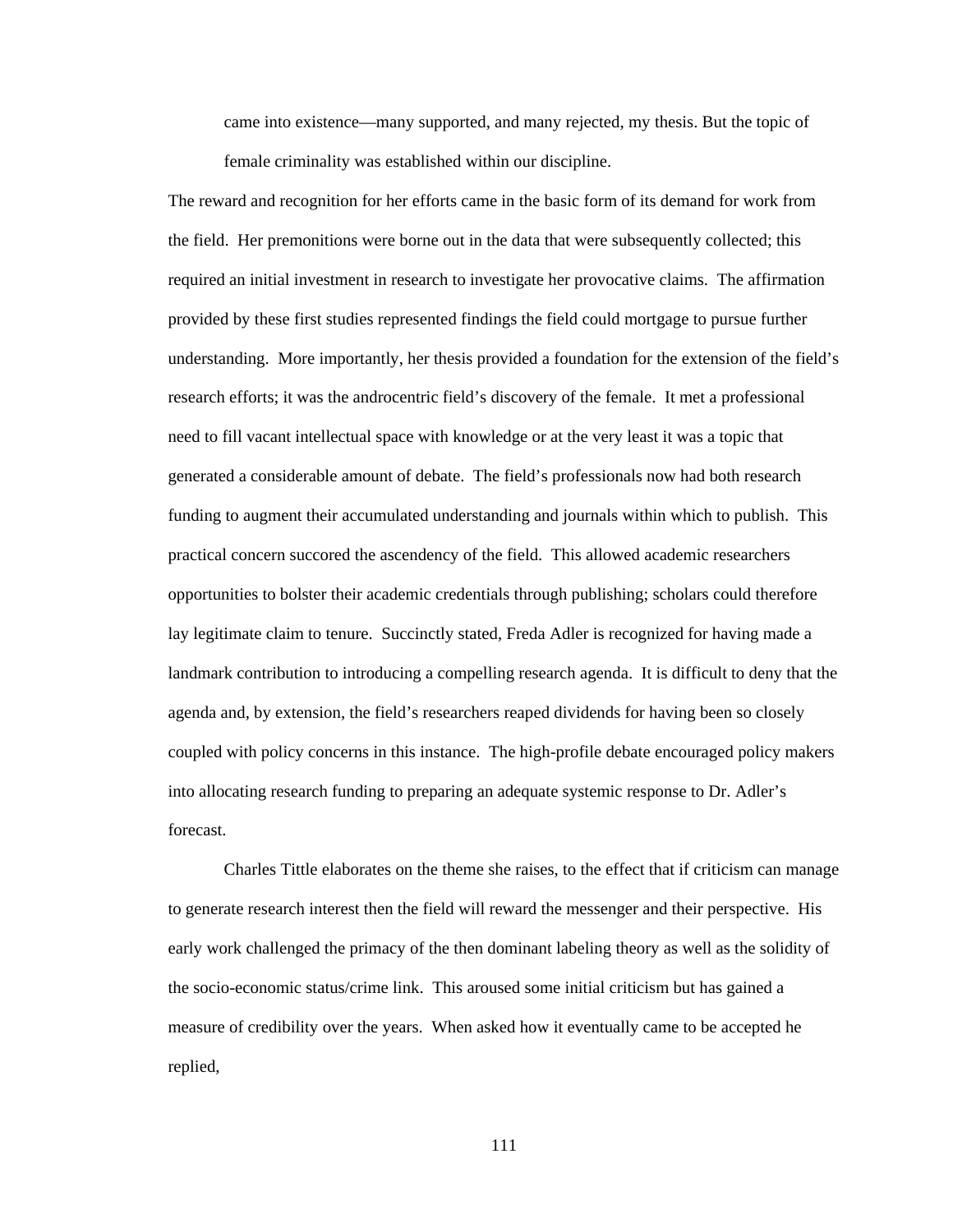came into existence—many supported, and many rejected, my thesis. But the topic of female criminality was established within our discipline.

The reward and recognition for her efforts came in the basic form of its demand for work from the field. Her premonitions were borne out in the data that were subsequently collected; this required an initial investment in research to investigate her provocative claims. The affirmation provided by these first studies represented findings the field could mortgage to pursue further understanding. More importantly, her thesis provided a foundation for the extension of the field's research efforts; it was the androcentric field's discovery of the female. It met a professional need to fill vacant intellectual space with knowledge or at the very least it was a topic that generated a considerable amount of debate. The field's professionals now had both research funding to augment their accumulated understanding and journals within which to publish. This practical concern succored the ascendency of the field. This allowed academic researchers opportunities to bolster their academic credentials through publishing; scholars could therefore lay legitimate claim to tenure. Succinctly stated, Freda Adler is recognized for having made a landmark contribution to introducing a compelling research agenda. It is difficult to deny that the agenda and, by extension, the field's researchers reaped dividends for having been so closely coupled with policy concerns in this instance. The high-profile debate encouraged policy makers into allocating research funding to preparing an adequate systemic response to Dr. Adler's forecast.

 Charles Tittle elaborates on the theme she raises, to the effect that if criticism can manage to generate research interest then the field will reward the messenger and their perspective. His early work challenged the primacy of the then dominant labeling theory as well as the solidity of the socio-economic status/crime link. This aroused some initial criticism but has gained a measure of credibility over the years. When asked how it eventually came to be accepted he replied,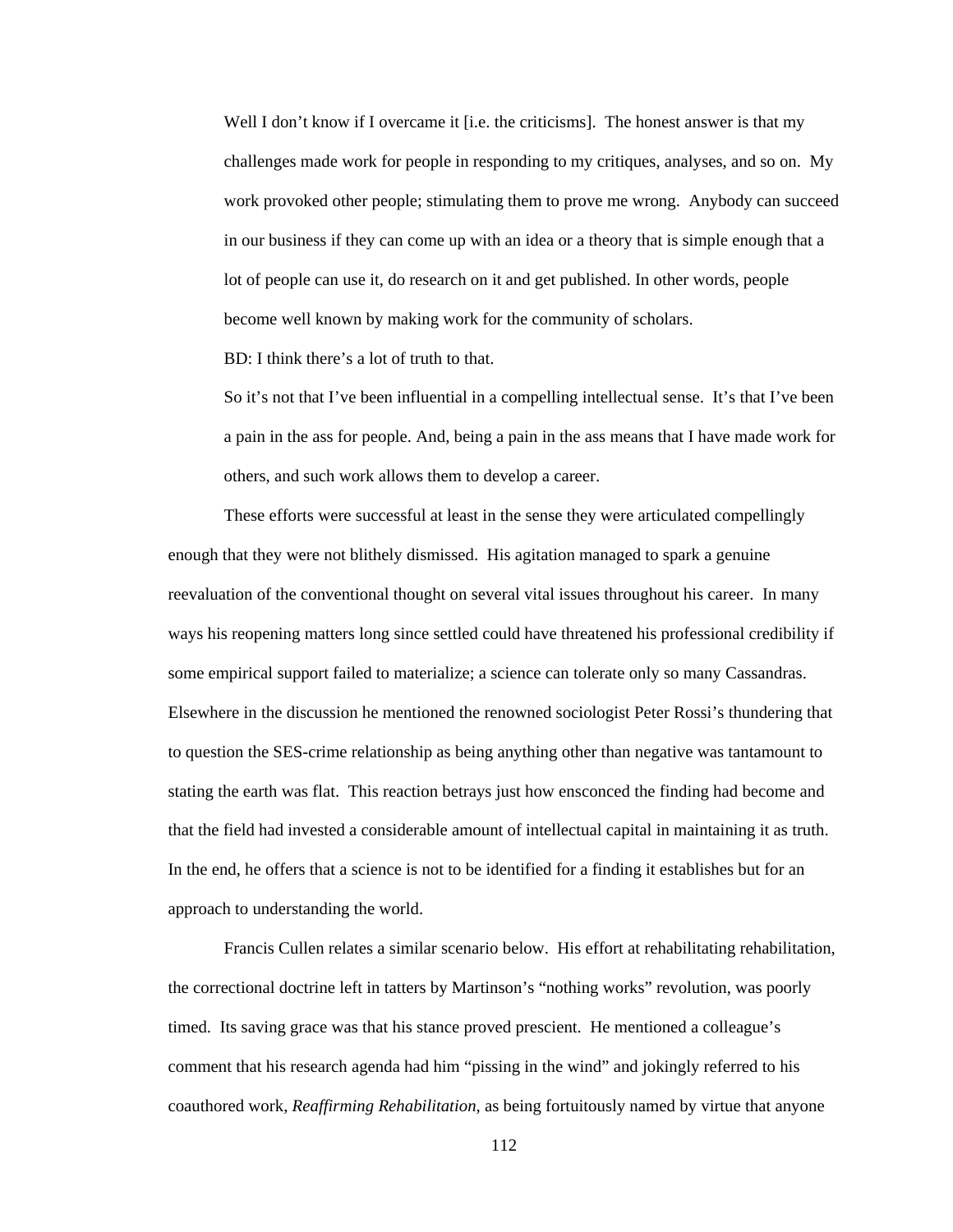Well I don't know if I overcame it [i.e. the criticisms]. The honest answer is that my challenges made work for people in responding to my critiques, analyses, and so on. My work provoked other people; stimulating them to prove me wrong. Anybody can succeed in our business if they can come up with an idea or a theory that is simple enough that a lot of people can use it, do research on it and get published. In other words, people become well known by making work for the community of scholars.

BD: I think there's a lot of truth to that.

So it's not that I've been influential in a compelling intellectual sense. It's that I've been a pain in the ass for people. And, being a pain in the ass means that I have made work for others, and such work allows them to develop a career.

 These efforts were successful at least in the sense they were articulated compellingly enough that they were not blithely dismissed. His agitation managed to spark a genuine reevaluation of the conventional thought on several vital issues throughout his career. In many ways his reopening matters long since settled could have threatened his professional credibility if some empirical support failed to materialize; a science can tolerate only so many Cassandras. Elsewhere in the discussion he mentioned the renowned sociologist Peter Rossi's thundering that to question the SES-crime relationship as being anything other than negative was tantamount to stating the earth was flat. This reaction betrays just how ensconced the finding had become and that the field had invested a considerable amount of intellectual capital in maintaining it as truth. In the end, he offers that a science is not to be identified for a finding it establishes but for an approach to understanding the world.

 Francis Cullen relates a similar scenario below. His effort at rehabilitating rehabilitation, the correctional doctrine left in tatters by Martinson's "nothing works" revolution, was poorly timed. Its saving grace was that his stance proved prescient. He mentioned a colleague's comment that his research agenda had him "pissing in the wind" and jokingly referred to his coauthored work, *Reaffirming Rehabilitation*, as being fortuitously named by virtue that anyone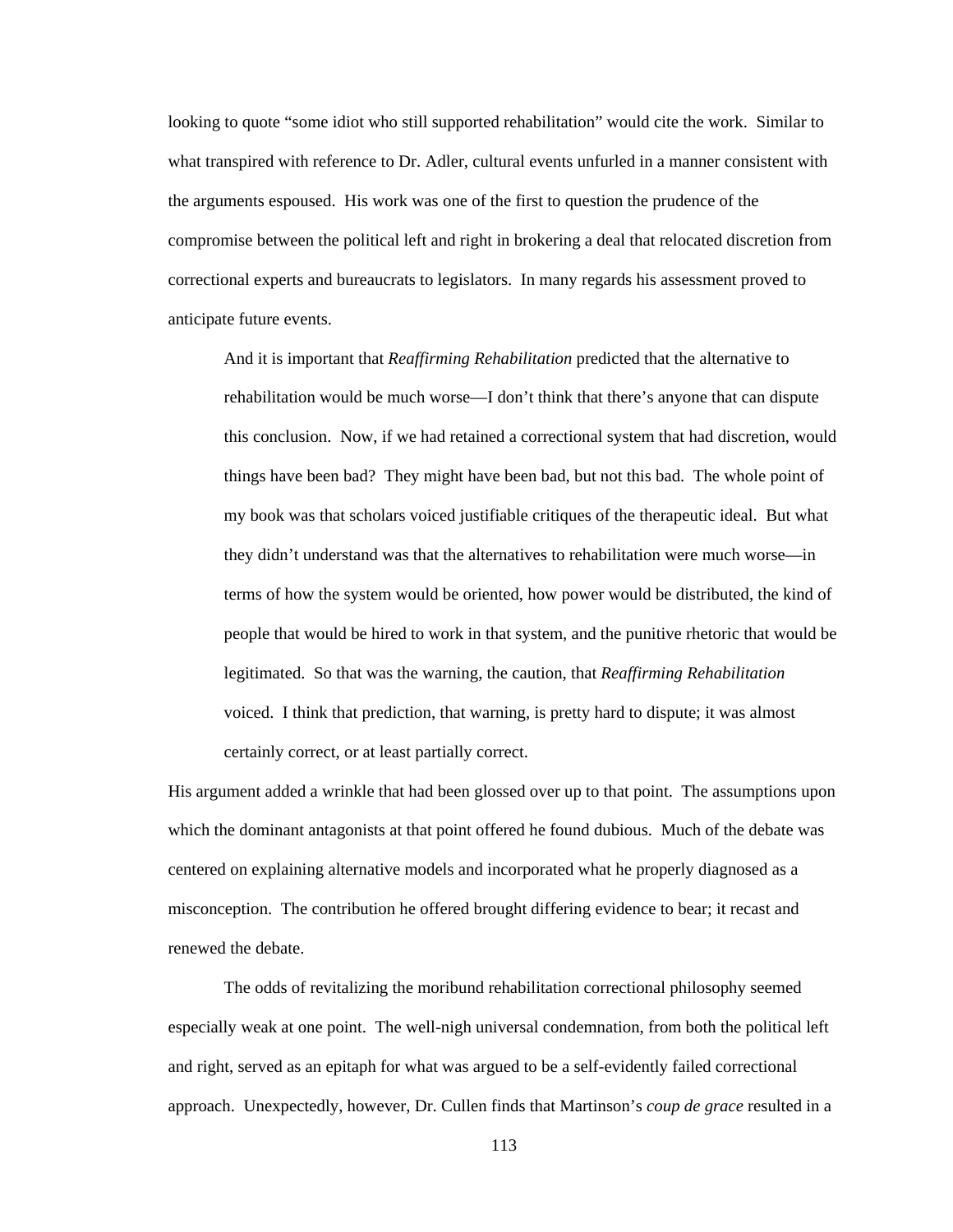looking to quote "some idiot who still supported rehabilitation" would cite the work. Similar to what transpired with reference to Dr. Adler, cultural events unfurled in a manner consistent with the arguments espoused. His work was one of the first to question the prudence of the compromise between the political left and right in brokering a deal that relocated discretion from correctional experts and bureaucrats to legislators. In many regards his assessment proved to anticipate future events.

And it is important that *Reaffirming Rehabilitation* predicted that the alternative to rehabilitation would be much worse—I don't think that there's anyone that can dispute this conclusion. Now, if we had retained a correctional system that had discretion, would things have been bad? They might have been bad, but not this bad. The whole point of my book was that scholars voiced justifiable critiques of the therapeutic ideal. But what they didn't understand was that the alternatives to rehabilitation were much worse—in terms of how the system would be oriented, how power would be distributed, the kind of people that would be hired to work in that system, and the punitive rhetoric that would be legitimated. So that was the warning, the caution, that *Reaffirming Rehabilitation* voiced. I think that prediction, that warning, is pretty hard to dispute; it was almost certainly correct, or at least partially correct.

His argument added a wrinkle that had been glossed over up to that point. The assumptions upon which the dominant antagonists at that point offered he found dubious. Much of the debate was centered on explaining alternative models and incorporated what he properly diagnosed as a misconception. The contribution he offered brought differing evidence to bear; it recast and renewed the debate.

 The odds of revitalizing the moribund rehabilitation correctional philosophy seemed especially weak at one point. The well-nigh universal condemnation, from both the political left and right, served as an epitaph for what was argued to be a self-evidently failed correctional approach. Unexpectedly, however, Dr. Cullen finds that Martinson's *coup de grace* resulted in a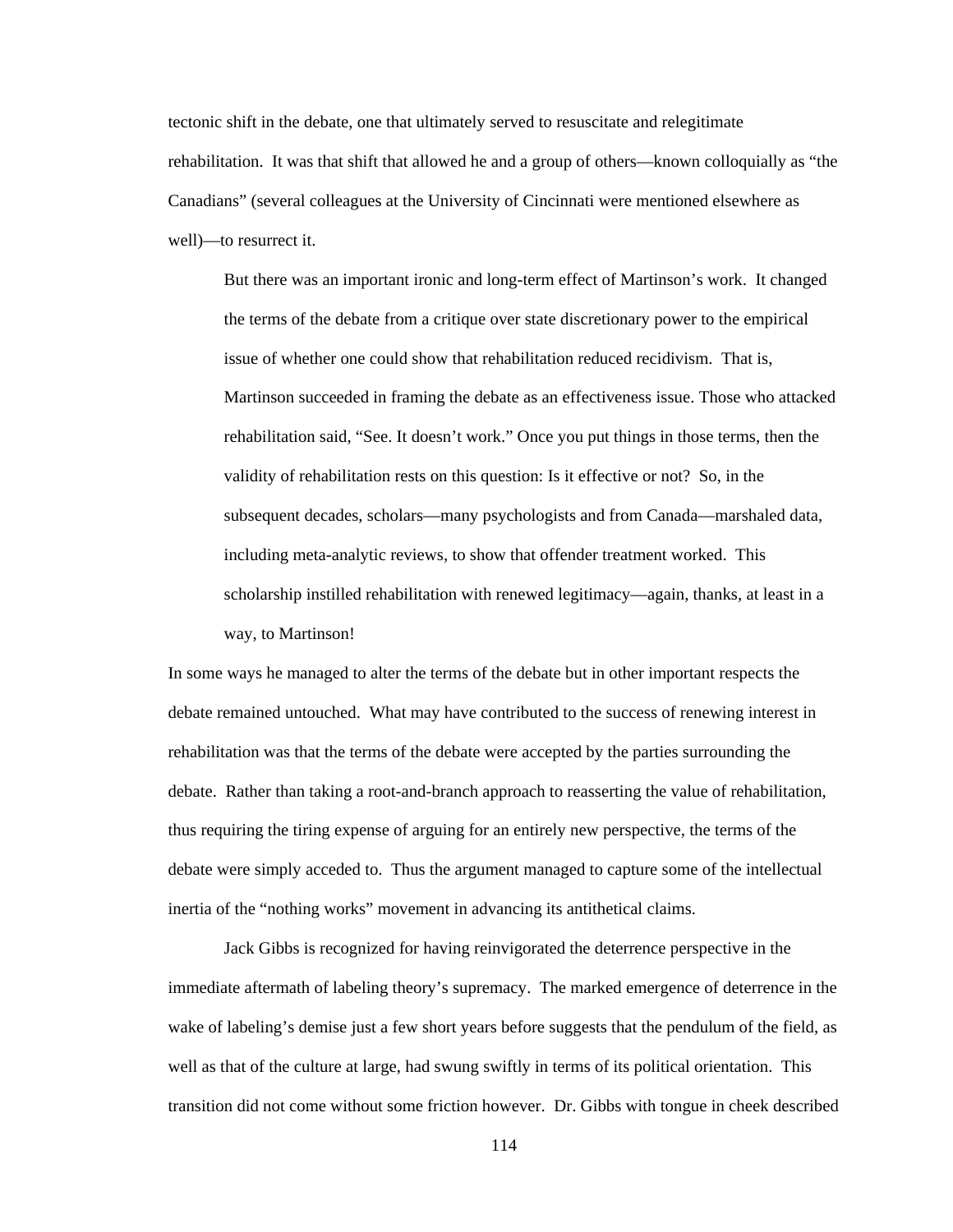tectonic shift in the debate, one that ultimately served to resuscitate and relegitimate rehabilitation. It was that shift that allowed he and a group of others—known colloquially as "the Canadians" (several colleagues at the University of Cincinnati were mentioned elsewhere as well)—to resurrect it.

But there was an important ironic and long-term effect of Martinson's work. It changed the terms of the debate from a critique over state discretionary power to the empirical issue of whether one could show that rehabilitation reduced recidivism. That is, Martinson succeeded in framing the debate as an effectiveness issue. Those who attacked rehabilitation said, "See. It doesn't work." Once you put things in those terms, then the validity of rehabilitation rests on this question: Is it effective or not? So, in the subsequent decades, scholars—many psychologists and from Canada—marshaled data, including meta-analytic reviews, to show that offender treatment worked. This scholarship instilled rehabilitation with renewed legitimacy—again, thanks, at least in a way, to Martinson!

In some ways he managed to alter the terms of the debate but in other important respects the debate remained untouched. What may have contributed to the success of renewing interest in rehabilitation was that the terms of the debate were accepted by the parties surrounding the debate. Rather than taking a root-and-branch approach to reasserting the value of rehabilitation, thus requiring the tiring expense of arguing for an entirely new perspective, the terms of the debate were simply acceded to. Thus the argument managed to capture some of the intellectual inertia of the "nothing works" movement in advancing its antithetical claims.

 Jack Gibbs is recognized for having reinvigorated the deterrence perspective in the immediate aftermath of labeling theory's supremacy. The marked emergence of deterrence in the wake of labeling's demise just a few short years before suggests that the pendulum of the field, as well as that of the culture at large, had swung swiftly in terms of its political orientation. This transition did not come without some friction however. Dr. Gibbs with tongue in cheek described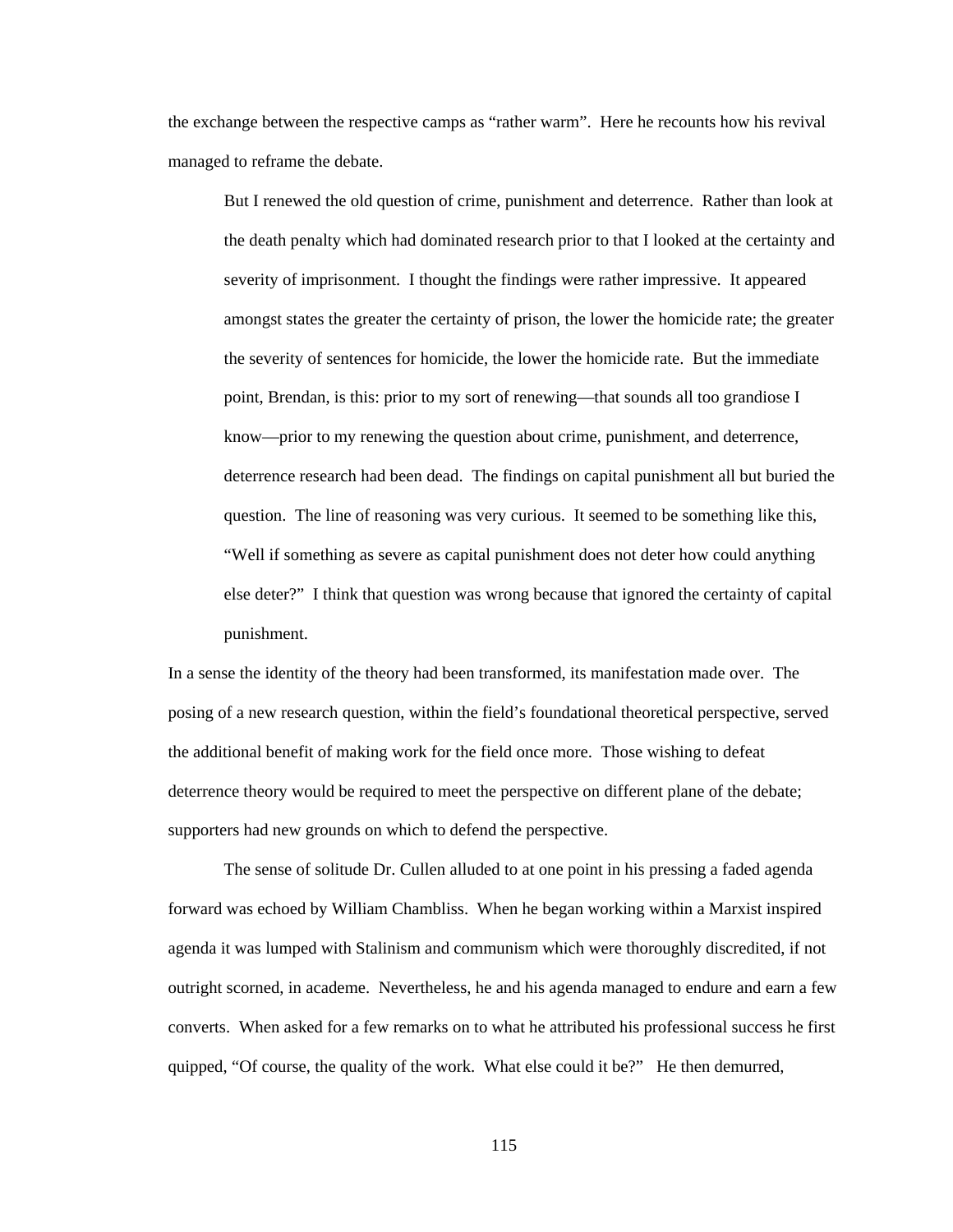the exchange between the respective camps as "rather warm". Here he recounts how his revival managed to reframe the debate.

But I renewed the old question of crime, punishment and deterrence. Rather than look at the death penalty which had dominated research prior to that I looked at the certainty and severity of imprisonment. I thought the findings were rather impressive. It appeared amongst states the greater the certainty of prison, the lower the homicide rate; the greater the severity of sentences for homicide, the lower the homicide rate. But the immediate point, Brendan, is this: prior to my sort of renewing—that sounds all too grandiose I know—prior to my renewing the question about crime, punishment, and deterrence, deterrence research had been dead. The findings on capital punishment all but buried the question. The line of reasoning was very curious. It seemed to be something like this, "Well if something as severe as capital punishment does not deter how could anything else deter?" I think that question was wrong because that ignored the certainty of capital punishment.

In a sense the identity of the theory had been transformed, its manifestation made over. The posing of a new research question, within the field's foundational theoretical perspective, served the additional benefit of making work for the field once more. Those wishing to defeat deterrence theory would be required to meet the perspective on different plane of the debate; supporters had new grounds on which to defend the perspective.

 The sense of solitude Dr. Cullen alluded to at one point in his pressing a faded agenda forward was echoed by William Chambliss. When he began working within a Marxist inspired agenda it was lumped with Stalinism and communism which were thoroughly discredited, if not outright scorned, in academe. Nevertheless, he and his agenda managed to endure and earn a few converts. When asked for a few remarks on to what he attributed his professional success he first quipped, "Of course, the quality of the work. What else could it be?" He then demurred,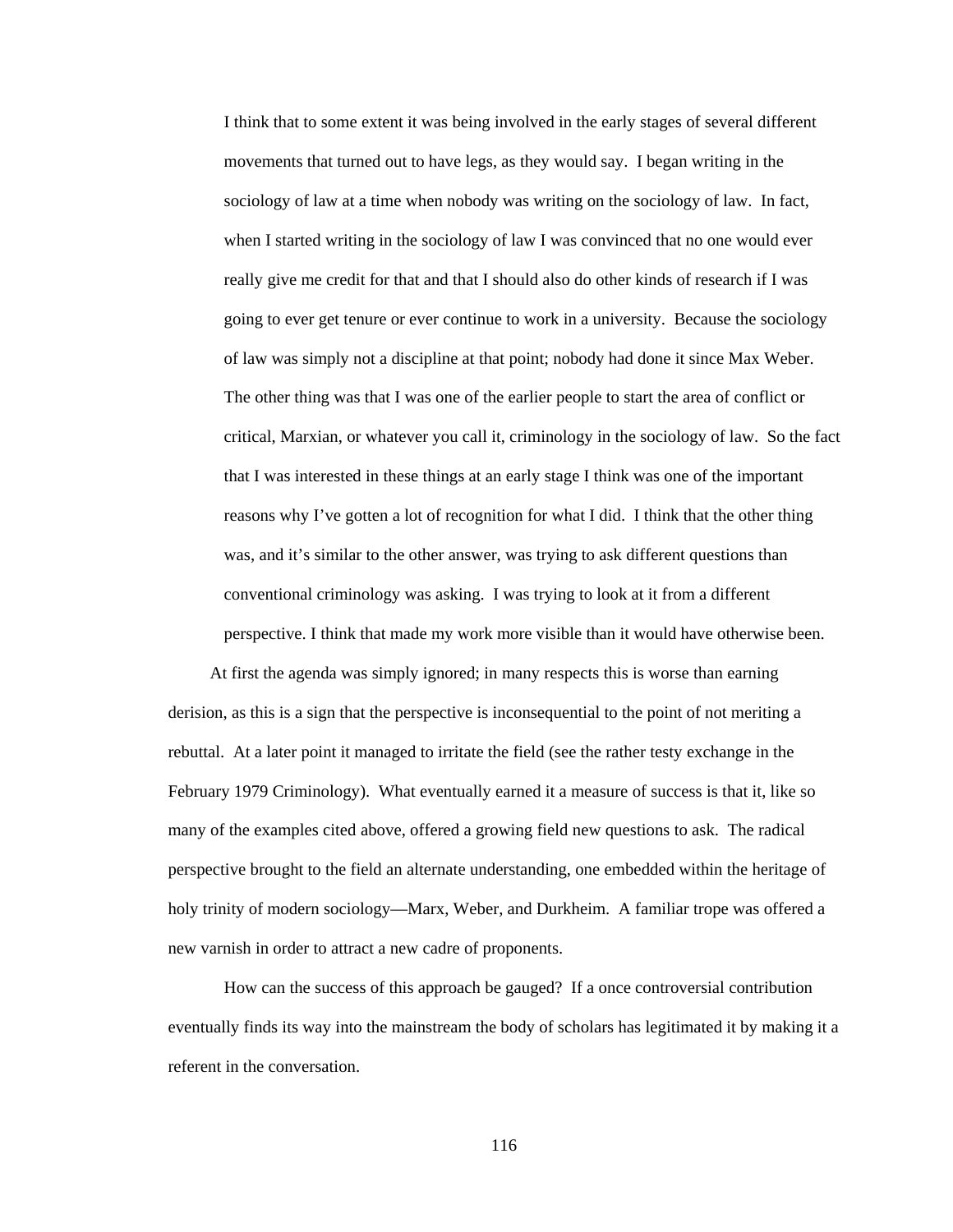I think that to some extent it was being involved in the early stages of several different movements that turned out to have legs, as they would say. I began writing in the sociology of law at a time when nobody was writing on the sociology of law. In fact, when I started writing in the sociology of law I was convinced that no one would ever really give me credit for that and that I should also do other kinds of research if I was going to ever get tenure or ever continue to work in a university. Because the sociology of law was simply not a discipline at that point; nobody had done it since Max Weber. The other thing was that I was one of the earlier people to start the area of conflict or critical, Marxian, or whatever you call it, criminology in the sociology of law. So the fact that I was interested in these things at an early stage I think was one of the important reasons why I've gotten a lot of recognition for what I did. I think that the other thing was, and it's similar to the other answer, was trying to ask different questions than conventional criminology was asking. I was trying to look at it from a different perspective. I think that made my work more visible than it would have otherwise been.

At first the agenda was simply ignored; in many respects this is worse than earning derision, as this is a sign that the perspective is inconsequential to the point of not meriting a rebuttal. At a later point it managed to irritate the field (see the rather testy exchange in the February 1979 Criminology). What eventually earned it a measure of success is that it, like so many of the examples cited above, offered a growing field new questions to ask. The radical perspective brought to the field an alternate understanding, one embedded within the heritage of holy trinity of modern sociology—Marx, Weber, and Durkheim. A familiar trope was offered a new varnish in order to attract a new cadre of proponents.

 How can the success of this approach be gauged? If a once controversial contribution eventually finds its way into the mainstream the body of scholars has legitimated it by making it a referent in the conversation.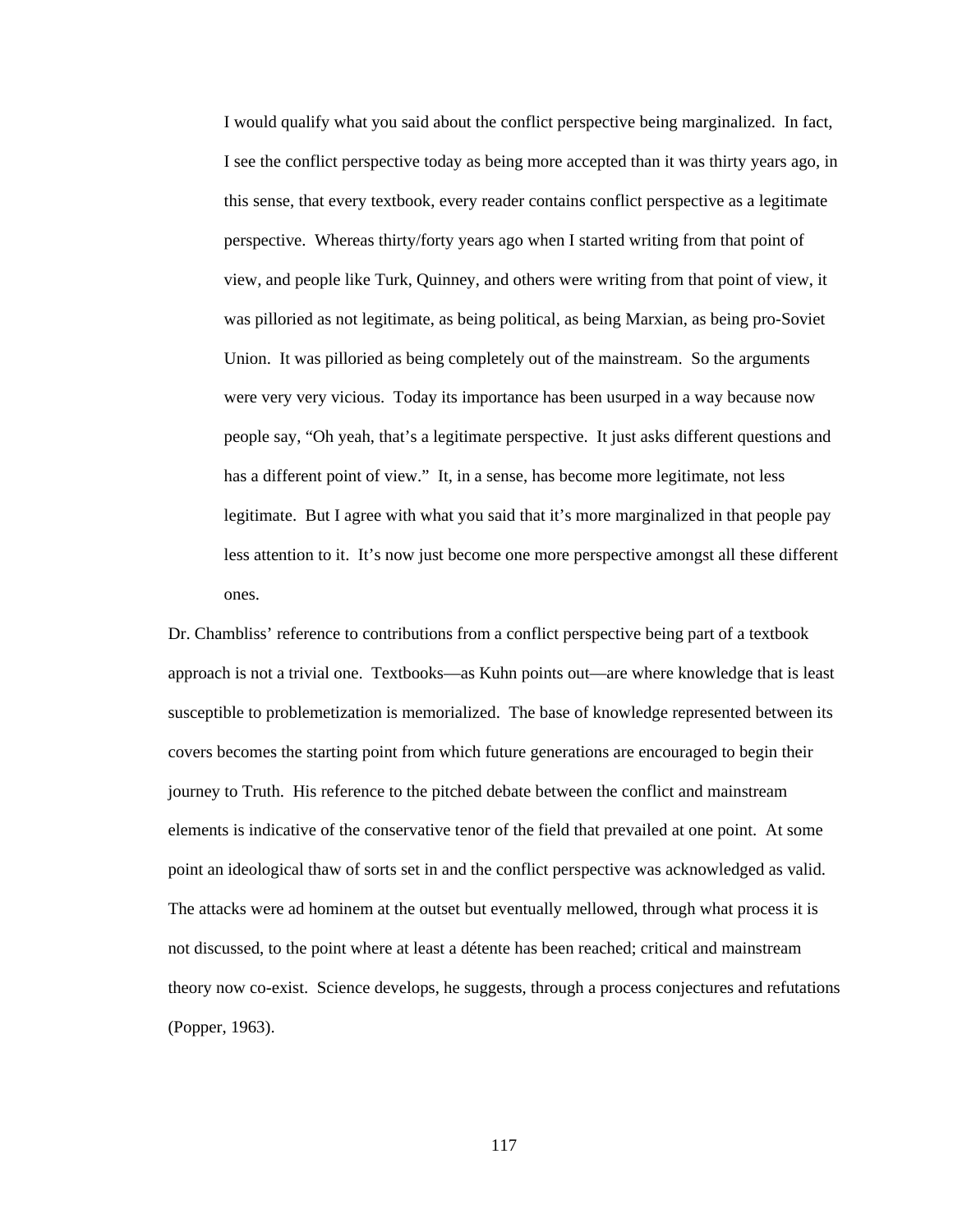I would qualify what you said about the conflict perspective being marginalized. In fact, I see the conflict perspective today as being more accepted than it was thirty years ago, in this sense, that every textbook, every reader contains conflict perspective as a legitimate perspective. Whereas thirty/forty years ago when I started writing from that point of view, and people like Turk, Quinney, and others were writing from that point of view, it was pilloried as not legitimate, as being political, as being Marxian, as being pro-Soviet Union. It was pilloried as being completely out of the mainstream. So the arguments were very very vicious. Today its importance has been usurped in a way because now people say, "Oh yeah, that's a legitimate perspective. It just asks different questions and has a different point of view." It, in a sense, has become more legitimate, not less legitimate. But I agree with what you said that it's more marginalized in that people pay less attention to it. It's now just become one more perspective amongst all these different ones.

Dr. Chambliss' reference to contributions from a conflict perspective being part of a textbook approach is not a trivial one. Textbooks—as Kuhn points out—are where knowledge that is least susceptible to problemetization is memorialized. The base of knowledge represented between its covers becomes the starting point from which future generations are encouraged to begin their journey to Truth. His reference to the pitched debate between the conflict and mainstream elements is indicative of the conservative tenor of the field that prevailed at one point. At some point an ideological thaw of sorts set in and the conflict perspective was acknowledged as valid. The attacks were ad hominem at the outset but eventually mellowed, through what process it is not discussed, to the point where at least a détente has been reached; critical and mainstream theory now co-exist. Science develops, he suggests, through a process conjectures and refutations (Popper, 1963).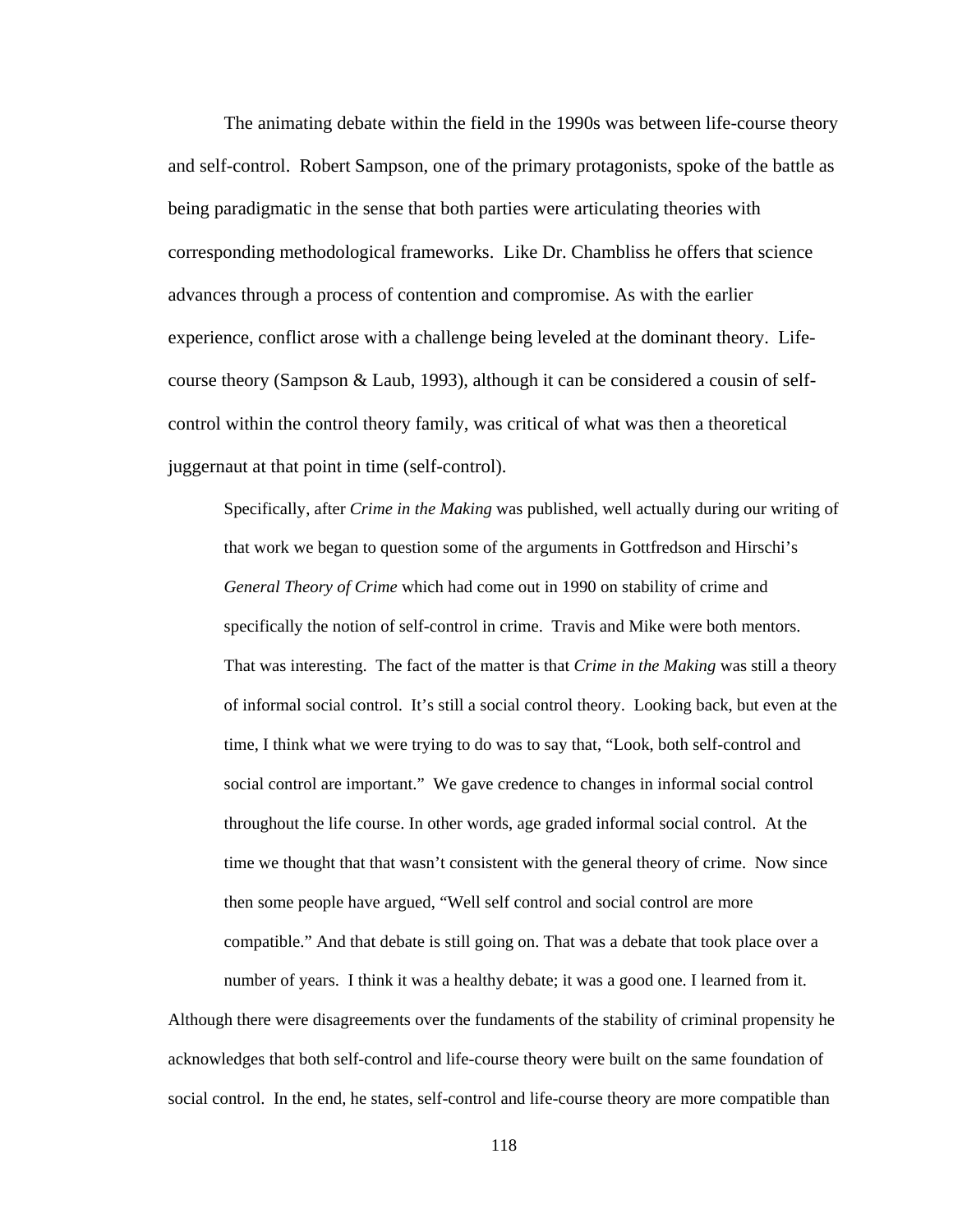The animating debate within the field in the 1990s was between life-course theory and self-control. Robert Sampson, one of the primary protagonists, spoke of the battle as being paradigmatic in the sense that both parties were articulating theories with corresponding methodological frameworks. Like Dr. Chambliss he offers that science advances through a process of contention and compromise. As with the earlier experience, conflict arose with a challenge being leveled at the dominant theory. Lifecourse theory (Sampson & Laub, 1993), although it can be considered a cousin of selfcontrol within the control theory family, was critical of what was then a theoretical juggernaut at that point in time (self-control).

Specifically, after *Crime in the Making* was published, well actually during our writing of that work we began to question some of the arguments in Gottfredson and Hirschi's *General Theory of Crime* which had come out in 1990 on stability of crime and specifically the notion of self-control in crime. Travis and Mike were both mentors. That was interesting. The fact of the matter is that *Crime in the Making* was still a theory of informal social control. It's still a social control theory. Looking back, but even at the time, I think what we were trying to do was to say that, "Look, both self-control and social control are important." We gave credence to changes in informal social control throughout the life course. In other words, age graded informal social control. At the time we thought that that wasn't consistent with the general theory of crime. Now since then some people have argued, "Well self control and social control are more compatible." And that debate is still going on. That was a debate that took place over a number of years. I think it was a healthy debate; it was a good one. I learned from it.

Although there were disagreements over the fundaments of the stability of criminal propensity he acknowledges that both self-control and life-course theory were built on the same foundation of social control. In the end, he states, self-control and life-course theory are more compatible than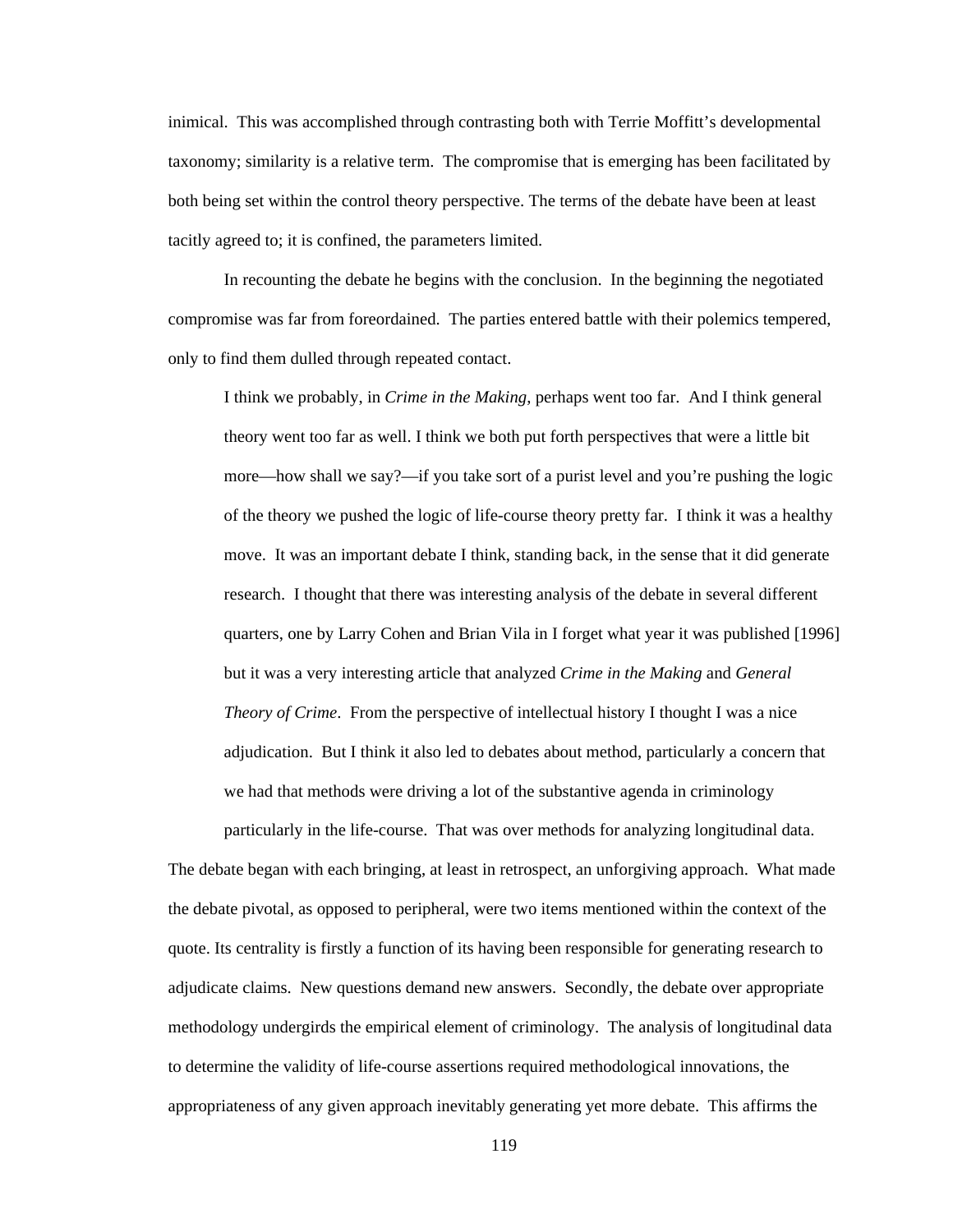inimical. This was accomplished through contrasting both with Terrie Moffitt's developmental taxonomy; similarity is a relative term. The compromise that is emerging has been facilitated by both being set within the control theory perspective. The terms of the debate have been at least tacitly agreed to; it is confined, the parameters limited.

 In recounting the debate he begins with the conclusion. In the beginning the negotiated compromise was far from foreordained. The parties entered battle with their polemics tempered, only to find them dulled through repeated contact.

I think we probably, in *Crime in the Making*, perhaps went too far. And I think general theory went too far as well. I think we both put forth perspectives that were a little bit more—how shall we say?—if you take sort of a purist level and you're pushing the logic of the theory we pushed the logic of life-course theory pretty far. I think it was a healthy move. It was an important debate I think, standing back, in the sense that it did generate research. I thought that there was interesting analysis of the debate in several different quarters, one by Larry Cohen and Brian Vila in I forget what year it was published [1996] but it was a very interesting article that analyzed *Crime in the Making* and *General Theory of Crime*. From the perspective of intellectual history I thought I was a nice adjudication. But I think it also led to debates about method, particularly a concern that we had that methods were driving a lot of the substantive agenda in criminology

particularly in the life-course. That was over methods for analyzing longitudinal data. The debate began with each bringing, at least in retrospect, an unforgiving approach. What made the debate pivotal, as opposed to peripheral, were two items mentioned within the context of the quote. Its centrality is firstly a function of its having been responsible for generating research to adjudicate claims. New questions demand new answers. Secondly, the debate over appropriate methodology undergirds the empirical element of criminology. The analysis of longitudinal data to determine the validity of life-course assertions required methodological innovations, the appropriateness of any given approach inevitably generating yet more debate. This affirms the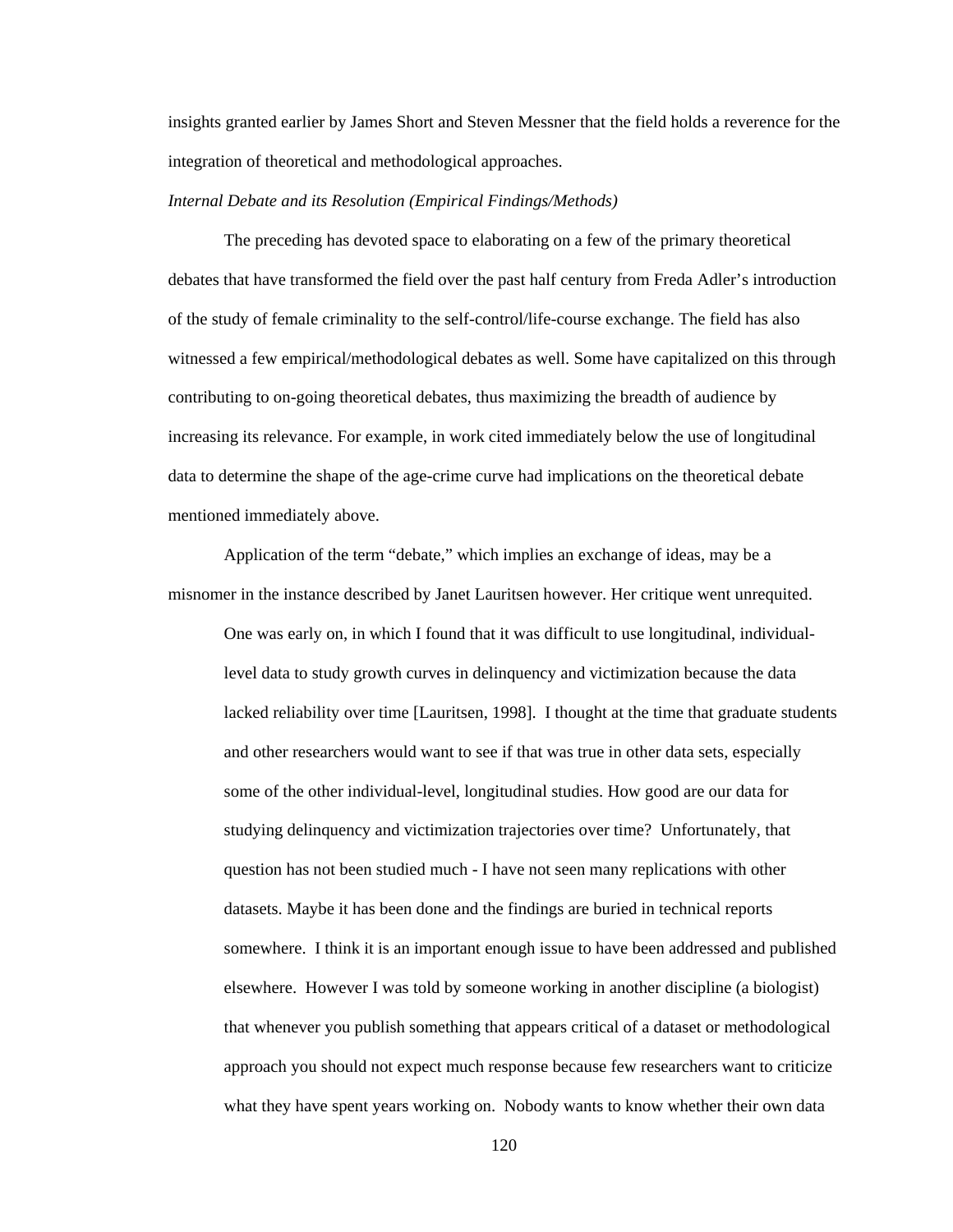insights granted earlier by James Short and Steven Messner that the field holds a reverence for the integration of theoretical and methodological approaches.

#### *Internal Debate and its Resolution (Empirical Findings/Methods)*

 The preceding has devoted space to elaborating on a few of the primary theoretical debates that have transformed the field over the past half century from Freda Adler's introduction of the study of female criminality to the self-control/life-course exchange. The field has also witnessed a few empirical/methodological debates as well. Some have capitalized on this through contributing to on-going theoretical debates, thus maximizing the breadth of audience by increasing its relevance. For example, in work cited immediately below the use of longitudinal data to determine the shape of the age-crime curve had implications on the theoretical debate mentioned immediately above.

Application of the term "debate," which implies an exchange of ideas, may be a misnomer in the instance described by Janet Lauritsen however. Her critique went unrequited.

One was early on, in which I found that it was difficult to use longitudinal, individuallevel data to study growth curves in delinquency and victimization because the data lacked reliability over time [Lauritsen, 1998]. I thought at the time that graduate students and other researchers would want to see if that was true in other data sets, especially some of the other individual-level, longitudinal studies. How good are our data for studying delinquency and victimization trajectories over time? Unfortunately, that question has not been studied much - I have not seen many replications with other datasets. Maybe it has been done and the findings are buried in technical reports somewhere. I think it is an important enough issue to have been addressed and published elsewhere. However I was told by someone working in another discipline (a biologist) that whenever you publish something that appears critical of a dataset or methodological approach you should not expect much response because few researchers want to criticize what they have spent years working on. Nobody wants to know whether their own data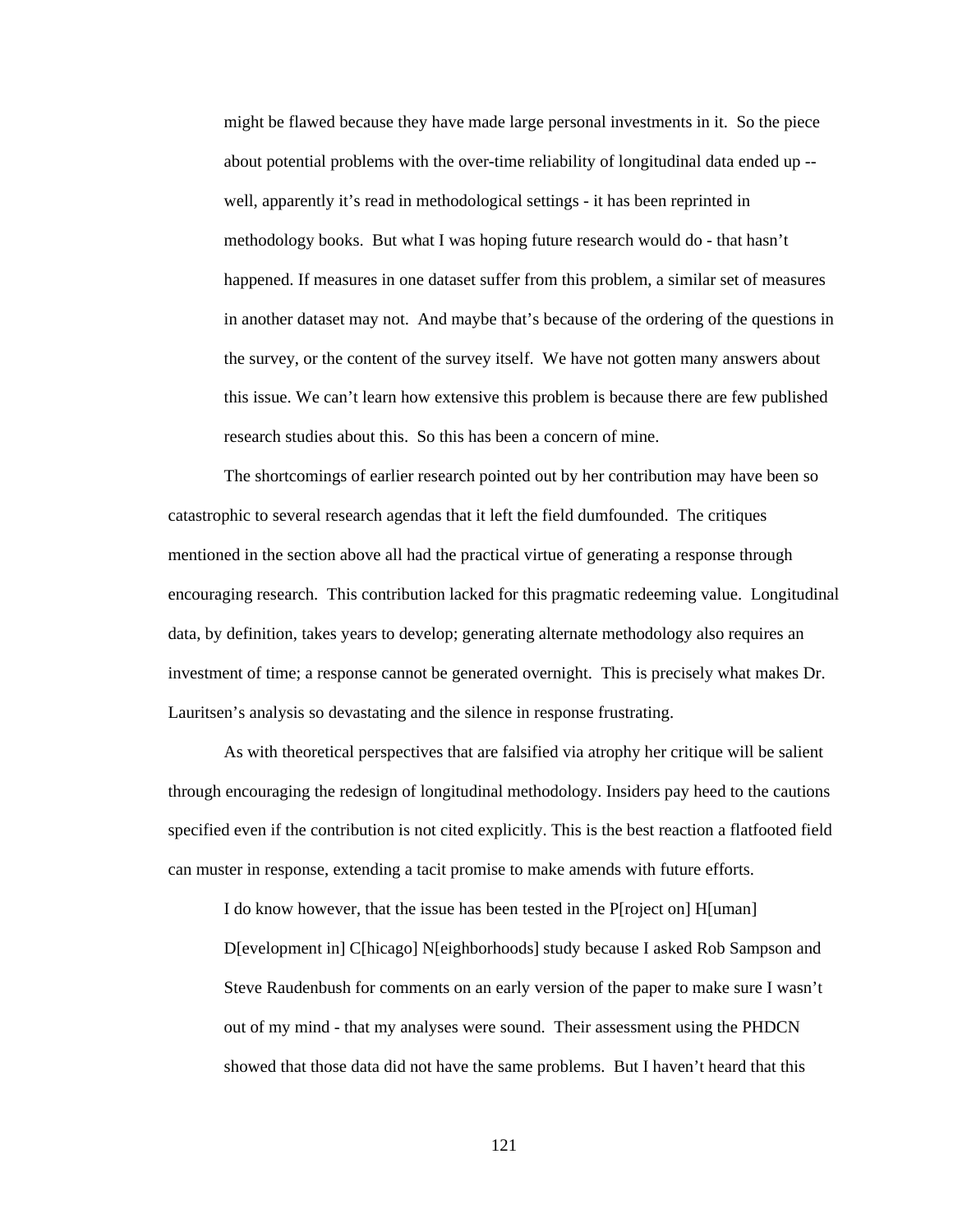might be flawed because they have made large personal investments in it. So the piece about potential problems with the over-time reliability of longitudinal data ended up - well, apparently it's read in methodological settings - it has been reprinted in methodology books. But what I was hoping future research would do - that hasn't happened. If measures in one dataset suffer from this problem, a similar set of measures in another dataset may not. And maybe that's because of the ordering of the questions in the survey, or the content of the survey itself. We have not gotten many answers about this issue. We can't learn how extensive this problem is because there are few published research studies about this. So this has been a concern of mine.

The shortcomings of earlier research pointed out by her contribution may have been so catastrophic to several research agendas that it left the field dumfounded. The critiques mentioned in the section above all had the practical virtue of generating a response through encouraging research. This contribution lacked for this pragmatic redeeming value. Longitudinal data, by definition, takes years to develop; generating alternate methodology also requires an investment of time; a response cannot be generated overnight. This is precisely what makes Dr. Lauritsen's analysis so devastating and the silence in response frustrating.

As with theoretical perspectives that are falsified via atrophy her critique will be salient through encouraging the redesign of longitudinal methodology. Insiders pay heed to the cautions specified even if the contribution is not cited explicitly. This is the best reaction a flatfooted field can muster in response, extending a tacit promise to make amends with future efforts.

I do know however, that the issue has been tested in the P[roject on] H[uman] D[evelopment in] C[hicago] N[eighborhoods] study because I asked Rob Sampson and Steve Raudenbush for comments on an early version of the paper to make sure I wasn't out of my mind - that my analyses were sound. Their assessment using the PHDCN showed that those data did not have the same problems. But I haven't heard that this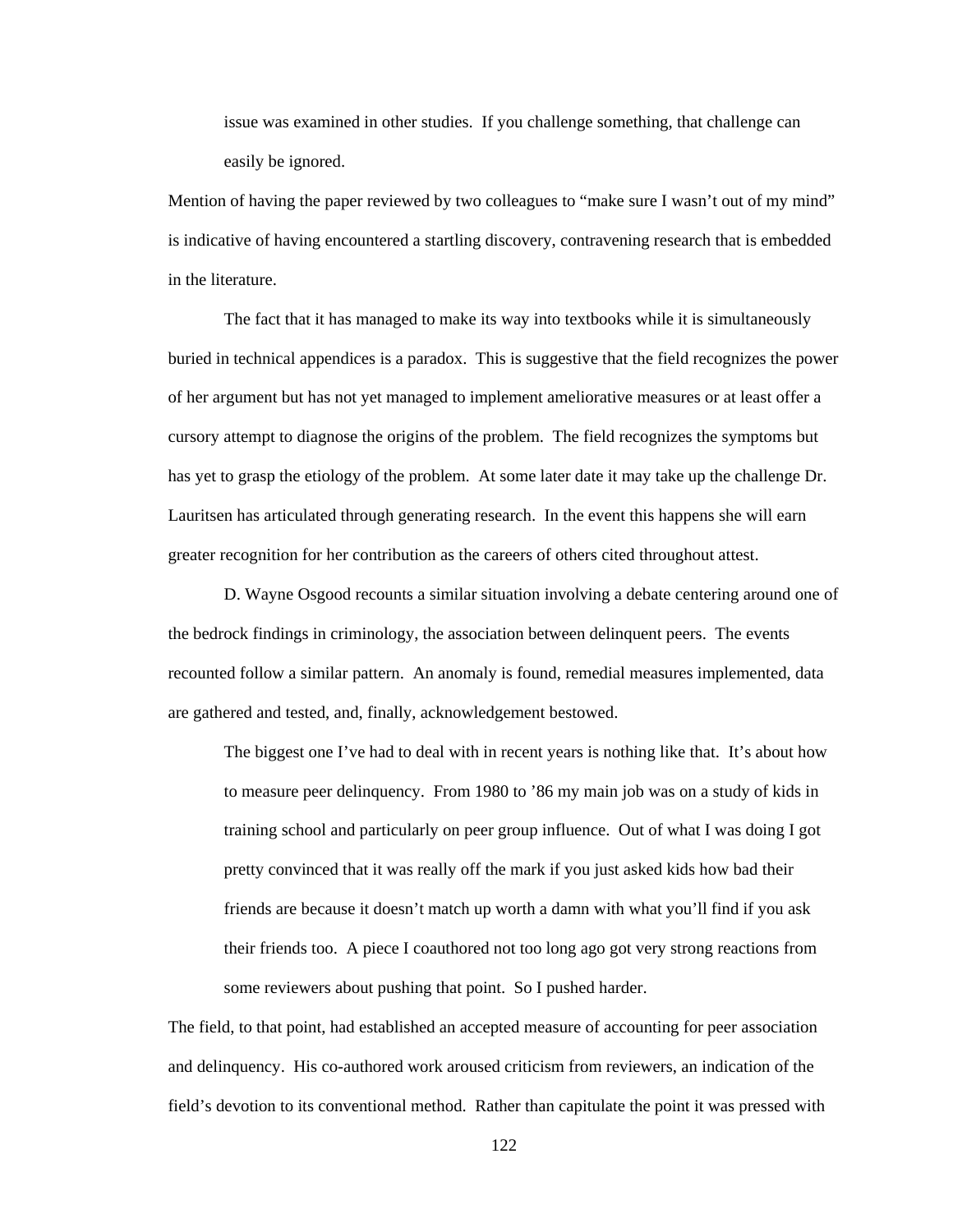issue was examined in other studies. If you challenge something, that challenge can easily be ignored.

Mention of having the paper reviewed by two colleagues to "make sure I wasn't out of my mind" is indicative of having encountered a startling discovery, contravening research that is embedded in the literature.

The fact that it has managed to make its way into textbooks while it is simultaneously buried in technical appendices is a paradox. This is suggestive that the field recognizes the power of her argument but has not yet managed to implement ameliorative measures or at least offer a cursory attempt to diagnose the origins of the problem. The field recognizes the symptoms but has yet to grasp the etiology of the problem. At some later date it may take up the challenge Dr. Lauritsen has articulated through generating research. In the event this happens she will earn greater recognition for her contribution as the careers of others cited throughout attest.

 D. Wayne Osgood recounts a similar situation involving a debate centering around one of the bedrock findings in criminology, the association between delinquent peers. The events recounted follow a similar pattern. An anomaly is found, remedial measures implemented, data are gathered and tested, and, finally, acknowledgement bestowed.

The biggest one I've had to deal with in recent years is nothing like that. It's about how to measure peer delinquency. From 1980 to '86 my main job was on a study of kids in training school and particularly on peer group influence. Out of what I was doing I got pretty convinced that it was really off the mark if you just asked kids how bad their friends are because it doesn't match up worth a damn with what you'll find if you ask their friends too. A piece I coauthored not too long ago got very strong reactions from some reviewers about pushing that point. So I pushed harder.

The field, to that point, had established an accepted measure of accounting for peer association and delinquency. His co-authored work aroused criticism from reviewers, an indication of the field's devotion to its conventional method. Rather than capitulate the point it was pressed with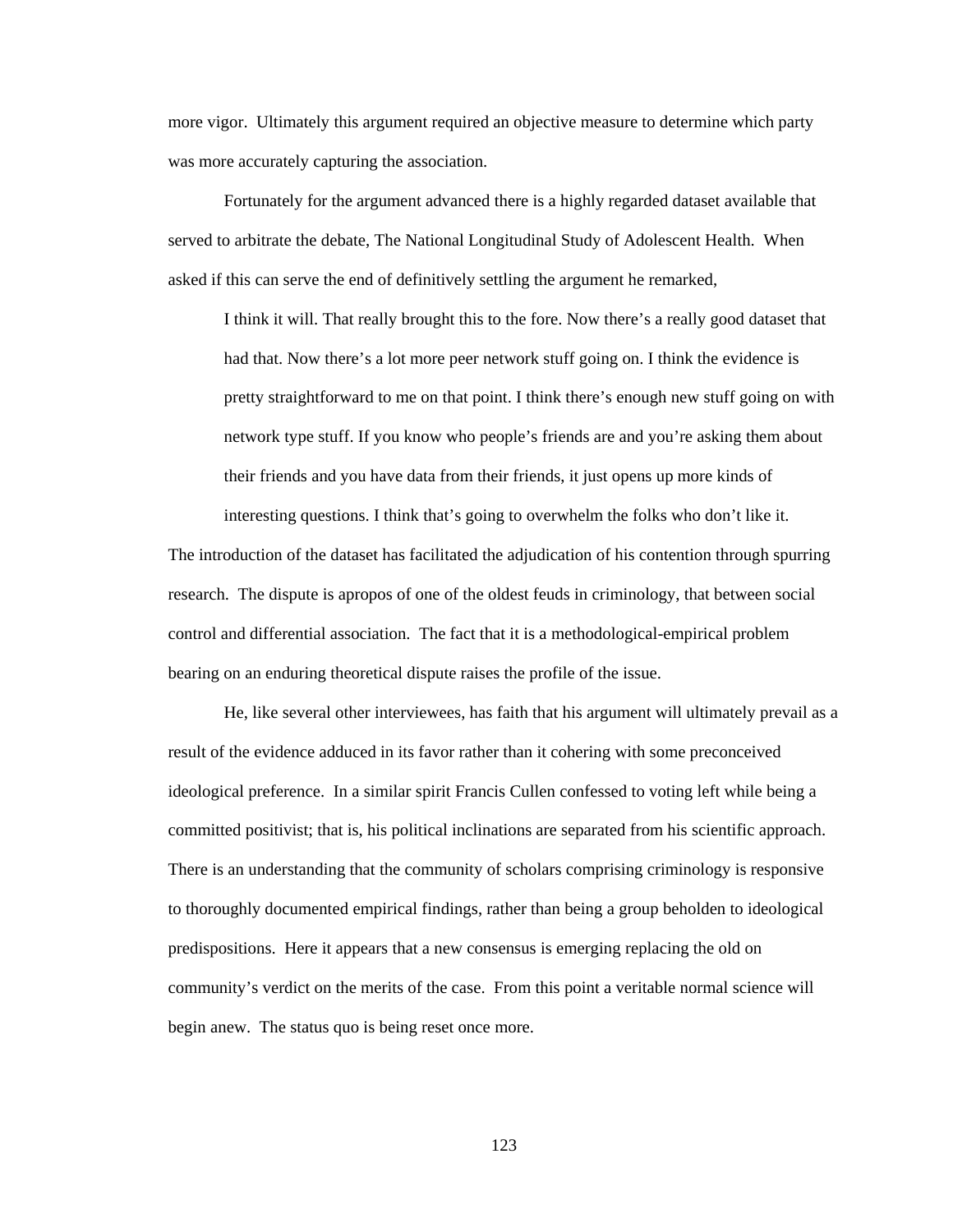more vigor. Ultimately this argument required an objective measure to determine which party was more accurately capturing the association.

Fortunately for the argument advanced there is a highly regarded dataset available that served to arbitrate the debate, The National Longitudinal Study of Adolescent Health. When asked if this can serve the end of definitively settling the argument he remarked,

I think it will. That really brought this to the fore. Now there's a really good dataset that had that. Now there's a lot more peer network stuff going on. I think the evidence is pretty straightforward to me on that point. I think there's enough new stuff going on with network type stuff. If you know who people's friends are and you're asking them about their friends and you have data from their friends, it just opens up more kinds of interesting questions. I think that's going to overwhelm the folks who don't like it.

The introduction of the dataset has facilitated the adjudication of his contention through spurring research. The dispute is apropos of one of the oldest feuds in criminology, that between social control and differential association. The fact that it is a methodological-empirical problem bearing on an enduring theoretical dispute raises the profile of the issue.

He, like several other interviewees, has faith that his argument will ultimately prevail as a result of the evidence adduced in its favor rather than it cohering with some preconceived ideological preference. In a similar spirit Francis Cullen confessed to voting left while being a committed positivist; that is, his political inclinations are separated from his scientific approach. There is an understanding that the community of scholars comprising criminology is responsive to thoroughly documented empirical findings, rather than being a group beholden to ideological predispositions. Here it appears that a new consensus is emerging replacing the old on community's verdict on the merits of the case. From this point a veritable normal science will begin anew. The status quo is being reset once more.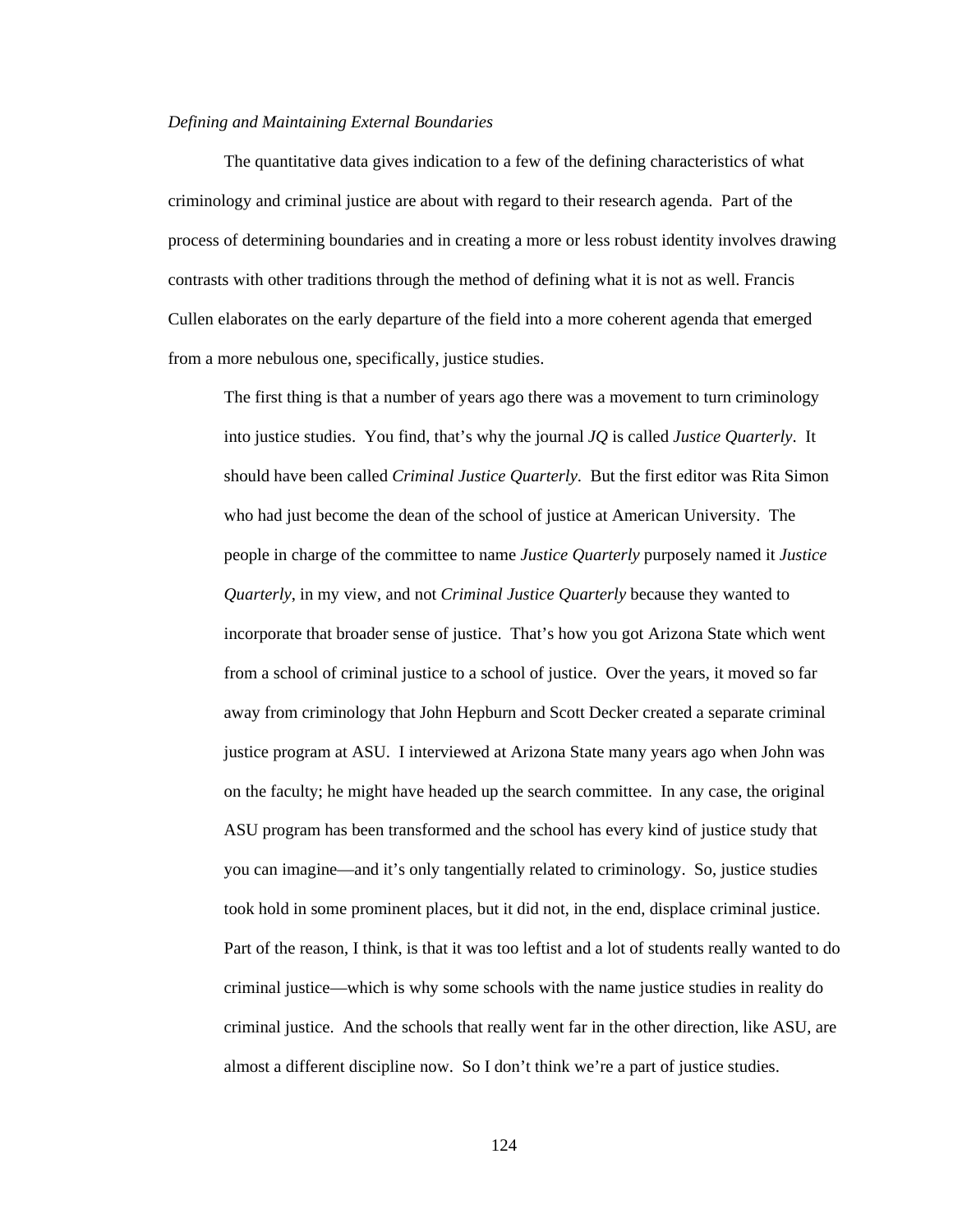# *Defining and Maintaining External Boundaries*

The quantitative data gives indication to a few of the defining characteristics of what criminology and criminal justice are about with regard to their research agenda. Part of the process of determining boundaries and in creating a more or less robust identity involves drawing contrasts with other traditions through the method of defining what it is not as well. Francis Cullen elaborates on the early departure of the field into a more coherent agenda that emerged from a more nebulous one, specifically, justice studies.

The first thing is that a number of years ago there was a movement to turn criminology into justice studies. You find, that's why the journal *JQ* is called *Justice Quarterly*. It should have been called *Criminal Justice Quarterly*. But the first editor was Rita Simon who had just become the dean of the school of justice at American University. The people in charge of the committee to name *Justice Quarterly* purposely named it *Justice Quarterly*, in my view, and not *Criminal Justice Quarterly* because they wanted to incorporate that broader sense of justice. That's how you got Arizona State which went from a school of criminal justice to a school of justice. Over the years, it moved so far away from criminology that John Hepburn and Scott Decker created a separate criminal justice program at ASU. I interviewed at Arizona State many years ago when John was on the faculty; he might have headed up the search committee. In any case, the original ASU program has been transformed and the school has every kind of justice study that you can imagine—and it's only tangentially related to criminology. So, justice studies took hold in some prominent places, but it did not, in the end, displace criminal justice. Part of the reason, I think, is that it was too leftist and a lot of students really wanted to do criminal justice—which is why some schools with the name justice studies in reality do criminal justice. And the schools that really went far in the other direction, like ASU, are almost a different discipline now. So I don't think we're a part of justice studies.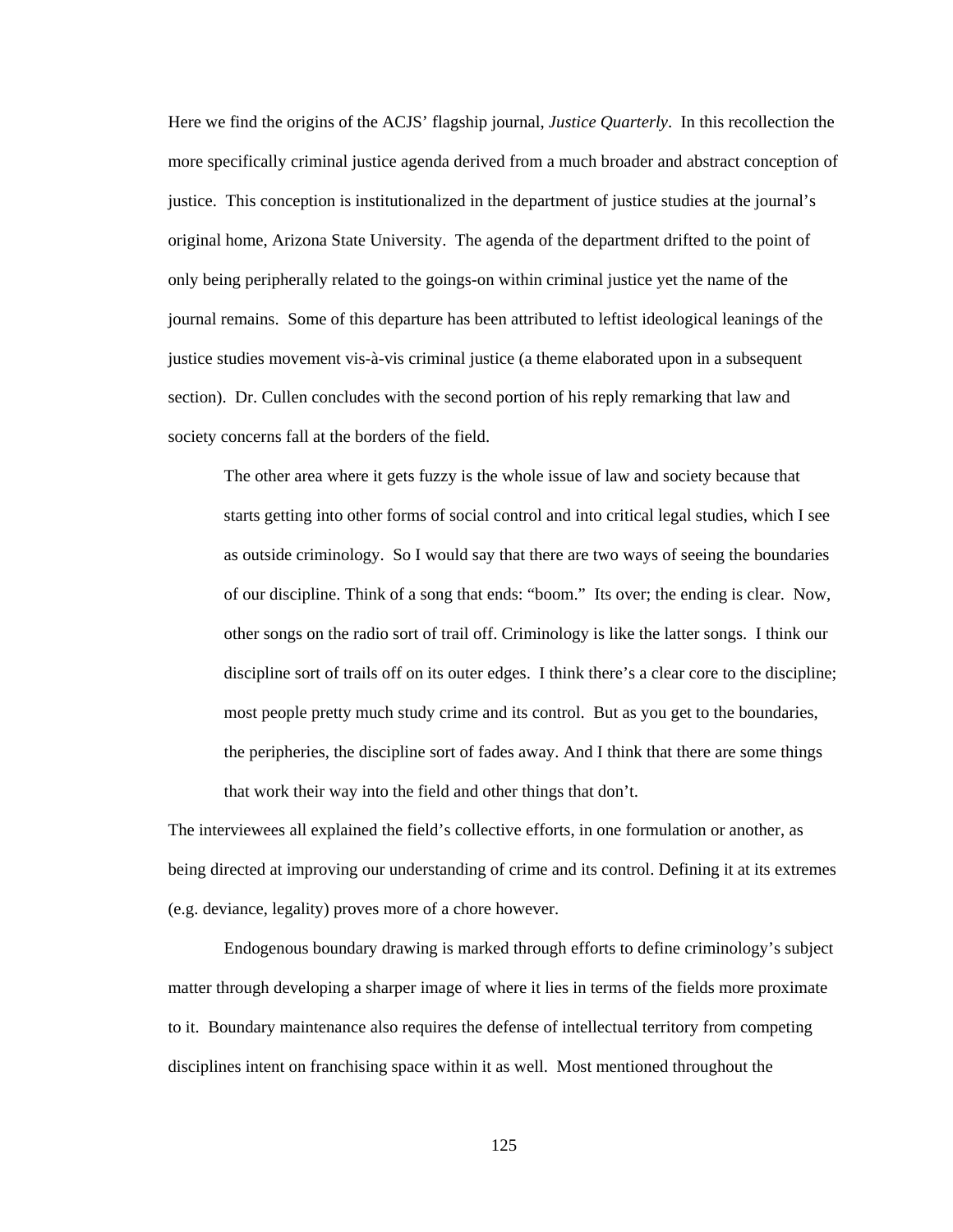Here we find the origins of the ACJS' flagship journal, *Justice Quarterly*. In this recollection the more specifically criminal justice agenda derived from a much broader and abstract conception of justice. This conception is institutionalized in the department of justice studies at the journal's original home, Arizona State University. The agenda of the department drifted to the point of only being peripherally related to the goings-on within criminal justice yet the name of the journal remains. Some of this departure has been attributed to leftist ideological leanings of the justice studies movement vis-à-vis criminal justice (a theme elaborated upon in a subsequent section). Dr. Cullen concludes with the second portion of his reply remarking that law and society concerns fall at the borders of the field.

The other area where it gets fuzzy is the whole issue of law and society because that starts getting into other forms of social control and into critical legal studies, which I see as outside criminology. So I would say that there are two ways of seeing the boundaries of our discipline. Think of a song that ends: "boom." Its over; the ending is clear. Now, other songs on the radio sort of trail off. Criminology is like the latter songs. I think our discipline sort of trails off on its outer edges. I think there's a clear core to the discipline; most people pretty much study crime and its control. But as you get to the boundaries, the peripheries, the discipline sort of fades away. And I think that there are some things that work their way into the field and other things that don't.

The interviewees all explained the field's collective efforts, in one formulation or another, as being directed at improving our understanding of crime and its control. Defining it at its extremes (e.g. deviance, legality) proves more of a chore however.

 Endogenous boundary drawing is marked through efforts to define criminology's subject matter through developing a sharper image of where it lies in terms of the fields more proximate to it. Boundary maintenance also requires the defense of intellectual territory from competing disciplines intent on franchising space within it as well. Most mentioned throughout the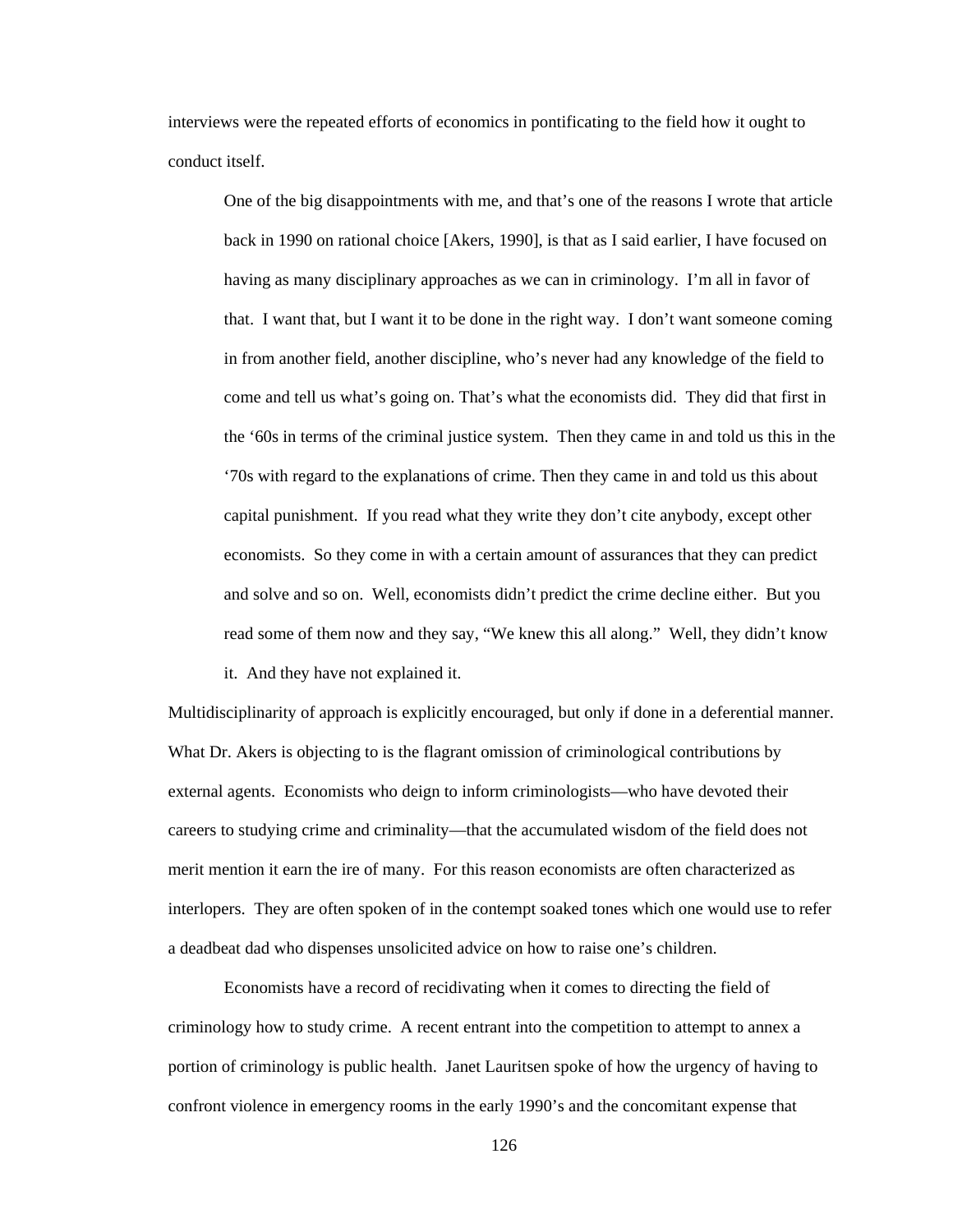interviews were the repeated efforts of economics in pontificating to the field how it ought to conduct itself.

One of the big disappointments with me, and that's one of the reasons I wrote that article back in 1990 on rational choice [Akers, 1990], is that as I said earlier, I have focused on having as many disciplinary approaches as we can in criminology. I'm all in favor of that. I want that, but I want it to be done in the right way. I don't want someone coming in from another field, another discipline, who's never had any knowledge of the field to come and tell us what's going on. That's what the economists did. They did that first in the '60s in terms of the criminal justice system. Then they came in and told us this in the '70s with regard to the explanations of crime. Then they came in and told us this about capital punishment. If you read what they write they don't cite anybody, except other economists. So they come in with a certain amount of assurances that they can predict and solve and so on. Well, economists didn't predict the crime decline either. But you read some of them now and they say, "We knew this all along." Well, they didn't know

it. And they have not explained it.

Multidisciplinarity of approach is explicitly encouraged, but only if done in a deferential manner. What Dr. Akers is objecting to is the flagrant omission of criminological contributions by external agents. Economists who deign to inform criminologists—who have devoted their careers to studying crime and criminality—that the accumulated wisdom of the field does not merit mention it earn the ire of many. For this reason economists are often characterized as interlopers. They are often spoken of in the contempt soaked tones which one would use to refer a deadbeat dad who dispenses unsolicited advice on how to raise one's children.

Economists have a record of recidivating when it comes to directing the field of criminology how to study crime. A recent entrant into the competition to attempt to annex a portion of criminology is public health. Janet Lauritsen spoke of how the urgency of having to confront violence in emergency rooms in the early 1990's and the concomitant expense that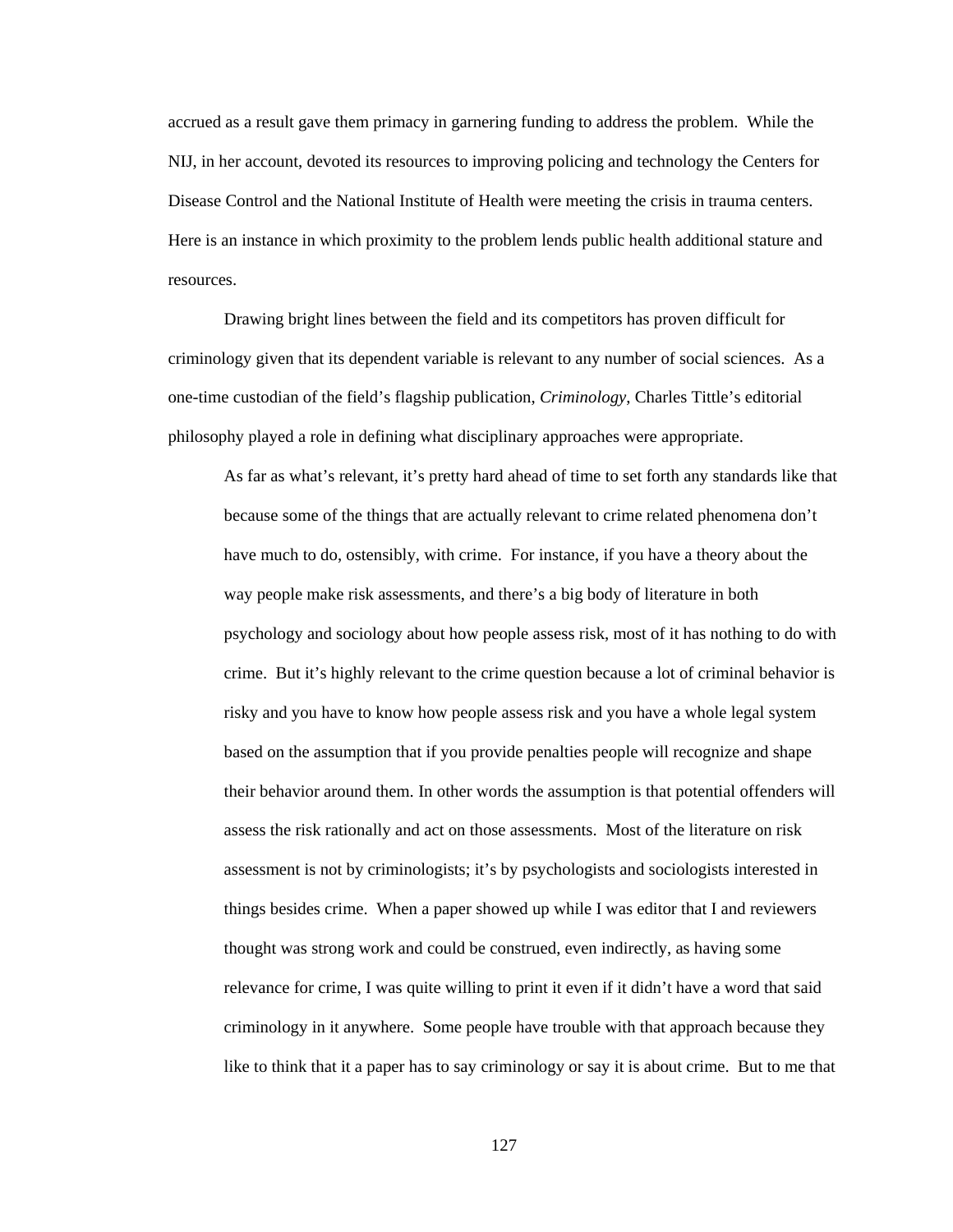accrued as a result gave them primacy in garnering funding to address the problem. While the NIJ, in her account, devoted its resources to improving policing and technology the Centers for Disease Control and the National Institute of Health were meeting the crisis in trauma centers. Here is an instance in which proximity to the problem lends public health additional stature and resources.

 Drawing bright lines between the field and its competitors has proven difficult for criminology given that its dependent variable is relevant to any number of social sciences. As a one-time custodian of the field's flagship publication, *Criminology*, Charles Tittle's editorial philosophy played a role in defining what disciplinary approaches were appropriate.

As far as what's relevant, it's pretty hard ahead of time to set forth any standards like that because some of the things that are actually relevant to crime related phenomena don't have much to do, ostensibly, with crime. For instance, if you have a theory about the way people make risk assessments, and there's a big body of literature in both psychology and sociology about how people assess risk, most of it has nothing to do with crime. But it's highly relevant to the crime question because a lot of criminal behavior is risky and you have to know how people assess risk and you have a whole legal system based on the assumption that if you provide penalties people will recognize and shape their behavior around them. In other words the assumption is that potential offenders will assess the risk rationally and act on those assessments. Most of the literature on risk assessment is not by criminologists; it's by psychologists and sociologists interested in things besides crime. When a paper showed up while I was editor that I and reviewers thought was strong work and could be construed, even indirectly, as having some relevance for crime, I was quite willing to print it even if it didn't have a word that said criminology in it anywhere. Some people have trouble with that approach because they like to think that it a paper has to say criminology or say it is about crime. But to me that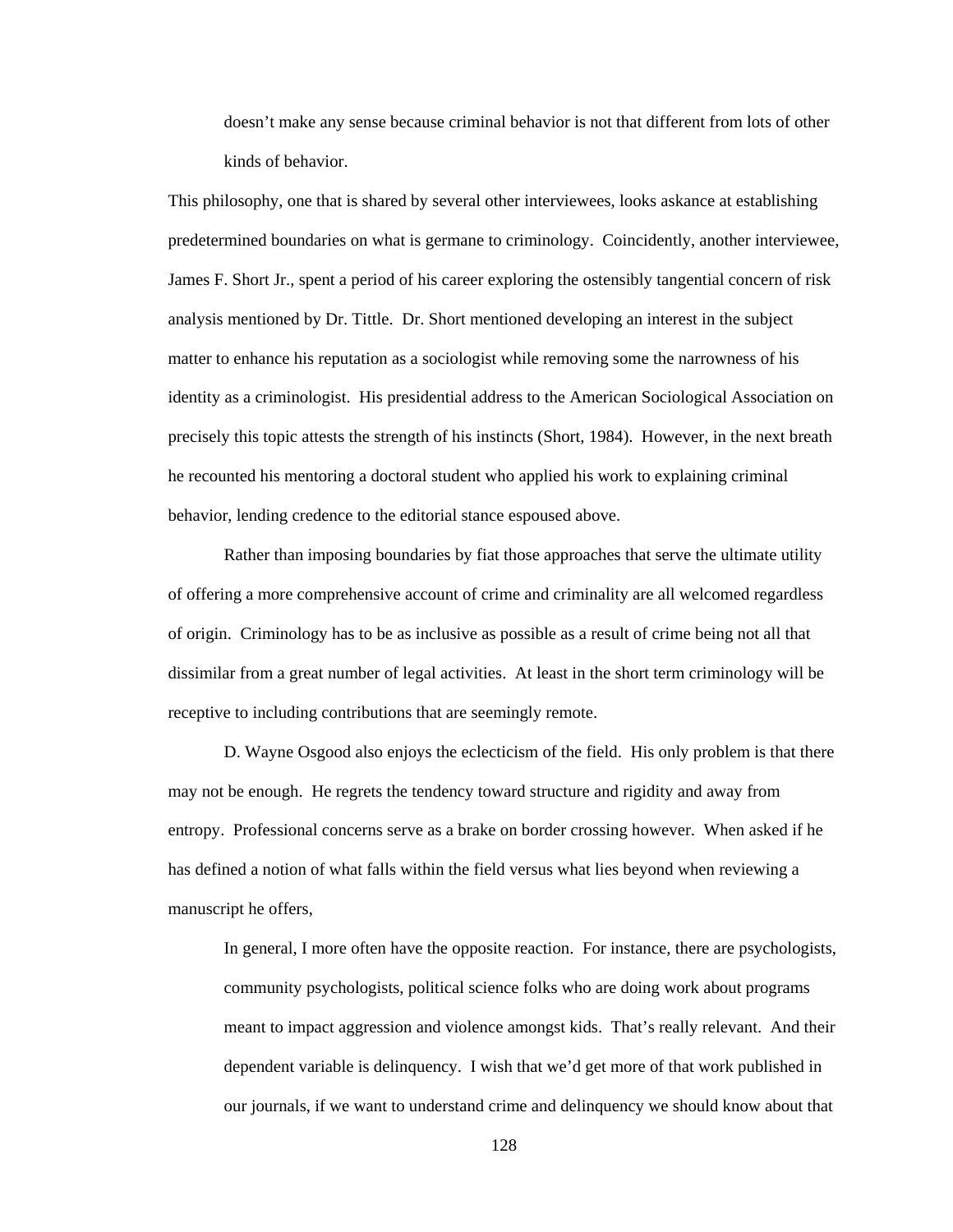doesn't make any sense because criminal behavior is not that different from lots of other kinds of behavior.

This philosophy, one that is shared by several other interviewees, looks askance at establishing predetermined boundaries on what is germane to criminology. Coincidently, another interviewee, James F. Short Jr., spent a period of his career exploring the ostensibly tangential concern of risk analysis mentioned by Dr. Tittle. Dr. Short mentioned developing an interest in the subject matter to enhance his reputation as a sociologist while removing some the narrowness of his identity as a criminologist. His presidential address to the American Sociological Association on precisely this topic attests the strength of his instincts (Short, 1984). However, in the next breath he recounted his mentoring a doctoral student who applied his work to explaining criminal behavior, lending credence to the editorial stance espoused above.

Rather than imposing boundaries by fiat those approaches that serve the ultimate utility of offering a more comprehensive account of crime and criminality are all welcomed regardless of origin. Criminology has to be as inclusive as possible as a result of crime being not all that dissimilar from a great number of legal activities. At least in the short term criminology will be receptive to including contributions that are seemingly remote.

 D. Wayne Osgood also enjoys the eclecticism of the field. His only problem is that there may not be enough. He regrets the tendency toward structure and rigidity and away from entropy. Professional concerns serve as a brake on border crossing however. When asked if he has defined a notion of what falls within the field versus what lies beyond when reviewing a manuscript he offers,

In general, I more often have the opposite reaction. For instance, there are psychologists, community psychologists, political science folks who are doing work about programs meant to impact aggression and violence amongst kids. That's really relevant. And their dependent variable is delinquency. I wish that we'd get more of that work published in our journals, if we want to understand crime and delinquency we should know about that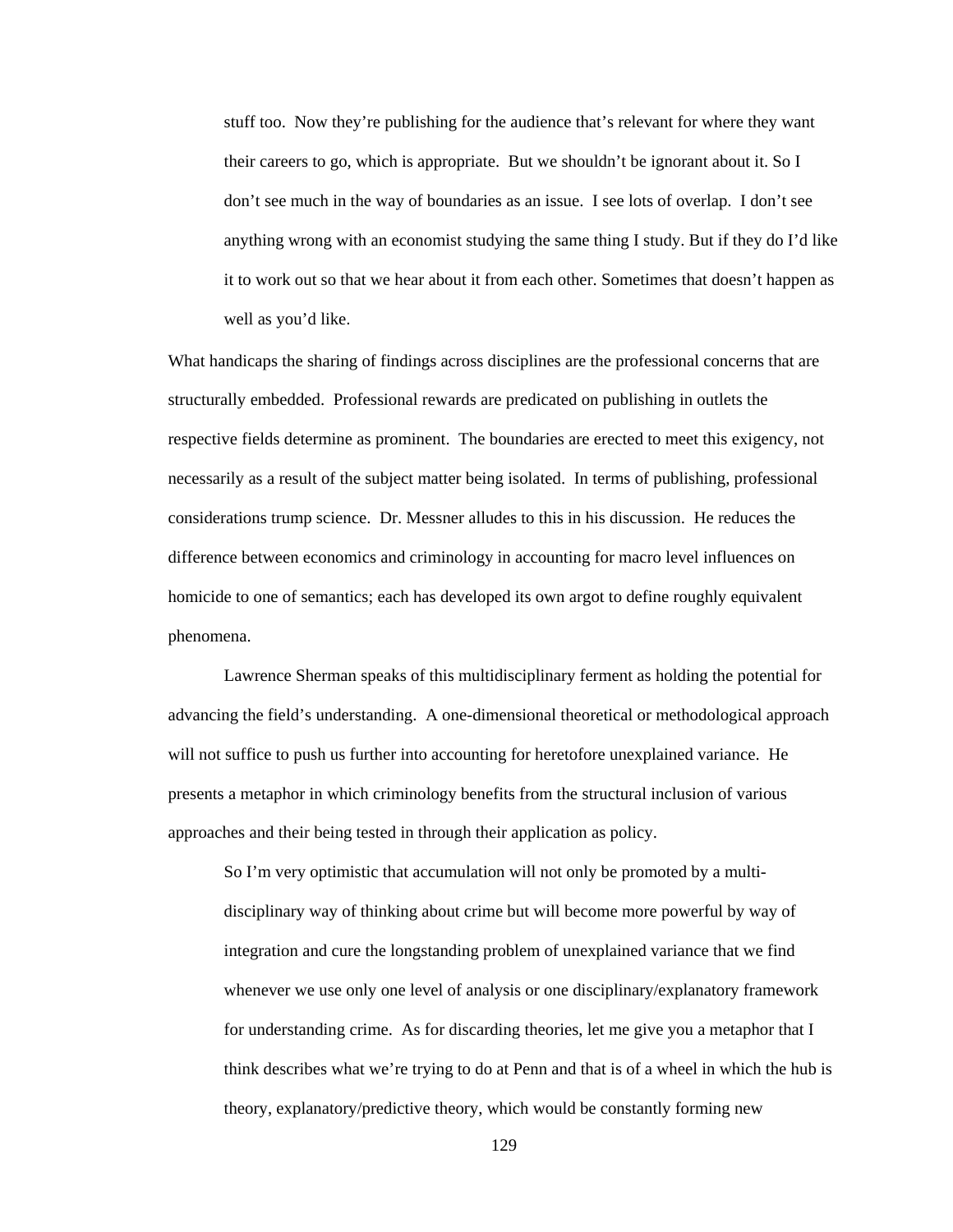stuff too. Now they're publishing for the audience that's relevant for where they want their careers to go, which is appropriate. But we shouldn't be ignorant about it. So I don't see much in the way of boundaries as an issue. I see lots of overlap. I don't see anything wrong with an economist studying the same thing I study. But if they do I'd like it to work out so that we hear about it from each other. Sometimes that doesn't happen as well as you'd like.

What handicaps the sharing of findings across disciplines are the professional concerns that are structurally embedded. Professional rewards are predicated on publishing in outlets the respective fields determine as prominent. The boundaries are erected to meet this exigency, not necessarily as a result of the subject matter being isolated. In terms of publishing, professional considerations trump science. Dr. Messner alludes to this in his discussion. He reduces the difference between economics and criminology in accounting for macro level influences on homicide to one of semantics; each has developed its own argot to define roughly equivalent phenomena.

 Lawrence Sherman speaks of this multidisciplinary ferment as holding the potential for advancing the field's understanding. A one-dimensional theoretical or methodological approach will not suffice to push us further into accounting for heretofore unexplained variance. He presents a metaphor in which criminology benefits from the structural inclusion of various approaches and their being tested in through their application as policy.

So I'm very optimistic that accumulation will not only be promoted by a multidisciplinary way of thinking about crime but will become more powerful by way of integration and cure the longstanding problem of unexplained variance that we find whenever we use only one level of analysis or one disciplinary/explanatory framework for understanding crime. As for discarding theories, let me give you a metaphor that I think describes what we're trying to do at Penn and that is of a wheel in which the hub is theory, explanatory/predictive theory, which would be constantly forming new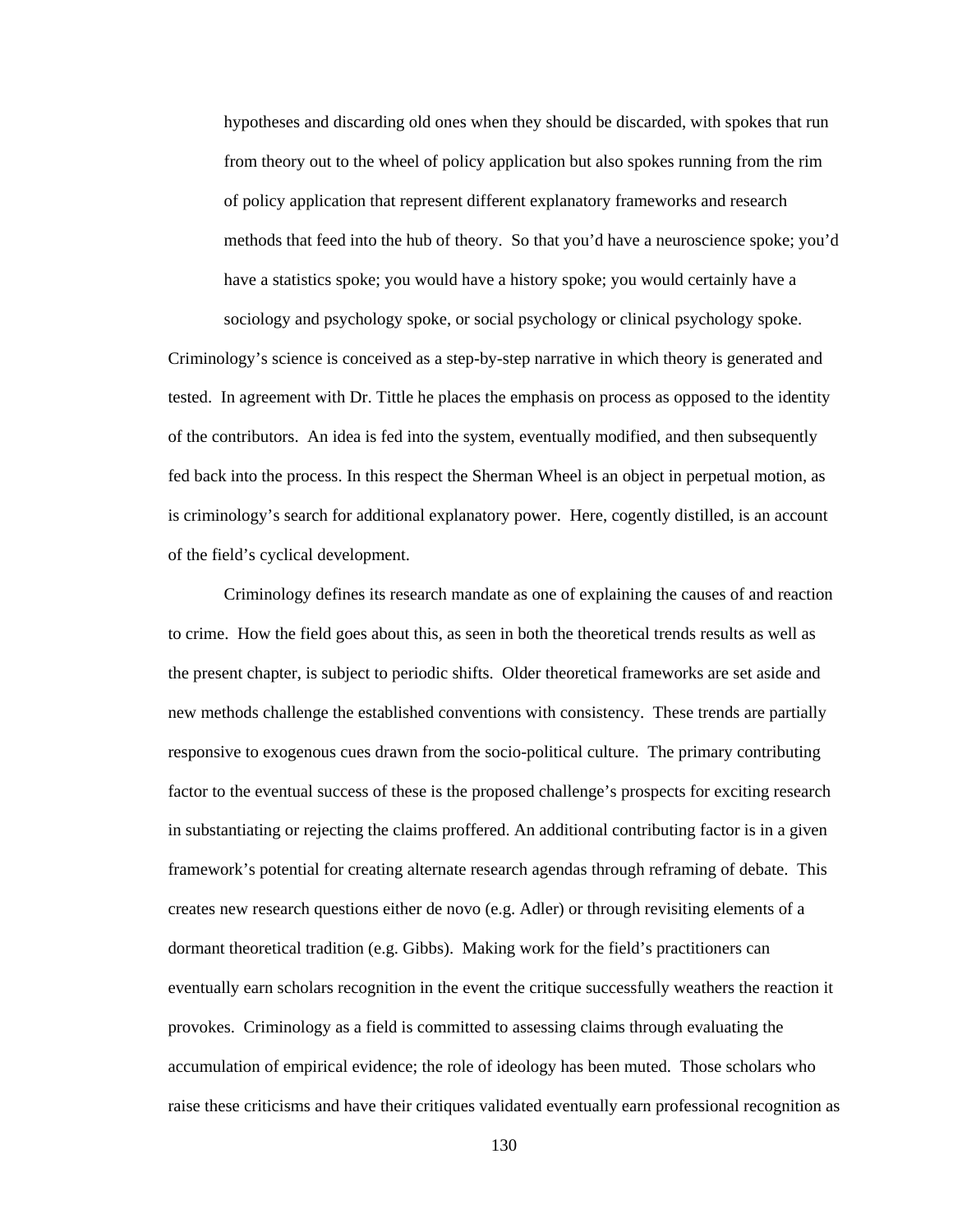hypotheses and discarding old ones when they should be discarded, with spokes that run from theory out to the wheel of policy application but also spokes running from the rim of policy application that represent different explanatory frameworks and research methods that feed into the hub of theory. So that you'd have a neuroscience spoke; you'd have a statistics spoke; you would have a history spoke; you would certainly have a

sociology and psychology spoke, or social psychology or clinical psychology spoke.

Criminology's science is conceived as a step-by-step narrative in which theory is generated and tested. In agreement with Dr. Tittle he places the emphasis on process as opposed to the identity of the contributors. An idea is fed into the system, eventually modified, and then subsequently fed back into the process. In this respect the Sherman Wheel is an object in perpetual motion, as is criminology's search for additional explanatory power. Here, cogently distilled, is an account of the field's cyclical development.

 Criminology defines its research mandate as one of explaining the causes of and reaction to crime. How the field goes about this, as seen in both the theoretical trends results as well as the present chapter, is subject to periodic shifts. Older theoretical frameworks are set aside and new methods challenge the established conventions with consistency. These trends are partially responsive to exogenous cues drawn from the socio-political culture. The primary contributing factor to the eventual success of these is the proposed challenge's prospects for exciting research in substantiating or rejecting the claims proffered. An additional contributing factor is in a given framework's potential for creating alternate research agendas through reframing of debate. This creates new research questions either de novo (e.g. Adler) or through revisiting elements of a dormant theoretical tradition (e.g. Gibbs). Making work for the field's practitioners can eventually earn scholars recognition in the event the critique successfully weathers the reaction it provokes. Criminology as a field is committed to assessing claims through evaluating the accumulation of empirical evidence; the role of ideology has been muted. Those scholars who raise these criticisms and have their critiques validated eventually earn professional recognition as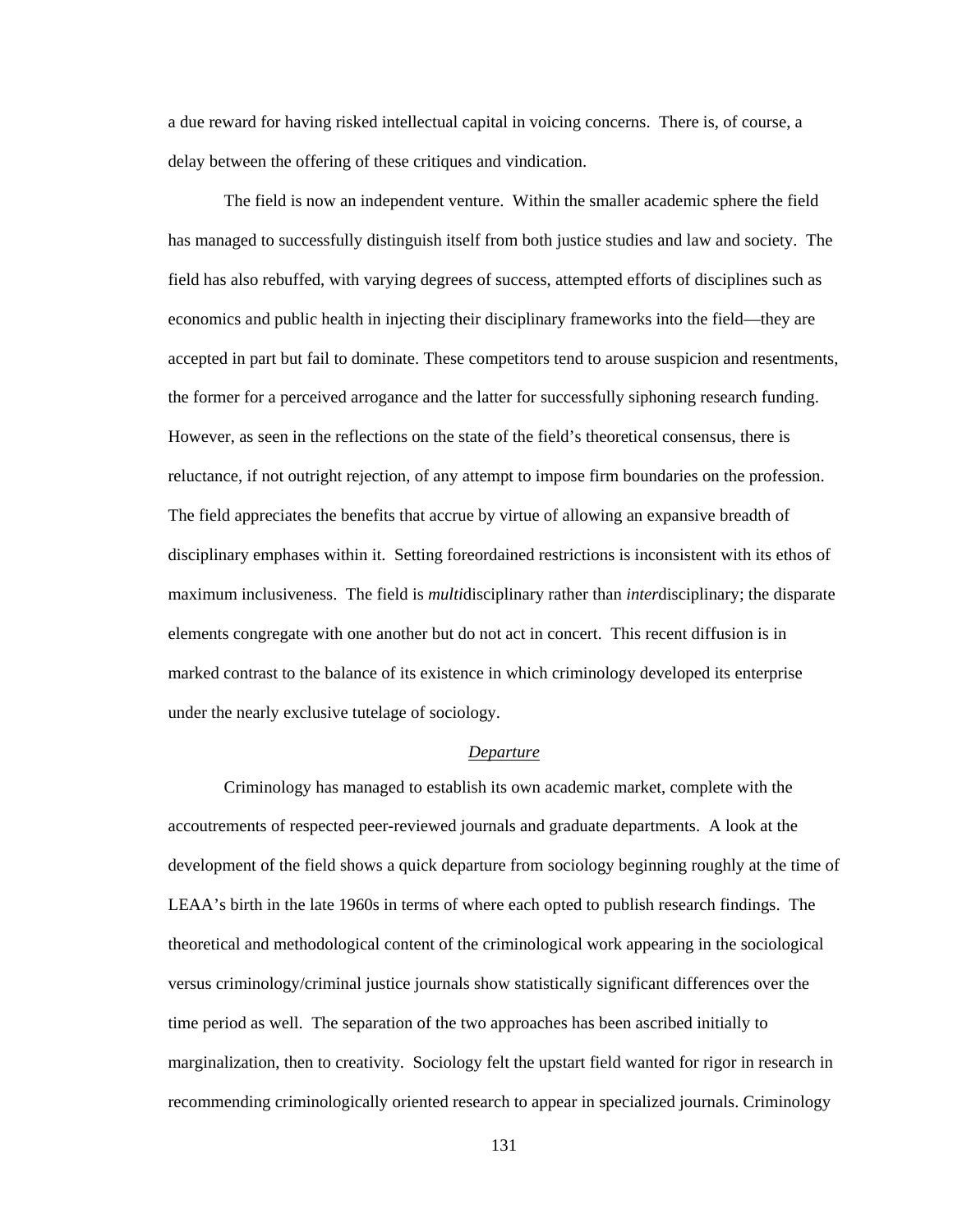a due reward for having risked intellectual capital in voicing concerns. There is, of course, a delay between the offering of these critiques and vindication.

 The field is now an independent venture. Within the smaller academic sphere the field has managed to successfully distinguish itself from both justice studies and law and society. The field has also rebuffed, with varying degrees of success, attempted efforts of disciplines such as economics and public health in injecting their disciplinary frameworks into the field—they are accepted in part but fail to dominate. These competitors tend to arouse suspicion and resentments, the former for a perceived arrogance and the latter for successfully siphoning research funding. However, as seen in the reflections on the state of the field's theoretical consensus, there is reluctance, if not outright rejection, of any attempt to impose firm boundaries on the profession. The field appreciates the benefits that accrue by virtue of allowing an expansive breadth of disciplinary emphases within it. Setting foreordained restrictions is inconsistent with its ethos of maximum inclusiveness. The field is *multi*disciplinary rather than *inter*disciplinary; the disparate elements congregate with one another but do not act in concert. This recent diffusion is in marked contrast to the balance of its existence in which criminology developed its enterprise under the nearly exclusive tutelage of sociology.

# *Departure*

 Criminology has managed to establish its own academic market, complete with the accoutrements of respected peer-reviewed journals and graduate departments. A look at the development of the field shows a quick departure from sociology beginning roughly at the time of LEAA's birth in the late 1960s in terms of where each opted to publish research findings. The theoretical and methodological content of the criminological work appearing in the sociological versus criminology/criminal justice journals show statistically significant differences over the time period as well. The separation of the two approaches has been ascribed initially to marginalization, then to creativity. Sociology felt the upstart field wanted for rigor in research in recommending criminologically oriented research to appear in specialized journals. Criminology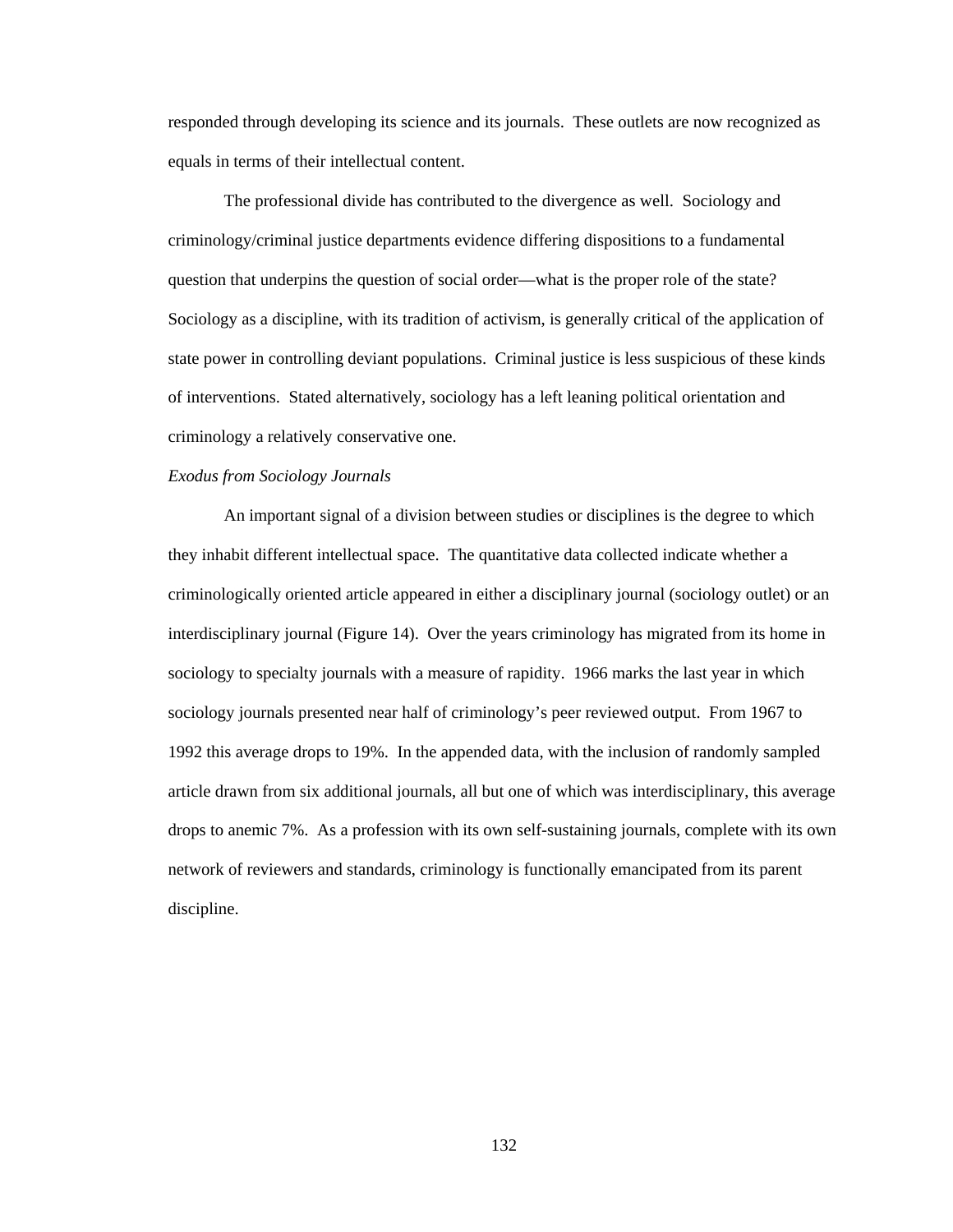responded through developing its science and its journals. These outlets are now recognized as equals in terms of their intellectual content.

 The professional divide has contributed to the divergence as well. Sociology and criminology/criminal justice departments evidence differing dispositions to a fundamental question that underpins the question of social order—what is the proper role of the state? Sociology as a discipline, with its tradition of activism, is generally critical of the application of state power in controlling deviant populations. Criminal justice is less suspicious of these kinds of interventions. Stated alternatively, sociology has a left leaning political orientation and criminology a relatively conservative one.

## *Exodus from Sociology Journals*

 An important signal of a division between studies or disciplines is the degree to which they inhabit different intellectual space. The quantitative data collected indicate whether a criminologically oriented article appeared in either a disciplinary journal (sociology outlet) or an interdisciplinary journal (Figure 14). Over the years criminology has migrated from its home in sociology to specialty journals with a measure of rapidity. 1966 marks the last year in which sociology journals presented near half of criminology's peer reviewed output. From 1967 to 1992 this average drops to 19%. In the appended data, with the inclusion of randomly sampled article drawn from six additional journals, all but one of which was interdisciplinary, this average drops to anemic 7%. As a profession with its own self-sustaining journals, complete with its own network of reviewers and standards, criminology is functionally emancipated from its parent discipline.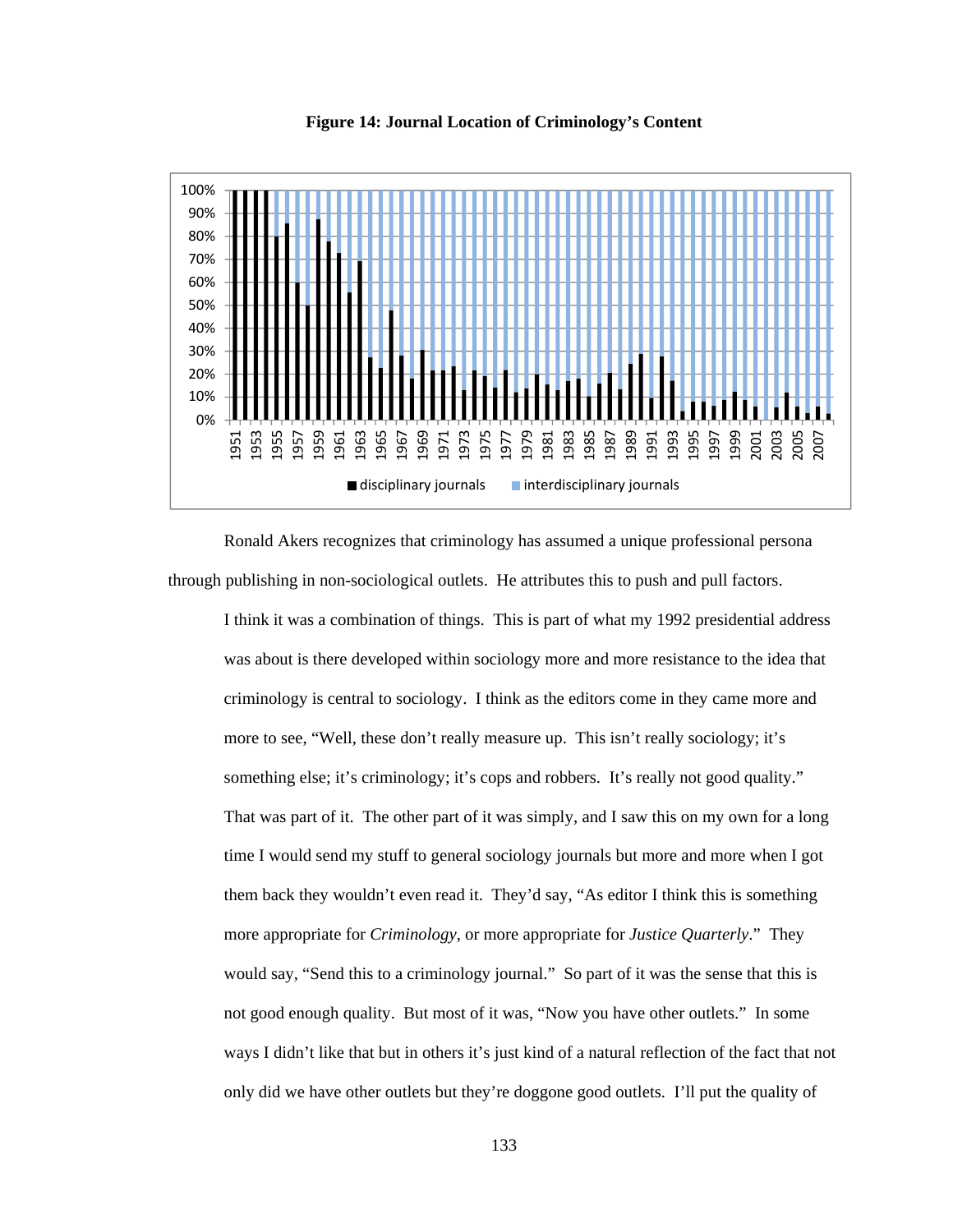

**Figure 14: Journal Location of Criminology's Content**

 Ronald Akers recognizes that criminology has assumed a unique professional persona through publishing in non-sociological outlets. He attributes this to push and pull factors.

I think it was a combination of things. This is part of what my 1992 presidential address was about is there developed within sociology more and more resistance to the idea that criminology is central to sociology. I think as the editors come in they came more and more to see, "Well, these don't really measure up. This isn't really sociology; it's something else; it's criminology; it's cops and robbers. It's really not good quality." That was part of it. The other part of it was simply, and I saw this on my own for a long time I would send my stuff to general sociology journals but more and more when I got them back they wouldn't even read it. They'd say, "As editor I think this is something more appropriate for *Criminology*, or more appropriate for *Justice Quarterly*." They would say, "Send this to a criminology journal." So part of it was the sense that this is not good enough quality. But most of it was, "Now you have other outlets." In some ways I didn't like that but in others it's just kind of a natural reflection of the fact that not only did we have other outlets but they're doggone good outlets. I'll put the quality of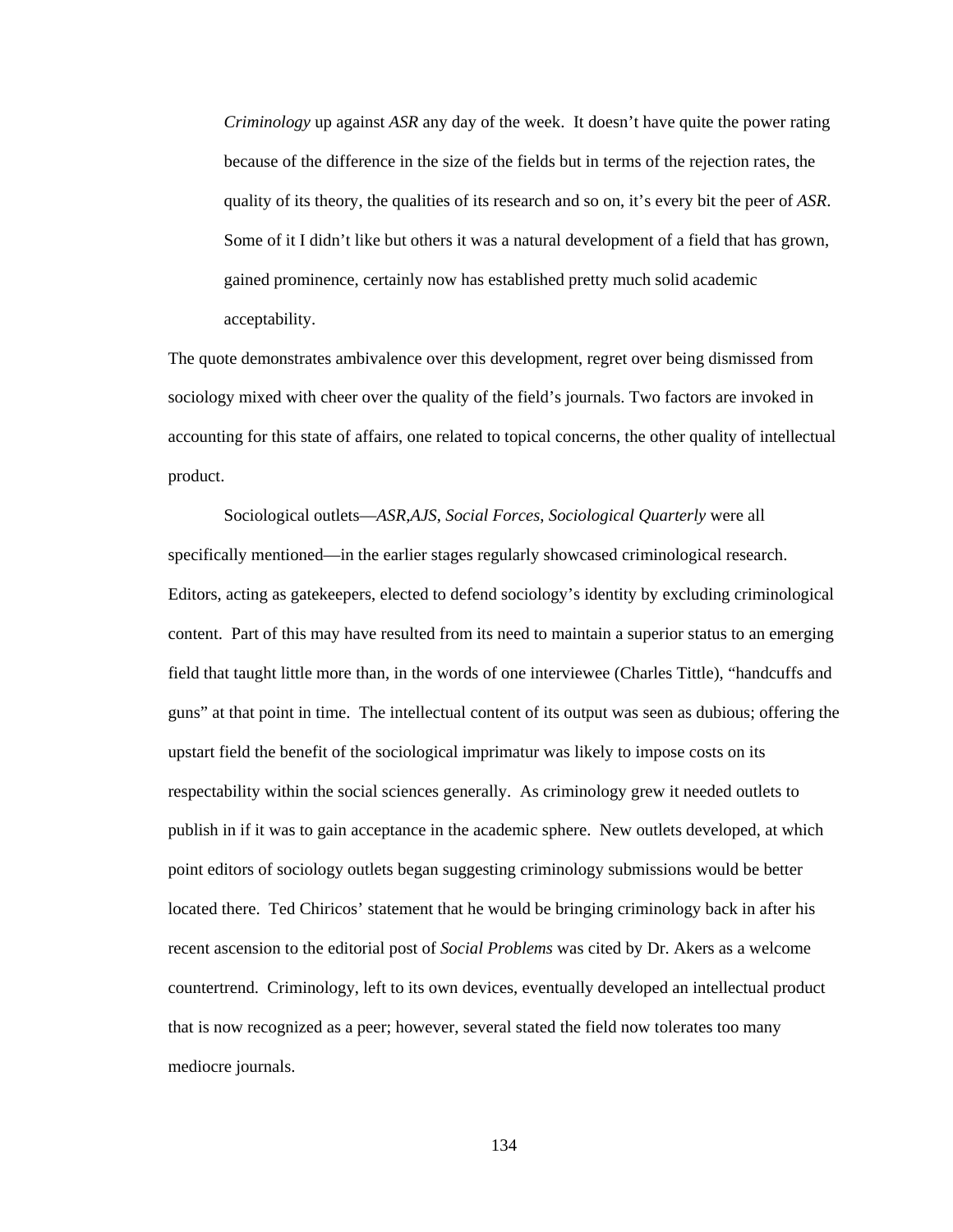*Criminology* up against *ASR* any day of the week. It doesn't have quite the power rating because of the difference in the size of the fields but in terms of the rejection rates, the quality of its theory, the qualities of its research and so on, it's every bit the peer of *ASR*. Some of it I didn't like but others it was a natural development of a field that has grown, gained prominence, certainly now has established pretty much solid academic acceptability.

The quote demonstrates ambivalence over this development, regret over being dismissed from sociology mixed with cheer over the quality of the field's journals. Two factors are invoked in accounting for this state of affairs, one related to topical concerns, the other quality of intellectual product.

 Sociological outlets—*ASR*,*AJS*, *Social Forces*, *Sociological Quarterly* were all specifically mentioned—in the earlier stages regularly showcased criminological research. Editors, acting as gatekeepers, elected to defend sociology's identity by excluding criminological content. Part of this may have resulted from its need to maintain a superior status to an emerging field that taught little more than, in the words of one interviewee (Charles Tittle), "handcuffs and guns" at that point in time. The intellectual content of its output was seen as dubious; offering the upstart field the benefit of the sociological imprimatur was likely to impose costs on its respectability within the social sciences generally. As criminology grew it needed outlets to publish in if it was to gain acceptance in the academic sphere. New outlets developed, at which point editors of sociology outlets began suggesting criminology submissions would be better located there. Ted Chiricos' statement that he would be bringing criminology back in after his recent ascension to the editorial post of *Social Problems* was cited by Dr. Akers as a welcome countertrend. Criminology, left to its own devices, eventually developed an intellectual product that is now recognized as a peer; however, several stated the field now tolerates too many mediocre journals.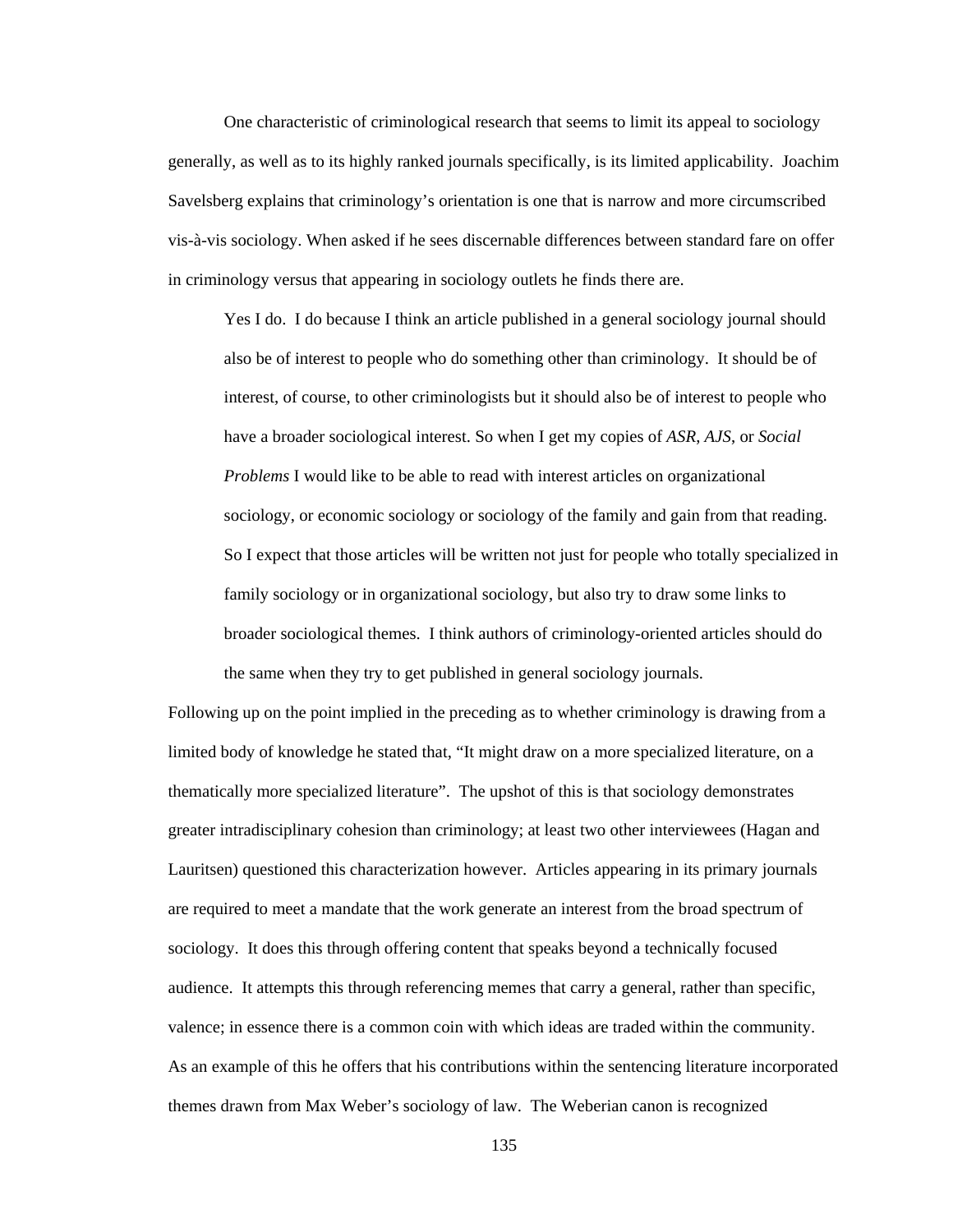One characteristic of criminological research that seems to limit its appeal to sociology generally, as well as to its highly ranked journals specifically, is its limited applicability. Joachim Savelsberg explains that criminology's orientation is one that is narrow and more circumscribed vis-à-vis sociology. When asked if he sees discernable differences between standard fare on offer in criminology versus that appearing in sociology outlets he finds there are.

Yes I do. I do because I think an article published in a general sociology journal should also be of interest to people who do something other than criminology. It should be of interest, of course, to other criminologists but it should also be of interest to people who have a broader sociological interest. So when I get my copies of *ASR*, *AJS*, or *Social Problems* I would like to be able to read with interest articles on organizational sociology, or economic sociology or sociology of the family and gain from that reading. So I expect that those articles will be written not just for people who totally specialized in family sociology or in organizational sociology, but also try to draw some links to broader sociological themes. I think authors of criminology-oriented articles should do the same when they try to get published in general sociology journals.

Following up on the point implied in the preceding as to whether criminology is drawing from a limited body of knowledge he stated that, "It might draw on a more specialized literature, on a thematically more specialized literature".The upshot of this is that sociology demonstrates greater intradisciplinary cohesion than criminology; at least two other interviewees (Hagan and Lauritsen) questioned this characterization however. Articles appearing in its primary journals are required to meet a mandate that the work generate an interest from the broad spectrum of sociology. It does this through offering content that speaks beyond a technically focused audience. It attempts this through referencing memes that carry a general, rather than specific, valence; in essence there is a common coin with which ideas are traded within the community. As an example of this he offers that his contributions within the sentencing literature incorporated themes drawn from Max Weber's sociology of law. The Weberian canon is recognized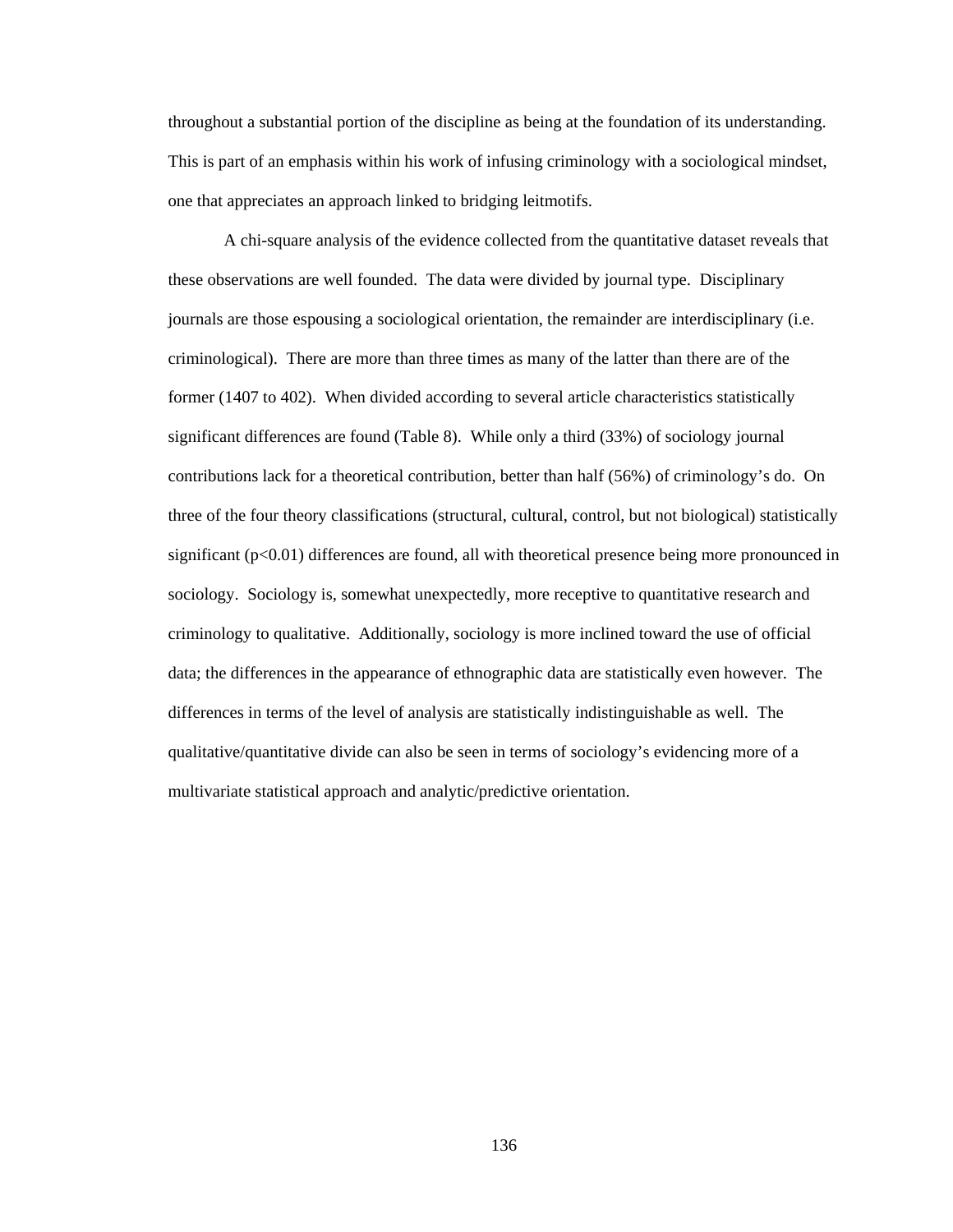throughout a substantial portion of the discipline as being at the foundation of its understanding. This is part of an emphasis within his work of infusing criminology with a sociological mindset, one that appreciates an approach linked to bridging leitmotifs.

 A chi-square analysis of the evidence collected from the quantitative dataset reveals that these observations are well founded. The data were divided by journal type. Disciplinary journals are those espousing a sociological orientation, the remainder are interdisciplinary (i.e. criminological). There are more than three times as many of the latter than there are of the former (1407 to 402). When divided according to several article characteristics statistically significant differences are found (Table 8). While only a third (33%) of sociology journal contributions lack for a theoretical contribution, better than half (56%) of criminology's do. On three of the four theory classifications (structural, cultural, control, but not biological) statistically significant (p<0.01) differences are found, all with theoretical presence being more pronounced in sociology. Sociology is, somewhat unexpectedly, more receptive to quantitative research and criminology to qualitative. Additionally, sociology is more inclined toward the use of official data; the differences in the appearance of ethnographic data are statistically even however. The differences in terms of the level of analysis are statistically indistinguishable as well. The qualitative/quantitative divide can also be seen in terms of sociology's evidencing more of a multivariate statistical approach and analytic/predictive orientation.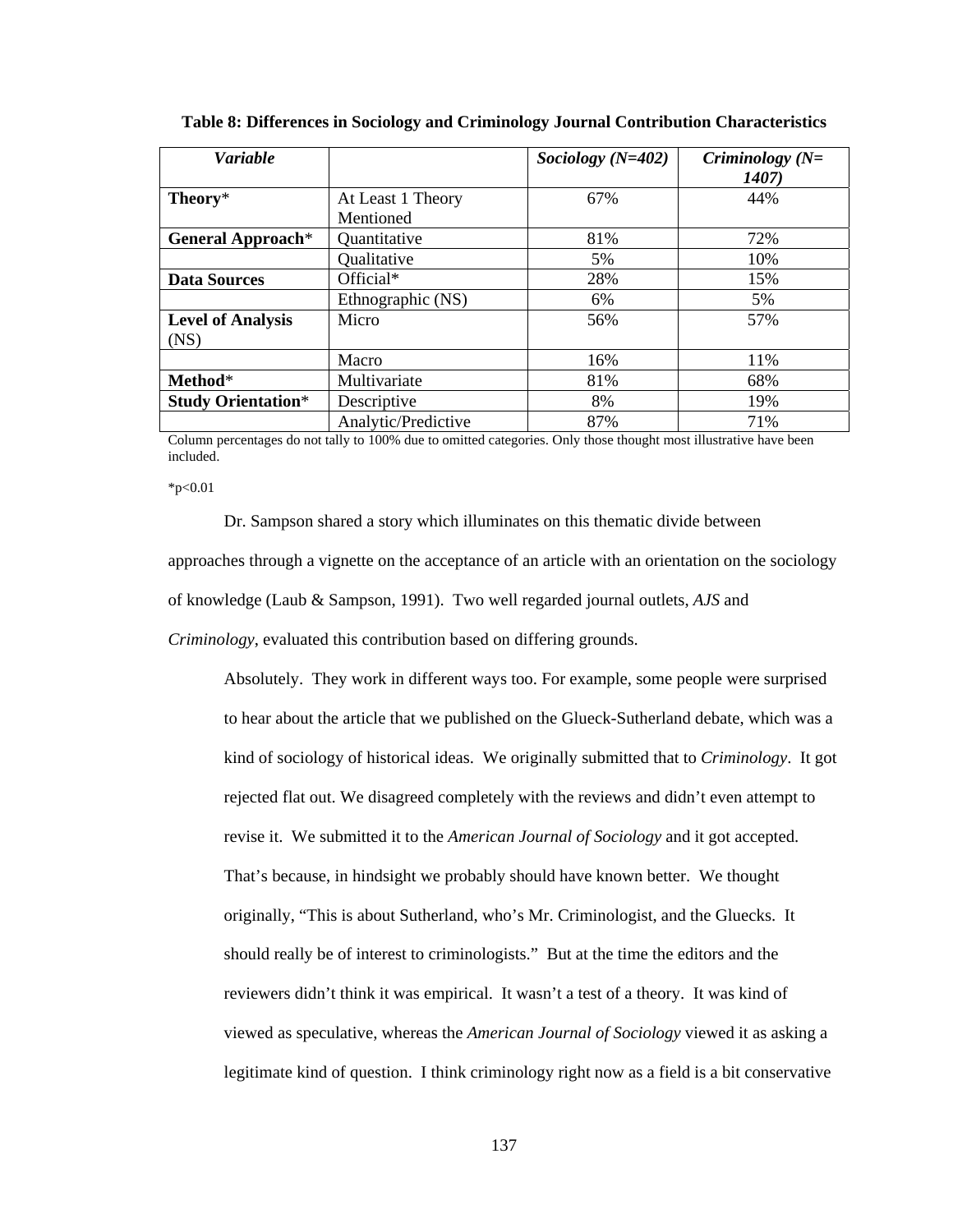| <b>Variable</b>                  |                                | Sociology $(N=402)$ | Criminology $(N=$<br><b>1407</b> ) |
|----------------------------------|--------------------------------|---------------------|------------------------------------|
| Theory*                          | At Least 1 Theory<br>Mentioned | 67%                 | 44%                                |
| <b>General Approach*</b>         | Quantitative                   | 81%                 | 72%                                |
|                                  | Qualitative                    | 5%                  | 10%                                |
| <b>Data Sources</b>              | Official*                      | 28%                 | 15%                                |
|                                  | Ethnographic (NS)              | 6%                  | 5%                                 |
| <b>Level of Analysis</b><br>(NS) | Micro                          | 56%                 | 57%                                |
|                                  | Macro                          | 16%                 | 11%                                |
| Method*                          | Multivariate                   | 81%                 | 68%                                |
| <b>Study Orientation*</b>        | Descriptive                    | 8%                  | 19%                                |
|                                  | Analytic/Predictive            | 87%                 | 71%                                |

**Table 8: Differences in Sociology and Criminology Journal Contribution Characteristics** 

Column percentages do not tally to 100% due to omitted categories. Only those thought most illustrative have been included.

 $*_{p<0.01}$ 

 Dr. Sampson shared a story which illuminates on this thematic divide between approaches through a vignette on the acceptance of an article with an orientation on the sociology of knowledge (Laub & Sampson, 1991). Two well regarded journal outlets, *AJS* and *Criminology*, evaluated this contribution based on differing grounds.

Absolutely. They work in different ways too. For example, some people were surprised to hear about the article that we published on the Glueck-Sutherland debate, which was a kind of sociology of historical ideas. We originally submitted that to *Criminology*. It got rejected flat out. We disagreed completely with the reviews and didn't even attempt to revise it. We submitted it to the *American Journal of Sociology* and it got accepted. That's because, in hindsight we probably should have known better. We thought originally, "This is about Sutherland, who's Mr. Criminologist, and the Gluecks. It should really be of interest to criminologists." But at the time the editors and the reviewers didn't think it was empirical. It wasn't a test of a theory. It was kind of viewed as speculative, whereas the *American Journal of Sociology* viewed it as asking a legitimate kind of question. I think criminology right now as a field is a bit conservative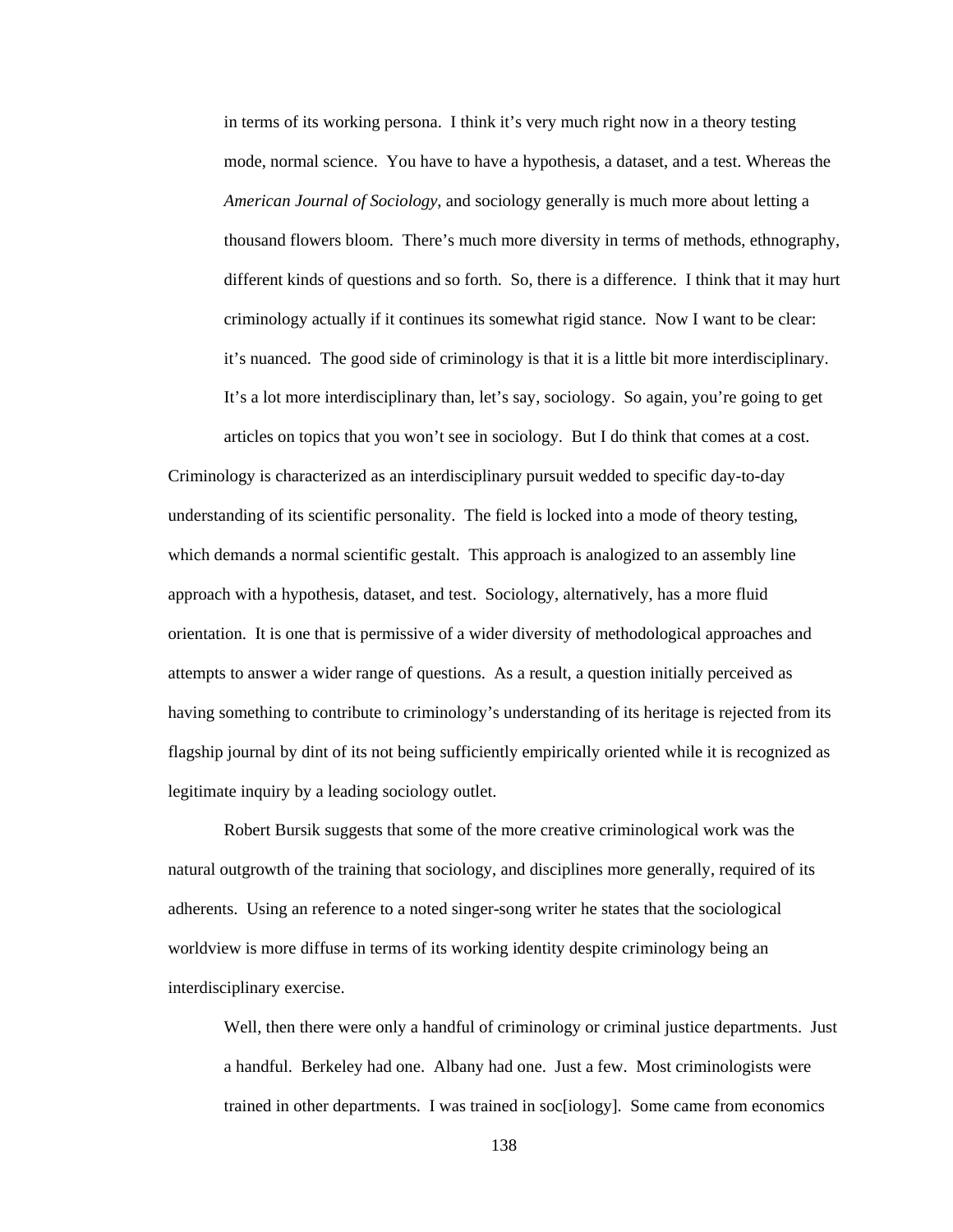in terms of its working persona. I think it's very much right now in a theory testing mode, normal science. You have to have a hypothesis, a dataset, and a test. Whereas the *American Journal of Sociology*, and sociology generally is much more about letting a thousand flowers bloom. There's much more diversity in terms of methods, ethnography, different kinds of questions and so forth. So, there is a difference. I think that it may hurt criminology actually if it continues its somewhat rigid stance. Now I want to be clear: it's nuanced. The good side of criminology is that it is a little bit more interdisciplinary. It's a lot more interdisciplinary than, let's say, sociology. So again, you're going to get articles on topics that you won't see in sociology. But I do think that comes at a cost.

Criminology is characterized as an interdisciplinary pursuit wedded to specific day-to-day understanding of its scientific personality. The field is locked into a mode of theory testing, which demands a normal scientific gestalt. This approach is analogized to an assembly line approach with a hypothesis, dataset, and test. Sociology, alternatively, has a more fluid orientation. It is one that is permissive of a wider diversity of methodological approaches and attempts to answer a wider range of questions. As a result, a question initially perceived as having something to contribute to criminology's understanding of its heritage is rejected from its flagship journal by dint of its not being sufficiently empirically oriented while it is recognized as legitimate inquiry by a leading sociology outlet.

Robert Bursik suggests that some of the more creative criminological work was the natural outgrowth of the training that sociology, and disciplines more generally, required of its adherents. Using an reference to a noted singer-song writer he states that the sociological worldview is more diffuse in terms of its working identity despite criminology being an interdisciplinary exercise.

Well, then there were only a handful of criminology or criminal justice departments. Just a handful. Berkeley had one. Albany had one. Just a few. Most criminologists were trained in other departments. I was trained in soc[iology]. Some came from economics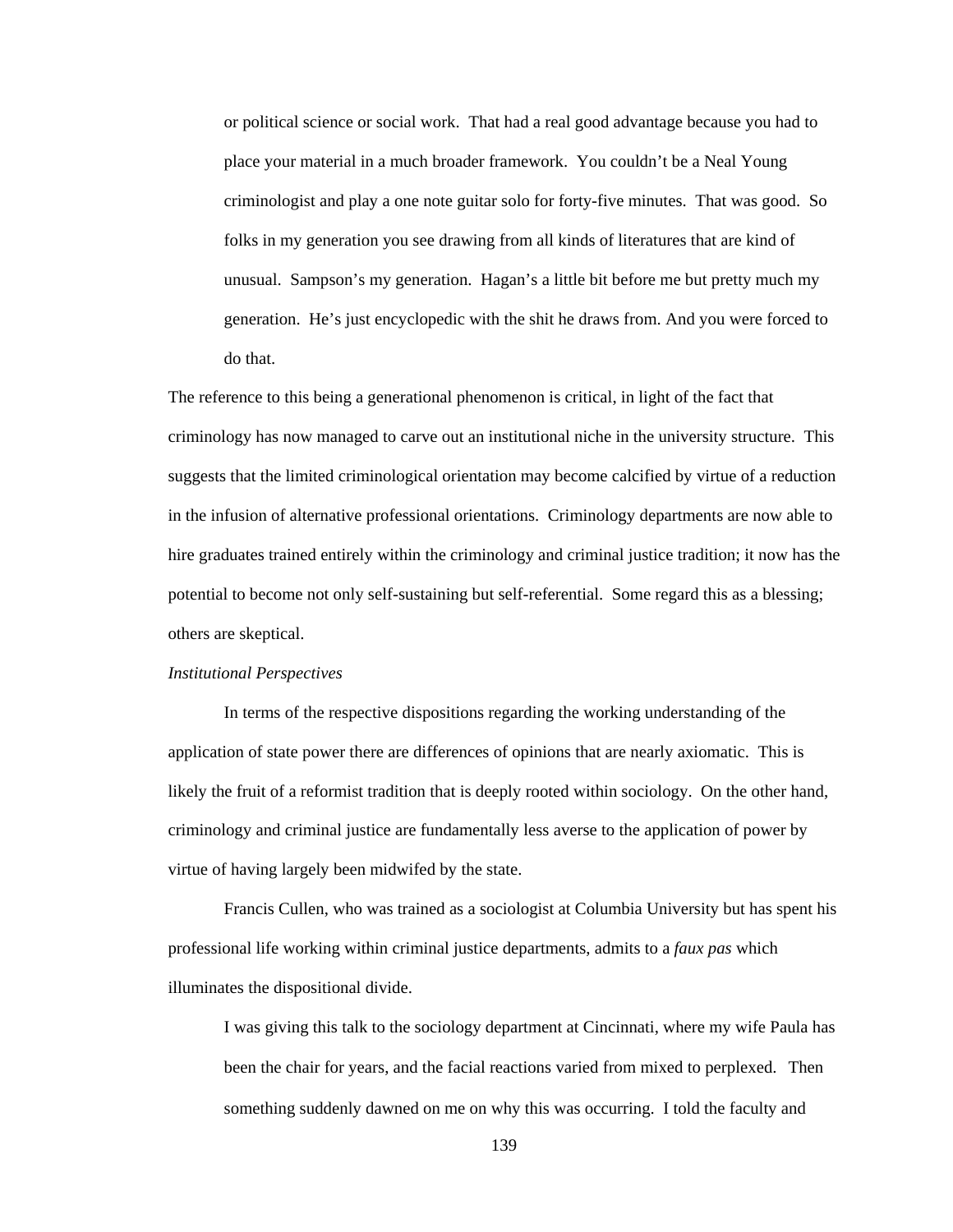or political science or social work. That had a real good advantage because you had to place your material in a much broader framework. You couldn't be a Neal Young criminologist and play a one note guitar solo for forty-five minutes. That was good. So folks in my generation you see drawing from all kinds of literatures that are kind of unusual. Sampson's my generation. Hagan's a little bit before me but pretty much my generation. He's just encyclopedic with the shit he draws from. And you were forced to do that.

The reference to this being a generational phenomenon is critical, in light of the fact that criminology has now managed to carve out an institutional niche in the university structure. This suggests that the limited criminological orientation may become calcified by virtue of a reduction in the infusion of alternative professional orientations. Criminology departments are now able to hire graduates trained entirely within the criminology and criminal justice tradition; it now has the potential to become not only self-sustaining but self-referential. Some regard this as a blessing; others are skeptical.

## *Institutional Perspectives*

In terms of the respective dispositions regarding the working understanding of the application of state power there are differences of opinions that are nearly axiomatic. This is likely the fruit of a reformist tradition that is deeply rooted within sociology. On the other hand, criminology and criminal justice are fundamentally less averse to the application of power by virtue of having largely been midwifed by the state.

 Francis Cullen, who was trained as a sociologist at Columbia University but has spent his professional life working within criminal justice departments, admits to a *faux pas* which illuminates the dispositional divide.

I was giving this talk to the sociology department at Cincinnati, where my wife Paula has been the chair for years, and the facial reactions varied from mixed to perplexed. Then something suddenly dawned on me on why this was occurring. I told the faculty and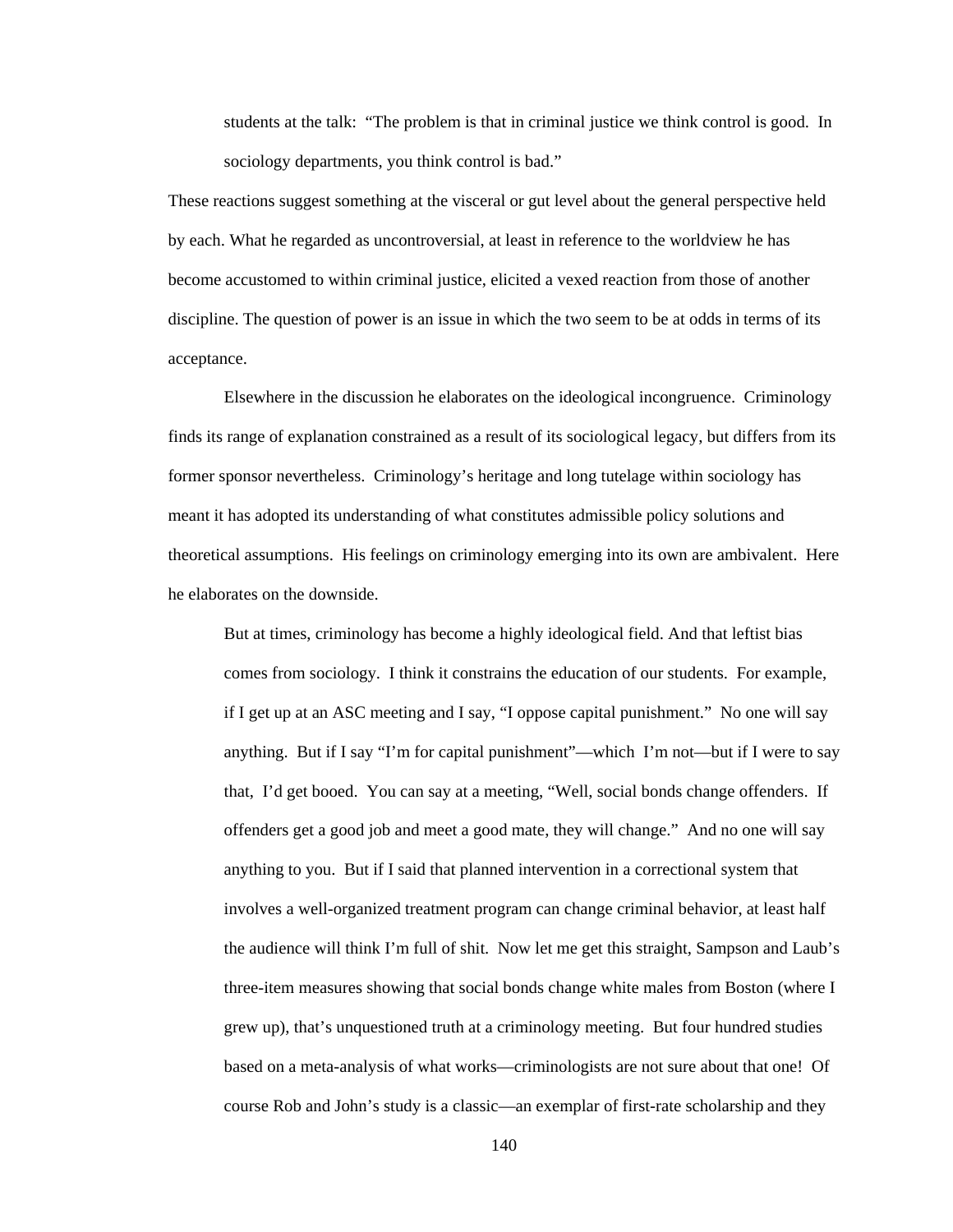students at the talk: "The problem is that in criminal justice we think control is good. In sociology departments, you think control is bad."

These reactions suggest something at the visceral or gut level about the general perspective held by each. What he regarded as uncontroversial, at least in reference to the worldview he has become accustomed to within criminal justice, elicited a vexed reaction from those of another discipline. The question of power is an issue in which the two seem to be at odds in terms of its acceptance.

 Elsewhere in the discussion he elaborates on the ideological incongruence. Criminology finds its range of explanation constrained as a result of its sociological legacy, but differs from its former sponsor nevertheless. Criminology's heritage and long tutelage within sociology has meant it has adopted its understanding of what constitutes admissible policy solutions and theoretical assumptions. His feelings on criminology emerging into its own are ambivalent. Here he elaborates on the downside.

But at times, criminology has become a highly ideological field. And that leftist bias comes from sociology. I think it constrains the education of our students. For example, if I get up at an ASC meeting and I say, "I oppose capital punishment." No one will say anything. But if I say "I'm for capital punishment"—which I'm not—but if I were to say that, I'd get booed. You can say at a meeting, "Well, social bonds change offenders. If offenders get a good job and meet a good mate, they will change." And no one will say anything to you. But if I said that planned intervention in a correctional system that involves a well-organized treatment program can change criminal behavior, at least half the audience will think I'm full of shit. Now let me get this straight, Sampson and Laub's three-item measures showing that social bonds change white males from Boston (where I grew up), that's unquestioned truth at a criminology meeting. But four hundred studies based on a meta-analysis of what works—criminologists are not sure about that one! Of course Rob and John's study is a classic—an exemplar of first-rate scholarship and they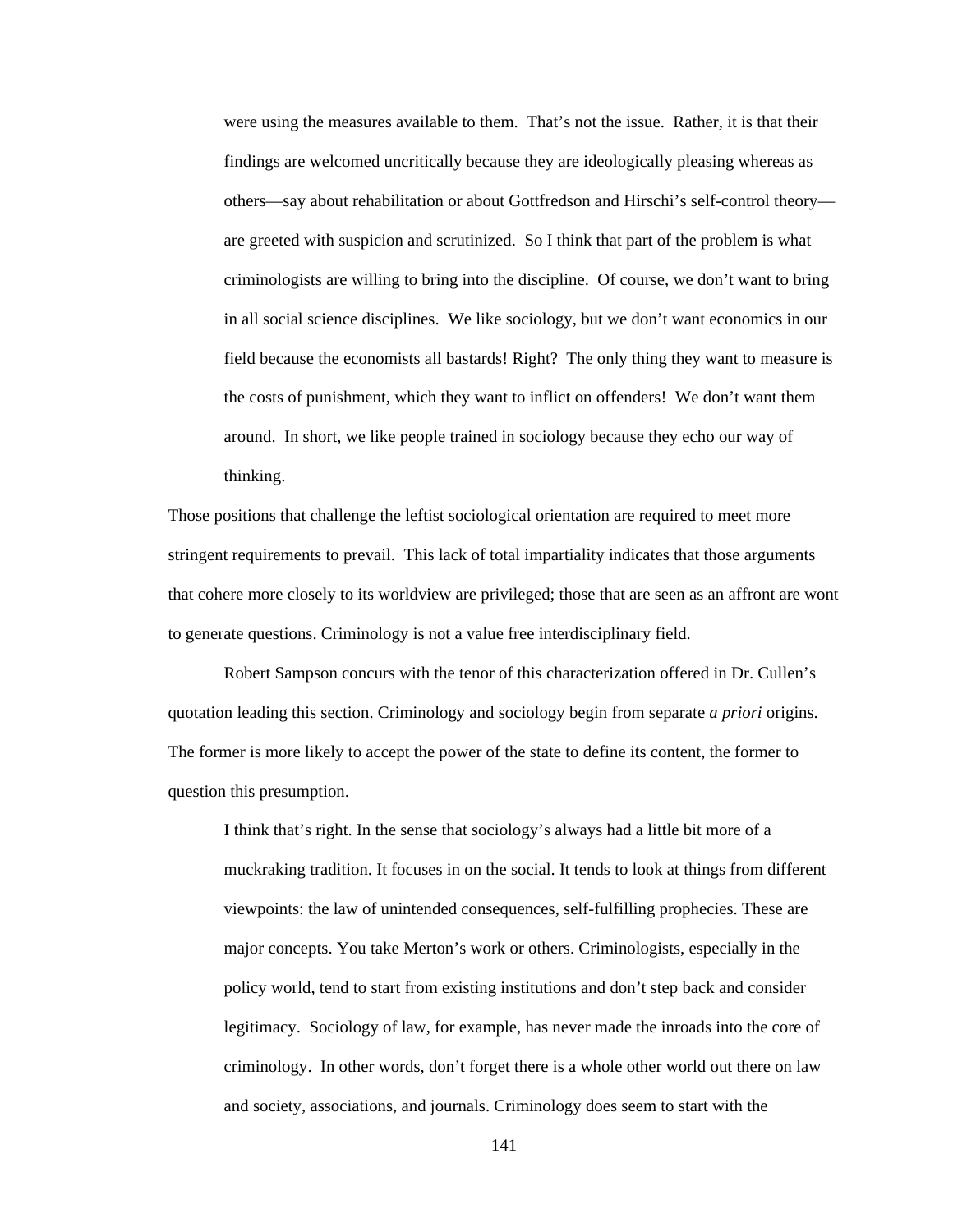were using the measures available to them. That's not the issue. Rather, it is that their findings are welcomed uncritically because they are ideologically pleasing whereas as others—say about rehabilitation or about Gottfredson and Hirschi's self-control theory are greeted with suspicion and scrutinized. So I think that part of the problem is what criminologists are willing to bring into the discipline. Of course, we don't want to bring in all social science disciplines. We like sociology, but we don't want economics in our field because the economists all bastards! Right? The only thing they want to measure is the costs of punishment, which they want to inflict on offenders! We don't want them around. In short, we like people trained in sociology because they echo our way of thinking.

Those positions that challenge the leftist sociological orientation are required to meet more stringent requirements to prevail. This lack of total impartiality indicates that those arguments that cohere more closely to its worldview are privileged; those that are seen as an affront are wont to generate questions. Criminology is not a value free interdisciplinary field.

Robert Sampson concurs with the tenor of this characterization offered in Dr. Cullen's quotation leading this section. Criminology and sociology begin from separate *a priori* origins. The former is more likely to accept the power of the state to define its content, the former to question this presumption.

I think that's right. In the sense that sociology's always had a little bit more of a muckraking tradition. It focuses in on the social. It tends to look at things from different viewpoints: the law of unintended consequences, self-fulfilling prophecies. These are major concepts. You take Merton's work or others. Criminologists, especially in the policy world, tend to start from existing institutions and don't step back and consider legitimacy. Sociology of law, for example, has never made the inroads into the core of criminology. In other words, don't forget there is a whole other world out there on law and society, associations, and journals. Criminology does seem to start with the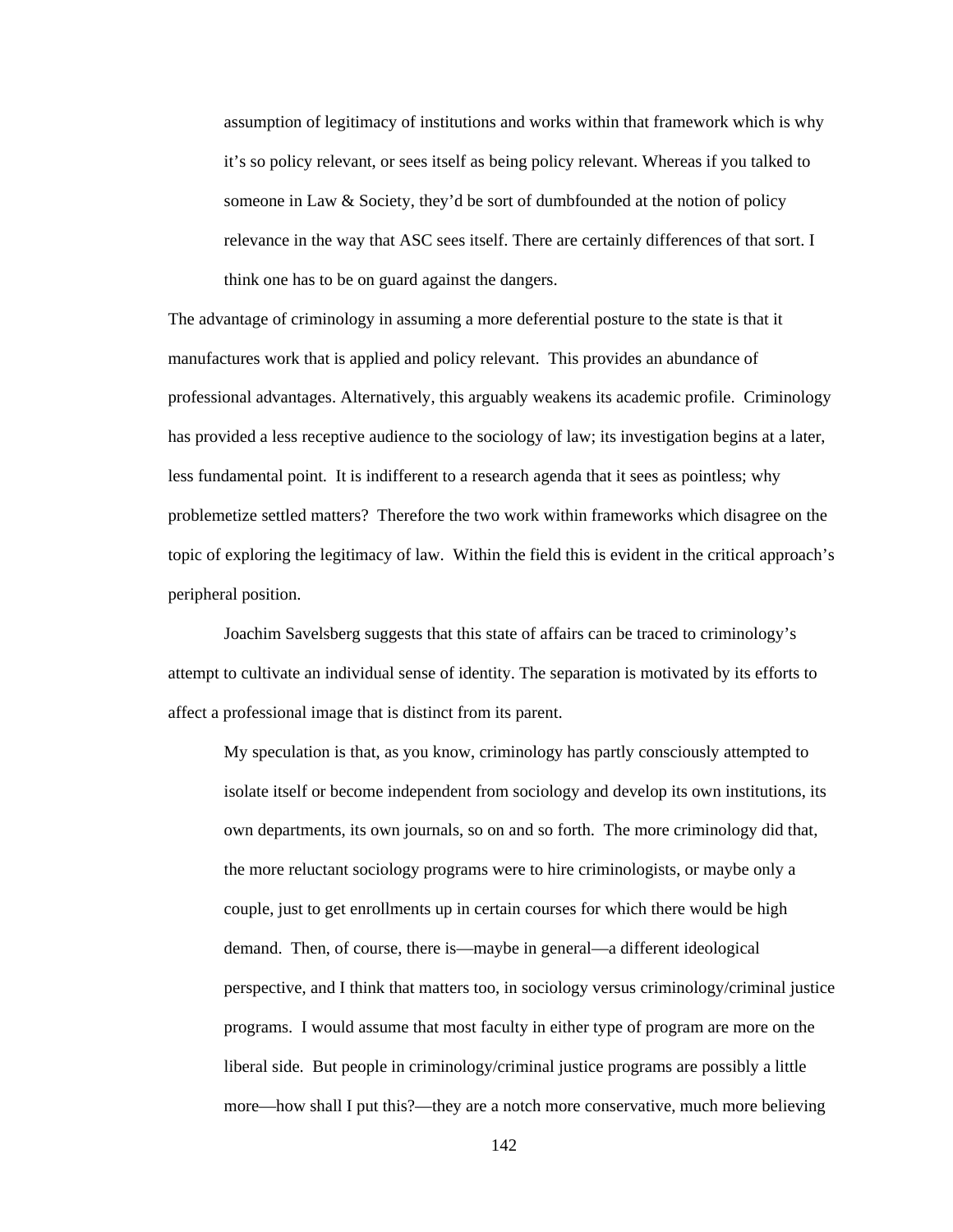assumption of legitimacy of institutions and works within that framework which is why it's so policy relevant, or sees itself as being policy relevant. Whereas if you talked to someone in Law & Society, they'd be sort of dumbfounded at the notion of policy relevance in the way that ASC sees itself. There are certainly differences of that sort. I think one has to be on guard against the dangers.

The advantage of criminology in assuming a more deferential posture to the state is that it manufactures work that is applied and policy relevant. This provides an abundance of professional advantages. Alternatively, this arguably weakens its academic profile. Criminology has provided a less receptive audience to the sociology of law; its investigation begins at a later, less fundamental point. It is indifferent to a research agenda that it sees as pointless; why problemetize settled matters? Therefore the two work within frameworks which disagree on the topic of exploring the legitimacy of law. Within the field this is evident in the critical approach's peripheral position.

 Joachim Savelsberg suggests that this state of affairs can be traced to criminology's attempt to cultivate an individual sense of identity. The separation is motivated by its efforts to affect a professional image that is distinct from its parent.

My speculation is that, as you know, criminology has partly consciously attempted to isolate itself or become independent from sociology and develop its own institutions, its own departments, its own journals, so on and so forth. The more criminology did that, the more reluctant sociology programs were to hire criminologists, or maybe only a couple, just to get enrollments up in certain courses for which there would be high demand. Then, of course, there is—maybe in general—a different ideological perspective, and I think that matters too, in sociology versus criminology/criminal justice programs. I would assume that most faculty in either type of program are more on the liberal side. But people in criminology/criminal justice programs are possibly a little more—how shall I put this?—they are a notch more conservative, much more believing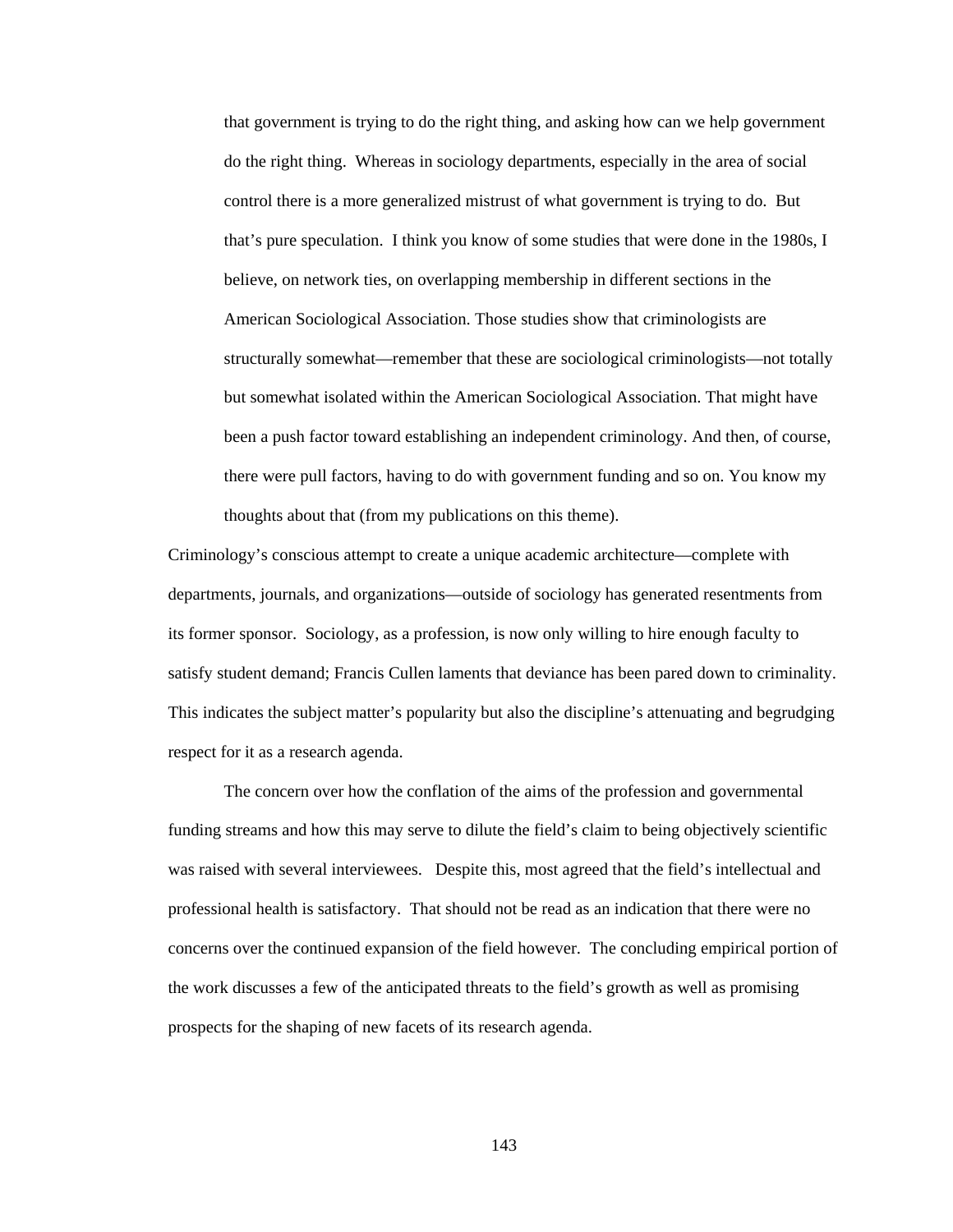that government is trying to do the right thing, and asking how can we help government do the right thing. Whereas in sociology departments, especially in the area of social control there is a more generalized mistrust of what government is trying to do. But that's pure speculation. I think you know of some studies that were done in the 1980s, I believe, on network ties, on overlapping membership in different sections in the American Sociological Association. Those studies show that criminologists are structurally somewhat—remember that these are sociological criminologists—not totally but somewhat isolated within the American Sociological Association. That might have been a push factor toward establishing an independent criminology. And then, of course, there were pull factors, having to do with government funding and so on. You know my thoughts about that (from my publications on this theme).

Criminology's conscious attempt to create a unique academic architecture—complete with departments, journals, and organizations—outside of sociology has generated resentments from its former sponsor. Sociology, as a profession, is now only willing to hire enough faculty to satisfy student demand; Francis Cullen laments that deviance has been pared down to criminality. This indicates the subject matter's popularity but also the discipline's attenuating and begrudging respect for it as a research agenda.

The concern over how the conflation of the aims of the profession and governmental funding streams and how this may serve to dilute the field's claim to being objectively scientific was raised with several interviewees. Despite this, most agreed that the field's intellectual and professional health is satisfactory. That should not be read as an indication that there were no concerns over the continued expansion of the field however. The concluding empirical portion of the work discusses a few of the anticipated threats to the field's growth as well as promising prospects for the shaping of new facets of its research agenda.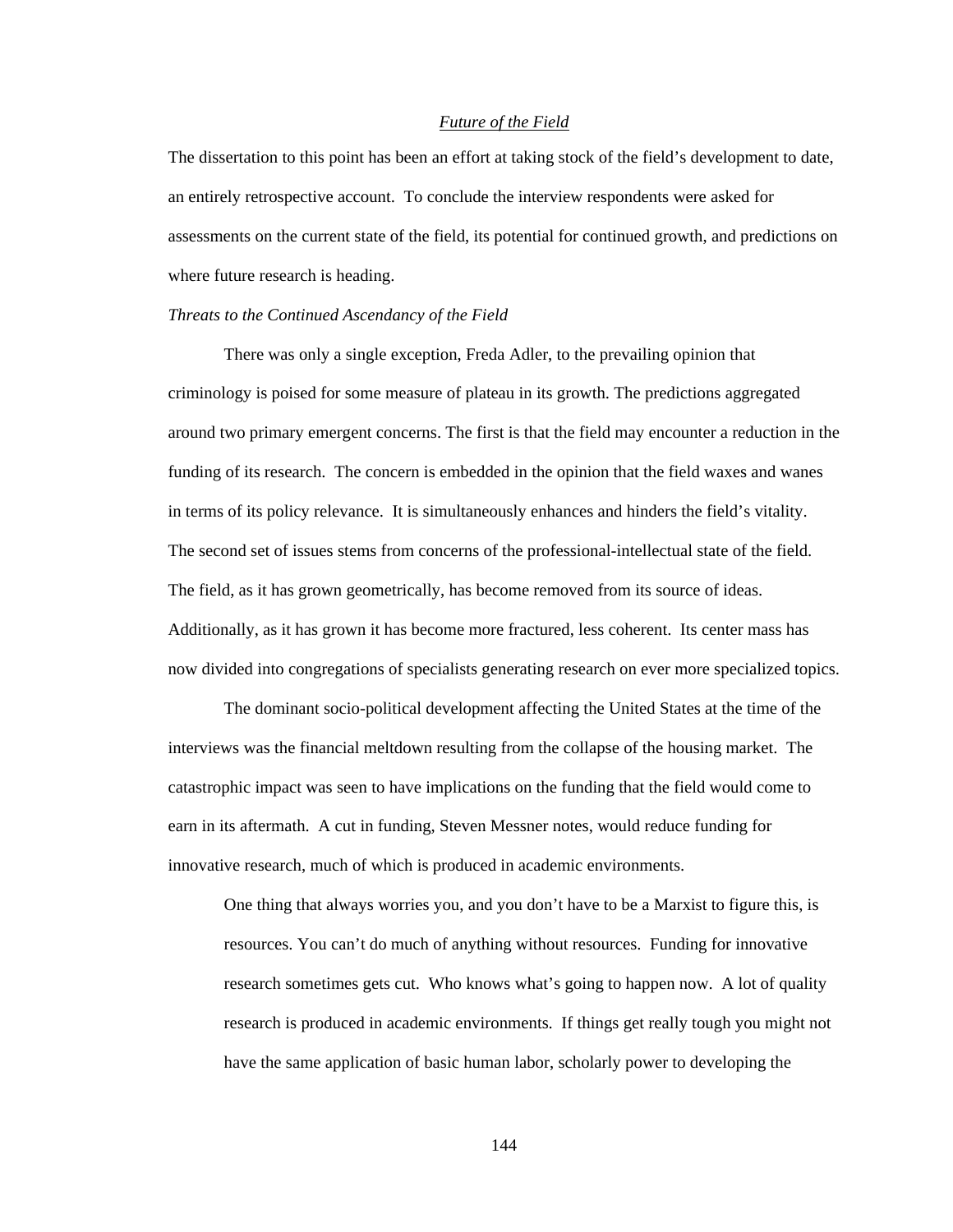# *Future of the Field*

The dissertation to this point has been an effort at taking stock of the field's development to date, an entirely retrospective account. To conclude the interview respondents were asked for assessments on the current state of the field, its potential for continued growth, and predictions on where future research is heading.

### *Threats to the Continued Ascendancy of the Field*

There was only a single exception, Freda Adler, to the prevailing opinion that criminology is poised for some measure of plateau in its growth. The predictions aggregated around two primary emergent concerns. The first is that the field may encounter a reduction in the funding of its research. The concern is embedded in the opinion that the field waxes and wanes in terms of its policy relevance. It is simultaneously enhances and hinders the field's vitality. The second set of issues stems from concerns of the professional-intellectual state of the field. The field, as it has grown geometrically, has become removed from its source of ideas. Additionally, as it has grown it has become more fractured, less coherent. Its center mass has now divided into congregations of specialists generating research on ever more specialized topics.

 The dominant socio-political development affecting the United States at the time of the interviews was the financial meltdown resulting from the collapse of the housing market. The catastrophic impact was seen to have implications on the funding that the field would come to earn in its aftermath. A cut in funding, Steven Messner notes, would reduce funding for innovative research, much of which is produced in academic environments.

One thing that always worries you, and you don't have to be a Marxist to figure this, is resources. You can't do much of anything without resources. Funding for innovative research sometimes gets cut. Who knows what's going to happen now. A lot of quality research is produced in academic environments. If things get really tough you might not have the same application of basic human labor, scholarly power to developing the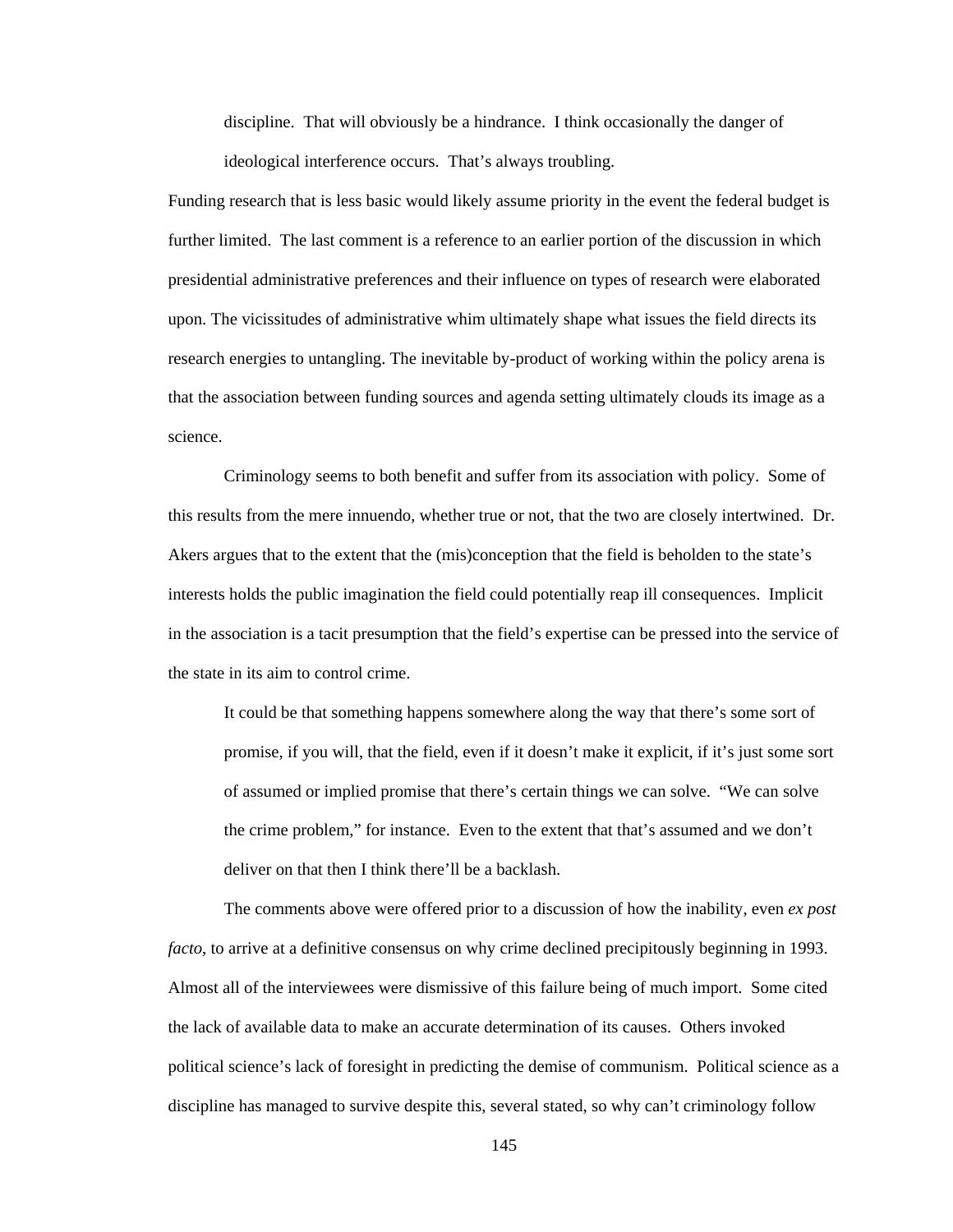discipline. That will obviously be a hindrance. I think occasionally the danger of ideological interference occurs. That's always troubling.

Funding research that is less basic would likely assume priority in the event the federal budget is further limited. The last comment is a reference to an earlier portion of the discussion in which presidential administrative preferences and their influence on types of research were elaborated upon. The vicissitudes of administrative whim ultimately shape what issues the field directs its research energies to untangling. The inevitable by-product of working within the policy arena is that the association between funding sources and agenda setting ultimately clouds its image as a science.

 Criminology seems to both benefit and suffer from its association with policy. Some of this results from the mere innuendo, whether true or not, that the two are closely intertwined. Dr. Akers argues that to the extent that the (mis)conception that the field is beholden to the state's interests holds the public imagination the field could potentially reap ill consequences. Implicit in the association is a tacit presumption that the field's expertise can be pressed into the service of the state in its aim to control crime.

It could be that something happens somewhere along the way that there's some sort of promise, if you will, that the field, even if it doesn't make it explicit, if it's just some sort of assumed or implied promise that there's certain things we can solve. "We can solve the crime problem," for instance. Even to the extent that that's assumed and we don't deliver on that then I think there'll be a backlash.

The comments above were offered prior to a discussion of how the inability, even *ex post facto*, to arrive at a definitive consensus on why crime declined precipitously beginning in 1993. Almost all of the interviewees were dismissive of this failure being of much import. Some cited the lack of available data to make an accurate determination of its causes. Others invoked political science's lack of foresight in predicting the demise of communism. Political science as a discipline has managed to survive despite this, several stated, so why can't criminology follow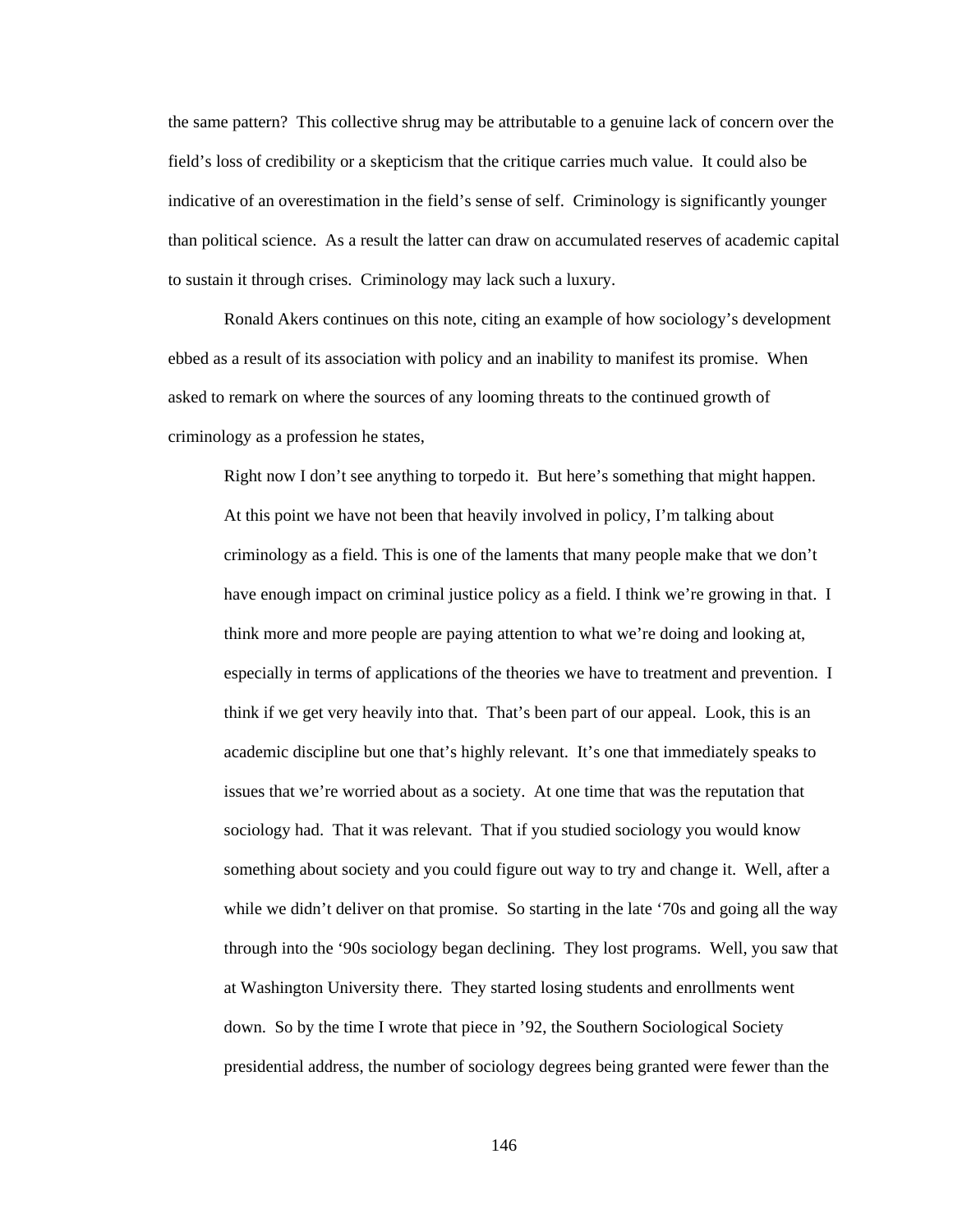the same pattern? This collective shrug may be attributable to a genuine lack of concern over the field's loss of credibility or a skepticism that the critique carries much value. It could also be indicative of an overestimation in the field's sense of self. Criminology is significantly younger than political science. As a result the latter can draw on accumulated reserves of academic capital to sustain it through crises. Criminology may lack such a luxury.

Ronald Akers continues on this note, citing an example of how sociology's development ebbed as a result of its association with policy and an inability to manifest its promise. When asked to remark on where the sources of any looming threats to the continued growth of criminology as a profession he states,

Right now I don't see anything to torpedo it. But here's something that might happen. At this point we have not been that heavily involved in policy, I'm talking about criminology as a field. This is one of the laments that many people make that we don't have enough impact on criminal justice policy as a field. I think we're growing in that. I think more and more people are paying attention to what we're doing and looking at, especially in terms of applications of the theories we have to treatment and prevention. I think if we get very heavily into that. That's been part of our appeal. Look, this is an academic discipline but one that's highly relevant. It's one that immediately speaks to issues that we're worried about as a society. At one time that was the reputation that sociology had. That it was relevant. That if you studied sociology you would know something about society and you could figure out way to try and change it. Well, after a while we didn't deliver on that promise. So starting in the late '70s and going all the way through into the '90s sociology began declining. They lost programs. Well, you saw that at Washington University there. They started losing students and enrollments went down. So by the time I wrote that piece in '92, the Southern Sociological Society presidential address, the number of sociology degrees being granted were fewer than the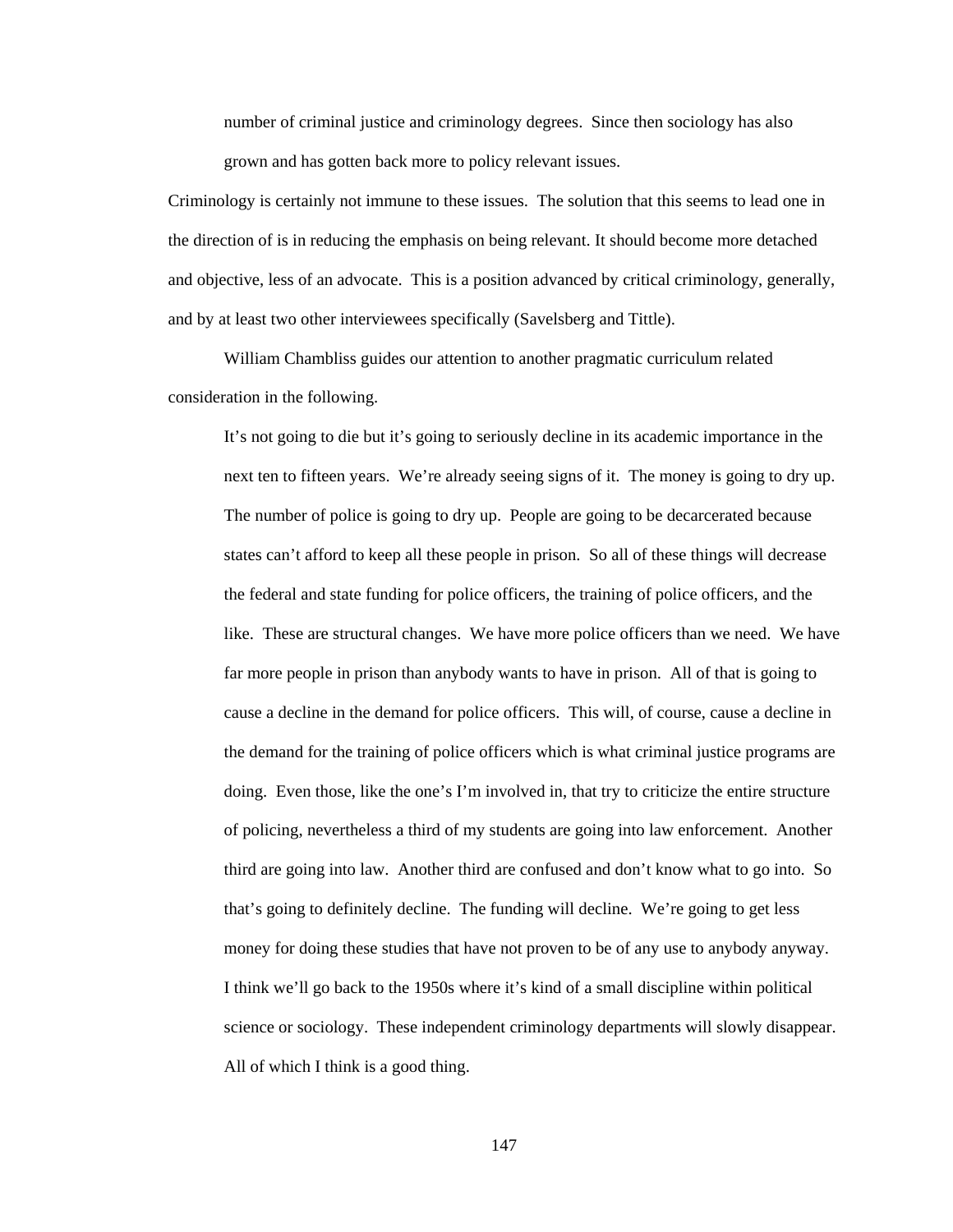number of criminal justice and criminology degrees. Since then sociology has also grown and has gotten back more to policy relevant issues.

Criminology is certainly not immune to these issues. The solution that this seems to lead one in the direction of is in reducing the emphasis on being relevant. It should become more detached and objective, less of an advocate. This is a position advanced by critical criminology, generally, and by at least two other interviewees specifically (Savelsberg and Tittle).

William Chambliss guides our attention to another pragmatic curriculum related consideration in the following.

It's not going to die but it's going to seriously decline in its academic importance in the next ten to fifteen years. We're already seeing signs of it. The money is going to dry up. The number of police is going to dry up. People are going to be decarcerated because states can't afford to keep all these people in prison. So all of these things will decrease the federal and state funding for police officers, the training of police officers, and the like. These are structural changes. We have more police officers than we need. We have far more people in prison than anybody wants to have in prison. All of that is going to cause a decline in the demand for police officers. This will, of course, cause a decline in the demand for the training of police officers which is what criminal justice programs are doing. Even those, like the one's I'm involved in, that try to criticize the entire structure of policing, nevertheless a third of my students are going into law enforcement. Another third are going into law. Another third are confused and don't know what to go into. So that's going to definitely decline. The funding will decline. We're going to get less money for doing these studies that have not proven to be of any use to anybody anyway. I think we'll go back to the 1950s where it's kind of a small discipline within political science or sociology. These independent criminology departments will slowly disappear. All of which I think is a good thing.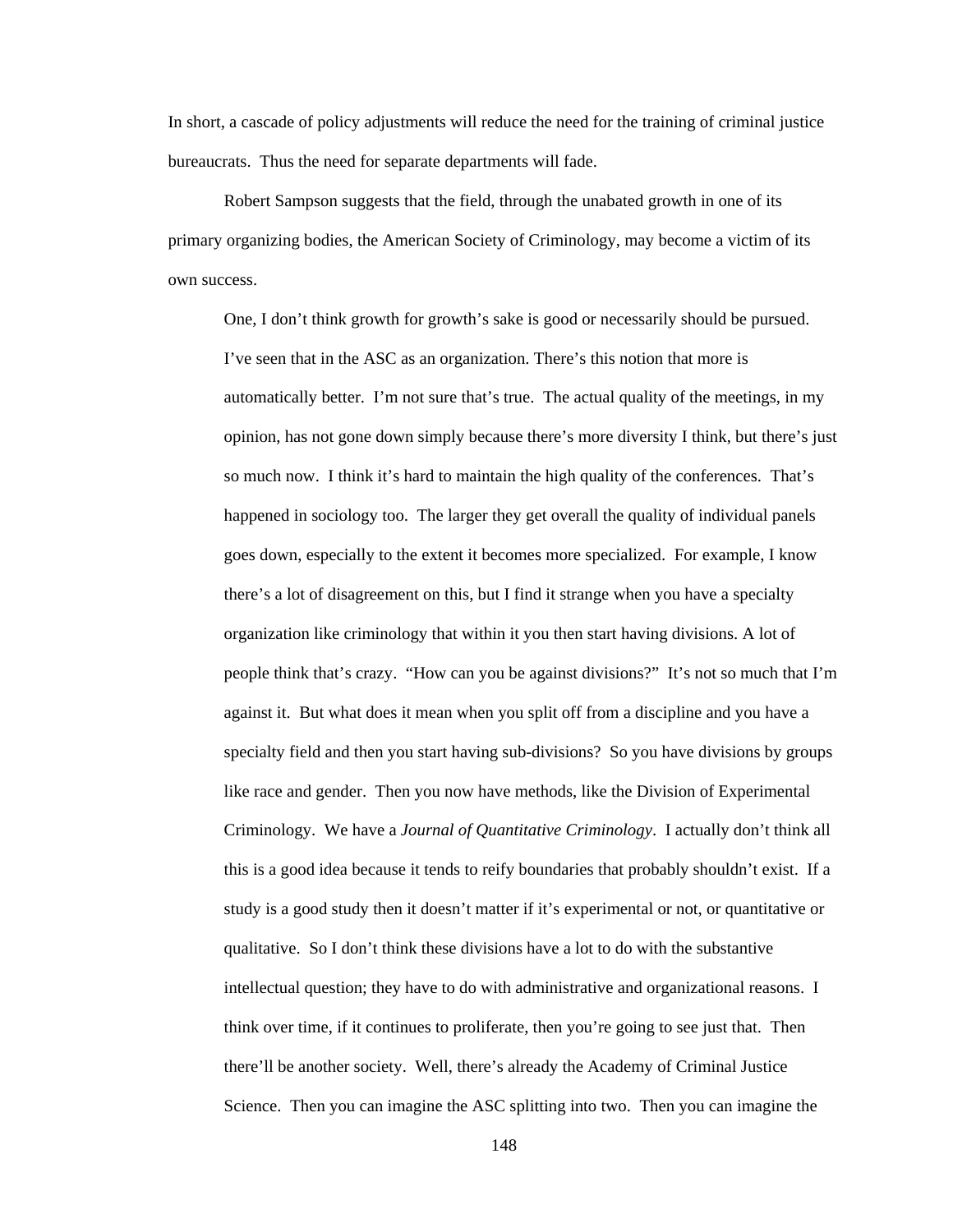In short, a cascade of policy adjustments will reduce the need for the training of criminal justice bureaucrats. Thus the need for separate departments will fade.

 Robert Sampson suggests that the field, through the unabated growth in one of its primary organizing bodies, the American Society of Criminology, may become a victim of its own success.

One, I don't think growth for growth's sake is good or necessarily should be pursued. I've seen that in the ASC as an organization. There's this notion that more is automatically better. I'm not sure that's true. The actual quality of the meetings, in my opinion, has not gone down simply because there's more diversity I think, but there's just so much now. I think it's hard to maintain the high quality of the conferences. That's happened in sociology too. The larger they get overall the quality of individual panels goes down, especially to the extent it becomes more specialized. For example, I know there's a lot of disagreement on this, but I find it strange when you have a specialty organization like criminology that within it you then start having divisions. A lot of people think that's crazy. "How can you be against divisions?" It's not so much that I'm against it. But what does it mean when you split off from a discipline and you have a specialty field and then you start having sub-divisions? So you have divisions by groups like race and gender. Then you now have methods, like the Division of Experimental Criminology. We have a *Journal of Quantitative Criminology*. I actually don't think all this is a good idea because it tends to reify boundaries that probably shouldn't exist. If a study is a good study then it doesn't matter if it's experimental or not, or quantitative or qualitative. So I don't think these divisions have a lot to do with the substantive intellectual question; they have to do with administrative and organizational reasons. I think over time, if it continues to proliferate, then you're going to see just that. Then there'll be another society. Well, there's already the Academy of Criminal Justice Science. Then you can imagine the ASC splitting into two. Then you can imagine the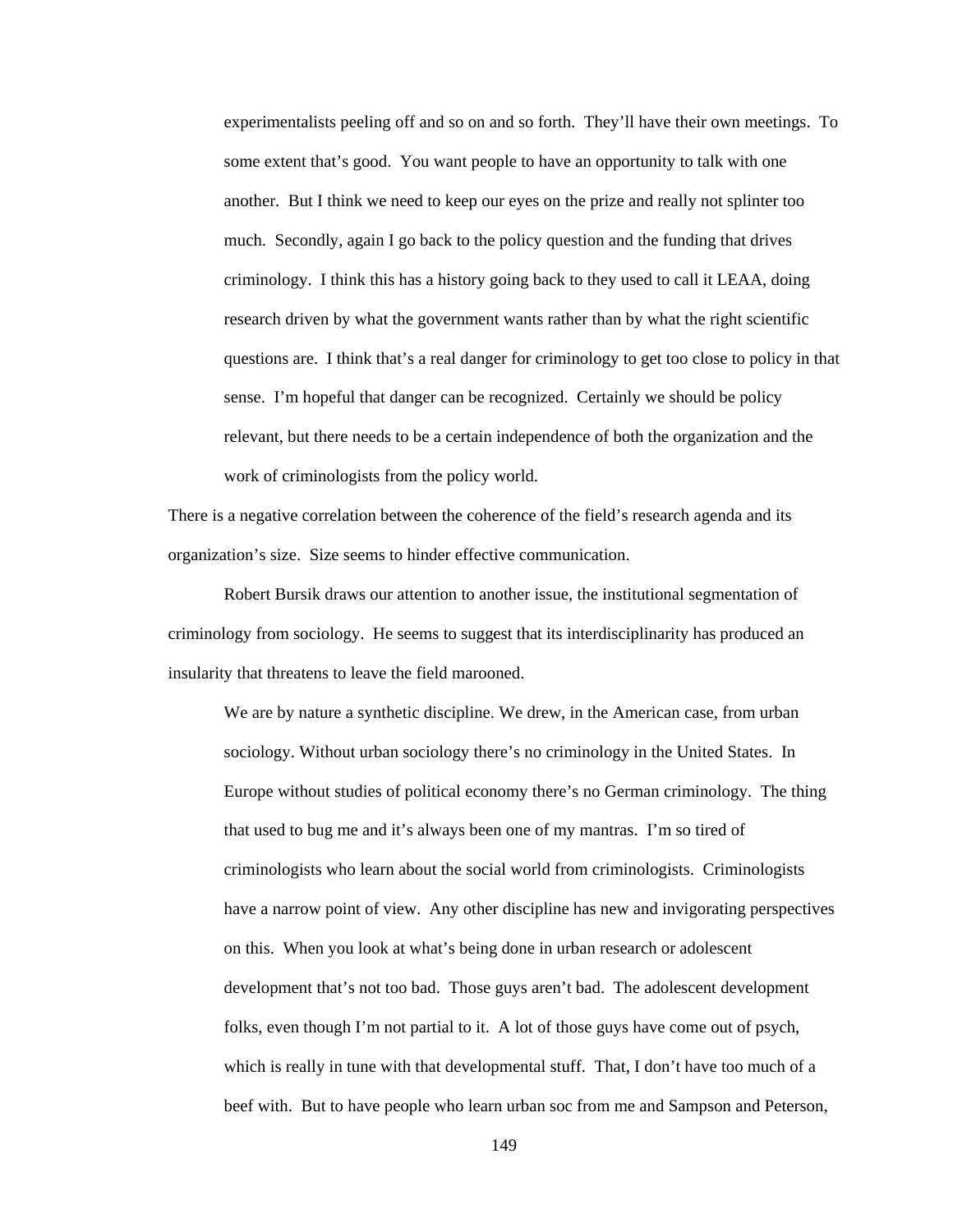experimentalists peeling off and so on and so forth. They'll have their own meetings. To some extent that's good. You want people to have an opportunity to talk with one another. But I think we need to keep our eyes on the prize and really not splinter too much. Secondly, again I go back to the policy question and the funding that drives criminology. I think this has a history going back to they used to call it LEAA, doing research driven by what the government wants rather than by what the right scientific questions are. I think that's a real danger for criminology to get too close to policy in that sense. I'm hopeful that danger can be recognized. Certainly we should be policy relevant, but there needs to be a certain independence of both the organization and the work of criminologists from the policy world.

There is a negative correlation between the coherence of the field's research agenda and its organization's size. Size seems to hinder effective communication.

 Robert Bursik draws our attention to another issue, the institutional segmentation of criminology from sociology. He seems to suggest that its interdisciplinarity has produced an insularity that threatens to leave the field marooned.

We are by nature a synthetic discipline. We drew, in the American case, from urban sociology. Without urban sociology there's no criminology in the United States. In Europe without studies of political economy there's no German criminology. The thing that used to bug me and it's always been one of my mantras. I'm so tired of criminologists who learn about the social world from criminologists. Criminologists have a narrow point of view. Any other discipline has new and invigorating perspectives on this. When you look at what's being done in urban research or adolescent development that's not too bad. Those guys aren't bad. The adolescent development folks, even though I'm not partial to it. A lot of those guys have come out of psych, which is really in tune with that developmental stuff. That, I don't have too much of a beef with. But to have people who learn urban soc from me and Sampson and Peterson,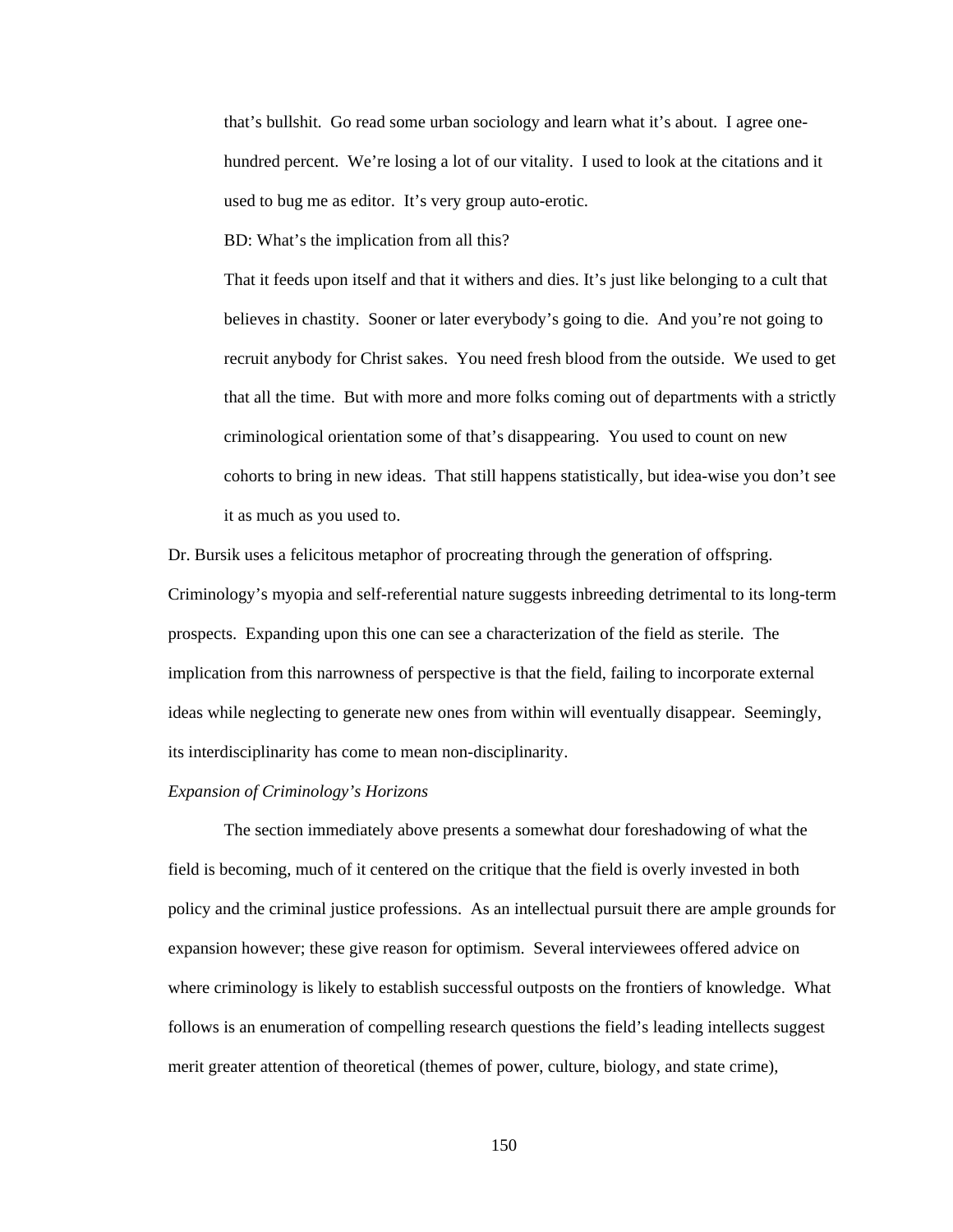that's bullshit. Go read some urban sociology and learn what it's about. I agree onehundred percent. We're losing a lot of our vitality. I used to look at the citations and it used to bug me as editor. It's very group auto-erotic.

BD: What's the implication from all this?

That it feeds upon itself and that it withers and dies. It's just like belonging to a cult that believes in chastity. Sooner or later everybody's going to die. And you're not going to recruit anybody for Christ sakes. You need fresh blood from the outside. We used to get that all the time. But with more and more folks coming out of departments with a strictly criminological orientation some of that's disappearing. You used to count on new cohorts to bring in new ideas. That still happens statistically, but idea-wise you don't see it as much as you used to.

Dr. Bursik uses a felicitous metaphor of procreating through the generation of offspring. Criminology's myopia and self-referential nature suggests inbreeding detrimental to its long-term prospects. Expanding upon this one can see a characterization of the field as sterile. The implication from this narrowness of perspective is that the field, failing to incorporate external ideas while neglecting to generate new ones from within will eventually disappear. Seemingly, its interdisciplinarity has come to mean non-disciplinarity.

# *Expansion of Criminology's Horizons*

 The section immediately above presents a somewhat dour foreshadowing of what the field is becoming, much of it centered on the critique that the field is overly invested in both policy and the criminal justice professions. As an intellectual pursuit there are ample grounds for expansion however; these give reason for optimism. Several interviewees offered advice on where criminology is likely to establish successful outposts on the frontiers of knowledge. What follows is an enumeration of compelling research questions the field's leading intellects suggest merit greater attention of theoretical (themes of power, culture, biology, and state crime),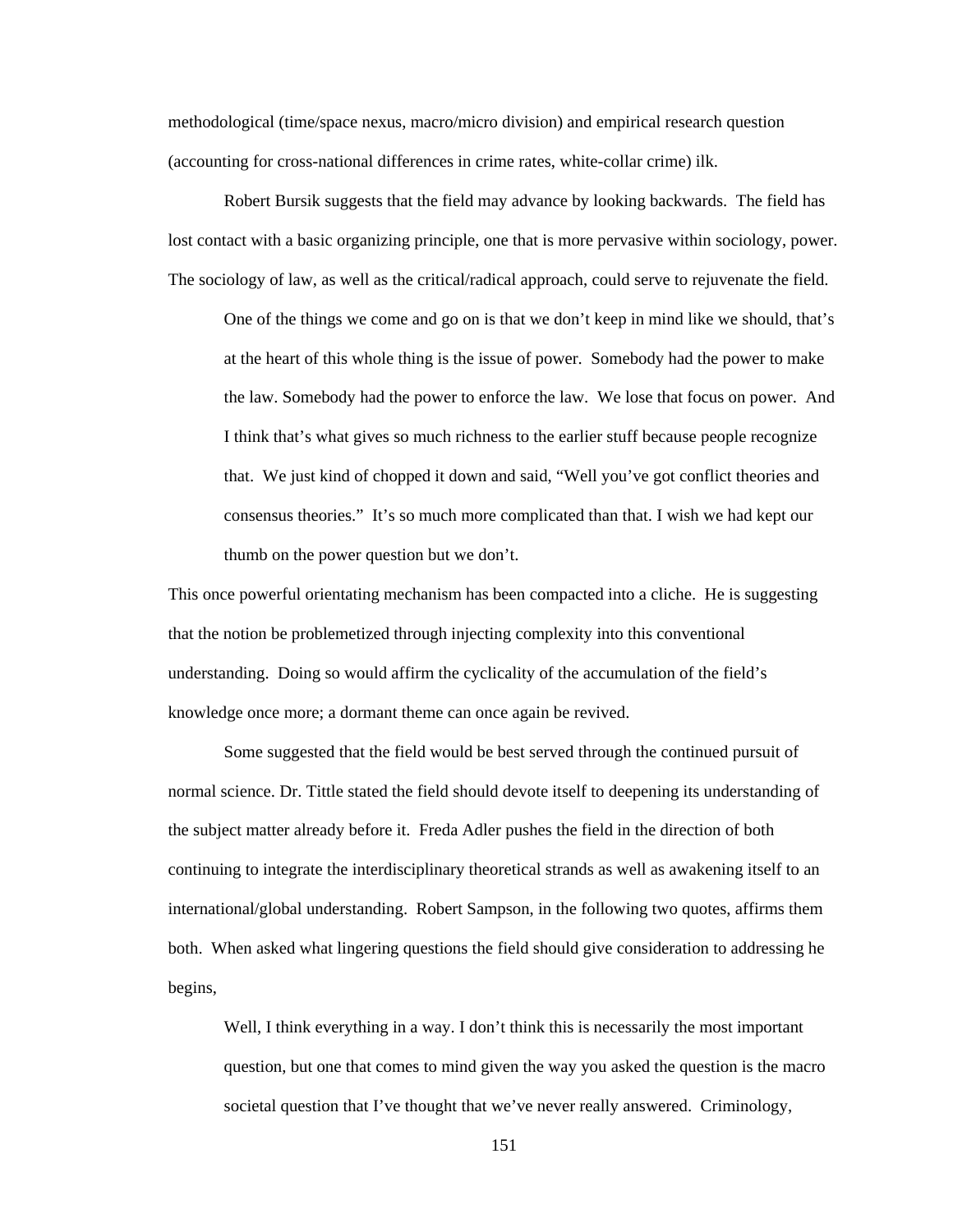methodological (time/space nexus, macro/micro division) and empirical research question (accounting for cross-national differences in crime rates, white-collar crime) ilk.

Robert Bursik suggests that the field may advance by looking backwards. The field has lost contact with a basic organizing principle, one that is more pervasive within sociology, power. The sociology of law, as well as the critical/radical approach, could serve to rejuvenate the field.

One of the things we come and go on is that we don't keep in mind like we should, that's at the heart of this whole thing is the issue of power. Somebody had the power to make the law. Somebody had the power to enforce the law. We lose that focus on power. And I think that's what gives so much richness to the earlier stuff because people recognize that. We just kind of chopped it down and said, "Well you've got conflict theories and consensus theories." It's so much more complicated than that. I wish we had kept our thumb on the power question but we don't.

This once powerful orientating mechanism has been compacted into a cliche. He is suggesting that the notion be problemetized through injecting complexity into this conventional understanding. Doing so would affirm the cyclicality of the accumulation of the field's knowledge once more; a dormant theme can once again be revived.

Some suggested that the field would be best served through the continued pursuit of normal science. Dr. Tittle stated the field should devote itself to deepening its understanding of the subject matter already before it. Freda Adler pushes the field in the direction of both continuing to integrate the interdisciplinary theoretical strands as well as awakening itself to an international/global understanding. Robert Sampson, in the following two quotes, affirms them both. When asked what lingering questions the field should give consideration to addressing he begins,

Well, I think everything in a way. I don't think this is necessarily the most important question, but one that comes to mind given the way you asked the question is the macro societal question that I've thought that we've never really answered. Criminology,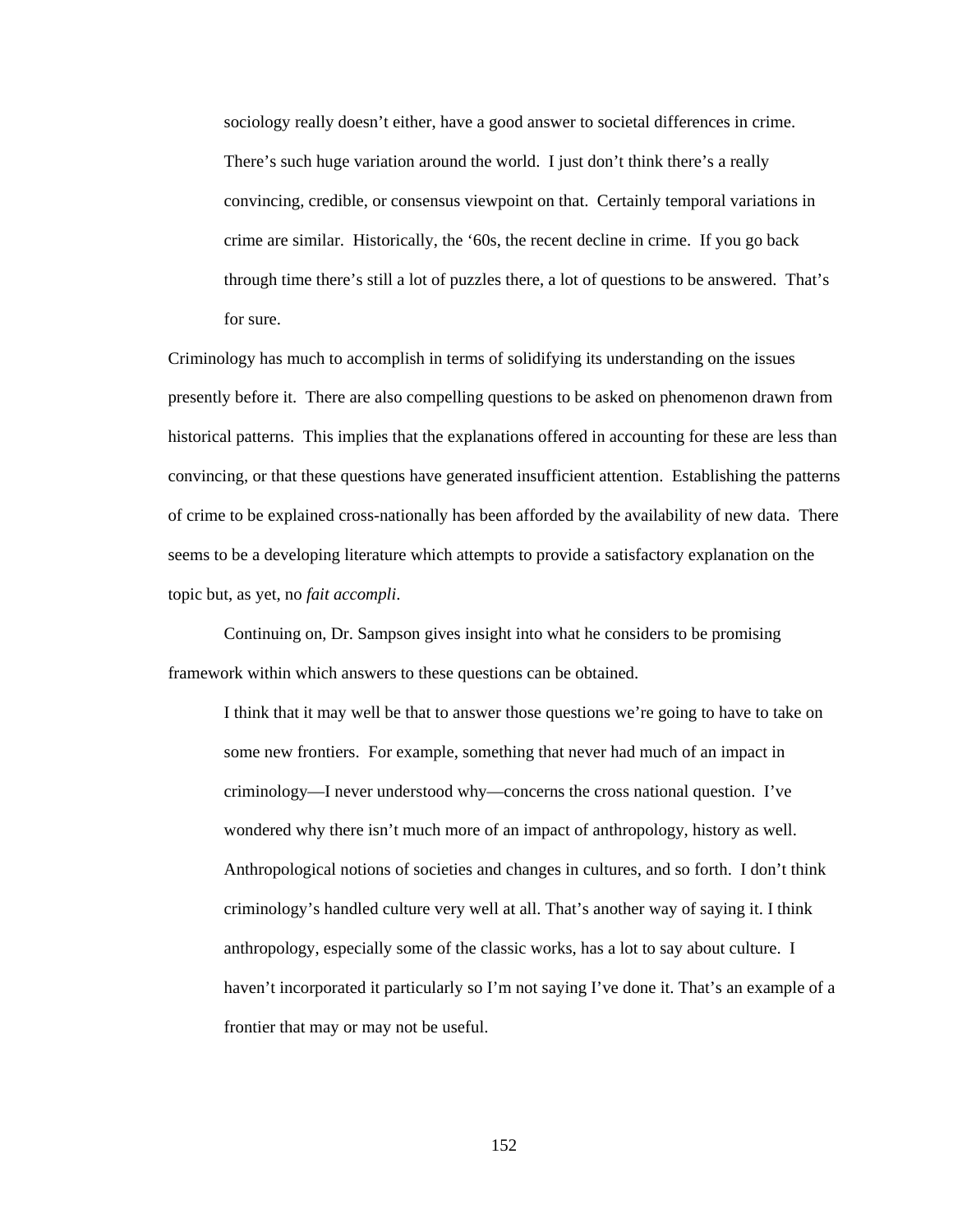sociology really doesn't either, have a good answer to societal differences in crime. There's such huge variation around the world. I just don't think there's a really convincing, credible, or consensus viewpoint on that. Certainly temporal variations in crime are similar. Historically, the '60s, the recent decline in crime. If you go back through time there's still a lot of puzzles there, a lot of questions to be answered. That's for sure.

Criminology has much to accomplish in terms of solidifying its understanding on the issues presently before it. There are also compelling questions to be asked on phenomenon drawn from historical patterns. This implies that the explanations offered in accounting for these are less than convincing, or that these questions have generated insufficient attention. Establishing the patterns of crime to be explained cross-nationally has been afforded by the availability of new data. There seems to be a developing literature which attempts to provide a satisfactory explanation on the topic but, as yet, no *fait accompli*.

Continuing on, Dr. Sampson gives insight into what he considers to be promising framework within which answers to these questions can be obtained.

I think that it may well be that to answer those questions we're going to have to take on some new frontiers. For example, something that never had much of an impact in criminology—I never understood why—concerns the cross national question. I've wondered why there isn't much more of an impact of anthropology, history as well. Anthropological notions of societies and changes in cultures, and so forth. I don't think criminology's handled culture very well at all. That's another way of saying it. I think anthropology, especially some of the classic works, has a lot to say about culture. I haven't incorporated it particularly so I'm not saying I've done it. That's an example of a frontier that may or may not be useful.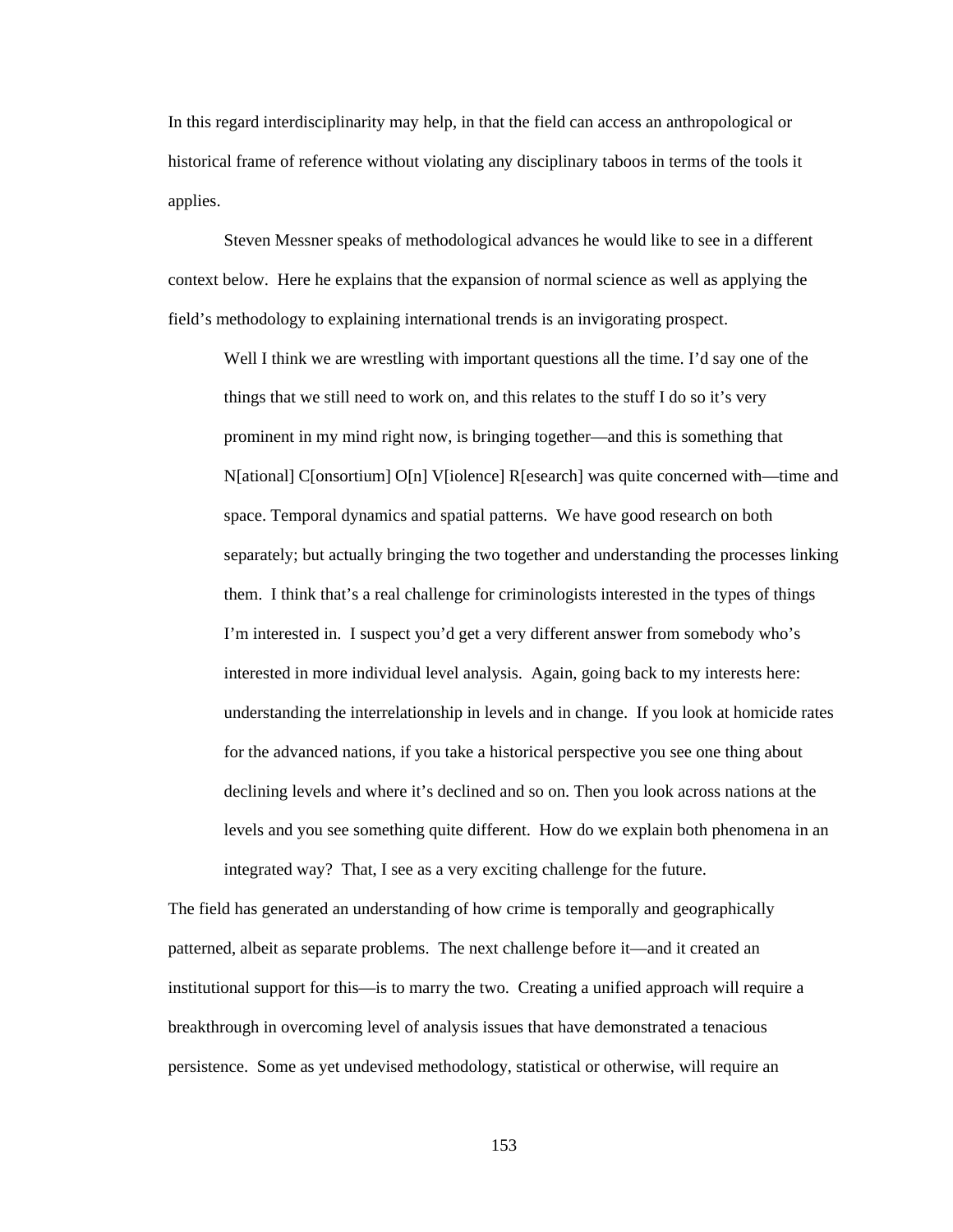In this regard interdisciplinarity may help, in that the field can access an anthropological or historical frame of reference without violating any disciplinary taboos in terms of the tools it applies.

 Steven Messner speaks of methodological advances he would like to see in a different context below. Here he explains that the expansion of normal science as well as applying the field's methodology to explaining international trends is an invigorating prospect.

Well I think we are wrestling with important questions all the time. I'd say one of the things that we still need to work on, and this relates to the stuff I do so it's very prominent in my mind right now, is bringing together—and this is something that N[ational] C[onsortium] O[n] V[iolence] R[esearch] was quite concerned with—time and space. Temporal dynamics and spatial patterns. We have good research on both separately; but actually bringing the two together and understanding the processes linking them. I think that's a real challenge for criminologists interested in the types of things I'm interested in. I suspect you'd get a very different answer from somebody who's interested in more individual level analysis. Again, going back to my interests here: understanding the interrelationship in levels and in change. If you look at homicide rates for the advanced nations, if you take a historical perspective you see one thing about declining levels and where it's declined and so on. Then you look across nations at the levels and you see something quite different. How do we explain both phenomena in an integrated way? That, I see as a very exciting challenge for the future.

The field has generated an understanding of how crime is temporally and geographically patterned, albeit as separate problems. The next challenge before it—and it created an institutional support for this—is to marry the two. Creating a unified approach will require a breakthrough in overcoming level of analysis issues that have demonstrated a tenacious persistence. Some as yet undevised methodology, statistical or otherwise, will require an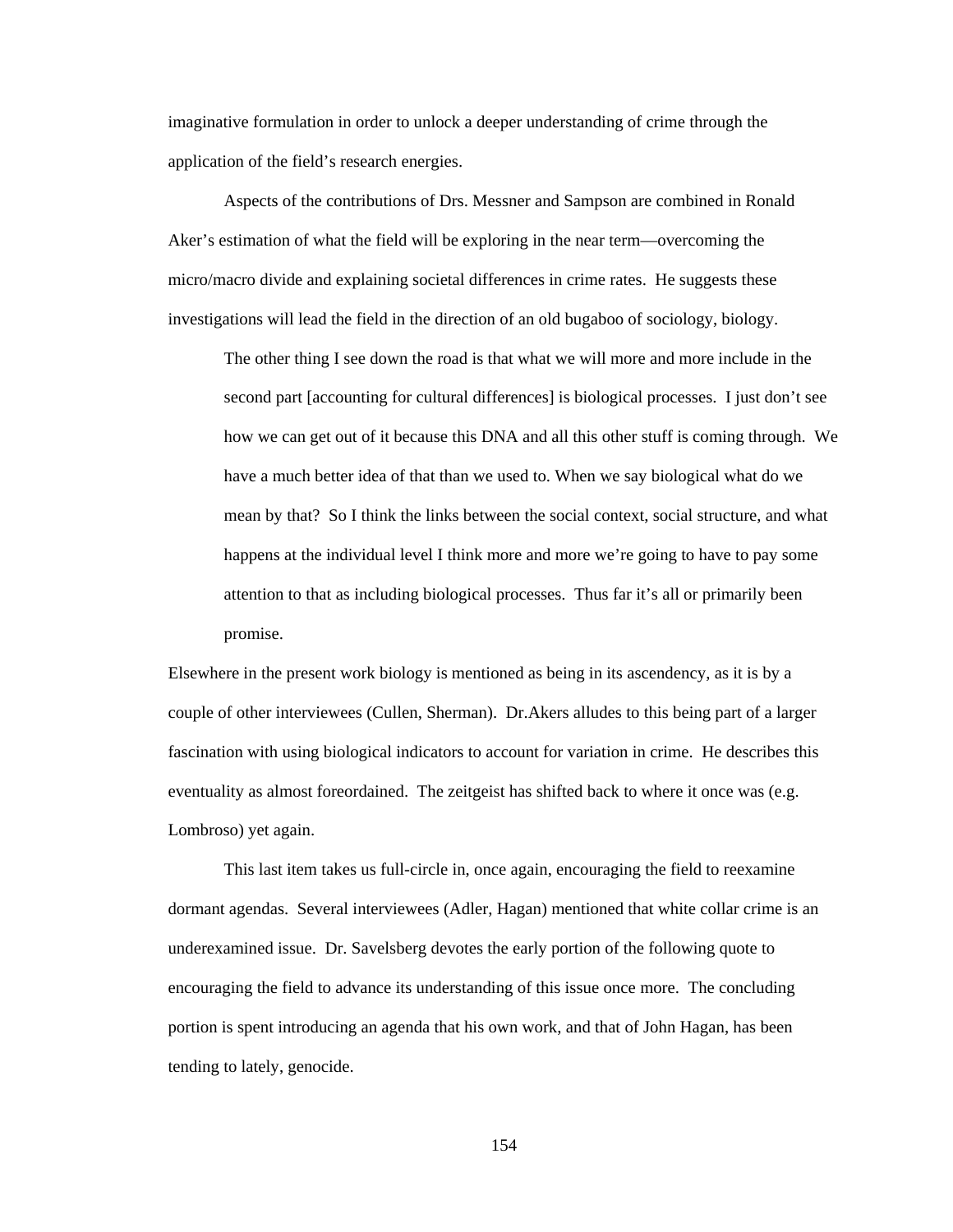imaginative formulation in order to unlock a deeper understanding of crime through the application of the field's research energies.

 Aspects of the contributions of Drs. Messner and Sampson are combined in Ronald Aker's estimation of what the field will be exploring in the near term—overcoming the micro/macro divide and explaining societal differences in crime rates. He suggests these investigations will lead the field in the direction of an old bugaboo of sociology, biology.

The other thing I see down the road is that what we will more and more include in the second part [accounting for cultural differences] is biological processes. I just don't see how we can get out of it because this DNA and all this other stuff is coming through. We have a much better idea of that than we used to. When we say biological what do we mean by that? So I think the links between the social context, social structure, and what happens at the individual level I think more and more we're going to have to pay some attention to that as including biological processes. Thus far it's all or primarily been promise.

Elsewhere in the present work biology is mentioned as being in its ascendency, as it is by a couple of other interviewees (Cullen, Sherman). Dr.Akers alludes to this being part of a larger fascination with using biological indicators to account for variation in crime. He describes this eventuality as almost foreordained. The zeitgeist has shifted back to where it once was (e.g. Lombroso) yet again.

 This last item takes us full-circle in, once again, encouraging the field to reexamine dormant agendas. Several interviewees (Adler, Hagan) mentioned that white collar crime is an underexamined issue. Dr. Savelsberg devotes the early portion of the following quote to encouraging the field to advance its understanding of this issue once more. The concluding portion is spent introducing an agenda that his own work, and that of John Hagan, has been tending to lately, genocide.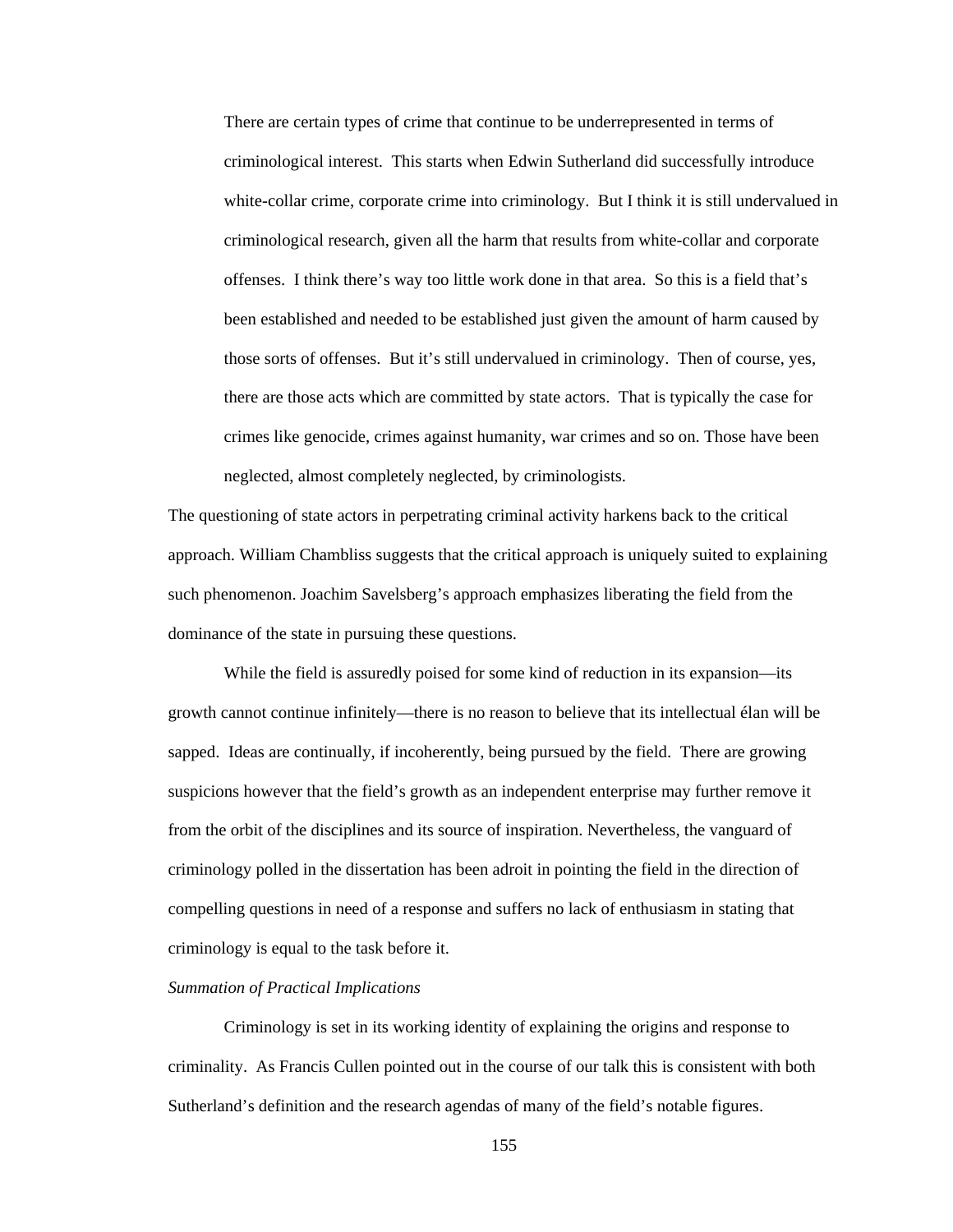There are certain types of crime that continue to be underrepresented in terms of criminological interest. This starts when Edwin Sutherland did successfully introduce white-collar crime, corporate crime into criminology. But I think it is still undervalued in criminological research, given all the harm that results from white-collar and corporate offenses. I think there's way too little work done in that area. So this is a field that's been established and needed to be established just given the amount of harm caused by those sorts of offenses. But it's still undervalued in criminology. Then of course, yes, there are those acts which are committed by state actors. That is typically the case for crimes like genocide, crimes against humanity, war crimes and so on. Those have been neglected, almost completely neglected, by criminologists.

The questioning of state actors in perpetrating criminal activity harkens back to the critical approach. William Chambliss suggests that the critical approach is uniquely suited to explaining such phenomenon. Joachim Savelsberg's approach emphasizes liberating the field from the dominance of the state in pursuing these questions.

 While the field is assuredly poised for some kind of reduction in its expansion—its growth cannot continue infinitely—there is no reason to believe that its intellectual élan will be sapped. Ideas are continually, if incoherently, being pursued by the field. There are growing suspicions however that the field's growth as an independent enterprise may further remove it from the orbit of the disciplines and its source of inspiration. Nevertheless, the vanguard of criminology polled in the dissertation has been adroit in pointing the field in the direction of compelling questions in need of a response and suffers no lack of enthusiasm in stating that criminology is equal to the task before it.

# *Summation of Practical Implications*

 Criminology is set in its working identity of explaining the origins and response to criminality. As Francis Cullen pointed out in the course of our talk this is consistent with both Sutherland's definition and the research agendas of many of the field's notable figures.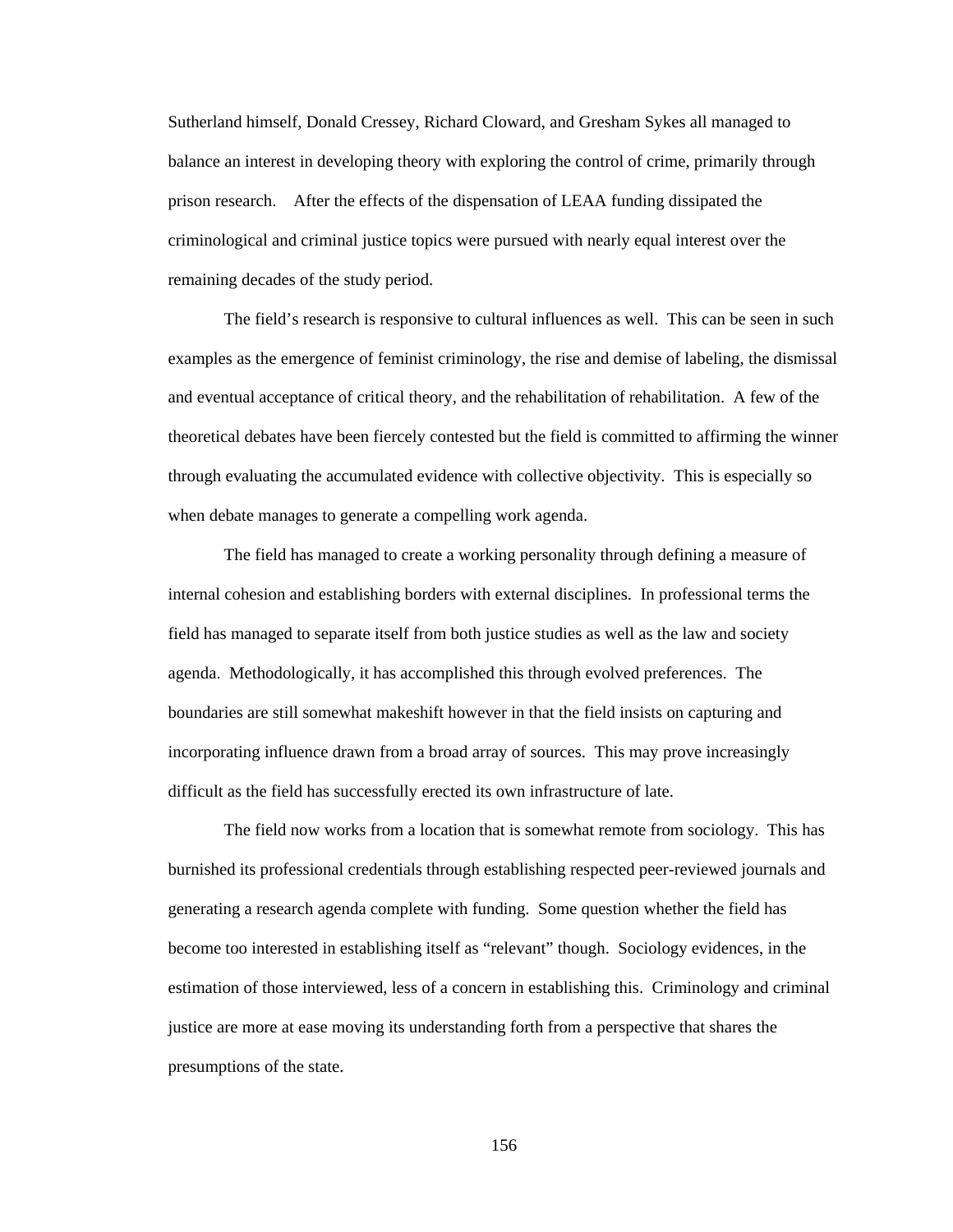Sutherland himself, Donald Cressey, Richard Cloward, and Gresham Sykes all managed to balance an interest in developing theory with exploring the control of crime, primarily through prison research. After the effects of the dispensation of LEAA funding dissipated the criminological and criminal justice topics were pursued with nearly equal interest over the remaining decades of the study period.

 The field's research is responsive to cultural influences as well. This can be seen in such examples as the emergence of feminist criminology, the rise and demise of labeling, the dismissal and eventual acceptance of critical theory, and the rehabilitation of rehabilitation. A few of the theoretical debates have been fiercely contested but the field is committed to affirming the winner through evaluating the accumulated evidence with collective objectivity. This is especially so when debate manages to generate a compelling work agenda.

 The field has managed to create a working personality through defining a measure of internal cohesion and establishing borders with external disciplines. In professional terms the field has managed to separate itself from both justice studies as well as the law and society agenda. Methodologically, it has accomplished this through evolved preferences. The boundaries are still somewhat makeshift however in that the field insists on capturing and incorporating influence drawn from a broad array of sources. This may prove increasingly difficult as the field has successfully erected its own infrastructure of late.

 The field now works from a location that is somewhat remote from sociology. This has burnished its professional credentials through establishing respected peer-reviewed journals and generating a research agenda complete with funding. Some question whether the field has become too interested in establishing itself as "relevant" though. Sociology evidences, in the estimation of those interviewed, less of a concern in establishing this. Criminology and criminal justice are more at ease moving its understanding forth from a perspective that shares the presumptions of the state.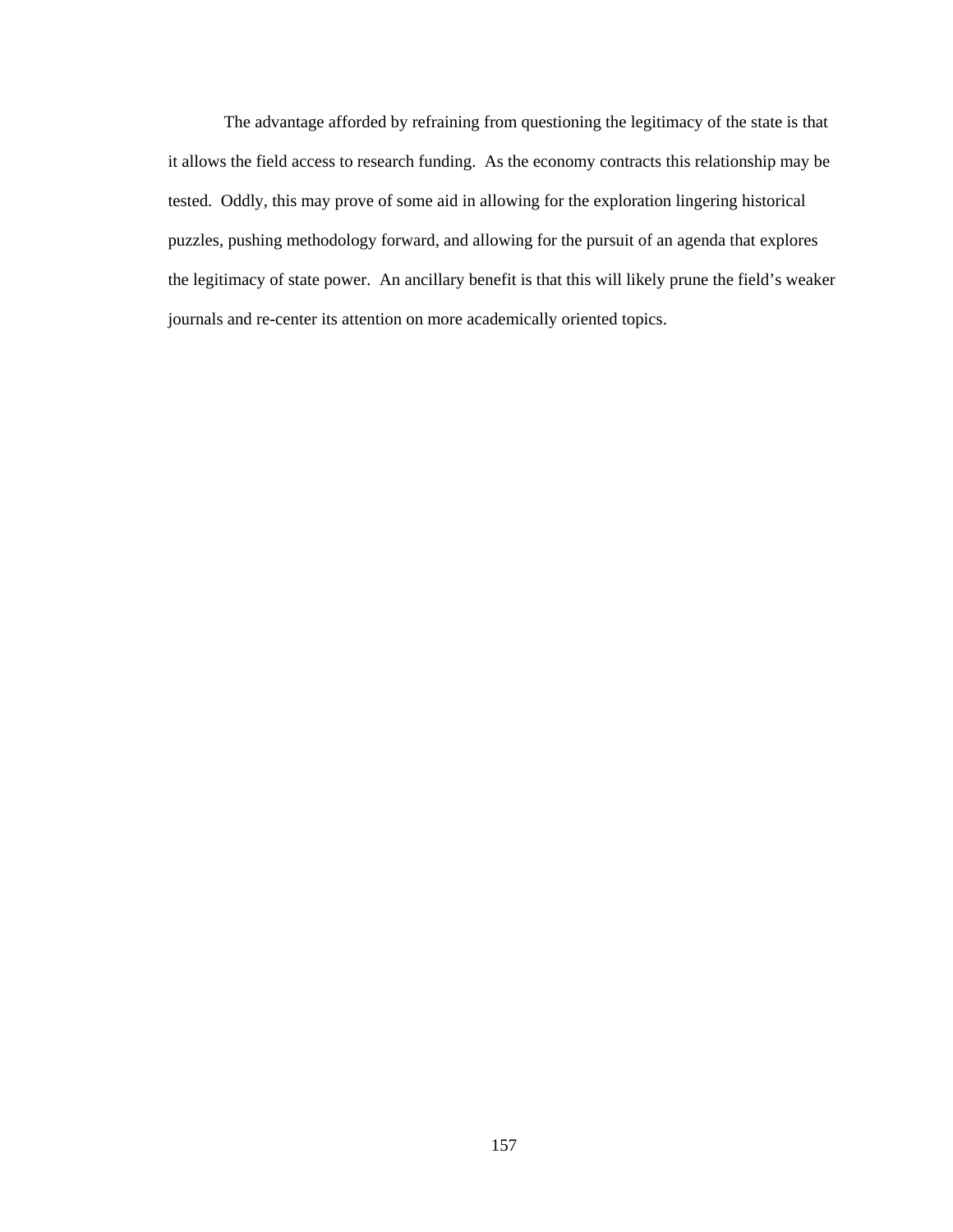The advantage afforded by refraining from questioning the legitimacy of the state is that it allows the field access to research funding. As the economy contracts this relationship may be tested. Oddly, this may prove of some aid in allowing for the exploration lingering historical puzzles, pushing methodology forward, and allowing for the pursuit of an agenda that explores the legitimacy of state power. An ancillary benefit is that this will likely prune the field's weaker journals and re-center its attention on more academically oriented topics.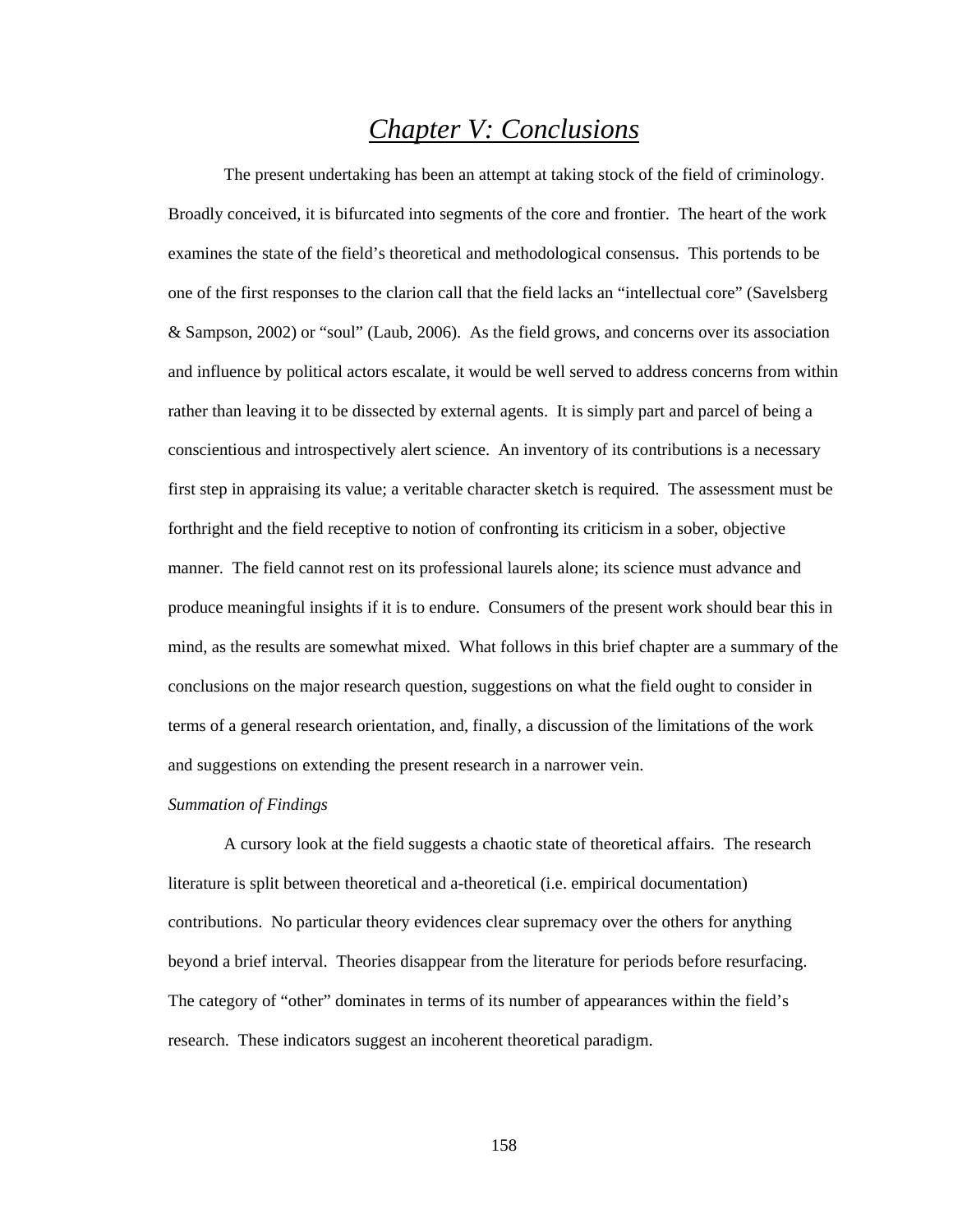# *Chapter V: Conclusions*

 The present undertaking has been an attempt at taking stock of the field of criminology. Broadly conceived, it is bifurcated into segments of the core and frontier. The heart of the work examines the state of the field's theoretical and methodological consensus. This portends to be one of the first responses to the clarion call that the field lacks an "intellectual core" (Savelsberg & Sampson, 2002) or "soul" (Laub, 2006). As the field grows, and concerns over its association and influence by political actors escalate, it would be well served to address concerns from within rather than leaving it to be dissected by external agents. It is simply part and parcel of being a conscientious and introspectively alert science. An inventory of its contributions is a necessary first step in appraising its value; a veritable character sketch is required. The assessment must be forthright and the field receptive to notion of confronting its criticism in a sober, objective manner. The field cannot rest on its professional laurels alone; its science must advance and produce meaningful insights if it is to endure. Consumers of the present work should bear this in mind, as the results are somewhat mixed. What follows in this brief chapter are a summary of the conclusions on the major research question, suggestions on what the field ought to consider in terms of a general research orientation, and, finally, a discussion of the limitations of the work and suggestions on extending the present research in a narrower vein.

### *Summation of Findings*

 A cursory look at the field suggests a chaotic state of theoretical affairs. The research literature is split between theoretical and a-theoretical (i.e. empirical documentation) contributions. No particular theory evidences clear supremacy over the others for anything beyond a brief interval. Theories disappear from the literature for periods before resurfacing. The category of "other" dominates in terms of its number of appearances within the field's research. These indicators suggest an incoherent theoretical paradigm.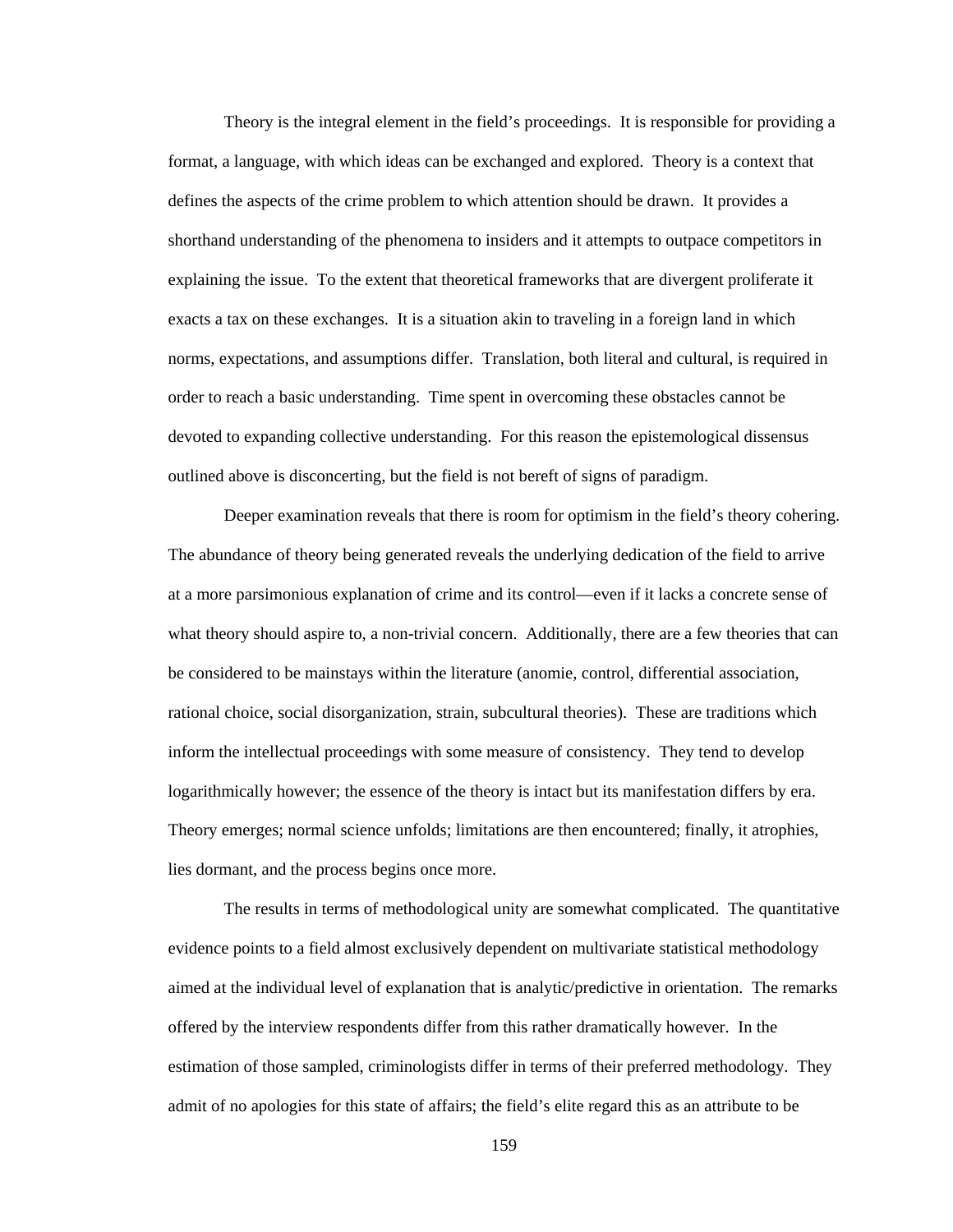Theory is the integral element in the field's proceedings. It is responsible for providing a format, a language, with which ideas can be exchanged and explored. Theory is a context that defines the aspects of the crime problem to which attention should be drawn. It provides a shorthand understanding of the phenomena to insiders and it attempts to outpace competitors in explaining the issue. To the extent that theoretical frameworks that are divergent proliferate it exacts a tax on these exchanges. It is a situation akin to traveling in a foreign land in which norms, expectations, and assumptions differ. Translation, both literal and cultural, is required in order to reach a basic understanding. Time spent in overcoming these obstacles cannot be devoted to expanding collective understanding. For this reason the epistemological dissensus outlined above is disconcerting, but the field is not bereft of signs of paradigm.

Deeper examination reveals that there is room for optimism in the field's theory cohering. The abundance of theory being generated reveals the underlying dedication of the field to arrive at a more parsimonious explanation of crime and its control—even if it lacks a concrete sense of what theory should aspire to, a non-trivial concern. Additionally, there are a few theories that can be considered to be mainstays within the literature (anomie, control, differential association, rational choice, social disorganization, strain, subcultural theories). These are traditions which inform the intellectual proceedings with some measure of consistency. They tend to develop logarithmically however; the essence of the theory is intact but its manifestation differs by era. Theory emerges; normal science unfolds; limitations are then encountered; finally, it atrophies, lies dormant, and the process begins once more.

The results in terms of methodological unity are somewhat complicated. The quantitative evidence points to a field almost exclusively dependent on multivariate statistical methodology aimed at the individual level of explanation that is analytic/predictive in orientation. The remarks offered by the interview respondents differ from this rather dramatically however. In the estimation of those sampled, criminologists differ in terms of their preferred methodology. They admit of no apologies for this state of affairs; the field's elite regard this as an attribute to be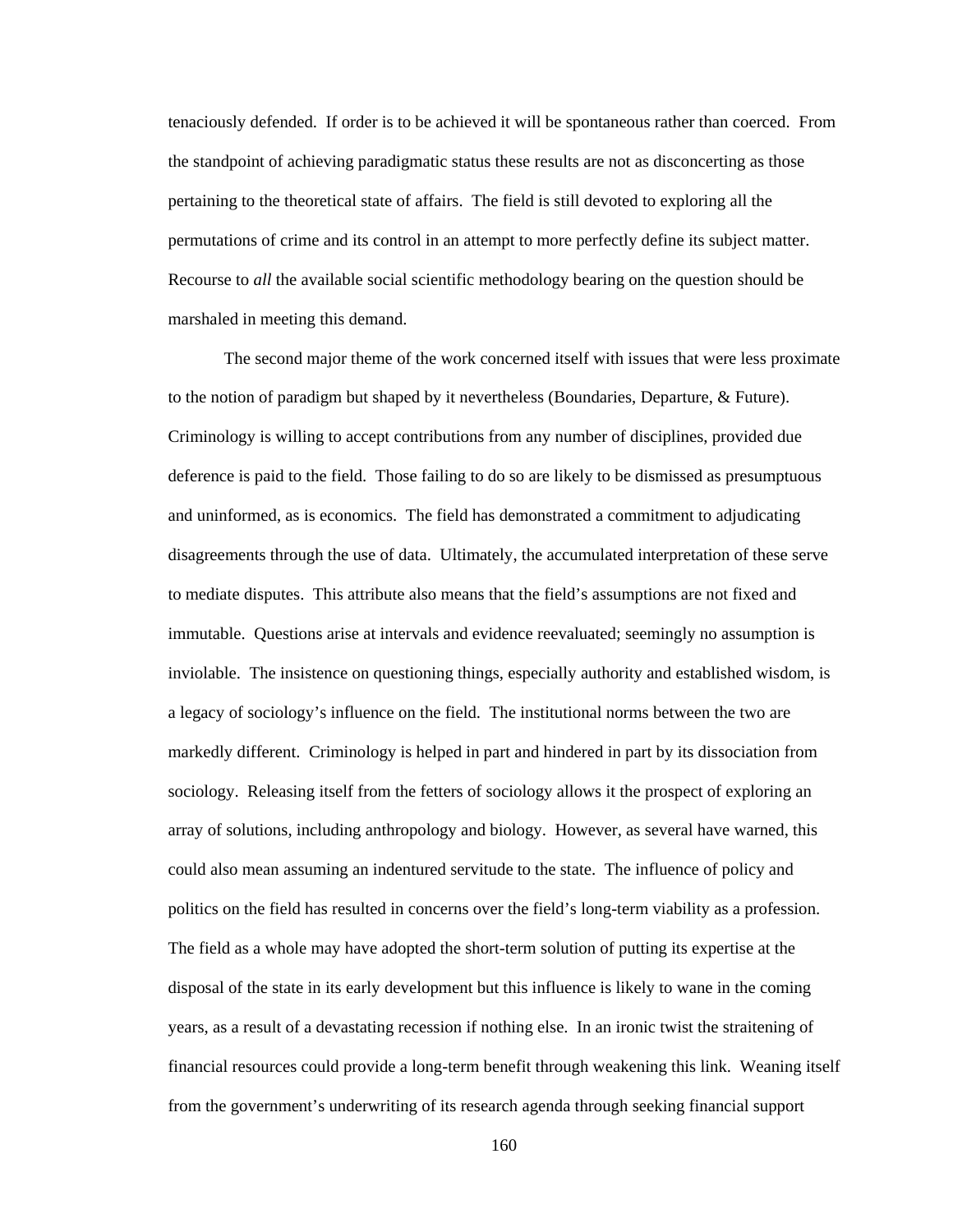tenaciously defended. If order is to be achieved it will be spontaneous rather than coerced. From the standpoint of achieving paradigmatic status these results are not as disconcerting as those pertaining to the theoretical state of affairs. The field is still devoted to exploring all the permutations of crime and its control in an attempt to more perfectly define its subject matter. Recourse to *all* the available social scientific methodology bearing on the question should be marshaled in meeting this demand.

The second major theme of the work concerned itself with issues that were less proximate to the notion of paradigm but shaped by it nevertheless (Boundaries, Departure, & Future). Criminology is willing to accept contributions from any number of disciplines, provided due deference is paid to the field. Those failing to do so are likely to be dismissed as presumptuous and uninformed, as is economics. The field has demonstrated a commitment to adjudicating disagreements through the use of data. Ultimately, the accumulated interpretation of these serve to mediate disputes. This attribute also means that the field's assumptions are not fixed and immutable. Questions arise at intervals and evidence reevaluated; seemingly no assumption is inviolable. The insistence on questioning things, especially authority and established wisdom, is a legacy of sociology's influence on the field. The institutional norms between the two are markedly different. Criminology is helped in part and hindered in part by its dissociation from sociology. Releasing itself from the fetters of sociology allows it the prospect of exploring an array of solutions, including anthropology and biology. However, as several have warned, this could also mean assuming an indentured servitude to the state. The influence of policy and politics on the field has resulted in concerns over the field's long-term viability as a profession. The field as a whole may have adopted the short-term solution of putting its expertise at the disposal of the state in its early development but this influence is likely to wane in the coming years, as a result of a devastating recession if nothing else. In an ironic twist the straitening of financial resources could provide a long-term benefit through weakening this link. Weaning itself from the government's underwriting of its research agenda through seeking financial support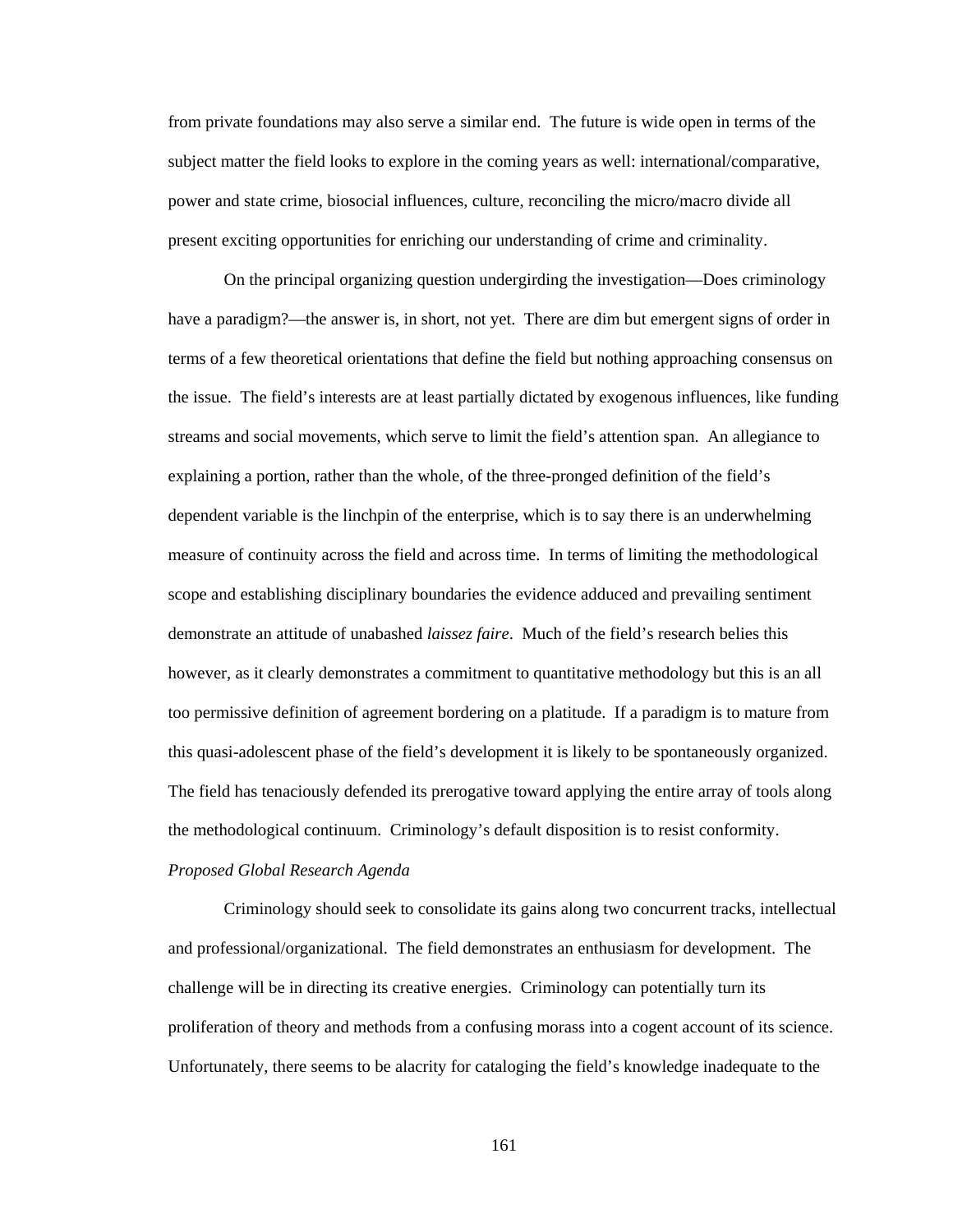from private foundations may also serve a similar end. The future is wide open in terms of the subject matter the field looks to explore in the coming years as well: international/comparative, power and state crime, biosocial influences, culture, reconciling the micro/macro divide all present exciting opportunities for enriching our understanding of crime and criminality.

On the principal organizing question undergirding the investigation—Does criminology have a paradigm?—the answer is, in short, not yet. There are dim but emergent signs of order in terms of a few theoretical orientations that define the field but nothing approaching consensus on the issue. The field's interests are at least partially dictated by exogenous influences, like funding streams and social movements, which serve to limit the field's attention span. An allegiance to explaining a portion, rather than the whole, of the three-pronged definition of the field's dependent variable is the linchpin of the enterprise, which is to say there is an underwhelming measure of continuity across the field and across time. In terms of limiting the methodological scope and establishing disciplinary boundaries the evidence adduced and prevailing sentiment demonstrate an attitude of unabashed *laissez faire*. Much of the field's research belies this however, as it clearly demonstrates a commitment to quantitative methodology but this is an all too permissive definition of agreement bordering on a platitude. If a paradigm is to mature from this quasi-adolescent phase of the field's development it is likely to be spontaneously organized. The field has tenaciously defended its prerogative toward applying the entire array of tools along the methodological continuum. Criminology's default disposition is to resist conformity.

# *Proposed Global Research Agenda*

 Criminology should seek to consolidate its gains along two concurrent tracks, intellectual and professional/organizational. The field demonstrates an enthusiasm for development. The challenge will be in directing its creative energies. Criminology can potentially turn its proliferation of theory and methods from a confusing morass into a cogent account of its science. Unfortunately, there seems to be alacrity for cataloging the field's knowledge inadequate to the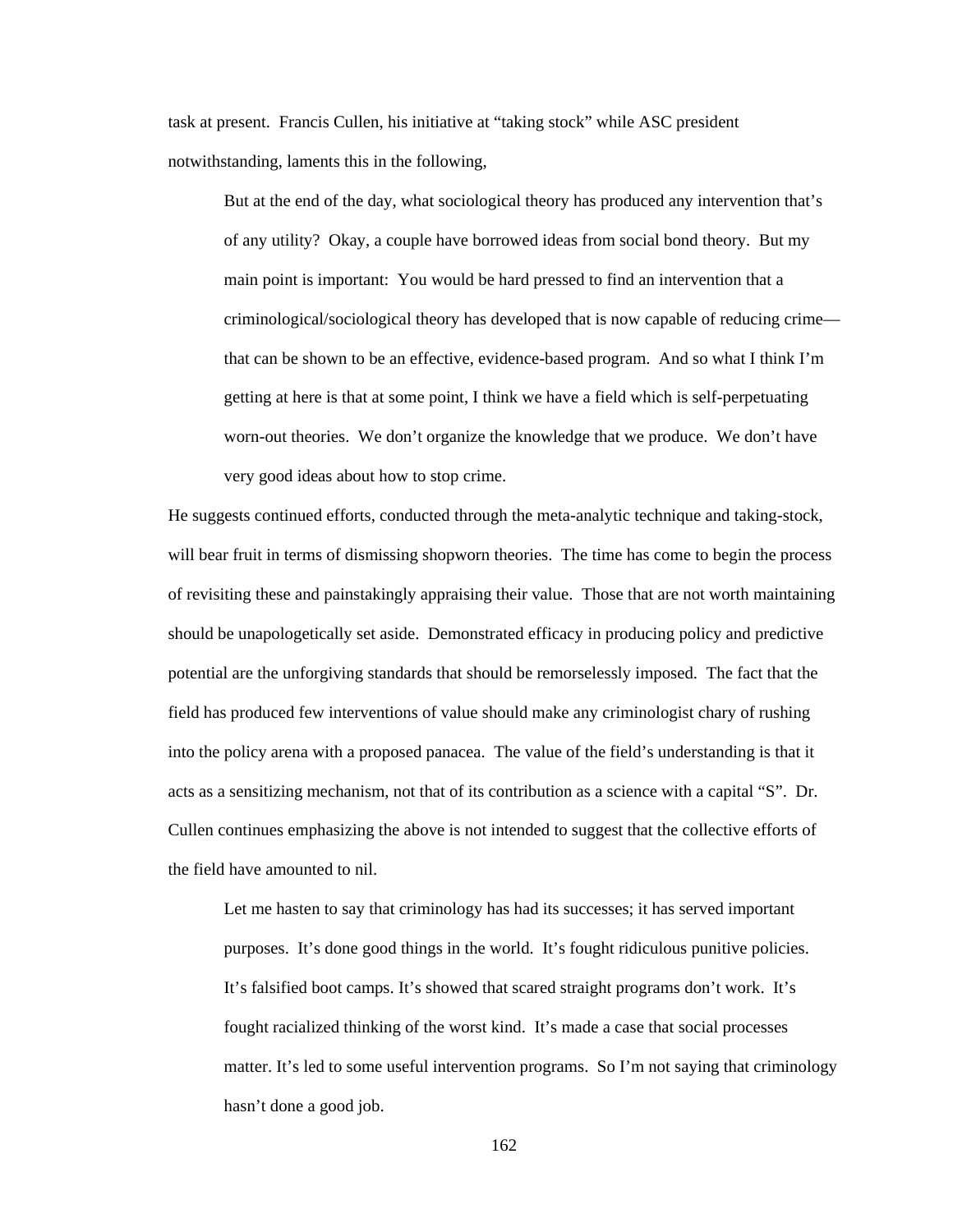task at present. Francis Cullen, his initiative at "taking stock" while ASC president notwithstanding, laments this in the following,

But at the end of the day, what sociological theory has produced any intervention that's of any utility? Okay, a couple have borrowed ideas from social bond theory. But my main point is important: You would be hard pressed to find an intervention that a criminological/sociological theory has developed that is now capable of reducing crime that can be shown to be an effective, evidence-based program. And so what I think I'm getting at here is that at some point, I think we have a field which is self-perpetuating worn-out theories. We don't organize the knowledge that we produce. We don't have very good ideas about how to stop crime.

He suggests continued efforts, conducted through the meta-analytic technique and taking-stock, will bear fruit in terms of dismissing shopworn theories. The time has come to begin the process of revisiting these and painstakingly appraising their value. Those that are not worth maintaining should be unapologetically set aside. Demonstrated efficacy in producing policy and predictive potential are the unforgiving standards that should be remorselessly imposed. The fact that the field has produced few interventions of value should make any criminologist chary of rushing into the policy arena with a proposed panacea. The value of the field's understanding is that it acts as a sensitizing mechanism, not that of its contribution as a science with a capital "S". Dr. Cullen continues emphasizing the above is not intended to suggest that the collective efforts of the field have amounted to nil.

Let me hasten to say that criminology has had its successes; it has served important purposes. It's done good things in the world. It's fought ridiculous punitive policies. It's falsified boot camps. It's showed that scared straight programs don't work. It's fought racialized thinking of the worst kind. It's made a case that social processes matter. It's led to some useful intervention programs. So I'm not saying that criminology hasn't done a good job.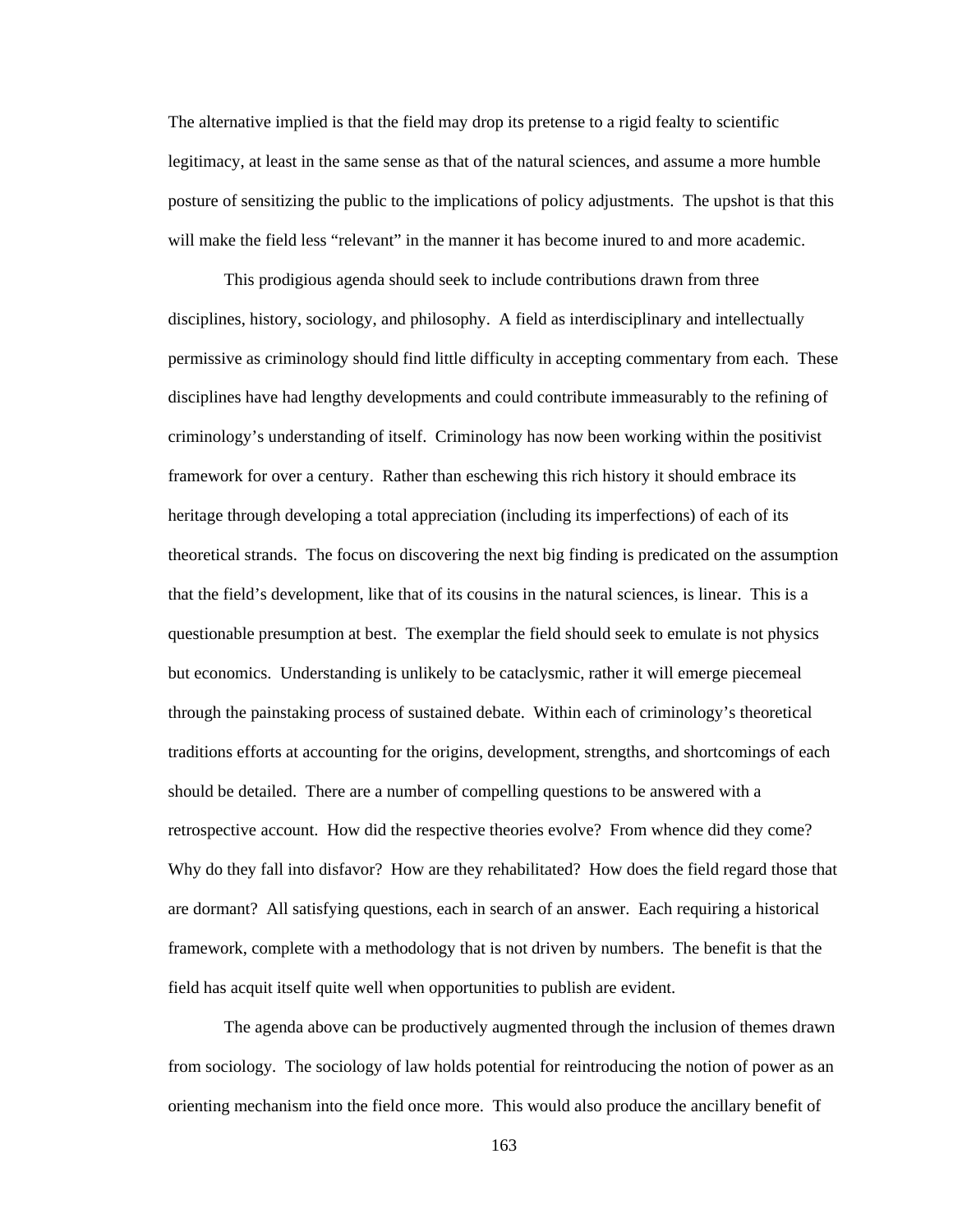The alternative implied is that the field may drop its pretense to a rigid fealty to scientific legitimacy, at least in the same sense as that of the natural sciences, and assume a more humble posture of sensitizing the public to the implications of policy adjustments. The upshot is that this will make the field less "relevant" in the manner it has become inured to and more academic.

 This prodigious agenda should seek to include contributions drawn from three disciplines, history, sociology, and philosophy. A field as interdisciplinary and intellectually permissive as criminology should find little difficulty in accepting commentary from each. These disciplines have had lengthy developments and could contribute immeasurably to the refining of criminology's understanding of itself. Criminology has now been working within the positivist framework for over a century. Rather than eschewing this rich history it should embrace its heritage through developing a total appreciation (including its imperfections) of each of its theoretical strands. The focus on discovering the next big finding is predicated on the assumption that the field's development, like that of its cousins in the natural sciences, is linear. This is a questionable presumption at best. The exemplar the field should seek to emulate is not physics but economics. Understanding is unlikely to be cataclysmic, rather it will emerge piecemeal through the painstaking process of sustained debate. Within each of criminology's theoretical traditions efforts at accounting for the origins, development, strengths, and shortcomings of each should be detailed. There are a number of compelling questions to be answered with a retrospective account. How did the respective theories evolve? From whence did they come? Why do they fall into disfavor? How are they rehabilitated? How does the field regard those that are dormant? All satisfying questions, each in search of an answer. Each requiring a historical framework, complete with a methodology that is not driven by numbers. The benefit is that the field has acquit itself quite well when opportunities to publish are evident.

 The agenda above can be productively augmented through the inclusion of themes drawn from sociology. The sociology of law holds potential for reintroducing the notion of power as an orienting mechanism into the field once more. This would also produce the ancillary benefit of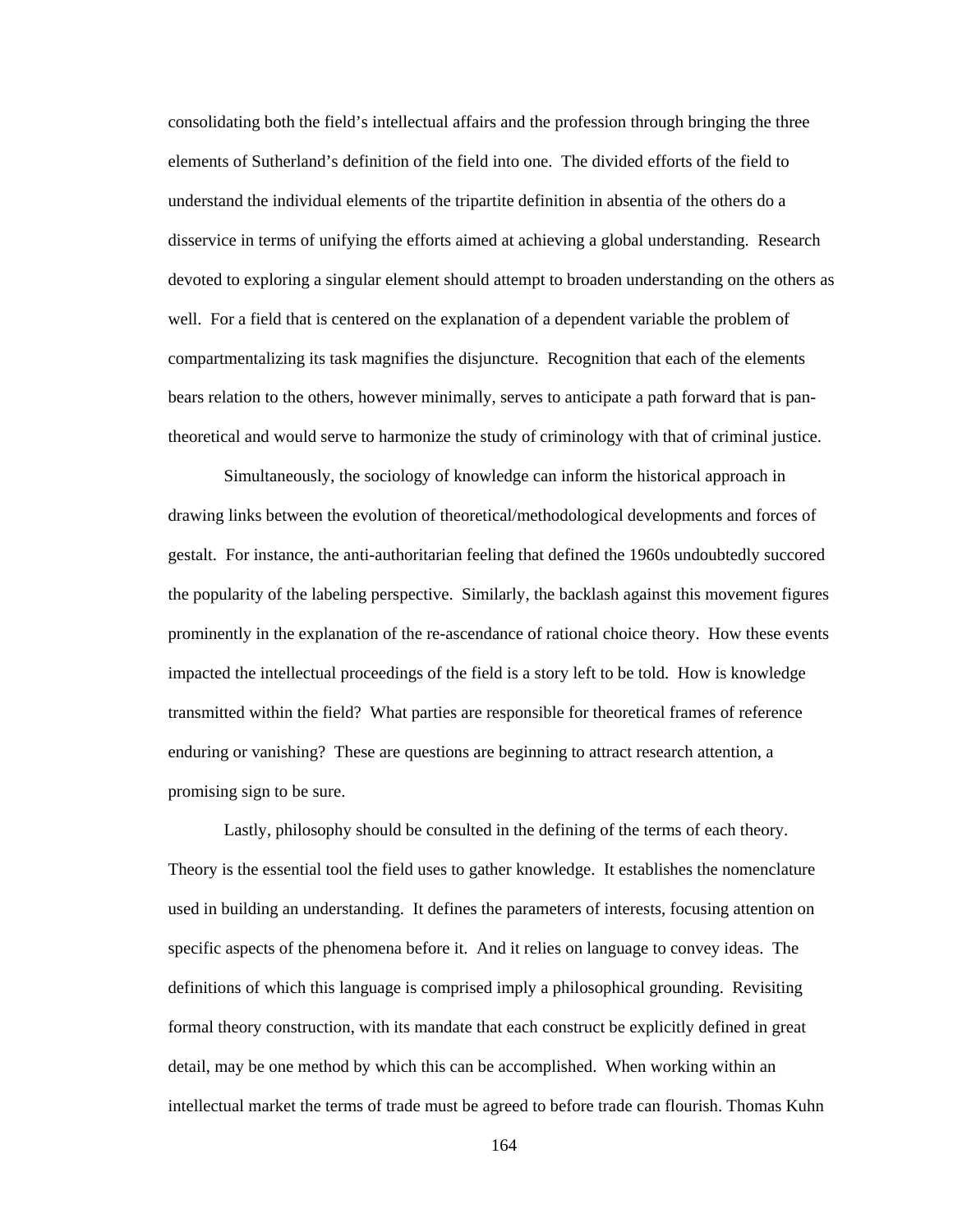consolidating both the field's intellectual affairs and the profession through bringing the three elements of Sutherland's definition of the field into one. The divided efforts of the field to understand the individual elements of the tripartite definition in absentia of the others do a disservice in terms of unifying the efforts aimed at achieving a global understanding. Research devoted to exploring a singular element should attempt to broaden understanding on the others as well. For a field that is centered on the explanation of a dependent variable the problem of compartmentalizing its task magnifies the disjuncture. Recognition that each of the elements bears relation to the others, however minimally, serves to anticipate a path forward that is pantheoretical and would serve to harmonize the study of criminology with that of criminal justice.

Simultaneously, the sociology of knowledge can inform the historical approach in drawing links between the evolution of theoretical/methodological developments and forces of gestalt. For instance, the anti-authoritarian feeling that defined the 1960s undoubtedly succored the popularity of the labeling perspective. Similarly, the backlash against this movement figures prominently in the explanation of the re-ascendance of rational choice theory. How these events impacted the intellectual proceedings of the field is a story left to be told. How is knowledge transmitted within the field? What parties are responsible for theoretical frames of reference enduring or vanishing? These are questions are beginning to attract research attention, a promising sign to be sure.

 Lastly, philosophy should be consulted in the defining of the terms of each theory. Theory is the essential tool the field uses to gather knowledge. It establishes the nomenclature used in building an understanding. It defines the parameters of interests, focusing attention on specific aspects of the phenomena before it. And it relies on language to convey ideas. The definitions of which this language is comprised imply a philosophical grounding. Revisiting formal theory construction, with its mandate that each construct be explicitly defined in great detail, may be one method by which this can be accomplished. When working within an intellectual market the terms of trade must be agreed to before trade can flourish. Thomas Kuhn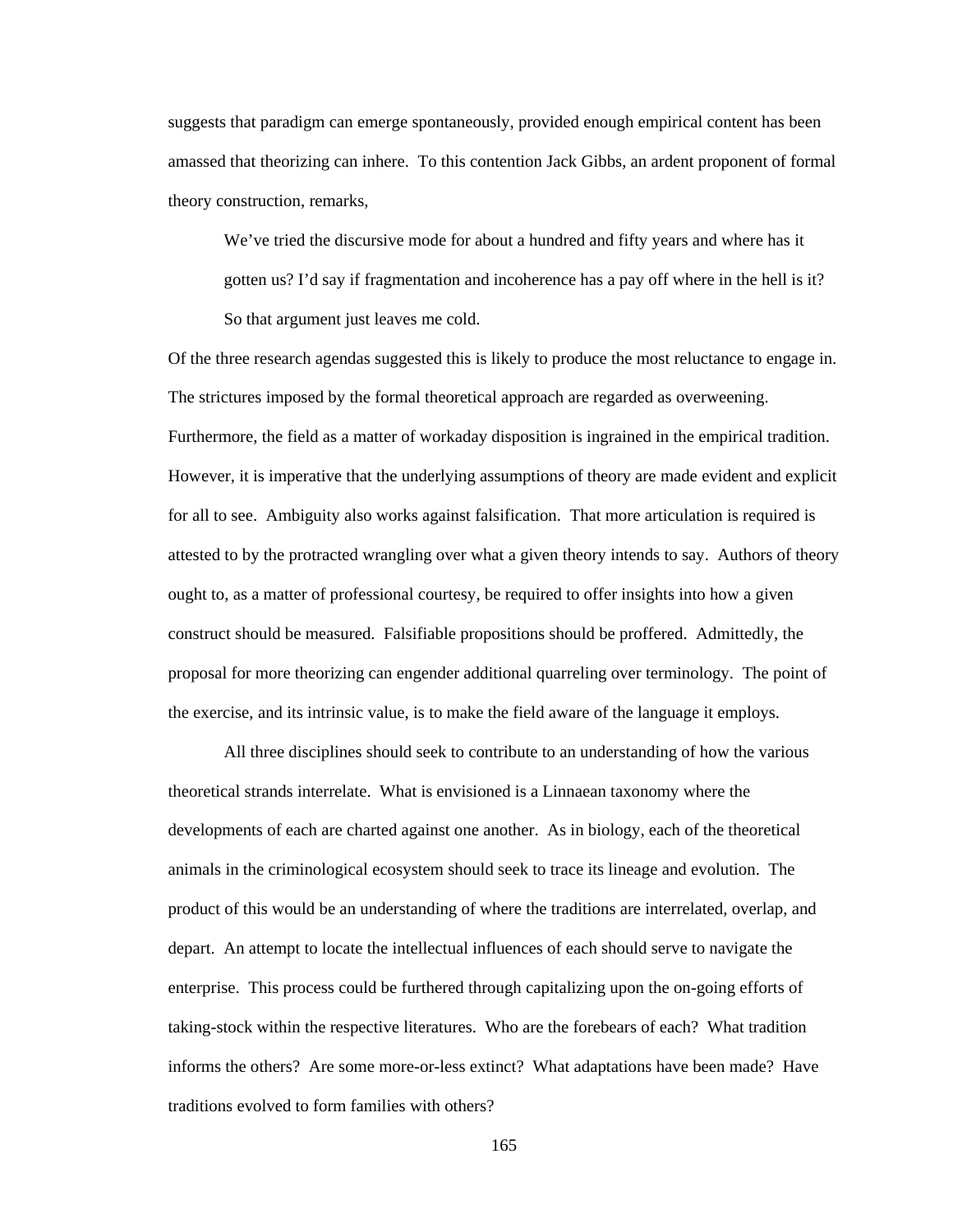suggests that paradigm can emerge spontaneously, provided enough empirical content has been amassed that theorizing can inhere. To this contention Jack Gibbs, an ardent proponent of formal theory construction, remarks,

We've tried the discursive mode for about a hundred and fifty years and where has it gotten us? I'd say if fragmentation and incoherence has a pay off where in the hell is it? So that argument just leaves me cold.

Of the three research agendas suggested this is likely to produce the most reluctance to engage in. The strictures imposed by the formal theoretical approach are regarded as overweening. Furthermore, the field as a matter of workaday disposition is ingrained in the empirical tradition. However, it is imperative that the underlying assumptions of theory are made evident and explicit for all to see. Ambiguity also works against falsification. That more articulation is required is attested to by the protracted wrangling over what a given theory intends to say. Authors of theory ought to, as a matter of professional courtesy, be required to offer insights into how a given construct should be measured. Falsifiable propositions should be proffered. Admittedly, the proposal for more theorizing can engender additional quarreling over terminology. The point of the exercise, and its intrinsic value, is to make the field aware of the language it employs.

 All three disciplines should seek to contribute to an understanding of how the various theoretical strands interrelate. What is envisioned is a Linnaean taxonomy where the developments of each are charted against one another. As in biology, each of the theoretical animals in the criminological ecosystem should seek to trace its lineage and evolution. The product of this would be an understanding of where the traditions are interrelated, overlap, and depart. An attempt to locate the intellectual influences of each should serve to navigate the enterprise. This process could be furthered through capitalizing upon the on-going efforts of taking-stock within the respective literatures. Who are the forebears of each? What tradition informs the others? Are some more-or-less extinct? What adaptations have been made? Have traditions evolved to form families with others?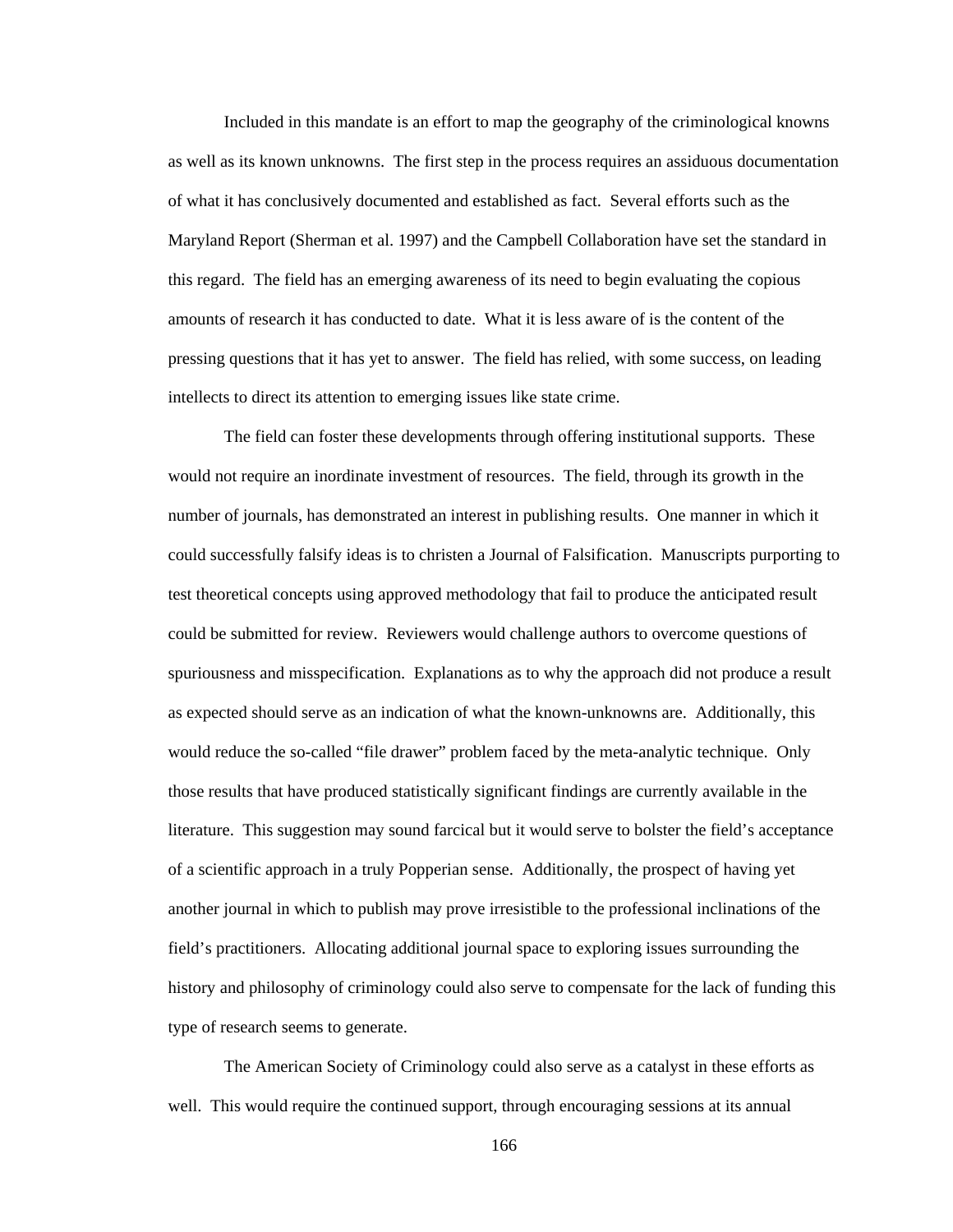Included in this mandate is an effort to map the geography of the criminological knowns as well as its known unknowns. The first step in the process requires an assiduous documentation of what it has conclusively documented and established as fact. Several efforts such as the Maryland Report (Sherman et al. 1997) and the Campbell Collaboration have set the standard in this regard. The field has an emerging awareness of its need to begin evaluating the copious amounts of research it has conducted to date. What it is less aware of is the content of the pressing questions that it has yet to answer. The field has relied, with some success, on leading intellects to direct its attention to emerging issues like state crime.

The field can foster these developments through offering institutional supports. These would not require an inordinate investment of resources. The field, through its growth in the number of journals, has demonstrated an interest in publishing results. One manner in which it could successfully falsify ideas is to christen a Journal of Falsification. Manuscripts purporting to test theoretical concepts using approved methodology that fail to produce the anticipated result could be submitted for review. Reviewers would challenge authors to overcome questions of spuriousness and misspecification. Explanations as to why the approach did not produce a result as expected should serve as an indication of what the known-unknowns are. Additionally, this would reduce the so-called "file drawer" problem faced by the meta-analytic technique. Only those results that have produced statistically significant findings are currently available in the literature. This suggestion may sound farcical but it would serve to bolster the field's acceptance of a scientific approach in a truly Popperian sense. Additionally, the prospect of having yet another journal in which to publish may prove irresistible to the professional inclinations of the field's practitioners. Allocating additional journal space to exploring issues surrounding the history and philosophy of criminology could also serve to compensate for the lack of funding this type of research seems to generate.

The American Society of Criminology could also serve as a catalyst in these efforts as well. This would require the continued support, through encouraging sessions at its annual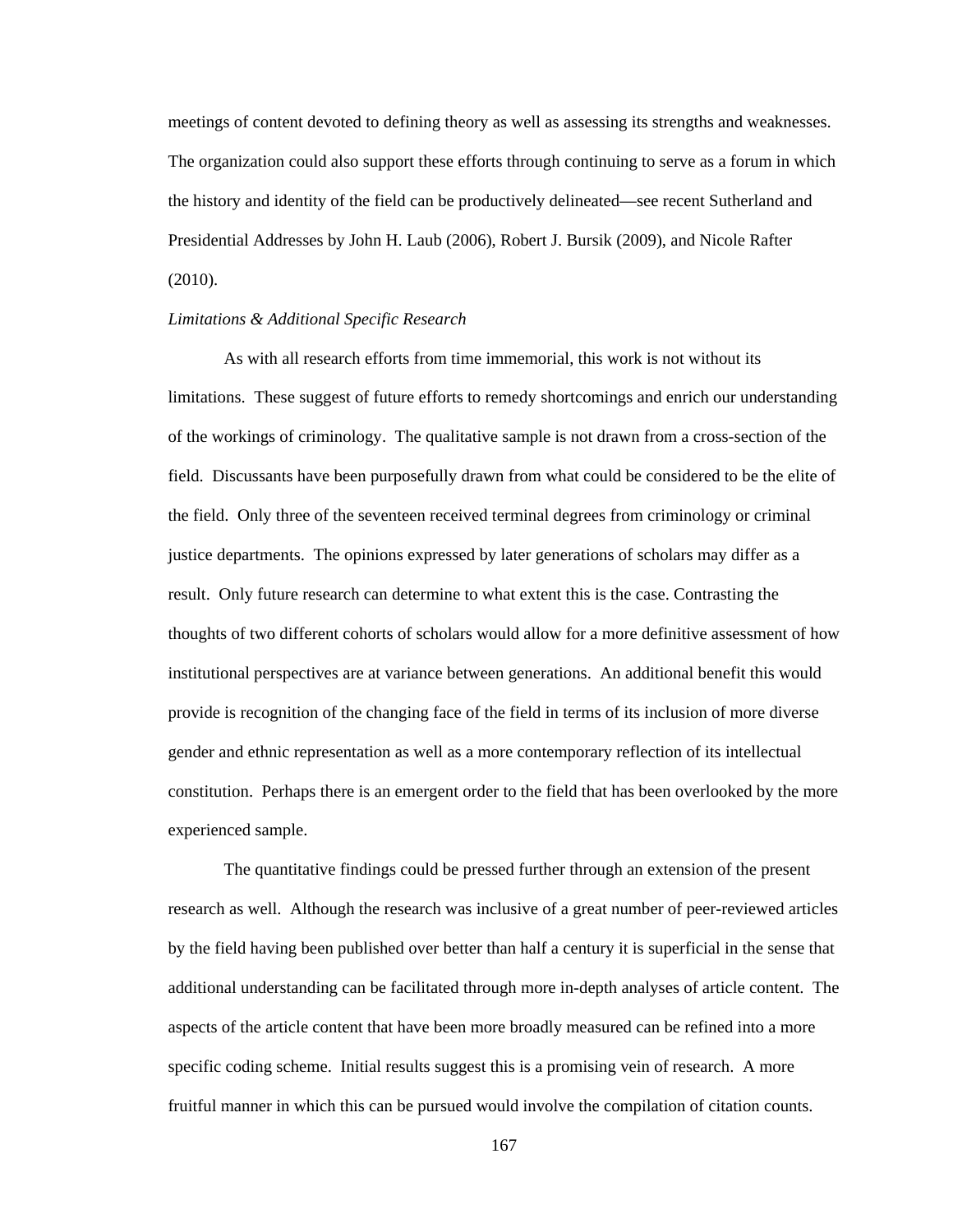meetings of content devoted to defining theory as well as assessing its strengths and weaknesses. The organization could also support these efforts through continuing to serve as a forum in which the history and identity of the field can be productively delineated—see recent Sutherland and Presidential Addresses by John H. Laub (2006), Robert J. Bursik (2009), and Nicole Rafter (2010).

### *Limitations & Additional Specific Research*

 As with all research efforts from time immemorial, this work is not without its limitations. These suggest of future efforts to remedy shortcomings and enrich our understanding of the workings of criminology. The qualitative sample is not drawn from a cross-section of the field. Discussants have been purposefully drawn from what could be considered to be the elite of the field. Only three of the seventeen received terminal degrees from criminology or criminal justice departments. The opinions expressed by later generations of scholars may differ as a result. Only future research can determine to what extent this is the case. Contrasting the thoughts of two different cohorts of scholars would allow for a more definitive assessment of how institutional perspectives are at variance between generations. An additional benefit this would provide is recognition of the changing face of the field in terms of its inclusion of more diverse gender and ethnic representation as well as a more contemporary reflection of its intellectual constitution. Perhaps there is an emergent order to the field that has been overlooked by the more experienced sample.

 The quantitative findings could be pressed further through an extension of the present research as well. Although the research was inclusive of a great number of peer-reviewed articles by the field having been published over better than half a century it is superficial in the sense that additional understanding can be facilitated through more in-depth analyses of article content. The aspects of the article content that have been more broadly measured can be refined into a more specific coding scheme. Initial results suggest this is a promising vein of research. A more fruitful manner in which this can be pursued would involve the compilation of citation counts.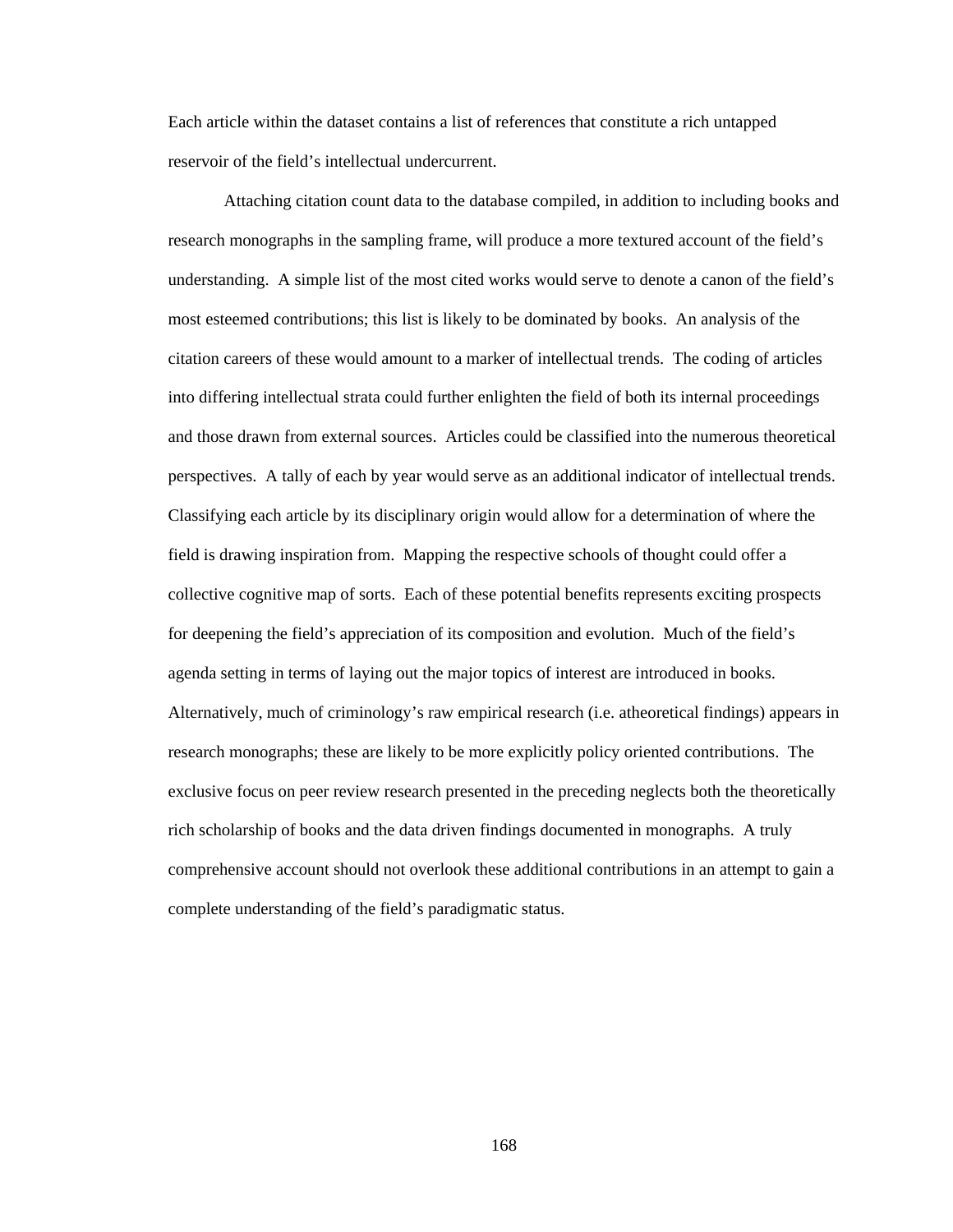Each article within the dataset contains a list of references that constitute a rich untapped reservoir of the field's intellectual undercurrent.

 Attaching citation count data to the database compiled, in addition to including books and research monographs in the sampling frame, will produce a more textured account of the field's understanding. A simple list of the most cited works would serve to denote a canon of the field's most esteemed contributions; this list is likely to be dominated by books. An analysis of the citation careers of these would amount to a marker of intellectual trends. The coding of articles into differing intellectual strata could further enlighten the field of both its internal proceedings and those drawn from external sources. Articles could be classified into the numerous theoretical perspectives. A tally of each by year would serve as an additional indicator of intellectual trends. Classifying each article by its disciplinary origin would allow for a determination of where the field is drawing inspiration from. Mapping the respective schools of thought could offer a collective cognitive map of sorts. Each of these potential benefits represents exciting prospects for deepening the field's appreciation of its composition and evolution. Much of the field's agenda setting in terms of laying out the major topics of interest are introduced in books. Alternatively, much of criminology's raw empirical research (i.e. atheoretical findings) appears in research monographs; these are likely to be more explicitly policy oriented contributions. The exclusive focus on peer review research presented in the preceding neglects both the theoretically rich scholarship of books and the data driven findings documented in monographs. A truly comprehensive account should not overlook these additional contributions in an attempt to gain a complete understanding of the field's paradigmatic status.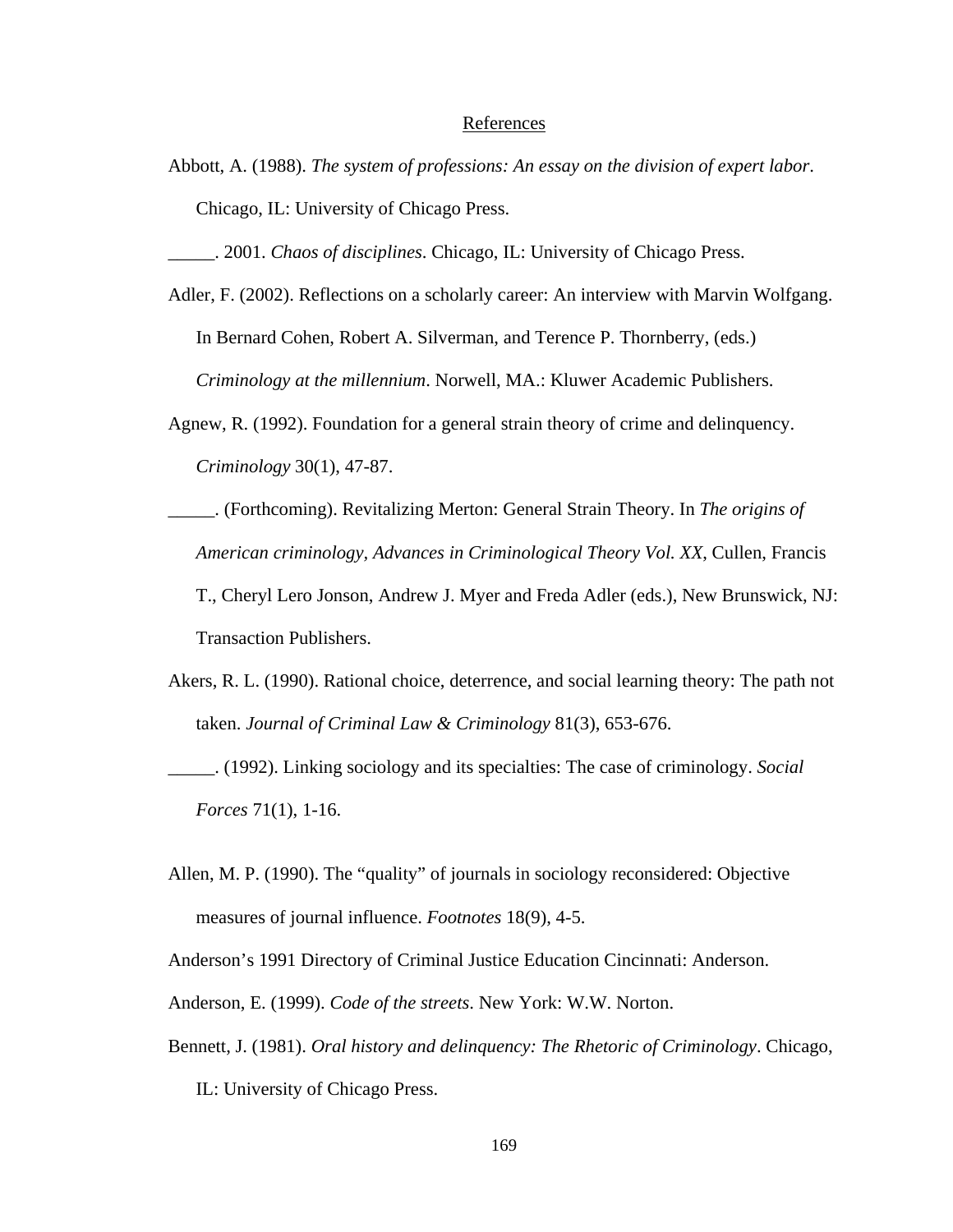# References

- Abbott, A. (1988). *The system of professions: An essay on the division of expert labor*. Chicago, IL: University of Chicago Press.
- \_\_\_\_\_. 2001. *Chaos of disciplines*. Chicago, IL: University of Chicago Press.
- Adler, F. (2002). Reflections on a scholarly career: An interview with Marvin Wolfgang. In Bernard Cohen, Robert A. Silverman, and Terence P. Thornberry, (eds.) *Criminology at the millennium*. Norwell, MA.: Kluwer Academic Publishers.
- Agnew, R. (1992). Foundation for a general strain theory of crime and delinquency. *Criminology* 30(1), 47-87.
- \_\_\_\_\_. (Forthcoming). Revitalizing Merton: General Strain Theory. In *The origins of American criminology, Advances in Criminological Theory Vol. XX*, Cullen, Francis T., Cheryl Lero Jonson, Andrew J. Myer and Freda Adler (eds.), New Brunswick, NJ: Transaction Publishers.
- Akers, R. L. (1990). Rational choice, deterrence, and social learning theory: The path not taken. *Journal of Criminal Law & Criminology* 81(3), 653-676.
- \_\_\_\_\_. (1992). Linking sociology and its specialties: The case of criminology. *Social Forces* 71(1), 1-16.
- Allen, M. P. (1990). The "quality" of journals in sociology reconsidered: Objective measures of journal influence. *Footnotes* 18(9), 4-5.

Anderson's 1991 Directory of Criminal Justice Education Cincinnati: Anderson.

Anderson, E. (1999). *Code of the streets*. New York: W.W. Norton.

Bennett, J. (1981). *Oral history and delinquency: The Rhetoric of Criminology*. Chicago, IL: University of Chicago Press.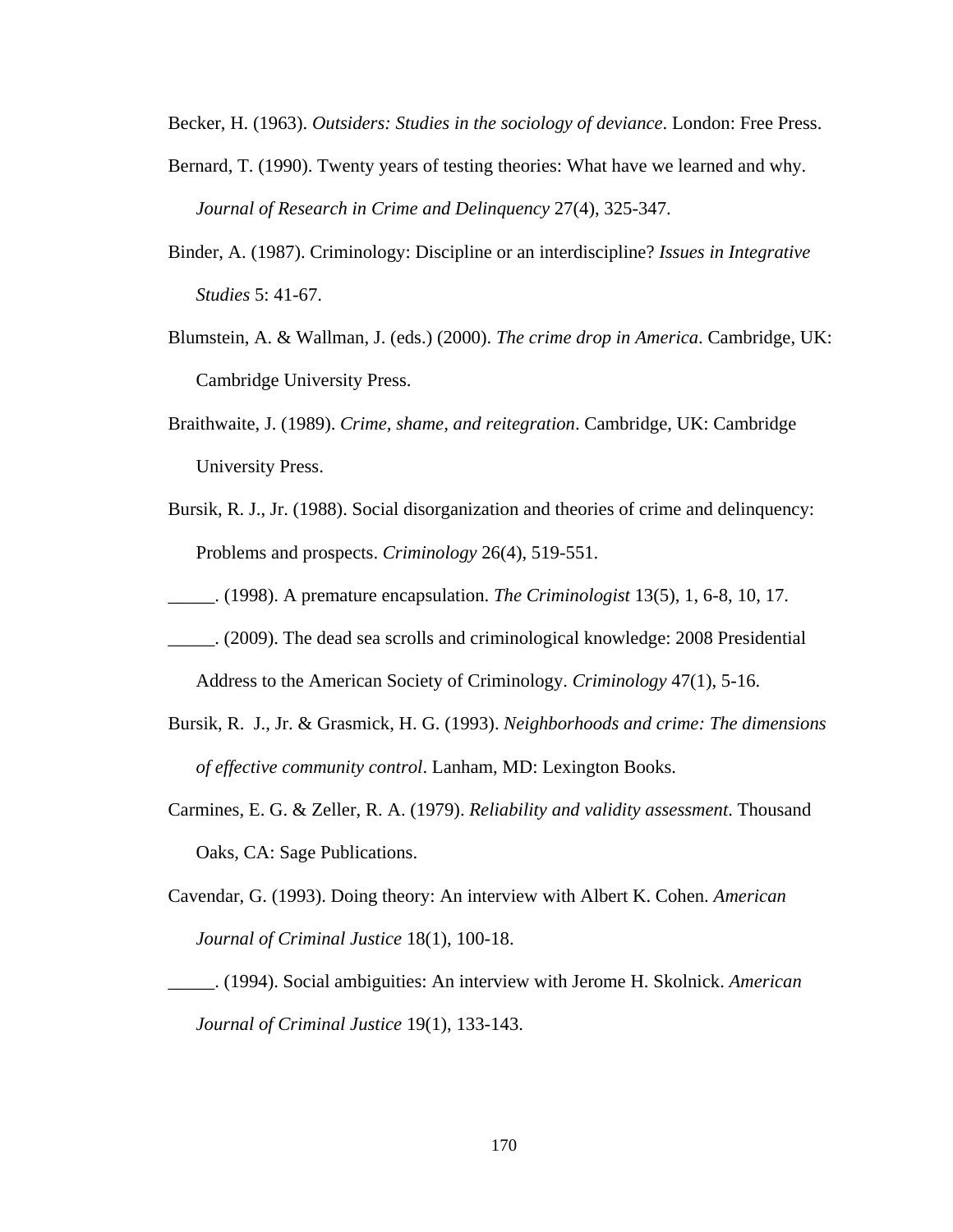Becker, H. (1963). *Outsiders: Studies in the sociology of deviance*. London: Free Press.

- Bernard, T. (1990). Twenty years of testing theories: What have we learned and why. *Journal of Research in Crime and Delinquency* 27(4), 325-347.
- Binder, A. (1987). Criminology: Discipline or an interdiscipline? *Issues in Integrative Studies* 5: 41-67.
- Blumstein, A. & Wallman, J. (eds.) (2000). *The crime drop in America*. Cambridge, UK: Cambridge University Press.
- Braithwaite, J. (1989). *Crime, shame, and reitegration*. Cambridge, UK: Cambridge University Press.
- Bursik, R. J., Jr. (1988). Social disorganization and theories of crime and delinquency: Problems and prospects. *Criminology* 26(4), 519-551.
- \_\_\_\_\_. (1998). A premature encapsulation. *The Criminologist* 13(5), 1, 6-8, 10, 17.
- \_\_\_\_\_. (2009). The dead sea scrolls and criminological knowledge: 2008 Presidential Address to the American Society of Criminology. *Criminology* 47(1), 5-16.
- Bursik, R. J., Jr. & Grasmick, H. G. (1993). *Neighborhoods and crime: The dimensions of effective community control*. Lanham, MD: Lexington Books.
- Carmines, E. G. & Zeller, R. A. (1979). *Reliability and validity assessment*. Thousand Oaks, CA: Sage Publications.
- Cavendar, G. (1993). Doing theory: An interview with Albert K. Cohen. *American Journal of Criminal Justice* 18(1), 100-18.
- \_\_\_\_\_. (1994). Social ambiguities: An interview with Jerome H. Skolnick. *American Journal of Criminal Justice* 19(1), 133-143.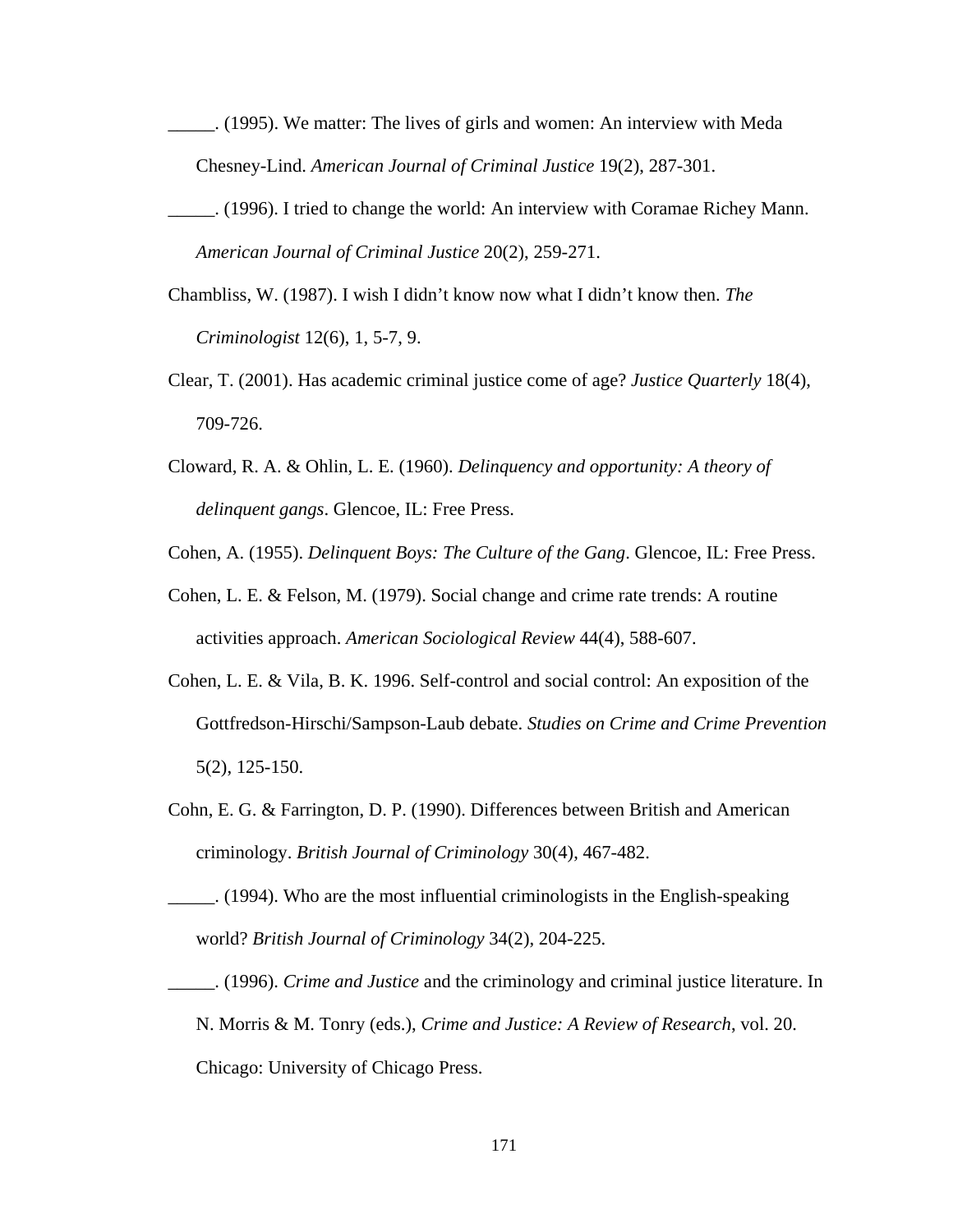- \_\_\_\_\_. (1995). We matter: The lives of girls and women: An interview with Meda Chesney-Lind. *American Journal of Criminal Justice* 19(2), 287-301.
- \_\_\_\_\_. (1996). I tried to change the world: An interview with Coramae Richey Mann. *American Journal of Criminal Justice* 20(2), 259-271.
- Chambliss, W. (1987). I wish I didn't know now what I didn't know then. *The Criminologist* 12(6), 1, 5-7, 9.
- Clear, T. (2001). Has academic criminal justice come of age? *Justice Quarterly* 18(4), 709-726.
- Cloward, R. A. & Ohlin, L. E. (1960). *Delinquency and opportunity: A theory of delinquent gangs*. Glencoe, IL: Free Press.

Cohen, A. (1955). *Delinquent Boys: The Culture of the Gang*. Glencoe, IL: Free Press.

- Cohen, L. E. & Felson, M. (1979). Social change and crime rate trends: A routine activities approach. *American Sociological Review* 44(4), 588-607.
- Cohen, L. E. & Vila, B. K. 1996. Self-control and social control: An exposition of the Gottfredson-Hirschi/Sampson-Laub debate. *Studies on Crime and Crime Prevention* 5(2), 125-150.
- Cohn, E. G. & Farrington, D. P. (1990). Differences between British and American criminology. *British Journal of Criminology* 30(4), 467-482.
- \_\_\_\_\_. (1994). Who are the most influential criminologists in the English-speaking world? *British Journal of Criminology* 34(2), 204-225.
- \_\_\_\_\_. (1996). *Crime and Justice* and the criminology and criminal justice literature. In N. Morris & M. Tonry (eds.), *Crime and Justice: A Review of Research*, vol. 20. Chicago: University of Chicago Press.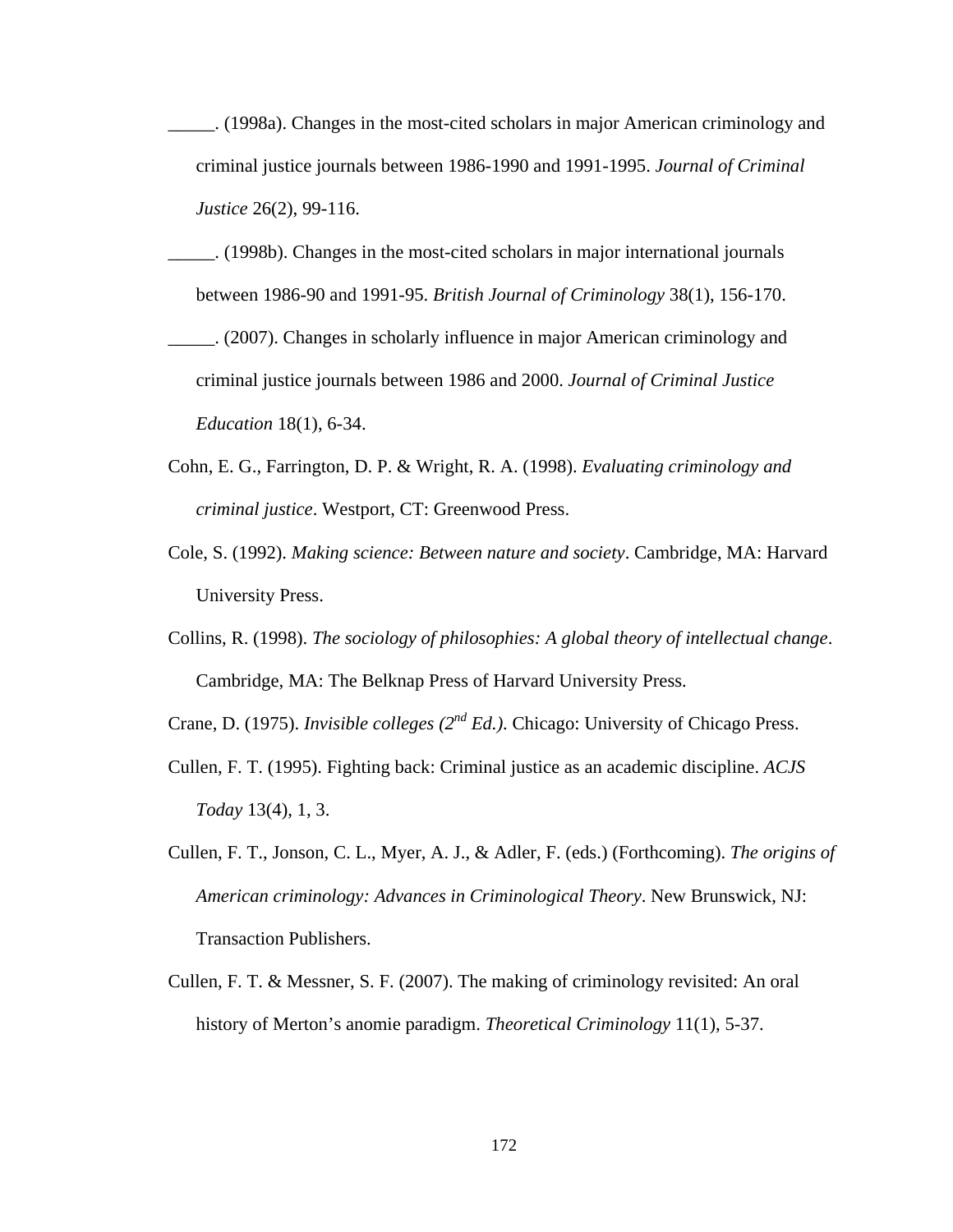- \_\_\_\_\_. (1998a). Changes in the most-cited scholars in major American criminology and criminal justice journals between 1986-1990 and 1991-1995. *Journal of Criminal Justice* 26(2), 99-116.
- \_\_\_\_\_. (1998b). Changes in the most-cited scholars in major international journals between 1986-90 and 1991-95. *British Journal of Criminology* 38(1), 156-170.
- \_\_\_\_\_. (2007). Changes in scholarly influence in major American criminology and criminal justice journals between 1986 and 2000. *Journal of Criminal Justice Education* 18(1), 6-34.
- Cohn, E. G., Farrington, D. P. & Wright, R. A. (1998). *Evaluating criminology and criminal justice*. Westport, CT: Greenwood Press.
- Cole, S. (1992). *Making science: Between nature and society*. Cambridge, MA: Harvard University Press.
- Collins, R. (1998). *The sociology of philosophies: A global theory of intellectual change*. Cambridge, MA: The Belknap Press of Harvard University Press.

Crane, D. (1975). *Invisible colleges (2nd Ed.)*. Chicago: University of Chicago Press.

- Cullen, F. T. (1995). Fighting back: Criminal justice as an academic discipline. *ACJS Today* 13(4), 1, 3.
- Cullen, F. T., Jonson, C. L., Myer, A. J., & Adler, F. (eds.) (Forthcoming). *The origins of American criminology: Advances in Criminological Theory*. New Brunswick, NJ: Transaction Publishers.
- Cullen, F. T. & Messner, S. F. (2007). The making of criminology revisited: An oral history of Merton's anomie paradigm. *Theoretical Criminology* 11(1), 5-37.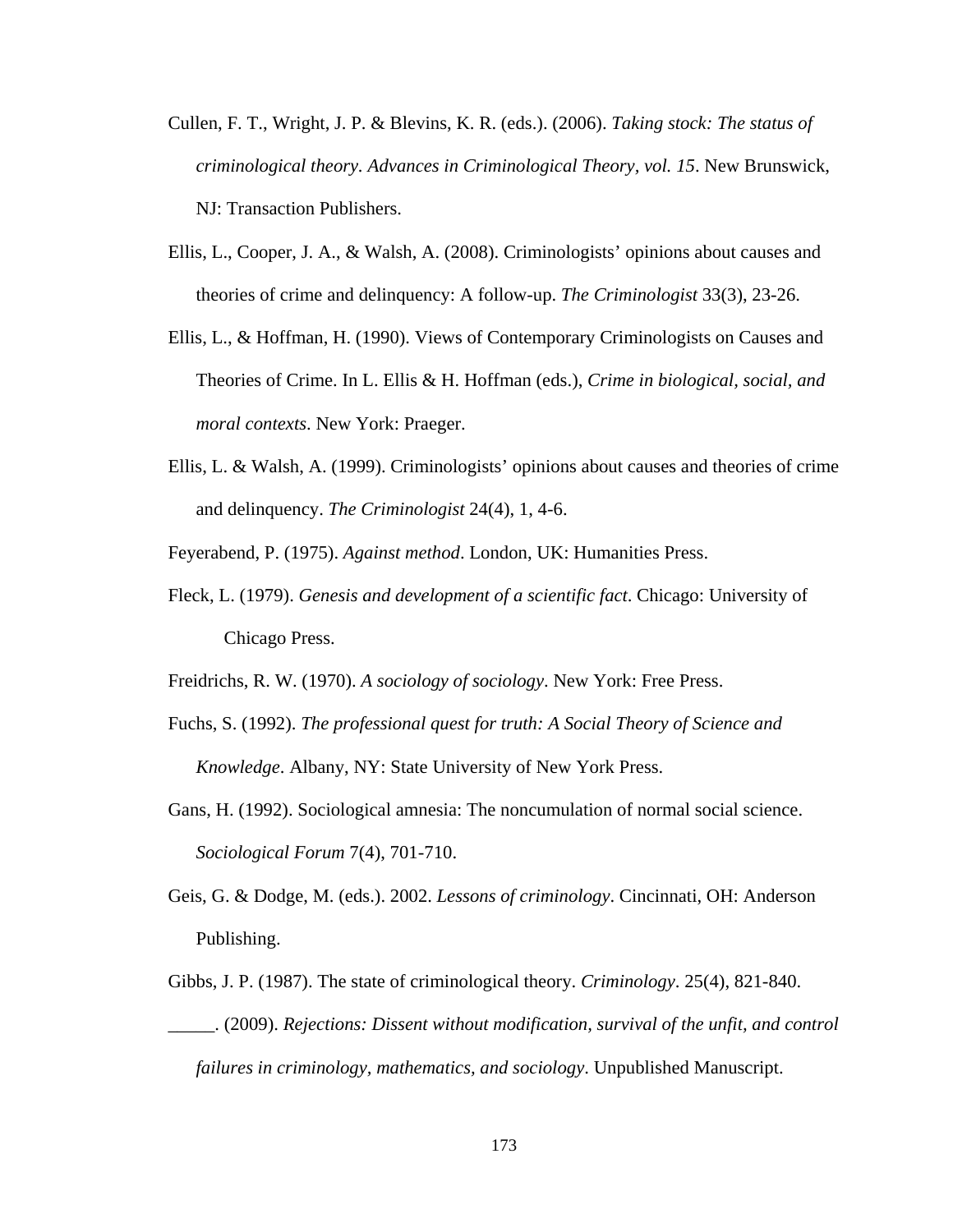- Cullen, F. T., Wright, J. P. & Blevins, K. R. (eds.). (2006). *Taking stock: The status of criminological theory. Advances in Criminological Theory, vol. 15*. New Brunswick, NJ: Transaction Publishers.
- Ellis, L., Cooper, J. A., & Walsh, A. (2008). Criminologists' opinions about causes and theories of crime and delinquency: A follow-up. *The Criminologist* 33(3), 23-26.
- Ellis, L., & Hoffman, H. (1990). Views of Contemporary Criminologists on Causes and Theories of Crime. In L. Ellis & H. Hoffman (eds.), *Crime in biological, social, and moral contexts*. New York: Praeger.
- Ellis, L. & Walsh, A. (1999). Criminologists' opinions about causes and theories of crime and delinquency. *The Criminologist* 24(4), 1, 4-6.
- Feyerabend, P. (1975). *Against method*. London, UK: Humanities Press.
- Fleck, L. (1979). *Genesis and development of a scientific fact*. Chicago: University of Chicago Press.
- Freidrichs, R. W. (1970). *A sociology of sociology*. New York: Free Press.
- Fuchs, S. (1992). *The professional quest for truth: A Social Theory of Science and Knowledge*. Albany, NY: State University of New York Press.
- Gans, H. (1992). Sociological amnesia: The noncumulation of normal social science. *Sociological Forum* 7(4), 701-710.
- Geis, G. & Dodge, M. (eds.). 2002. *Lessons of criminology*. Cincinnati, OH: Anderson Publishing.
- Gibbs, J. P. (1987). The state of criminological theory. *Criminology*. 25(4), 821-840. \_\_\_\_\_. (2009). *Rejections: Dissent without modification, survival of the unfit, and control failures in criminology, mathematics, and sociology*. Unpublished Manuscript.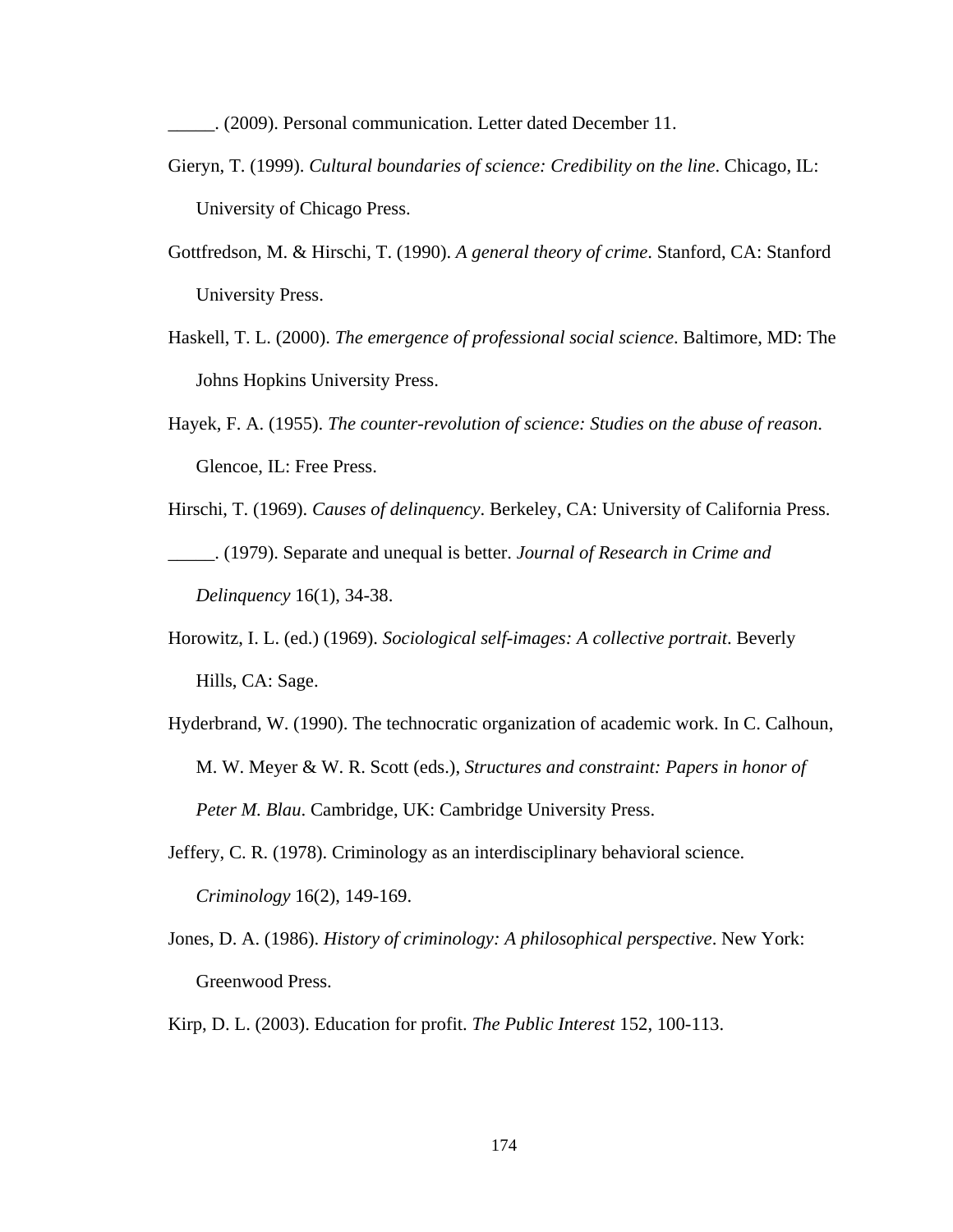\_\_\_\_\_. (2009). Personal communication. Letter dated December 11.

- Gieryn, T. (1999). *Cultural boundaries of science: Credibility on the line*. Chicago, IL: University of Chicago Press.
- Gottfredson, M. & Hirschi, T. (1990). *A general theory of crime*. Stanford, CA: Stanford University Press.
- Haskell, T. L. (2000). *The emergence of professional social science*. Baltimore, MD: The Johns Hopkins University Press.
- Hayek, F. A. (1955). *The counter-revolution of science: Studies on the abuse of reason*. Glencoe, IL: Free Press.
- Hirschi, T. (1969). *Causes of delinquency*. Berkeley, CA: University of California Press. \_\_\_\_\_. (1979). Separate and unequal is better. *Journal of Research in Crime and Delinquency* 16(1), 34-38.
- Horowitz, I. L. (ed.) (1969). *Sociological self-images: A collective portrait*. Beverly Hills, CA: Sage.
- Hyderbrand, W. (1990). The technocratic organization of academic work. In C. Calhoun, M. W. Meyer & W. R. Scott (eds.), *Structures and constraint: Papers in honor of Peter M. Blau*. Cambridge, UK: Cambridge University Press.
- Jeffery, C. R. (1978). Criminology as an interdisciplinary behavioral science. *Criminology* 16(2), 149-169.
- Jones, D. A. (1986). *History of criminology: A philosophical perspective*. New York: Greenwood Press.
- Kirp, D. L. (2003). Education for profit. *The Public Interest* 152, 100-113.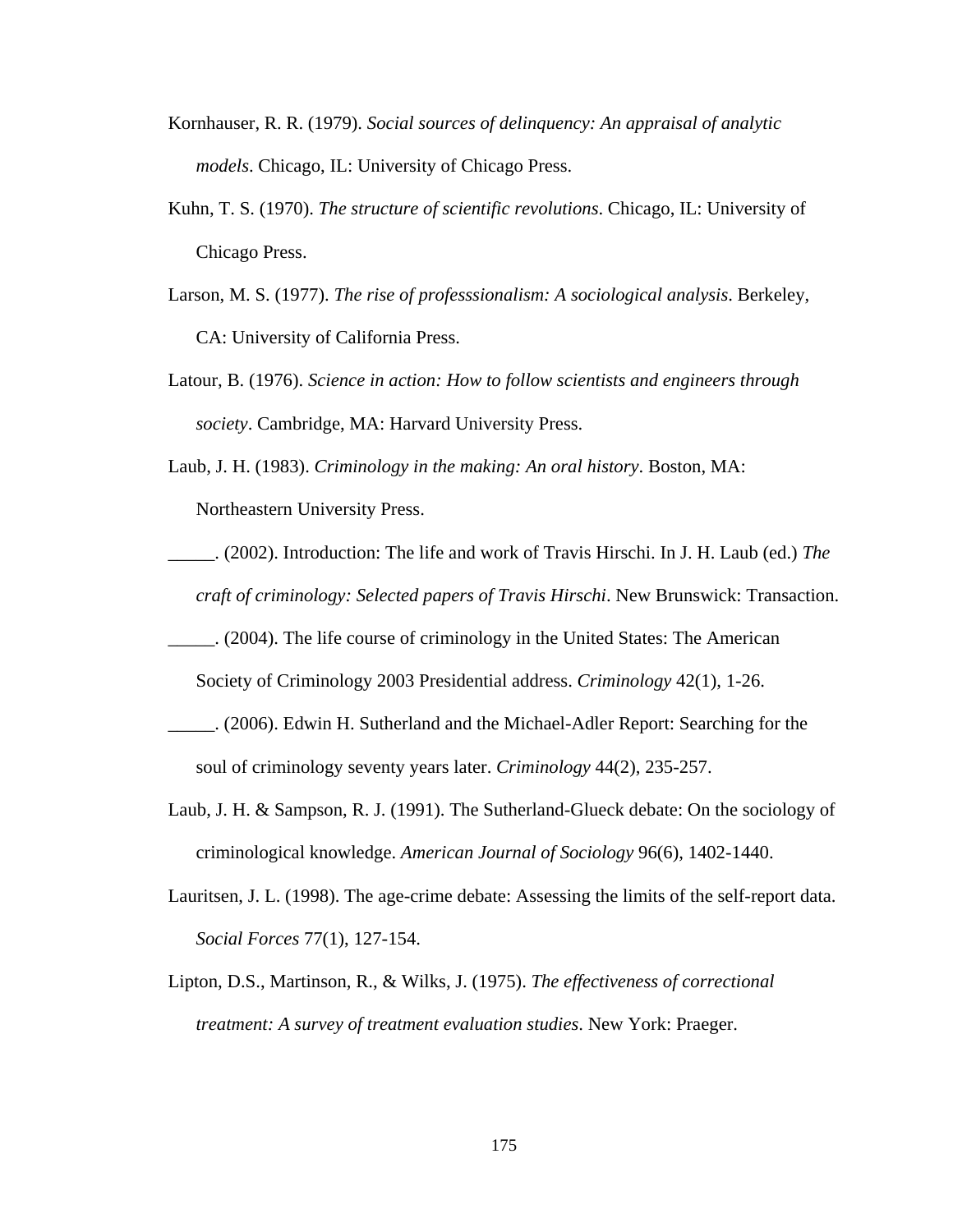- Kornhauser, R. R. (1979). *Social sources of delinquency: An appraisal of analytic models*. Chicago, IL: University of Chicago Press.
- Kuhn, T. S. (1970). *The structure of scientific revolutions*. Chicago, IL: University of Chicago Press.
- Larson, M. S. (1977). *The rise of professsionalism: A sociological analysis*. Berkeley, CA: University of California Press.
- Latour, B. (1976). *Science in action: How to follow scientists and engineers through society*. Cambridge, MA: Harvard University Press.
- Laub, J. H. (1983). *Criminology in the making: An oral history*. Boston, MA: Northeastern University Press.
- \_\_\_\_\_. (2002). Introduction: The life and work of Travis Hirschi. In J. H. Laub (ed.) *The craft of criminology: Selected papers of Travis Hirschi*. New Brunswick: Transaction.
- \_\_\_\_\_. (2004). The life course of criminology in the United States: The American

Society of Criminology 2003 Presidential address. *Criminology* 42(1), 1-26.

- \_\_\_\_\_. (2006). Edwin H. Sutherland and the Michael-Adler Report: Searching for the soul of criminology seventy years later. *Criminology* 44(2), 235-257.
- Laub, J. H. & Sampson, R. J. (1991). The Sutherland-Glueck debate: On the sociology of criminological knowledge. *American Journal of Sociology* 96(6), 1402-1440.
- Lauritsen, J. L. (1998). The age-crime debate: Assessing the limits of the self-report data. *Social Forces* 77(1), 127-154.
- Lipton, D.S., Martinson, R., & Wilks, J. (1975). *The effectiveness of correctional treatment: A survey of treatment evaluation studies*. New York: Praeger.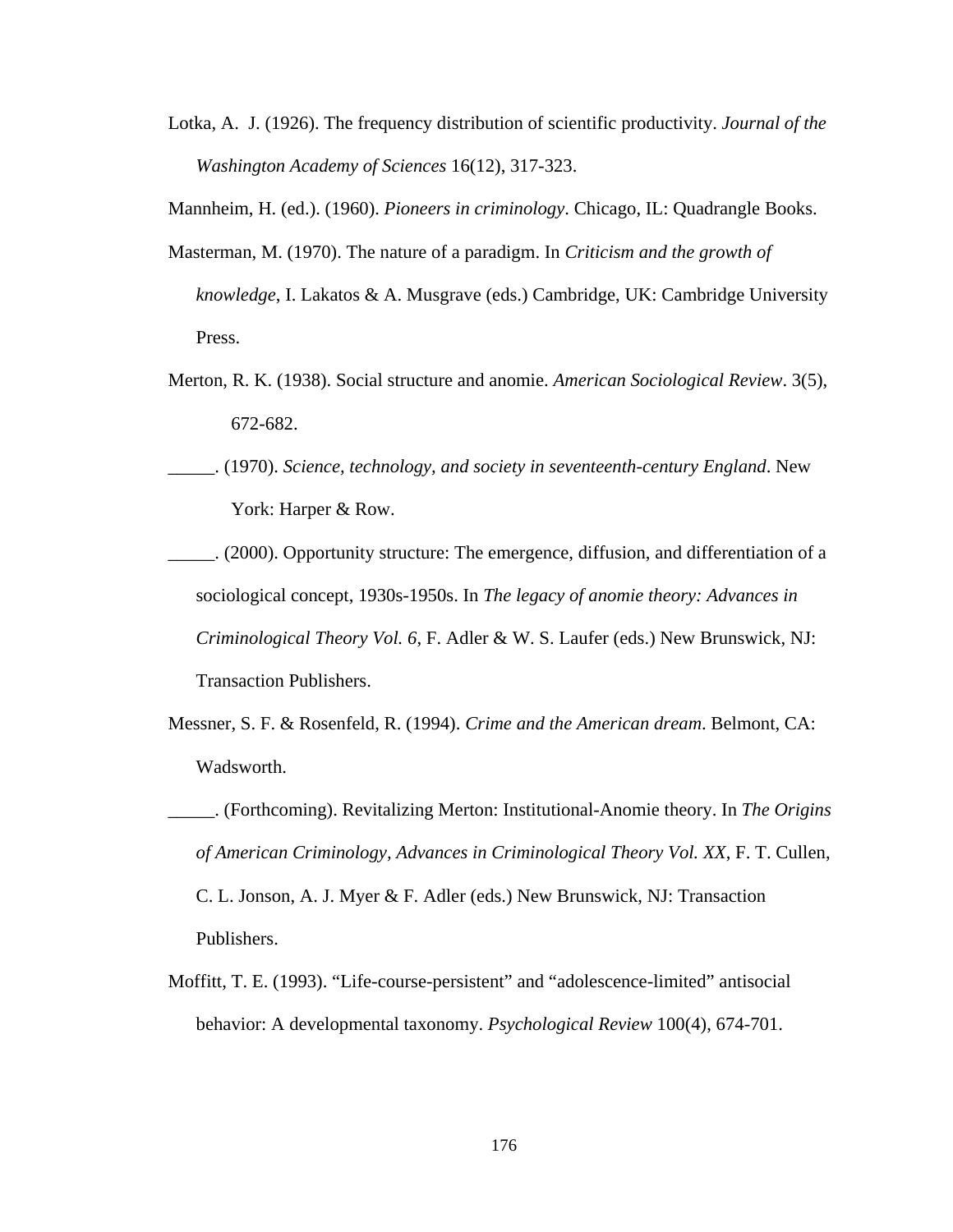Lotka, A. J. (1926). The frequency distribution of scientific productivity. *Journal of the Washington Academy of Sciences* 16(12), 317-323.

Mannheim, H. (ed.). (1960). *Pioneers in criminology*. Chicago, IL: Quadrangle Books.

- Masterman, M. (1970). The nature of a paradigm. In *Criticism and the growth of knowledge*, I. Lakatos & A. Musgrave (eds.) Cambridge, UK: Cambridge University Press.
- Merton, R. K. (1938). Social structure and anomie. *American Sociological Review*. 3(5), 672-682.
- \_\_\_\_\_. (1970). *Science, technology, and society in seventeenth-century England*. New York: Harper & Row.
- \_\_\_\_\_. (2000). Opportunity structure: The emergence, diffusion, and differentiation of a sociological concept, 1930s-1950s. In *The legacy of anomie theory: Advances in Criminological Theory Vol. 6*, F. Adler & W. S. Laufer (eds.) New Brunswick, NJ: Transaction Publishers.
- Messner, S. F. & Rosenfeld, R. (1994). *Crime and the American dream*. Belmont, CA: Wadsworth.
- \_\_\_\_\_. (Forthcoming). Revitalizing Merton: Institutional-Anomie theory. In *The Origins of American Criminology, Advances in Criminological Theory Vol. XX*, F. T. Cullen, C. L. Jonson, A. J. Myer & F. Adler (eds.) New Brunswick, NJ: Transaction Publishers.
- Moffitt, T. E. (1993). "Life-course-persistent" and "adolescence-limited" antisocial behavior: A developmental taxonomy. *Psychological Review* 100(4), 674-701.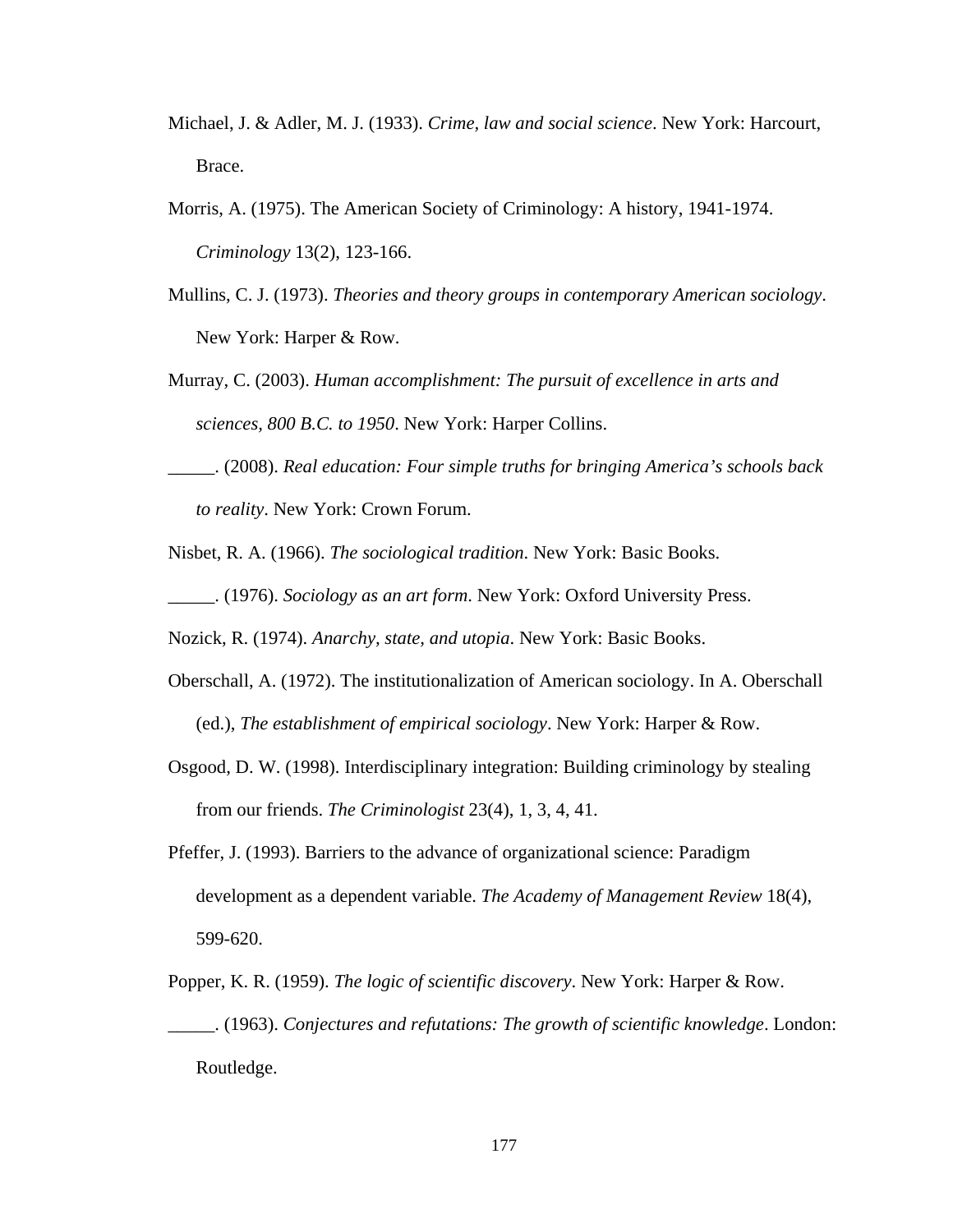- Michael, J. & Adler, M. J. (1933). *Crime, law and social science*. New York: Harcourt, Brace.
- Morris, A. (1975). The American Society of Criminology: A history, 1941-1974. *Criminology* 13(2), 123-166.
- Mullins, C. J. (1973). *Theories and theory groups in contemporary American sociology*. New York: Harper & Row.
- Murray, C. (2003). *Human accomplishment: The pursuit of excellence in arts and sciences, 800 B.C. to 1950*. New York: Harper Collins.
- \_\_\_\_\_. (2008). *Real education: Four simple truths for bringing America's schools back to reality*. New York: Crown Forum.
- Nisbet, R. A. (1966). *The sociological tradition*. New York: Basic Books.
- \_\_\_\_\_. (1976). *Sociology as an art form*. New York: Oxford University Press.
- Nozick, R. (1974). *Anarchy, state, and utopia*. New York: Basic Books.
- Oberschall, A. (1972). The institutionalization of American sociology. In A. Oberschall (ed.), *The establishment of empirical sociology*. New York: Harper & Row.
- Osgood, D. W. (1998). Interdisciplinary integration: Building criminology by stealing from our friends. *The Criminologist* 23(4), 1, 3, 4, 41.
- Pfeffer, J. (1993). Barriers to the advance of organizational science: Paradigm development as a dependent variable. *The Academy of Management Review* 18(4), 599-620.
- Popper, K. R. (1959). *The logic of scientific discovery*. New York: Harper & Row. \_\_\_\_\_. (1963). *Conjectures and refutations: The growth of scientific knowledge*. London: Routledge.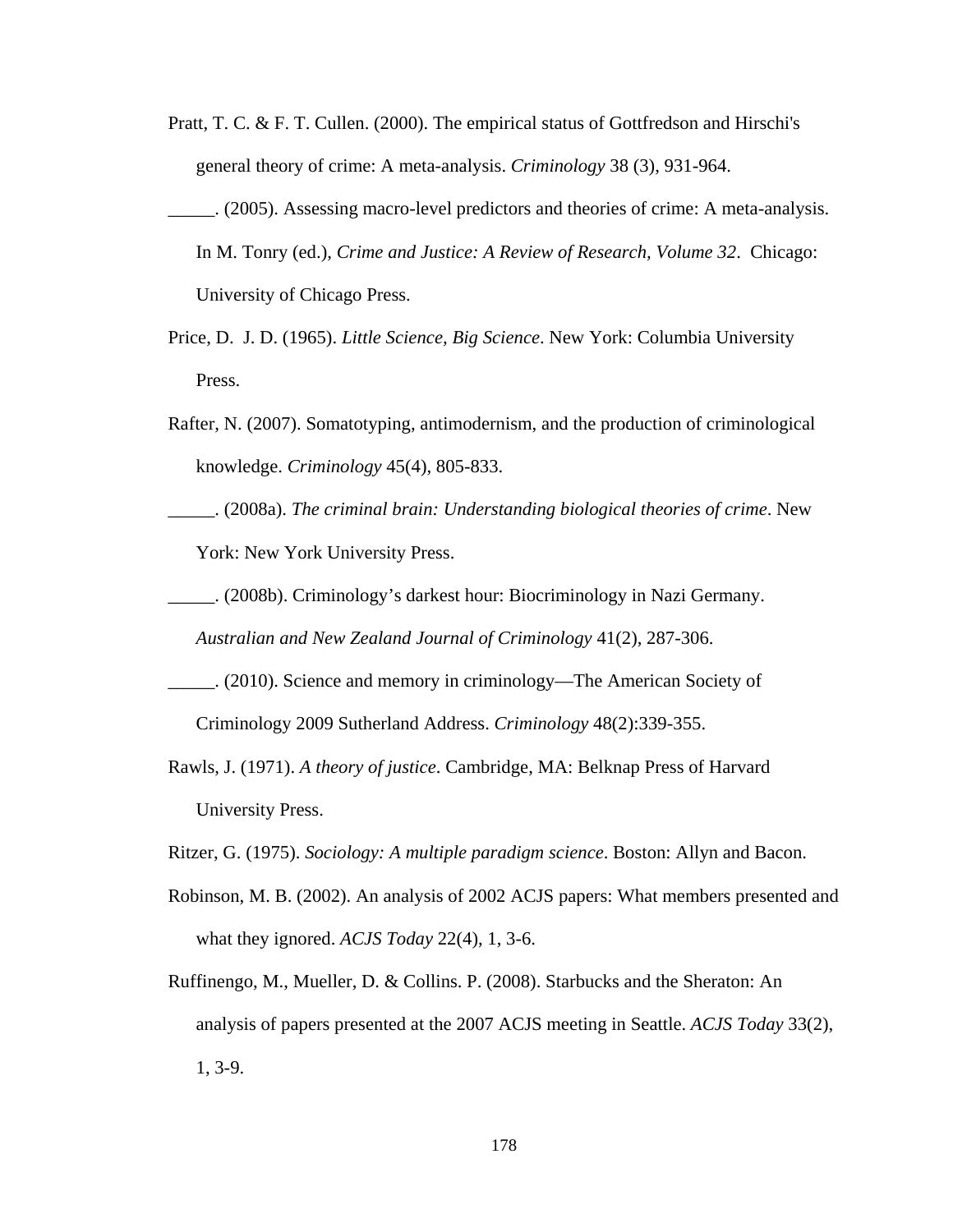- Pratt, T. C. & F. T. Cullen. (2000). The empirical status of Gottfredson and Hirschi's general theory of crime: A meta-analysis. *Criminology* 38 (3), 931-964.
- \_\_\_\_\_. (2005). Assessing macro-level predictors and theories of crime: A meta-analysis. In M. Tonry (ed.), *Crime and Justice: A Review of Research, Volume 32*. Chicago: University of Chicago Press.
- Price, D. J. D. (1965). *Little Science, Big Science*. New York: Columbia University Press.
- Rafter, N. (2007). Somatotyping, antimodernism, and the production of criminological knowledge. *Criminology* 45(4), 805-833.
- \_\_\_\_\_. (2008a). *The criminal brain: Understanding biological theories of crime*. New York: New York University Press.
- \_\_\_\_\_. (2008b). Criminology's darkest hour: Biocriminology in Nazi Germany.

*Australian and New Zealand Journal of Criminology* 41(2), 287-306.

- \_\_\_\_\_. (2010). Science and memory in criminology—The American Society of Criminology 2009 Sutherland Address. *Criminology* 48(2):339-355.
- Rawls, J. (1971). *A theory of justice*. Cambridge, MA: Belknap Press of Harvard University Press.
- Ritzer, G. (1975). *Sociology: A multiple paradigm science*. Boston: Allyn and Bacon.
- Robinson, M. B. (2002). An analysis of 2002 ACJS papers: What members presented and what they ignored. *ACJS Today* 22(4), 1, 3-6.
- Ruffinengo, M., Mueller, D. & Collins. P. (2008). Starbucks and the Sheraton: An analysis of papers presented at the 2007 ACJS meeting in Seattle. *ACJS Today* 33(2), 1, 3-9.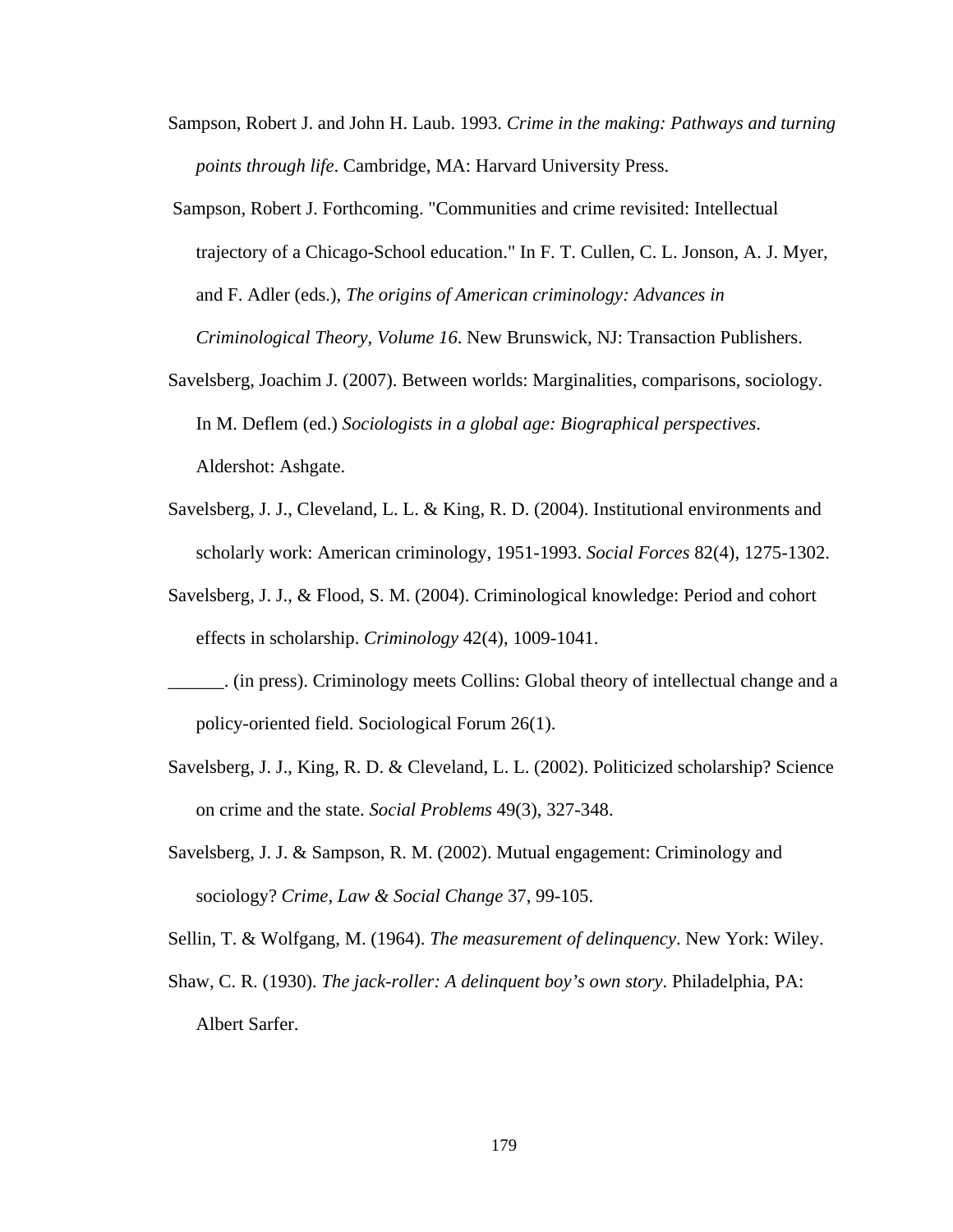- Sampson, Robert J. and John H. Laub. 1993. *Crime in the making: Pathways and turning points through life*. Cambridge, MA: Harvard University Press.
- Sampson, Robert J. Forthcoming. "Communities and crime revisited: Intellectual trajectory of a Chicago-School education." In F. T. Cullen, C. L. Jonson, A. J. Myer, and F. Adler (eds.), *The origins of American criminology: Advances in Criminological Theory, Volume 16*. New Brunswick, NJ: Transaction Publishers.
- Savelsberg, Joachim J. (2007). Between worlds: Marginalities, comparisons, sociology. In M. Deflem (ed.) *Sociologists in a global age: Biographical perspectives*. Aldershot: Ashgate.
- Savelsberg, J. J., Cleveland, L. L. & King, R. D. (2004). Institutional environments and scholarly work: American criminology, 1951-1993. *Social Forces* 82(4), 1275-1302.
- Savelsberg, J. J., & Flood, S. M. (2004). Criminological knowledge: Period and cohort effects in scholarship. *Criminology* 42(4), 1009-1041.
- \_\_\_\_\_\_. (in press). Criminology meets Collins: Global theory of intellectual change and a policy-oriented field. Sociological Forum 26(1).
- Savelsberg, J. J., King, R. D. & Cleveland, L. L. (2002). Politicized scholarship? Science on crime and the state. *Social Problems* 49(3), 327-348.
- Savelsberg, J. J. & Sampson, R. M. (2002). Mutual engagement: Criminology and sociology? *Crime, Law & Social Change* 37, 99-105.
- Sellin, T. & Wolfgang, M. (1964). *The measurement of delinquency*. New York: Wiley.
- Shaw, C. R. (1930). *The jack-roller: A delinquent boy's own story*. Philadelphia, PA: Albert Sarfer.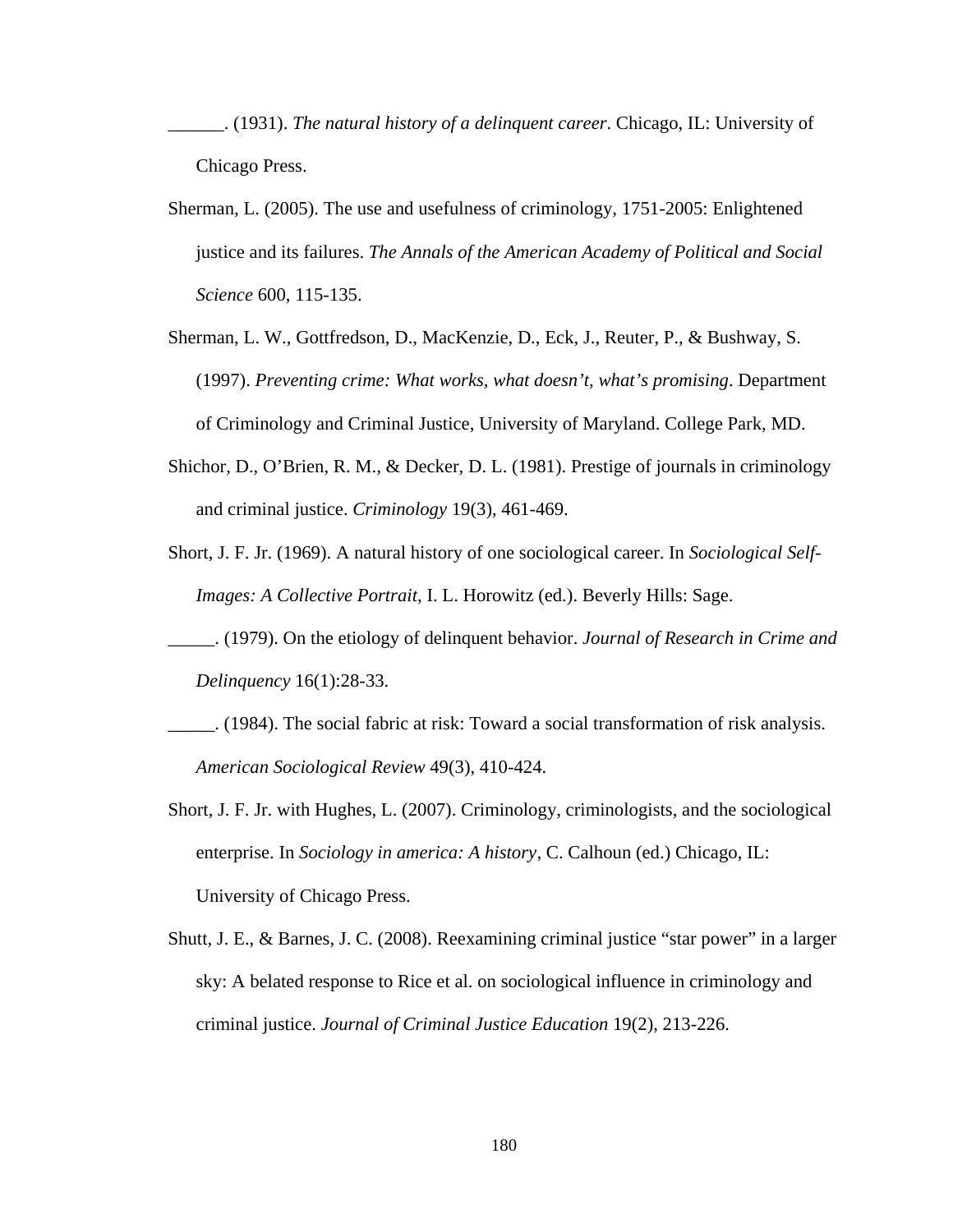- \_\_\_\_\_\_. (1931). *The natural history of a delinquent career*. Chicago, IL: University of Chicago Press.
- Sherman, L. (2005). The use and usefulness of criminology, 1751-2005: Enlightened justice and its failures. *The Annals of the American Academy of Political and Social Science* 600, 115-135.
- Sherman, L. W., Gottfredson, D., MacKenzie, D., Eck, J., Reuter, P., & Bushway, S. (1997). *Preventing crime: What works, what doesn't, what's promising*. Department of Criminology and Criminal Justice, University of Maryland. College Park, MD.
- Shichor, D., O'Brien, R. M., & Decker, D. L. (1981). Prestige of journals in criminology and criminal justice. *Criminology* 19(3), 461-469.
- Short, J. F. Jr. (1969). A natural history of one sociological career. In *Sociological Self-Images: A Collective Portrait*, I. L. Horowitz (ed.). Beverly Hills: Sage.
- \_\_\_\_\_. (1979). On the etiology of delinquent behavior. *Journal of Research in Crime and Delinquency* 16(1):28-33.
- \_\_\_\_\_. (1984). The social fabric at risk: Toward a social transformation of risk analysis. *American Sociological Review* 49(3), 410-424.
- Short, J. F. Jr. with Hughes, L. (2007). Criminology, criminologists, and the sociological enterprise. In *Sociology in america: A history*, C. Calhoun (ed.) Chicago, IL: University of Chicago Press.
- Shutt, J. E., & Barnes, J. C. (2008). Reexamining criminal justice "star power" in a larger sky: A belated response to Rice et al. on sociological influence in criminology and criminal justice. *Journal of Criminal Justice Education* 19(2), 213-226.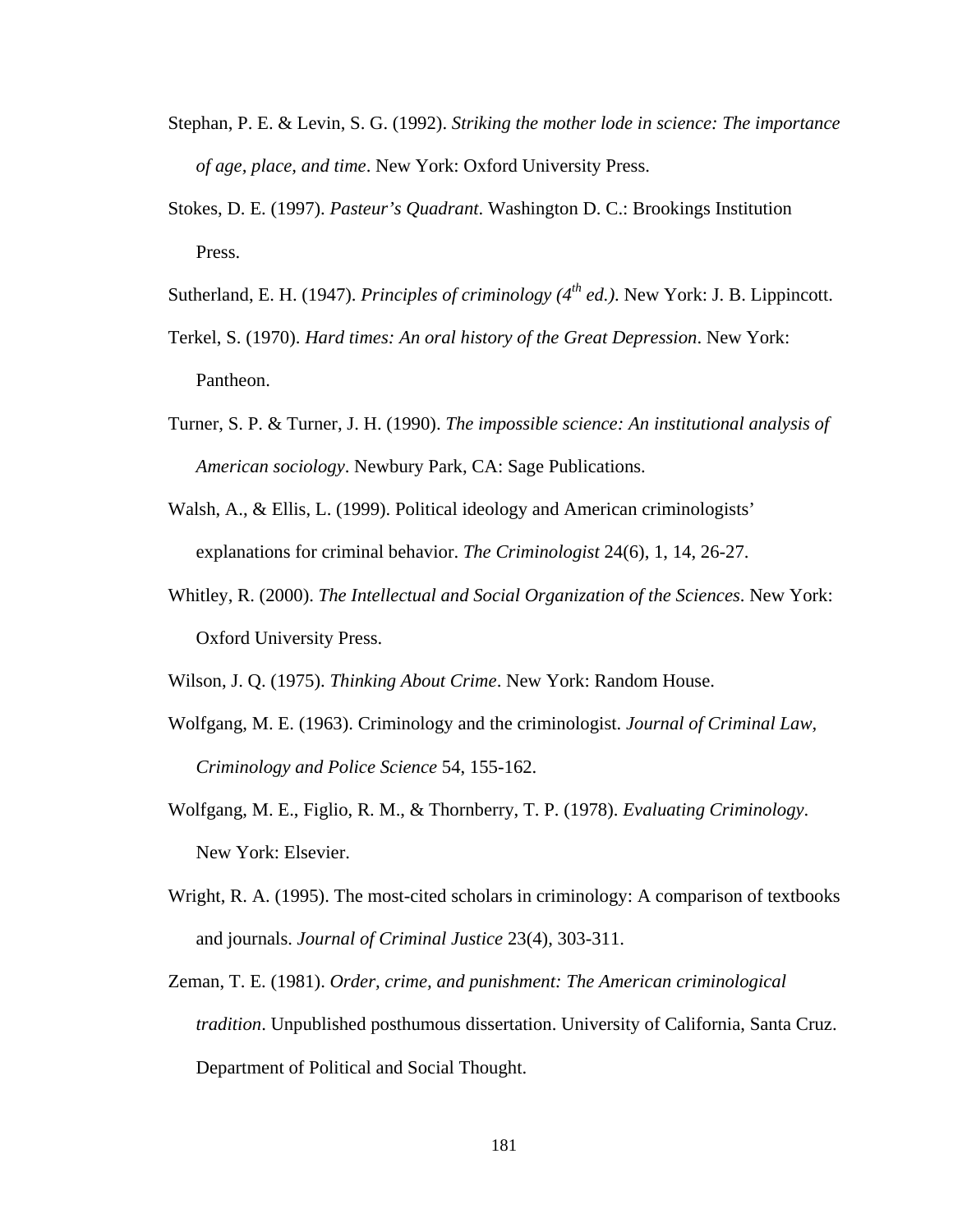- Stephan, P. E. & Levin, S. G. (1992). *Striking the mother lode in science: The importance of age, place, and time*. New York: Oxford University Press.
- Stokes, D. E. (1997). *Pasteur's Quadrant*. Washington D. C.: Brookings Institution Press.
- Sutherland, E. H. (1947). *Principles of criminology (4th ed.)*. New York: J. B. Lippincott.
- Terkel, S. (1970). *Hard times: An oral history of the Great Depression*. New York: Pantheon.
- Turner, S. P. & Turner, J. H. (1990). *The impossible science: An institutional analysis of American sociology*. Newbury Park, CA: Sage Publications.
- Walsh, A., & Ellis, L. (1999). Political ideology and American criminologists' explanations for criminal behavior. *The Criminologist* 24(6), 1, 14, 26-27.
- Whitley, R. (2000). *The Intellectual and Social Organization of the Sciences*. New York: Oxford University Press.

Wilson, J. Q. (1975). *Thinking About Crime*. New York: Random House.

- Wolfgang, M. E. (1963). Criminology and the criminologist. *Journal of Criminal Law, Criminology and Police Science* 54, 155-162.
- Wolfgang, M. E., Figlio, R. M., & Thornberry, T. P. (1978). *Evaluating Criminology*. New York: Elsevier.
- Wright, R. A. (1995). The most-cited scholars in criminology: A comparison of textbooks and journals. *Journal of Criminal Justice* 23(4), 303-311.
- Zeman, T. E. (1981). *Order, crime, and punishment: The American criminological tradition*. Unpublished posthumous dissertation. University of California, Santa Cruz. Department of Political and Social Thought.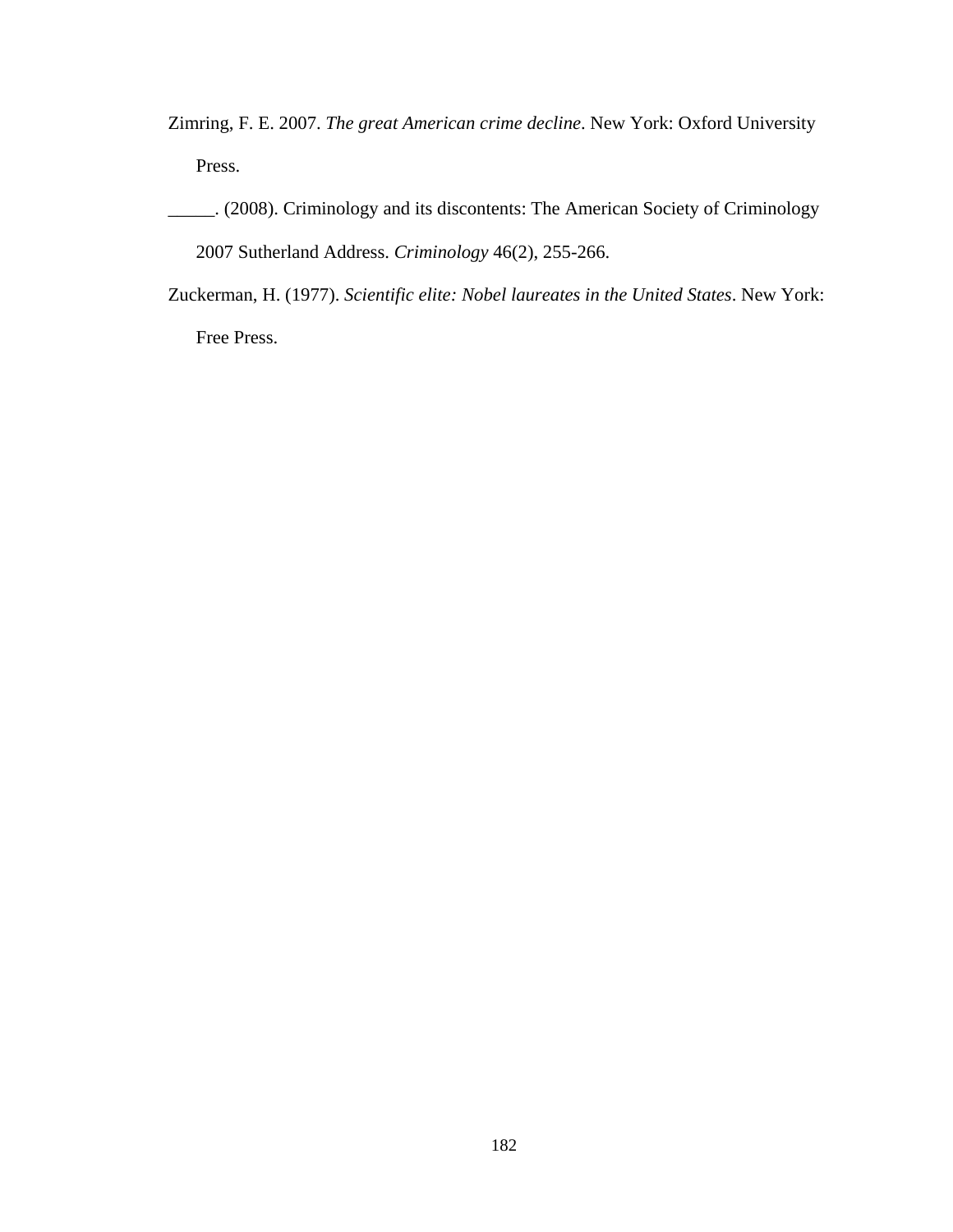Zimring, F. E. 2007. *The great American crime decline*. New York: Oxford University Press.

\_\_\_\_\_. (2008). Criminology and its discontents: The American Society of Criminology 2007 Sutherland Address. *Criminology* 46(2), 255-266.

Zuckerman, H. (1977). *Scientific elite: Nobel laureates in the United States*. New York: Free Press.